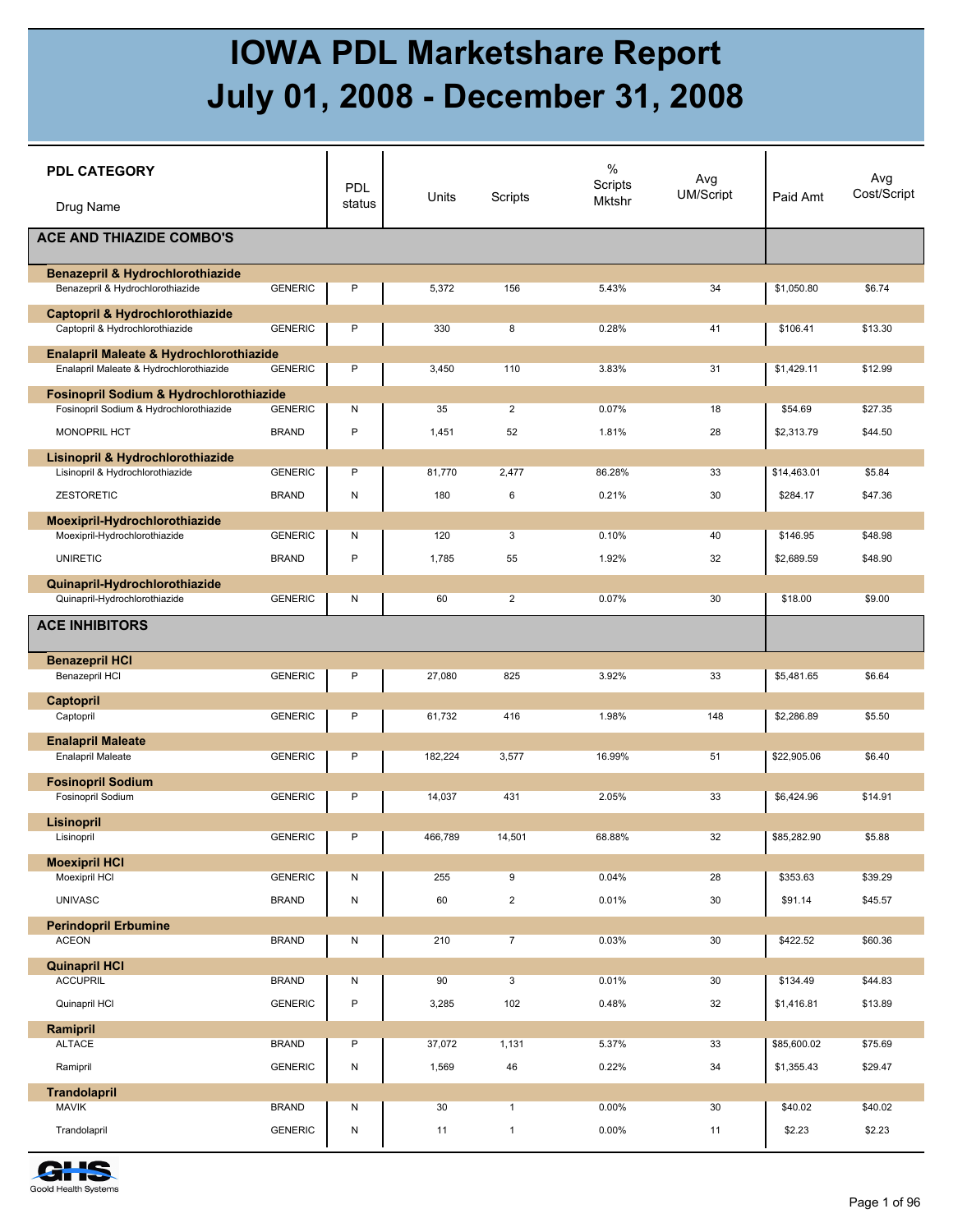## **IOWA PDL Marketshare Report July 01, 2008 - December 31, 2008**

| <b>PDL CATEGORY</b><br>Drug Name            |                | PDL<br>status | Units   | Scripts                 | $\%$<br>Scripts<br>Mktshr | Avg<br><b>UM/Script</b> | Paid Amt    | Avg<br>Cost/Script |
|---------------------------------------------|----------------|---------------|---------|-------------------------|---------------------------|-------------------------|-------------|--------------------|
| <b>ACE AND THIAZIDE COMBO'S</b>             |                |               |         |                         |                           |                         |             |                    |
| <b>Benazepril &amp; Hydrochlorothiazide</b> |                |               |         |                         |                           |                         |             |                    |
| Benazepril & Hydrochlorothiazide            | <b>GENERIC</b> | P             | 5,372   | 156                     | 5.43%                     | 34                      | \$1,050.80  | \$6.74             |
| Captopril & Hydrochlorothiazide             |                |               |         |                         |                           |                         |             |                    |
| Captopril & Hydrochlorothiazide             | <b>GENERIC</b> | P             | 330     | 8                       | 0.28%                     | 41                      | \$106.41    | \$13.30            |
| Enalapril Maleate & Hydrochlorothiazide     |                |               |         |                         |                           |                         |             |                    |
| Enalapril Maleate & Hydrochlorothiazide     | <b>GENERIC</b> | P             | 3,450   | 110                     | 3.83%                     | 31                      | \$1,429.11  | \$12.99            |
| Fosinopril Sodium & Hydrochlorothiazide     |                |               |         |                         |                           |                         |             |                    |
| Fosinopril Sodium & Hydrochlorothiazide     | <b>GENERIC</b> | Ν             | 35      | $\overline{2}$          | 0.07%                     | 18                      | \$54.69     | \$27.35            |
| MONOPRIL HCT                                | <b>BRAND</b>   | P             | 1,451   | 52                      | 1.81%                     | 28                      | \$2,313.79  | \$44.50            |
| Lisinopril & Hydrochlorothiazide            |                |               |         |                         |                           |                         |             |                    |
| Lisinopril & Hydrochlorothiazide            | <b>GENERIC</b> | P             | 81,770  | 2,477                   | 86.28%                    | 33                      | \$14,463.01 | \$5.84             |
| <b>ZESTORETIC</b>                           | <b>BRAND</b>   | N             | 180     | 6                       | 0.21%                     | 30                      | \$284.17    | \$47.36            |
| Moexipril-Hydrochlorothiazide               |                |               |         |                         |                           |                         |             |                    |
| Moexipril-Hydrochlorothiazide               | <b>GENERIC</b> | N             | 120     | 3                       | 0.10%                     | 40                      | \$146.95    | \$48.98            |
| <b>UNIRETIC</b>                             | <b>BRAND</b>   | P             | 1,785   | 55                      | 1.92%                     | 32                      | \$2,689.59  | \$48.90            |
| Quinapril-Hydrochlorothiazide               |                |               |         |                         |                           |                         |             |                    |
| Quinapril-Hydrochlorothiazide               | <b>GENERIC</b> | N             | 60      | $\overline{\mathbf{c}}$ | 0.07%                     | 30                      | \$18.00     | \$9.00             |
| <b>ACE INHIBITORS</b>                       |                |               |         |                         |                           |                         |             |                    |
| <b>Benazepril HCI</b>                       |                |               |         |                         |                           |                         |             |                    |
| Benazepril HCI                              | <b>GENERIC</b> | P             | 27,080  | 825                     | 3.92%                     | 33                      | \$5,481.65  | \$6.64             |
| Captopril                                   |                |               |         |                         |                           |                         |             |                    |
| Captopril                                   | <b>GENERIC</b> | P             | 61,732  | 416                     | 1.98%                     | 148                     | \$2,286.89  | \$5.50             |
| <b>Enalapril Maleate</b>                    |                |               |         |                         |                           |                         |             |                    |
| Enalapril Maleate                           | <b>GENERIC</b> | P             | 182,224 | 3,577                   | 16.99%                    | 51                      | \$22,905.06 | \$6.40             |
| <b>Fosinopril Sodium</b>                    |                |               |         |                         |                           |                         |             |                    |
| Fosinopril Sodium                           | <b>GENERIC</b> | P             | 14,037  | 431                     | 2.05%                     | 33                      | \$6,424.96  | \$14.91            |
| <b>Lisinopril</b>                           | <b>GENERIC</b> | P             | 466,789 | 14,501                  | 68.88%                    | 32                      | \$85,282.90 | \$5.88             |
| Lisinopril                                  |                |               |         |                         |                           |                         |             |                    |
| <b>Moexipril HCI</b><br>Moexipril HCI       | <b>GENERIC</b> | N             | 255     | 9                       | 0.04%                     | 28                      | \$353.63    | \$39.29            |
|                                             |                |               |         |                         |                           |                         |             |                    |
| <b>UNIVASC</b>                              | <b>BRAND</b>   | ${\sf N}$     | 60      | $\overline{2}$          | 0.01%                     | 30                      | \$91.14     | \$45.57            |
| <b>Perindopril Erbumine</b><br><b>ACEON</b> | <b>BRAND</b>   |               |         | $\overline{7}$          | 0.03%                     | 30                      | \$422.52    | \$60.36            |
|                                             |                | N             | 210     |                         |                           |                         |             |                    |
| <b>Quinapril HCI</b><br><b>ACCUPRIL</b>     | <b>BRAND</b>   | N             | 90      | 3                       | 0.01%                     | 30                      | \$134.49    | \$44.83            |
|                                             |                |               |         |                         |                           |                         |             |                    |
| Quinapril HCI                               | <b>GENERIC</b> | $\mathsf P$   | 3,285   | 102                     | 0.48%                     | 32                      | \$1,416.81  | \$13.89            |
| Ramipril                                    |                |               |         |                         |                           |                         |             |                    |
| <b>ALTACE</b>                               | <b>BRAND</b>   | P             | 37,072  | 1,131                   | 5.37%                     | 33                      | \$85,600.02 | \$75.69            |
| Ramipril                                    | <b>GENERIC</b> | ${\sf N}$     | 1,569   | 46                      | 0.22%                     | $34\,$                  | \$1,355.43  | \$29.47            |
| <b>Trandolapril</b>                         |                |               |         |                         |                           |                         |             |                    |
| <b>MAVIK</b>                                | <b>BRAND</b>   | N             | 30      | $\mathbf{1}$            | 0.00%                     | 30                      | \$40.02     | \$40.02            |
| Trandolapril                                | <b>GENERIC</b> | ${\sf N}$     | 11      | $\mathbf{1}$            | 0.00%                     | 11                      | \$2.23      | \$2.23             |

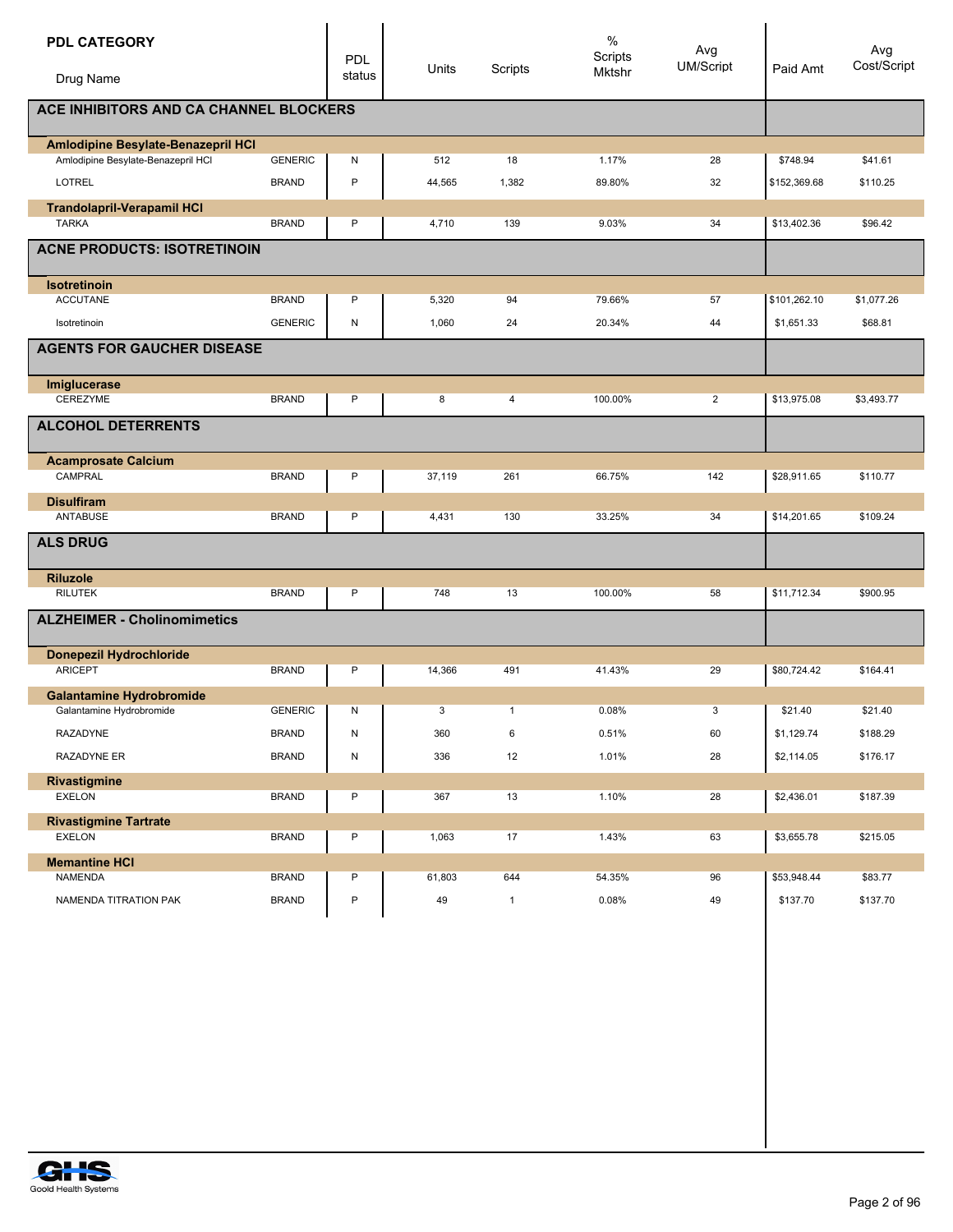| <b>PDL CATEGORY</b><br>Drug Name       |                | <b>PDL</b><br>status | Units  | Scripts      | $\%$<br>Scripts<br><b>Mktshr</b> | Avg<br><b>UM/Script</b> | Paid Amt     | Avg<br>Cost/Script |
|----------------------------------------|----------------|----------------------|--------|--------------|----------------------------------|-------------------------|--------------|--------------------|
| ACE INHIBITORS AND CA CHANNEL BLOCKERS |                |                      |        |              |                                  |                         |              |                    |
| Amlodipine Besylate-Benazepril HCI     |                |                      |        |              |                                  |                         |              |                    |
| Amlodipine Besylate-Benazepril HCI     | <b>GENERIC</b> | N                    | 512    | 18           | 1.17%                            | 28                      | \$748.94     | \$41.61            |
| LOTREL                                 | <b>BRAND</b>   | $\mathsf{P}$         | 44,565 | 1,382        | 89.80%                           | 32                      | \$152,369.68 | \$110.25           |
| <b>Trandolapril-Verapamil HCI</b>      |                |                      |        |              |                                  |                         |              |                    |
| <b>TARKA</b>                           | <b>BRAND</b>   | P                    | 4,710  | 139          | 9.03%                            | 34                      | \$13,402.36  | \$96.42            |
| <b>ACNE PRODUCTS: ISOTRETINOIN</b>     |                |                      |        |              |                                  |                         |              |                    |
| <b>Isotretinoin</b>                    |                |                      |        |              |                                  |                         |              |                    |
| <b>ACCUTANE</b>                        | <b>BRAND</b>   | P                    | 5,320  | 94           | 79.66%                           | 57                      | \$101,262.10 | \$1,077.26         |
| Isotretinoin                           | <b>GENERIC</b> | N                    | 1,060  | 24           | 20.34%                           | 44                      | \$1,651.33   | \$68.81            |
| <b>AGENTS FOR GAUCHER DISEASE</b>      |                |                      |        |              |                                  |                         |              |                    |
| Imiglucerase                           |                |                      |        |              |                                  |                         |              |                    |
| CEREZYME                               | <b>BRAND</b>   | P                    | 8      | 4            | 100.00%                          | $\overline{2}$          | \$13,975.08  | \$3,493.77         |
| <b>ALCOHOL DETERRENTS</b>              |                |                      |        |              |                                  |                         |              |                    |
| <b>Acamprosate Calcium</b>             |                |                      |        |              |                                  |                         |              |                    |
| CAMPRAL                                | <b>BRAND</b>   | P                    | 37,119 | 261          | 66.75%                           | 142                     | \$28,911.65  | \$110.77           |
| <b>Disulfiram</b>                      |                |                      |        |              |                                  |                         |              |                    |
| ANTABUSE                               | <b>BRAND</b>   | P                    | 4,431  | 130          | 33.25%                           | 34                      | \$14,201.65  | \$109.24           |
| <b>ALS DRUG</b>                        |                |                      |        |              |                                  |                         |              |                    |
| <b>Riluzole</b>                        |                |                      |        |              |                                  |                         |              |                    |
| <b>RILUTEK</b>                         | <b>BRAND</b>   | P                    | 748    | 13           | 100.00%                          | 58                      | \$11,712.34  | \$900.95           |
| <b>ALZHEIMER - Cholinomimetics</b>     |                |                      |        |              |                                  |                         |              |                    |
| <b>Donepezil Hydrochloride</b>         |                |                      |        |              |                                  |                         |              |                    |
| <b>ARICEPT</b>                         | <b>BRAND</b>   | P                    | 14,366 | 491          | 41.43%                           | 29                      | \$80,724.42  | \$164.41           |
| <b>Galantamine Hydrobromide</b>        |                |                      |        |              |                                  |                         |              |                    |
| Galantamine Hydrobromide               | <b>GENERIC</b> | N                    | 3      | $\mathbf{1}$ | 0.08%                            | 3                       | \$21.40      | \$21.40            |
| RAZADYNE                               | <b>BRAND</b>   | N                    | 360    | 6            | 0.51%                            | 60                      | \$1,129.74   | \$188.29           |
| RAZADYNE ER                            | <b>BRAND</b>   | ${\sf N}$            | 336    | 12           | 1.01%                            | 28                      | \$2,114.05   | \$176.17           |
| Rivastigmine                           |                |                      |        |              |                                  |                         |              |                    |
| <b>EXELON</b>                          | <b>BRAND</b>   | P                    | 367    | 13           | 1.10%                            | 28                      | \$2,436.01   | \$187.39           |
| <b>Rivastigmine Tartrate</b>           |                |                      |        |              |                                  |                         |              |                    |
| <b>EXELON</b>                          | <b>BRAND</b>   | P                    | 1,063  | 17           | 1.43%                            | 63                      | \$3,655.78   | \$215.05           |
| <b>Memantine HCI</b>                   |                |                      |        |              |                                  |                         |              |                    |
| <b>NAMENDA</b>                         | <b>BRAND</b>   | P                    | 61,803 | 644          | 54.35%                           | 96                      | \$53,948.44  | \$83.77            |
| NAMENDA TITRATION PAK                  | <b>BRAND</b>   | $\sf P$              | 49     | $\mathbf{1}$ | 0.08%                            | 49                      | \$137.70     | \$137.70           |

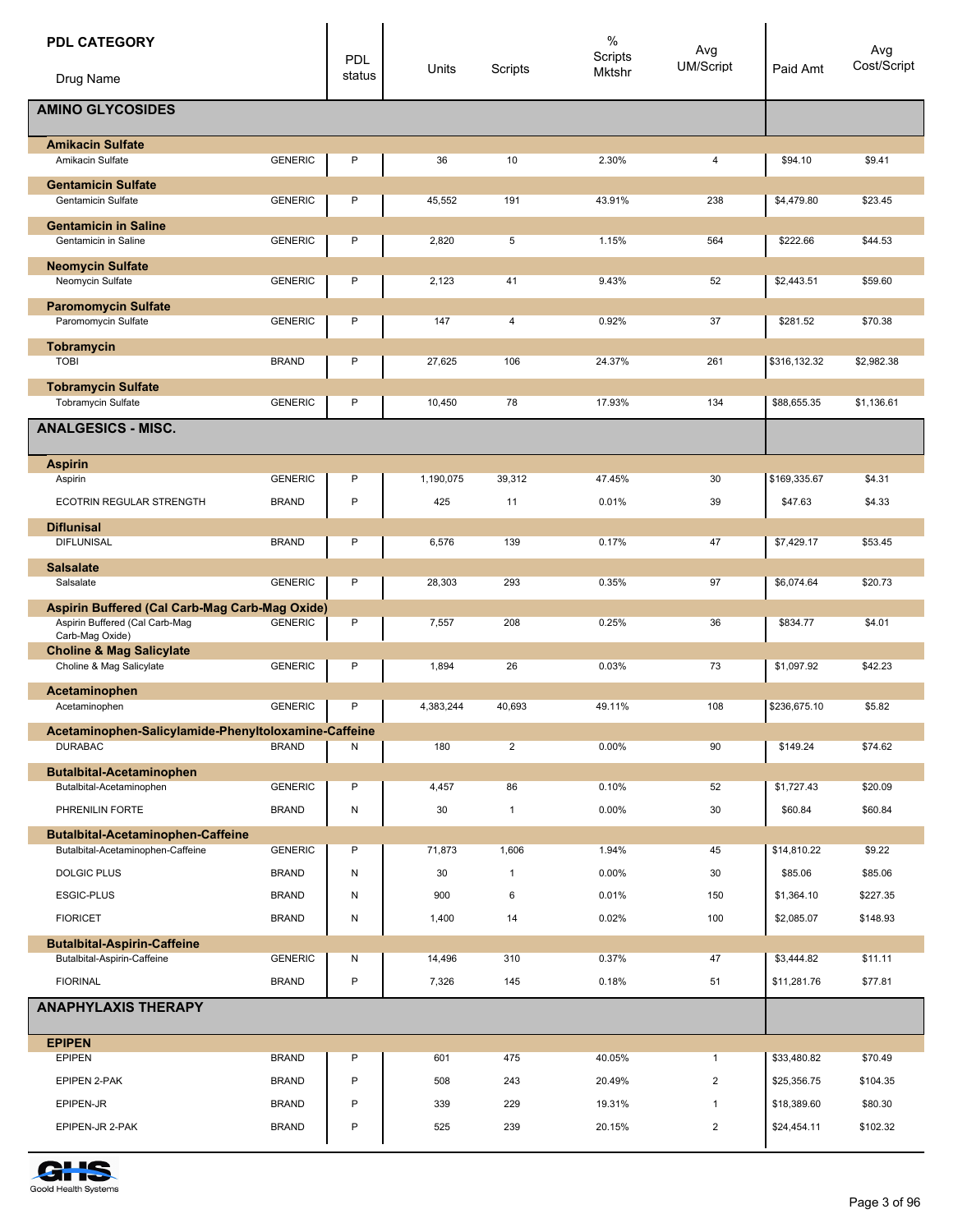| <b>PDL CATEGORY</b><br>Drug Name                            |                | PDL<br>status | Units     | Scripts        | $\%$<br>Scripts<br>Mktshr | Avg<br><b>UM/Script</b> | Paid Amt     | Avg<br>Cost/Script |
|-------------------------------------------------------------|----------------|---------------|-----------|----------------|---------------------------|-------------------------|--------------|--------------------|
| <b>AMINO GLYCOSIDES</b>                                     |                |               |           |                |                           |                         |              |                    |
| <b>Amikacin Sulfate</b><br>Amikacin Sulfate                 | <b>GENERIC</b> | P             | 36        | 10             | 2.30%                     | 4                       | \$94.10      | \$9.41             |
| <b>Gentamicin Sulfate</b>                                   |                |               |           |                |                           |                         |              |                    |
| Gentamicin Sulfate<br><b>Gentamicin in Saline</b>           | <b>GENERIC</b> | P             | 45,552    | 191            | 43.91%                    | 238                     | \$4,479.80   | \$23.45            |
| Gentamicin in Saline                                        | <b>GENERIC</b> | P             | 2,820     | 5              | 1.15%                     | 564                     | \$222.66     | \$44.53            |
| <b>Neomycin Sulfate</b><br>Neomycin Sulfate                 | <b>GENERIC</b> | P             | 2,123     | 41             | 9.43%                     | 52                      | \$2,443.51   | \$59.60            |
|                                                             |                |               |           |                |                           |                         |              |                    |
| <b>Paromomycin Sulfate</b><br>Paromomycin Sulfate           | <b>GENERIC</b> | P             | 147       | 4              | 0.92%                     | 37                      | \$281.52     | \$70.38            |
| Tobramycin<br><b>TOBI</b>                                   | <b>BRAND</b>   | P             | 27,625    | 106            | 24.37%                    | 261                     | \$316,132.32 | \$2,982.38         |
| <b>Tobramycin Sulfate</b>                                   |                |               |           |                |                           |                         |              |                    |
| Tobramycin Sulfate                                          | <b>GENERIC</b> | P             | 10,450    | 78             | 17.93%                    | 134                     | \$88,655.35  | \$1,136.61         |
| <b>ANALGESICS - MISC.</b>                                   |                |               |           |                |                           |                         |              |                    |
| <b>Aspirin</b><br>Aspirin                                   | <b>GENERIC</b> | P             | 1,190,075 | 39,312         | 47.45%                    | 30                      | \$169,335.67 | \$4.31             |
| ECOTRIN REGULAR STRENGTH                                    | <b>BRAND</b>   | P             | 425       | 11             | 0.01%                     | 39                      | \$47.63      | \$4.33             |
| <b>Diflunisal</b>                                           |                |               |           |                |                           |                         |              |                    |
| <b>DIFLUNISAL</b>                                           | <b>BRAND</b>   | P             | 6,576     | 139            | 0.17%                     | 47                      | \$7,429.17   | \$53.45            |
| <b>Salsalate</b><br>Salsalate                               | <b>GENERIC</b> | P             | 28,303    | 293            | 0.35%                     | 97                      | \$6,074.64   | \$20.73            |
| Aspirin Buffered (Cal Carb-Mag Carb-Mag Oxide)              |                |               |           |                |                           |                         |              |                    |
| Aspirin Buffered (Cal Carb-Maq<br>Carb-Mag Oxide)           | <b>GENERIC</b> | P             | 7,557     | 208            | 0.25%                     | 36                      | \$834.77     | \$4.01             |
| <b>Choline &amp; Mag Salicylate</b>                         | <b>GENERIC</b> | P             | 1,894     | 26             | 0.03%                     | 73                      | \$1,097.92   | \$42.23            |
| Choline & Mag Salicylate                                    |                |               |           |                |                           |                         |              |                    |
| Acetaminophen<br>Acetaminophen                              | <b>GENERIC</b> | P             | 4,383,244 | 40,693         | 49.11%                    | 108                     | \$236,675.10 | \$5.82             |
| Acetaminophen-Salicylamide-Phenyltoloxamine-Caffeine        |                |               |           |                |                           |                         |              |                    |
| <b>DURABAC</b>                                              | <b>BRAND</b>   | Ν             | 180       | $\overline{2}$ | 0.00%                     | 90                      | \$149.24     | \$74.62            |
| <b>Butalbital-Acetaminophen</b><br>Butalbital-Acetaminophen | <b>GENERIC</b> | P             | 4,457     | 86             | 0.10%                     | 52                      | \$1,727.43   | \$20.09            |
| PHRENILIN FORTE                                             | <b>BRAND</b>   | N             | 30        | $\mathbf{1}$   | 0.00%                     | 30                      | \$60.84      | \$60.84            |
| <b>Butalbital-Acetaminophen-Caffeine</b>                    |                |               |           |                |                           |                         |              |                    |
| Butalbital-Acetaminophen-Caffeine                           | <b>GENERIC</b> | P             | 71,873    | 1,606          | 1.94%                     | 45                      | \$14,810.22  | \$9.22             |
| <b>DOLGIC PLUS</b>                                          | <b>BRAND</b>   | N             | 30        | $\mathbf{1}$   | 0.00%                     | 30                      | \$85.06      | \$85.06            |
| <b>ESGIC-PLUS</b>                                           | <b>BRAND</b>   | N             | 900       | 6              | 0.01%                     | 150                     | \$1,364.10   | \$227.35           |
| <b>FIORICET</b>                                             | <b>BRAND</b>   | N             | 1,400     | 14             | 0.02%                     | 100                     | \$2,085.07   | \$148.93           |
| <b>Butalbital-Aspirin-Caffeine</b>                          |                |               |           |                |                           |                         |              |                    |
| Butalbital-Aspirin-Caffeine                                 | <b>GENERIC</b> | Ν             | 14,496    | 310            | 0.37%                     | 47                      | \$3,444.82   | \$11.11            |
| <b>FIORINAL</b>                                             | <b>BRAND</b>   | P             | 7,326     | 145            | 0.18%                     | 51                      | \$11,281.76  | \$77.81            |
| <b>ANAPHYLAXIS THERAPY</b>                                  |                |               |           |                |                           |                         |              |                    |
| <b>EPIPEN</b><br><b>EPIPEN</b>                              | <b>BRAND</b>   | P             | 601       | 475            | 40.05%                    | $\mathbf{1}$            | \$33,480.82  | \$70.49            |
| EPIPEN 2-PAK                                                | <b>BRAND</b>   | P             | 508       | 243            | 20.49%                    | $\overline{\mathbf{c}}$ | \$25,356.75  | \$104.35           |
| EPIPEN-JR                                                   | <b>BRAND</b>   | P             | 339       | 229            | 19.31%                    | $\mathbf{1}$            | \$18,389.60  | \$80.30            |
| EPIPEN-JR 2-PAK                                             | <b>BRAND</b>   | P             | 525       | 239            | 20.15%                    | $\overline{c}$          | \$24,454.11  | \$102.32           |
|                                                             |                |               |           |                |                           |                         |              |                    |

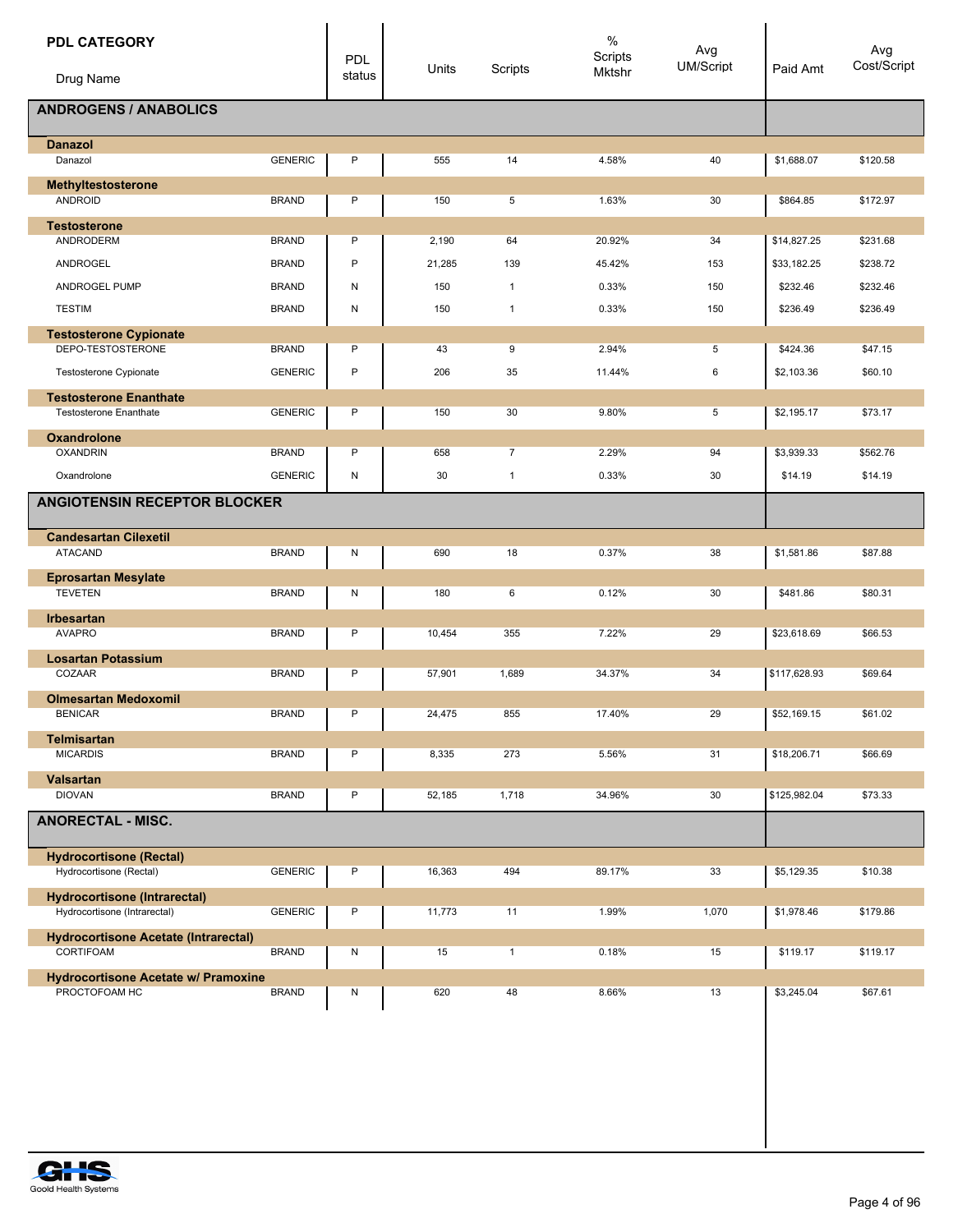| <b>PDL CATEGORY</b><br>Drug Name                                    |                | PDL<br>status | Units  | Scripts        | $\%$<br>Scripts<br>Mktshr | Avg<br><b>UM/Script</b> | Paid Amt     | Avg<br>Cost/Script |
|---------------------------------------------------------------------|----------------|---------------|--------|----------------|---------------------------|-------------------------|--------------|--------------------|
|                                                                     |                |               |        |                |                           |                         |              |                    |
| <b>ANDROGENS / ANABOLICS</b>                                        |                |               |        |                |                           |                         |              |                    |
| <b>Danazol</b>                                                      |                |               |        |                |                           |                         |              |                    |
| Danazol                                                             | <b>GENERIC</b> | P             | 555    | 14             | 4.58%                     | 40                      | \$1,688.07   | \$120.58           |
| Methyltestosterone<br><b>ANDROID</b>                                | <b>BRAND</b>   | P             | 150    | 5              | 1.63%                     | 30                      | \$864.85     | \$172.97           |
| <b>Testosterone</b><br>ANDRODERM                                    | <b>BRAND</b>   | P             | 2,190  | 64             | 20.92%                    | 34                      | \$14,827.25  | \$231.68           |
| <b>ANDROGEL</b>                                                     | <b>BRAND</b>   | P             | 21,285 | 139            | 45.42%                    | 153                     | \$33,182.25  | \$238.72           |
| <b>ANDROGEL PUMP</b>                                                | <b>BRAND</b>   | N             | 150    | $\mathbf{1}$   | 0.33%                     | 150                     | \$232.46     | \$232.46           |
| <b>TESTIM</b>                                                       | <b>BRAND</b>   | N             | 150    | $\mathbf{1}$   | 0.33%                     | 150                     | \$236.49     | \$236.49           |
|                                                                     |                |               |        |                |                           |                         |              |                    |
| <b>Testosterone Cypionate</b><br>DEPO-TESTOSTERONE                  | <b>BRAND</b>   | P             | 43     | 9              | 2.94%                     | 5                       | \$424.36     | \$47.15            |
| Testosterone Cypionate                                              | <b>GENERIC</b> | P             | 206    | 35             | 11.44%                    | 6                       | \$2,103.36   | \$60.10            |
| <b>Testosterone Enanthate</b>                                       |                |               |        |                |                           |                         |              |                    |
| <b>Testosterone Enanthate</b>                                       | <b>GENERIC</b> | P             | 150    | 30             | 9.80%                     | 5                       | \$2,195.17   | \$73.17            |
| <b>Oxandrolone</b>                                                  |                |               |        |                |                           |                         |              |                    |
| <b>OXANDRIN</b>                                                     | <b>BRAND</b>   | P             | 658    | $\overline{7}$ | 2.29%                     | 94                      | \$3,939.33   | \$562.76           |
| Oxandrolone                                                         | <b>GENERIC</b> | N             | 30     | $\mathbf{1}$   | 0.33%                     | 30                      | \$14.19      | \$14.19            |
| <b>ANGIOTENSIN RECEPTOR BLOCKER</b>                                 |                |               |        |                |                           |                         |              |                    |
| <b>Candesartan Cilexetil</b>                                        |                |               |        |                |                           |                         |              |                    |
| <b>ATACAND</b>                                                      | <b>BRAND</b>   | N             | 690    | 18             | 0.37%                     | 38                      | \$1,581.86   | \$87.88            |
| <b>Eprosartan Mesylate</b><br><b>TEVETEN</b>                        | <b>BRAND</b>   | N             | 180    | 6              | 0.12%                     | 30                      | \$481.86     | \$80.31            |
|                                                                     |                |               |        |                |                           |                         |              |                    |
| <b>Irbesartan</b><br><b>AVAPRO</b>                                  | <b>BRAND</b>   | P             | 10,454 | 355            | 7.22%                     | 29                      | \$23,618.69  | \$66.53            |
| <b>Losartan Potassium</b>                                           |                |               |        |                |                           |                         |              |                    |
| COZAAR                                                              | <b>BRAND</b>   | P             | 57,901 | 1,689          | 34.37%                    | 34                      | \$117,628.93 | \$69.64            |
| <b>Olmesartan Medoxomil</b><br><b>BENICAR</b>                       | <b>BRAND</b>   | P             | 24,475 | 855            | 17.40%                    | 29                      | \$52,169.15  | \$61.02            |
| <b>Telmisartan</b>                                                  |                |               |        |                |                           |                         |              |                    |
| <b>MICARDIS</b>                                                     | <b>BRAND</b>   | P             | 8,335  | 273            | 5.56%                     | 31                      | \$18,206.71  | \$66.69            |
| <b>Valsartan</b><br><b>DIOVAN</b>                                   | <b>BRAND</b>   | P             | 52,185 | 1,718          | 34.96%                    | 30                      | \$125,982.04 | \$73.33            |
| <b>ANORECTAL - MISC.</b>                                            |                |               |        |                |                           |                         |              |                    |
|                                                                     |                |               |        |                |                           |                         |              |                    |
| <b>Hydrocortisone (Rectal)</b><br>Hydrocortisone (Rectal)           | <b>GENERIC</b> | P             | 16,363 | 494            | 89.17%                    | 33                      | \$5,129.35   | \$10.38            |
| <b>Hydrocortisone (Intrarectal)</b><br>Hydrocortisone (Intrarectal) | <b>GENERIC</b> | P             | 11,773 | 11             | 1.99%                     | 1,070                   | \$1,978.46   | \$179.86           |
|                                                                     |                |               |        |                |                           |                         |              |                    |
| <b>Hydrocortisone Acetate (Intrarectal)</b><br>CORTIFOAM            | <b>BRAND</b>   | N             | 15     | $\mathbf{1}$   | 0.18%                     | 15                      | \$119.17     | \$119.17           |
| <b>Hydrocortisone Acetate w/ Pramoxine</b>                          |                |               |        |                |                           |                         |              |                    |
| PROCTOFOAM HC                                                       | <b>BRAND</b>   | N             | 620    | 48             | 8.66%                     | 13                      | \$3,245.04   | \$67.61            |
|                                                                     |                |               |        |                |                           |                         |              |                    |

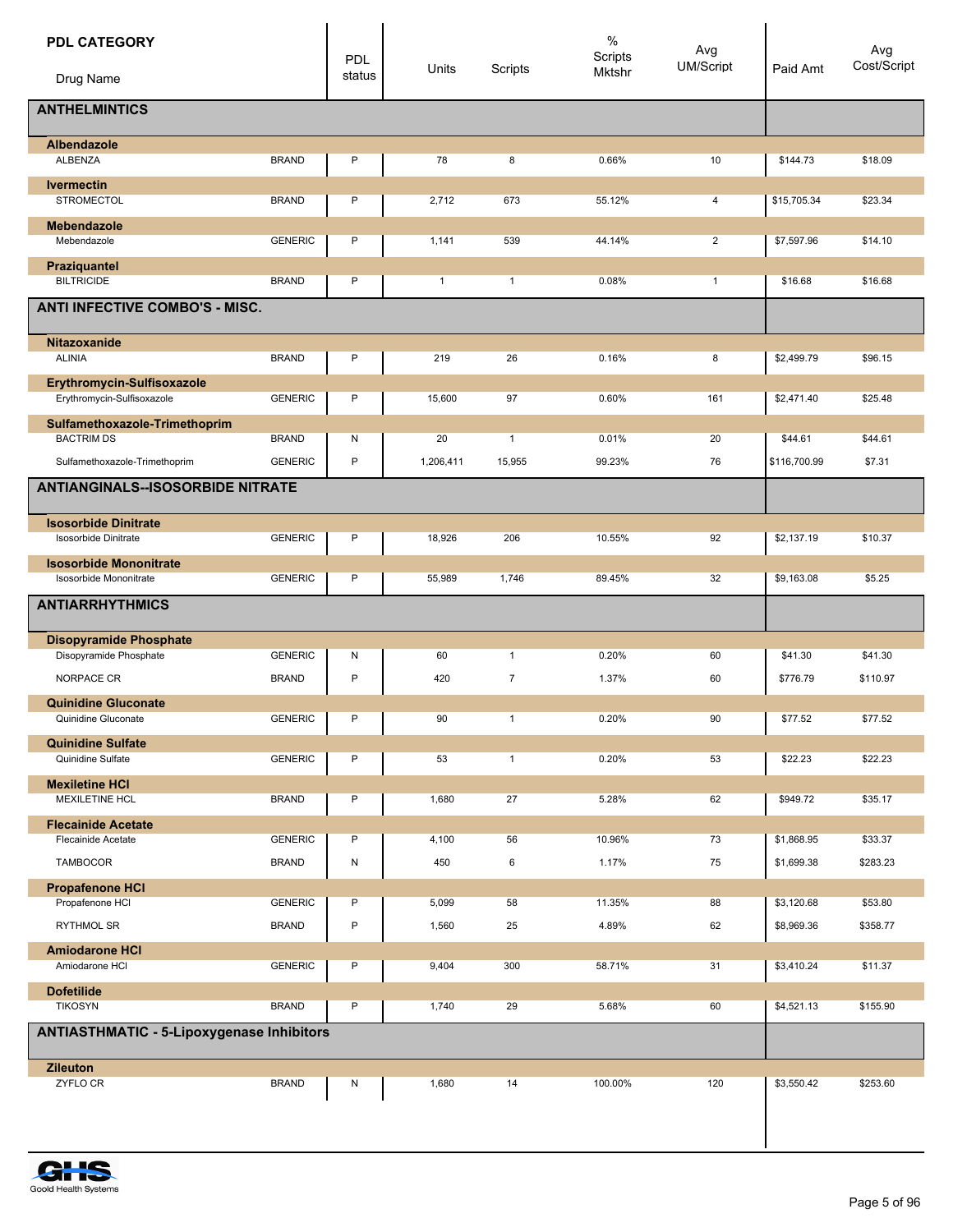| <b>PDL CATEGORY</b><br>Drug Name                         |                | <b>PDL</b><br>status | Units        | Scripts      | $\%$<br>Scripts<br>Mktshr | Avg<br>UM/Script | Paid Amt     | Avg<br>Cost/Script |
|----------------------------------------------------------|----------------|----------------------|--------------|--------------|---------------------------|------------------|--------------|--------------------|
| <b>ANTHELMINTICS</b>                                     |                |                      |              |              |                           |                  |              |                    |
| <b>Albendazole</b><br>ALBENZA                            | <b>BRAND</b>   | P                    | 78           | 8            | 0.66%                     | 10               | \$144.73     | \$18.09            |
| <b>Ivermectin</b>                                        |                |                      |              |              |                           |                  |              |                    |
| <b>STROMECTOL</b>                                        | <b>BRAND</b>   | P                    | 2,712        | 673          | 55.12%                    | 4                | \$15,705.34  | \$23.34            |
| <b>Mebendazole</b><br>Mebendazole                        | <b>GENERIC</b> | P                    | 1,141        | 539          | 44.14%                    | $\overline{2}$   | \$7,597.96   | \$14.10            |
| Praziquantel<br><b>BILTRICIDE</b>                        | <b>BRAND</b>   | P                    | $\mathbf{1}$ | $\mathbf{1}$ | 0.08%                     | $\mathbf{1}$     | \$16.68      | \$16.68            |
| <b>ANTI INFECTIVE COMBO'S - MISC.</b>                    |                |                      |              |              |                           |                  |              |                    |
| Nitazoxanide                                             |                |                      |              |              |                           |                  |              |                    |
| <b>ALINIA</b>                                            | <b>BRAND</b>   | P                    | 219          | 26           | 0.16%                     | 8                | \$2,499.79   | \$96.15            |
| Erythromycin-Sulfisoxazole<br>Erythromycin-Sulfisoxazole | <b>GENERIC</b> | P                    | 15,600       | 97           | 0.60%                     | 161              | \$2,471.40   | \$25.48            |
| Sulfamethoxazole-Trimethoprim                            |                |                      |              |              |                           |                  |              |                    |
| <b>BACTRIM DS</b>                                        | <b>BRAND</b>   | N                    | 20           | $\mathbf{1}$ | 0.01%                     | 20               | \$44.61      | \$44.61            |
| Sulfamethoxazole-Trimethoprim                            | <b>GENERIC</b> | $\mathsf{P}$         | 1,206,411    | 15,955       | 99.23%                    | 76               | \$116,700.99 | \$7.31             |
| <b>ANTIANGINALS--ISOSORBIDE NITRATE</b>                  |                |                      |              |              |                           |                  |              |                    |
| <b>Isosorbide Dinitrate</b>                              |                |                      |              |              |                           |                  |              |                    |
| <b>Isosorbide Dinitrate</b>                              | <b>GENERIC</b> | P                    | 18,926       | 206          | 10.55%                    | 92               | \$2,137.19   | \$10.37            |
| <b>Isosorbide Mononitrate</b><br>Isosorbide Mononitrate  | <b>GENERIC</b> | P                    | 55,989       | 1,746        | 89.45%                    | 32               | \$9,163.08   | \$5.25             |
| <b>ANTIARRHYTHMICS</b>                                   |                |                      |              |              |                           |                  |              |                    |
| <b>Disopyramide Phosphate</b>                            |                |                      |              |              |                           |                  |              |                    |
| Disopyramide Phosphate                                   | <b>GENERIC</b> | N                    | 60           | $\mathbf{1}$ | 0.20%                     | 60               | \$41.30      | \$41.30            |
| NORPACE CR                                               | <b>BRAND</b>   | P                    | 420          | 7            | 1.37%                     | 60               | \$776.79     | \$110.97           |
| <b>Quinidine Gluconate</b><br>Quinidine Gluconate        | <b>GENERIC</b> | P                    | 90           | $\mathbf{1}$ | 0.20%                     | 90               | \$77.52      | \$77.52            |
| <b>Quinidine Sulfate</b>                                 |                |                      |              |              |                           |                  |              |                    |
| Quinidine Sulfate                                        | <b>GENERIC</b> | P                    | 53           | $\mathbf{1}$ | 0.20%                     | 53               | \$22.23      | \$22.23            |
| <b>Mexiletine HCI</b>                                    |                |                      |              |              |                           |                  |              |                    |
| <b>MEXILETINE HCL</b>                                    | <b>BRAND</b>   | P                    | 1,680        | 27           | 5.28%                     | 62               | \$949.72     | \$35.17            |
| <b>Flecainide Acetate</b><br>Flecainide Acetate          | <b>GENERIC</b> | P                    | 4,100        | 56           | 10.96%                    | 73               | \$1,868.95   | \$33.37            |
| TAMBOCOR                                                 | <b>BRAND</b>   | N                    | 450          | 6            | 1.17%                     | 75               | \$1,699.38   | \$283.23           |
| <b>Propafenone HCI</b>                                   |                |                      |              |              |                           |                  |              |                    |
| Propafenone HCI                                          | <b>GENERIC</b> | P                    | 5,099        | 58           | 11.35%                    | 88               | \$3,120.68   | \$53.80            |
| RYTHMOL SR                                               | <b>BRAND</b>   | $\mathsf{P}$         | 1,560        | 25           | 4.89%                     | 62               | \$8,969.36   | \$358.77           |
| <b>Amiodarone HCI</b><br>Amiodarone HCI                  | <b>GENERIC</b> | P                    | 9,404        | 300          | 58.71%                    | 31               | \$3,410.24   | \$11.37            |
| <b>Dofetilide</b>                                        |                |                      |              |              |                           |                  |              |                    |
| <b>TIKOSYN</b>                                           | <b>BRAND</b>   | P                    | 1,740        | 29           | 5.68%                     | 60               | \$4,521.13   | \$155.90           |
| <b>ANTIASTHMATIC - 5-Lipoxygenase Inhibitors</b>         |                |                      |              |              |                           |                  |              |                    |
| <b>Zileuton</b>                                          |                |                      |              |              |                           |                  |              |                    |
| ZYFLO CR                                                 | <b>BRAND</b>   | N                    | 1,680        | 14           | 100.00%                   | 120              | \$3,550.42   | \$253.60           |
|                                                          |                |                      |              |              |                           |                  |              |                    |

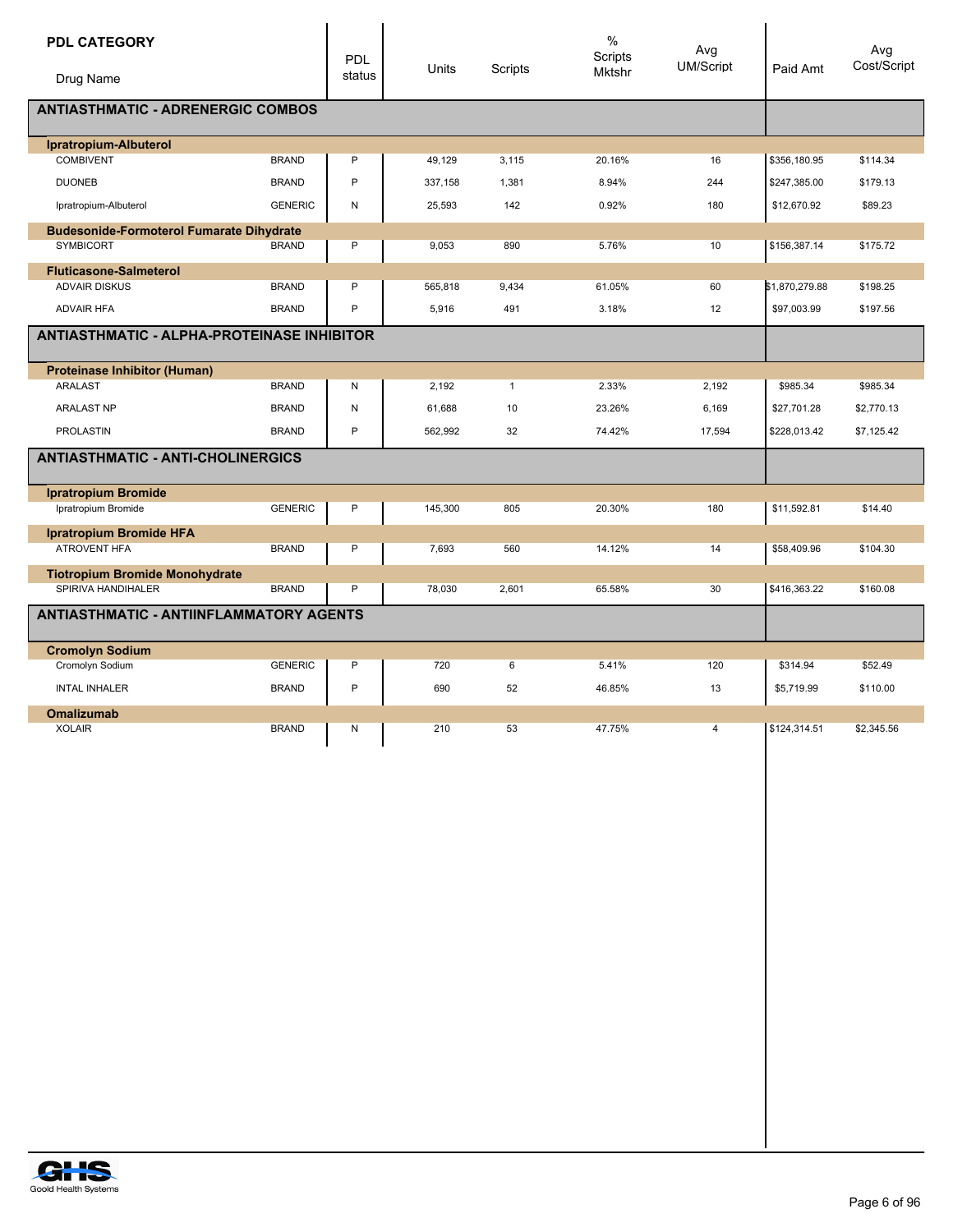| <b>PDL CATEGORY</b><br>Drug Name                  |                | <b>PDL</b><br>status | Units   | Scripts      | $\%$<br>Scripts<br><b>Mktshr</b> | Avg<br>UM/Script | Paid Amt       | Avg<br>Cost/Script |
|---------------------------------------------------|----------------|----------------------|---------|--------------|----------------------------------|------------------|----------------|--------------------|
|                                                   |                |                      |         |              |                                  |                  |                |                    |
| <b>ANTIASTHMATIC - ADRENERGIC COMBOS</b>          |                |                      |         |              |                                  |                  |                |                    |
| Ipratropium-Albuterol                             |                |                      |         |              |                                  |                  |                |                    |
| <b>COMBIVENT</b>                                  | <b>BRAND</b>   | P                    | 49,129  | 3,115        | 20.16%                           | 16               | \$356,180.95   | \$114.34           |
| <b>DUONEB</b>                                     | <b>BRAND</b>   | P                    | 337,158 | 1,381        | 8.94%                            | 244              | \$247,385.00   | \$179.13           |
| Ipratropium-Albuterol                             | <b>GENERIC</b> | N                    | 25,593  | 142          | 0.92%                            | 180              | \$12,670.92    | \$89.23            |
| <b>Budesonide-Formoterol Fumarate Dihydrate</b>   |                |                      |         |              |                                  |                  |                |                    |
| <b>SYMBICORT</b>                                  | <b>BRAND</b>   | P                    | 9,053   | 890          | 5.76%                            | 10               | \$156,387.14   | \$175.72           |
| <b>Fluticasone-Salmeterol</b>                     |                |                      |         |              |                                  |                  |                |                    |
| <b>ADVAIR DISKUS</b>                              | <b>BRAND</b>   | P                    | 565,818 | 9,434        | 61.05%                           | 60               | \$1,870,279.88 | \$198.25           |
| <b>ADVAIR HFA</b>                                 | <b>BRAND</b>   | P                    | 5,916   | 491          | 3.18%                            | 12               | \$97,003.99    | \$197.56           |
| <b>ANTIASTHMATIC - ALPHA-PROTEINASE INHIBITOR</b> |                |                      |         |              |                                  |                  |                |                    |
| <b>Proteinase Inhibitor (Human)</b>               |                |                      |         |              |                                  |                  |                |                    |
| <b>ARALAST</b>                                    | <b>BRAND</b>   | N                    | 2,192   | $\mathbf{1}$ | 2.33%                            | 2,192            | \$985.34       | \$985.34           |
| <b>ARALAST NP</b>                                 | <b>BRAND</b>   | N                    | 61,688  | 10           | 23.26%                           | 6,169            | \$27,701.28    | \$2,770.13         |
| <b>PROLASTIN</b>                                  | <b>BRAND</b>   | P                    | 562,992 | 32           | 74.42%                           | 17,594           | \$228,013.42   | \$7,125.42         |
| <b>ANTIASTHMATIC - ANTI-CHOLINERGICS</b>          |                |                      |         |              |                                  |                  |                |                    |
| <b>Ipratropium Bromide</b>                        |                |                      |         |              |                                  |                  |                |                    |
| Ipratropium Bromide                               | <b>GENERIC</b> | P                    | 145,300 | 805          | 20.30%                           | 180              | \$11,592.81    | \$14.40            |
| <b>Ipratropium Bromide HFA</b>                    |                |                      |         |              |                                  |                  |                |                    |
| <b>ATROVENT HFA</b>                               | <b>BRAND</b>   | P                    | 7,693   | 560          | 14.12%                           | 14               | \$58,409.96    | \$104.30           |
| <b>Tiotropium Bromide Monohydrate</b>             |                |                      |         |              |                                  |                  |                |                    |
| SPIRIVA HANDIHALER                                | <b>BRAND</b>   | P                    | 78,030  | 2,601        | 65.58%                           | 30               | \$416,363.22   | \$160.08           |
| <b>ANTIASTHMATIC - ANTIINFLAMMATORY AGENTS</b>    |                |                      |         |              |                                  |                  |                |                    |
| <b>Cromolyn Sodium</b>                            |                |                      |         |              |                                  |                  |                |                    |
| Cromolyn Sodium                                   | <b>GENERIC</b> | P                    | 720     | 6            | 5.41%                            | 120              | \$314.94       | \$52.49            |
| <b>INTAL INHALER</b>                              | <b>BRAND</b>   | P                    | 690     | 52           | 46.85%                           | 13               | \$5,719.99     | \$110.00           |
| <b>Omalizumab</b>                                 |                |                      |         |              |                                  |                  |                |                    |
| <b>XOLAIR</b>                                     | <b>BRAND</b>   | N                    | 210     | 53           | 47.75%                           | 4                | \$124,314.51   | \$2,345.56         |

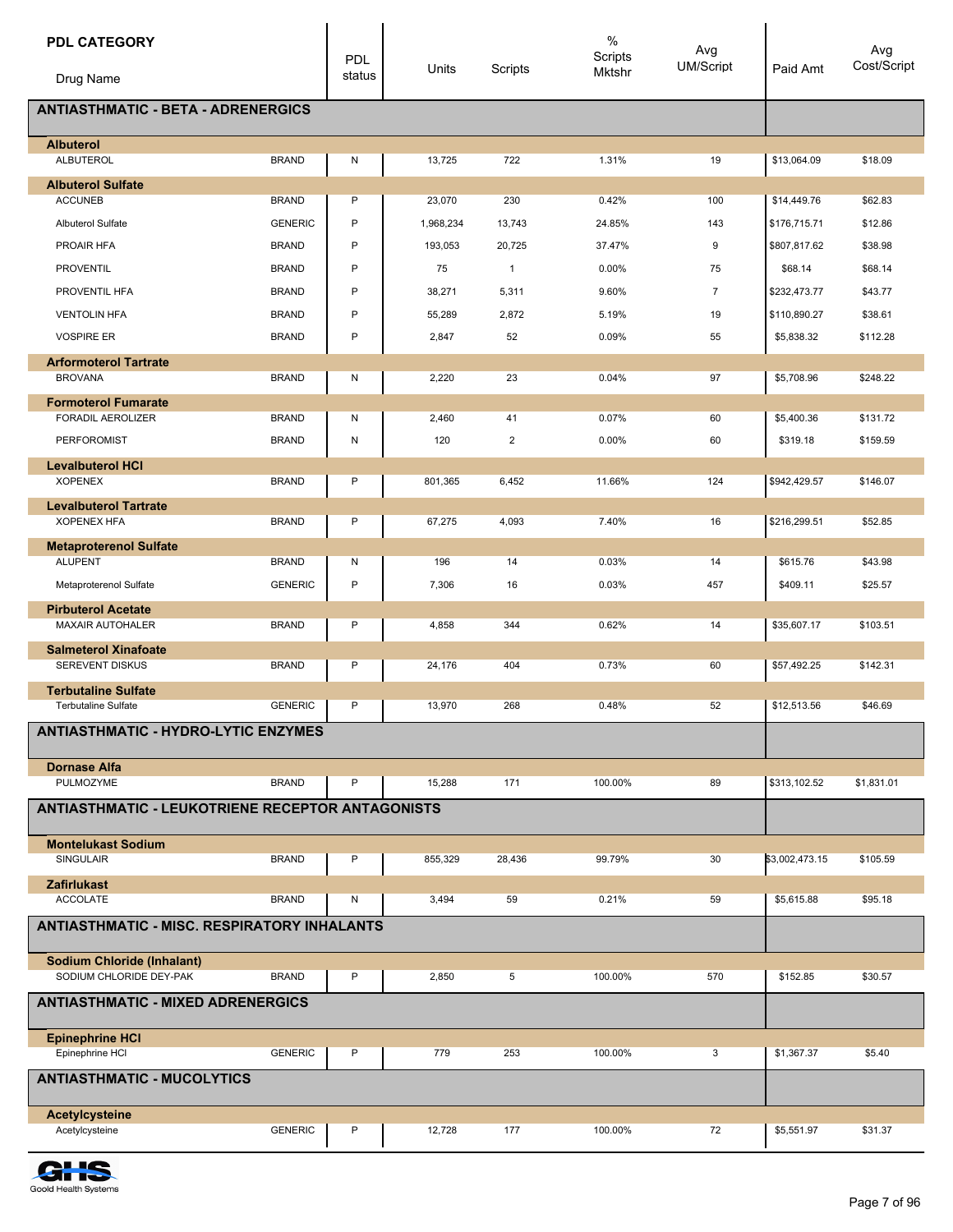| <b>PDL CATEGORY</b>                                          |                | <b>PDL</b> |           |                | $\%$<br>Scripts | Avg<br><b>UM/Script</b> |                | Avg<br>Cost/Script |
|--------------------------------------------------------------|----------------|------------|-----------|----------------|-----------------|-------------------------|----------------|--------------------|
| Drug Name                                                    |                | status     | Units     | Scripts        | <b>Mktshr</b>   |                         | Paid Amt       |                    |
| <b>ANTIASTHMATIC - BETA - ADRENERGICS</b>                    |                |            |           |                |                 |                         |                |                    |
| <b>Albuterol</b><br><b>ALBUTEROL</b>                         | <b>BRAND</b>   | Ν          | 13,725    | 722            | 1.31%           | 19                      | \$13,064.09    | \$18.09            |
| <b>Albuterol Sulfate</b>                                     |                |            |           |                |                 |                         |                |                    |
| <b>ACCUNEB</b>                                               | <b>BRAND</b>   | P          | 23,070    | 230            | 0.42%           | 100                     | \$14,449.76    | \$62.83            |
| <b>Albuterol Sulfate</b>                                     | <b>GENERIC</b> | P          | 1,968,234 | 13,743         | 24.85%          | 143                     | \$176,715.71   | \$12.86            |
| PROAIR HFA                                                   | <b>BRAND</b>   | P          | 193,053   | 20,725         | 37.47%          | 9                       | \$807,817.62   | \$38.98            |
| <b>PROVENTIL</b>                                             | <b>BRAND</b>   | P          | 75        | $\overline{1}$ | 0.00%           | 75                      | \$68.14        | \$68.14            |
| PROVENTIL HFA                                                | <b>BRAND</b>   | P          | 38,271    | 5,311          | 9.60%           | $\overline{7}$          | \$232,473.77   | \$43.77            |
| <b>VENTOLIN HFA</b>                                          | <b>BRAND</b>   | P          | 55,289    | 2,872          | 5.19%           | 19                      | \$110,890.27   | \$38.61            |
| <b>VOSPIRE ER</b>                                            | <b>BRAND</b>   | P          | 2,847     | 52             | 0.09%           | 55                      | \$5,838.32     | \$112.28           |
| <b>Arformoterol Tartrate</b>                                 |                |            |           |                |                 |                         |                |                    |
| <b>BROVANA</b>                                               | <b>BRAND</b>   | N          | 2,220     | 23             | 0.04%           | 97                      | \$5,708.96     | \$248.22           |
| <b>Formoterol Fumarate</b>                                   |                |            |           |                |                 |                         |                |                    |
| <b>FORADIL AEROLIZER</b>                                     | <b>BRAND</b>   | N          | 2,460     | 41             | 0.07%           | 60                      | \$5,400.36     | \$131.72           |
| <b>PERFOROMIST</b>                                           | <b>BRAND</b>   | N          | 120       | 2              | 0.00%           | 60                      | \$319.18       | \$159.59           |
| <b>Levalbuterol HCI</b>                                      |                |            |           |                |                 |                         |                |                    |
| <b>XOPENEX</b>                                               | <b>BRAND</b>   | Ρ          | 801,365   | 6,452          | 11.66%          | 124                     | \$942,429.57   | \$146.07           |
| <b>Levalbuterol Tartrate</b><br><b>XOPENEX HFA</b>           | <b>BRAND</b>   | P          | 67,275    | 4,093          | 7.40%           | 16                      | \$216,299.51   | \$52.85            |
| <b>Metaproterenol Sulfate</b>                                |                |            |           |                |                 |                         |                |                    |
| <b>ALUPENT</b>                                               | <b>BRAND</b>   | N          | 196       | 14             | 0.03%           | 14                      | \$615.76       | \$43.98            |
| Metaproterenol Sulfate                                       | <b>GENERIC</b> | P          | 7,306     | 16             | 0.03%           | 457                     | \$409.11       | \$25.57            |
| <b>Pirbuterol Acetate</b><br><b>MAXAIR AUTOHALER</b>         | <b>BRAND</b>   | P          | 4,858     | 344            | 0.62%           | 14                      | \$35,607.17    | \$103.51           |
|                                                              |                |            |           |                |                 |                         |                |                    |
| <b>Salmeterol Xinafoate</b><br>SEREVENT DISKUS               | <b>BRAND</b>   | P          | 24,176    | 404            | 0.73%           | 60                      | \$57,492.25    | \$142.31           |
| <b>Terbutaline Sulfate</b>                                   |                |            |           |                |                 |                         |                |                    |
| <b>Terbutaline Sulfate</b>                                   | <b>GENERIC</b> | P          | 13,970    | 268            | 0.48%           | 52                      | \$12,513.56    | \$46.69            |
| <b>ANTIASTHMATIC - HYDRO-LYTIC ENZYMES</b>                   |                |            |           |                |                 |                         |                |                    |
| <b>Dornase Alfa</b>                                          |                |            |           |                |                 |                         |                |                    |
| PULMOZYME                                                    | <b>BRAND</b>   | P          | 15,288    | 171            | 100.00%         | 89                      | \$313,102.52   | \$1,831.01         |
| <b>ANTIASTHMATIC - LEUKOTRIENE RECEPTOR ANTAGONISTS</b>      |                |            |           |                |                 |                         |                |                    |
| <b>Montelukast Sodium</b><br><b>SINGULAIR</b>                | <b>BRAND</b>   | P          | 855,329   | 28,436         | 99.79%          | 30                      | \$3,002,473.15 | \$105.59           |
| <b>Zafirlukast</b>                                           |                |            |           |                |                 |                         |                |                    |
| <b>ACCOLATE</b>                                              | <b>BRAND</b>   | N          | 3,494     | 59             | 0.21%           | 59                      | \$5,615.88     | \$95.18            |
| <b>ANTIASTHMATIC - MISC. RESPIRATORY INHALANTS</b>           |                |            |           |                |                 |                         |                |                    |
| <b>Sodium Chloride (Inhalant)</b><br>SODIUM CHLORIDE DEY-PAK | <b>BRAND</b>   | P          | 2,850     | 5              | 100.00%         | 570                     | \$152.85       | \$30.57            |
|                                                              |                |            |           |                |                 |                         |                |                    |
| <b>ANTIASTHMATIC - MIXED ADRENERGICS</b>                     |                |            |           |                |                 |                         |                |                    |
| <b>Epinephrine HCI</b><br>Epinephrine HCI                    | <b>GENERIC</b> | P          | 779       | 253            | 100.00%         | 3                       | \$1,367.37     | \$5.40             |
| <b>ANTIASTHMATIC - MUCOLYTICS</b>                            |                |            |           |                |                 |                         |                |                    |
|                                                              |                |            |           |                |                 |                         |                |                    |
| Acetylcysteine<br>Acetylcysteine                             | <b>GENERIC</b> | Ρ          | 12,728    | 177            | 100.00%         | 72                      | \$5,551.97     | \$31.37            |

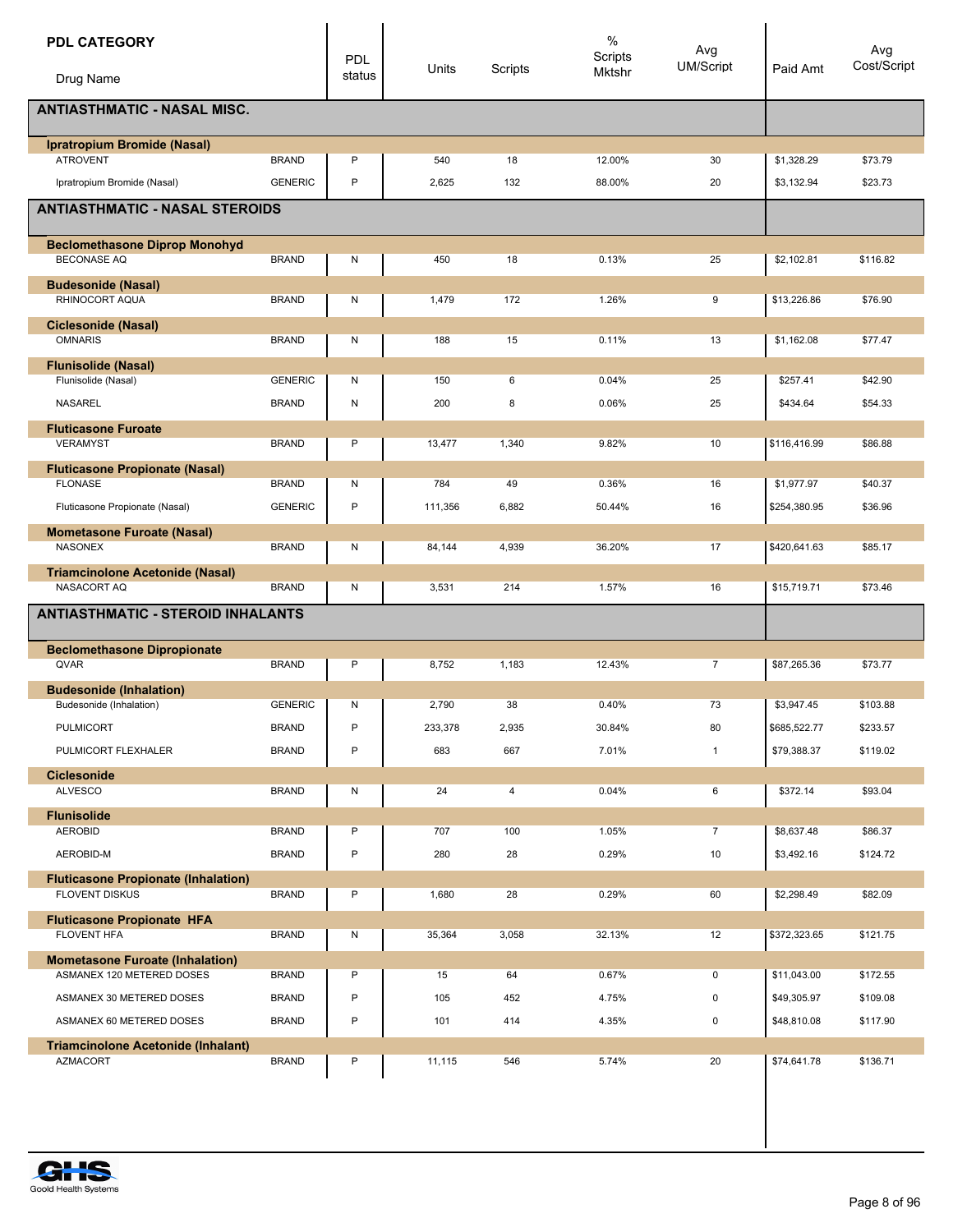| <b>PDL CATEGORY</b>                                                 |                | PDL    |         |                | $\%$<br>Scripts | Avg            |              | Avg         |
|---------------------------------------------------------------------|----------------|--------|---------|----------------|-----------------|----------------|--------------|-------------|
| Drug Name                                                           |                | status | Units   | Scripts        | Mktshr          | UM/Script      | Paid Amt     | Cost/Script |
| <b>ANTIASTHMATIC - NASAL MISC.</b>                                  |                |        |         |                |                 |                |              |             |
| Ipratropium Bromide (Nasal)                                         |                |        |         |                |                 |                |              |             |
| <b>ATROVENT</b>                                                     | <b>BRAND</b>   | P      | 540     | 18             | 12.00%          | 30             | \$1,328.29   | \$73.79     |
| Ipratropium Bromide (Nasal)                                         | <b>GENERIC</b> | P      | 2,625   | 132            | 88.00%          | 20             | \$3,132.94   | \$23.73     |
| <b>ANTIASTHMATIC - NASAL STEROIDS</b>                               |                |        |         |                |                 |                |              |             |
| <b>Beclomethasone Diprop Monohyd</b>                                |                |        |         |                |                 |                |              |             |
| <b>BECONASE AQ</b>                                                  | <b>BRAND</b>   | Ν      | 450     | 18             | 0.13%           | 25             | \$2,102.81   | \$116.82    |
| <b>Budesonide (Nasal)</b><br>RHINOCORT AQUA                         | <b>BRAND</b>   | Ν      | 1,479   | 172            | 1.26%           | 9              | \$13,226.86  | \$76.90     |
|                                                                     |                |        |         |                |                 |                |              |             |
| <b>Ciclesonide (Nasal)</b><br><b>OMNARIS</b>                        | <b>BRAND</b>   | Ν      | 188     | 15             | 0.11%           | 13             | \$1,162.08   | \$77.47     |
| <b>Flunisolide (Nasal)</b>                                          |                |        |         |                |                 |                |              |             |
| Flunisolide (Nasal)                                                 | <b>GENERIC</b> | Ν      | 150     | 6              | 0.04%           | 25             | \$257.41     | \$42.90     |
| <b>NASAREL</b>                                                      | <b>BRAND</b>   | N      | 200     | 8              | 0.06%           | 25             | \$434.64     | \$54.33     |
| <b>Fluticasone Furoate</b>                                          |                |        |         |                |                 |                |              |             |
| <b>VERAMYST</b>                                                     | <b>BRAND</b>   | P      | 13,477  | 1,340          | 9.82%           | 10             | \$116,416.99 | \$86.88     |
| <b>Fluticasone Propionate (Nasal)</b>                               |                |        |         |                |                 |                |              |             |
| <b>FLONASE</b>                                                      | <b>BRAND</b>   | Ν      | 784     | 49             | 0.36%           | 16             | \$1,977.97   | \$40.37     |
| Fluticasone Propionate (Nasal)                                      | <b>GENERIC</b> | P      | 111,356 | 6,882          | 50.44%          | 16             | \$254,380.95 | \$36.96     |
| <b>Mometasone Furoate (Nasal)</b>                                   |                |        |         |                |                 |                |              |             |
| <b>NASONEX</b>                                                      | <b>BRAND</b>   | Ν      | 84,144  | 4,939          | 36.20%          | 17             | \$420,641.63 | \$85.17     |
| <b>Triamcinolone Acetonide (Nasal)</b>                              |                |        |         |                |                 |                |              |             |
| NASACORT AQ                                                         | <b>BRAND</b>   | Ν      | 3,531   | 214            | 1.57%           | 16             | \$15,719.71  | \$73.46     |
| <b>ANTIASTHMATIC - STEROID INHALANTS</b>                            |                |        |         |                |                 |                |              |             |
| <b>Beclomethasone Dipropionate</b>                                  |                |        |         |                |                 |                |              |             |
| QVAR                                                                | <b>BRAND</b>   | P      | 8,752   | 1,183          | 12.43%          | 7              | \$87,265.36  | \$73.77     |
| <b>Budesonide (Inhalation)</b>                                      |                |        |         |                |                 |                |              |             |
| Budesonide (Inhalation)                                             | <b>GENERIC</b> | N      | 2,790   | 38             | 0.40%           | 73             | \$3,947.45   | \$103.88    |
| <b>PULMICORT</b>                                                    | <b>BRAND</b>   | P      | 233,378 | 2,935          | 30.84%          | 80             | \$685,522.77 | \$233.57    |
| PULMICORT FLEXHALER                                                 | <b>BRAND</b>   | P      | 683     | 667            | 7.01%           | $\mathbf{1}$   | \$79,388.37  | \$119.02    |
| <b>Ciclesonide</b>                                                  |                |        |         |                |                 |                |              |             |
| <b>ALVESCO</b>                                                      | <b>BRAND</b>   | Ν      | 24      | $\overline{4}$ | 0.04%           | 6              | \$372.14     | \$93.04     |
| <b>Flunisolide</b><br><b>AEROBID</b>                                | <b>BRAND</b>   | P      | 707     | 100            | 1.05%           | $\overline{7}$ | \$8,637.48   | \$86.37     |
| AEROBID-M                                                           | <b>BRAND</b>   | P      | 280     | 28             | 0.29%           | 10             | \$3,492.16   | \$124.72    |
|                                                                     |                |        |         |                |                 |                |              |             |
| <b>Fluticasone Propionate (Inhalation)</b><br><b>FLOVENT DISKUS</b> | <b>BRAND</b>   | P      | 1,680   | 28             | 0.29%           | 60             | \$2,298.49   | \$82.09     |
|                                                                     |                |        |         |                |                 |                |              |             |
| <b>Fluticasone Propionate HFA</b><br>FLOVENT HFA                    | <b>BRAND</b>   | N      | 35,364  | 3,058          | 32.13%          | 12             | \$372,323.65 | \$121.75    |
| <b>Mometasone Furoate (Inhalation)</b>                              |                |        |         |                |                 |                |              |             |
| ASMANEX 120 METERED DOSES                                           | <b>BRAND</b>   | P      | 15      | 64             | 0.67%           | $\mathbf 0$    | \$11,043.00  | \$172.55    |
| ASMANEX 30 METERED DOSES                                            | <b>BRAND</b>   | P      | 105     | 452            | 4.75%           | $\pmb{0}$      | \$49,305.97  | \$109.08    |
| ASMANEX 60 METERED DOSES                                            | <b>BRAND</b>   | P      | 101     | 414            | 4.35%           | 0              | \$48,810.08  | \$117.90    |
|                                                                     |                |        |         |                |                 |                |              |             |
| <b>Triamcinolone Acetonide (Inhalant)</b><br><b>AZMACORT</b>        | <b>BRAND</b>   | P      | 11,115  | 546            | 5.74%           | 20             | \$74,641.78  | \$136.71    |
|                                                                     |                |        |         |                |                 |                |              |             |

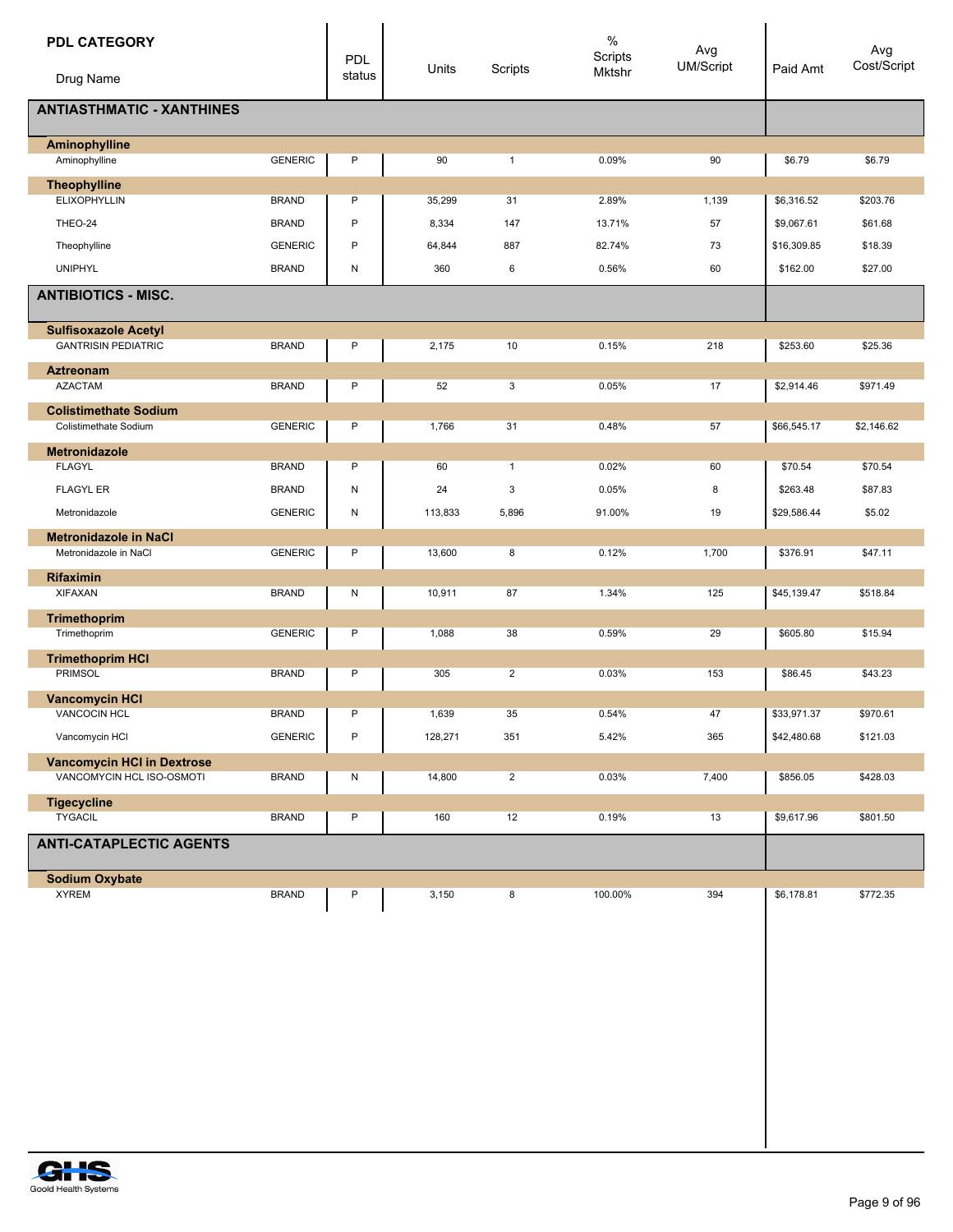| <b>PDL CATEGORY</b><br>Drug Name  |                | <b>PDL</b><br>status | Units   | Scripts        | $\%$<br>Scripts<br>Mktshr | Avg<br>UM/Script | Paid Amt    | Avg<br>Cost/Script |
|-----------------------------------|----------------|----------------------|---------|----------------|---------------------------|------------------|-------------|--------------------|
| <b>ANTIASTHMATIC - XANTHINES</b>  |                |                      |         |                |                           |                  |             |                    |
| <b>Aminophylline</b>              |                |                      |         |                |                           |                  |             |                    |
| Aminophylline                     | <b>GENERIC</b> | P                    | 90      | $\mathbf{1}$   | 0.09%                     | 90               | \$6.79      | \$6.79             |
| <b>Theophylline</b>               |                |                      |         |                |                           |                  |             |                    |
| <b>ELIXOPHYLLIN</b>               | <b>BRAND</b>   | P                    | 35,299  | 31             | 2.89%                     | 1,139            | \$6,316.52  | \$203.76           |
| THEO-24                           | <b>BRAND</b>   | P                    | 8,334   | 147            | 13.71%                    | 57               | \$9,067.61  | \$61.68            |
| Theophylline                      | <b>GENERIC</b> | P                    | 64,844  | 887            | 82.74%                    | 73               | \$16,309.85 | \$18.39            |
| <b>UNIPHYL</b>                    | <b>BRAND</b>   | N                    | 360     | 6              | 0.56%                     | 60               | \$162.00    | \$27.00            |
| <b>ANTIBIOTICS - MISC.</b>        |                |                      |         |                |                           |                  |             |                    |
|                                   |                |                      |         |                |                           |                  |             |                    |
| <b>Sulfisoxazole Acetyl</b>       |                |                      |         |                |                           |                  |             |                    |
| <b>GANTRISIN PEDIATRIC</b>        | <b>BRAND</b>   | P                    | 2,175   | 10             | 0.15%                     | 218              | \$253.60    | \$25.36            |
| <b>Aztreonam</b>                  |                |                      |         |                |                           |                  |             |                    |
| <b>AZACTAM</b>                    | <b>BRAND</b>   | P                    | 52      | 3              | 0.05%                     | 17               | \$2,914.46  | \$971.49           |
| <b>Colistimethate Sodium</b>      |                |                      |         |                |                           |                  |             |                    |
| Colistimethate Sodium             | <b>GENERIC</b> | P                    | 1,766   | 31             | 0.48%                     | 57               | \$66,545.17 | \$2,146.62         |
| <b>Metronidazole</b>              |                |                      |         |                |                           |                  |             |                    |
| <b>FLAGYL</b>                     | <b>BRAND</b>   | P                    | 60      | $\mathbf{1}$   | 0.02%                     | 60               | \$70.54     | \$70.54            |
| <b>FLAGYL ER</b>                  | <b>BRAND</b>   | N                    | 24      | 3              | 0.05%                     | 8                | \$263.48    | \$87.83            |
| Metronidazole                     | <b>GENERIC</b> | Ν                    | 113,833 | 5,896          | 91.00%                    | 19               | \$29,586.44 | \$5.02             |
| <b>Metronidazole in NaCl</b>      |                |                      |         |                |                           |                  |             |                    |
| Metronidazole in NaCl             | <b>GENERIC</b> | P                    | 13,600  | 8              | 0.12%                     | 1,700            | \$376.91    | \$47.11            |
| Rifaximin                         |                |                      |         |                |                           |                  |             |                    |
| <b>XIFAXAN</b>                    | <b>BRAND</b>   | N                    | 10,911  | 87             | 1.34%                     | 125              | \$45,139.47 | \$518.84           |
| <b>Trimethoprim</b>               |                |                      |         |                |                           |                  |             |                    |
| Trimethoprim                      | <b>GENERIC</b> | P                    | 1,088   | 38             | 0.59%                     | 29               | \$605.80    | \$15.94            |
| <b>Trimethoprim HCI</b>           |                |                      |         |                |                           |                  |             |                    |
| <b>PRIMSOL</b>                    | <b>BRAND</b>   | P                    | 305     | $\overline{2}$ | 0.03%                     | 153              | \$86.45     | \$43.23            |
| <b>Vancomycin HCI</b>             |                | P                    |         |                |                           | 47               |             |                    |
| VANCOCIN HCL                      | <b>BRAND</b>   |                      | 1,639   | 35             | 0.54%                     |                  | \$33,971.37 | \$970.61           |
| Vancomycin HCI                    | <b>GENERIC</b> | P                    | 128,271 | 351            | 5.42%                     | 365              | \$42,480.68 | \$121.03           |
| <b>Vancomycin HCI in Dextrose</b> |                |                      |         |                |                           |                  |             |                    |
| VANCOMYCIN HCL ISO-OSMOTI         | <b>BRAND</b>   | N                    | 14,800  | $\overline{2}$ | 0.03%                     | 7,400            | \$856.05    | \$428.03           |
| <b>Tigecycline</b>                |                |                      |         |                |                           |                  |             |                    |
| <b>TYGACIL</b>                    | <b>BRAND</b>   | P                    | 160     | 12             | 0.19%                     | 13               | \$9,617.96  | \$801.50           |
| <b>ANTI-CATAPLECTIC AGENTS</b>    |                |                      |         |                |                           |                  |             |                    |
| <b>Sodium Oxybate</b>             |                |                      |         |                |                           |                  |             |                    |
| <b>XYREM</b>                      | <b>BRAND</b>   | P                    | 3,150   | 8              | 100.00%                   | 394              | \$6,178.81  | \$772.35           |
|                                   |                |                      |         |                |                           |                  |             |                    |
|                                   |                |                      |         |                |                           |                  |             |                    |
|                                   |                |                      |         |                |                           |                  |             |                    |

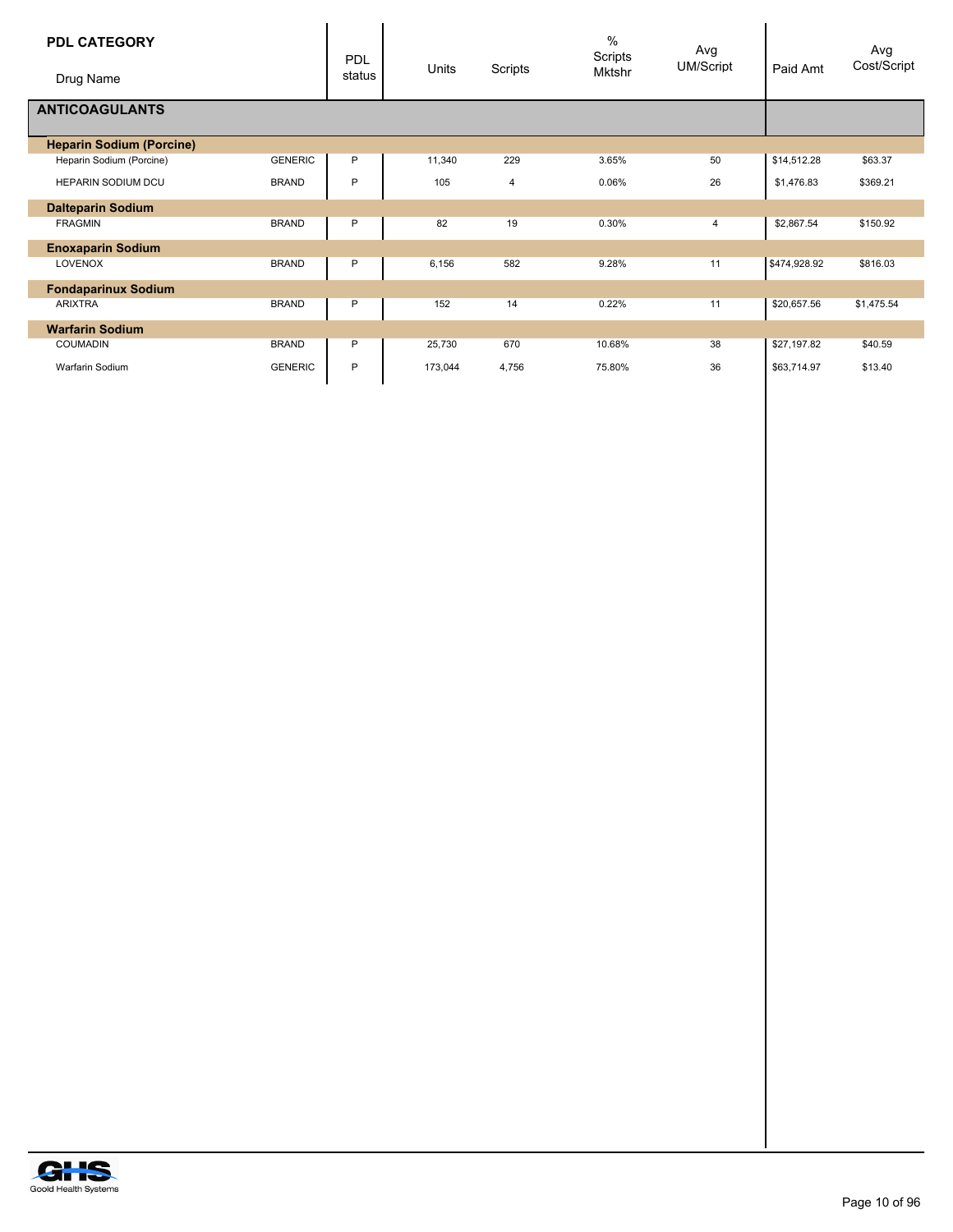| <b>PDL CATEGORY</b><br>Drug Name |                | <b>PDL</b><br>status | Units   | Scripts | $\%$<br>Scripts<br>Mktshr | Avg<br><b>UM/Script</b> | Paid Amt     | Avg<br>Cost/Script |
|----------------------------------|----------------|----------------------|---------|---------|---------------------------|-------------------------|--------------|--------------------|
| <b>ANTICOAGULANTS</b>            |                |                      |         |         |                           |                         |              |                    |
| <b>Heparin Sodium (Porcine)</b>  |                |                      |         |         |                           |                         |              |                    |
| Heparin Sodium (Porcine)         | <b>GENERIC</b> | P                    | 11,340  | 229     | 3.65%                     | 50                      | \$14,512.28  | \$63.37            |
| <b>HEPARIN SODIUM DCU</b>        | <b>BRAND</b>   | P                    | 105     | 4       | 0.06%                     | 26                      | \$1,476.83   | \$369.21           |
| <b>Dalteparin Sodium</b>         |                |                      |         |         |                           |                         |              |                    |
| <b>FRAGMIN</b>                   | <b>BRAND</b>   | P                    | 82      | 19      | 0.30%                     | 4                       | \$2,867.54   | \$150.92           |
| <b>Enoxaparin Sodium</b>         |                |                      |         |         |                           |                         |              |                    |
| <b>LOVENOX</b>                   | <b>BRAND</b>   | P                    | 6,156   | 582     | 9.28%                     | 11                      | \$474,928.92 | \$816.03           |
| <b>Fondaparinux Sodium</b>       |                |                      |         |         |                           |                         |              |                    |
| <b>ARIXTRA</b>                   | <b>BRAND</b>   | P                    | 152     | 14      | 0.22%                     | 11                      | \$20,657.56  | \$1,475.54         |
| <b>Warfarin Sodium</b>           |                |                      |         |         |                           |                         |              |                    |
| <b>COUMADIN</b>                  | <b>BRAND</b>   | P                    | 25,730  | 670     | 10.68%                    | 38                      | \$27,197.82  | \$40.59            |
| Warfarin Sodium                  | <b>GENERIC</b> | P                    | 173,044 | 4,756   | 75.80%                    | 36                      | \$63,714.97  | \$13.40            |

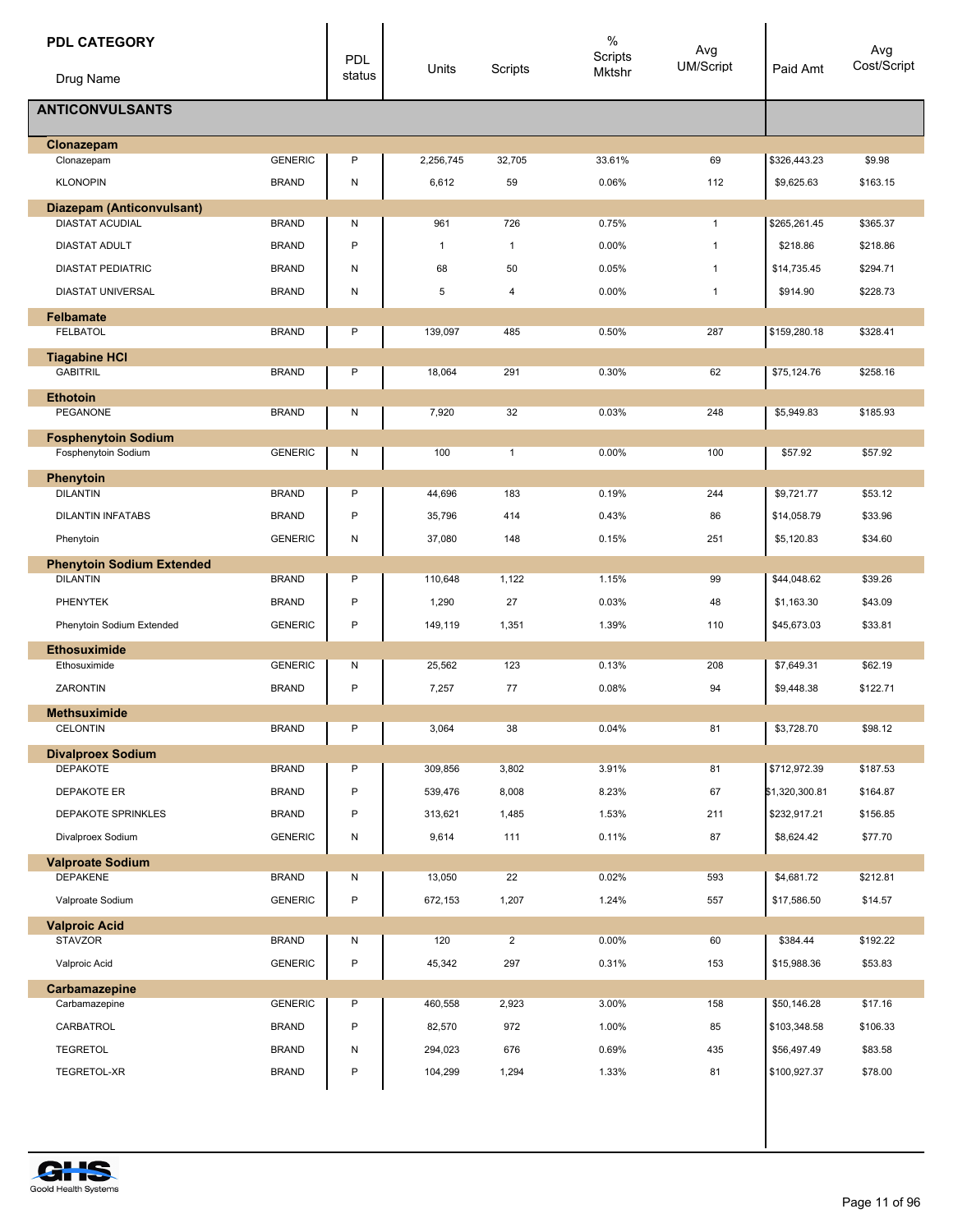| <b>PDL CATEGORY</b><br>Drug Name                  |                | <b>PDL</b><br>status | Units        | <b>Scripts</b> | $\%$<br>Scripts<br>Mktshr | Avg<br><b>UM/Script</b> | Paid Amt       | Avg<br>Cost/Script |
|---------------------------------------------------|----------------|----------------------|--------------|----------------|---------------------------|-------------------------|----------------|--------------------|
| <b>ANTICONVULSANTS</b>                            |                |                      |              |                |                           |                         |                |                    |
| Clonazepam                                        |                |                      |              |                |                           |                         |                |                    |
| Clonazepam                                        | <b>GENERIC</b> | P                    | 2,256,745    | 32,705         | 33.61%                    | 69                      | \$326,443.23   | \$9.98             |
| <b>KLONOPIN</b>                                   | <b>BRAND</b>   | N                    | 6,612        | 59             | 0.06%                     | 112                     | \$9,625.63     | \$163.15           |
| <b>Diazepam (Anticonvulsant)</b>                  |                |                      |              |                |                           |                         |                |                    |
| <b>DIASTAT ACUDIAL</b>                            | <b>BRAND</b>   | Ν                    | 961          | 726            | 0.75%                     | $\mathbf{1}$            | \$265,261.45   | \$365.37           |
| <b>DIASTAT ADULT</b>                              | <b>BRAND</b>   | P                    | $\mathbf{1}$ | $\mathbf{1}$   | 0.00%                     | $\mathbf{1}$            | \$218.86       | \$218.86           |
| <b>DIASTAT PEDIATRIC</b>                          | <b>BRAND</b>   | N                    | 68           | 50             | 0.05%                     | $\mathbf{1}$            | \$14,735.45    | \$294.71           |
| DIASTAT UNIVERSAL                                 | <b>BRAND</b>   | N                    | 5            | 4              | 0.00%                     | $\mathbf{1}$            | \$914.90       | \$228.73           |
| <b>Felbamate</b><br><b>FELBATOL</b>               | <b>BRAND</b>   | P                    | 139,097      | 485            | 0.50%                     | 287                     | \$159,280.18   | \$328.41           |
| <b>Tiagabine HCI</b>                              |                |                      |              |                |                           |                         |                |                    |
| <b>GABITRIL</b>                                   | <b>BRAND</b>   | Ρ                    | 18,064       | 291            | 0.30%                     | 62                      | \$75,124.76    | \$258.16           |
| <b>Ethotoin</b><br><b>PEGANONE</b>                | <b>BRAND</b>   | Ν                    | 7,920        | 32             | 0.03%                     | 248                     | \$5,949.83     | \$185.93           |
|                                                   |                |                      |              |                |                           |                         |                |                    |
| <b>Fosphenytoin Sodium</b><br>Fosphenytoin Sodium | <b>GENERIC</b> | Ν                    | 100          | $\mathbf{1}$   | 0.00%                     | 100                     | \$57.92        | \$57.92            |
| <b>Phenytoin</b>                                  |                |                      |              |                |                           |                         |                |                    |
| <b>DILANTIN</b>                                   | <b>BRAND</b>   | P                    | 44,696       | 183            | 0.19%                     | 244                     | \$9,721.77     | \$53.12            |
| <b>DILANTIN INFATABS</b>                          | <b>BRAND</b>   | P                    | 35,796       | 414            | 0.43%                     | 86                      | \$14,058.79    | \$33.96            |
| Phenytoin                                         | <b>GENERIC</b> | N                    | 37,080       | 148            | 0.15%                     | 251                     | \$5,120.83     | \$34.60            |
| <b>Phenytoin Sodium Extended</b>                  |                |                      |              |                |                           |                         |                |                    |
| <b>DILANTIN</b>                                   | <b>BRAND</b>   | Ρ                    | 110,648      | 1,122          | 1.15%                     | 99                      | \$44,048.62    | \$39.26            |
| PHENYTEK                                          | <b>BRAND</b>   | P                    | 1,290        | 27             | 0.03%                     | 48                      | \$1,163.30     | \$43.09            |
| Phenytoin Sodium Extended                         | <b>GENERIC</b> | P                    | 149,119      | 1,351          | 1.39%                     | 110                     | \$45,673.03    | \$33.81            |
| <b>Ethosuximide</b>                               |                |                      |              |                |                           |                         |                |                    |
| Ethosuximide                                      | <b>GENERIC</b> | N                    | 25,562       | 123            | 0.13%                     | 208                     | \$7,649.31     | \$62.19            |
| ZARONTIN                                          | <b>BRAND</b>   | P                    | 7,257        | 77             | 0.08%                     | 94                      | \$9,448.38     | \$122.71           |
| <b>Methsuximide</b>                               |                |                      |              |                |                           |                         |                |                    |
| <b>CELONTIN</b>                                   | <b>BRAND</b>   | P                    | 3,064        | 38             | 0.04%                     | 81                      | \$3,728.70     | \$98.12            |
| <b>Divalproex Sodium</b>                          |                |                      |              |                |                           |                         |                |                    |
| <b>DEPAKOTE</b>                                   | <b>BRAND</b>   | P                    | 309,856      | 3,802          | 3.91%                     | 81                      | \$712,972.39   | \$187.53           |
| DEPAKOTE ER                                       | <b>BRAND</b>   | P                    | 539,476      | 8,008          | 8.23%                     | 67                      | \$1,320,300.81 | \$164.87           |
| DEPAKOTE SPRINKLES                                | <b>BRAND</b>   | P                    | 313,621      | 1,485          | 1.53%                     | 211                     | \$232,917.21   | \$156.85           |
| Divalproex Sodium                                 | <b>GENERIC</b> | N                    | 9,614        | 111            | 0.11%                     | 87                      | \$8,624.42     | \$77.70            |
| <b>Valproate Sodium</b>                           |                |                      |              |                |                           |                         |                |                    |
| <b>DEPAKENE</b>                                   | <b>BRAND</b>   | Ν                    | 13,050       | 22             | 0.02%                     | 593                     | \$4,681.72     | \$212.81           |
| Valproate Sodium                                  | <b>GENERIC</b> | P                    | 672,153      | 1,207          | 1.24%                     | 557                     | \$17,586.50    | \$14.57            |
| <b>Valproic Acid</b>                              |                |                      |              |                |                           |                         |                |                    |
| <b>STAVZOR</b>                                    | <b>BRAND</b>   | Ν                    | 120          | $\overline{2}$ | 0.00%                     | 60                      | \$384.44       | \$192.22           |
| Valproic Acid                                     | <b>GENERIC</b> | P                    | 45,342       | 297            | 0.31%                     | 153                     | \$15,988.36    | \$53.83            |
| Carbamazepine<br>Carbamazepine                    | <b>GENERIC</b> | Ρ                    | 460,558      | 2,923          | 3.00%                     | 158                     | \$50,146.28    | \$17.16            |
| CARBATROL                                         | <b>BRAND</b>   | P                    | 82,570       | 972            | 1.00%                     | 85                      | \$103,348.58   | \$106.33           |
|                                                   |                |                      |              |                |                           |                         |                |                    |
| <b>TEGRETOL</b>                                   | <b>BRAND</b>   | Ν                    | 294,023      | 676            | 0.69%                     | 435                     | \$56,497.49    | \$83.58            |
| TEGRETOL-XR                                       | <b>BRAND</b>   | P                    | 104,299      | 1,294          | 1.33%                     | 81                      | \$100,927.37   | \$78.00            |

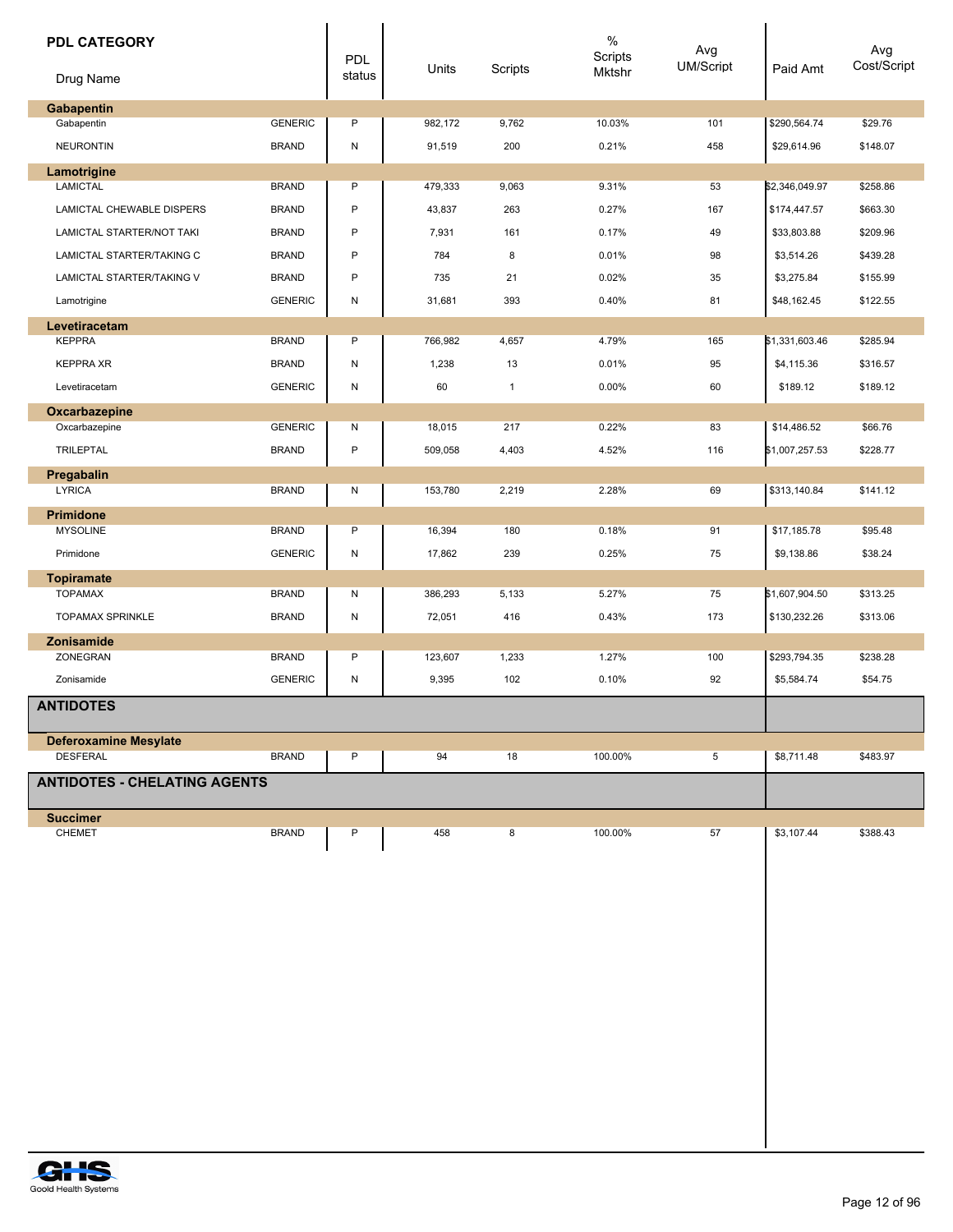| <b>PDL CATEGORY</b><br>Drug Name     |                | PDL<br>status | Units   | Scripts      | $\%$<br>Scripts<br>Mktshr | Avg<br>UM/Script | Paid Amt       | Avg<br>Cost/Script |
|--------------------------------------|----------------|---------------|---------|--------------|---------------------------|------------------|----------------|--------------------|
| Gabapentin                           |                |               |         |              |                           |                  |                |                    |
| Gabapentin                           | <b>GENERIC</b> | P             | 982,172 | 9,762        | 10.03%                    | 101              | \$290,564.74   | \$29.76            |
| <b>NEURONTIN</b>                     | <b>BRAND</b>   | N             | 91,519  | 200          | 0.21%                     | 458              | \$29,614.96    | \$148.07           |
| Lamotrigine                          |                |               |         |              |                           |                  |                |                    |
| <b>LAMICTAL</b>                      | <b>BRAND</b>   | P             | 479,333 | 9,063        | 9.31%                     | 53               | \$2,346,049.97 | \$258.86           |
| LAMICTAL CHEWABLE DISPERS            | <b>BRAND</b>   | P             | 43,837  | 263          | 0.27%                     | 167              | \$174,447.57   | \$663.30           |
| LAMICTAL STARTER/NOT TAKI            | <b>BRAND</b>   | P             | 7,931   | 161          | 0.17%                     | 49               | \$33,803.88    | \$209.96           |
| LAMICTAL STARTER/TAKING C            | <b>BRAND</b>   | P             | 784     | 8            | 0.01%                     | 98               | \$3,514.26     | \$439.28           |
| LAMICTAL STARTER/TAKING V            | <b>BRAND</b>   | P             | 735     | 21           | 0.02%                     | 35               | \$3,275.84     | \$155.99           |
| Lamotrigine                          | <b>GENERIC</b> | N             | 31,681  | 393          | 0.40%                     | 81               | \$48,162.45    | \$122.55           |
| Levetiracetam<br><b>KEPPRA</b>       | <b>BRAND</b>   | P             | 766,982 | 4,657        | 4.79%                     | 165              | \$1,331,603.46 | \$285.94           |
| <b>KEPPRA XR</b>                     | <b>BRAND</b>   | N             | 1,238   | 13           | 0.01%                     | 95               | \$4,115.36     | \$316.57           |
| Levetiracetam                        | <b>GENERIC</b> | N             | 60      | $\mathbf{1}$ | 0.00%                     | 60               | \$189.12       | \$189.12           |
|                                      |                |               |         |              |                           |                  |                |                    |
| Oxcarbazepine<br>Oxcarbazepine       | <b>GENERIC</b> | N             | 18,015  | 217          | 0.22%                     | 83               | \$14,486.52    | \$66.76            |
| <b>TRILEPTAL</b>                     | <b>BRAND</b>   | P             | 509,058 | 4,403        | 4.52%                     | 116              | \$1,007,257.53 | \$228.77           |
| Pregabalin                           |                |               |         |              |                           |                  |                |                    |
| <b>LYRICA</b>                        | <b>BRAND</b>   | N             | 153,780 | 2,219        | 2.28%                     | 69               | \$313,140.84   | \$141.12           |
| Primidone                            |                |               |         |              |                           |                  |                |                    |
| <b>MYSOLINE</b>                      | <b>BRAND</b>   | P             | 16,394  | 180          | 0.18%                     | 91               | \$17,185.78    | \$95.48            |
| Primidone                            | <b>GENERIC</b> | N             | 17,862  | 239          | 0.25%                     | 75               | \$9,138.86     | \$38.24            |
| <b>Topiramate</b>                    |                |               |         |              |                           |                  |                |                    |
| <b>TOPAMAX</b>                       | <b>BRAND</b>   | N             | 386,293 | 5,133        | 5.27%                     | 75               | \$1,607,904.50 | \$313.25           |
| <b>TOPAMAX SPRINKLE</b>              | <b>BRAND</b>   | N             | 72,051  | 416          | 0.43%                     | 173              | \$130,232.26   | \$313.06           |
| <b>Zonisamide</b><br><b>ZONEGRAN</b> | <b>BRAND</b>   | P             | 123,607 | 1,233        | 1.27%                     | 100              | \$293,794.35   | \$238.28           |
| Zonisamide                           | <b>GENERIC</b> | N             | 9,395   | 102          | 0.10%                     | 92               | \$5,584.74     | \$54.75            |
| <b>ANTIDOTES</b>                     |                |               |         |              |                           |                  |                |                    |
|                                      |                |               |         |              |                           |                  |                |                    |
| <b>Deferoxamine Mesylate</b>         |                |               |         |              |                           |                  |                |                    |
| <b>DESFERAL</b>                      | <b>BRAND</b>   | P             | 94      | 18           | 100.00%                   | 5                | \$8,711.48     | \$483.97           |
| <b>ANTIDOTES - CHELATING AGENTS</b>  |                |               |         |              |                           |                  |                |                    |
| <b>Succimer</b>                      |                |               |         |              |                           |                  |                |                    |
| CHEMET                               | <b>BRAND</b>   | P             | 458     | 8            | 100.00%                   | 57               | \$3,107.44     | \$388.43           |
|                                      |                |               |         |              |                           |                  |                |                    |
|                                      |                |               |         |              |                           |                  |                |                    |
|                                      |                |               |         |              |                           |                  |                |                    |
|                                      |                |               |         |              |                           |                  |                |                    |
|                                      |                |               |         |              |                           |                  |                |                    |
|                                      |                |               |         |              |                           |                  |                |                    |
|                                      |                |               |         |              |                           |                  |                |                    |
|                                      |                |               |         |              |                           |                  |                |                    |
|                                      |                |               |         |              |                           |                  |                |                    |
|                                      |                |               |         |              |                           |                  |                |                    |
|                                      |                |               |         |              |                           |                  |                |                    |
|                                      |                |               |         |              |                           |                  |                |                    |

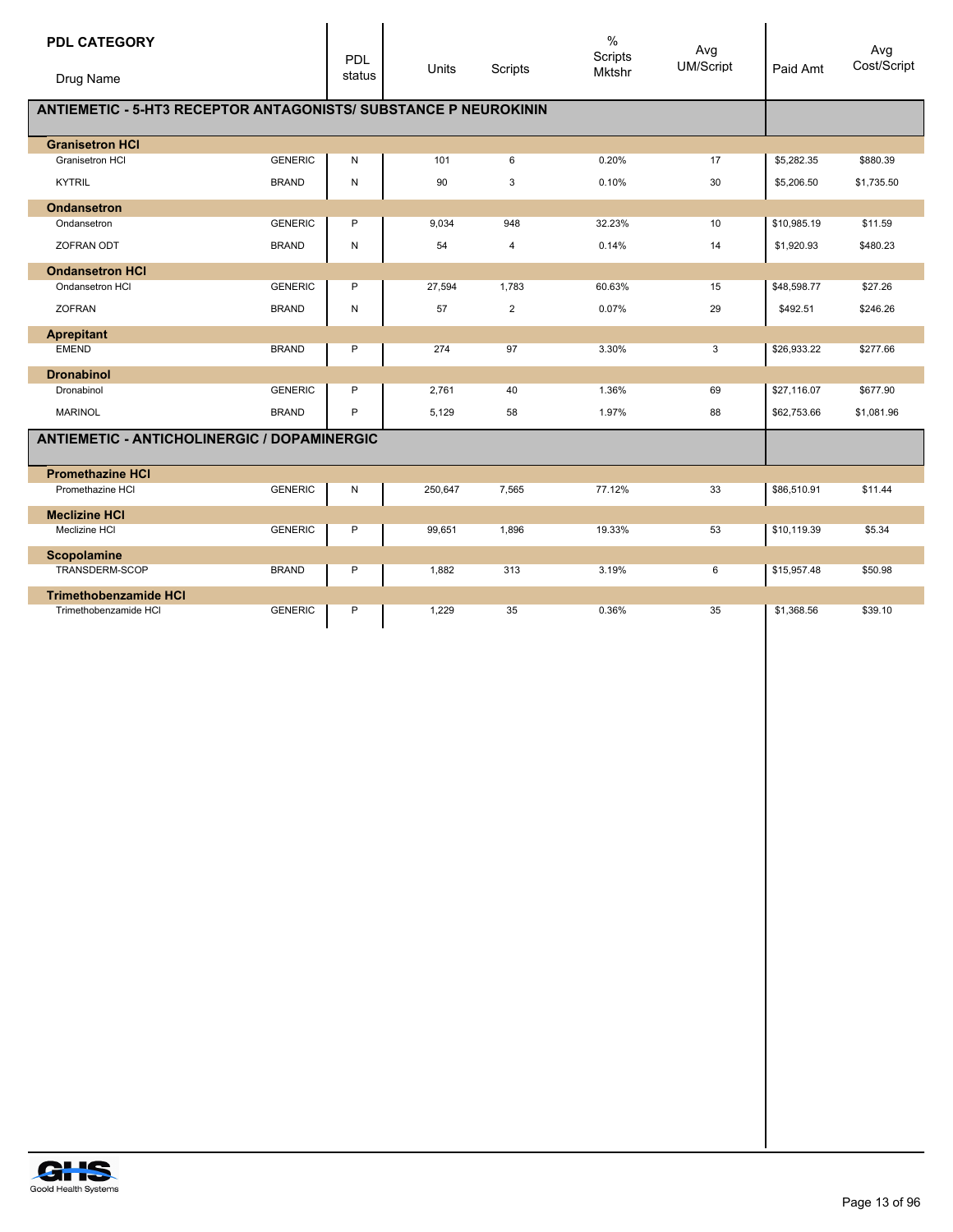| <b>PDL CATEGORY</b>                                                    |                | PDL       | Units   | Scripts        | $\frac{0}{0}$<br>Scripts<br>Mktshr | Avg<br><b>UM/Script</b> | Paid Amt    | Avg<br>Cost/Script |
|------------------------------------------------------------------------|----------------|-----------|---------|----------------|------------------------------------|-------------------------|-------------|--------------------|
| Drug Name                                                              |                | status    |         |                |                                    |                         |             |                    |
| <b>ANTIEMETIC - 5-HT3 RECEPTOR ANTAGONISTS/ SUBSTANCE P NEUROKININ</b> |                |           |         |                |                                    |                         |             |                    |
| <b>Granisetron HCI</b>                                                 |                |           |         |                |                                    |                         |             |                    |
| Granisetron HCI                                                        | <b>GENERIC</b> | N         | 101     | 6              | 0.20%                              | 17                      | \$5,282.35  | \$880.39           |
| <b>KYTRIL</b>                                                          | <b>BRAND</b>   | ${\sf N}$ | 90      | 3              | 0.10%                              | 30                      | \$5,206.50  | \$1,735.50         |
| <b>Ondansetron</b>                                                     |                |           |         |                |                                    |                         |             |                    |
| Ondansetron                                                            | <b>GENERIC</b> | P         | 9,034   | 948            | 32.23%                             | 10                      | \$10,985.19 | \$11.59            |
| <b>ZOFRAN ODT</b>                                                      | <b>BRAND</b>   | ${\sf N}$ | 54      | $\overline{4}$ | 0.14%                              | 14                      | \$1,920.93  | \$480.23           |
| <b>Ondansetron HCI</b>                                                 |                |           |         |                |                                    |                         |             |                    |
| Ondansetron HCI                                                        | <b>GENERIC</b> | P         | 27,594  | 1,783          | 60.63%                             | 15                      | \$48,598.77 | \$27.26            |
| <b>ZOFRAN</b>                                                          | <b>BRAND</b>   | ${\sf N}$ | 57      | $\overline{2}$ | 0.07%                              | 29                      | \$492.51    | \$246.26           |
| <b>Aprepitant</b>                                                      |                |           |         |                |                                    |                         |             |                    |
| <b>EMEND</b>                                                           | <b>BRAND</b>   | P         | 274     | 97             | 3.30%                              | 3                       | \$26,933.22 | \$277.66           |
| <b>Dronabinol</b>                                                      |                |           |         |                |                                    |                         |             |                    |
| Dronabinol                                                             | <b>GENERIC</b> | P         | 2,761   | 40             | 1.36%                              | 69                      | \$27,116.07 | \$677.90           |
| <b>MARINOL</b>                                                         | <b>BRAND</b>   | P         | 5,129   | 58             | 1.97%                              | 88                      | \$62,753.66 | \$1,081.96         |
| <b>ANTIEMETIC - ANTICHOLINERGIC / DOPAMINERGIC</b>                     |                |           |         |                |                                    |                         |             |                    |
| <b>Promethazine HCI</b>                                                |                |           |         |                |                                    |                         |             |                    |
| Promethazine HCI                                                       | <b>GENERIC</b> | N         | 250,647 | 7,565          | 77.12%                             | 33                      | \$86,510.91 | \$11.44            |
| <b>Meclizine HCI</b>                                                   |                |           |         |                |                                    |                         |             |                    |
| Meclizine HCI                                                          | <b>GENERIC</b> | P         | 99,651  | 1,896          | 19.33%                             | 53                      | \$10,119.39 | \$5.34             |
| <b>Scopolamine</b>                                                     |                |           |         |                |                                    |                         |             |                    |
| TRANSDERM-SCOP                                                         | <b>BRAND</b>   | P         | 1,882   | 313            | 3.19%                              | 6                       | \$15,957.48 | \$50.98            |
| <b>Trimethobenzamide HCI</b>                                           |                |           |         |                |                                    |                         |             |                    |
| Trimethobenzamide HCI                                                  | <b>GENERIC</b> | P         | 1,229   | 35             | 0.36%                              | 35                      | \$1,368.56  | \$39.10            |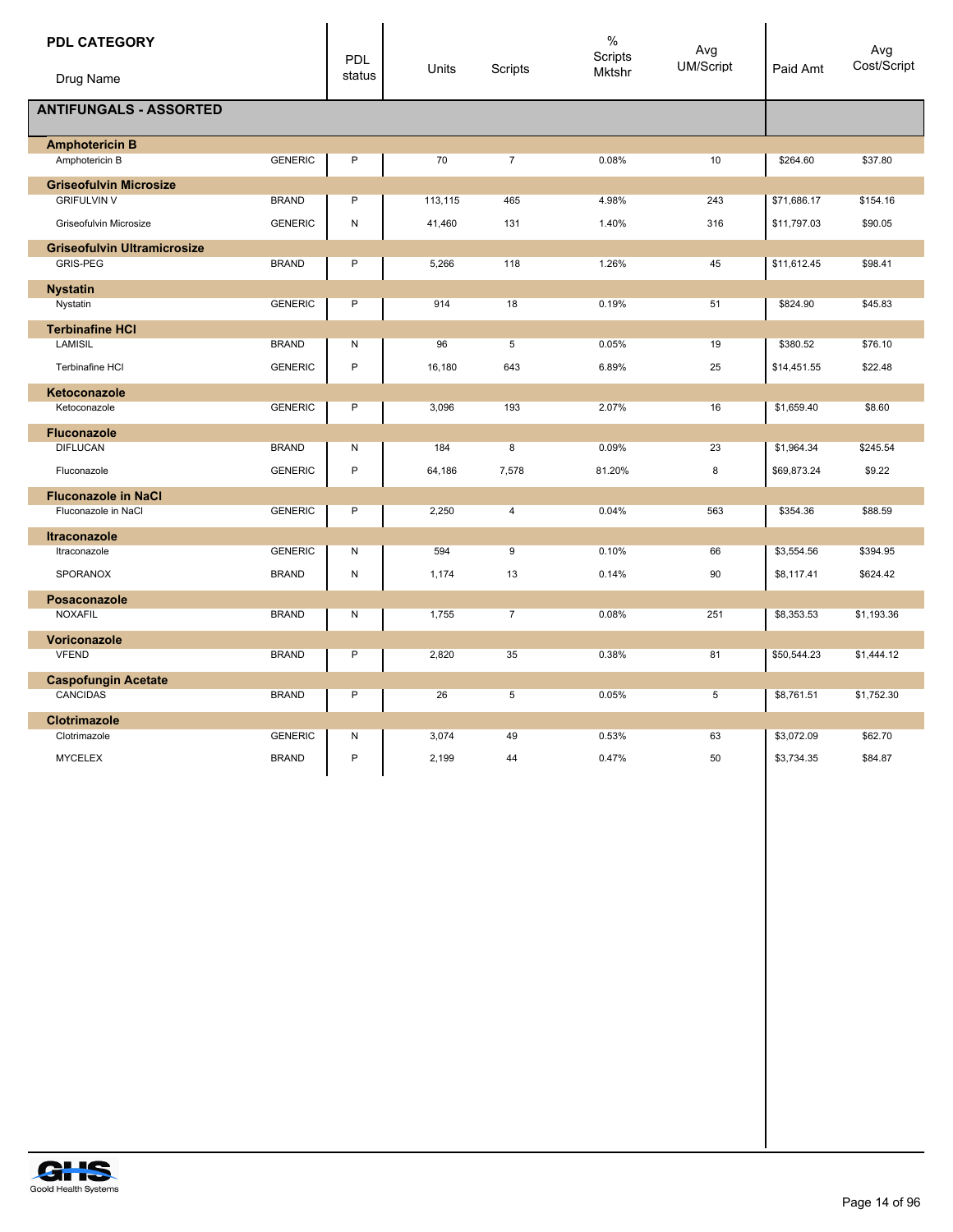| <b>PDL CATEGORY</b>                |                | <b>PDL</b>   | Units   | Scripts        | $\%$<br>Scripts<br><b>Mktshr</b> | Avg<br><b>UM/Script</b> | Paid Amt    | Avg<br>Cost/Script |
|------------------------------------|----------------|--------------|---------|----------------|----------------------------------|-------------------------|-------------|--------------------|
| Drug Name                          |                | status       |         |                |                                  |                         |             |                    |
| <b>ANTIFUNGALS - ASSORTED</b>      |                |              |         |                |                                  |                         |             |                    |
| <b>Amphotericin B</b>              |                |              |         |                |                                  |                         |             |                    |
| Amphotericin B                     | <b>GENERIC</b> | P            | 70      | $\overline{7}$ | 0.08%                            | 10                      | \$264.60    | \$37.80            |
| <b>Griseofulvin Microsize</b>      |                |              |         |                |                                  |                         |             |                    |
| <b>GRIFULVIN V</b>                 | <b>BRAND</b>   | $\mathsf{P}$ | 113,115 | 465            | 4.98%                            | 243                     | \$71,686.17 | \$154.16           |
| Griseofulvin Microsize             | <b>GENERIC</b> | N            | 41,460  | 131            | 1.40%                            | 316                     | \$11,797.03 | \$90.05            |
| <b>Griseofulvin Ultramicrosize</b> |                |              |         |                |                                  |                         |             |                    |
| <b>GRIS-PEG</b>                    | <b>BRAND</b>   | $\sf P$      | 5,266   | 118            | 1.26%                            | 45                      | \$11,612.45 | \$98.41            |
| <b>Nystatin</b>                    |                |              |         |                |                                  |                         |             |                    |
| Nystatin                           | <b>GENERIC</b> | $\sf P$      | 914     | 18             | 0.19%                            | 51                      | \$824.90    | \$45.83            |
| <b>Terbinafine HCI</b>             |                |              |         |                |                                  |                         |             |                    |
| <b>LAMISIL</b>                     | <b>BRAND</b>   | N            | 96      | 5              | 0.05%                            | 19                      | \$380.52    | \$76.10            |
| Terbinafine HCI                    | <b>GENERIC</b> | P            | 16,180  | 643            | 6.89%                            | 25                      | \$14,451.55 | \$22.48            |
| Ketoconazole                       |                |              |         |                |                                  |                         |             |                    |
| Ketoconazole                       | <b>GENERIC</b> | $\sf P$      | 3,096   | 193            | 2.07%                            | 16                      | \$1,659.40  | \$8.60             |
| <b>Fluconazole</b>                 |                |              |         |                |                                  |                         |             |                    |
| <b>DIFLUCAN</b>                    | <b>BRAND</b>   | N            | 184     | 8              | 0.09%                            | 23                      | \$1,964.34  | \$245.54           |
| Fluconazole                        | <b>GENERIC</b> | P            | 64,186  | 7,578          | 81.20%                           | 8                       | \$69,873.24 | \$9.22             |
| <b>Fluconazole in NaCl</b>         |                |              |         |                |                                  |                         |             |                    |
| Fluconazole in NaCl                | <b>GENERIC</b> | P            | 2,250   | $\overline{4}$ | 0.04%                            | 563                     | \$354.36    | \$88.59            |
| <b>Itraconazole</b>                |                |              |         |                |                                  |                         |             |                    |
| Itraconazole                       | <b>GENERIC</b> | N            | 594     | 9              | 0.10%                            | 66                      | \$3,554.56  | \$394.95           |
| SPORANOX                           | <b>BRAND</b>   | N            | 1,174   | 13             | 0.14%                            | 90                      | \$8,117.41  | \$624.42           |
| Posaconazole                       |                |              |         |                |                                  |                         |             |                    |
| <b>NOXAFIL</b>                     | <b>BRAND</b>   | N            | 1,755   | $\overline{7}$ | 0.08%                            | 251                     | \$8,353.53  | \$1,193.36         |
| Voriconazole                       |                |              |         |                |                                  |                         |             |                    |
| <b>VFEND</b>                       | <b>BRAND</b>   | P            | 2,820   | 35             | 0.38%                            | 81                      | \$50,544.23 | \$1,444.12         |
| <b>Caspofungin Acetate</b>         |                |              |         |                |                                  |                         |             |                    |
| CANCIDAS                           | <b>BRAND</b>   | P            | 26      | 5              | 0.05%                            | 5                       | \$8,761.51  | \$1,752.30         |
| <b>Clotrimazole</b>                |                |              |         |                |                                  |                         |             |                    |
| Clotrimazole                       | <b>GENERIC</b> | N            | 3,074   | 49             | 0.53%                            | 63                      | \$3,072.09  | \$62.70            |
| <b>MYCELEX</b>                     | <b>BRAND</b>   | $\mathsf{P}$ | 2,199   | 44             | 0.47%                            | 50                      | \$3,734.35  | \$84.87            |
|                                    |                |              |         |                |                                  |                         |             |                    |

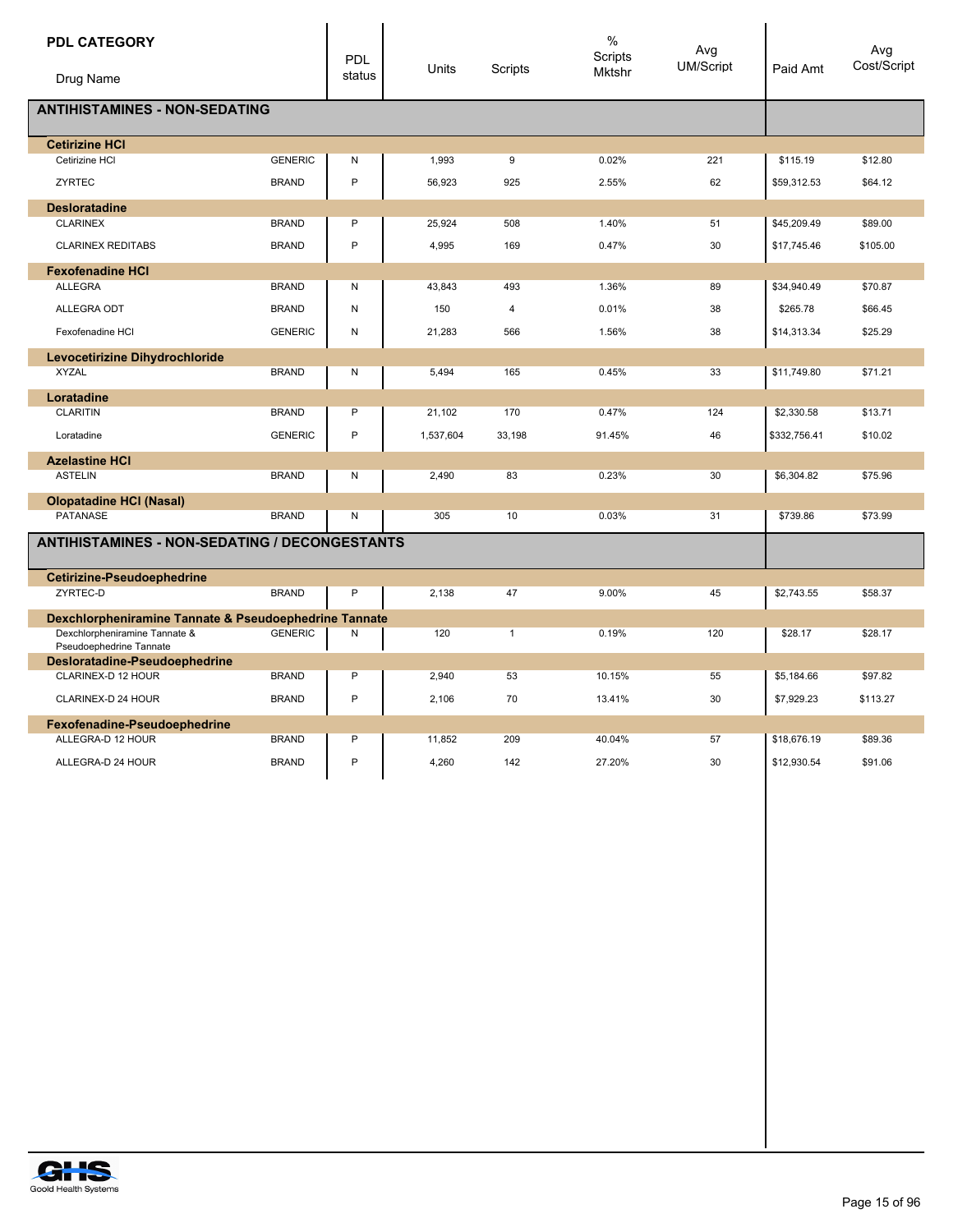| <b>PDL CATEGORY</b>                                      |                | PDL          | Units     | Scripts      | $\%$<br>Scripts<br>Mktshr | Avg<br><b>UM/Script</b> | Paid Amt     | Avg<br>Cost/Script |
|----------------------------------------------------------|----------------|--------------|-----------|--------------|---------------------------|-------------------------|--------------|--------------------|
| Drug Name                                                |                | status       |           |              |                           |                         |              |                    |
| <b>ANTIHISTAMINES - NON-SEDATING</b>                     |                |              |           |              |                           |                         |              |                    |
| <b>Cetirizine HCI</b>                                    |                |              |           |              |                           |                         |              |                    |
| Cetirizine HCI                                           | <b>GENERIC</b> | ${\sf N}$    | 1,993     | 9            | 0.02%                     | 221                     | \$115.19     | \$12.80            |
| ZYRTEC                                                   | <b>BRAND</b>   | $\mathsf{P}$ | 56,923    | 925          | 2.55%                     | 62                      | \$59,312.53  | \$64.12            |
| <b>Desloratadine</b>                                     |                |              |           |              |                           |                         |              |                    |
| <b>CLARINEX</b>                                          | <b>BRAND</b>   | P            | 25,924    | 508          | 1.40%                     | 51                      | \$45,209.49  | \$89.00            |
| <b>CLARINEX REDITABS</b>                                 | <b>BRAND</b>   | $\mathsf{P}$ | 4,995     | 169          | 0.47%                     | 30                      | \$17,745.46  | \$105.00           |
| <b>Fexofenadine HCI</b>                                  |                |              |           |              |                           |                         |              |                    |
| <b>ALLEGRA</b>                                           | <b>BRAND</b>   | N            | 43,843    | 493          | 1.36%                     | 89                      | \$34,940.49  | \$70.87            |
| ALLEGRA ODT                                              | <b>BRAND</b>   | N            | 150       | 4            | 0.01%                     | 38                      | \$265.78     | \$66.45            |
| Fexofenadine HCI                                         | <b>GENERIC</b> | N            | 21,283    | 566          | 1.56%                     | 38                      | \$14,313.34  | \$25.29            |
| Levocetirizine Dihydrochloride                           |                |              |           |              |                           |                         |              |                    |
| <b>XYZAL</b>                                             | <b>BRAND</b>   | N            | 5,494     | 165          | 0.45%                     | 33                      | \$11,749.80  | \$71.21            |
| Loratadine                                               |                |              |           |              |                           |                         |              |                    |
| <b>CLARITIN</b>                                          | <b>BRAND</b>   | P            | 21,102    | 170          | 0.47%                     | 124                     | \$2,330.58   | \$13.71            |
| Loratadine                                               | <b>GENERIC</b> | P            | 1,537,604 | 33,198       | 91.45%                    | 46                      | \$332,756.41 | \$10.02            |
| <b>Azelastine HCI</b>                                    |                |              |           |              |                           |                         |              |                    |
| <b>ASTELIN</b>                                           | <b>BRAND</b>   | N            | 2,490     | 83           | 0.23%                     | 30                      | \$6,304.82   | \$75.96            |
| <b>Olopatadine HCI (Nasal)</b>                           |                |              |           |              |                           |                         |              |                    |
| <b>PATANASE</b>                                          | <b>BRAND</b>   | N            | 305       | 10           | 0.03%                     | 31                      | \$739.86     | \$73.99            |
| <b>ANTIHISTAMINES - NON-SEDATING / DECONGESTANTS</b>     |                |              |           |              |                           |                         |              |                    |
| <b>Cetirizine-Pseudoephedrine</b>                        |                |              |           |              |                           |                         |              |                    |
| ZYRTEC-D                                                 | <b>BRAND</b>   | P            | 2.138     | 47           | 9.00%                     | 45                      | \$2,743.55   | \$58.37            |
| Dexchlorpheniramine Tannate & Pseudoephedrine Tannate    |                |              |           |              |                           |                         |              |                    |
| Dexchlorpheniramine Tannate &<br>Pseudoephedrine Tannate | <b>GENERIC</b> | Ν            | 120       | $\mathbf{1}$ | 0.19%                     | 120                     | \$28.17      | \$28.17            |
| Desloratadine-Pseudoephedrine                            |                |              |           |              |                           |                         |              |                    |
| CLARINEX-D 12 HOUR                                       | <b>BRAND</b>   | P            | 2,940     | 53           | 10.15%                    | 55                      | \$5,184.66   | \$97.82            |
| CLARINEX-D 24 HOUR                                       | <b>BRAND</b>   | $\mathsf{P}$ | 2,106     | 70           | 13.41%                    | 30                      | \$7,929.23   | \$113.27           |
| Fexofenadine-Pseudoephedrine                             |                |              |           |              |                           |                         |              |                    |
| ALLEGRA-D 12 HOUR                                        | <b>BRAND</b>   | P            | 11,852    | 209          | 40.04%                    | 57                      | \$18,676.19  | \$89.36            |
| ALLEGRA-D 24 HOUR                                        | <b>BRAND</b>   | P            | 4,260     | 142          | 27.20%                    | 30                      | \$12,930.54  | \$91.06            |

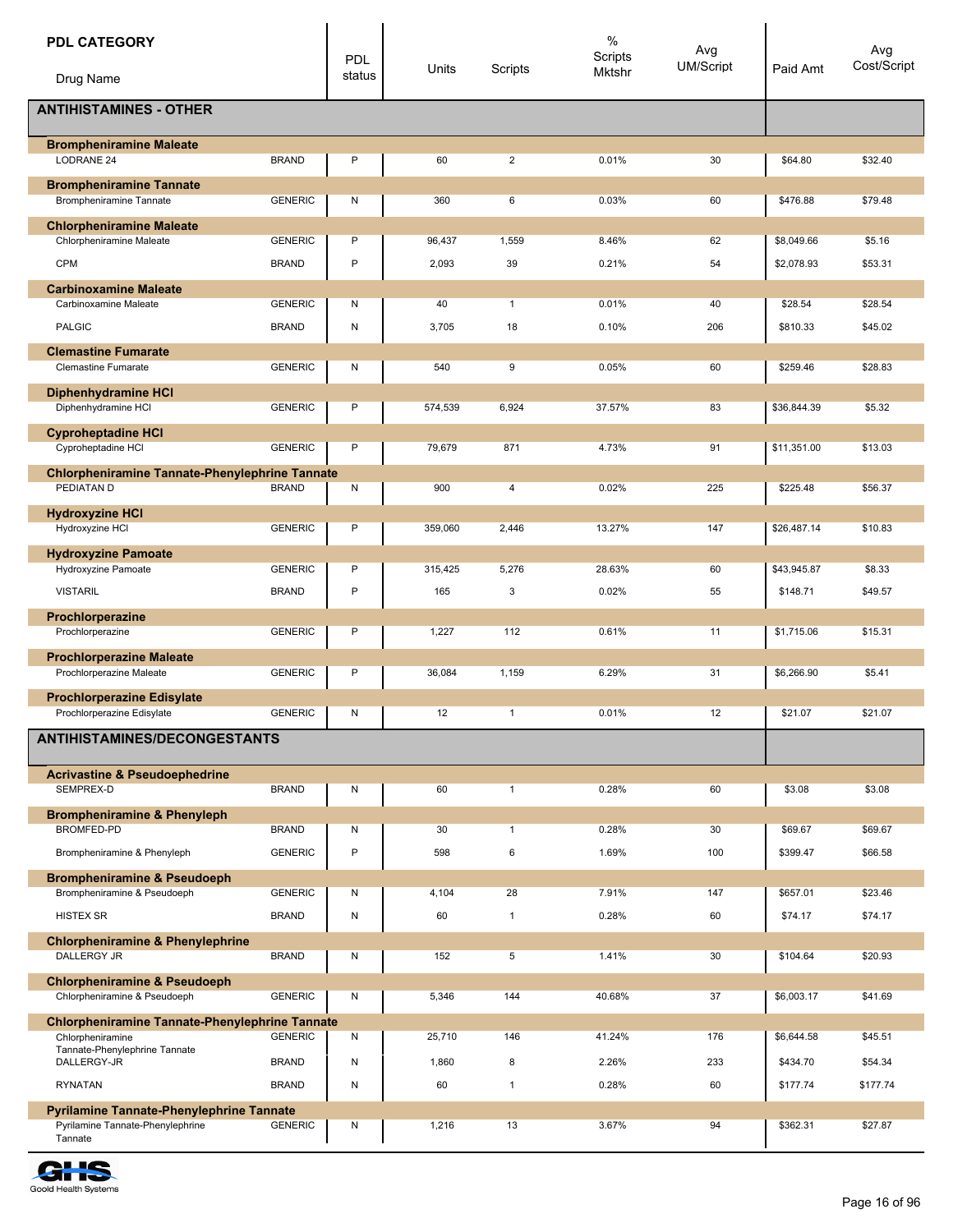| <b>PDL CATEGORY</b>                                                                 |                                | <b>PDL</b>             |                 |                    | $\%$<br>Scripts | Avg<br>UM/Script |                          | Avg<br>Cost/Script  |
|-------------------------------------------------------------------------------------|--------------------------------|------------------------|-----------------|--------------------|-----------------|------------------|--------------------------|---------------------|
| Drug Name                                                                           |                                | status                 | Units           | Scripts            | Mktshr          |                  | Paid Amt                 |                     |
| <b>ANTIHISTAMINES - OTHER</b>                                                       |                                |                        |                 |                    |                 |                  |                          |                     |
| <b>Brompheniramine Maleate</b>                                                      |                                |                        |                 |                    |                 |                  |                          |                     |
| LODRANE 24                                                                          | <b>BRAND</b>                   | P                      | 60              | $\overline{2}$     | 0.01%           | 30               | \$64.80                  | \$32.40             |
| <b>Brompheniramine Tannate</b><br>Brompheniramine Tannate                           | <b>GENERIC</b>                 | Ν                      | 360             | 6                  | 0.03%           | 60               | \$476.88                 | \$79.48             |
| <b>Chlorpheniramine Maleate</b>                                                     |                                |                        |                 |                    |                 |                  |                          |                     |
| Chlorpheniramine Maleate<br><b>CPM</b>                                              | <b>GENERIC</b><br><b>BRAND</b> | P<br>P                 | 96,437<br>2,093 | 1,559<br>39        | 8.46%<br>0.21%  | 62<br>54         | \$8,049.66<br>\$2,078.93 | \$5.16<br>\$53.31   |
| <b>Carbinoxamine Maleate</b>                                                        |                                |                        |                 |                    |                 |                  |                          |                     |
| Carbinoxamine Maleate                                                               | <b>GENERIC</b>                 | Ν                      | 40              | $\mathbf{1}$       | 0.01%           | 40               | \$28.54                  | \$28.54             |
| <b>PALGIC</b>                                                                       | <b>BRAND</b>                   | ${\sf N}$              | 3,705           | 18                 | 0.10%           | 206              | \$810.33                 | \$45.02             |
| <b>Clemastine Fumarate</b><br><b>Clemastine Fumarate</b>                            | <b>GENERIC</b>                 | N                      | 540             | 9                  | 0.05%           | 60               | \$259.46                 | \$28.83             |
| <b>Diphenhydramine HCI</b>                                                          |                                |                        |                 |                    |                 |                  |                          |                     |
| Diphenhydramine HCI                                                                 | <b>GENERIC</b>                 | P                      | 574,539         | 6,924              | 37.57%          | 83               | \$36,844.39              | \$5.32              |
| <b>Cyproheptadine HCI</b>                                                           |                                |                        |                 |                    |                 |                  |                          |                     |
| Cyproheptadine HCI                                                                  | <b>GENERIC</b>                 | P                      | 79,679          | 871                | 4.73%           | 91               | \$11,351.00              | \$13.03             |
| <b>Chlorpheniramine Tannate-Phenylephrine Tannate</b><br>PEDIATAN D                 | <b>BRAND</b>                   | N                      | 900             | $\overline{4}$     | 0.02%           | 225              | \$225.48                 | \$56.37             |
| <b>Hydroxyzine HCI</b><br>Hydroxyzine HCI                                           | <b>GENERIC</b>                 | P                      | 359,060         | 2,446              | 13.27%          | 147              | \$26,487.14              | \$10.83             |
| <b>Hydroxyzine Pamoate</b>                                                          |                                |                        |                 |                    |                 |                  |                          |                     |
| Hydroxyzine Pamoate<br><b>VISTARIL</b>                                              | <b>GENERIC</b><br><b>BRAND</b> | P<br>P                 | 315,425<br>165  | 5,276              | 28.63%          | 60<br>55         | \$43,945.87              | \$8.33              |
|                                                                                     |                                |                        |                 | 3                  | 0.02%           |                  | \$148.71                 | \$49.57             |
| Prochlorperazine<br>Prochlorperazine                                                | <b>GENERIC</b>                 | P                      | 1,227           | 112                | 0.61%           | 11               | \$1,715.06               | \$15.31             |
| <b>Prochlorperazine Maleate</b><br>Prochlorperazine Maleate                         | <b>GENERIC</b>                 | P                      | 36,084          | 1,159              | 6.29%           | 31               | \$6,266.90               | \$5.41              |
| <b>Prochlorperazine Edisylate</b>                                                   |                                |                        |                 |                    |                 |                  |                          |                     |
| Prochlorperazine Edisylate                                                          | <b>GENERIC</b>                 | N                      | 12              |                    | 0.01%           | 12               | \$21.07                  | \$21.07             |
| <b>ANTIHISTAMINES/DECONGESTANTS</b>                                                 |                                |                        |                 |                    |                 |                  |                          |                     |
| <b>Acrivastine &amp; Pseudoephedrine</b><br>SEMPREX-D                               | <b>BRAND</b>                   | N                      | 60              | $\mathbf{1}$       | 0.28%           | 60               | \$3.08                   | \$3.08              |
| <b>Brompheniramine &amp; Phenyleph</b>                                              |                                |                        |                 |                    |                 |                  |                          |                     |
| BROMFED-PD                                                                          | <b>BRAND</b>                   | N                      | 30              | $\mathbf{1}$       | 0.28%           | 30               | \$69.67                  | \$69.67             |
| Brompheniramine & Phenyleph                                                         | <b>GENERIC</b>                 | $\mathsf{P}$           | 598             | 6                  | 1.69%           | 100              | \$399.47                 | \$66.58             |
| <b>Brompheniramine &amp; Pseudoeph</b>                                              |                                |                        |                 |                    |                 |                  |                          |                     |
| Brompheniramine & Pseudoeph<br><b>HISTEX SR</b>                                     | <b>GENERIC</b><br><b>BRAND</b> | Ν<br>${\sf N}$         | 4,104<br>60     | 28<br>$\mathbf{1}$ | 7.91%<br>0.28%  | 147<br>60        | \$657.01<br>\$74.17      | \$23.46<br>\$74.17  |
| <b>Chlorpheniramine &amp; Phenylephrine</b>                                         |                                |                        |                 |                    |                 |                  |                          |                     |
| DALLERGY JR                                                                         | <b>BRAND</b>                   | N                      | 152             | 5                  | 1.41%           | 30               | \$104.64                 | \$20.93             |
| <b>Chlorpheniramine &amp; Pseudoeph</b><br>Chlorpheniramine & Pseudoeph             | <b>GENERIC</b>                 | N                      | 5,346           | 144                | 40.68%          | 37               | \$6,003.17               | \$41.69             |
| <b>Chlorpheniramine Tannate-Phenylephrine Tannate</b>                               |                                |                        |                 |                    |                 |                  |                          |                     |
| Chlorpheniramine<br>Tannate-Phenylephrine Tannate                                   | <b>GENERIC</b>                 | Ν                      | 25,710          | 146                | 41.24%          | 176              | \$6,644.58               | \$45.51             |
| DALLERGY-JR<br><b>RYNATAN</b>                                                       | <b>BRAND</b><br><b>BRAND</b>   | ${\sf N}$<br>${\sf N}$ | 1,860<br>60     | 8<br>$\mathbf{1}$  | 2.26%<br>0.28%  | 233<br>60        | \$434.70<br>\$177.74     | \$54.34<br>\$177.74 |
|                                                                                     |                                |                        |                 |                    |                 |                  |                          |                     |
| <b>Pyrilamine Tannate-Phenylephrine Tannate</b><br>Pyrilamine Tannate-Phenylephrine | <b>GENERIC</b>                 | N                      | 1,216           | 13                 | 3.67%           | 94               | \$362.31                 | \$27.87             |
| Tannate                                                                             |                                |                        |                 |                    |                 |                  |                          |                     |

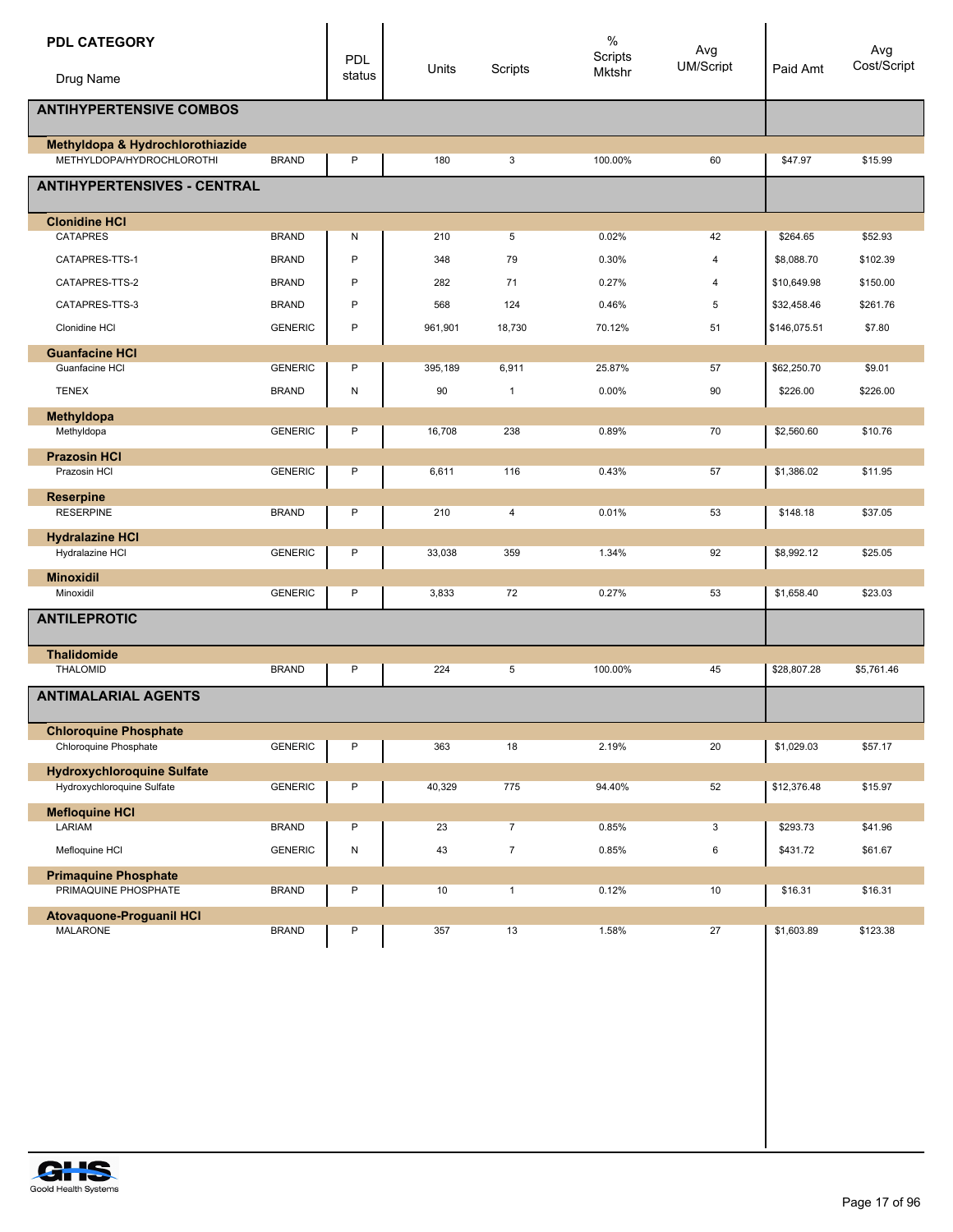| <b>PDL CATEGORY</b><br>Drug Name                      |                | PDL<br>status | Units   | Scripts        | $\%$<br>Scripts<br>Mktshr | Avg<br>UM/Script | Paid Amt     | Avg<br>Cost/Script |
|-------------------------------------------------------|----------------|---------------|---------|----------------|---------------------------|------------------|--------------|--------------------|
|                                                       |                |               |         |                |                           |                  |              |                    |
| <b>ANTIHYPERTENSIVE COMBOS</b>                        |                |               |         |                |                           |                  |              |                    |
| Methyldopa & Hydrochlorothiazide                      |                |               |         |                |                           |                  |              |                    |
| METHYLDOPA/HYDROCHLOROTHI                             | <b>BRAND</b>   | P             | 180     | 3              | 100.00%                   | 60               | \$47.97      | \$15.99            |
| <b>ANTIHYPERTENSIVES - CENTRAL</b>                    |                |               |         |                |                           |                  |              |                    |
| <b>Clonidine HCI</b>                                  |                |               |         |                |                           |                  |              |                    |
| <b>CATAPRES</b>                                       | <b>BRAND</b>   | Ν             | 210     | 5              | 0.02%                     | 42               | \$264.65     | \$52.93            |
| CATAPRES-TTS-1                                        | <b>BRAND</b>   | P             | 348     | 79             | 0.30%                     | 4                | \$8,088.70   | \$102.39           |
| CATAPRES-TTS-2                                        | <b>BRAND</b>   | P             | 282     | 71             | 0.27%                     | 4                | \$10,649.98  | \$150.00           |
| CATAPRES-TTS-3                                        | <b>BRAND</b>   | P             | 568     | 124            | 0.46%                     | 5                | \$32,458.46  | \$261.76           |
| Clonidine HCI                                         | <b>GENERIC</b> | P             | 961,901 | 18,730         | 70.12%                    | 51               | \$146,075.51 | \$7.80             |
| <b>Guanfacine HCI</b>                                 |                |               |         |                |                           |                  |              |                    |
| Guanfacine HCI                                        | <b>GENERIC</b> | P             | 395,189 | 6,911          | 25.87%                    | 57               | \$62,250.70  | \$9.01             |
| <b>TENEX</b>                                          | <b>BRAND</b>   | Ν             | 90      | $\mathbf{1}$   | 0.00%                     | 90               | \$226.00     | \$226.00           |
| Methyldopa                                            |                |               |         |                |                           |                  |              |                    |
| Methyldopa                                            | <b>GENERIC</b> | P             | 16,708  | 238            | 0.89%                     | 70               | \$2,560.60   | \$10.76            |
| <b>Prazosin HCI</b>                                   |                |               |         |                |                           |                  |              |                    |
| Prazosin HCI                                          | <b>GENERIC</b> | P             | 6,611   | 116            | 0.43%                     | 57               | \$1,386.02   | \$11.95            |
| <b>Reserpine</b>                                      |                |               |         |                |                           |                  |              |                    |
| <b>RESERPINE</b>                                      | <b>BRAND</b>   | P             | 210     | 4              | 0.01%                     | 53               | \$148.18     | \$37.05            |
| <b>Hydralazine HCI</b><br>Hydralazine HCI             | <b>GENERIC</b> | P             | 33,038  | 359            | 1.34%                     | 92               | \$8,992.12   | \$25.05            |
| <b>Minoxidil</b>                                      |                |               |         |                |                           |                  |              |                    |
| Minoxidil                                             | <b>GENERIC</b> | P             | 3,833   | 72             | 0.27%                     | 53               | \$1,658.40   | \$23.03            |
| <b>ANTILEPROTIC</b>                                   |                |               |         |                |                           |                  |              |                    |
| <b>Thalidomide</b><br><b>THALOMID</b>                 | <b>BRAND</b>   | P             | 224     | 5              | 100.00%                   | 45               | \$28,807.28  | \$5,761.46         |
| <b>ANTIMALARIAL AGENTS</b>                            |                |               |         |                |                           |                  |              |                    |
| <b>Chloroquine Phosphate</b><br>Chloroquine Phosphate | <b>GENERIC</b> | P             | 363     | 18             | 2.19%                     | 20               | \$1,029.03   | \$57.17            |
| <b>Hydroxychloroquine Sulfate</b>                     |                |               |         |                |                           |                  |              |                    |
| Hydroxychloroquine Sulfate                            | <b>GENERIC</b> | P             | 40,329  | 775            | 94.40%                    | 52               | \$12,376.48  | \$15.97            |
| <b>Mefloquine HCI</b>                                 |                |               |         |                |                           |                  |              |                    |
| LARIAM                                                | <b>BRAND</b>   | P             | 23      | $\overline{7}$ | 0.85%                     | $\mathbf{3}$     | \$293.73     | \$41.96            |
| Mefloquine HCI                                        | <b>GENERIC</b> | N             | 43      | $\overline{7}$ | 0.85%                     | 6                | \$431.72     | \$61.67            |
| <b>Primaquine Phosphate</b>                           |                |               |         |                |                           |                  |              |                    |
| PRIMAQUINE PHOSPHATE                                  | <b>BRAND</b>   | P             | 10      | $\mathbf{1}$   | 0.12%                     | 10               | \$16.31      | \$16.31            |
| <b>Atovaquone-Proguanil HCI</b><br><b>MALARONE</b>    | <b>BRAND</b>   | P             | 357     | 13             | 1.58%                     | 27               | \$1,603.89   | \$123.38           |
|                                                       |                |               |         |                |                           |                  |              |                    |

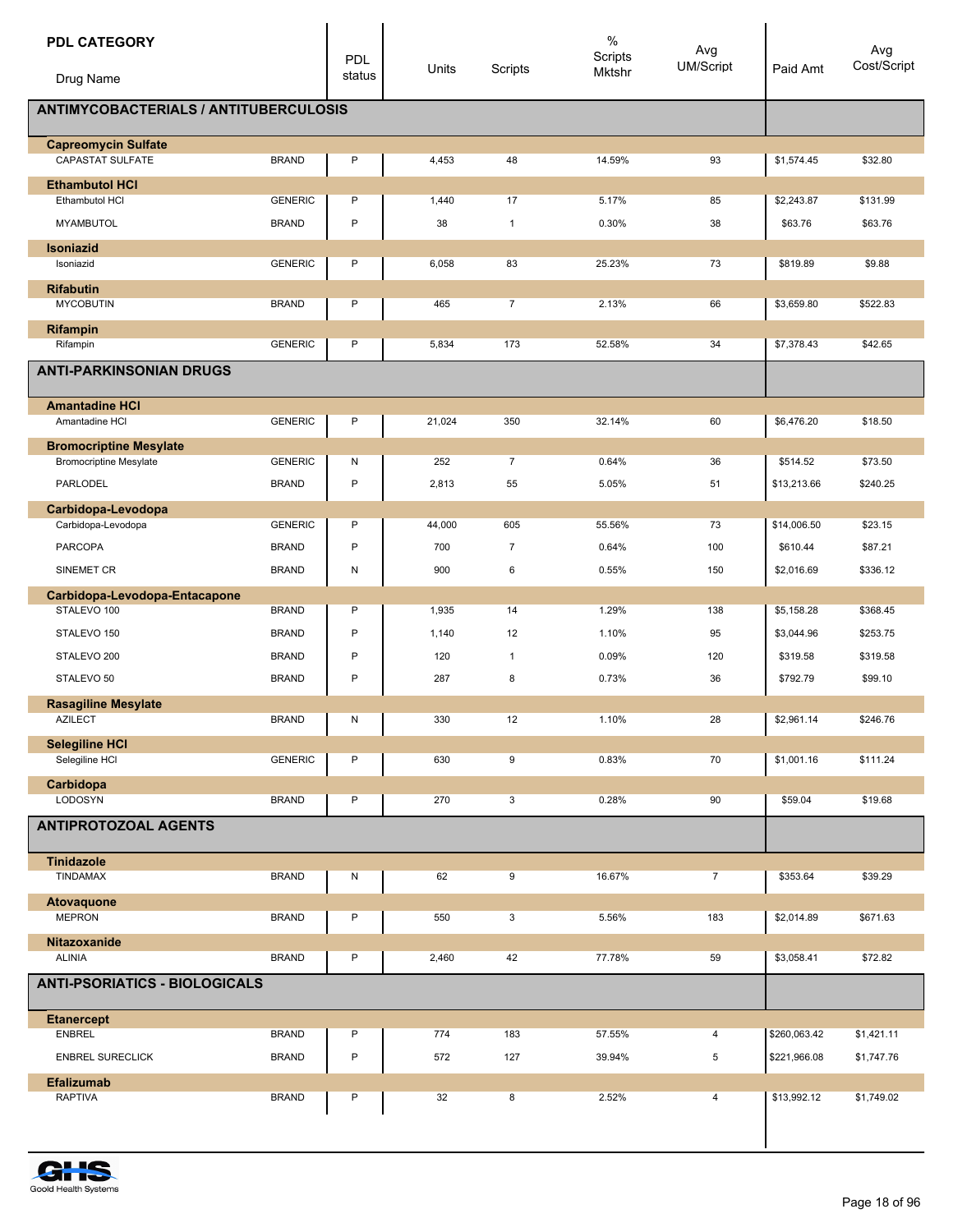| <b>PDL CATEGORY</b><br>Drug Name<br><b>ANTIMYCOBACTERIALS / ANTITUBERCULOSIS</b> |                | <b>PDL</b><br>status | Units  | Scripts        | $\%$<br>Scripts<br>Mktshr | Avg<br><b>UM/Script</b> | Paid Amt                | Avg<br>Cost/Script |
|----------------------------------------------------------------------------------|----------------|----------------------|--------|----------------|---------------------------|-------------------------|-------------------------|--------------------|
|                                                                                  |                |                      |        |                |                           |                         |                         |                    |
| <b>Capreomycin Sulfate</b><br>CAPASTAT SULFATE                                   | <b>BRAND</b>   | P                    | 4,453  | 48             | 14.59%                    | 93                      | \$1,574.45              | \$32.80            |
| <b>Ethambutol HCI</b>                                                            |                |                      |        |                |                           |                         |                         |                    |
| Ethambutol HCI                                                                   | <b>GENERIC</b> | P                    | 1,440  | 17             | 5.17%                     | 85                      | \$2,243.87              | \$131.99           |
| <b>MYAMBUTOL</b>                                                                 | <b>BRAND</b>   | P                    | 38     | $\mathbf{1}$   | 0.30%                     | 38                      | \$63.76                 | \$63.76            |
| <b>Isoniazid</b><br>Isoniazid                                                    | <b>GENERIC</b> | P                    | 6,058  | 83             | 25.23%                    | 73                      | \$819.89                | \$9.88             |
|                                                                                  |                |                      |        |                |                           |                         |                         |                    |
| <b>Rifabutin</b><br><b>MYCOBUTIN</b>                                             | <b>BRAND</b>   | P                    | 465    | $\overline{7}$ | 2.13%                     | 66                      | \$3,659.80              | \$522.83           |
| <b>Rifampin</b>                                                                  |                |                      |        |                |                           |                         |                         |                    |
| Rifampin                                                                         | <b>GENERIC</b> | P                    | 5,834  | 173            | 52.58%                    | 34                      | \$7,378.43              | \$42.65            |
| <b>ANTI-PARKINSONIAN DRUGS</b>                                                   |                |                      |        |                |                           |                         |                         |                    |
| <b>Amantadine HCI</b>                                                            |                |                      |        |                |                           |                         |                         |                    |
| Amantadine HCI                                                                   | <b>GENERIC</b> | P                    | 21,024 | 350            | 32.14%                    | 60                      | \$6,476.20              | \$18.50            |
| <b>Bromocriptine Mesylate</b>                                                    | <b>GENERIC</b> |                      | 252    | $\overline{7}$ | 0.64%                     | 36                      |                         | \$73.50            |
| <b>Bromocriptine Mesylate</b><br><b>PARLODEL</b>                                 | <b>BRAND</b>   | N<br>P               | 2,813  | 55             | 5.05%                     | 51                      | \$514.52<br>\$13,213.66 | \$240.25           |
|                                                                                  |                |                      |        |                |                           |                         |                         |                    |
| Carbidopa-Levodopa<br>Carbidopa-Levodopa                                         | <b>GENERIC</b> | P                    | 44,000 | 605            | 55.56%                    | 73                      | \$14,006.50             | \$23.15            |
| <b>PARCOPA</b>                                                                   | <b>BRAND</b>   | P                    | 700    | 7              | 0.64%                     | 100                     | \$610.44                | \$87.21            |
| SINEMET CR                                                                       | <b>BRAND</b>   | N                    | 900    | 6              | 0.55%                     | 150                     | \$2,016.69              | \$336.12           |
| Carbidopa-Levodopa-Entacapone                                                    |                |                      |        |                |                           |                         |                         |                    |
| STALEVO 100                                                                      | <b>BRAND</b>   | P                    | 1,935  | 14             | 1.29%                     | 138                     | \$5,158.28              | \$368.45           |
| STALEVO 150                                                                      | <b>BRAND</b>   | $\mathsf{P}$         | 1,140  | 12             | 1.10%                     | 95                      | \$3,044.96              | \$253.75           |
| STALEVO 200                                                                      | <b>BRAND</b>   | P                    | 120    | $\mathbf{1}$   | 0.09%                     | 120                     | \$319.58                | \$319.58           |
| STALEVO 50                                                                       | <b>BRAND</b>   | P                    | 287    | 8              | 0.73%                     | 36                      | \$792.79                | \$99.10            |
| <b>Rasagiline Mesvlate</b><br><b>AZILECT</b>                                     | <b>BRAND</b>   | N                    | 330    | 12             | 1.10%                     | 28                      | \$2,961.14              | \$246.76           |
| <b>Selegiline HCI</b>                                                            |                |                      |        |                |                           |                         |                         |                    |
| Selegiline HCI                                                                   | <b>GENERIC</b> | P                    | 630    | 9              | 0.83%                     | 70                      | \$1,001.16              | \$111.24           |
| Carbidopa                                                                        |                |                      |        |                |                           |                         |                         |                    |
| LODOSYN                                                                          | <b>BRAND</b>   | P                    | 270    | 3              | 0.28%                     | 90                      | \$59.04                 | \$19.68            |
| <b>ANTIPROTOZOAL AGENTS</b>                                                      |                |                      |        |                |                           |                         |                         |                    |
| <b>Tinidazole</b>                                                                |                |                      |        |                |                           |                         |                         |                    |
| TINDAMAX                                                                         | <b>BRAND</b>   | N                    | 62     | 9              | 16.67%                    | $\overline{7}$          | \$353.64                | \$39.29            |
| Atovaquone<br><b>MEPRON</b>                                                      | <b>BRAND</b>   | P                    | 550    | 3              | 5.56%                     | 183                     | \$2,014.89              | \$671.63           |
| Nitazoxanide                                                                     |                |                      |        |                |                           |                         |                         |                    |
| <b>ALINIA</b>                                                                    | <b>BRAND</b>   | P                    | 2,460  | 42             | 77.78%                    | 59                      | \$3,058.41              | \$72.82            |
| <b>ANTI-PSORIATICS - BIOLOGICALS</b>                                             |                |                      |        |                |                           |                         |                         |                    |
| <b>Etanercept</b>                                                                |                |                      |        |                |                           |                         |                         |                    |
| <b>ENBREL</b>                                                                    | <b>BRAND</b>   | P                    | 774    | 183            | 57.55%                    | 4                       | \$260,063.42            | \$1,421.11         |
| <b>ENBREL SURECLICK</b>                                                          | <b>BRAND</b>   | $\sf P$              | 572    | 127            | 39.94%                    | 5                       | \$221,966.08            | \$1,747.76         |
| <b>Efalizumab</b><br><b>RAPTIVA</b>                                              | <b>BRAND</b>   | P                    | 32     | 8              | 2.52%                     | 4                       | \$13,992.12             | \$1,749.02         |
|                                                                                  |                |                      |        |                |                           |                         |                         |                    |
|                                                                                  |                |                      |        |                |                           |                         |                         |                    |

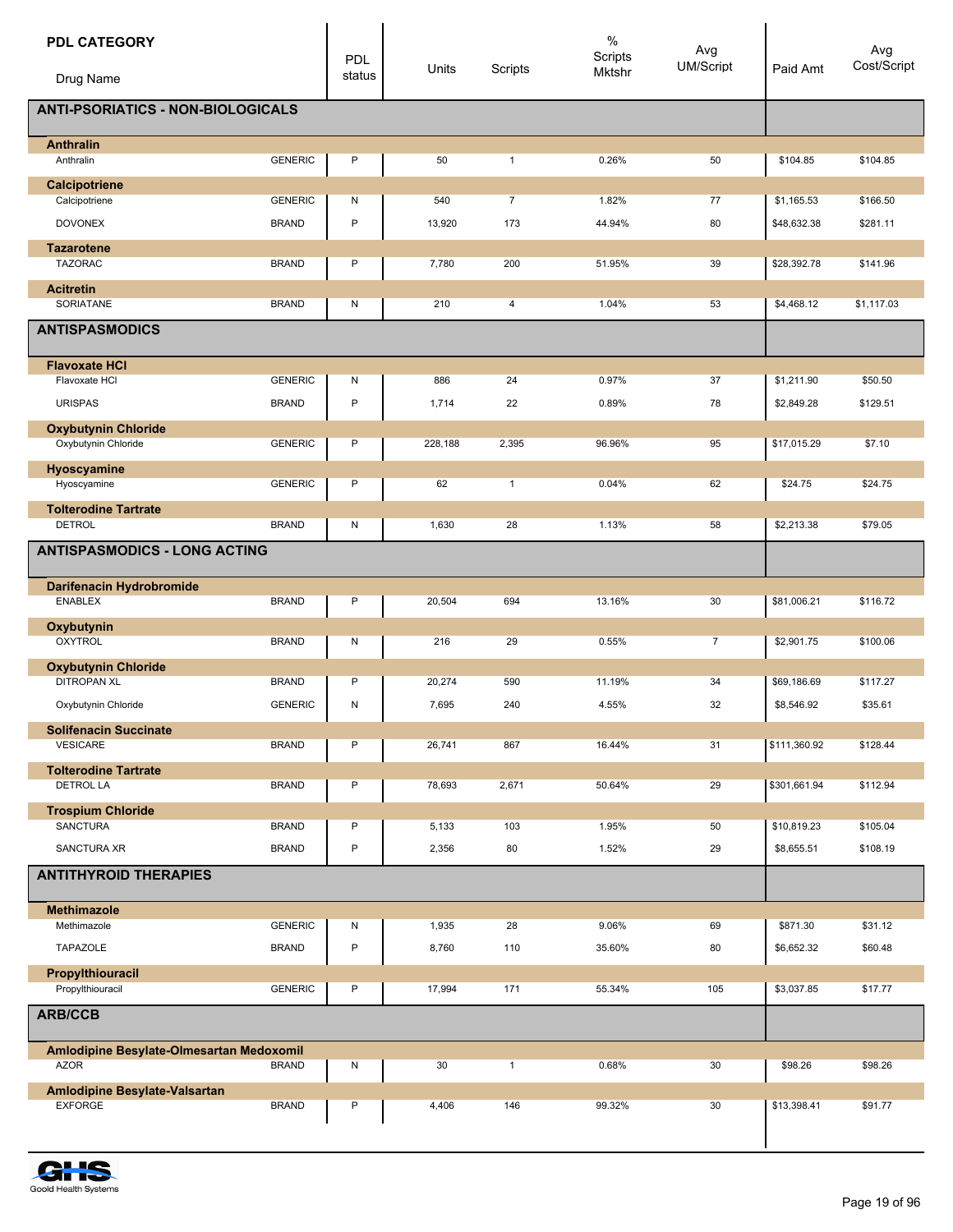| <b>PDL CATEGORY</b>                             |                                | <b>PDL</b><br>status | Units          | Scripts               | $\%$<br>Scripts<br>Mktshr | Avg<br>UM/Script | Paid Amt                  | Avg<br>Cost/Script   |  |  |
|-------------------------------------------------|--------------------------------|----------------------|----------------|-----------------------|---------------------------|------------------|---------------------------|----------------------|--|--|
| Drug Name                                       |                                |                      |                |                       |                           |                  |                           |                      |  |  |
| <b>ANTI-PSORIATICS - NON-BIOLOGICALS</b>        |                                |                      |                |                       |                           |                  |                           |                      |  |  |
| <b>Anthralin</b><br>Anthralin                   | <b>GENERIC</b>                 | P                    | 50             | $\mathbf{1}$          | 0.26%                     | 50               | \$104.85                  | \$104.85             |  |  |
| Calcipotriene                                   |                                |                      |                |                       |                           |                  |                           |                      |  |  |
| Calcipotriene<br><b>DOVONEX</b>                 | <b>GENERIC</b><br><b>BRAND</b> | Ν<br>$\mathsf{P}$    | 540<br>13,920  | $\overline{7}$<br>173 | 1.82%<br>44.94%           | 77<br>80         | \$1,165.53<br>\$48,632.38 | \$166.50<br>\$281.11 |  |  |
| <b>Tazarotene</b>                               |                                |                      |                |                       |                           |                  |                           |                      |  |  |
| <b>TAZORAC</b>                                  | <b>BRAND</b>                   | P                    | 7,780          | 200                   | 51.95%                    | 39               | \$28,392.78               | \$141.96             |  |  |
| <b>Acitretin</b>                                |                                |                      |                |                       |                           |                  |                           |                      |  |  |
| SORIATANE                                       | <b>BRAND</b>                   | N                    | 210            | 4                     | 1.04%                     | 53               | \$4,468.12                | \$1,117.03           |  |  |
| <b>ANTISPASMODICS</b>                           |                                |                      |                |                       |                           |                  |                           |                      |  |  |
| <b>Flavoxate HCI</b><br>Flavoxate HCI           | <b>GENERIC</b>                 | N                    | 886            | 24                    | 0.97%                     | 37               | \$1,211.90                | \$50.50              |  |  |
| <b>URISPAS</b>                                  | <b>BRAND</b>                   | P                    | 1,714          | 22                    | 0.89%                     | 78               | \$2,849.28                | \$129.51             |  |  |
| <b>Oxybutynin Chloride</b>                      |                                |                      |                |                       |                           |                  |                           |                      |  |  |
| Oxybutynin Chloride                             | <b>GENERIC</b>                 | P                    | 228,188        | 2,395                 | 96.96%                    | 95               | \$17,015.29               | \$7.10               |  |  |
| Hyoscyamine<br>Hyoscyamine                      | <b>GENERIC</b>                 | P                    | 62             | $\mathbf{1}$          | 0.04%                     | 62               | \$24.75                   | \$24.75              |  |  |
| <b>Tolterodine Tartrate</b>                     |                                |                      |                |                       |                           |                  |                           |                      |  |  |
| <b>DETROL</b>                                   | <b>BRAND</b>                   | N                    | 1,630          | 28                    | 1.13%                     | 58               | \$2,213.38                | \$79.05              |  |  |
| <b>ANTISPASMODICS - LONG ACTING</b>             |                                |                      |                |                       |                           |                  |                           |                      |  |  |
| Darifenacin Hydrobromide                        |                                |                      |                |                       |                           |                  |                           |                      |  |  |
| <b>ENABLEX</b>                                  | <b>BRAND</b>                   | P                    | 20,504         | 694                   | 13.16%                    | 30               | \$81,006.21               | \$116.72             |  |  |
| Oxybutynin<br><b>OXYTROL</b>                    | <b>BRAND</b>                   | N                    | 216            | 29                    | 0.55%                     | $\overline{7}$   | \$2,901.75                | \$100.06             |  |  |
| <b>Oxybutynin Chloride</b>                      |                                |                      |                |                       |                           |                  |                           |                      |  |  |
| <b>DITROPAN XL</b>                              | <b>BRAND</b>                   | Ρ                    | 20,274         | 590                   | 11.19%                    | 34               | \$69,186.69               | \$117.27             |  |  |
| Oxybutynin Chloride                             | <b>GENERIC</b>                 | N                    | 7,695          | 240                   | 4.55%                     | 32               | \$8,546.92                | \$35.61              |  |  |
| <b>Solifenacin Succinate</b><br><b>VESICARE</b> | <b>BRAND</b>                   | P                    | 26,741         | 867                   | 16.44%                    | 31               | \$111,360.92              | \$128.44             |  |  |
| <b>Tolterodine Tartrate</b>                     |                                |                      |                |                       |                           |                  |                           |                      |  |  |
| <b>DETROL LA</b>                                | <b>BRAND</b>                   | P                    | 78,693         | 2,671                 | 50.64%                    | 29               | \$301,661.94              | \$112.94             |  |  |
| <b>Trospium Chloride</b><br><b>SANCTURA</b>     |                                |                      |                |                       |                           |                  |                           |                      |  |  |
| SANCTURA XR                                     | <b>BRAND</b><br><b>BRAND</b>   | P<br>P               | 5,133<br>2,356 | 103<br>80             | 1.95%<br>1.52%            | 50<br>29         | \$10,819.23<br>\$8,655.51 | \$105.04<br>\$108.19 |  |  |
| <b>ANTITHYROID THERAPIES</b>                    |                                |                      |                |                       |                           |                  |                           |                      |  |  |
|                                                 |                                |                      |                |                       |                           |                  |                           |                      |  |  |
| <b>Methimazole</b><br>Methimazole               | <b>GENERIC</b>                 | N                    | 1,935          | 28                    | 9.06%                     | 69               | \$871.30                  | \$31.12              |  |  |
| TAPAZOLE                                        | <b>BRAND</b>                   | P                    | 8,760          | 110                   | 35.60%                    | 80               | \$6,652.32                | \$60.48              |  |  |
| Propylthiouracil                                |                                |                      |                |                       |                           |                  |                           |                      |  |  |
| Propylthiouracil                                | <b>GENERIC</b>                 | P                    | 17,994         | 171                   | 55.34%                    | 105              | \$3,037.85                | \$17.77              |  |  |
| <b>ARB/CCB</b>                                  |                                |                      |                |                       |                           |                  |                           |                      |  |  |
| Amlodipine Besylate-Olmesartan Medoxomil        |                                |                      |                |                       |                           |                  |                           |                      |  |  |
| <b>AZOR</b>                                     | <b>BRAND</b>                   | N                    | 30             | $\mathbf{1}$          | 0.68%                     | 30               | \$98.26                   | \$98.26              |  |  |
| Amlodipine Besylate-Valsartan<br><b>EXFORGE</b> | <b>BRAND</b>                   | P                    | 4,406          | 146                   | 99.32%                    | 30               | \$13,398.41               | \$91.77              |  |  |
|                                                 |                                |                      |                |                       |                           |                  |                           |                      |  |  |

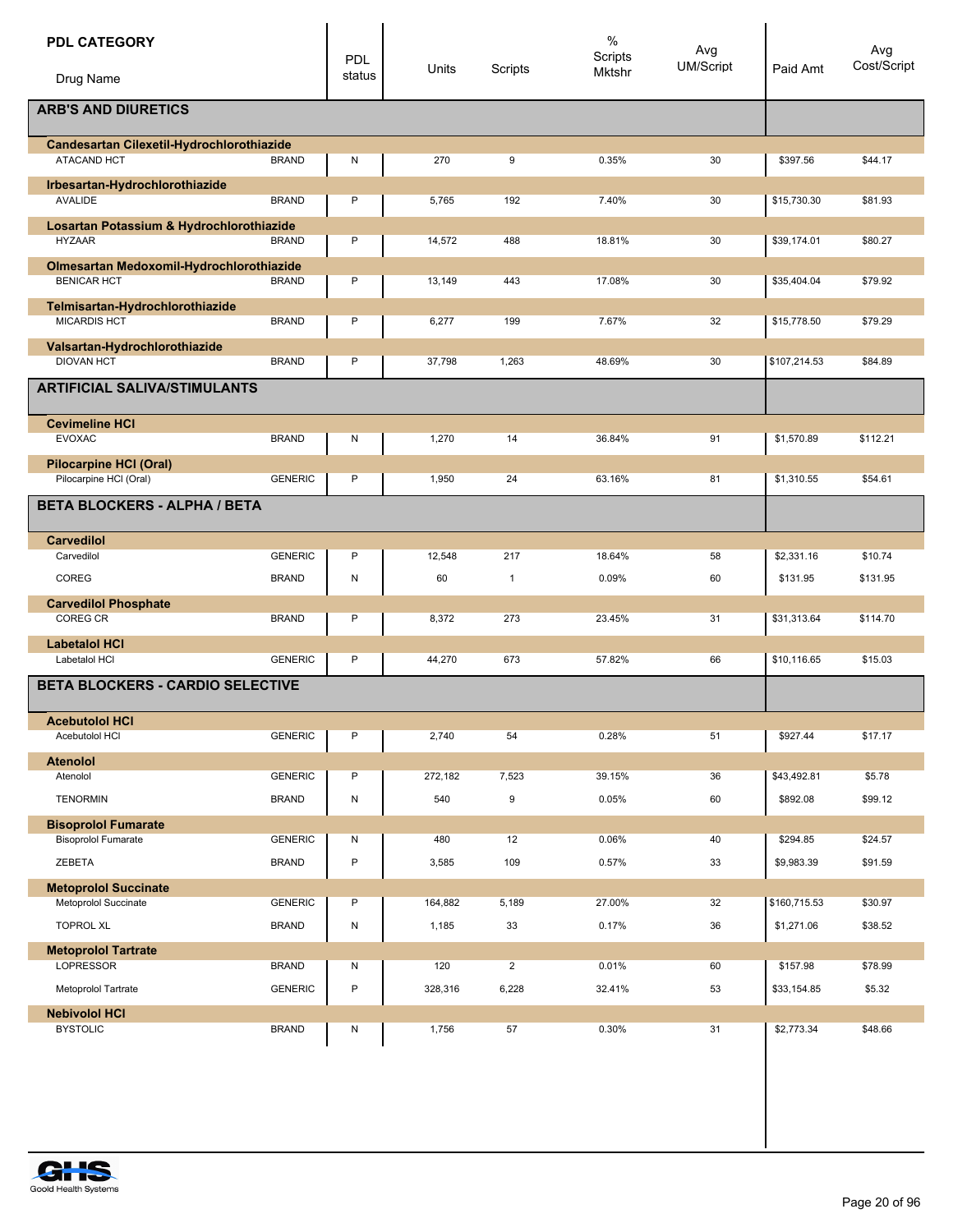| <b>PDL CATEGORY</b><br>Drug Name                        |                | <b>PDL</b><br>status | Units   | Scripts        | $\%$<br>Scripts<br>Mktshr | Avg<br>UM/Script | Paid Amt     | Avg<br>Cost/Script |  |  |
|---------------------------------------------------------|----------------|----------------------|---------|----------------|---------------------------|------------------|--------------|--------------------|--|--|
| <b>ARB'S AND DIURETICS</b>                              |                |                      |         |                |                           |                  |              |                    |  |  |
| Candesartan Cilexetil-Hydrochlorothiazide               |                |                      |         |                |                           |                  |              |                    |  |  |
| ATACAND HCT                                             | <b>BRAND</b>   | N                    | 270     | 9              | 0.35%                     | 30               | \$397.56     | \$44.17            |  |  |
| Irbesartan-Hydrochlorothiazide<br><b>AVALIDE</b>        | <b>BRAND</b>   | P                    | 5,765   | 192            | 7.40%                     | 30               | \$15,730.30  | \$81.93            |  |  |
| Losartan Potassium & Hydrochlorothiazide                |                |                      |         |                |                           |                  |              |                    |  |  |
| <b>HYZAAR</b>                                           | <b>BRAND</b>   | P                    | 14,572  | 488            | 18.81%                    | 30               | \$39,174.01  | \$80.27            |  |  |
| Olmesartan Medoxomil-Hydrochlorothiazide                |                |                      |         |                |                           |                  |              |                    |  |  |
| <b>BENICAR HCT</b>                                      | <b>BRAND</b>   | P                    | 13,149  | 443            | 17.08%                    | 30               | \$35,404.04  | \$79.92            |  |  |
| Telmisartan-Hydrochlorothiazide<br><b>MICARDIS HCT</b>  | <b>BRAND</b>   | P                    | 6,277   | 199            | 7.67%                     | 32               | \$15,778.50  | \$79.29            |  |  |
| Valsartan-Hydrochlorothiazide<br><b>DIOVAN HCT</b>      | <b>BRAND</b>   | P                    | 37,798  | 1,263          | 48.69%                    | 30               | \$107,214.53 | \$84.89            |  |  |
|                                                         |                |                      |         |                |                           |                  |              |                    |  |  |
| <b>ARTIFICIAL SALIVA/STIMULANTS</b>                     |                |                      |         |                |                           |                  |              |                    |  |  |
| <b>Cevimeline HCI</b><br><b>EVOXAC</b>                  |                |                      |         | 14             |                           | 91               |              |                    |  |  |
|                                                         | <b>BRAND</b>   | N                    | 1,270   |                | 36.84%                    |                  | \$1,570.89   | \$112.21           |  |  |
| <b>Pilocarpine HCI (Oral)</b><br>Pilocarpine HCl (Oral) | <b>GENERIC</b> | P                    | 1,950   | 24             | 63.16%                    | 81               | \$1,310.55   | \$54.61            |  |  |
| <b>BETA BLOCKERS - ALPHA / BETA</b>                     |                |                      |         |                |                           |                  |              |                    |  |  |
| <b>Carvedilol</b>                                       |                |                      |         |                |                           |                  |              |                    |  |  |
| Carvedilol                                              | <b>GENERIC</b> | P                    | 12,548  | 217            | 18.64%                    | 58               | \$2,331.16   | \$10.74            |  |  |
| COREG                                                   | <b>BRAND</b>   | N                    | 60      | $\mathbf{1}$   | 0.09%                     | 60               | \$131.95     | \$131.95           |  |  |
| <b>Carvedilol Phosphate</b>                             |                |                      |         |                |                           |                  |              |                    |  |  |
| <b>COREG CR</b>                                         | <b>BRAND</b>   | P                    | 8,372   | 273            | 23.45%                    | 31               | \$31,313.64  | \$114.70           |  |  |
| <b>Labetalol HCI</b>                                    |                |                      |         |                |                           |                  |              |                    |  |  |
| Labetalol HCI                                           | <b>GENERIC</b> | P                    | 44,270  | 673            | 57.82%                    | 66               | \$10,116.65  | \$15.03            |  |  |
| <b>BETA BLOCKERS - CARDIO SELECTIVE</b>                 |                |                      |         |                |                           |                  |              |                    |  |  |
| <b>Acebutolol HCI</b><br>Acebutolol HCI                 | <b>GENERIC</b> | P                    | 2,740   | 54             | 0.28%                     | 51               | \$927.44     | \$17.17            |  |  |
| <b>Atenolol</b>                                         |                |                      |         |                |                           |                  |              |                    |  |  |
| Atenolol                                                | <b>GENERIC</b> | P                    | 272,182 | 7,523          | 39.15%                    | 36               | \$43,492.81  | \$5.78             |  |  |
| <b>TENORMIN</b>                                         | <b>BRAND</b>   | ${\sf N}$            | 540     | 9              | 0.05%                     | 60               | \$892.08     | \$99.12            |  |  |
| <b>Bisoprolol Fumarate</b>                              |                |                      |         |                |                           |                  |              |                    |  |  |
| <b>Bisoprolol Fumarate</b>                              | <b>GENERIC</b> | N                    | 480     | 12             | 0.06%                     | 40               | \$294.85     | \$24.57            |  |  |
| ZEBETA                                                  | <b>BRAND</b>   | $\mathsf{P}$         | 3,585   | 109            | 0.57%                     | 33               | \$9,983.39   | \$91.59            |  |  |
| <b>Metoprolol Succinate</b>                             |                |                      |         |                |                           |                  |              |                    |  |  |
| Metoprolol Succinate                                    | <b>GENERIC</b> | P                    | 164,882 | 5,189          | 27.00%                    | 32               | \$160,715.53 | \$30.97            |  |  |
| <b>TOPROL XL</b>                                        | <b>BRAND</b>   | N                    | 1,185   | 33             | 0.17%                     | 36               | \$1,271.06   | \$38.52            |  |  |
| <b>Metoprolol Tartrate</b>                              |                |                      |         |                |                           |                  |              |                    |  |  |
| <b>LOPRESSOR</b>                                        | <b>BRAND</b>   | N                    | 120     | $\overline{2}$ | 0.01%                     | 60               | \$157.98     | \$78.99            |  |  |
| Metoprolol Tartrate                                     | <b>GENERIC</b> | $\mathsf{P}$         | 328,316 | 6,228          | 32.41%                    | 53               | \$33,154.85  | \$5.32             |  |  |
| <b>Nebivolol HCI</b>                                    |                |                      |         |                |                           |                  |              |                    |  |  |
| <b>BYSTOLIC</b>                                         | <b>BRAND</b>   | N                    | 1,756   | 57             | 0.30%                     | 31               | \$2,773.34   | \$48.66            |  |  |

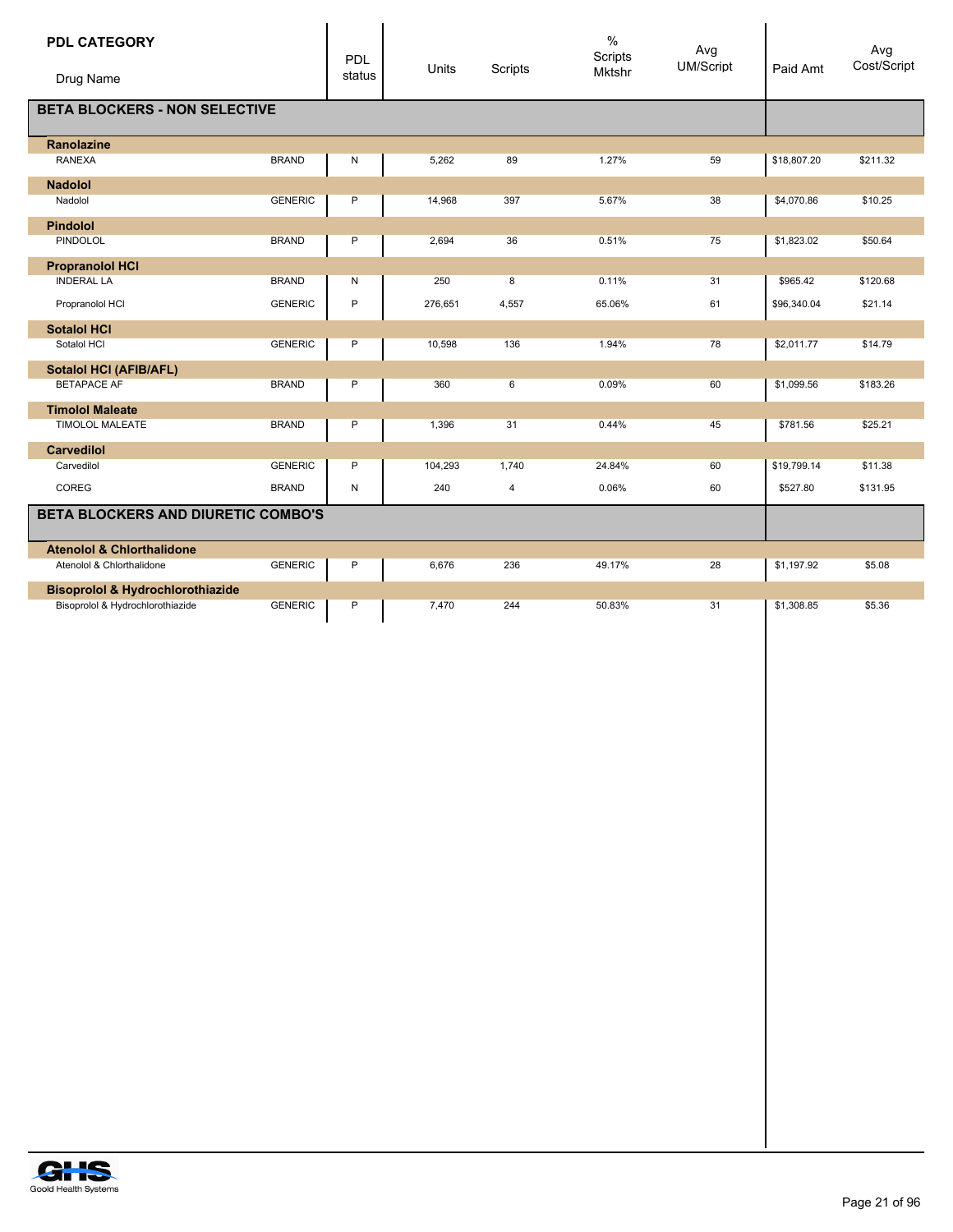| <b>PDL CATEGORY</b>                                               |                                           | PDL    | Units   | Scripts | $\%$<br>Scripts | Avg<br><b>UM/Script</b> | Paid Amt    | Avg<br>Cost/Script |  |
|-------------------------------------------------------------------|-------------------------------------------|--------|---------|---------|-----------------|-------------------------|-------------|--------------------|--|
| Drug Name                                                         |                                           | status |         |         | <b>Mktshr</b>   |                         |             |                    |  |
| <b>BETA BLOCKERS - NON SELECTIVE</b>                              |                                           |        |         |         |                 |                         |             |                    |  |
| Ranolazine                                                        |                                           |        |         |         |                 |                         |             |                    |  |
| <b>RANEXA</b>                                                     | <b>BRAND</b>                              | N      | 5,262   | 89      | 1.27%           | 59                      | \$18,807.20 | \$211.32           |  |
| <b>Nadolol</b>                                                    |                                           |        |         |         |                 |                         |             |                    |  |
| Nadolol                                                           | <b>GENERIC</b>                            | P      | 14,968  | 397     | 5.67%           | 38                      | \$4,070.86  | \$10.25            |  |
| <b>Pindolol</b>                                                   |                                           |        |         |         |                 |                         |             |                    |  |
| PINDOLOL                                                          | <b>BRAND</b>                              | Ρ      | 2,694   | 36      | 0.51%           | 75                      | \$1,823.02  | \$50.64            |  |
| <b>Propranolol HCI</b>                                            |                                           |        |         |         |                 |                         |             |                    |  |
| <b>INDERAL LA</b>                                                 | <b>BRAND</b>                              | N      | 250     | 8       | 0.11%           | 31                      | \$965.42    | \$120.68           |  |
| Propranolol HCI                                                   | <b>GENERIC</b>                            | P      | 276,651 | 4,557   | 65.06%          | 61                      | \$96,340.04 | \$21.14            |  |
| <b>Sotalol HCI</b>                                                |                                           |        |         |         |                 |                         |             |                    |  |
| Sotalol HCI                                                       | <b>GENERIC</b>                            | Ρ      | 10,598  | 136     | 1.94%           | 78                      | \$2,011.77  | \$14.79            |  |
| <b>Sotalol HCI (AFIB/AFL)</b>                                     |                                           |        |         |         |                 |                         |             |                    |  |
| <b>BETAPACE AF</b>                                                | <b>BRAND</b>                              | Ρ      | 360     | 6       | 0.09%           | 60                      | \$1,099.56  | \$183.26           |  |
| <b>Timolol Maleate</b>                                            |                                           |        |         |         |                 |                         |             |                    |  |
| <b>TIMOLOL MALEATE</b>                                            | <b>BRAND</b>                              | P      | 1,396   | 31      | 0.44%           | 45                      | \$781.56    | \$25.21            |  |
| <b>Carvedilol</b>                                                 |                                           |        |         |         |                 |                         |             |                    |  |
| Carvedilol                                                        | <b>GENERIC</b>                            | Ρ      | 104,293 | 1,740   | 24.84%          | 60                      | \$19,799.14 | \$11.38            |  |
| <b>COREG</b>                                                      | <b>BRAND</b>                              | N      | 240     | 4       | 0.06%           | 60                      | \$527.80    | \$131.95           |  |
|                                                                   | <b>BETA BLOCKERS AND DIURETIC COMBO'S</b> |        |         |         |                 |                         |             |                    |  |
|                                                                   |                                           |        |         |         |                 |                         |             |                    |  |
| <b>Atenolol &amp; Chlorthalidone</b><br>Atenolol & Chlorthalidone | <b>GENERIC</b>                            | P      | 6,676   | 236     | 49.17%          | 28                      | \$1,197.92  | \$5.08             |  |
|                                                                   |                                           |        |         |         |                 |                         |             |                    |  |
| <b>Bisoprolol &amp; Hydrochlorothiazide</b>                       |                                           |        |         |         |                 |                         |             |                    |  |
| Bisoprolol & Hydrochlorothiazide                                  | <b>GENERIC</b>                            | P      | 7,470   | 244     | 50.83%          | 31                      | \$1,308.85  | \$5.36             |  |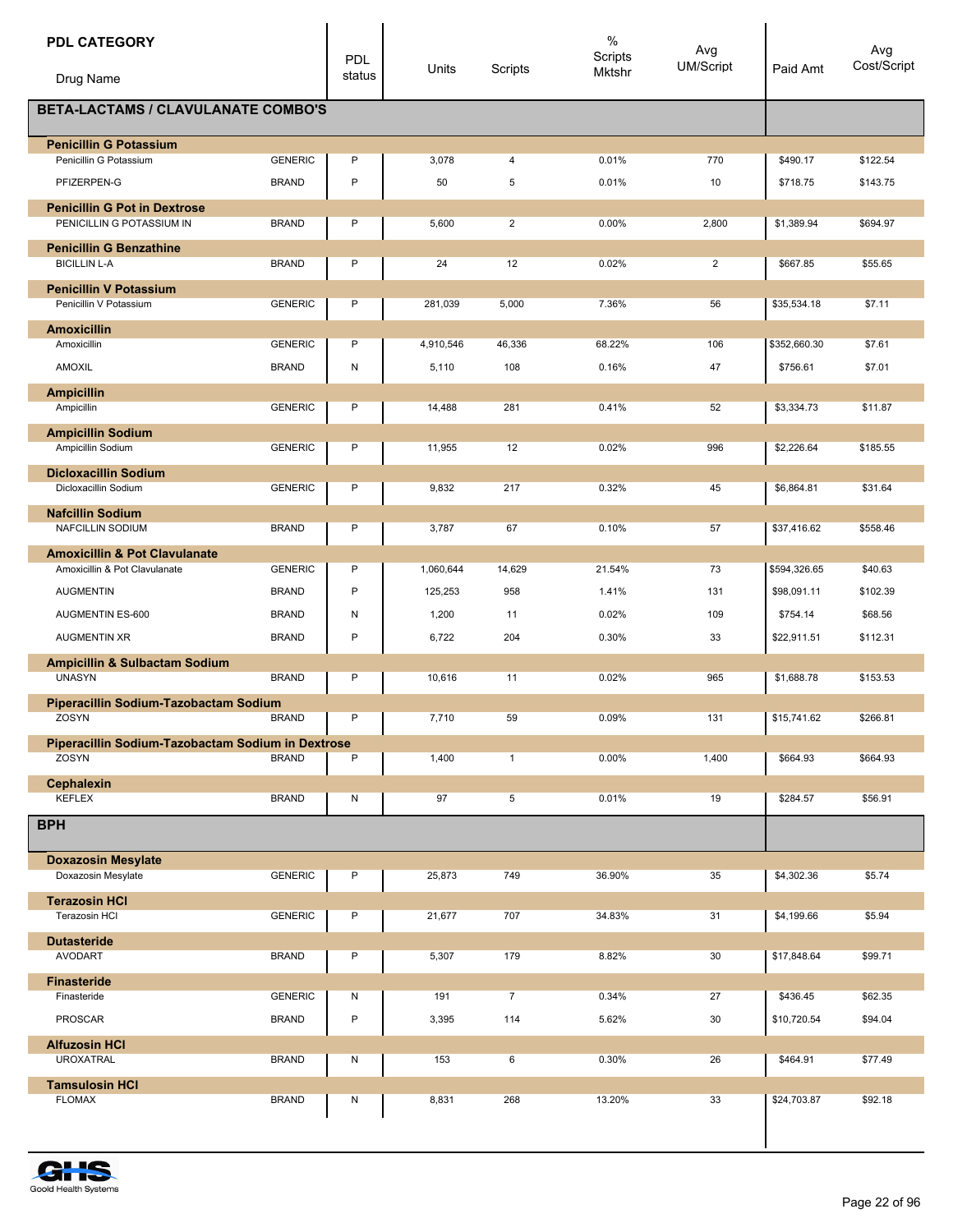| <b>PDL CATEGORY</b>                                                       |                                | <b>PDL</b> | Units       | Scripts        | $\%$<br>Scripts | Avg<br><b>UM/Script</b> | Paid Amt             | Avg<br>Cost/Script   |
|---------------------------------------------------------------------------|--------------------------------|------------|-------------|----------------|-----------------|-------------------------|----------------------|----------------------|
| Drug Name                                                                 |                                | status     |             |                | Mktshr          |                         |                      |                      |
| <b>BETA-LACTAMS / CLAVULANATE COMBO'S</b>                                 |                                |            |             |                |                 |                         |                      |                      |
| <b>Penicillin G Potassium</b>                                             |                                |            |             |                |                 |                         |                      |                      |
| Penicillin G Potassium<br>PFIZERPEN-G                                     | <b>GENERIC</b><br><b>BRAND</b> | P<br>P     | 3,078<br>50 | 4<br>5         | 0.01%<br>0.01%  | 770<br>10               | \$490.17<br>\$718.75 | \$122.54<br>\$143.75 |
| <b>Penicillin G Pot in Dextrose</b>                                       |                                |            |             |                |                 |                         |                      |                      |
| PENICILLIN G POTASSIUM IN                                                 | <b>BRAND</b>                   | P          | 5,600       | $\overline{2}$ | 0.00%           | 2,800                   | \$1,389.94           | \$694.97             |
| <b>Penicillin G Benzathine</b>                                            |                                |            |             |                |                 |                         |                      |                      |
| <b>BICILLIN L-A</b>                                                       | <b>BRAND</b>                   | P          | 24          | 12             | 0.02%           | $\overline{2}$          | \$667.85             | \$55.65              |
| <b>Penicillin V Potassium</b><br>Penicillin V Potassium                   | <b>GENERIC</b>                 | P          | 281,039     | 5,000          | 7.36%           | 56                      | \$35,534.18          | \$7.11               |
| <b>Amoxicillin</b><br>Amoxicillin                                         | <b>GENERIC</b>                 | P          | 4,910,546   | 46,336         | 68.22%          | 106                     | \$352,660.30         | \$7.61               |
| AMOXIL                                                                    | <b>BRAND</b>                   | N          | 5,110       | 108            | 0.16%           | 47                      | \$756.61             | \$7.01               |
| <b>Ampicillin</b>                                                         |                                |            |             |                |                 |                         |                      |                      |
| Ampicillin                                                                | <b>GENERIC</b>                 | P          | 14,488      | 281            | 0.41%           | 52                      | \$3,334.73           | \$11.87              |
| <b>Ampicillin Sodium</b>                                                  |                                |            |             |                |                 |                         |                      |                      |
| Ampicillin Sodium                                                         | <b>GENERIC</b>                 | P          | 11,955      | 12             | 0.02%           | 996                     | \$2,226.64           | \$185.55             |
| <b>Dicloxacillin Sodium</b><br>Dicloxacillin Sodium                       | <b>GENERIC</b>                 | P          | 9,832       | 217            | 0.32%           | 45                      | \$6,864.81           | \$31.64              |
| <b>Nafcillin Sodium</b><br>NAFCILLIN SODIUM                               | <b>BRAND</b>                   | P          | 3,787       | 67             | 0.10%           | 57                      | \$37,416.62          | \$558.46             |
|                                                                           |                                |            |             |                |                 |                         |                      |                      |
| <b>Amoxicillin &amp; Pot Clavulanate</b><br>Amoxicillin & Pot Clavulanate | <b>GENERIC</b>                 | P          | 1,060,644   | 14,629         | 21.54%          | 73                      | \$594,326.65         | \$40.63              |
| <b>AUGMENTIN</b>                                                          | <b>BRAND</b>                   | P          | 125,253     | 958            | 1.41%           | 131                     | \$98,091.11          | \$102.39             |
| AUGMENTIN ES-600                                                          | <b>BRAND</b>                   | N          | 1,200       | 11             | 0.02%           | 109                     | \$754.14             | \$68.56              |
| <b>AUGMENTIN XR</b>                                                       | <b>BRAND</b>                   | P          | 6,722       | 204            | 0.30%           | 33                      | \$22,911.51          | \$112.31             |
| <b>Ampicillin &amp; Sulbactam Sodium</b>                                  |                                |            |             |                |                 |                         |                      |                      |
| <b>UNASYN</b>                                                             | <b>BRAND</b>                   | P          | 10,616      | 11             | 0.02%           | 965                     | \$1,688.78           | \$153.53             |
| Piperacillin Sodium-Tazobactam Sodium<br>ZOSYN                            | <b>BRAND</b>                   | P          | 7,710       | 59             | 0.09%           | 131                     | \$15,741.62          | \$266.81             |
| Piperacillin Sodium-Tazobactam Sodium in Dextrose                         |                                |            |             |                |                 |                         |                      |                      |
| ZOSYN                                                                     | <b>BRAND</b>                   | P          | 1,400       | $\mathbf{1}$   | 0.00%           | 1,400                   | \$664.93             | \$664.93             |
| Cephalexin<br><b>KEFLEX</b>                                               | <b>BRAND</b>                   | N          | 97          | 5              | 0.01%           | 19                      | \$284.57             | \$56.91              |
| <b>BPH</b>                                                                |                                |            |             |                |                 |                         |                      |                      |
| <b>Doxazosin Mesylate</b>                                                 |                                |            |             |                |                 |                         |                      |                      |
| Doxazosin Mesylate                                                        | <b>GENERIC</b>                 | P          | 25,873      | 749            | 36.90%          | 35                      | \$4,302.36           | \$5.74               |
| <b>Terazosin HCI</b><br>Terazosin HCI                                     | <b>GENERIC</b>                 | P          | 21,677      | 707            | 34.83%          | 31                      | \$4,199.66           | \$5.94               |
| <b>Dutasteride</b><br><b>AVODART</b>                                      | <b>BRAND</b>                   | P          | 5,307       | 179            | 8.82%           | 30                      | \$17,848.64          | \$99.71              |
|                                                                           |                                |            |             |                |                 |                         |                      |                      |
| <b>Finasteride</b><br>Finasteride                                         | <b>GENERIC</b>                 | N          | 191         | $\overline{7}$ | 0.34%           | 27                      | \$436.45             | \$62.35              |
| <b>PROSCAR</b>                                                            | <b>BRAND</b>                   | P          | 3,395       | 114            | 5.62%           | 30                      | \$10,720.54          | \$94.04              |
| <b>Alfuzosin HCI</b><br><b>UROXATRAL</b>                                  | <b>BRAND</b>                   | N          | 153         | 6              | 0.30%           | 26                      | \$464.91             | \$77.49              |
| <b>Tamsulosin HCI</b>                                                     |                                |            |             |                |                 |                         |                      |                      |
| <b>FLOMAX</b>                                                             | <b>BRAND</b>                   | Ν          | 8,831       | 268            | 13.20%          | 33                      | \$24,703.87          | \$92.18              |
|                                                                           |                                |            |             |                |                 |                         |                      |                      |

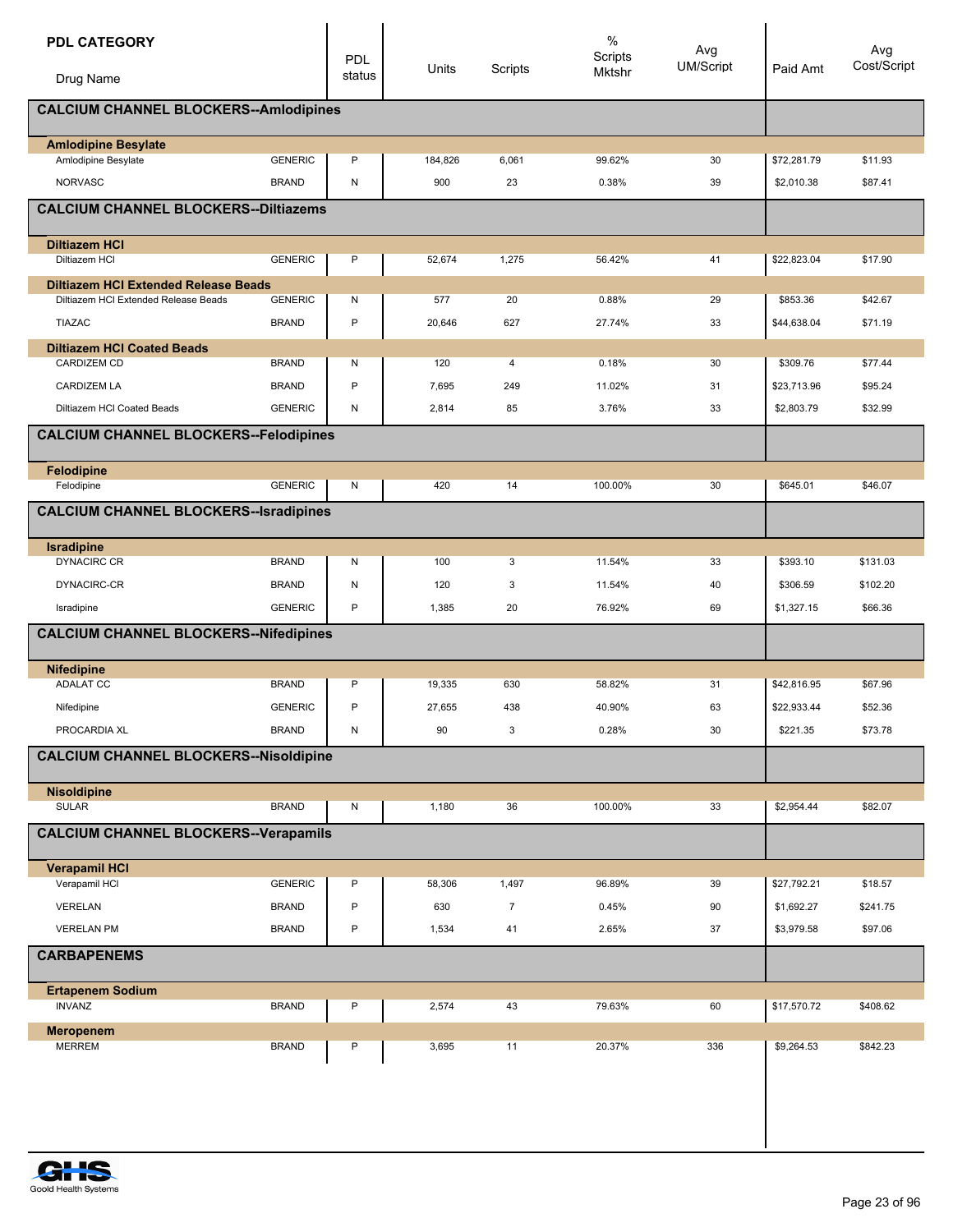| <b>PDL CATEGORY</b>                                                                 |                | <b>PDL</b>   | Units   |                | $\%$<br>Scripts | Avg<br><b>UM/Script</b> | Paid Amt                 | Avg<br>Cost/Script  |  |
|-------------------------------------------------------------------------------------|----------------|--------------|---------|----------------|-----------------|-------------------------|--------------------------|---------------------|--|
| Drug Name                                                                           |                | status       |         | Scripts        | Mktshr          |                         |                          |                     |  |
| <b>CALCIUM CHANNEL BLOCKERS--Amlodipines</b>                                        |                |              |         |                |                 |                         |                          |                     |  |
| <b>Amlodipine Besylate</b><br>Amlodipine Besylate                                   | <b>GENERIC</b> | P            | 184,826 | 6,061          | 99.62%          | 30                      | \$72,281.79              | \$11.93             |  |
| <b>NORVASC</b>                                                                      | <b>BRAND</b>   | N            | 900     | 23             | 0.38%           | 39                      | \$2,010.38               | \$87.41             |  |
| <b>CALCIUM CHANNEL BLOCKERS--Diltiazems</b>                                         |                |              |         |                |                 |                         |                          |                     |  |
|                                                                                     |                |              |         |                |                 |                         |                          |                     |  |
| <b>Diltiazem HCI</b><br>Diltiazem HCI                                               | <b>GENERIC</b> | P            | 52,674  | 1,275          | 56.42%          | 41                      | \$22,823.04              | \$17.90             |  |
|                                                                                     |                |              |         |                |                 |                         |                          |                     |  |
| <b>Diltiazem HCI Extended Release Beads</b><br>Diltiazem HCI Extended Release Beads | <b>GENERIC</b> | Ν            | 577     | 20             | 0.88%           | 29                      | \$853.36                 | \$42.67             |  |
| <b>TIAZAC</b>                                                                       | <b>BRAND</b>   | $\mathsf{P}$ | 20,646  | 627            | 27.74%          | 33                      | \$44,638.04              | \$71.19             |  |
| <b>Diltiazem HCI Coated Beads</b>                                                   |                |              |         |                |                 |                         |                          |                     |  |
| <b>CARDIZEM CD</b>                                                                  | <b>BRAND</b>   | N            | 120     | 4              | 0.18%           | 30                      | \$309.76                 | \$77.44             |  |
| <b>CARDIZEM LA</b>                                                                  | <b>BRAND</b>   | P            | 7,695   | 249            | 11.02%          | 31                      | \$23,713.96              | \$95.24             |  |
| Diltiazem HCI Coated Beads                                                          | <b>GENERIC</b> | N            | 2,814   | 85             | 3.76%           | 33                      | \$2,803.79               | \$32.99             |  |
| <b>CALCIUM CHANNEL BLOCKERS--Felodipines</b>                                        |                |              |         |                |                 |                         |                          |                     |  |
| Felodipine                                                                          | <b>GENERIC</b> |              | 420     |                |                 | 30                      |                          |                     |  |
| Felodipine                                                                          |                | N            |         | 14             | 100.00%         |                         | \$645.01                 | \$46.07             |  |
| <b>CALCIUM CHANNEL BLOCKERS--Isradipines</b>                                        |                |              |         |                |                 |                         |                          |                     |  |
| Isradipine<br><b>DYNACIRC CR</b>                                                    | <b>BRAND</b>   | N            | 100     | 3              | 11.54%          | 33                      | \$393.10                 | \$131.03            |  |
| DYNACIRC-CR                                                                         | <b>BRAND</b>   | N            | 120     | 3              | 11.54%          | 40                      | \$306.59                 | \$102.20            |  |
| Isradipine                                                                          | <b>GENERIC</b> | P            | 1,385   | 20             | 76.92%          | 69                      | \$1,327.15               | \$66.36             |  |
| <b>CALCIUM CHANNEL BLOCKERS--Nifedipines</b>                                        |                |              |         |                |                 |                         |                          |                     |  |
|                                                                                     |                |              |         |                |                 |                         |                          |                     |  |
| <b>Nifedipine</b>                                                                   |                |              |         |                |                 |                         |                          |                     |  |
| <b>ADALAT CC</b>                                                                    | <b>BRAND</b>   | P            | 19,335  | 630            | 58.82%          | 31                      | \$42,816.95              | \$67.96             |  |
| Nifedipine                                                                          | <b>GENERIC</b> | P            | 27,655  | 438            | 40.90%          | 63                      | \$22,933.44              | \$52.36             |  |
| PROCARDIA XL                                                                        | <b>BRAND</b>   | N            | 90      | 3              | 0.28%           | 30                      | \$221.35                 | \$73.78             |  |
| <b>CALCIUM CHANNEL BLOCKERS--Nisoldipine</b>                                        |                |              |         |                |                 |                         |                          |                     |  |
| <b>Nisoldipine</b><br><b>SULAR</b>                                                  | <b>BRAND</b>   | N            | 1,180   | 36             | 100.00%         | 33                      | \$2,954.44               | \$82.07             |  |
| <b>CALCIUM CHANNEL BLOCKERS--Verapamils</b>                                         |                |              |         |                |                 |                         |                          |                     |  |
|                                                                                     |                |              |         |                |                 |                         |                          |                     |  |
| <b>Verapamil HCI</b><br>Verapamil HCI                                               | <b>GENERIC</b> | P            | 58,306  | 1,497          | 96.89%          | 39                      | \$27,792.21              | \$18.57             |  |
| VERELAN                                                                             | <b>BRAND</b>   | P            | 630     | $\overline{7}$ | 0.45%           |                         |                          |                     |  |
| <b>VERELAN PM</b>                                                                   | <b>BRAND</b>   | P            | 1,534   | 41             | 2.65%           | 90<br>37                | \$1,692.27<br>\$3,979.58 | \$241.75<br>\$97.06 |  |
| <b>CARBAPENEMS</b>                                                                  |                |              |         |                |                 |                         |                          |                     |  |
|                                                                                     |                |              |         |                |                 |                         |                          |                     |  |
| <b>Ertapenem Sodium</b><br><b>INVANZ</b>                                            | <b>BRAND</b>   | Ρ            | 2,574   | 43             | 79.63%          | 60                      | \$17,570.72              | \$408.62            |  |
| <b>Meropenem</b><br><b>MERREM</b>                                                   | <b>BRAND</b>   | Ρ            | 3,695   | 11             | 20.37%          | 336                     | \$9,264.53               | \$842.23            |  |
|                                                                                     |                |              |         |                |                 |                         |                          |                     |  |
|                                                                                     |                |              |         |                |                 |                         |                          |                     |  |
|                                                                                     |                |              |         |                |                 |                         |                          |                     |  |
|                                                                                     |                |              |         |                |                 |                         |                          |                     |  |

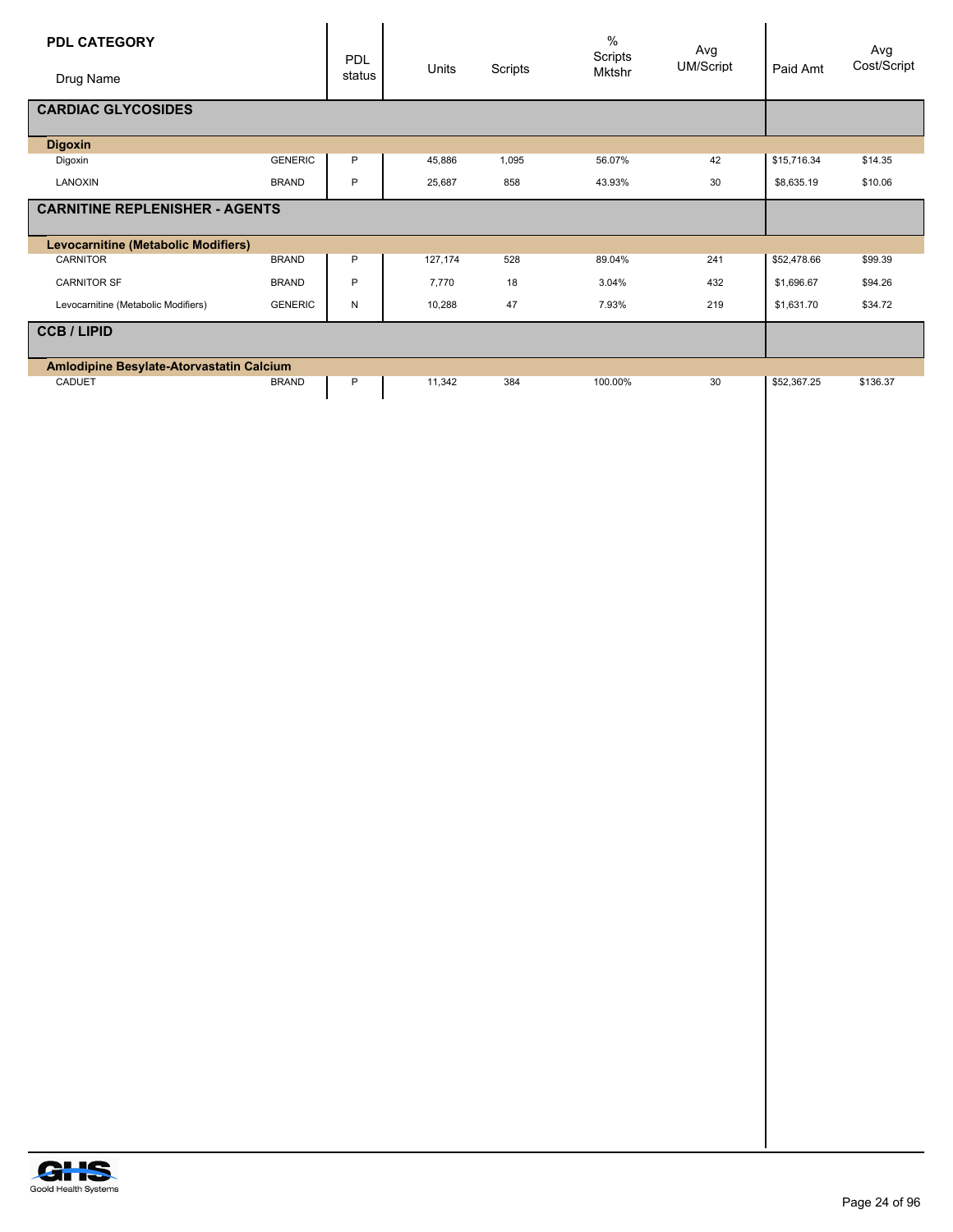| PDL CATEGORY                                    |                | PDL          | Units   | Scripts | $\%$<br>Scripts<br>Mktshr | Avg<br>UM/Script | Paid Amt    | Avg<br>Cost/Script |
|-------------------------------------------------|----------------|--------------|---------|---------|---------------------------|------------------|-------------|--------------------|
| Drug Name                                       |                | status       |         |         |                           |                  |             |                    |
| <b>CARDIAC GLYCOSIDES</b>                       |                |              |         |         |                           |                  |             |                    |
| <b>Digoxin</b><br>Digoxin                       | <b>GENERIC</b> | $\mathsf{P}$ | 45,886  | 1,095   | 56.07%                    | 42               | \$15,716.34 | \$14.35            |
| LANOXIN                                         | <b>BRAND</b>   | $\sf P$      | 25,687  | 858     | 43.93%                    | $30\,$           | \$8,635.19  | \$10.06            |
| <b>CARNITINE REPLENISHER - AGENTS</b>           |                |              |         |         |                           |                  |             |                    |
| Levocarnitine (Metabolic Modifiers)<br>CARNITOR | <b>BRAND</b>   | ${\sf P}$    | 127,174 | 528     | 89.04%                    | 241              | \$52,478.66 | \$99.39            |
| CARNITOR SF                                     | <b>BRAND</b>   | $\mathsf{P}$ | 7,770   | $18$    | 3.04%                     | 432              | \$1,696.67  | \$94.26            |
| Levocarnitine (Metabolic Modifiers)             | GENERIC        | N            | 10,288  | $47\,$  | 7.93%                     | 219              | \$1,631.70  | \$34.72            |
| <b>CCB/LIPID</b>                                |                |              |         |         |                           |                  |             |                    |
| Amlodipine Besylate-Atorvastatin Calcium        |                |              |         |         |                           |                  |             |                    |
| CADUET                                          | <b>BRAND</b>   | ${\sf P}$    | 11,342  | 384     | 100.00%                   | 30               | \$52,367.25 | \$136.37           |
|                                                 |                |              |         |         |                           |                  |             |                    |
|                                                 |                |              |         |         |                           |                  |             |                    |
|                                                 |                |              |         |         |                           |                  |             |                    |
|                                                 |                |              |         |         |                           |                  |             |                    |
|                                                 |                |              |         |         |                           |                  |             |                    |
|                                                 |                |              |         |         |                           |                  |             |                    |
|                                                 |                |              |         |         |                           |                  |             |                    |
|                                                 |                |              |         |         |                           |                  |             |                    |
|                                                 |                |              |         |         |                           |                  |             |                    |
|                                                 |                |              |         |         |                           |                  |             |                    |
|                                                 |                |              |         |         |                           |                  |             |                    |
|                                                 |                |              |         |         |                           |                  |             |                    |
|                                                 |                |              |         |         |                           |                  |             |                    |
|                                                 |                |              |         |         |                           |                  |             |                    |
|                                                 |                |              |         |         |                           |                  |             |                    |
|                                                 |                |              |         |         |                           |                  |             |                    |
|                                                 |                |              |         |         |                           |                  |             |                    |
|                                                 |                |              |         |         |                           |                  |             |                    |
|                                                 |                |              |         |         |                           |                  |             |                    |
|                                                 |                |              |         |         |                           |                  |             |                    |
|                                                 |                |              |         |         |                           |                  |             |                    |
|                                                 |                |              |         |         |                           |                  |             |                    |
|                                                 |                |              |         |         |                           |                  |             |                    |
|                                                 |                |              |         |         |                           |                  |             |                    |
|                                                 |                |              |         |         |                           |                  |             |                    |
|                                                 |                |              |         |         |                           |                  |             |                    |
|                                                 |                |              |         |         |                           |                  |             |                    |
|                                                 |                |              |         |         |                           |                  |             |                    |
|                                                 |                |              |         |         |                           |                  |             |                    |
|                                                 |                |              |         |         |                           |                  |             |                    |

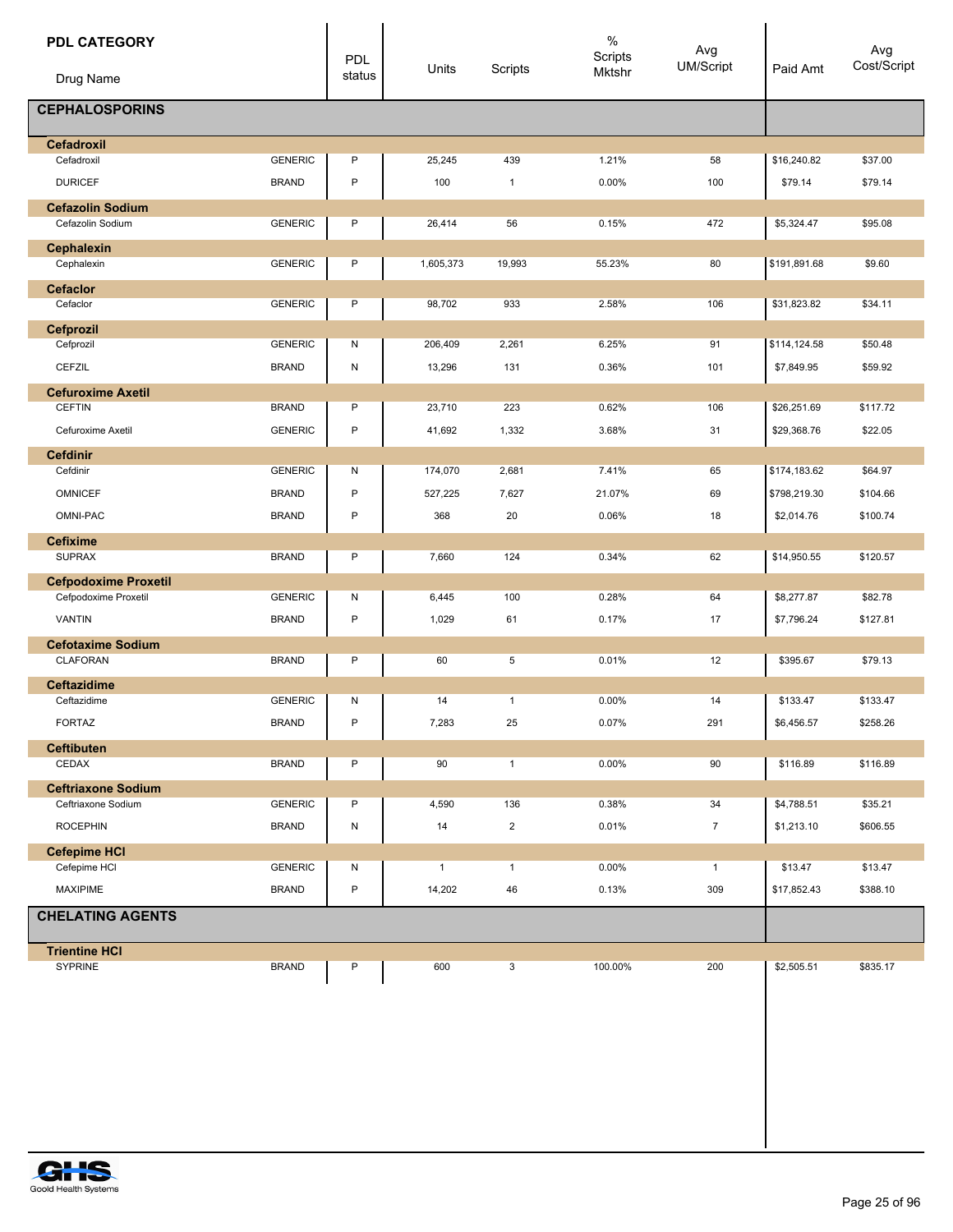| <b>PDL CATEGORY</b><br>Drug Name            |                                | PDL<br>status | Units                  | Scripts            | $\%$<br>Scripts<br>Mktshr | Avg<br>UM/Script    | Paid Amt               | Avg<br>Cost/Script  |
|---------------------------------------------|--------------------------------|---------------|------------------------|--------------------|---------------------------|---------------------|------------------------|---------------------|
| <b>CEPHALOSPORINS</b>                       |                                |               |                        |                    |                           |                     |                        |                     |
| <b>Cefadroxil</b>                           |                                |               |                        |                    |                           |                     |                        |                     |
| Cefadroxil                                  | <b>GENERIC</b>                 | P             | 25,245                 | 439                | 1.21%                     | 58                  | \$16,240.82            | \$37.00             |
| <b>DURICEF</b>                              | <b>BRAND</b>                   | P             | 100                    | $\mathbf{1}$       | 0.00%                     | 100                 | \$79.14                | \$79.14             |
| <b>Cefazolin Sodium</b><br>Cefazolin Sodium | <b>GENERIC</b>                 | P             | 26,414                 | 56                 | 0.15%                     | 472                 | \$5,324.47             | \$95.08             |
| <b>Cephalexin</b>                           |                                |               |                        |                    |                           |                     |                        |                     |
| Cephalexin                                  | <b>GENERIC</b>                 | Ρ             | 1,605,373              | 19,993             | 55.23%                    | 80                  | \$191,891.68           | \$9.60              |
| <b>Cefaclor</b>                             |                                |               |                        |                    |                           |                     |                        |                     |
| Cefaclor                                    | <b>GENERIC</b>                 | Ρ             | 98,702                 | 933                | 2.58%                     | 106                 | \$31,823.82            | \$34.11             |
| Cefprozil                                   |                                |               |                        |                    |                           |                     |                        |                     |
| Cefprozil                                   | <b>GENERIC</b>                 | N             | 206,409                | 2,261              | 6.25%                     | 91                  | \$114,124.58           | \$50.48             |
| CEFZIL                                      | <b>BRAND</b>                   | N             | 13,296                 | 131                | 0.36%                     | 101                 | \$7,849.95             | \$59.92             |
| <b>Cefuroxime Axetil</b>                    |                                |               |                        |                    |                           |                     |                        |                     |
| <b>CEFTIN</b>                               | <b>BRAND</b>                   | P             | 23,710                 | 223                | 0.62%                     | 106                 | \$26,251.69            | \$117.72            |
| Cefuroxime Axetil                           | <b>GENERIC</b>                 | P             | 41,692                 | 1,332              | 3.68%                     | 31                  | \$29,368.76            | \$22.05             |
| <b>Cefdinir</b>                             |                                |               |                        |                    |                           |                     |                        |                     |
| Cefdinir                                    | <b>GENERIC</b>                 | N             | 174,070                | 2,681              | 7.41%                     | 65                  | \$174,183.62           | \$64.97             |
| <b>OMNICEF</b>                              | <b>BRAND</b>                   | P             | 527,225                | 7,627              | 21.07%                    | 69                  | \$798,219.30           | \$104.66            |
| OMNI-PAC                                    | <b>BRAND</b>                   | P             | 368                    | 20                 | 0.06%                     | 18                  | \$2,014.76             | \$100.74            |
| <b>Cefixime</b>                             |                                |               |                        |                    |                           |                     |                        |                     |
| <b>SUPRAX</b>                               | <b>BRAND</b>                   | P             | 7,660                  | 124                | 0.34%                     | 62                  | \$14,950.55            | \$120.57            |
| <b>Cefpodoxime Proxetil</b>                 | <b>GENERIC</b>                 |               |                        | 100                | 0.28%                     | 64                  |                        | \$82.78             |
| Cefpodoxime Proxetil                        |                                | N             | 6,445                  |                    |                           |                     | \$8,277.87             |                     |
| <b>VANTIN</b>                               | <b>BRAND</b>                   | P             | 1,029                  | 61                 | 0.17%                     | 17                  | \$7,796.24             | \$127.81            |
| <b>Cefotaxime Sodium</b>                    |                                |               |                        |                    |                           |                     |                        |                     |
| CLAFORAN                                    | <b>BRAND</b>                   | P             | 60                     | 5                  | 0.01%                     | 12                  | \$395.67               | \$79.13             |
| <b>Ceftazidime</b>                          |                                |               |                        |                    |                           |                     |                        |                     |
| Ceftazidime                                 | <b>GENERIC</b>                 | N             | 14                     | $\mathbf{1}$       | 0.00%                     | 14                  | \$133.47               | \$133.47            |
| FORTAZ                                      | <b>BRAND</b>                   | P             | 7,283                  | 25                 | 0.07%                     | 291                 | \$6,456.57             | \$258.26            |
| <b>Ceftibuten</b>                           |                                |               |                        |                    |                           |                     |                        |                     |
| CEDAX                                       | <b>BRAND</b>                   | P             | 90                     | $\mathbf{1}$       | 0.00%                     | 90                  | \$116.89               | \$116.89            |
| <b>Ceftriaxone Sodium</b>                   |                                |               |                        |                    |                           |                     |                        |                     |
| Ceftriaxone Sodium                          | <b>GENERIC</b>                 | P             | 4,590                  | 136                | 0.38%                     | 34                  | \$4,788.51             | \$35.21             |
| <b>ROCEPHIN</b>                             | <b>BRAND</b>                   | N             | 14                     | $\overline{2}$     | 0.01%                     | $\overline{7}$      | \$1,213.10             | \$606.55            |
| <b>Cefepime HCI</b>                         |                                |               |                        |                    |                           |                     |                        |                     |
| Cefepime HCI<br><b>MAXIPIME</b>             | <b>GENERIC</b><br><b>BRAND</b> | Ν<br>P        | $\mathbf{1}$<br>14,202 | $\mathbf{1}$<br>46 | 0.00%<br>0.13%            | $\mathbf{1}$<br>309 | \$13.47<br>\$17,852.43 | \$13.47<br>\$388.10 |
| <b>CHELATING AGENTS</b>                     |                                |               |                        |                    |                           |                     |                        |                     |
|                                             |                                |               |                        |                    |                           |                     |                        |                     |
| <b>Trientine HCI</b>                        |                                |               |                        |                    |                           |                     |                        |                     |
| <b>SYPRINE</b>                              | <b>BRAND</b>                   | P             | 600                    | 3                  | 100.00%                   | 200                 | \$2,505.51             | \$835.17            |
|                                             |                                |               |                        |                    |                           |                     |                        |                     |

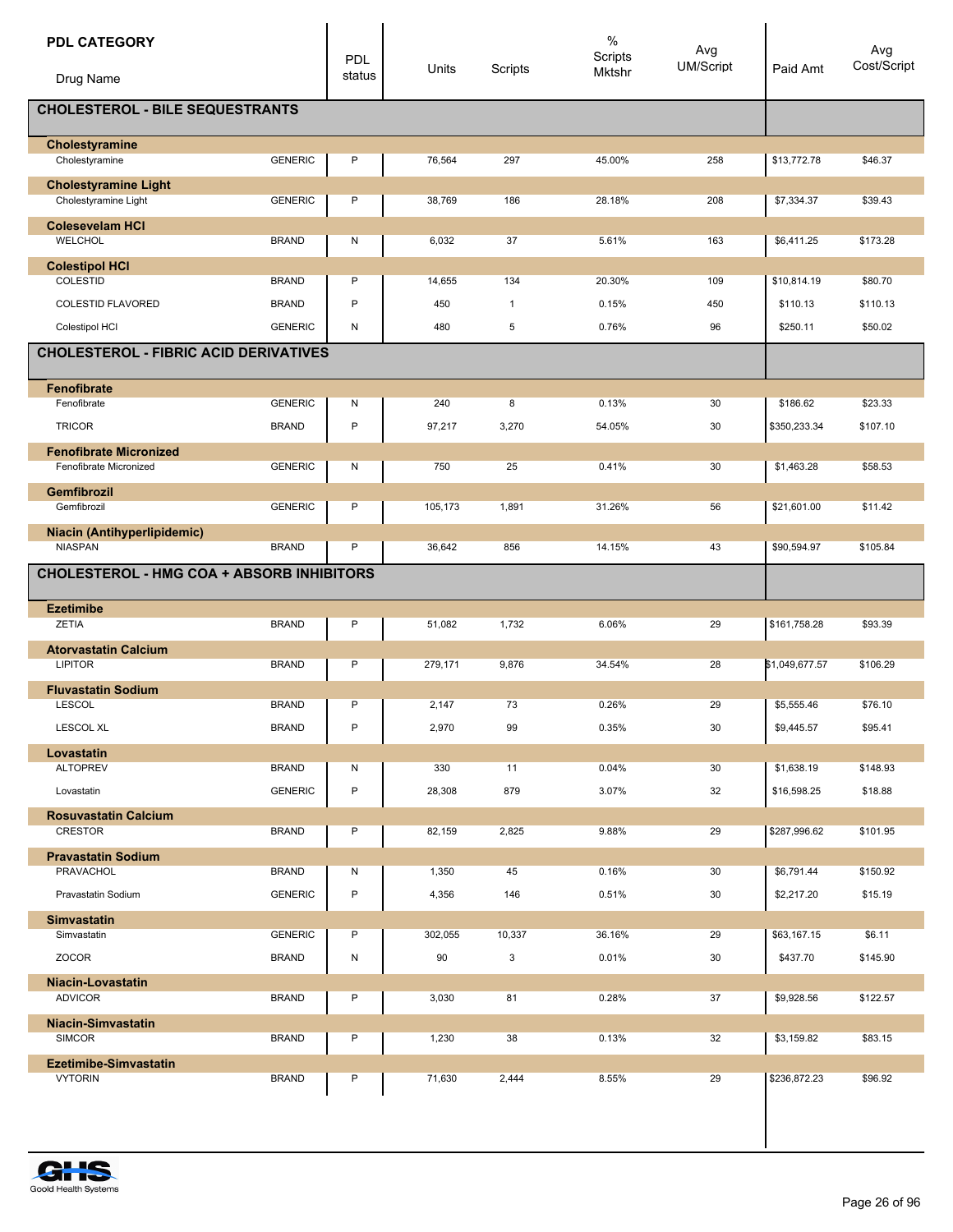| <b>PDL CATEGORY</b><br>Drug Name                        |                | <b>PDL</b><br>status | Units   | Scripts      | $\%$<br>Scripts<br>Mktshr | Avg<br><b>UM/Script</b> | Paid Amt       | Avg<br>Cost/Script |
|---------------------------------------------------------|----------------|----------------------|---------|--------------|---------------------------|-------------------------|----------------|--------------------|
| <b>CHOLESTEROL - BILE SEQUESTRANTS</b>                  |                |                      |         |              |                           |                         |                |                    |
|                                                         |                |                      |         |              |                           |                         |                |                    |
| Cholestyramine<br>Cholestyramine                        | <b>GENERIC</b> | P                    | 76,564  | 297          | 45.00%                    | 258                     | \$13,772.78    | \$46.37            |
| <b>Cholestyramine Light</b>                             |                |                      |         |              |                           |                         |                |                    |
| Cholestyramine Light                                    | <b>GENERIC</b> | P                    | 38,769  | 186          | 28.18%                    | 208                     | \$7,334.37     | \$39.43            |
| <b>Colesevelam HCI</b><br><b>WELCHOL</b>                | <b>BRAND</b>   | N                    | 6,032   | 37           | 5.61%                     | 163                     | \$6,411.25     | \$173.28           |
| <b>Colestipol HCI</b>                                   |                |                      |         |              |                           |                         |                |                    |
| COLESTID                                                | <b>BRAND</b>   | P                    | 14,655  | 134          | 20.30%                    | 109                     | \$10,814.19    | \$80.70            |
| <b>COLESTID FLAVORED</b>                                | <b>BRAND</b>   | P                    | 450     | $\mathbf{1}$ | 0.15%                     | 450                     | \$110.13       | \$110.13           |
| Colestipol HCI                                          | <b>GENERIC</b> | N                    | 480     | 5            | 0.76%                     | 96                      | \$250.11       | \$50.02            |
| <b>CHOLESTEROL - FIBRIC ACID DERIVATIVES</b>            |                |                      |         |              |                           |                         |                |                    |
| Fenofibrate                                             |                |                      |         |              |                           |                         |                |                    |
| Fenofibrate                                             | <b>GENERIC</b> | Ν                    | 240     | 8            | 0.13%                     | 30                      | \$186.62       | \$23.33            |
| <b>TRICOR</b>                                           | <b>BRAND</b>   | P                    | 97,217  | 3,270        | 54.05%                    | 30                      | \$350,233.34   | \$107.10           |
| <b>Fenofibrate Micronized</b><br>Fenofibrate Micronized | <b>GENERIC</b> | N                    | 750     | 25           | 0.41%                     | 30                      | \$1,463.28     | \$58.53            |
| <b>Gemfibrozil</b>                                      |                |                      |         |              |                           |                         |                |                    |
| Gemfibrozil                                             | <b>GENERIC</b> | P                    | 105,173 | 1,891        | 31.26%                    | 56                      | \$21,601.00    | \$11.42            |
| Niacin (Antihyperlipidemic)                             |                |                      |         |              |                           |                         |                |                    |
| <b>NIASPAN</b>                                          | <b>BRAND</b>   | P                    | 36,642  | 856          | 14.15%                    | 43                      | \$90,594.97    | \$105.84           |
| <b>CHOLESTEROL - HMG COA + ABSORB INHIBITORS</b>        |                |                      |         |              |                           |                         |                |                    |
| <b>Ezetimibe</b>                                        |                |                      |         |              |                           |                         |                |                    |
| ZETIA                                                   | <b>BRAND</b>   | P                    | 51,082  | 1,732        | 6.06%                     | 29                      | \$161,758.28   | \$93.39            |
| <b>Atorvastatin Calcium</b><br><b>LIPITOR</b>           | <b>BRAND</b>   | P                    | 279,171 | 9,876        | 34.54%                    | 28                      | \$1,049,677.57 | \$106.29           |
|                                                         |                |                      |         |              |                           |                         |                |                    |
| <b>Fluvastatin Sodium</b><br><b>LESCOL</b>              | <b>BRAND</b>   | P                    | 2,147   | 73           | 0.26%                     | 29                      | \$5,555.46     | \$76.10            |
| <b>LESCOL XL</b>                                        | <b>BRAND</b>   | P                    | 2,970   | 99           | 0.35%                     | 30                      | \$9,445.57     | \$95.41            |
| Lovastatin                                              |                |                      |         |              |                           |                         |                |                    |
| <b>ALTOPREV</b>                                         | <b>BRAND</b>   | N                    | 330     | 11           | 0.04%                     | 30                      | \$1,638.19     | \$148.93           |
| Lovastatin                                              | <b>GENERIC</b> | P                    | 28,308  | 879          | 3.07%                     | 32                      | \$16,598.25    | \$18.88            |
| <b>Rosuvastatin Calcium</b>                             |                |                      |         |              |                           |                         |                |                    |
| <b>CRESTOR</b>                                          | <b>BRAND</b>   | P                    | 82,159  | 2,825        | 9.88%                     | 29                      | \$287,996.62   | \$101.95           |
| <b>Pravastatin Sodium</b>                               |                |                      |         |              |                           |                         | \$6,791.44     |                    |
| PRAVACHOL                                               | <b>BRAND</b>   | N<br>P               | 1,350   | 45           | 0.16%                     | 30                      |                | \$150.92           |
| Pravastatin Sodium                                      | <b>GENERIC</b> |                      | 4,356   | 146          | 0.51%                     | 30                      | \$2,217.20     | \$15.19            |
| <b>Simvastatin</b><br>Simvastatin                       | <b>GENERIC</b> | P                    | 302,055 | 10,337       | 36.16%                    | 29                      | \$63,167.15    | \$6.11             |
| ZOCOR                                                   | <b>BRAND</b>   | N                    | 90      | 3            | 0.01%                     | 30                      | \$437.70       | \$145.90           |
| <b>Niacin-Lovastatin</b>                                |                |                      |         |              |                           |                         |                |                    |
| <b>ADVICOR</b>                                          | <b>BRAND</b>   | P                    | 3,030   | 81           | 0.28%                     | 37                      | \$9,928.56     | \$122.57           |
| Niacin-Simvastatin                                      |                |                      |         |              |                           |                         |                |                    |
| SIMCOR                                                  | <b>BRAND</b>   | P                    | 1,230   | 38           | 0.13%                     | 32                      | \$3,159.82     | \$83.15            |
| <b>Ezetimibe-Simvastatin</b>                            |                |                      |         |              |                           |                         |                |                    |
| <b>VYTORIN</b>                                          | <b>BRAND</b>   | P                    | 71,630  | 2,444        | 8.55%                     | 29                      | \$236,872.23   | \$96.92            |
|                                                         |                |                      |         |              |                           |                         |                |                    |
|                                                         |                |                      |         |              |                           |                         |                |                    |

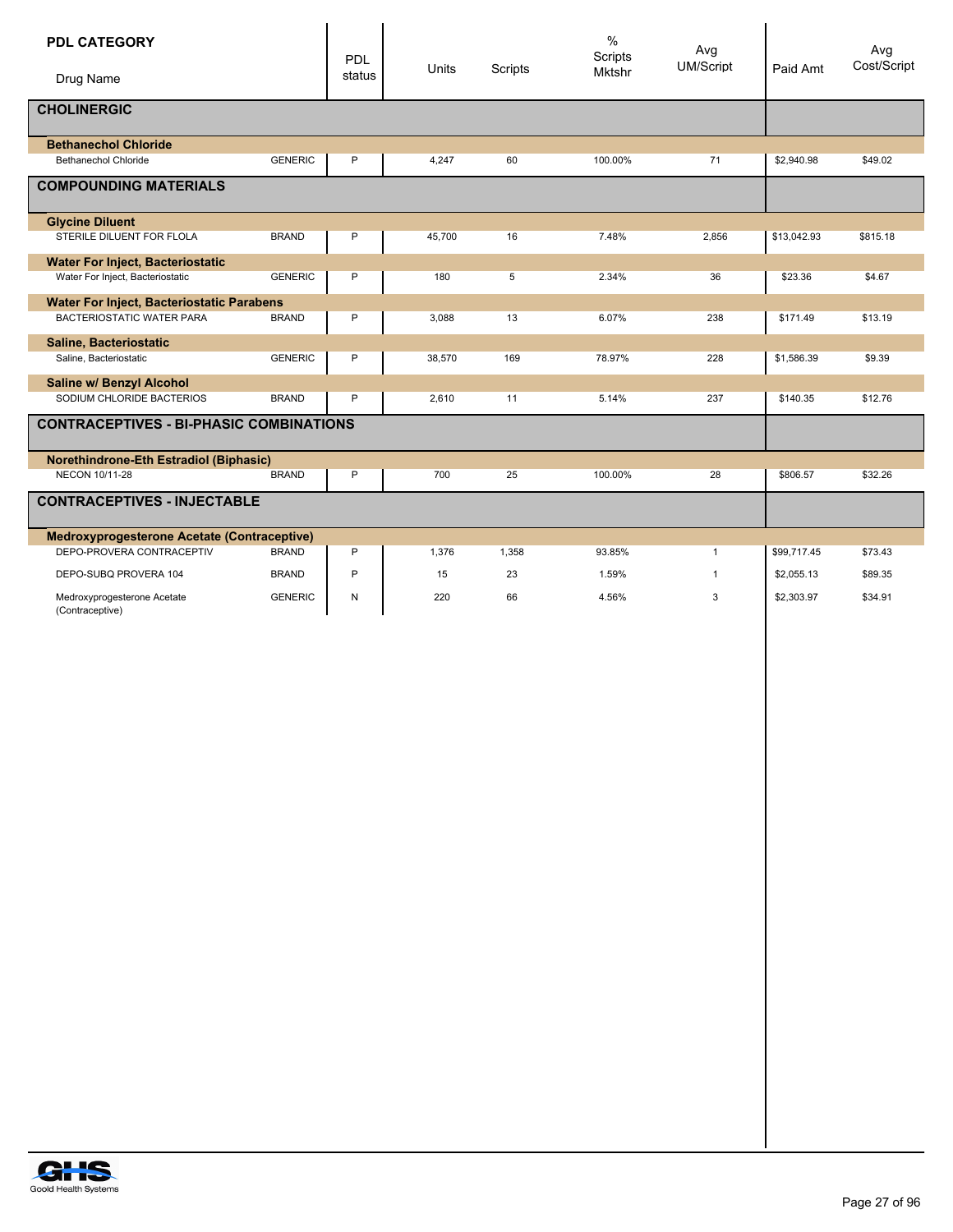| <b>PDL CATEGORY</b><br>Drug Name                 |                | <b>PDL</b><br>status | Units  | Scripts | $\%$<br><b>Scripts</b><br><b>Mktshr</b> | Avg<br>UM/Script | Paid Amt    | Avg<br>Cost/Script |
|--------------------------------------------------|----------------|----------------------|--------|---------|-----------------------------------------|------------------|-------------|--------------------|
| <b>CHOLINERGIC</b>                               |                |                      |        |         |                                         |                  |             |                    |
| <b>Bethanechol Chloride</b>                      |                |                      |        |         |                                         |                  |             |                    |
| <b>Bethanechol Chloride</b>                      | <b>GENERIC</b> | P                    | 4,247  | 60      | 100.00%                                 | 71               | \$2,940.98  | \$49.02            |
| <b>COMPOUNDING MATERIALS</b>                     |                |                      |        |         |                                         |                  |             |                    |
| <b>Glycine Diluent</b>                           |                |                      |        |         |                                         |                  |             |                    |
| STERILE DILUENT FOR FLOLA                        | <b>BRAND</b>   | P                    | 45,700 | 16      | 7.48%                                   | 2,856            | \$13,042.93 | \$815.18           |
| <b>Water For Inject, Bacteriostatic</b>          |                |                      |        |         |                                         |                  |             |                    |
| Water For Inject, Bacteriostatic                 | <b>GENERIC</b> | P                    | 180    | 5       | 2.34%                                   | 36               | \$23.36     | \$4.67             |
| <b>Water For Inject, Bacteriostatic Parabens</b> |                |                      |        |         |                                         |                  |             |                    |
| BACTERIOSTATIC WATER PARA                        | <b>BRAND</b>   | P                    | 3,088  | 13      | 6.07%                                   | 238              | \$171.49    | \$13.19            |
| Saline, Bacteriostatic                           |                |                      |        |         |                                         |                  |             |                    |
| Saline, Bacteriostatic                           | <b>GENERIC</b> | P                    | 38,570 | 169     | 78.97%                                  | 228              | \$1,586.39  | \$9.39             |
| Saline w/ Benzyl Alcohol                         |                |                      |        |         |                                         |                  |             |                    |
| SODIUM CHLORIDE BACTERIOS                        | <b>BRAND</b>   | P                    | 2,610  | 11      | 5.14%                                   | 237              | \$140.35    | \$12.76            |
| <b>CONTRACEPTIVES - BI-PHASIC COMBINATIONS</b>   |                |                      |        |         |                                         |                  |             |                    |
| Norethindrone-Eth Estradiol (Biphasic)           |                |                      |        |         |                                         |                  |             |                    |
| NECON 10/11-28                                   | <b>BRAND</b>   | P                    | 700    | 25      | 100.00%                                 | 28               | \$806.57    | \$32.26            |
| <b>CONTRACEPTIVES - INJECTABLE</b>               |                |                      |        |         |                                         |                  |             |                    |
| Medroxyprogesterone Acetate (Contraceptive)      |                |                      |        |         |                                         |                  |             |                    |
| DEPO-PROVERA CONTRACEPTIV                        | <b>BRAND</b>   | P                    | 1,376  | 1,358   | 93.85%                                  | $\mathbf{1}$     | \$99,717.45 | \$73.43            |
| DEPO-SUBQ PROVERA 104                            | <b>BRAND</b>   | P                    | 15     | 23      | 1.59%                                   | $\overline{1}$   | \$2,055.13  | \$89.35            |
| Medroxyprogesterone Acetate<br>(Contraceptive)   | <b>GENERIC</b> | ${\sf N}$            | 220    | 66      | 4.56%                                   | 3                | \$2,303.97  | \$34.91            |
|                                                  |                |                      |        |         |                                         |                  |             |                    |
|                                                  |                |                      |        |         |                                         |                  |             |                    |

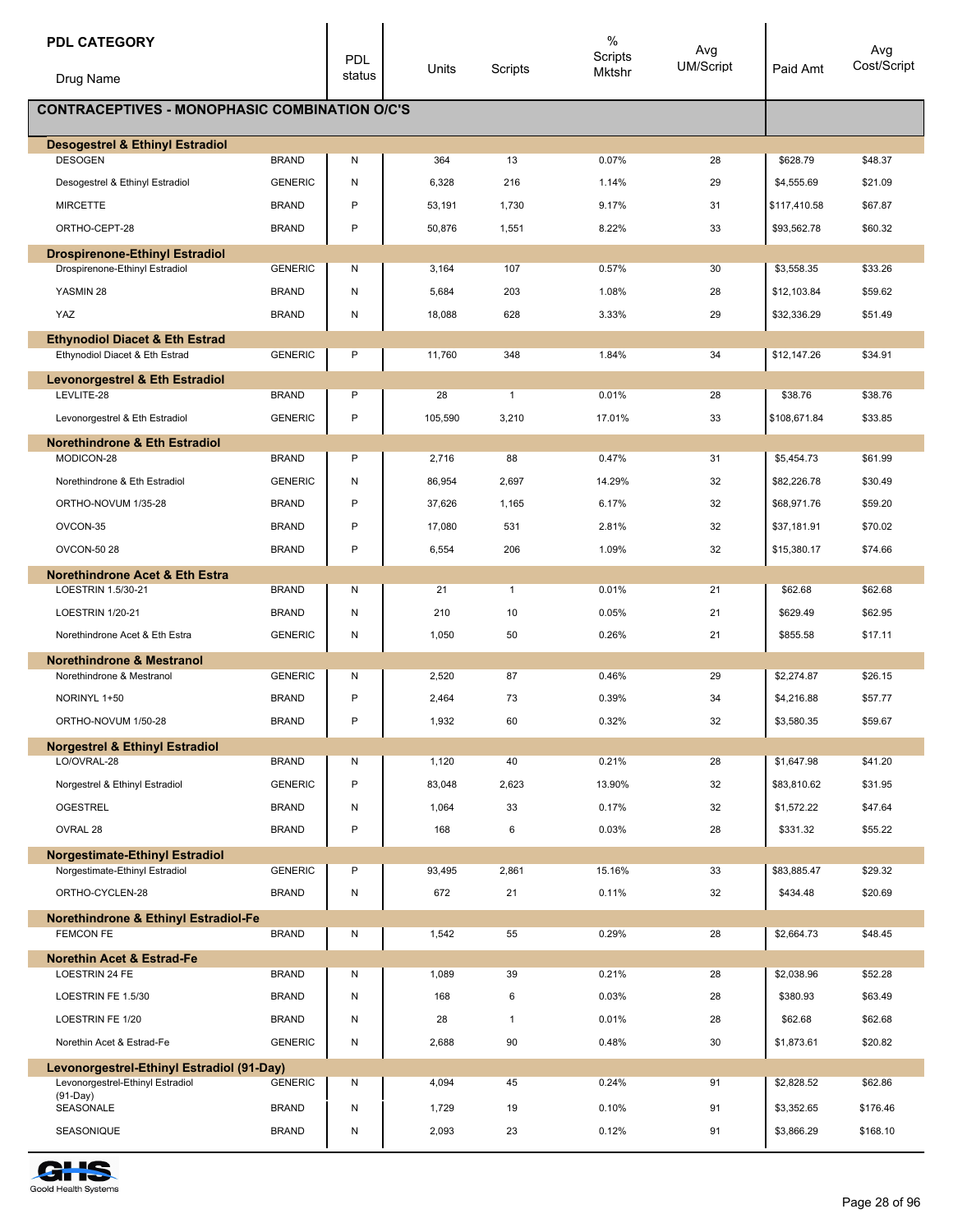| <b>PDL CATEGORY</b>                                                         |                | <b>PDL</b> |         |              | $\frac{0}{0}$<br>Scripts | Avg              |              | Avg         |
|-----------------------------------------------------------------------------|----------------|------------|---------|--------------|--------------------------|------------------|--------------|-------------|
| Drug Name                                                                   |                | status     | Units   | Scripts      | Mktshr                   | <b>UM/Script</b> | Paid Amt     | Cost/Script |
| <b>CONTRACEPTIVES - MONOPHASIC COMBINATION O/C'S</b>                        |                |            |         |              |                          |                  |              |             |
| <b>Desogestrel &amp; Ethinyl Estradiol</b>                                  |                |            |         |              |                          |                  |              |             |
| <b>DESOGEN</b>                                                              | <b>BRAND</b>   | N          | 364     | 13           | 0.07%                    | 28               | \$628.79     | \$48.37     |
| Desogestrel & Ethinyl Estradiol                                             | <b>GENERIC</b> | N          | 6,328   | 216          | 1.14%                    | 29               | \$4,555.69   | \$21.09     |
| <b>MIRCETTE</b>                                                             | <b>BRAND</b>   | P          | 53,191  | 1,730        | 9.17%                    | 31               | \$117,410.58 | \$67.87     |
| ORTHO-CEPT-28                                                               | <b>BRAND</b>   | P          | 50,876  | 1,551        | 8.22%                    | 33               | \$93,562.78  | \$60.32     |
| <b>Drospirenone-Ethinyl Estradiol</b><br>Drospirenone-Ethinyl Estradiol     | <b>GENERIC</b> | N          | 3,164   | 107          | 0.57%                    | 30               | \$3,558.35   | \$33.26     |
| YASMIN 28                                                                   | <b>BRAND</b>   | N          | 5,684   | 203          | 1.08%                    | 28               | \$12,103.84  | \$59.62     |
| YAZ                                                                         | <b>BRAND</b>   | ${\sf N}$  | 18,088  | 628          | 3.33%                    | 29               | \$32,336.29  | \$51.49     |
|                                                                             |                |            |         |              |                          |                  |              |             |
| <b>Ethynodiol Diacet &amp; Eth Estrad</b><br>Ethynodiol Diacet & Eth Estrad | <b>GENERIC</b> | P          | 11,760  | 348          | 1.84%                    | 34               | \$12,147.26  | \$34.91     |
| <b>Levonorgestrel &amp; Eth Estradiol</b>                                   |                |            |         |              |                          |                  |              |             |
| LEVLITE-28                                                                  | <b>BRAND</b>   | P          | 28      | $\mathbf{1}$ | 0.01%                    | 28               | \$38.76      | \$38.76     |
| Levonorgestrel & Eth Estradiol                                              | <b>GENERIC</b> | P          | 105,590 | 3,210        | 17.01%                   | 33               | \$108,671.84 | \$33.85     |
| <b>Norethindrone &amp; Eth Estradiol</b>                                    |                |            |         |              |                          |                  |              |             |
| MODICON-28                                                                  | <b>BRAND</b>   | P          | 2,716   | 88           | 0.47%                    | 31               | \$5,454.73   | \$61.99     |
| Norethindrone & Eth Estradiol                                               | <b>GENERIC</b> | N          | 86,954  | 2,697        | 14.29%                   | 32               | \$82,226.78  | \$30.49     |
| ORTHO-NOVUM 1/35-28                                                         | <b>BRAND</b>   | P          | 37,626  | 1,165        | 6.17%                    | 32               | \$68,971.76  | \$59.20     |
| OVCON-35                                                                    | <b>BRAND</b>   | P          | 17,080  | 531          | 2.81%                    | 32               | \$37,181.91  | \$70.02     |
| <b>OVCON-50 28</b>                                                          | <b>BRAND</b>   | P          | 6,554   | 206          | 1.09%                    | 32               | \$15,380.17  | \$74.66     |
| <b>Norethindrone Acet &amp; Eth Estra</b>                                   |                |            |         |              |                          |                  |              |             |
| LOESTRIN 1.5/30-21                                                          | <b>BRAND</b>   | N          | 21      | $\mathbf{1}$ | 0.01%                    | 21               | \$62.68      | \$62.68     |
| <b>LOESTRIN 1/20-21</b>                                                     | <b>BRAND</b>   | N          | 210     | 10           | 0.05%                    | 21               | \$629.49     | \$62.95     |
| Norethindrone Acet & Eth Estra                                              | <b>GENERIC</b> | N          | 1,050   | 50           | 0.26%                    | 21               | \$855.58     | \$17.11     |
| <b>Norethindrone &amp; Mestranol</b>                                        |                |            |         |              |                          |                  |              |             |
| Norethindrone & Mestranol                                                   | <b>GENERIC</b> | N          | 2,520   | 87           | 0.46%                    | 29               | \$2,274.87   | \$26.15     |
| NORINYL 1+50                                                                | <b>BRAND</b>   | P          | 2,464   | 73           | 0.39%                    | 34               | \$4,216.88   | \$57.77     |
| ORTHO-NOVUM 1/50-28                                                         | <b>BRAND</b>   | P          | 1,932   | 60           | 0.32%                    | 32               | \$3,580.35   | \$59.67     |
| <b>Norgestrel &amp; Ethinyl Estradiol</b><br>LO/OVRAL-28                    | <b>BRAND</b>   | N          | 1,120   | 40           | 0.21%                    | 28               | \$1,647.98   | \$41.20     |
| Norgestrel & Ethinyl Estradiol                                              | <b>GENERIC</b> | P          | 83,048  | 2,623        | 13.90%                   | 32               | \$83,810.62  | \$31.95     |
| <b>OGESTREL</b>                                                             | <b>BRAND</b>   | N          | 1,064   | 33           | 0.17%                    | 32               | \$1,572.22   | \$47.64     |
| OVRAL 28                                                                    | <b>BRAND</b>   | P          | 168     | 6            | 0.03%                    | 28               | \$331.32     | \$55.22     |
|                                                                             |                |            |         |              |                          |                  |              |             |
| <b>Norgestimate-Ethinyl Estradiol</b><br>Norgestimate-Ethinyl Estradiol     | <b>GENERIC</b> | P          | 93,495  | 2,861        | 15.16%                   | 33               | \$83,885.47  | \$29.32     |
| ORTHO-CYCLEN-28                                                             | <b>BRAND</b>   | N          | 672     | 21           | 0.11%                    | 32               | \$434.48     | \$20.69     |
| Norethindrone & Ethinyl Estradiol-Fe                                        |                |            |         |              |                          |                  |              |             |
| <b>FEMCON FE</b>                                                            | <b>BRAND</b>   | Ν          | 1,542   | 55           | 0.29%                    | 28               | \$2,664.73   | \$48.45     |
| <b>Norethin Acet &amp; Estrad-Fe</b>                                        |                |            |         |              |                          |                  |              |             |
| LOESTRIN 24 FE                                                              | <b>BRAND</b>   | N          | 1,089   | 39           | 0.21%                    | 28               | \$2,038.96   | \$52.28     |
| LOESTRIN FE 1.5/30                                                          | <b>BRAND</b>   | N          | 168     | 6            | 0.03%                    | 28               | \$380.93     | \$63.49     |
| LOESTRIN FE 1/20                                                            | <b>BRAND</b>   | ${\sf N}$  | 28      | $\mathbf{1}$ | 0.01%                    | 28               | \$62.68      | \$62.68     |
| Norethin Acet & Estrad-Fe                                                   | <b>GENERIC</b> | N          | 2,688   | 90           | 0.48%                    | 30               | \$1,873.61   | \$20.82     |
| Levonorgestrel-Ethinyl Estradiol (91-Day)                                   |                |            |         |              |                          |                  |              |             |
| Levonorgestrel-Ethinyl Estradiol<br>$(91-Day)$                              | <b>GENERIC</b> | N          | 4,094   | 45           | 0.24%                    | 91               | \$2,828.52   | \$62.86     |
| SEASONALE                                                                   | <b>BRAND</b>   | N          | 1,729   | 19           | 0.10%                    | 91               | \$3,352.65   | \$176.46    |
| SEASONIQUE                                                                  | <b>BRAND</b>   | N          | 2,093   | 23           | 0.12%                    | 91               | \$3,866.29   | \$168.10    |

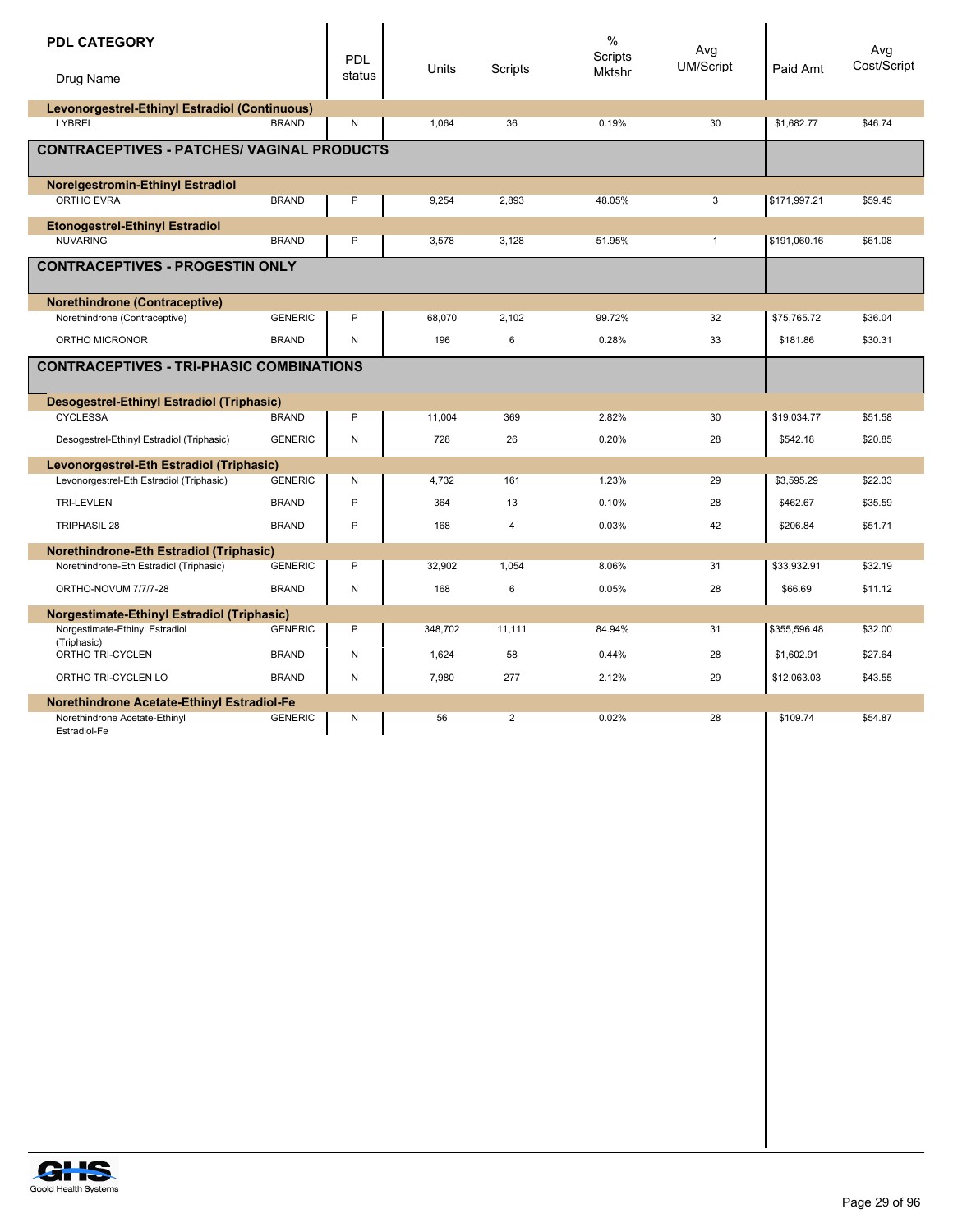| <b>PDL CATEGORY</b><br>Drug Name                        |                | PDL<br>status | Units   | Scripts        | $\%$<br>Scripts<br>Mktshr | Avg<br>UM/Script | Paid Amt     | Avg<br>Cost/Script |
|---------------------------------------------------------|----------------|---------------|---------|----------------|---------------------------|------------------|--------------|--------------------|
| Levonorgestrel-Ethinyl Estradiol (Continuous)<br>LYBREL | <b>BRAND</b>   | N             | 1,064   | 36             | 0.19%                     | 30               | \$1,682.77   | \$46.74            |
|                                                         |                |               |         |                |                           |                  |              |                    |
| <b>CONTRACEPTIVES - PATCHES/ VAGINAL PRODUCTS</b>       |                |               |         |                |                           |                  |              |                    |
| <b>Norelgestromin-Ethinyl Estradiol</b>                 |                |               |         |                |                           |                  |              |                    |
| <b>ORTHO EVRA</b>                                       | <b>BRAND</b>   | P             | 9.254   | 2.893          | 48.05%                    | 3                | \$171,997.21 | \$59.45            |
| <b>Etonogestrel-Ethinyl Estradiol</b>                   |                |               |         |                |                           |                  |              |                    |
| <b>NUVARING</b>                                         | <b>BRAND</b>   | P             | 3,578   | 3,128          | 51.95%                    | $\mathbf{1}$     | \$191,060.16 | \$61.08            |
| <b>CONTRACEPTIVES - PROGESTIN ONLY</b>                  |                |               |         |                |                           |                  |              |                    |
| <b>Norethindrone (Contraceptive)</b>                    |                |               |         |                |                           |                  |              |                    |
| Norethindrone (Contraceptive)                           | <b>GENERIC</b> | P             | 68,070  | 2,102          | 99.72%                    | 32               | \$75,765.72  | \$36.04            |
| ORTHO MICRONOR                                          | <b>BRAND</b>   | $\mathsf{N}$  | 196     | 6              | 0.28%                     | 33               | \$181.86     | \$30.31            |
| <b>CONTRACEPTIVES - TRI-PHASIC COMBINATIONS</b>         |                |               |         |                |                           |                  |              |                    |
| Desogestrel-Ethinyl Estradiol (Triphasic)               |                |               |         |                |                           |                  |              |                    |
| <b>CYCLESSA</b>                                         | <b>BRAND</b>   | P             | 11,004  | 369            | 2.82%                     | 30               | \$19,034.77  | \$51.58            |
| Desogestrel-Ethinyl Estradiol (Triphasic)               | <b>GENERIC</b> | ${\sf N}$     | 728     | 26             | 0.20%                     | 28               | \$542.18     | \$20.85            |
| Levonorgestrel-Eth Estradiol (Triphasic)                |                |               |         |                |                           |                  |              |                    |
| Levonorgestrel-Eth Estradiol (Triphasic)                | <b>GENERIC</b> | N             | 4,732   | 161            | 1.23%                     | 29               | \$3,595.29   | \$22.33            |
| <b>TRI-LEVLEN</b>                                       | <b>BRAND</b>   | P             | 364     | 13             | 0.10%                     | 28               | \$462.67     | \$35.59            |
| <b>TRIPHASIL 28</b>                                     | <b>BRAND</b>   | P             | 168     | $\overline{4}$ | 0.03%                     | 42               | \$206.84     | \$51.71            |
| <b>Norethindrone-Eth Estradiol (Triphasic)</b>          |                |               |         |                |                           |                  |              |                    |
| Norethindrone-Eth Estradiol (Triphasic)                 | <b>GENERIC</b> | P             | 32.902  | 1.054          | 8.06%                     | 31               | \$33.932.91  | \$32.19            |
| ORTHO-NOVUM 7/7/7-28                                    | <b>BRAND</b>   | N             | 168     | 6              | 0.05%                     | 28               | \$66.69      | \$11.12            |
| <b>Norgestimate-Ethinyl Estradiol (Triphasic)</b>       |                |               |         |                |                           |                  |              |                    |
| Norgestimate-Ethinyl Estradiol                          | <b>GENERIC</b> | P             | 348,702 | 11,111         | 84.94%                    | 31               | \$355,596.48 | \$32.00            |
| (Triphasic)<br>ORTHO TRI-CYCLEN                         | <b>BRAND</b>   | N             | 1.624   | 58             | 0.44%                     | 28               | \$1,602.91   | \$27.64            |
| ORTHO TRI-CYCLEN LO                                     | <b>BRAND</b>   | N             | 7,980   | 277            | 2.12%                     | 29               | \$12,063.03  | \$43.55            |
| Norethindrone Acetate-Ethinyl Estradiol-Fe              |                |               |         |                |                           |                  |              |                    |
| Norethindrone Acetate-Ethinyl<br>Estradiol-Fe           | <b>GENERIC</b> | N             | 56      | $\overline{2}$ | 0.02%                     | 28               | \$109.74     | \$54.87            |

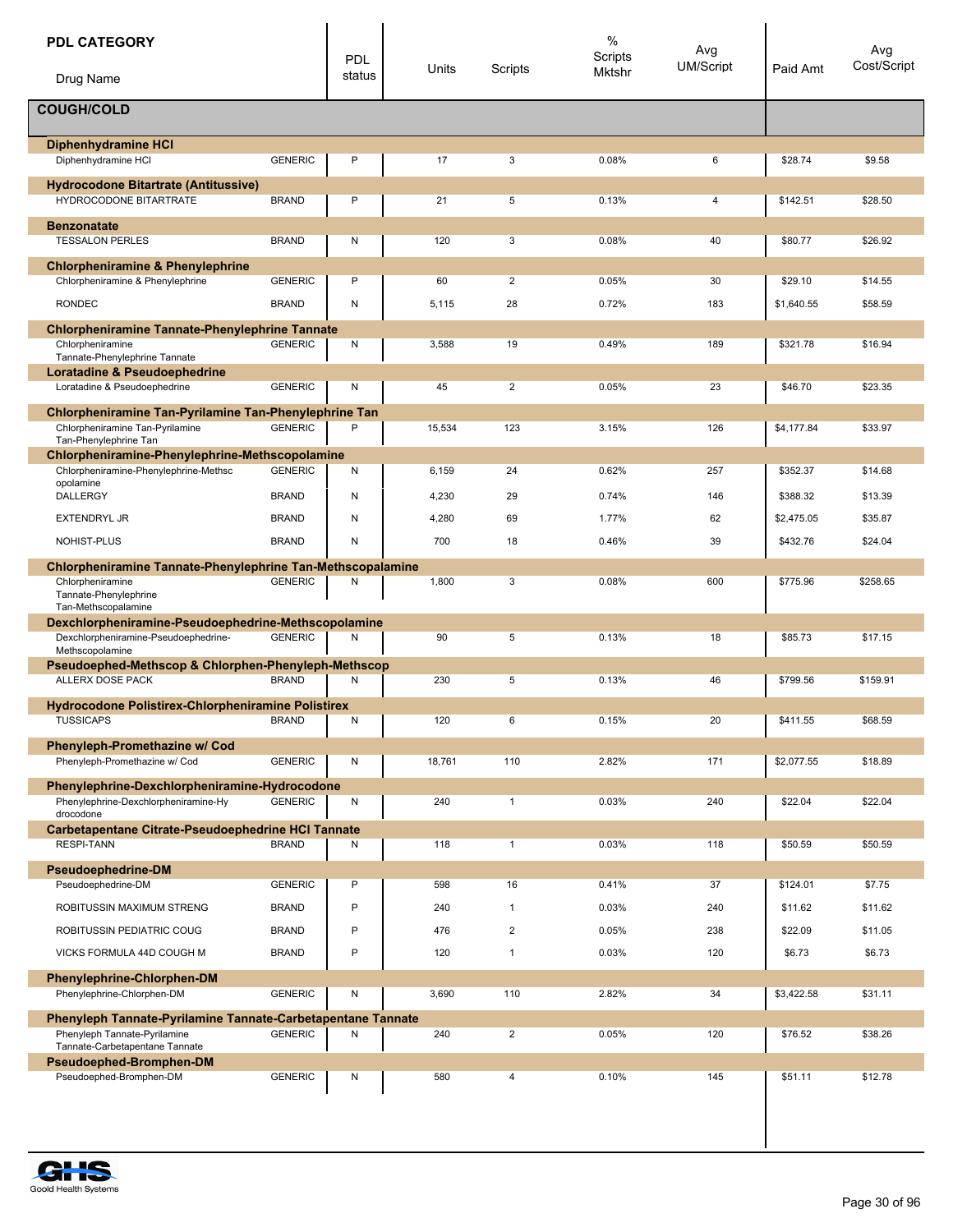| <b>PDL CATEGORY</b>                                                                         |                                | <b>PDL</b> | Units  | Scripts        | $\%$<br>Scripts<br>Mktshr | Avg<br><b>UM/Script</b> | Paid Amt   | Avg<br>Cost/Script |
|---------------------------------------------------------------------------------------------|--------------------------------|------------|--------|----------------|---------------------------|-------------------------|------------|--------------------|
| Drug Name                                                                                   |                                | status     |        |                |                           |                         |            |                    |
| <b>COUGH/COLD</b>                                                                           |                                |            |        |                |                           |                         |            |                    |
| <b>Diphenhydramine HCI</b>                                                                  |                                |            |        |                |                           |                         |            |                    |
| Diphenhydramine HCI                                                                         | <b>GENERIC</b>                 | P          | 17     | 3              | 0.08%                     | 6                       | \$28.74    | \$9.58             |
| <b>Hydrocodone Bitartrate (Antitussive)</b><br>HYDROCODONE BITARTRATE                       | <b>BRAND</b>                   | P          | 21     | 5              | 0.13%                     | 4                       | \$142.51   | \$28.50            |
| <b>Benzonatate</b>                                                                          |                                |            |        |                |                           |                         |            |                    |
| <b>TESSALON PERLES</b>                                                                      | <b>BRAND</b>                   | N          | 120    | 3              | 0.08%                     | 40                      | \$80.77    | \$26.92            |
| <b>Chlorpheniramine &amp; Phenylephrine</b>                                                 |                                | P          |        |                |                           |                         |            |                    |
| Chlorpheniramine & Phenylephrine<br><b>RONDEC</b>                                           | <b>GENERIC</b><br><b>BRAND</b> |            | 60     | 2              | 0.05%                     | 30                      | \$29.10    | \$14.55            |
|                                                                                             |                                | N          | 5,115  | 28             | 0.72%                     | 183                     | \$1,640.55 | \$58.59            |
| <b>Chlorpheniramine Tannate-Phenylephrine Tannate</b><br>Chlorpheniramine                   | <b>GENERIC</b>                 | N          | 3,588  | 19             | 0.49%                     | 189                     | \$321.78   | \$16.94            |
| Tannate-Phenylephrine Tannate                                                               |                                |            |        |                |                           |                         |            |                    |
| Loratadine & Pseudoephedrine<br>Loratadine & Pseudoephedrine                                | <b>GENERIC</b>                 | N          | 45     | $\overline{2}$ | 0.05%                     | 23                      | \$46.70    | \$23.35            |
| Chlorpheniramine Tan-Pyrilamine Tan-Phenylephrine Tan                                       |                                |            |        |                |                           |                         |            |                    |
| Chlorpheniramine Tan-Pyrilamine<br>Tan-Phenylephrine Tan                                    | <b>GENERIC</b>                 | P          | 15,534 | 123            | 3.15%                     | 126                     | \$4,177.84 | \$33.97            |
| Chlorpheniramine-Phenylephrine-Methscopolamine<br>Chlorpheniramine-Phenylephrine-Methsc     | <b>GENERIC</b>                 | Ν          | 6,159  | 24             | 0.62%                     | 257                     | \$352.37   | \$14.68            |
| opolamine                                                                                   |                                |            |        |                |                           |                         |            |                    |
| DALLERGY                                                                                    | <b>BRAND</b>                   | Ν          | 4,230  | 29             | 0.74%                     | 146                     | \$388.32   | \$13.39            |
| <b>EXTENDRYL JR</b>                                                                         | <b>BRAND</b>                   | N          | 4,280  | 69             | 1.77%                     | 62                      | \$2,475.05 | \$35.87            |
| NOHIST-PLUS                                                                                 | <b>BRAND</b>                   | N          | 700    | 18             | 0.46%                     | 39                      | \$432.76   | \$24.04            |
| Chlorpheniramine Tannate-Phenylephrine Tan-Methscopalamine<br>Chlorpheniramine              | <b>GENERIC</b>                 | Ν          | 1,800  | 3              | 0.08%                     | 600                     | \$775.96   | \$258.65           |
| Tannate-Phenylephrine<br>Tan-Methscopalamine                                                |                                |            |        |                |                           |                         |            |                    |
| Dexchlorpheniramine-Pseudoephedrine-Methscopolamine<br>Dexchlorpheniramine-Pseudoephedrine- | <b>GENERIC</b>                 | Ν          | 90     | 5              | 0.13%                     | 18                      | \$85.73    | \$17.15            |
| Methscopolamine                                                                             |                                |            |        |                |                           |                         |            |                    |
| Pseudoephed-Methscop & Chlorphen-Phenyleph-Methscop<br><b>ALLERX DOSE PACK</b>              | <b>BRAND</b>                   | Ν          | 230    | 5              | 0.13%                     | 46                      | \$799.56   | \$159.91           |
| Hydrocodone Polistirex-Chlorpheniramine Polistirex                                          |                                |            |        |                |                           |                         |            |                    |
| <b>TUSSICAPS</b>                                                                            | <b>BRAND</b>                   | Ν          | 120    | 6              | 0.15%                     | 20                      | \$411.55   | \$68.59            |
| Phenyleph-Promethazine w/ Cod                                                               |                                |            |        |                |                           |                         |            |                    |
| Phenyleph-Promethazine w/ Cod                                                               | <b>GENERIC</b>                 | Ν          | 18,761 | 110            | 2.82%                     | 171                     | \$2,077.55 | \$18.89            |
| Phenylephrine-Dexchlorpheniramine-Hydrocodone                                               |                                |            |        |                |                           |                         |            |                    |
| Phenylephrine-Dexchlorpheniramine-Hy<br>drocodone                                           | <b>GENERIC</b>                 | Ν          | 240    | $\mathbf{1}$   | 0.03%                     | 240                     | \$22.04    | \$22.04            |
| Carbetapentane Citrate-Pseudoephedrine HCI Tannate<br><b>RESPI-TANN</b>                     | <b>BRAND</b>                   | N          | 118    | $\mathbf{1}$   | 0.03%                     | 118                     | \$50.59    | \$50.59            |
| <b>Pseudoephedrine-DM</b>                                                                   |                                |            |        |                |                           |                         |            |                    |
| Pseudoephedrine-DM                                                                          | <b>GENERIC</b>                 | P          | 598    | 16             | 0.41%                     | 37                      | \$124.01   | \$7.75             |
| ROBITUSSIN MAXIMUM STRENG                                                                   | <b>BRAND</b>                   | P          | 240    | $\mathbf{1}$   | 0.03%                     | 240                     | \$11.62    | \$11.62            |
| ROBITUSSIN PEDIATRIC COUG                                                                   | <b>BRAND</b>                   | P          | 476    | $\overline{2}$ | 0.05%                     | 238                     | \$22.09    | \$11.05            |
| VICKS FORMULA 44D COUGH M                                                                   | <b>BRAND</b>                   | P          | 120    | $\mathbf{1}$   | 0.03%                     | 120                     | \$6.73     | \$6.73             |
| <b>Phenylephrine-Chlorphen-DM</b>                                                           |                                |            |        |                |                           |                         |            |                    |
| Phenylephrine-Chlorphen-DM                                                                  | <b>GENERIC</b>                 | Ν          | 3,690  | 110            | 2.82%                     | 34                      | \$3,422.58 | \$31.11            |
| Phenyleph Tannate-Pyrilamine Tannate-Carbetapentane Tannate                                 |                                |            |        |                |                           |                         |            |                    |
| Phenyleph Tannate-Pyrilamine<br>Tannate-Carbetapentane Tannate                              | <b>GENERIC</b>                 | Ν          | 240    | $\overline{2}$ | 0.05%                     | 120                     | \$76.52    | \$38.26            |
| Pseudoephed-Bromphen-DM                                                                     |                                |            |        |                |                           |                         |            |                    |
| Pseudoephed-Bromphen-DM                                                                     | <b>GENERIC</b>                 | N          | 580    | 4              | 0.10%                     | 145                     | \$51.11    | \$12.78            |

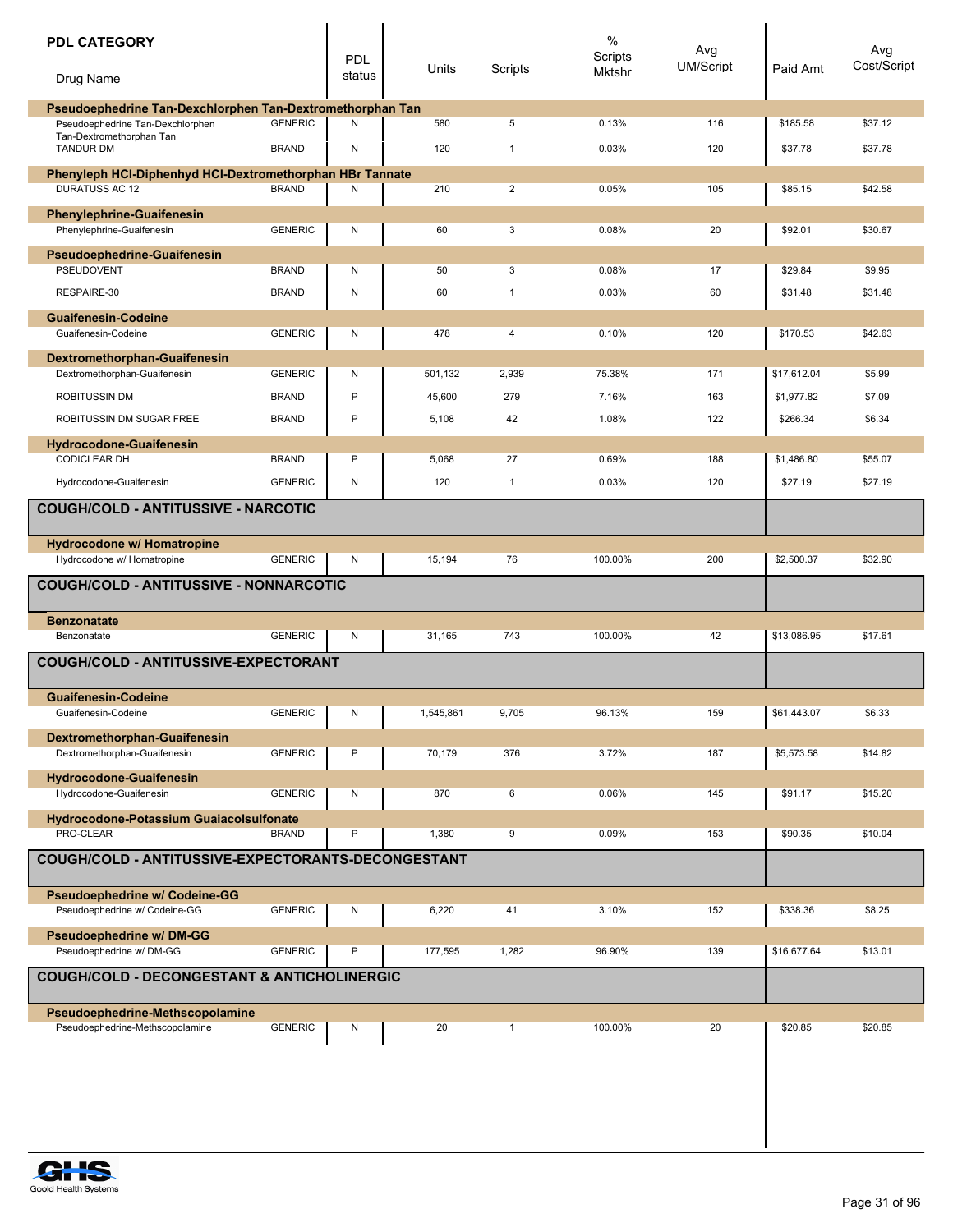| <b>PDL CATEGORY</b><br>Drug Name                                                              |                | <b>PDL</b><br>status | Units     | Scripts        | $\%$<br>Scripts<br>Mktshr | Avg<br><b>UM/Script</b> | Paid Amt    | Avg<br>Cost/Script |
|-----------------------------------------------------------------------------------------------|----------------|----------------------|-----------|----------------|---------------------------|-------------------------|-------------|--------------------|
|                                                                                               |                |                      |           |                |                           |                         |             |                    |
| Pseudoephedrine Tan-Dexchlorphen Tan-Dextromethorphan Tan<br>Pseudoephedrine Tan-Dexchlorphen | <b>GENERIC</b> | Ν                    | 580       | 5              | 0.13%                     | 116                     | \$185.58    | \$37.12            |
| Tan-Dextromethorphan Tan<br><b>TANDUR DM</b>                                                  | <b>BRAND</b>   | N                    | 120       | $\mathbf{1}$   | 0.03%                     | 120                     | \$37.78     | \$37.78            |
| Phenyleph HCI-Diphenhyd HCI-Dextromethorphan HBr Tannate<br><b>DURATUSS AC 12</b>             |                |                      |           |                |                           |                         |             |                    |
|                                                                                               | <b>BRAND</b>   | N                    | 210       | $\overline{2}$ | 0.05%                     | 105                     | \$85.15     | \$42.58            |
| <b>Phenylephrine-Guaifenesin</b><br>Phenylephrine-Guaifenesin                                 | <b>GENERIC</b> | N                    | 60        | 3              | 0.08%                     | 20                      | \$92.01     | \$30.67            |
|                                                                                               |                |                      |           |                |                           |                         |             |                    |
| <b>Pseudoephedrine-Guaifenesin</b><br><b>PSEUDOVENT</b>                                       | <b>BRAND</b>   | N                    | 50        | 3              | 0.08%                     | 17                      | \$29.84     | \$9.95             |
| RESPAIRE-30                                                                                   | <b>BRAND</b>   | ${\sf N}$            | 60        | $\mathbf{1}$   | 0.03%                     | 60                      | \$31.48     | \$31.48            |
| <b>Guaifenesin-Codeine</b>                                                                    |                |                      |           |                |                           |                         |             |                    |
| Guaifenesin-Codeine                                                                           | <b>GENERIC</b> | N                    | 478       | 4              | 0.10%                     | 120                     | \$170.53    | \$42.63            |
| Dextromethorphan-Guaifenesin                                                                  |                |                      |           |                |                           |                         |             |                    |
| Dextromethorphan-Guaifenesin                                                                  | <b>GENERIC</b> | N                    | 501,132   | 2,939          | 75.38%                    | 171                     | \$17.612.04 | \$5.99             |
| <b>ROBITUSSIN DM</b>                                                                          | <b>BRAND</b>   | P                    | 45,600    | 279            | 7.16%                     | 163                     | \$1,977.82  | \$7.09             |
| ROBITUSSIN DM SUGAR FREE                                                                      | <b>BRAND</b>   | P                    | 5,108     | 42             | 1.08%                     | 122                     | \$266.34    | \$6.34             |
| <b>Hydrocodone-Guaifenesin</b>                                                                |                |                      |           |                |                           |                         |             |                    |
| <b>CODICLEAR DH</b>                                                                           | <b>BRAND</b>   | P                    | 5,068     | 27             | 0.69%                     | 188                     | \$1,486.80  | \$55.07            |
| Hydrocodone-Guaifenesin                                                                       | <b>GENERIC</b> | ${\sf N}$            | 120       | $\mathbf{1}$   | 0.03%                     | 120                     | \$27.19     | \$27.19            |
| <b>COUGH/COLD - ANTITUSSIVE - NARCOTIC</b>                                                    |                |                      |           |                |                           |                         |             |                    |
|                                                                                               |                |                      |           |                |                           |                         |             |                    |
| Hydrocodone w/ Homatropine                                                                    |                |                      |           |                |                           |                         |             |                    |
| Hydrocodone w/ Homatropine                                                                    | <b>GENERIC</b> | N                    | 15,194    | 76             | 100.00%                   | 200                     | \$2,500.37  | \$32.90            |
| <b>COUGH/COLD - ANTITUSSIVE - NONNARCOTIC</b>                                                 |                |                      |           |                |                           |                         |             |                    |
| <b>Benzonatate</b>                                                                            |                |                      |           |                |                           |                         |             |                    |
| Benzonatate                                                                                   | <b>GENERIC</b> | N                    | 31,165    | 743            | 100.00%                   | 42                      | \$13,086.95 | \$17.61            |
| <b>COUGH/COLD - ANTITUSSIVE-EXPECTORANT</b>                                                   |                |                      |           |                |                           |                         |             |                    |
| <b>Guaifenesin-Codeine</b>                                                                    |                |                      |           |                |                           |                         |             |                    |
| Guaifenesin-Codeine                                                                           | GENERIC        | $\mathsf{N}$         | 1,545,861 | 9,705          | 96.13%                    | 159                     | 861,443.07  | \$6.33             |
| Dextromethorphan-Guaifenesin                                                                  |                |                      |           |                |                           |                         |             |                    |
| Dextromethorphan-Guaifenesin                                                                  | <b>GENERIC</b> | Ρ                    | 70,179    | 376            | 3.72%                     | 187                     | \$5,573.58  | \$14.82            |
| <b>Hydrocodone-Guaifenesin</b>                                                                | <b>GENERIC</b> |                      | 870       | 6              | 0.06%                     | 145                     |             |                    |
| Hydrocodone-Guaifenesin                                                                       |                | N                    |           |                |                           |                         | \$91.17     | \$15.20            |
| <b>Hydrocodone-Potassium Guaiacolsulfonate</b><br>PRO-CLEAR                                   | <b>BRAND</b>   | P                    | 1,380     | 9              | 0.09%                     | 153                     | \$90.35     | \$10.04            |
|                                                                                               |                |                      |           |                |                           |                         |             |                    |
| COUGH/COLD - ANTITUSSIVE-EXPECTORANTS-DECONGESTANT                                            |                |                      |           |                |                           |                         |             |                    |
| <b>Pseudoephedrine w/ Codeine-GG</b><br>Pseudoephedrine w/ Codeine-GG                         | <b>GENERIC</b> | N                    | 6,220     | 41             | 3.10%                     | 152                     | \$338.36    | \$8.25             |
| <b>Pseudoephedrine w/ DM-GG</b>                                                               |                |                      |           |                |                           |                         |             |                    |
| Pseudoephedrine w/ DM-GG                                                                      | <b>GENERIC</b> | Ρ                    | 177,595   | 1,282          | 96.90%                    | 139                     | \$16,677.64 | \$13.01            |
| <b>COUGH/COLD - DECONGESTANT &amp; ANTICHOLINERGIC</b>                                        |                |                      |           |                |                           |                         |             |                    |
| Pseudoephedrine-Methscopolamine                                                               |                |                      |           |                |                           |                         |             |                    |
| Pseudoephedrine-Methscopolamine                                                               | <b>GENERIC</b> | N                    | 20        | $\mathbf{1}$   | 100.00%                   | 20                      | \$20.85     | \$20.85            |
|                                                                                               |                |                      |           |                |                           |                         |             |                    |
|                                                                                               |                |                      |           |                |                           |                         |             |                    |
|                                                                                               |                |                      |           |                |                           |                         |             |                    |
|                                                                                               |                |                      |           |                |                           |                         |             |                    |

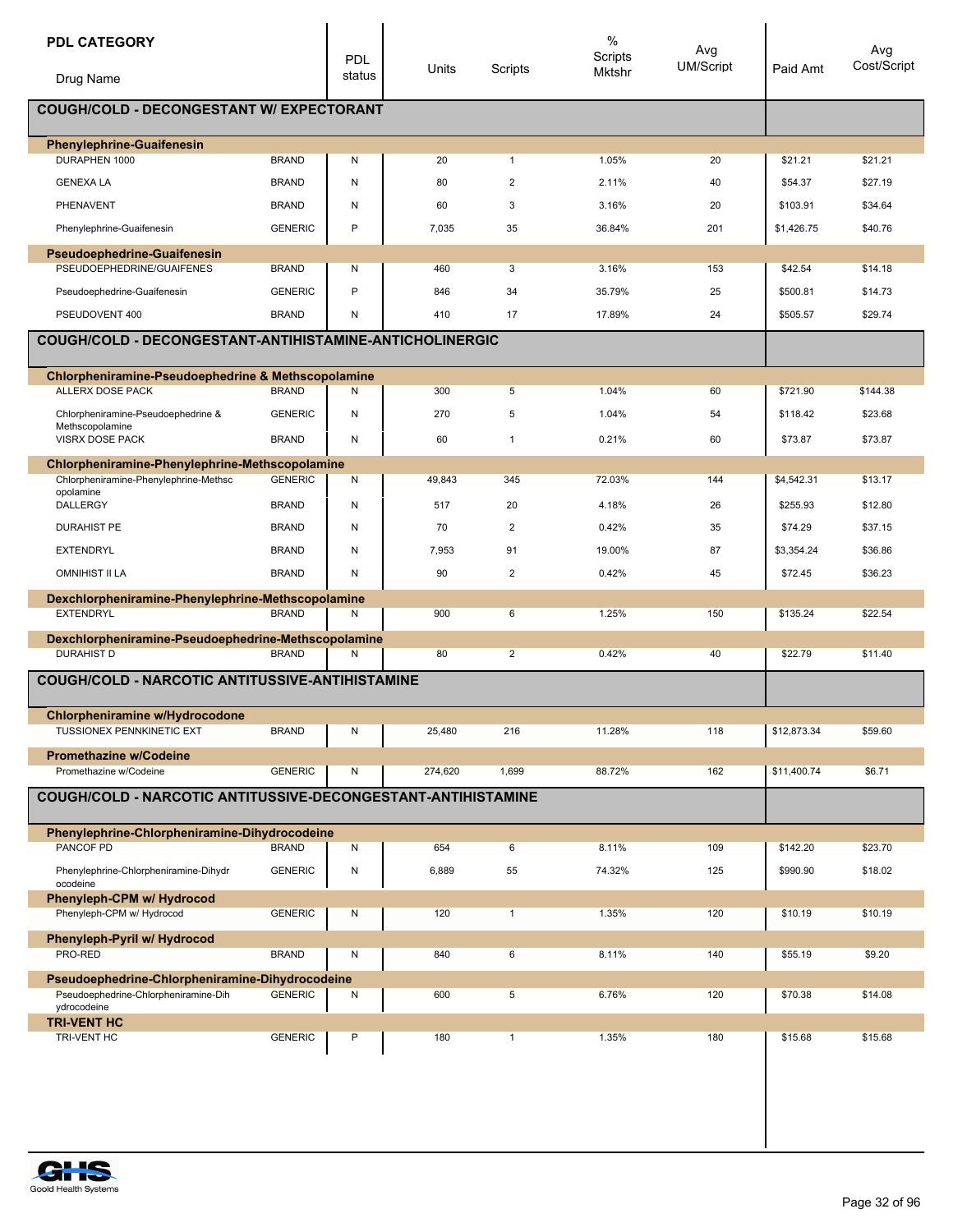| <b>PDL CATEGORY</b><br>Drug Name                                         |                | PDL<br>status | Units   | Scripts        | $\%$<br>Scripts<br>Mktshr | Avg<br><b>UM/Script</b> | Paid Amt    | Avg<br>Cost/Script |
|--------------------------------------------------------------------------|----------------|---------------|---------|----------------|---------------------------|-------------------------|-------------|--------------------|
|                                                                          |                |               |         |                |                           |                         |             |                    |
| <b>COUGH/COLD - DECONGESTANT W/ EXPECTORANT</b>                          |                |               |         |                |                           |                         |             |                    |
| <b>Phenylephrine-Guaifenesin</b>                                         |                |               |         |                |                           |                         |             |                    |
| DURAPHEN 1000                                                            | <b>BRAND</b>   | Ν             | 20      | $\mathbf{1}$   | 1.05%                     | 20                      | \$21.21     | \$21.21            |
| <b>GENEXA LA</b>                                                         | <b>BRAND</b>   | N             | 80      | 2              | 2.11%                     | 40                      | \$54.37     | \$27.19            |
| PHENAVENT                                                                | <b>BRAND</b>   | N             | 60      | 3              | 3.16%                     | 20                      | \$103.91    | \$34.64            |
| Phenylephrine-Guaifenesin                                                | <b>GENERIC</b> | P             | 7,035   | 35             | 36.84%                    | 201                     | \$1,426.75  | \$40.76            |
| <b>Pseudoephedrine-Guaifenesin</b><br>PSEUDOEPHEDRINE/GUAIFENES          |                |               |         |                |                           | 153                     |             |                    |
|                                                                          | <b>BRAND</b>   | Ν<br>P        | 460     | 3              | 3.16%                     |                         | \$42.54     | \$14.18            |
| Pseudoephedrine-Guaifenesin                                              | <b>GENERIC</b> |               | 846     | 34             | 35.79%                    | 25                      | \$500.81    | \$14.73            |
| PSEUDOVENT 400                                                           | <b>BRAND</b>   | Ν             | 410     | 17             | 17.89%                    | 24                      | \$505.57    | \$29.74            |
| COUGH/COLD - DECONGESTANT-ANTIHISTAMINE-ANTICHOLINERGIC                  |                |               |         |                |                           |                         |             |                    |
| <b>Chlorpheniramine-Pseudoephedrine &amp; Methscopolamine</b>            |                |               |         |                |                           |                         |             |                    |
| ALLERX DOSE PACK                                                         | <b>BRAND</b>   | Ν             | 300     | 5              | 1.04%                     | 60                      | \$721.90    | \$144.38           |
| Chlorpheniramine-Pseudoephedrine &<br>Methscopolamine                    | <b>GENERIC</b> | Ν             | 270     | 5              | 1.04%                     | 54                      | \$118.42    | \$23.68            |
| VISRX DOSE PACK                                                          | <b>BRAND</b>   | Ν             | 60      | 1              | 0.21%                     | 60                      | \$73.87     | \$73.87            |
| Chlorpheniramine-Phenylephrine-Methscopolamine                           |                |               |         |                |                           |                         |             |                    |
| Chlorpheniramine-Phenylephrine-Methsc<br>opolamine                       | <b>GENERIC</b> | Ν             | 49,843  | 345            | 72.03%                    | 144                     | \$4,542.31  | \$13.17            |
| <b>DALLERGY</b>                                                          | <b>BRAND</b>   | Ν             | 517     | 20             | 4.18%                     | 26                      | \$255.93    | \$12.80            |
| <b>DURAHIST PE</b>                                                       | <b>BRAND</b>   | Ν             | 70      | $\overline{c}$ | 0.42%                     | 35                      | \$74.29     | \$37.15            |
| <b>EXTENDRYL</b>                                                         | <b>BRAND</b>   | N             | 7,953   | 91             | 19.00%                    | 87                      | \$3,354.24  | \$36.86            |
| <b>OMNIHIST II LA</b>                                                    | <b>BRAND</b>   | Ν             | 90      | $\overline{2}$ | 0.42%                     | 45                      | \$72.45     | \$36.23            |
| Dexchlorpheniramine-Phenylephrine-Methscopolamine                        |                |               |         |                |                           |                         |             |                    |
| <b>EXTENDRYL</b>                                                         | <b>BRAND</b>   | N             | 900     | 6              | 1.25%                     | 150                     | \$135.24    | \$22.54            |
| Dexchlorpheniramine-Pseudoephedrine-Methscopolamine<br><b>DURAHIST D</b> | <b>BRAND</b>   | Ν             | 80      | $\mathbf 2$    | 0.42%                     | 40                      | \$22.79     | \$11.40            |
| <b>COUGH/COLD - NARCOTIC ANTITUSSIVE-ANTIHISTAMINE</b>                   |                |               |         |                |                           |                         |             |                    |
|                                                                          |                |               |         |                |                           |                         |             |                    |
| Chlorpheniramine w/Hydrocodone                                           |                |               |         |                |                           |                         |             |                    |
| TUSSIONEX PENNKINETIC EXT                                                | <b>BRAND</b>   | N             | 25,480  | 216            | 11.28%                    | 118                     | \$12,873.34 | \$59.60            |
| <b>Promethazine w/Codeine</b><br>Promethazine w/Codeine                  | <b>GENERIC</b> | N             | 274,620 | 1,699          | 88.72%                    | 162                     | \$11,400.74 | \$6.71             |
| COUGH/COLD - NARCOTIC ANTITUSSIVE-DECONGESTANT-ANTIHISTAMINE             |                |               |         |                |                           |                         |             |                    |
|                                                                          |                |               |         |                |                           |                         |             |                    |
| Phenylephrine-Chlorpheniramine-Dihydrocodeine<br><b>PANCOF PD</b>        |                |               |         |                |                           |                         |             |                    |
|                                                                          | <b>BRAND</b>   | N             | 654     | 6              | 8.11%                     | 109                     | \$142.20    | \$23.70            |
| Phenylephrine-Chlorpheniramine-Dihydr<br>ocodeine                        | <b>GENERIC</b> | Ν             | 6,889   | 55             | 74.32%                    | 125                     | \$990.90    | \$18.02            |
| Phenyleph-CPM w/ Hydrocod<br>Phenyleph-CPM w/ Hydrocod                   | <b>GENERIC</b> | Ν             | 120     | $\mathbf{1}$   | 1.35%                     | 120                     | \$10.19     | \$10.19            |
|                                                                          |                |               |         |                |                           |                         |             |                    |
| Phenyleph-Pyril w/ Hydrocod<br>PRO-RED                                   | <b>BRAND</b>   | Ν             | 840     | 6              | 8.11%                     | 140                     | \$55.19     | \$9.20             |
| Pseudoephedrine-Chlorpheniramine-Dihydrocodeine                          |                |               |         |                |                           |                         |             |                    |
| Pseudoephedrine-Chlorpheniramine-Dih                                     | <b>GENERIC</b> | N             | 600     | 5              | 6.76%                     | 120                     | \$70.38     | \$14.08            |
| ydrocodeine<br><b>TRI-VENT HC</b>                                        |                |               |         |                |                           |                         |             |                    |
| TRI-VENT HC                                                              | <b>GENERIC</b> | Ρ             | 180     | $\mathbf{1}$   | 1.35%                     | 180                     | \$15.68     | \$15.68            |

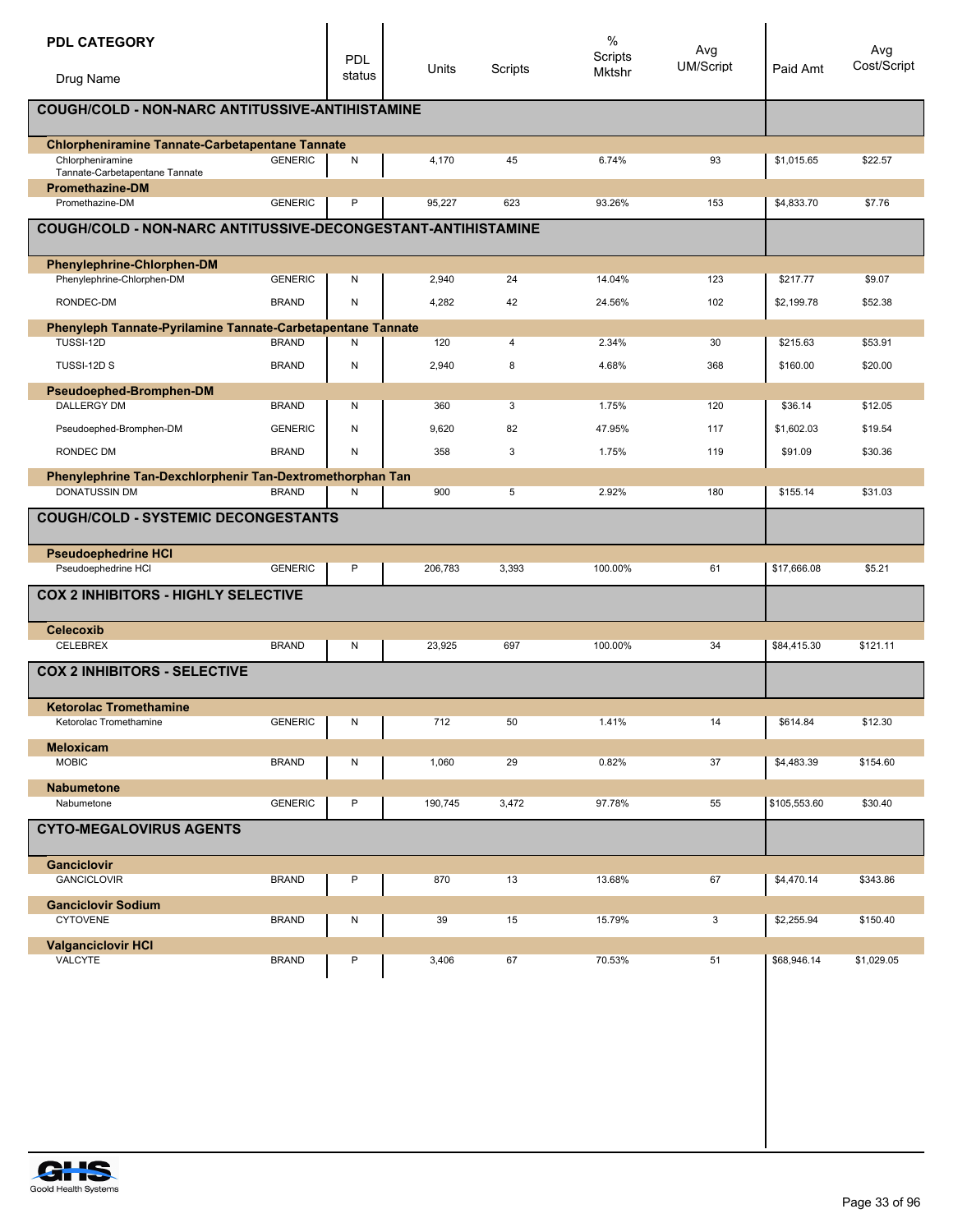| <b>PDL CATEGORY</b><br>Drug Name                                                |                | PDL<br>status | Units   | Scripts    | $\%$<br>Scripts<br><b>Mktshr</b> | Avg<br>UM/Script | Paid Amt     | Avg<br>Cost/Script |
|---------------------------------------------------------------------------------|----------------|---------------|---------|------------|----------------------------------|------------------|--------------|--------------------|
| COUGH/COLD - NON-NARC ANTITUSSIVE-ANTIHISTAMINE                                 |                |               |         |            |                                  |                  |              |                    |
|                                                                                 |                |               |         |            |                                  |                  |              |                    |
| <b>Chlorpheniramine Tannate-Carbetapentane Tannate</b>                          |                |               |         |            |                                  |                  |              |                    |
| Chlorpheniramine<br>Tannate-Carbetapentane Tannate                              | <b>GENERIC</b> | N             | 4,170   | 45         | 6.74%                            | 93               | \$1,015.65   | \$22.57            |
| <b>Promethazine-DM</b>                                                          |                |               |         |            |                                  |                  |              |                    |
| Promethazine-DM                                                                 | <b>GENERIC</b> | P             | 95,227  | 623        | 93.26%                           | 153              | \$4,833.70   | \$7.76             |
| COUGH/COLD - NON-NARC ANTITUSSIVE-DECONGESTANT-ANTIHISTAMINE                    |                |               |         |            |                                  |                  |              |                    |
| Phenylephrine-Chlorphen-DM<br>Phenylephrine-Chlorphen-DM                        | <b>GENERIC</b> | Ν             | 2,940   | 24         | 14.04%                           | 123              | \$217.77     | \$9.07             |
|                                                                                 |                |               |         |            |                                  |                  |              |                    |
| RONDEC-DM                                                                       | <b>BRAND</b>   | N             | 4,282   | 42         | 24.56%                           | 102              | \$2,199.78   | \$52.38            |
| Phenyleph Tannate-Pyrilamine Tannate-Carbetapentane Tannate<br><b>TUSSI-12D</b> | <b>BRAND</b>   | Ν             | 120     | 4          | 2.34%                            | 30               | \$215.63     | \$53.91            |
| TUSSI-12D S                                                                     | <b>BRAND</b>   | ${\sf N}$     | 2,940   | 8          | 4.68%                            | 368              | \$160.00     | \$20.00            |
|                                                                                 |                |               |         |            |                                  |                  |              |                    |
| Pseudoephed-Bromphen-DM<br><b>DALLERGY DM</b>                                   | <b>BRAND</b>   | Ν             | 360     | 3          | 1.75%                            | 120              | \$36.14      | \$12.05            |
| Pseudoephed-Bromphen-DM                                                         | <b>GENERIC</b> | N             | 9,620   | 82         | 47.95%                           | 117              | \$1,602.03   | \$19.54            |
| RONDEC DM                                                                       | <b>BRAND</b>   | Ν             | 358     | 3          | 1.75%                            | 119              | \$91.09      | \$30.36            |
| Phenylephrine Tan-Dexchlorphenir Tan-Dextromethorphan Tan                       |                |               |         |            |                                  |                  |              |                    |
| <b>DONATUSSIN DM</b>                                                            | <b>BRAND</b>   | N             | 900     | $\sqrt{5}$ | 2.92%                            | 180              | \$155.14     | \$31.03            |
| <b>COUGH/COLD - SYSTEMIC DECONGESTANTS</b>                                      |                |               |         |            |                                  |                  |              |                    |
| <b>Pseudoephedrine HCI</b>                                                      |                |               |         |            |                                  |                  |              |                    |
| Pseudoephedrine HCI                                                             | <b>GENERIC</b> | P             | 206,783 | 3,393      | 100.00%                          | 61               | \$17,666.08  | \$5.21             |
| <b>COX 2 INHIBITORS - HIGHLY SELECTIVE</b>                                      |                |               |         |            |                                  |                  |              |                    |
| <b>Celecoxib</b>                                                                |                |               |         |            |                                  |                  |              |                    |
| CELEBREX                                                                        | <b>BRAND</b>   | Ν             | 23,925  | 697        | 100.00%                          | 34               | \$84,415.30  | \$121.11           |
| <b>COX 2 INHIBITORS - SELECTIVE</b>                                             |                |               |         |            |                                  |                  |              |                    |
| <b>Ketorolac Tromethamine</b>                                                   |                |               |         |            |                                  |                  |              |                    |
| Ketorolac Tromethamine                                                          | GENERIC        | N             | 712     | 50         | 1.41%                            | 14               | \$614.84     | \$12.30            |
| <b>Meloxicam</b>                                                                |                |               |         |            |                                  |                  |              |                    |
| <b>MOBIC</b>                                                                    | <b>BRAND</b>   | N             | 1,060   | 29         | 0.82%                            | 37               | \$4,483.39   | \$154.60           |
| <b>Nabumetone</b><br>Nabumetone                                                 | <b>GENERIC</b> | P             | 190,745 | 3,472      | 97.78%                           | 55               | \$105,553.60 | \$30.40            |
| <b>CYTO-MEGALOVIRUS AGENTS</b>                                                  |                |               |         |            |                                  |                  |              |                    |
| <b>Ganciclovir</b>                                                              |                |               |         |            |                                  |                  |              |                    |
| <b>GANCICLOVIR</b>                                                              | <b>BRAND</b>   | P             | 870     | 13         | 13.68%                           | 67               | \$4,470.14   | \$343.86           |
| <b>Ganciclovir Sodium</b>                                                       |                |               |         |            |                                  |                  |              |                    |
| <b>CYTOVENE</b>                                                                 | <b>BRAND</b>   | N             | 39      | 15         | 15.79%                           | 3                | \$2,255.94   | \$150.40           |
| <b>Valganciclovir HCI</b>                                                       |                |               |         |            |                                  |                  |              |                    |
| VALCYTE                                                                         | <b>BRAND</b>   | P             | 3,406   | 67         | 70.53%                           | 51               | \$68,946.14  | \$1,029.05         |
|                                                                                 |                |               |         |            |                                  |                  |              |                    |
|                                                                                 |                |               |         |            |                                  |                  |              |                    |
|                                                                                 |                |               |         |            |                                  |                  |              |                    |
|                                                                                 |                |               |         |            |                                  |                  |              |                    |
|                                                                                 |                |               |         |            |                                  |                  |              |                    |

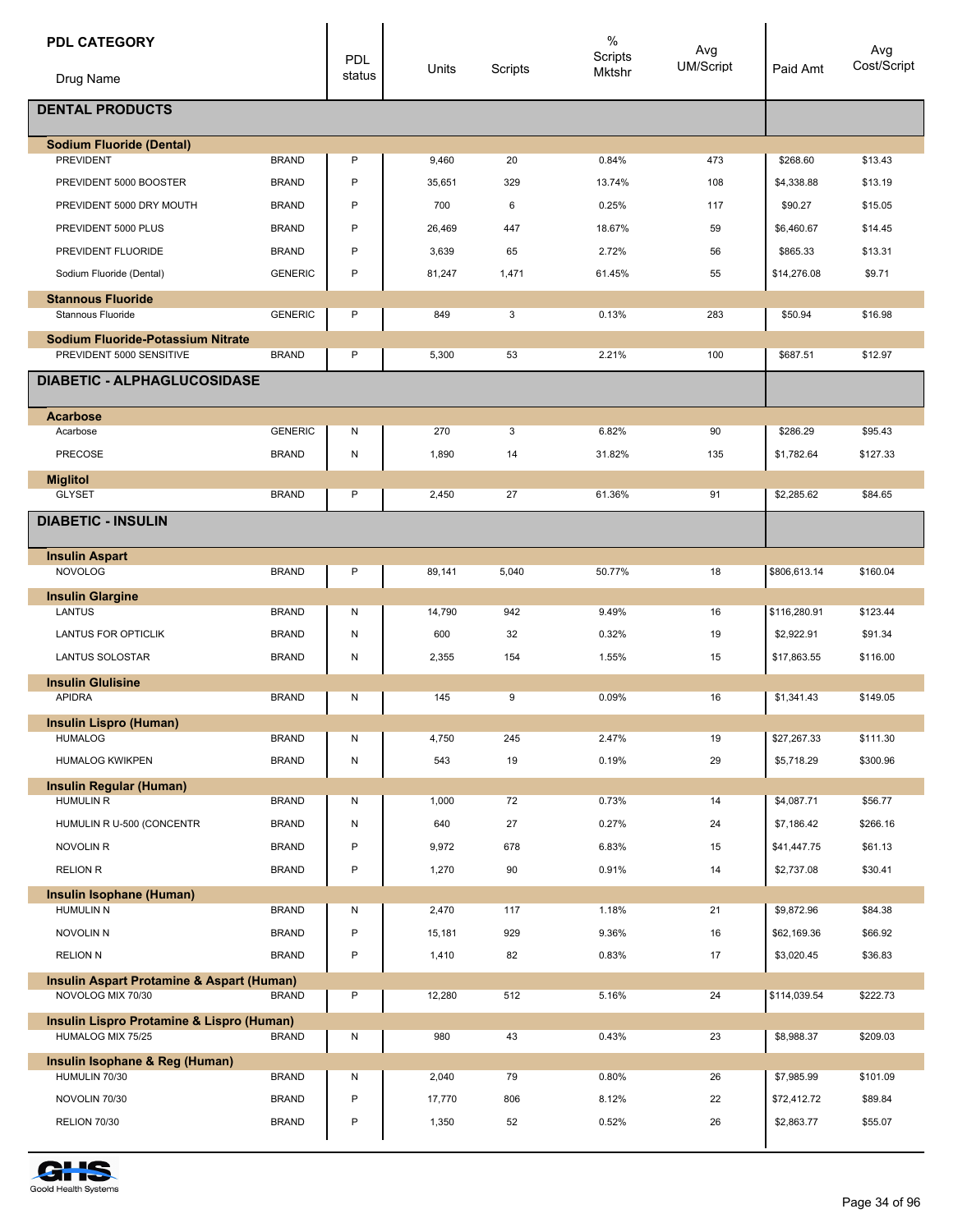| <b>PDL CATEGORY</b>                                |                              | PDL    |                 |           | %<br>Scripts    | Avg              |                          | Avg                |
|----------------------------------------------------|------------------------------|--------|-----------------|-----------|-----------------|------------------|--------------------------|--------------------|
| Drug Name                                          |                              | status | Units           | Scripts   | Mktshr          | <b>UM/Script</b> | Paid Amt                 | Cost/Script        |
| <b>DENTAL PRODUCTS</b>                             |                              |        |                 |           |                 |                  |                          |                    |
| <b>Sodium Fluoride (Dental)</b>                    |                              |        |                 |           |                 |                  |                          |                    |
| <b>PREVIDENT</b>                                   | <b>BRAND</b>                 | P      | 9,460           | 20        | 0.84%           | 473              | \$268.60                 | \$13.43            |
| PREVIDENT 5000 BOOSTER                             | <b>BRAND</b><br><b>BRAND</b> | P      | 35,651<br>700   | 329       | 13.74%          | 108              | \$4,338.88               | \$13.19            |
| PREVIDENT 5000 DRY MOUTH<br>PREVIDENT 5000 PLUS    |                              | P<br>P |                 | 6         | 0.25%           | 117<br>59        | \$90.27                  | \$15.05            |
| PREVIDENT FLUORIDE                                 | <b>BRAND</b><br><b>BRAND</b> | P      | 26,469<br>3,639 | 447<br>65 | 18.67%<br>2.72% | 56               | \$6,460.67<br>\$865.33   | \$14.45<br>\$13.31 |
| Sodium Fluoride (Dental)                           | <b>GENERIC</b>               | P      | 81,247          | 1,471     | 61.45%          | 55               | \$14,276.08              | \$9.71             |
|                                                    |                              |        |                 |           |                 |                  |                          |                    |
| <b>Stannous Fluoride</b><br>Stannous Fluoride      | <b>GENERIC</b>               | P      | 849             | 3         | 0.13%           | 283              | \$50.94                  | \$16.98            |
| <b>Sodium Fluoride-Potassium Nitrate</b>           |                              |        |                 |           |                 |                  |                          |                    |
| PREVIDENT 5000 SENSITIVE                           | <b>BRAND</b>                 | P      | 5,300           | 53        | 2.21%           | 100              | \$687.51                 | \$12.97            |
| <b>DIABETIC - ALPHAGLUCOSIDASE</b>                 |                              |        |                 |           |                 |                  |                          |                    |
| <b>Acarbose</b>                                    |                              |        |                 |           |                 |                  |                          |                    |
| Acarbose                                           | <b>GENERIC</b>               | Ν      | 270             | 3         | 6.82%           | 90               | \$286.29                 | \$95.43            |
| <b>PRECOSE</b>                                     | <b>BRAND</b>                 | Ν      | 1,890           | 14        | 31.82%          | 135              | \$1,782.64               | \$127.33           |
| <b>Miglitol</b>                                    |                              |        |                 |           |                 |                  |                          |                    |
| <b>GLYSET</b>                                      | <b>BRAND</b>                 | P      | 2,450           | 27        | 61.36%          | 91               | \$2,285.62               | \$84.65            |
| <b>DIABETIC - INSULIN</b>                          |                              |        |                 |           |                 |                  |                          |                    |
| <b>Insulin Aspart</b>                              |                              |        |                 |           |                 |                  |                          |                    |
| <b>NOVOLOG</b>                                     | <b>BRAND</b>                 | P      | 89,141          | 5,040     | 50.77%          | 18               | \$806,613.14             | \$160.04           |
| <b>Insulin Glargine</b><br>LANTUS                  | <b>BRAND</b>                 | Ν      | 14,790          | 942       | 9.49%           | 16               | \$116,280.91             | \$123.44           |
| <b>LANTUS FOR OPTICLIK</b>                         | <b>BRAND</b>                 | Ν      | 600             | 32        | 0.32%           | 19               | \$2.922.91               | \$91.34            |
| <b>LANTUS SOLOSTAR</b>                             | <b>BRAND</b>                 | Ν      | 2,355           | 154       | 1.55%           | 15               | \$17,863.55              | \$116.00           |
| <b>Insulin Glulisine</b>                           |                              |        |                 |           |                 |                  |                          |                    |
| <b>APIDRA</b>                                      | <b>BRAND</b>                 | Ν      | 145             | 9         | 0.09%           | 16               | \$1,341.43               | \$149.05           |
| <b>Insulin Lispro (Human)</b>                      |                              |        |                 |           |                 |                  |                          |                    |
| <b>HUMALOG</b>                                     | <b>BRAND</b>                 | Ν      | 4,750           | 245       | 2.47%           | 19               | \$27,267.33              | \$111.30           |
| <b>HUMALOG KWIKPEN</b>                             | <b>BRAND</b>                 | N      | 543             | 19        | 0.19%           | 29               | \$5,718.29               | \$300.96           |
| <b>Insulin Regular (Human)</b><br><b>HUMULIN R</b> | <b>BRAND</b>                 |        | 1,000           |           | 0.73%           | 14               |                          | \$56.77            |
|                                                    | <b>BRAND</b>                 | N<br>N |                 | 72<br>27  |                 | 24               | \$4,087.71<br>\$7,186.42 | \$266.16           |
| HUMULIN R U-500 (CONCENTR<br>NOVOLIN R             | <b>BRAND</b>                 | P      | 640<br>9,972    | 678       | 0.27%<br>6.83%  | 15               | \$41,447.75              | \$61.13            |
| <b>RELION R</b>                                    | <b>BRAND</b>                 | P      | 1,270           | 90        | 0.91%           | 14               | \$2,737.08               | \$30.41            |
|                                                    |                              |        |                 |           |                 |                  |                          |                    |
| Insulin Isophane (Human)<br><b>HUMULIN N</b>       | <b>BRAND</b>                 | N      | 2,470           | 117       | 1.18%           | 21               | \$9,872.96               | \$84.38            |
| <b>NOVOLIN N</b>                                   | <b>BRAND</b>                 | P      | 15,181          | 929       | 9.36%           | 16               | \$62,169.36              | \$66.92            |
| <b>RELION N</b>                                    | <b>BRAND</b>                 | P      | 1,410           | 82        | 0.83%           | 17               | \$3,020.45               | \$36.83            |
| Insulin Aspart Protamine & Aspart (Human)          |                              |        |                 |           |                 |                  |                          |                    |
| NOVOLOG MIX 70/30                                  | <b>BRAND</b>                 | P      | 12,280          | 512       | 5.16%           | 24               | \$114,039.54             | \$222.73           |
| Insulin Lispro Protamine & Lispro (Human)          |                              |        |                 |           |                 |                  |                          |                    |
| HUMALOG MIX 75/25                                  | <b>BRAND</b>                 | N      | 980             | 43        | 0.43%           | 23               | \$8,988.37               | \$209.03           |
| Insulin Isophane & Reg (Human)<br>HUMULIN 70/30    | <b>BRAND</b>                 | N      | 2,040           | 79        | 0.80%           | 26               | \$7,985.99               | \$101.09           |
| NOVOLIN 70/30                                      | <b>BRAND</b>                 | P      | 17,770          | 806       | 8.12%           | 22               | \$72,412.72              | \$89.84            |
| RELION 70/30                                       | <b>BRAND</b>                 | P      | 1,350           | 52        | 0.52%           | 26               | \$2,863.77               | \$55.07            |
|                                                    |                              |        |                 |           |                 |                  |                          |                    |

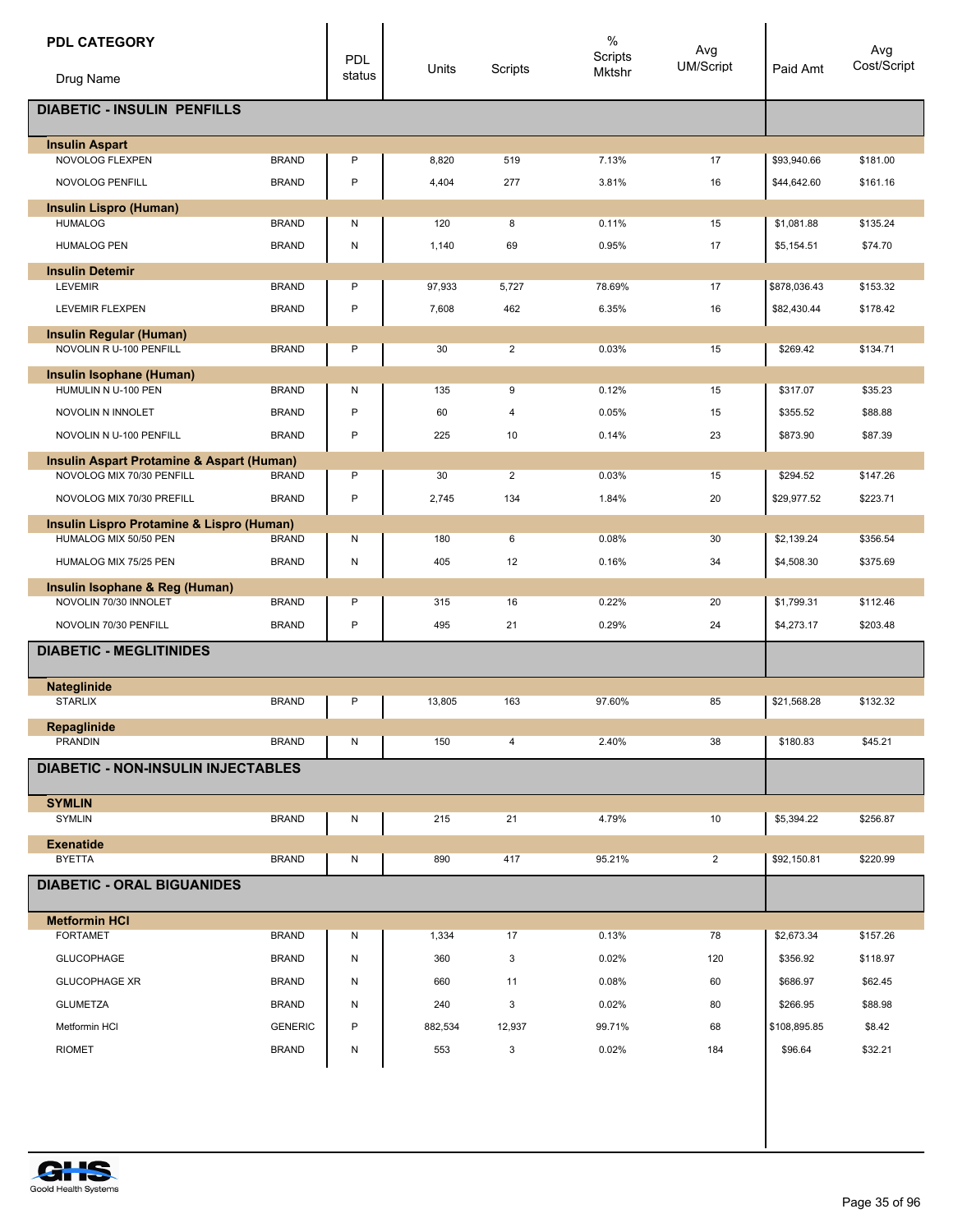| <b>PDL CATEGORY</b>                                       |                | <b>PDL</b> | Units   | Scripts        | $\%$<br>Scripts<br>Mktshr | Avg<br>UM/Script | Paid Amt     | Avg<br>Cost/Script |
|-----------------------------------------------------------|----------------|------------|---------|----------------|---------------------------|------------------|--------------|--------------------|
| Drug Name                                                 |                | status     |         |                |                           |                  |              |                    |
| <b>DIABETIC - INSULIN PENFILLS</b>                        |                |            |         |                |                           |                  |              |                    |
| <b>Insulin Aspart</b><br>NOVOLOG FLEXPEN                  | <b>BRAND</b>   | P          | 8,820   | 519            | 7.13%                     | 17               | \$93,940.66  | \$181.00           |
| NOVOLOG PENFILL                                           | <b>BRAND</b>   | P          | 4,404   | 277            | 3.81%                     | 16               | \$44,642.60  | \$161.16           |
|                                                           |                |            |         |                |                           |                  |              |                    |
| <b>Insulin Lispro (Human)</b><br><b>HUMALOG</b>           | <b>BRAND</b>   | Ν          | 120     | 8              | 0.11%                     | 15               | \$1,081.88   | \$135.24           |
| <b>HUMALOG PEN</b>                                        | <b>BRAND</b>   | N          | 1,140   | 69             | 0.95%                     | 17               | \$5,154.51   | \$74.70            |
| <b>Insulin Detemir</b>                                    |                |            |         |                |                           |                  |              |                    |
| <b>LEVEMIR</b>                                            | <b>BRAND</b>   | P          | 97,933  | 5,727          | 78.69%                    | 17               | \$878,036.43 | \$153.32           |
| LEVEMIR FLEXPEN                                           | <b>BRAND</b>   | P          | 7,608   | 462            | 6.35%                     | 16               | \$82,430.44  | \$178.42           |
| <b>Insulin Regular (Human)</b><br>NOVOLIN R U-100 PENFILL | <b>BRAND</b>   | P          | 30      | $\overline{2}$ | 0.03%                     | 15               | \$269.42     | \$134.71           |
| Insulin Isophane (Human)                                  |                |            |         |                |                           |                  |              |                    |
| HUMULIN N U-100 PEN                                       | <b>BRAND</b>   | Ν          | 135     | 9              | 0.12%                     | 15               | \$317.07     | \$35.23            |
| NOVOLIN N INNOLET                                         | <b>BRAND</b>   | P          | 60      | 4              | 0.05%                     | 15               | \$355.52     | \$88.88            |
| NOVOLIN N U-100 PENFILL                                   | <b>BRAND</b>   | P          | 225     | 10             | 0.14%                     | 23               | \$873.90     | \$87.39            |
| Insulin Aspart Protamine & Aspart (Human)                 |                |            |         |                |                           |                  |              |                    |
| NOVOLOG MIX 70/30 PENFILL                                 | <b>BRAND</b>   | P          | 30      | $\overline{2}$ | 0.03%                     | 15               | \$294.52     | \$147.26           |
| NOVOLOG MIX 70/30 PREFILL                                 | <b>BRAND</b>   | P          | 2,745   | 134            | 1.84%                     | 20               | \$29,977.52  | \$223.71           |
| Insulin Lispro Protamine & Lispro (Human)                 |                |            |         |                |                           |                  |              |                    |
| HUMALOG MIX 50/50 PEN                                     | <b>BRAND</b>   | Ν          | 180     | 6              | 0.08%                     | 30               | \$2,139.24   | \$356.54           |
| HUMALOG MIX 75/25 PEN                                     | <b>BRAND</b>   | N          | 405     | 12             | 0.16%                     | 34               | \$4,508.30   | \$375.69           |
| Insulin Isophane & Reg (Human)<br>NOVOLIN 70/30 INNOLET   | <b>BRAND</b>   | P          | 315     | 16             | 0.22%                     | 20               | \$1,799.31   | \$112.46           |
| NOVOLIN 70/30 PENFILL                                     | <b>BRAND</b>   | P          | 495     | 21             | 0.29%                     | 24               | \$4,273.17   | \$203.48           |
| <b>DIABETIC - MEGLITINIDES</b>                            |                |            |         |                |                           |                  |              |                    |
|                                                           |                |            |         |                |                           |                  |              |                    |
| Nateglinide<br><b>STARLIX</b>                             | <b>BRAND</b>   | P          | 13,805  | 163            | 97.60%                    | 85               | \$21,568.28  | \$132.32           |
| <b>Repaglinide</b>                                        |                |            |         |                |                           |                  |              |                    |
| PRANDIN                                                   | <b>BRAND</b>   | N          | 150     | 4              | 2.40%                     | 38               | \$180.83     | \$45.21            |
| <b>DIABETIC - NON-INSULIN INJECTABLES</b>                 |                |            |         |                |                           |                  |              |                    |
| <b>SYMLIN</b>                                             |                |            |         |                |                           |                  |              |                    |
| <b>SYMLIN</b>                                             | <b>BRAND</b>   | Ν          | 215     | 21             | 4.79%                     | 10               | \$5,394.22   | \$256.87           |
| <b>Exenatide</b><br><b>BYETTA</b>                         | <b>BRAND</b>   | Ν          | 890     | 417            | 95.21%                    | $\overline{a}$   | \$92,150.81  | \$220.99           |
|                                                           |                |            |         |                |                           |                  |              |                    |
| <b>DIABETIC - ORAL BIGUANIDES</b>                         |                |            |         |                |                           |                  |              |                    |
| <b>Metformin HCI</b>                                      |                |            |         |                |                           |                  |              |                    |
| <b>FORTAMET</b>                                           | <b>BRAND</b>   | N          | 1,334   | 17             | 0.13%                     | 78               | \$2,673.34   | \$157.26           |
| <b>GLUCOPHAGE</b>                                         | <b>BRAND</b>   | N          | 360     | 3              | 0.02%                     | 120              | \$356.92     | \$118.97           |
| <b>GLUCOPHAGE XR</b>                                      | <b>BRAND</b>   | Ν          | 660     | 11             | 0.08%                     | 60               | \$686.97     | \$62.45            |
| <b>GLUMETZA</b>                                           | <b>BRAND</b>   | Ν          | 240     | 3              | 0.02%                     | 80               | \$266.95     | \$88.98            |
| Metformin HCI                                             | <b>GENERIC</b> | P          | 882,534 | 12,937         | 99.71%                    | 68               | \$108,895.85 | \$8.42             |
| <b>RIOMET</b>                                             | <b>BRAND</b>   | N          | 553     | 3              | 0.02%                     | 184              | \$96.64      | \$32.21            |
|                                                           |                |            |         |                |                           |                  |              |                    |

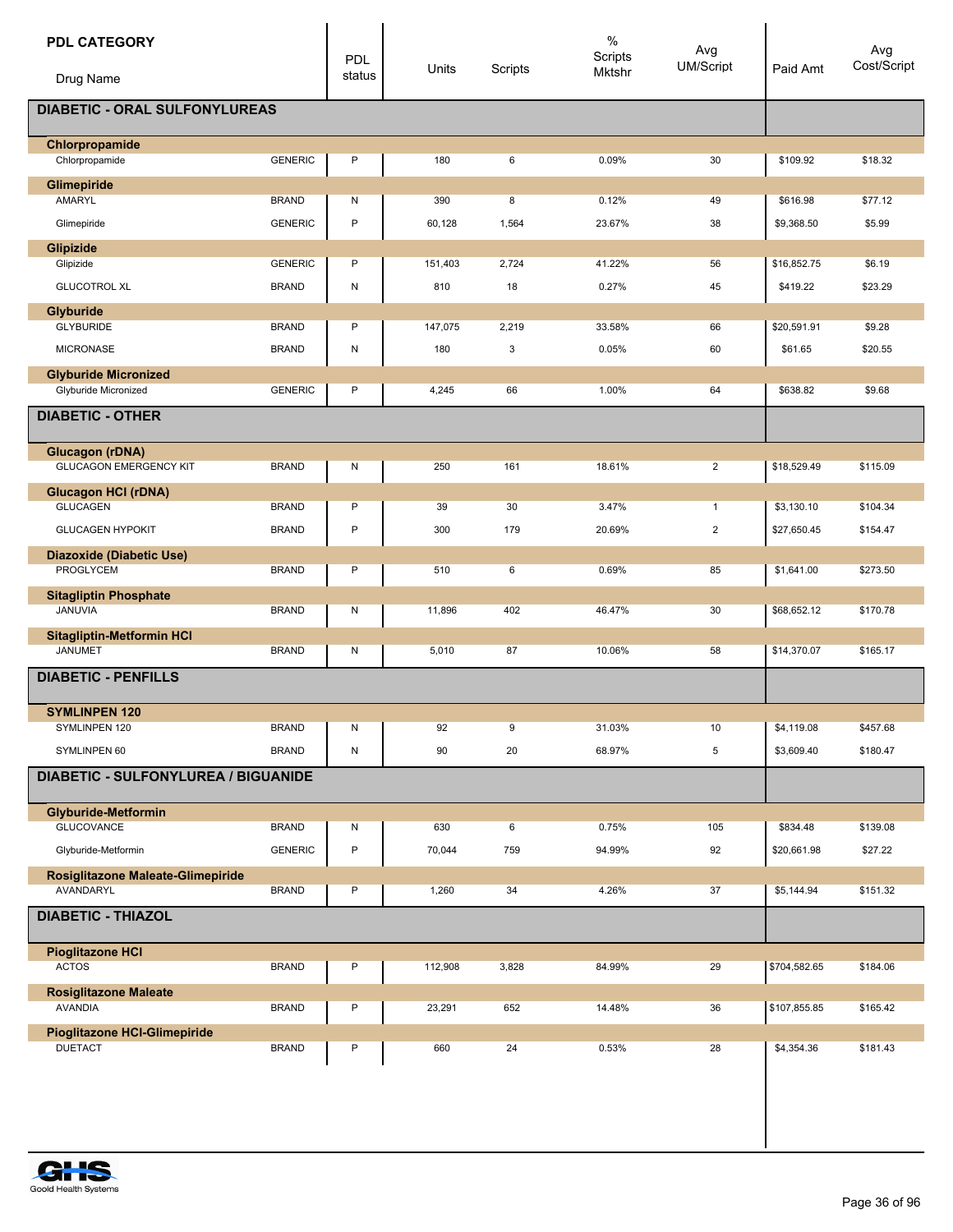| <b>PDL CATEGORY</b>                                 |                | PDL    | Units   | Scripts | $\%$<br>Scripts<br>Mktshr | Avg<br><b>UM/Script</b> | Paid Amt     | Avg<br>Cost/Script |
|-----------------------------------------------------|----------------|--------|---------|---------|---------------------------|-------------------------|--------------|--------------------|
| Drug Name                                           |                | status |         |         |                           |                         |              |                    |
| <b>DIABETIC - ORAL SULFONYLUREAS</b>                |                |        |         |         |                           |                         |              |                    |
| Chlorpropamide                                      |                |        |         |         |                           |                         |              |                    |
| Chlorpropamide                                      | <b>GENERIC</b> | P      | 180     | 6       | 0.09%                     | 30                      | \$109.92     | \$18.32            |
| Glimepiride<br>AMARYL                               | <b>BRAND</b>   | Ν      | 390     | 8       | 0.12%                     | 49                      | \$616.98     | \$77.12            |
| Glimepiride                                         | <b>GENERIC</b> | P      |         |         |                           |                         |              |                    |
|                                                     |                |        | 60,128  | 1,564   | 23.67%                    | 38                      | \$9,368.50   | \$5.99             |
| Glipizide<br>Glipizide                              | <b>GENERIC</b> | P      | 151,403 | 2,724   | 41.22%                    | 56                      | \$16,852.75  | \$6.19             |
| <b>GLUCOTROL XL</b>                                 | <b>BRAND</b>   | N      | 810     | 18      | 0.27%                     | 45                      | \$419.22     | \$23.29            |
|                                                     |                |        |         |         |                           |                         |              |                    |
| Glyburide<br><b>GLYBURIDE</b>                       | <b>BRAND</b>   | P      | 147,075 | 2,219   | 33.58%                    | 66                      | \$20,591.91  | \$9.28             |
| <b>MICRONASE</b>                                    | <b>BRAND</b>   | N      | 180     | 3       | 0.05%                     | 60                      | \$61.65      | \$20.55            |
|                                                     |                |        |         |         |                           |                         |              |                    |
| <b>Glyburide Micronized</b><br>Glyburide Micronized | <b>GENERIC</b> | P      | 4,245   | 66      | 1.00%                     | 64                      | \$638.82     | \$9.68             |
| <b>DIABETIC - OTHER</b>                             |                |        |         |         |                           |                         |              |                    |
|                                                     |                |        |         |         |                           |                         |              |                    |
| Glucagon (rDNA)                                     |                |        |         |         |                           |                         |              |                    |
| <b>GLUCAGON EMERGENCY KIT</b>                       | <b>BRAND</b>   | Ν      | 250     | 161     | 18.61%                    | $\overline{2}$          | \$18,529.49  | \$115.09           |
| <b>Glucagon HCI (rDNA)</b>                          |                |        |         |         |                           |                         |              |                    |
| <b>GLUCAGEN</b>                                     | <b>BRAND</b>   | P      | 39      | 30      | 3.47%                     | $\mathbf{1}$            | \$3,130.10   | \$104.34           |
| <b>GLUCAGEN HYPOKIT</b>                             | <b>BRAND</b>   | P      | 300     | 179     | 20.69%                    | $\overline{2}$          | \$27,650.45  | \$154.47           |
| <b>Diazoxide (Diabetic Use)</b>                     |                |        |         |         |                           |                         |              |                    |
| PROGLYCEM                                           | <b>BRAND</b>   | P      | 510     | 6       | 0.69%                     | 85                      | \$1,641.00   | \$273.50           |
| <b>Sitagliptin Phosphate</b><br>JANUVIA             | <b>BRAND</b>   | Ν      | 11,896  | 402     | 46.47%                    | 30                      | \$68,652.12  | \$170.78           |
|                                                     |                |        |         |         |                           |                         |              |                    |
| <b>Sitagliptin-Metformin HCI</b><br><b>JANUMET</b>  | <b>BRAND</b>   | N      | 5,010   | 87      | 10.06%                    | 58                      | \$14,370.07  | \$165.17           |
| <b>DIABETIC - PENFILLS</b>                          |                |        |         |         |                           |                         |              |                    |
|                                                     |                |        |         |         |                           |                         |              |                    |
| <b>SYMLINPEN 120</b>                                |                |        |         |         |                           |                         |              |                    |
| SYMLINPEN 120                                       | <b>BRAND</b>   | N      | 92      | 9       | 31.03%                    | 10                      | \$4,119.08   | \$457.68           |
| SYMLINPEN 60                                        | <b>BRAND</b>   | N      | 90      | 20      | 68.97%                    | 5                       | \$3,609.40   | \$180.47           |
| <b>DIABETIC - SULFONYLUREA / BIGUANIDE</b>          |                |        |         |         |                           |                         |              |                    |
| <b>Glyburide-Metformin</b>                          |                |        |         |         |                           |                         |              |                    |
| <b>GLUCOVANCE</b>                                   | <b>BRAND</b>   | Ν      | 630     | 6       | 0.75%                     | 105                     | \$834.48     | \$139.08           |
| Glyburide-Metformin                                 | <b>GENERIC</b> | P      | 70,044  | 759     | 94.99%                    | 92                      | \$20,661.98  | \$27.22            |
| Rosiglitazone Maleate-Glimepiride                   |                |        |         |         |                           |                         |              |                    |
| <b>AVANDARYL</b>                                    | <b>BRAND</b>   | P      | 1,260   | $34\,$  | 4.26%                     | 37                      | \$5,144.94   | \$151.32           |
| <b>DIABETIC - THIAZOL</b>                           |                |        |         |         |                           |                         |              |                    |
| <b>Pioglitazone HCI</b>                             |                |        |         |         |                           |                         |              |                    |
| <b>ACTOS</b>                                        | <b>BRAND</b>   | P      | 112,908 | 3,828   | 84.99%                    | 29                      | \$704,582.65 | \$184.06           |
| <b>Rosiglitazone Maleate</b>                        |                |        |         |         |                           |                         |              |                    |
| <b>AVANDIA</b>                                      | <b>BRAND</b>   | P      | 23,291  | 652     | 14.48%                    | 36                      | \$107,855.85 | \$165.42           |
| Pioglitazone HCI-Glimepiride<br><b>DUETACT</b>      | <b>BRAND</b>   | P      | 660     | 24      | 0.53%                     | 28                      | \$4,354.36   | \$181.43           |
|                                                     |                |        |         |         |                           |                         |              |                    |
|                                                     |                |        |         |         |                           |                         |              |                    |
|                                                     |                |        |         |         |                           |                         |              |                    |
|                                                     |                |        |         |         |                           |                         |              |                    |

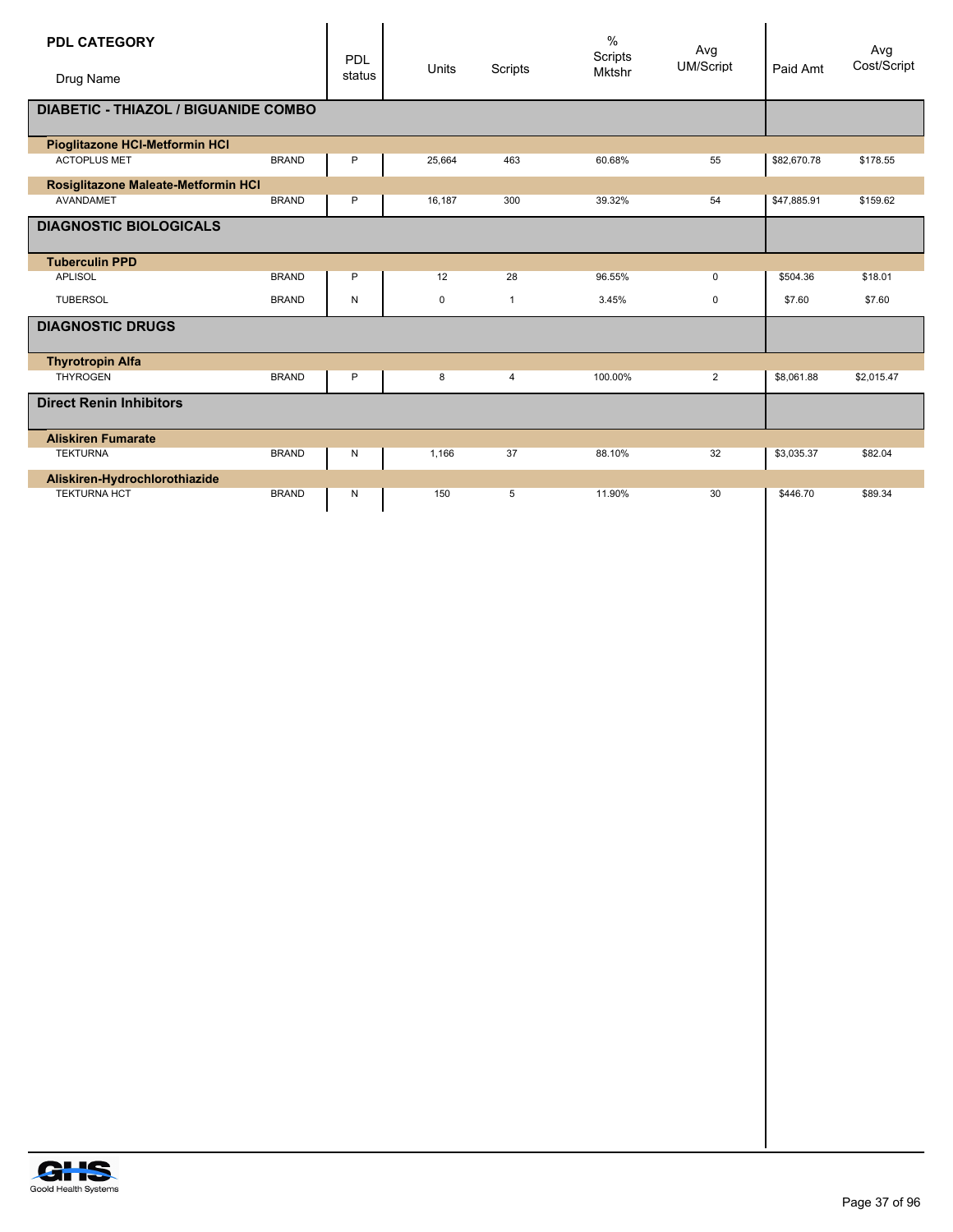| <b>PDL CATEGORY</b>                         |              | PDL    | <b>Units</b> | Scripts      | $\frac{0}{0}$<br>Scripts | Avg<br><b>UM/Script</b> | Paid Amt    | Avg<br>Cost/Script |
|---------------------------------------------|--------------|--------|--------------|--------------|--------------------------|-------------------------|-------------|--------------------|
| Drug Name                                   |              | status |              |              | <b>Mktshr</b>            |                         |             |                    |
| <b>DIABETIC - THIAZOL / BIGUANIDE COMBO</b> |              |        |              |              |                          |                         |             |                    |
| Pioglitazone HCI-Metformin HCI              |              |        |              |              |                          |                         |             |                    |
| <b>ACTOPLUS MET</b>                         | <b>BRAND</b> | P      | 25,664       | 463          | 60.68%                   | 55                      | \$82,670.78 | \$178.55           |
| Rosiglitazone Maleate-Metformin HCI         |              |        |              |              |                          |                         |             |                    |
| AVANDAMET                                   | <b>BRAND</b> | P      | 16,187       | 300          | 39.32%                   | 54                      | \$47,885.91 | \$159.62           |
| <b>DIAGNOSTIC BIOLOGICALS</b>               |              |        |              |              |                          |                         |             |                    |
| <b>Tuberculin PPD</b>                       |              |        |              |              |                          |                         |             |                    |
| <b>APLISOL</b>                              | <b>BRAND</b> | P      | 12           | 28           | 96.55%                   | 0                       | \$504.36    | \$18.01            |
| <b>TUBERSOL</b>                             | <b>BRAND</b> | N      | 0            | $\mathbf{1}$ | 3.45%                    | 0                       | \$7.60      | \$7.60             |
| <b>DIAGNOSTIC DRUGS</b>                     |              |        |              |              |                          |                         |             |                    |
| <b>Thyrotropin Alfa</b>                     |              |        |              |              |                          |                         |             |                    |
| <b>THYROGEN</b>                             | <b>BRAND</b> | P      | 8            | 4            | 100.00%                  | 2                       | \$8,061.88  | \$2,015.47         |
| <b>Direct Renin Inhibitors</b>              |              |        |              |              |                          |                         |             |                    |
| <b>Aliskiren Fumarate</b>                   |              |        |              |              |                          |                         |             |                    |
| <b>TEKTURNA</b>                             | <b>BRAND</b> | N      | 1.166        | 37           | 88.10%                   | 32                      | \$3,035.37  | \$82.04            |
| Aliskiren-Hydrochlorothiazide               |              |        |              |              |                          |                         |             |                    |
| <b>TEKTURNA HCT</b>                         | <b>BRAND</b> | Ν      | 150          | 5            | 11.90%                   | 30                      | \$446.70    | \$89.34            |

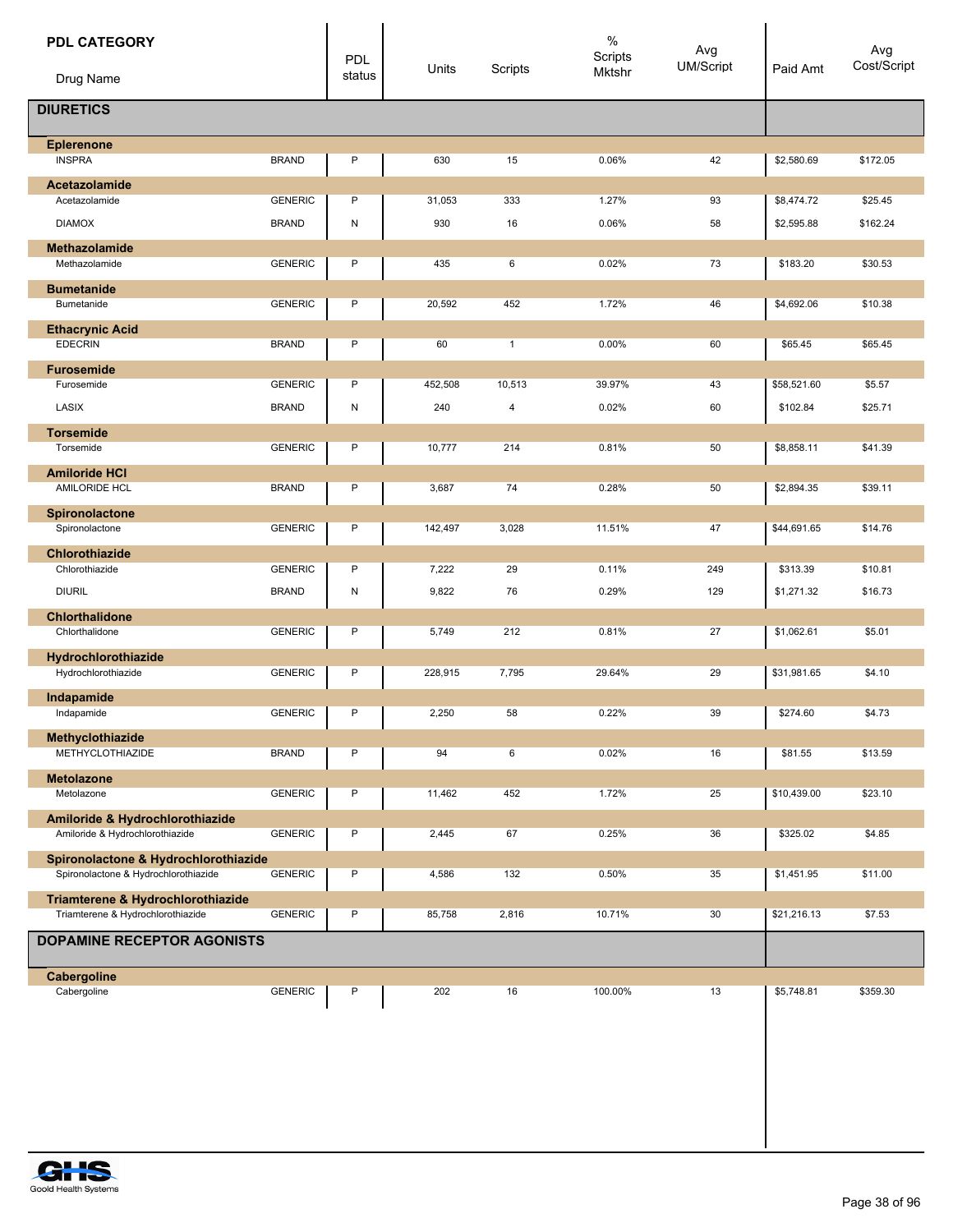| <b>PDL CATEGORY</b><br>Drug Name                                       |                | PDL<br>status | Units          | Scripts      | $\%$<br>Scripts<br>Mktshr | Avg<br>UM/Script | Paid Amt    | Avg<br>Cost/Script |
|------------------------------------------------------------------------|----------------|---------------|----------------|--------------|---------------------------|------------------|-------------|--------------------|
| <b>DIURETICS</b>                                                       |                |               |                |              |                           |                  |             |                    |
| <b>Eplerenone</b><br><b>INSPRA</b>                                     | <b>BRAND</b>   | P             | 630            | 15           | 0.06%                     | 42               | \$2,580.69  | \$172.05           |
| <b>Acetazolamide</b>                                                   |                |               |                |              |                           |                  |             |                    |
| Acetazolamide                                                          | <b>GENERIC</b> | P             | 31,053         | 333          | 1.27%                     | 93               | \$8,474.72  | \$25.45            |
| <b>DIAMOX</b>                                                          | <b>BRAND</b>   | ${\sf N}$     | 930            | 16           | 0.06%                     | 58               | \$2,595.88  | \$162.24           |
| <b>Methazolamide</b>                                                   |                |               |                |              |                           |                  |             |                    |
| Methazolamide                                                          | <b>GENERIC</b> | P             | 435            | 6            | 0.02%                     | 73               | \$183.20    | \$30.53            |
| <b>Bumetanide</b><br>Bumetanide                                        | <b>GENERIC</b> | P             | 20,592         | 452          | 1.72%                     | 46               |             | \$10.38            |
|                                                                        |                |               |                |              |                           |                  | \$4,692.06  |                    |
| <b>Ethacrynic Acid</b><br><b>EDECRIN</b>                               | <b>BRAND</b>   | P             | 60             | $\mathbf{1}$ | 0.00%                     | 60               | \$65.45     | \$65.45            |
| <b>Furosemide</b>                                                      | <b>GENERIC</b> | P             |                |              | 39.97%                    |                  |             |                    |
| Furosemide<br>LASIX                                                    | <b>BRAND</b>   | N             | 452,508<br>240 | 10,513       | 0.02%                     | 43<br>60         | \$58,521.60 | \$5.57             |
|                                                                        |                |               |                | 4            |                           |                  | \$102.84    | \$25.71            |
| <b>Torsemide</b><br>Torsemide                                          | <b>GENERIC</b> | P             | 10,777         | 214          | 0.81%                     | 50               | \$8,858.11  | \$41.39            |
|                                                                        |                |               |                |              |                           |                  |             |                    |
| <b>Amiloride HCI</b><br>AMILORIDE HCL                                  | <b>BRAND</b>   | P             | 3,687          | 74           | 0.28%                     | 50               | \$2,894.35  | \$39.11            |
| Spironolactone                                                         |                |               |                |              |                           |                  |             |                    |
| Spironolactone                                                         | <b>GENERIC</b> | P             | 142,497        | 3,028        | 11.51%                    | 47               | \$44,691.65 | \$14.76            |
| Chlorothiazide                                                         |                |               |                |              |                           |                  |             |                    |
| Chlorothiazide                                                         | <b>GENERIC</b> | P             | 7,222          | 29           | 0.11%                     | 249              | \$313.39    | \$10.81            |
| <b>DIURIL</b>                                                          | <b>BRAND</b>   | N             | 9,822          | 76           | 0.29%                     | 129              | \$1,271.32  | \$16.73            |
| <b>Chlorthalidone</b>                                                  |                |               |                |              |                           |                  |             |                    |
| Chlorthalidone                                                         | <b>GENERIC</b> | P             | 5,749          | 212          | 0.81%                     | 27               | \$1,062.61  | \$5.01             |
| Hydrochlorothiazide                                                    |                | P             |                |              |                           |                  |             |                    |
| Hydrochlorothiazide                                                    | <b>GENERIC</b> |               | 228,915        | 7,795        | 29.64%                    | 29               | \$31,981.65 | \$4.10             |
| Indapamide<br>Indapamide                                               | <b>GENERIC</b> | P             | 2,250          | 58           | 0.22%                     | 39               | \$274.60    | \$4.73             |
| Methyclothiazide                                                       |                |               |                |              |                           |                  |             |                    |
| <b>METHYCLOTHIAZIDE</b>                                                | <b>BRAND</b>   | P             | 94             | 6            | 0.02%                     | 16               | \$81.55     | \$13.59            |
| <b>Metolazone</b>                                                      |                |               |                |              |                           |                  |             |                    |
| Metolazone                                                             | <b>GENERIC</b> | P             | 11,462         | 452          | 1.72%                     | 25               | \$10,439.00 | \$23.10            |
| Amiloride & Hydrochlorothiazide                                        |                |               |                |              |                           |                  |             |                    |
| Amiloride & Hydrochlorothiazide                                        | <b>GENERIC</b> | P             | 2,445          | 67           | 0.25%                     | 36               | \$325.02    | \$4.85             |
| Spironolactone & Hydrochlorothiazide                                   |                |               |                |              |                           |                  |             |                    |
| Spironolactone & Hydrochlorothiazide                                   | <b>GENERIC</b> | P             | 4,586          | 132          | 0.50%                     | 35               | \$1,451.95  | \$11.00            |
| Triamterene & Hydrochlorothiazide<br>Triamterene & Hydrochlorothiazide | <b>GENERIC</b> | P             | 85,758         | 2,816        | 10.71%                    | 30               | \$21,216.13 | \$7.53             |
|                                                                        |                |               |                |              |                           |                  |             |                    |
| <b>DOPAMINE RECEPTOR AGONISTS</b>                                      |                |               |                |              |                           |                  |             |                    |
| Cabergoline                                                            |                |               |                |              |                           |                  |             |                    |
| Cabergoline                                                            | <b>GENERIC</b> | P             | 202            | 16           | 100.00%                   | 13               | \$5,748.81  | \$359.30           |
|                                                                        |                |               |                |              |                           |                  |             |                    |

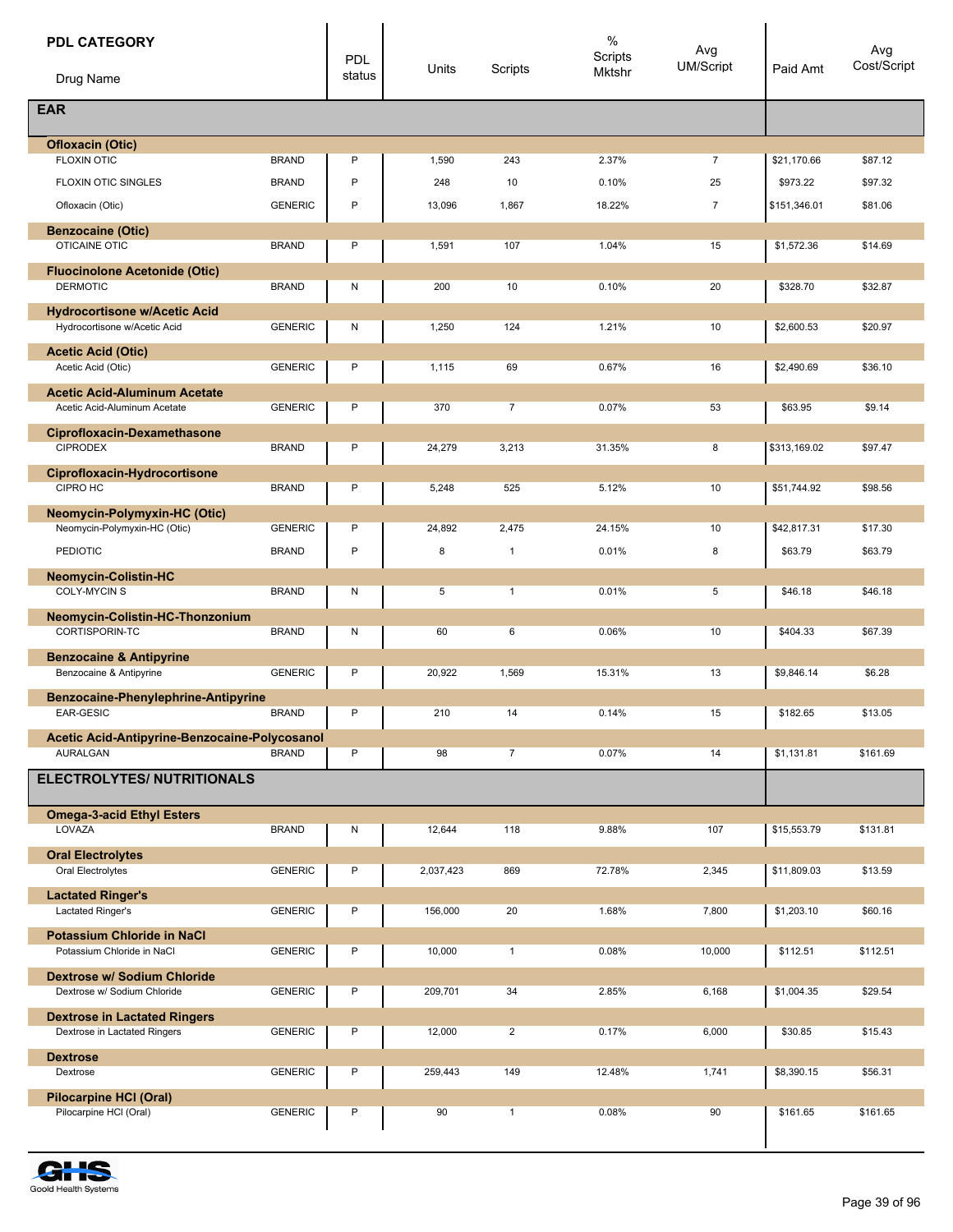| <b>PDL CATEGORY</b>                                              |                | <b>PDL</b> |           |                | $\%$<br>Scripts | Avg            |              | Avg         |
|------------------------------------------------------------------|----------------|------------|-----------|----------------|-----------------|----------------|--------------|-------------|
| Drug Name                                                        |                | status     | Units     | Scripts        | Mktshr          | UM/Script      | Paid Amt     | Cost/Script |
| <b>EAR</b>                                                       |                |            |           |                |                 |                |              |             |
| <b>Ofloxacin (Otic)</b>                                          |                |            |           |                |                 |                |              |             |
| <b>FLOXIN OTIC</b>                                               | <b>BRAND</b>   | P          | 1,590     | 243            | 2.37%           | $\overline{7}$ | \$21,170.66  | \$87.12     |
| <b>FLOXIN OTIC SINGLES</b>                                       | <b>BRAND</b>   | P          | 248       | 10             | 0.10%           | 25             | \$973.22     | \$97.32     |
| Ofloxacin (Otic)                                                 | <b>GENERIC</b> | P          | 13,096    | 1,867          | 18.22%          | $\overline{7}$ | \$151,346.01 | \$81.06     |
| <b>Benzocaine (Otic)</b><br><b>OTICAINE OTIC</b>                 | <b>BRAND</b>   | P          | 1,591     | 107            | 1.04%           | 15             | \$1,572.36   | \$14.69     |
| <b>Fluocinolone Acetonide (Otic)</b>                             |                |            |           |                |                 |                |              |             |
| <b>DERMOTIC</b>                                                  | <b>BRAND</b>   | Ν          | 200       | 10             | 0.10%           | 20             | \$328.70     | \$32.87     |
| <b>Hydrocortisone w/Acetic Acid</b>                              |                |            |           |                |                 |                |              |             |
| Hydrocortisone w/Acetic Acid                                     | <b>GENERIC</b> | N          | 1,250     | 124            | 1.21%           | 10             | \$2,600.53   | \$20.97     |
| <b>Acetic Acid (Otic)</b>                                        |                |            |           |                |                 |                |              |             |
| Acetic Acid (Otic)                                               | <b>GENERIC</b> | P          | 1,115     | 69             | 0.67%           | 16             | \$2,490.69   | \$36.10     |
| <b>Acetic Acid-Aluminum Acetate</b>                              | <b>GENERIC</b> | P          | 370       | $\overline{7}$ | 0.07%           | 53             | \$63.95      | \$9.14      |
| Acetic Acid-Aluminum Acetate                                     |                |            |           |                |                 |                |              |             |
| <b>Ciprofloxacin-Dexamethasone</b><br><b>CIPRODEX</b>            | <b>BRAND</b>   | P          | 24,279    | 3,213          | 31.35%          | 8              | \$313,169.02 | \$97.47     |
|                                                                  |                |            |           |                |                 |                |              |             |
| Ciprofloxacin-Hydrocortisone<br>CIPRO HC                         | <b>BRAND</b>   | P          | 5,248     | 525            | 5.12%           | 10             | \$51,744.92  | \$98.56     |
| <b>Neomycin-Polymyxin-HC (Otic)</b>                              |                |            |           |                |                 |                |              |             |
| Neomycin-Polymyxin-HC (Otic)                                     | <b>GENERIC</b> | P          | 24,892    | 2,475          | 24.15%          | 10             | \$42,817.31  | \$17.30     |
| <b>PEDIOTIC</b>                                                  | <b>BRAND</b>   | P          | 8         | $\mathbf{1}$   | 0.01%           | 8              | \$63.79      | \$63.79     |
| <b>Neomycin-Colistin-HC</b>                                      |                |            |           |                |                 |                |              |             |
| <b>COLY-MYCINS</b>                                               | <b>BRAND</b>   | Ν          | 5         | $\mathbf{1}$   | 0.01%           | 5              | \$46.18      | \$46.18     |
| Neomycin-Colistin-HC-Thonzonium                                  |                |            |           |                |                 |                |              |             |
| CORTISPORIN-TC                                                   | <b>BRAND</b>   | Ν          | 60        | 6              | 0.06%           | 10             | \$404.33     | \$67.39     |
| <b>Benzocaine &amp; Antipyrine</b>                               |                |            |           |                |                 |                |              |             |
| Benzocaine & Antipyrine                                          | <b>GENERIC</b> | P          | 20,922    | 1,569          | 15.31%          | 13             | \$9,846.14   | \$6.28      |
| Benzocaine-Phenylephrine-Antipyrine                              |                |            |           |                |                 |                |              |             |
| EAR-GESIC                                                        | <b>BRAND</b>   | P          | 210       | 14             | 0.14%           | 15             | \$182.65     | \$13.05     |
| Acetic Acid-Antipyrine-Benzocaine-Polycosanol<br><b>AURALGAN</b> | <b>BRAND</b>   | P          | 98        | $\overline{7}$ | 0.07%           | 14             | \$1,131.81   | \$161.69    |
| <b>ELECTROLYTES/ NUTRITIONALS</b>                                |                |            |           |                |                 |                |              |             |
| <b>Omega-3-acid Ethyl Esters</b>                                 |                |            |           |                |                 |                |              |             |
| LOVAZA                                                           | <b>BRAND</b>   | Ν          | 12,644    | 118            | 9.88%           | 107            | \$15,553.79  | \$131.81    |
| <b>Oral Electrolytes</b>                                         |                |            |           |                |                 |                |              |             |
| Oral Electrolytes                                                | <b>GENERIC</b> | Ρ          | 2,037,423 | 869            | 72.78%          | 2,345          | \$11,809.03  | \$13.59     |
| <b>Lactated Ringer's</b>                                         |                |            |           |                |                 |                |              |             |
| Lactated Ringer's                                                | <b>GENERIC</b> | P          | 156,000   | 20             | 1.68%           | 7,800          | \$1,203.10   | \$60.16     |
| <b>Potassium Chloride in NaCl</b>                                |                |            |           |                |                 |                |              |             |
| Potassium Chloride in NaCl                                       | <b>GENERIC</b> | Ρ          | 10,000    | $\mathbf{1}$   | 0.08%           | 10,000         | \$112.51     | \$112.51    |
| Dextrose w/ Sodium Chloride<br>Dextrose w/ Sodium Chloride       | <b>GENERIC</b> | Ρ          | 209,701   | 34             | 2.85%           | 6,168          | \$1,004.35   | \$29.54     |
| <b>Dextrose in Lactated Ringers</b>                              |                |            |           |                |                 |                |              |             |
| Dextrose in Lactated Ringers                                     | <b>GENERIC</b> | P          | 12,000    | $\overline{2}$ | 0.17%           | 6,000          | \$30.85      | \$15.43     |
| <b>Dextrose</b>                                                  |                |            |           |                |                 |                |              |             |
| Dextrose                                                         | <b>GENERIC</b> | Ρ          | 259,443   | 149            | 12.48%          | 1,741          | \$8,390.15   | \$56.31     |
| Pilocarpine HCI (Oral)<br>Pilocarpine HCI (Oral)                 | <b>GENERIC</b> | Ρ          | 90        | $\mathbf{1}$   | 0.08%           | 90             | \$161.65     | \$161.65    |

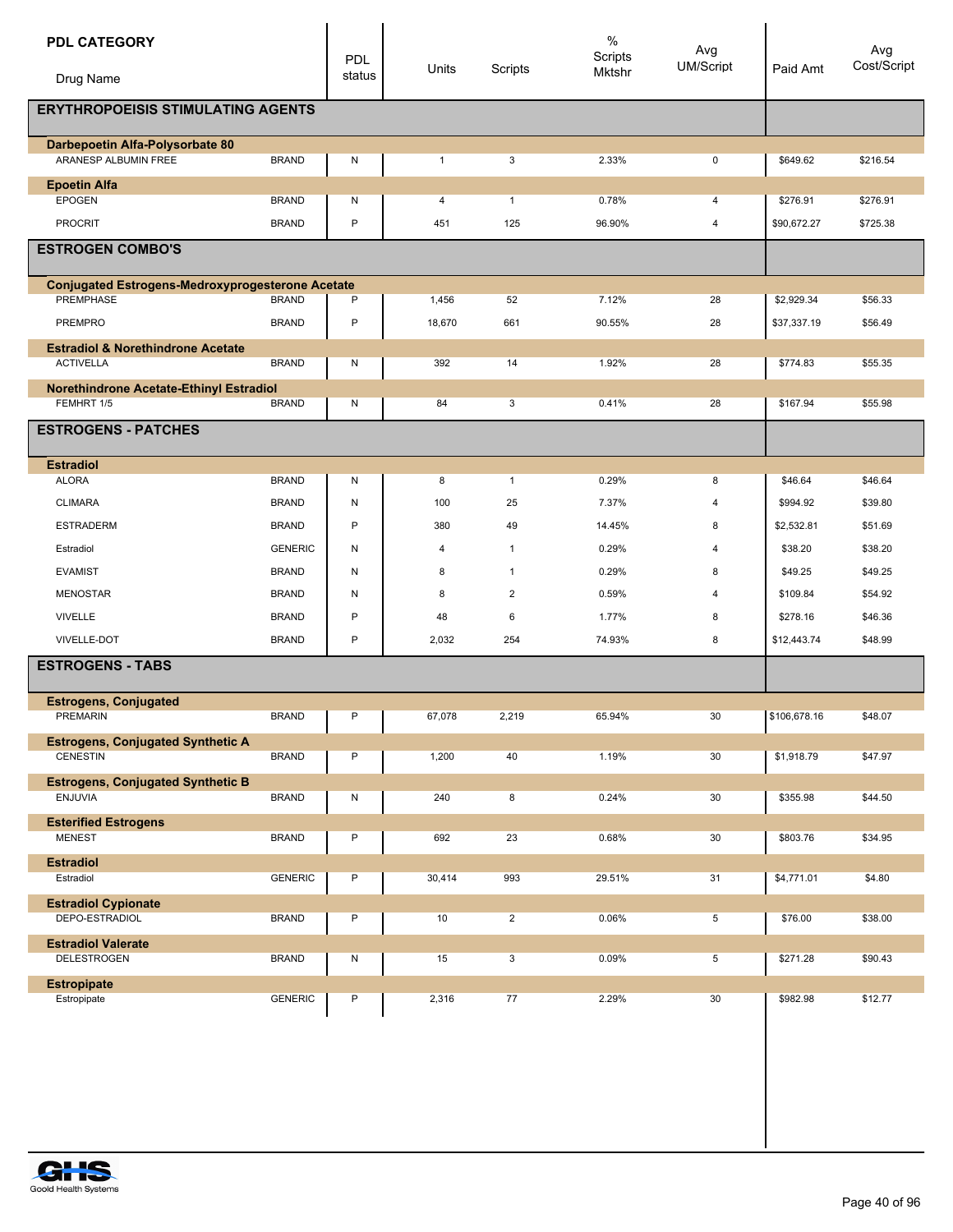| <b>PDL CATEGORY</b>                                                  |                | PDL<br>status | Units          | Scripts        | $\%$<br>Scripts<br>Mktshr | Avg<br><b>UM/Script</b> | Paid Amt     | Avg<br>Cost/Script |
|----------------------------------------------------------------------|----------------|---------------|----------------|----------------|---------------------------|-------------------------|--------------|--------------------|
| Drug Name                                                            |                |               |                |                |                           |                         |              |                    |
| <b>ERYTHROPOEISIS STIMULATING AGENTS</b>                             |                |               |                |                |                           |                         |              |                    |
| Darbepoetin Alfa-Polysorbate 80<br>ARANESP ALBUMIN FREE              | <b>BRAND</b>   | N             | $\mathbf{1}$   | 3              | 2.33%                     | 0                       | \$649.62     | \$216.54           |
| <b>Epoetin Alfa</b><br><b>EPOGEN</b>                                 | <b>BRAND</b>   | N             | 4              | $\mathbf{1}$   | 0.78%                     | 4                       | \$276.91     | \$276.91           |
| <b>PROCRIT</b>                                                       | <b>BRAND</b>   | $\mathsf{P}$  | 451            | 125            | 96.90%                    | 4                       | \$90,672.27  | \$725.38           |
| <b>ESTROGEN COMBO'S</b>                                              |                |               |                |                |                           |                         |              |                    |
|                                                                      |                |               |                |                |                           |                         |              |                    |
| <b>Conjugated Estrogens-Medroxyprogesterone Acetate</b><br>PREMPHASE | <b>BRAND</b>   | P             | 1,456          | 52             | 7.12%                     | 28                      | \$2,929.34   | \$56.33            |
| PREMPRO                                                              | <b>BRAND</b>   | $\sf P$       | 18,670         | 661            | 90.55%                    | 28                      | \$37,337.19  | \$56.49            |
| <b>Estradiol &amp; Norethindrone Acetate</b>                         |                |               |                |                |                           |                         |              |                    |
| <b>ACTIVELLA</b>                                                     | <b>BRAND</b>   | N             | 392            | 14             | 1.92%                     | 28                      | \$774.83     | \$55.35            |
| Norethindrone Acetate-Ethinyl Estradiol                              |                |               |                |                |                           |                         |              |                    |
| FEMHRT 1/5                                                           | <b>BRAND</b>   | N             | 84             | 3              | 0.41%                     | 28                      | \$167.94     | \$55.98            |
| <b>ESTROGENS - PATCHES</b>                                           |                |               |                |                |                           |                         |              |                    |
| <b>Estradiol</b>                                                     |                |               |                |                |                           |                         |              |                    |
| <b>ALORA</b>                                                         | <b>BRAND</b>   | N             | 8              | $\mathbf{1}$   | 0.29%                     | 8                       | \$46.64      | \$46.64            |
| <b>CLIMARA</b>                                                       | <b>BRAND</b>   | N             | 100            | 25             | 7.37%                     | $\overline{4}$          | \$994.92     | \$39.80            |
| <b>ESTRADERM</b>                                                     | <b>BRAND</b>   | P             | 380            | 49             | 14.45%                    | 8                       | \$2,532.81   | \$51.69            |
| Estradiol                                                            | <b>GENERIC</b> | N             | $\overline{4}$ | $\mathbf{1}$   | 0.29%                     | 4                       | \$38.20      | \$38.20            |
| <b>EVAMIST</b>                                                       | <b>BRAND</b>   | N             | 8              | $\mathbf{1}$   | 0.29%                     | 8                       | \$49.25      | \$49.25            |
| <b>MENOSTAR</b>                                                      | <b>BRAND</b>   | N             | 8              | $\overline{2}$ | 0.59%                     | 4                       | \$109.84     | \$54.92            |
| <b>VIVELLE</b>                                                       | <b>BRAND</b>   | P             | 48             | 6              | 1.77%                     | 8                       | \$278.16     | \$46.36            |
| VIVELLE-DOT                                                          | <b>BRAND</b>   | P             | 2,032          | 254            | 74.93%                    | 8                       | \$12,443.74  | \$48.99            |
| <b>ESTROGENS - TABS</b>                                              |                |               |                |                |                           |                         |              |                    |
| <b>Estrogens, Conjugated</b>                                         |                |               |                |                |                           |                         |              |                    |
| PREMARIN                                                             | <b>BRAND</b>   | $\mathsf P$   | 67,078         | 2,219          | 65.94%                    | 30                      | \$106,678.16 | \$48.07            |
| <b>Estrogens, Conjugated Synthetic A</b><br>CENESTIN                 | <b>BRAND</b>   | P             | 1,200          | 40             | 1.19%                     | 30                      | \$1,918.79   | \$47.97            |
| <b>Estrogens, Conjugated Synthetic B</b>                             |                |               |                |                |                           |                         |              |                    |
| ENJUVIA                                                              | <b>BRAND</b>   | N             | 240            | 8              | 0.24%                     | 30                      | \$355.98     | \$44.50            |
| <b>Esterified Estrogens</b><br><b>MENEST</b>                         | <b>BRAND</b>   | $\sf P$       | 692            | 23             | 0.68%                     | 30                      | \$803.76     | \$34.95            |
|                                                                      |                |               |                |                |                           |                         |              |                    |
| <b>Estradiol</b><br>Estradiol                                        | <b>GENERIC</b> | P             | 30,414         | 993            | 29.51%                    | 31                      | \$4,771.01   | \$4.80             |
| <b>Estradiol Cypionate</b>                                           |                |               |                |                |                           |                         |              |                    |
| DEPO-ESTRADIOL                                                       | <b>BRAND</b>   | P             | 10             | $\overline{2}$ | 0.06%                     | 5                       | \$76.00      | \$38.00            |
| <b>Estradiol Valerate</b>                                            |                |               |                |                |                           |                         |              |                    |
| <b>DELESTROGEN</b>                                                   | <b>BRAND</b>   | N             | 15             | 3              | 0.09%                     | 5                       | \$271.28     | \$90.43            |
| <b>Estropipate</b><br>Estropipate                                    | <b>GENERIC</b> | P             | 2,316          | 77             | 2.29%                     | 30                      | \$982.98     | \$12.77            |
|                                                                      |                |               |                |                |                           |                         |              |                    |
|                                                                      |                |               |                |                |                           |                         |              |                    |

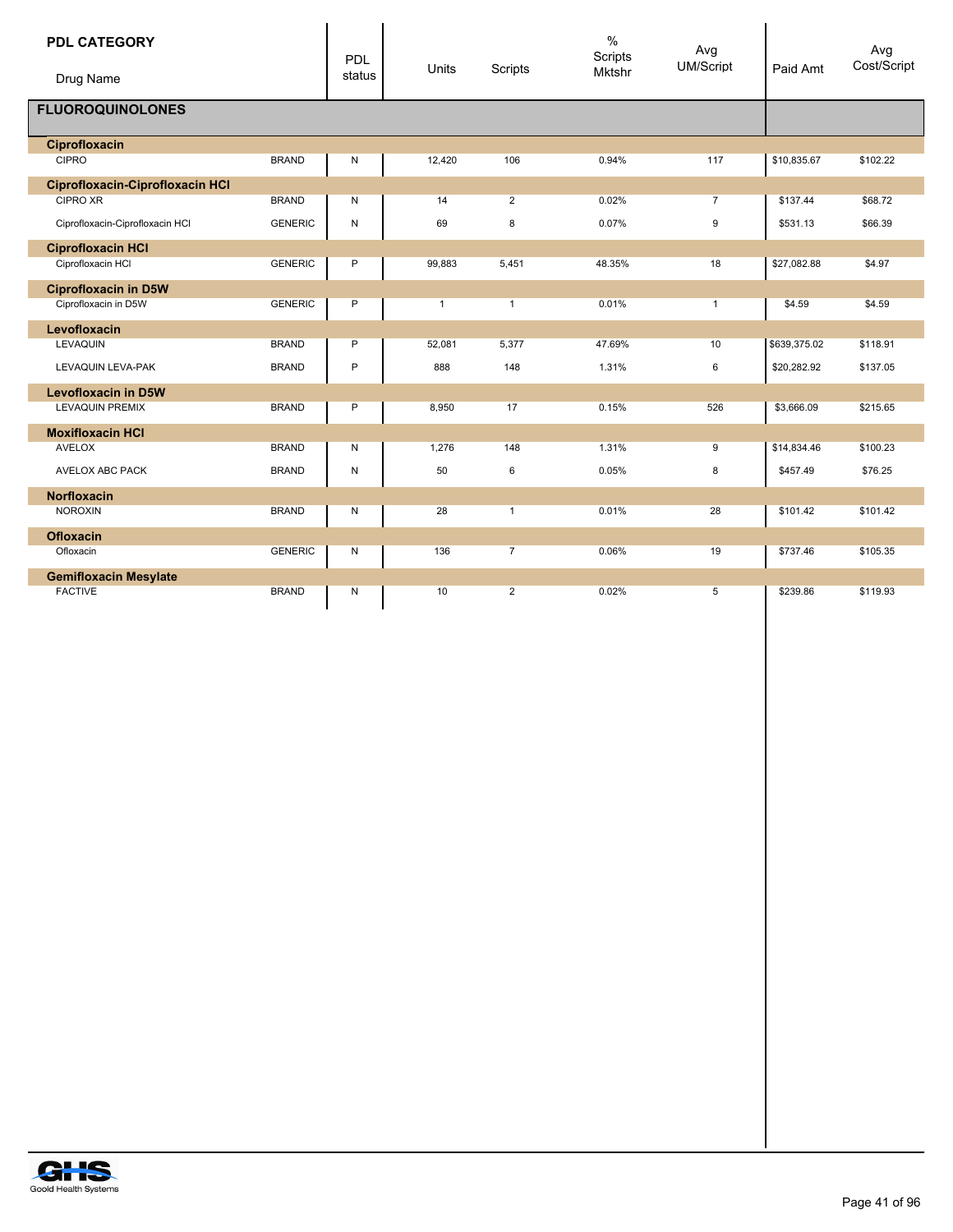| <b>PDL CATEGORY</b><br>Drug Name |                | <b>PDL</b><br>status | Units        | Scripts        | $\%$<br>Scripts<br><b>Mktshr</b> | Avg<br>UM/Script | Paid Amt     | Avg<br>Cost/Script |
|----------------------------------|----------------|----------------------|--------------|----------------|----------------------------------|------------------|--------------|--------------------|
| <b>FLUOROQUINOLONES</b>          |                |                      |              |                |                                  |                  |              |                    |
| Ciprofloxacin                    |                |                      |              |                |                                  |                  |              |                    |
| <b>CIPRO</b>                     | <b>BRAND</b>   | N                    | 12,420       | 106            | 0.94%                            | 117              | \$10,835.67  | \$102.22           |
| Ciprofloxacin-Ciprofloxacin HCI  |                |                      |              |                |                                  |                  |              |                    |
| <b>CIPRO XR</b>                  | <b>BRAND</b>   | N                    | 14           | $\overline{2}$ | 0.02%                            | $\overline{7}$   | \$137.44     | \$68.72            |
| Ciprofloxacin-Ciprofloxacin HCI  | <b>GENERIC</b> | N                    | 69           | 8              | 0.07%                            | 9                | \$531.13     | \$66.39            |
| <b>Ciprofloxacin HCI</b>         |                |                      |              |                |                                  |                  |              |                    |
| Ciprofloxacin HCI                | <b>GENERIC</b> | P                    | 99,883       | 5,451          | 48.35%                           | 18               | \$27,082.88  | \$4.97             |
| <b>Ciprofloxacin in D5W</b>      |                |                      |              |                |                                  |                  |              |                    |
| Ciprofloxacin in D5W             | <b>GENERIC</b> | P                    | $\mathbf{1}$ | $\mathbf{1}$   | 0.01%                            | $\mathbf{1}$     | \$4.59       | \$4.59             |
| Levofloxacin                     |                |                      |              |                |                                  |                  |              |                    |
| <b>LEVAQUIN</b>                  | <b>BRAND</b>   | P                    | 52,081       | 5,377          | 47.69%                           | 10               | \$639,375.02 | \$118.91           |
| LEVAQUIN LEVA-PAK                | <b>BRAND</b>   | P                    | 888          | 148            | 1.31%                            | 6                | \$20,282.92  | \$137.05           |
| <b>Levofloxacin in D5W</b>       |                |                      |              |                |                                  |                  |              |                    |
| <b>LEVAQUIN PREMIX</b>           | <b>BRAND</b>   | P                    | 8,950        | 17             | 0.15%                            | 526              | \$3,666.09   | \$215.65           |
| <b>Moxifloxacin HCI</b>          |                |                      |              |                |                                  |                  |              |                    |
| <b>AVELOX</b>                    | <b>BRAND</b>   | N                    | 1,276        | 148            | 1.31%                            | 9                | \$14,834.46  | \$100.23           |
| AVELOX ABC PACK                  | <b>BRAND</b>   | N                    | 50           | 6              | 0.05%                            | 8                | \$457.49     | \$76.25            |
| <b>Norfloxacin</b>               |                |                      |              |                |                                  |                  |              |                    |
| <b>NOROXIN</b>                   | <b>BRAND</b>   | Ν                    | 28           | $\mathbf{1}$   | 0.01%                            | 28               | \$101.42     | \$101.42           |
| <b>Ofloxacin</b>                 |                |                      |              |                |                                  |                  |              |                    |
| Ofloxacin                        | <b>GENERIC</b> | N                    | 136          | $\overline{7}$ | 0.06%                            | 19               | \$737.46     | \$105.35           |
| <b>Gemifloxacin Mesylate</b>     |                |                      |              |                |                                  |                  |              |                    |
| <b>FACTIVE</b>                   | <b>BRAND</b>   | N                    | 10           | $\overline{2}$ | 0.02%                            | 5                | \$239.86     | \$119.93           |

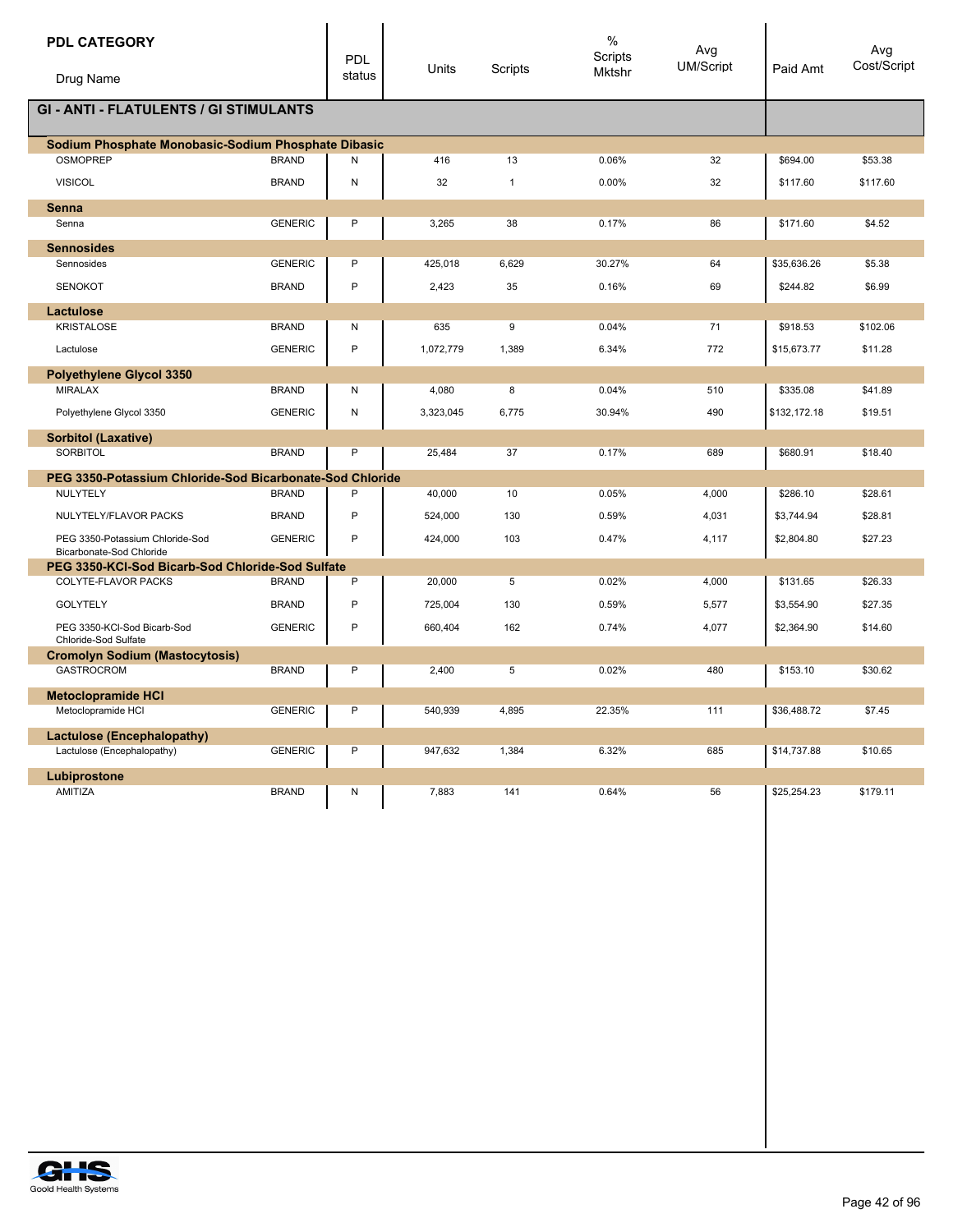| <b>PDL CATEGORY</b><br>Drug Name                            |                | PDL<br>status | Units     | Scripts      | $\%$<br>Scripts<br>Mktshr | Avg<br><b>UM/Script</b> | Paid Amt     | Avg<br>Cost/Script |
|-------------------------------------------------------------|----------------|---------------|-----------|--------------|---------------------------|-------------------------|--------------|--------------------|
|                                                             |                |               |           |              |                           |                         |              |                    |
| <b>GI - ANTI - FLATULENTS / GI STIMULANTS</b>               |                |               |           |              |                           |                         |              |                    |
| Sodium Phosphate Monobasic-Sodium Phosphate Dibasic         |                |               |           |              |                           |                         |              |                    |
| <b>OSMOPREP</b>                                             | <b>BRAND</b>   | N             | 416       | 13           | 0.06%                     | 32                      | \$694.00     | \$53.38            |
| <b>VISICOL</b>                                              | <b>BRAND</b>   | Ν             | 32        | $\mathbf{1}$ | 0.00%                     | 32                      | \$117.60     | \$117.60           |
| Senna                                                       |                |               |           |              |                           |                         |              |                    |
| Senna                                                       | <b>GENERIC</b> | Ρ             | 3,265     | 38           | 0.17%                     | 86                      | \$171.60     | \$4.52             |
| <b>Sennosides</b>                                           |                |               |           |              |                           |                         |              |                    |
| Sennosides                                                  | <b>GENERIC</b> | P             | 425,018   | 6,629        | 30.27%                    | 64                      | \$35,636.26  | \$5.38             |
| <b>SENOKOT</b>                                              | <b>BRAND</b>   | P             | 2,423     | 35           | 0.16%                     | 69                      | \$244.82     | \$6.99             |
| Lactulose                                                   |                |               |           |              |                           |                         |              |                    |
| <b>KRISTALOSE</b>                                           | <b>BRAND</b>   | Ν             | 635       | 9            | 0.04%                     | 71                      | \$918.53     | \$102.06           |
| Lactulose                                                   | <b>GENERIC</b> | P             | 1,072,779 | 1,389        | 6.34%                     | 772                     | \$15,673.77  | \$11.28            |
| Polyethylene Glycol 3350                                    |                |               |           |              |                           |                         |              |                    |
| <b>MIRALAX</b>                                              | <b>BRAND</b>   | Ν             | 4,080     | 8            | 0.04%                     | 510                     | \$335.08     | \$41.89            |
| Polyethylene Glycol 3350                                    | <b>GENERIC</b> | N             | 3,323,045 | 6,775        | 30.94%                    | 490                     | \$132,172.18 | \$19.51            |
| <b>Sorbitol (Laxative)</b>                                  |                |               |           |              |                           |                         |              |                    |
| SORBITOL                                                    | <b>BRAND</b>   | P             | 25,484    | 37           | 0.17%                     | 689                     | \$680.91     | \$18.40            |
| PEG 3350-Potassium Chloride-Sod Bicarbonate-Sod Chloride    |                |               |           |              |                           |                         |              |                    |
| NULYTELY                                                    | <b>BRAND</b>   | P             | 40,000    | 10           | 0.05%                     | 4,000                   | \$286.10     | \$28.61            |
| NULYTELY/FLAVOR PACKS                                       | <b>BRAND</b>   | P             | 524,000   | 130          | 0.59%                     | 4,031                   | \$3,744.94   | \$28.81            |
| PEG 3350-Potassium Chloride-Sod<br>Bicarbonate-Sod Chloride | <b>GENERIC</b> | P             | 424,000   | 103          | 0.47%                     | 4,117                   | \$2,804.80   | \$27.23            |
| PEG 3350-KCI-Sod Bicarb-Sod Chloride-Sod Sulfate            |                |               |           |              |                           |                         |              |                    |
| COLYTE-FLAVOR PACKS                                         | <b>BRAND</b>   | P             | 20,000    | 5            | 0.02%                     | 4,000                   | \$131.65     | \$26.33            |
| <b>GOLYTELY</b>                                             | <b>BRAND</b>   | P             | 725,004   | 130          | 0.59%                     | 5,577                   | \$3,554.90   | \$27.35            |
| PEG 3350-KCI-Sod Bicarb-Sod<br>Chloride-Sod Sulfate         | <b>GENERIC</b> | P             | 660,404   | 162          | 0.74%                     | 4,077                   | \$2,364.90   | \$14.60            |
| <b>Cromolyn Sodium (Mastocytosis)</b>                       |                |               |           |              |                           |                         |              |                    |
| <b>GASTROCROM</b>                                           | <b>BRAND</b>   | P             | 2,400     | 5            | 0.02%                     | 480                     | \$153.10     | \$30.62            |
| <b>Metoclopramide HCI</b>                                   |                |               |           |              |                           |                         |              |                    |
| Metoclopramide HCI                                          | <b>GENERIC</b> | P             | 540,939   | 4,895        | 22.35%                    | 111                     | \$36,488.72  | \$7.45             |
| <b>Lactulose (Encephalopathy)</b>                           |                |               |           |              |                           |                         |              |                    |
| Lactulose (Encephalopathy)                                  | <b>GENERIC</b> | Ρ             | 947,632   | 1,384        | 6.32%                     | 685                     | \$14,737.88  | \$10.65            |
| Lubiprostone                                                |                |               |           |              |                           |                         |              |                    |
| AMITIZA                                                     | <b>BRAND</b>   | Ν             | 7,883     | 141          | 0.64%                     | 56                      | \$25,254.23  | \$179.11           |
|                                                             |                |               |           |              |                           |                         |              |                    |
|                                                             |                |               |           |              |                           |                         |              |                    |
|                                                             |                |               |           |              |                           |                         |              |                    |
|                                                             |                |               |           |              |                           |                         |              |                    |
|                                                             |                |               |           |              |                           |                         |              |                    |
|                                                             |                |               |           |              |                           |                         |              |                    |
|                                                             |                |               |           |              |                           |                         |              |                    |
|                                                             |                |               |           |              |                           |                         |              |                    |
|                                                             |                |               |           |              |                           |                         |              |                    |
|                                                             |                |               |           |              |                           |                         |              |                    |

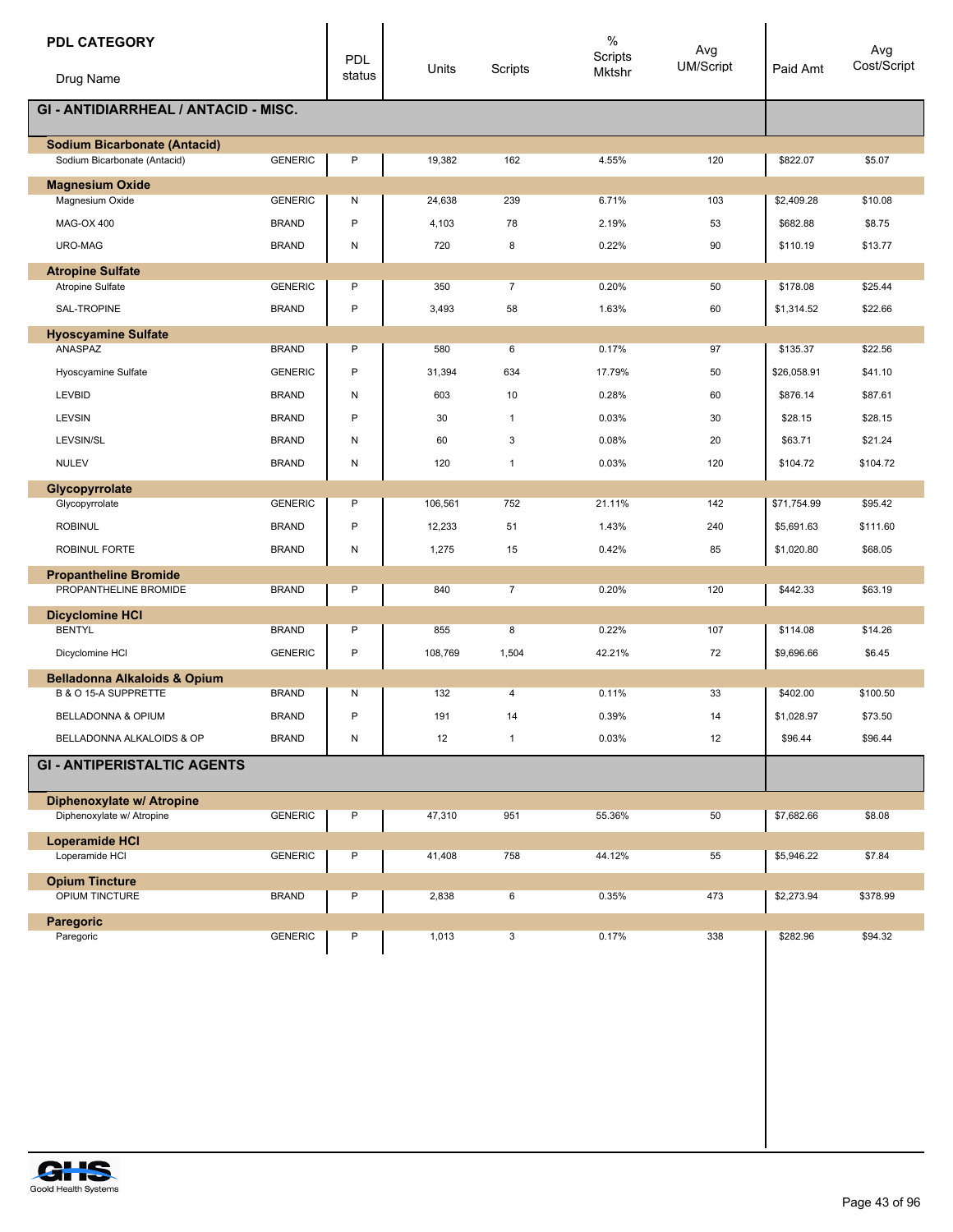| <b>PDL CATEGORY</b><br>Drug Name                                    |                | <b>PDL</b><br>status | Units   | Scripts        | $\%$<br>Scripts<br>Mktshr | Avg<br><b>UM/Script</b> | Paid Amt    | Avg<br>Cost/Script |
|---------------------------------------------------------------------|----------------|----------------------|---------|----------------|---------------------------|-------------------------|-------------|--------------------|
| <b>GI - ANTIDIARRHEAL / ANTACID - MISC.</b>                         |                |                      |         |                |                           |                         |             |                    |
|                                                                     |                |                      |         |                |                           |                         |             |                    |
| <b>Sodium Bicarbonate (Antacid)</b><br>Sodium Bicarbonate (Antacid) | <b>GENERIC</b> | P                    | 19,382  | 162            | 4.55%                     | 120                     | \$822.07    | \$5.07             |
|                                                                     |                |                      |         |                |                           |                         |             |                    |
| <b>Magnesium Oxide</b><br>Magnesium Oxide                           | <b>GENERIC</b> | Ν                    | 24,638  | 239            | 6.71%                     | 103                     | \$2,409.28  | \$10.08            |
|                                                                     |                |                      |         |                |                           |                         |             |                    |
| MAG-OX 400                                                          | <b>BRAND</b>   | P                    | 4,103   | 78             | 2.19%                     | 53                      | \$682.88    | \$8.75             |
| URO-MAG                                                             | <b>BRAND</b>   | N                    | 720     | 8              | 0.22%                     | 90                      | \$110.19    | \$13.77            |
| <b>Atropine Sulfate</b>                                             |                |                      |         |                |                           |                         |             |                    |
| <b>Atropine Sulfate</b>                                             | <b>GENERIC</b> | P                    | 350     | $\overline{7}$ | 0.20%                     | 50                      | \$178.08    | \$25.44            |
| SAL-TROPINE                                                         | <b>BRAND</b>   | P                    | 3,493   | 58             | 1.63%                     | 60                      | \$1,314.52  | \$22.66            |
| <b>Hyoscyamine Sulfate</b>                                          |                |                      |         |                |                           |                         |             |                    |
| ANASPAZ                                                             | <b>BRAND</b>   | P                    | 580     | 6              | 0.17%                     | 97                      | \$135.37    | \$22.56            |
| Hyoscyamine Sulfate                                                 | <b>GENERIC</b> | P                    | 31,394  | 634            | 17.79%                    | 50                      | \$26,058.91 | \$41.10            |
| <b>LEVBID</b>                                                       | <b>BRAND</b>   | Ν                    | 603     | 10             | 0.28%                     | 60                      | \$876.14    | \$87.61            |
| LEVSIN                                                              | <b>BRAND</b>   | P                    | 30      | $\mathbf{1}$   | 0.03%                     | 30                      | \$28.15     | \$28.15            |
| LEVSIN/SL                                                           | <b>BRAND</b>   | Ν                    | 60      | 3              | 0.08%                     | 20                      | \$63.71     | \$21.24            |
| <b>NULEV</b>                                                        | <b>BRAND</b>   | Ν                    | 120     | $\overline{1}$ | 0.03%                     | 120                     | \$104.72    | \$104.72           |
| Glycopyrrolate                                                      |                |                      |         |                |                           |                         |             |                    |
| Glycopyrrolate                                                      | <b>GENERIC</b> | P                    | 106,561 | 752            | 21.11%                    | 142                     | \$71,754.99 | \$95.42            |
| <b>ROBINUL</b>                                                      | <b>BRAND</b>   | P                    | 12,233  | 51             | 1.43%                     | 240                     | \$5,691.63  | \$111.60           |
| ROBINUL FORTE                                                       | <b>BRAND</b>   | Ν                    | 1,275   | 15             | 0.42%                     | 85                      | \$1,020.80  | \$68.05            |
| <b>Propantheline Bromide</b>                                        |                |                      |         |                |                           |                         |             |                    |
| PROPANTHELINE BROMIDE                                               | <b>BRAND</b>   | P                    | 840     | $\overline{7}$ | 0.20%                     | 120                     | \$442.33    | \$63.19            |
| <b>Dicyclomine HCI</b>                                              |                |                      |         |                |                           |                         |             |                    |
| <b>BENTYL</b>                                                       | <b>BRAND</b>   | P                    | 855     | 8              | 0.22%                     | 107                     | \$114.08    | \$14.26            |
| Dicyclomine HCI                                                     | <b>GENERIC</b> | P                    | 108,769 | 1,504          | 42.21%                    | 72                      | \$9,696.66  | \$6.45             |
| <b>Belladonna Alkaloids &amp; Opium</b>                             |                |                      |         |                |                           |                         |             |                    |
| B & O 15-A SUPPRETTE                                                | <b>BRAND</b>   | N                    | 132     | 4              | 0.11%                     | 33                      | \$402.00    | \$100.50           |
| BELLADONNA & OPIUM                                                  | <b>BRAND</b>   | P                    | 191     | 14             | 0.39%                     | 14                      | \$1,028.97  | \$73.50            |
| BELLADONNA ALKALOIDS & OP                                           | <b>BRAND</b>   | Ν                    | 12      | $\mathbf{1}$   | 0.03%                     | 12                      | \$96.44     | \$96.44            |
| <b>GI - ANTIPERISTALTIC AGENTS</b>                                  |                |                      |         |                |                           |                         |             |                    |
| Diphenoxylate w/ Atropine                                           |                |                      |         |                |                           |                         |             |                    |
| Diphenoxylate w/ Atropine                                           | <b>GENERIC</b> | Ρ                    | 47,310  | 951            | 55.36%                    | 50                      | \$7,682.66  | \$8.08             |
| <b>Loperamide HCI</b><br>Loperamide HCI                             | <b>GENERIC</b> | P                    | 41,408  | 758            | 44.12%                    | 55                      | \$5,946.22  | \$7.84             |
| <b>Opium Tincture</b>                                               |                |                      |         |                |                           |                         |             |                    |
| <b>OPIUM TINCTURE</b>                                               | <b>BRAND</b>   | P                    | 2,838   | 6              | 0.35%                     | 473                     | \$2,273.94  | \$378.99           |
| Paregoric                                                           |                |                      |         |                |                           |                         |             |                    |
| Paregoric                                                           | <b>GENERIC</b> | Ρ                    | 1,013   | 3              | 0.17%                     | 338                     | \$282.96    | \$94.32            |

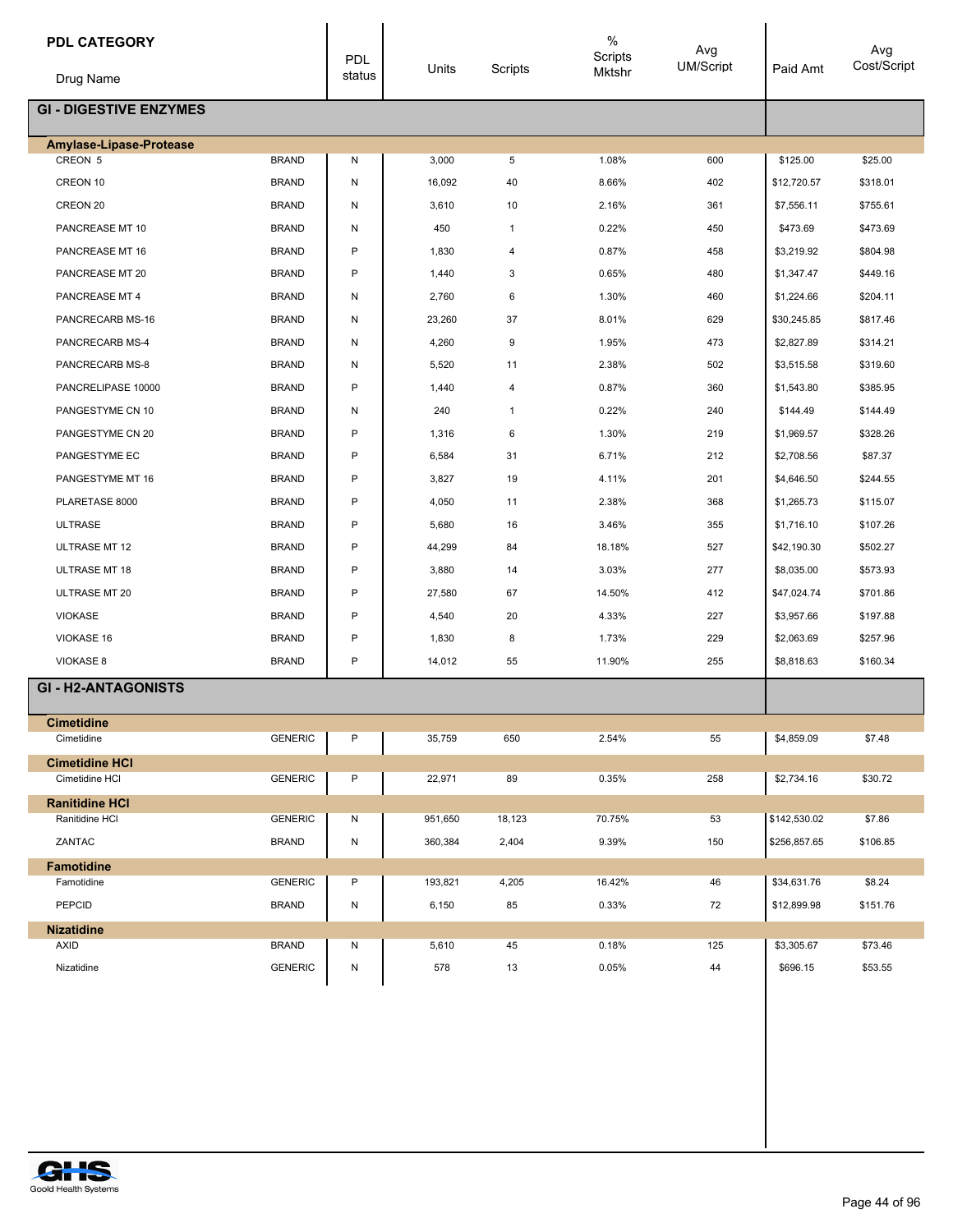| <b>PDL CATEGORY</b>             |                | PDL          | Units   | Scripts      | $\%$<br>Scripts<br>Mktshr | Avg<br>UM/Script | Paid Amt     | Avg<br>Cost/Script |
|---------------------------------|----------------|--------------|---------|--------------|---------------------------|------------------|--------------|--------------------|
| Drug Name                       |                | status       |         |              |                           |                  |              |                    |
| <b>GI - DIGESTIVE ENZYMES</b>   |                |              |         |              |                           |                  |              |                    |
| Amylase-Lipase-Protease         |                |              |         |              |                           |                  |              |                    |
| CREON 5                         | <b>BRAND</b>   | N            | 3,000   | 5            | 1.08%                     | 600              | \$125.00     | \$25.00            |
| CREON 10                        | <b>BRAND</b>   | N            | 16,092  | 40           | 8.66%                     | 402              | \$12,720.57  | \$318.01           |
| CREON 20                        | <b>BRAND</b>   | N            | 3,610   | 10           | 2.16%                     | 361              | \$7,556.11   | \$755.61           |
| PANCREASE MT 10                 | <b>BRAND</b>   | N            | 450     | $\mathbf{1}$ | 0.22%                     | 450              | \$473.69     | \$473.69           |
| PANCREASE MT 16                 | <b>BRAND</b>   | P            | 1,830   | 4            | 0.87%                     | 458              | \$3,219.92   | \$804.98           |
| PANCREASE MT 20                 | <b>BRAND</b>   | P            | 1,440   | 3            | 0.65%                     | 480              | \$1,347.47   | \$449.16           |
| PANCREASE MT 4                  | <b>BRAND</b>   | N            | 2,760   | 6            | 1.30%                     | 460              | \$1,224.66   | \$204.11           |
| PANCRECARB MS-16                | <b>BRAND</b>   | N            | 23,260  | 37           | 8.01%                     | 629              | \$30,245.85  | \$817.46           |
| PANCRECARB MS-4                 | <b>BRAND</b>   | N            | 4,260   | 9            | 1.95%                     | 473              | \$2,827.89   | \$314.21           |
| PANCRECARB MS-8                 | <b>BRAND</b>   | N            | 5,520   | 11           | 2.38%                     | 502              | \$3,515.58   | \$319.60           |
| PANCRELIPASE 10000              | <b>BRAND</b>   | P            | 1,440   | 4            | 0.87%                     | 360              | \$1,543.80   | \$385.95           |
| PANGESTYME CN 10                | <b>BRAND</b>   | N            | 240     | $\mathbf{1}$ | 0.22%                     | 240              | \$144.49     | \$144.49           |
| PANGESTYME CN 20                | <b>BRAND</b>   | P            | 1,316   | 6            | 1.30%                     | 219              | \$1,969.57   | \$328.26           |
| PANGESTYME EC                   | <b>BRAND</b>   | P            | 6,584   | 31           | 6.71%                     | 212              | \$2,708.56   | \$87.37            |
| PANGESTYME MT 16                | <b>BRAND</b>   | P            | 3,827   | 19           | 4.11%                     | 201              | \$4,646.50   | \$244.55           |
| PLARETASE 8000                  | <b>BRAND</b>   | P            | 4,050   | 11           | 2.38%                     | 368              | \$1,265.73   | \$115.07           |
| <b>ULTRASE</b>                  | <b>BRAND</b>   | P            | 5,680   | 16           | 3.46%                     | 355              | \$1,716.10   | \$107.26           |
| ULTRASE MT 12                   | <b>BRAND</b>   | P            | 44,299  | 84           | 18.18%                    | 527              | \$42,190.30  | \$502.27           |
| <b>ULTRASE MT 18</b>            | <b>BRAND</b>   | P            | 3,880   | 14           | 3.03%                     | 277              | \$8,035.00   | \$573.93           |
| <b>ULTRASE MT 20</b>            | <b>BRAND</b>   | P            | 27,580  | 67           | 14.50%                    | 412              | \$47,024.74  | \$701.86           |
| <b>VIOKASE</b>                  | <b>BRAND</b>   | P            | 4,540   | 20           | 4.33%                     | 227              | \$3,957.66   | \$197.88           |
| VIOKASE 16                      | <b>BRAND</b>   | P            | 1,830   | 8            | 1.73%                     | 229              | \$2,063.69   | \$257.96           |
| VIOKASE 8                       | <b>BRAND</b>   | $\mathsf{P}$ | 14,012  | 55           | 11.90%                    | 255              | \$8,818.63   | \$160.34           |
| <b>GI-H2-ANTAGONISTS</b>        |                |              |         |              |                           |                  |              |                    |
|                                 |                |              |         |              |                           |                  |              |                    |
| <b>Cimetidine</b><br>Cimetidine | <b>GENERIC</b> | P            | 35,759  | 650          | 2.54%                     | 55               | \$4,859.09   | \$7.48             |
| <b>Cimetidine HCI</b>           |                |              |         |              |                           |                  |              |                    |
| Cimetidine HCI                  | <b>GENERIC</b> | P            | 22,971  | 89           | 0.35%                     | 258              | \$2,734.16   | \$30.72            |
| <b>Ranitidine HCI</b>           |                |              |         |              |                           |                  |              |                    |
| Ranitidine HCI                  | <b>GENERIC</b> | N            | 951,650 | 18,123       | 70.75%                    | 53               | \$142,530.02 | \$7.86             |
| ZANTAC                          | <b>BRAND</b>   | N            | 360,384 | 2,404        | 9.39%                     | 150              | \$256,857.65 | \$106.85           |
| <b>Famotidine</b>               |                |              |         |              |                           |                  |              |                    |
| Famotidine                      | <b>GENERIC</b> | P            | 193,821 | 4,205        | 16.42%                    | 46               | \$34,631.76  | \$8.24             |
| <b>PEPCID</b>                   | <b>BRAND</b>   | N            | 6,150   | 85           | 0.33%                     | 72               | \$12,899.98  | \$151.76           |
| <b>Nizatidine</b><br>AXID       | <b>BRAND</b>   | N            | 5,610   | 45           | 0.18%                     | 125              | \$3,305.67   | \$73.46            |
| Nizatidine                      | <b>GENERIC</b> | N            | 578     |              | 0.05%                     | 44               |              |                    |
|                                 |                |              |         | 13           |                           |                  | \$696.15     | \$53.55            |
|                                 |                |              |         |              |                           |                  |              |                    |
|                                 |                |              |         |              |                           |                  |              |                    |
|                                 |                |              |         |              |                           |                  |              |                    |
|                                 |                |              |         |              |                           |                  |              |                    |
|                                 |                |              |         |              |                           |                  |              |                    |

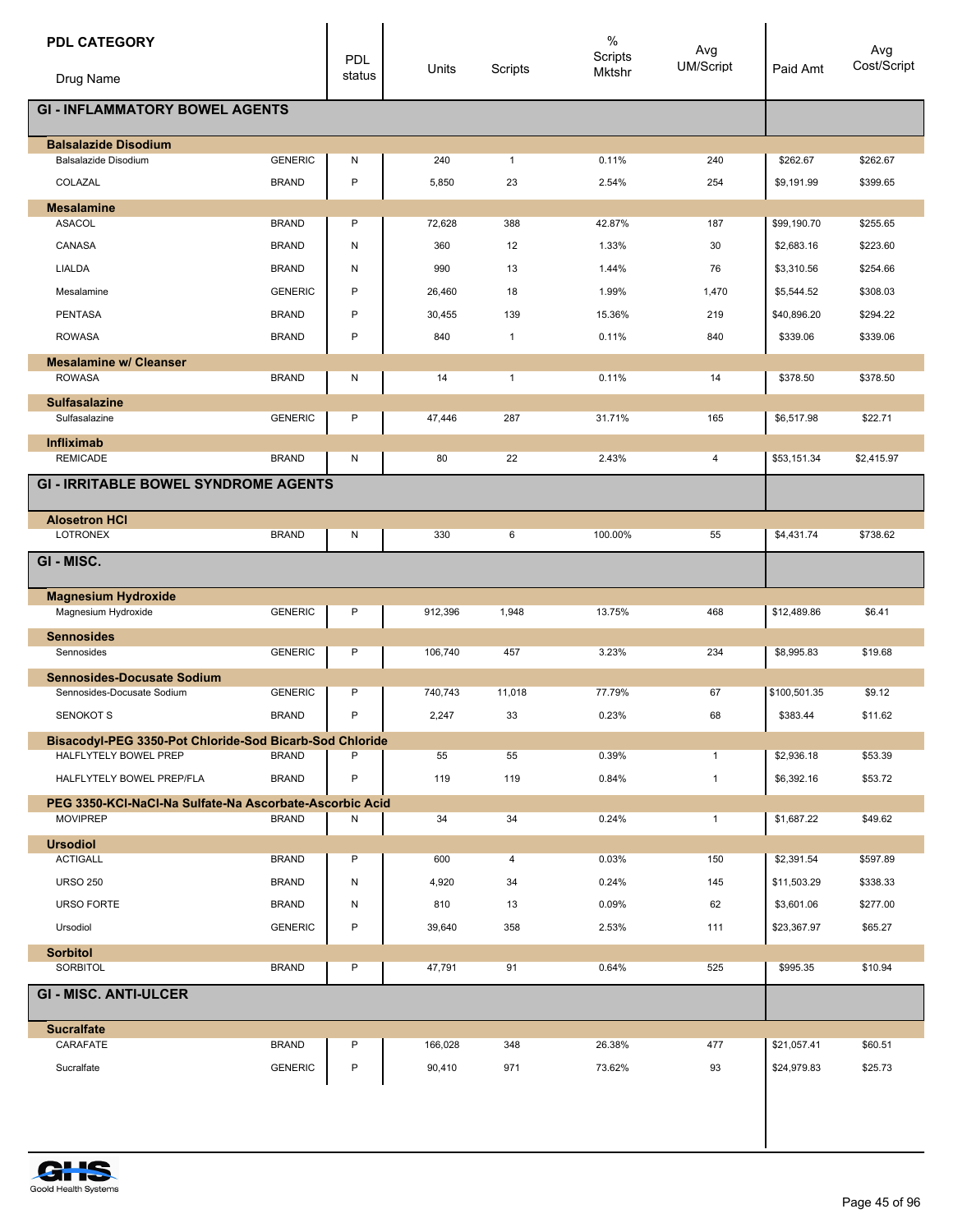| <b>PDL CATEGORY</b><br>Drug Name                                                 |                | <b>PDL</b><br>status | Units   | Scripts      | $\%$<br>Scripts<br>Mktshr | Avg<br><b>UM/Script</b> | Paid Amt     | Avg<br>Cost/Script |
|----------------------------------------------------------------------------------|----------------|----------------------|---------|--------------|---------------------------|-------------------------|--------------|--------------------|
|                                                                                  |                |                      |         |              |                           |                         |              |                    |
| <b>GI - INFLAMMATORY BOWEL AGENTS</b>                                            |                |                      |         |              |                           |                         |              |                    |
| <b>Balsalazide Disodium</b>                                                      |                |                      |         |              |                           |                         |              |                    |
| Balsalazide Disodium                                                             | <b>GENERIC</b> | N                    | 240     | $\mathbf{1}$ | 0.11%                     | 240                     | \$262.67     | \$262.67           |
| COLAZAL                                                                          | <b>BRAND</b>   | P                    | 5,850   | 23           | 2.54%                     | 254                     | \$9,191.99   | \$399.65           |
| <b>Mesalamine</b>                                                                |                |                      |         |              |                           |                         |              |                    |
| <b>ASACOL</b>                                                                    | <b>BRAND</b>   | P                    | 72,628  | 388          | 42.87%                    | 187                     | \$99,190.70  | \$255.65           |
| CANASA                                                                           | <b>BRAND</b>   | N                    | 360     | 12           | 1.33%                     | 30                      | \$2,683.16   | \$223.60           |
| <b>LIALDA</b>                                                                    | <b>BRAND</b>   | N                    | 990     | 13           | 1.44%                     | 76                      | \$3,310.56   | \$254.66           |
| Mesalamine                                                                       | <b>GENERIC</b> | P                    | 26,460  | 18           | 1.99%                     | 1,470                   | \$5,544.52   | \$308.03           |
| <b>PENTASA</b>                                                                   | <b>BRAND</b>   | P                    | 30,455  | 139          | 15.36%                    | 219                     | \$40,896.20  | \$294.22           |
| <b>ROWASA</b>                                                                    | <b>BRAND</b>   | P                    | 840     | $\mathbf{1}$ | 0.11%                     | 840                     | \$339.06     | \$339.06           |
| <b>Mesalamine w/ Cleanser</b>                                                    |                |                      |         |              |                           |                         |              |                    |
| <b>ROWASA</b>                                                                    | <b>BRAND</b>   | Ν                    | 14      | $\mathbf{1}$ | 0.11%                     | 14                      | \$378.50     | \$378.50           |
| <b>Sulfasalazine</b>                                                             |                |                      |         |              |                           |                         |              |                    |
| Sulfasalazine                                                                    | <b>GENERIC</b> | P                    | 47,446  | 287          | 31.71%                    | 165                     | \$6,517.98   | \$22.71            |
| <b>Infliximab</b><br><b>REMICADE</b>                                             | <b>BRAND</b>   | Ν                    | 80      | 22           | 2.43%                     | 4                       | \$53,151.34  | \$2,415.97         |
|                                                                                  |                |                      |         |              |                           |                         |              |                    |
| <b>GI - IRRITABLE BOWEL SYNDROME AGENTS</b>                                      |                |                      |         |              |                           |                         |              |                    |
| <b>Alosetron HCI</b>                                                             |                |                      |         |              |                           |                         |              |                    |
| <b>LOTRONEX</b>                                                                  | <b>BRAND</b>   | Ν                    | 330     | 6            | 100.00%                   | 55                      | \$4,431.74   | \$738.62           |
| GI-MISC.                                                                         |                |                      |         |              |                           |                         |              |                    |
| <b>Magnesium Hydroxide</b>                                                       |                |                      |         |              |                           |                         |              |                    |
| Magnesium Hydroxide                                                              | <b>GENERIC</b> | P                    | 912,396 | 1,948        | 13.75%                    | 468                     | \$12,489.86  | \$6.41             |
| <b>Sennosides</b><br>Sennosides                                                  | <b>GENERIC</b> | P                    | 106,740 | 457          | 3.23%                     | 234                     | \$8,995.83   | \$19.68            |
| <b>Sennosides-Docusate Sodium</b><br>Sennosides-Docusate Sodium                  | <b>GENERIC</b> | P                    | 740,743 | 11,018       | 77.79%                    | 67                      | \$100,501.35 | \$9.12             |
| <b>SENOKOT S</b>                                                                 | <b>BRAND</b>   | P                    | 2,247   | 33           | 0.23%                     | 68                      | \$383.44     | \$11.62            |
|                                                                                  |                |                      |         |              |                           |                         |              |                    |
| Bisacodyl-PEG 3350-Pot Chloride-Sod Bicarb-Sod Chloride<br>HALFLYTELY BOWEL PREP | <b>BRAND</b>   | P                    | 55      | 55           | 0.39%                     | $\mathbf{1}$            | \$2,936.18   | \$53.39            |
| HALFLYTELY BOWEL PREP/FLA                                                        | <b>BRAND</b>   | P                    | 119     | 119          | 0.84%                     | $\mathbf{1}$            | \$6,392.16   | \$53.72            |
| PEG 3350-KCI-NaCI-Na Sulfate-Na Ascorbate-Ascorbic Acid                          |                |                      |         |              |                           |                         |              |                    |
| <b>MOVIPREP</b>                                                                  | <b>BRAND</b>   | N                    | 34      | 34           | 0.24%                     | $\mathbf{1}$            | \$1,687.22   | \$49.62            |
| <b>Ursodiol</b>                                                                  |                |                      |         |              |                           |                         |              |                    |
| <b>ACTIGALL</b>                                                                  | <b>BRAND</b>   | P                    | 600     | 4            | 0.03%                     | 150                     | \$2,391.54   | \$597.89           |
| <b>URSO 250</b>                                                                  | <b>BRAND</b>   | N                    | 4,920   | 34           | 0.24%                     | 145                     | \$11,503.29  | \$338.33           |
| <b>URSO FORTE</b>                                                                | <b>BRAND</b>   | Ν                    | 810     | 13           | 0.09%                     | 62                      | \$3,601.06   | \$277.00           |
| Ursodiol                                                                         | <b>GENERIC</b> | P                    | 39,640  | 358          | 2.53%                     | 111                     | \$23,367.97  | \$65.27            |
| <b>Sorbitol</b>                                                                  |                |                      |         |              |                           |                         |              |                    |
| SORBITOL                                                                         | <b>BRAND</b>   | P                    | 47,791  | 91           | 0.64%                     | 525                     | \$995.35     | \$10.94            |
| <b>GI - MISC. ANTI-ULCER</b>                                                     |                |                      |         |              |                           |                         |              |                    |
| <b>Sucralfate</b>                                                                |                |                      |         |              |                           |                         |              |                    |
| CARAFATE                                                                         | <b>BRAND</b>   | P                    | 166,028 | 348          | 26.38%                    | 477                     | \$21,057.41  | \$60.51            |
| Sucralfate                                                                       | <b>GENERIC</b> | P                    | 90,410  | 971          | 73.62%                    | 93                      | \$24,979.83  | \$25.73            |
|                                                                                  |                |                      |         |              |                           |                         |              |                    |

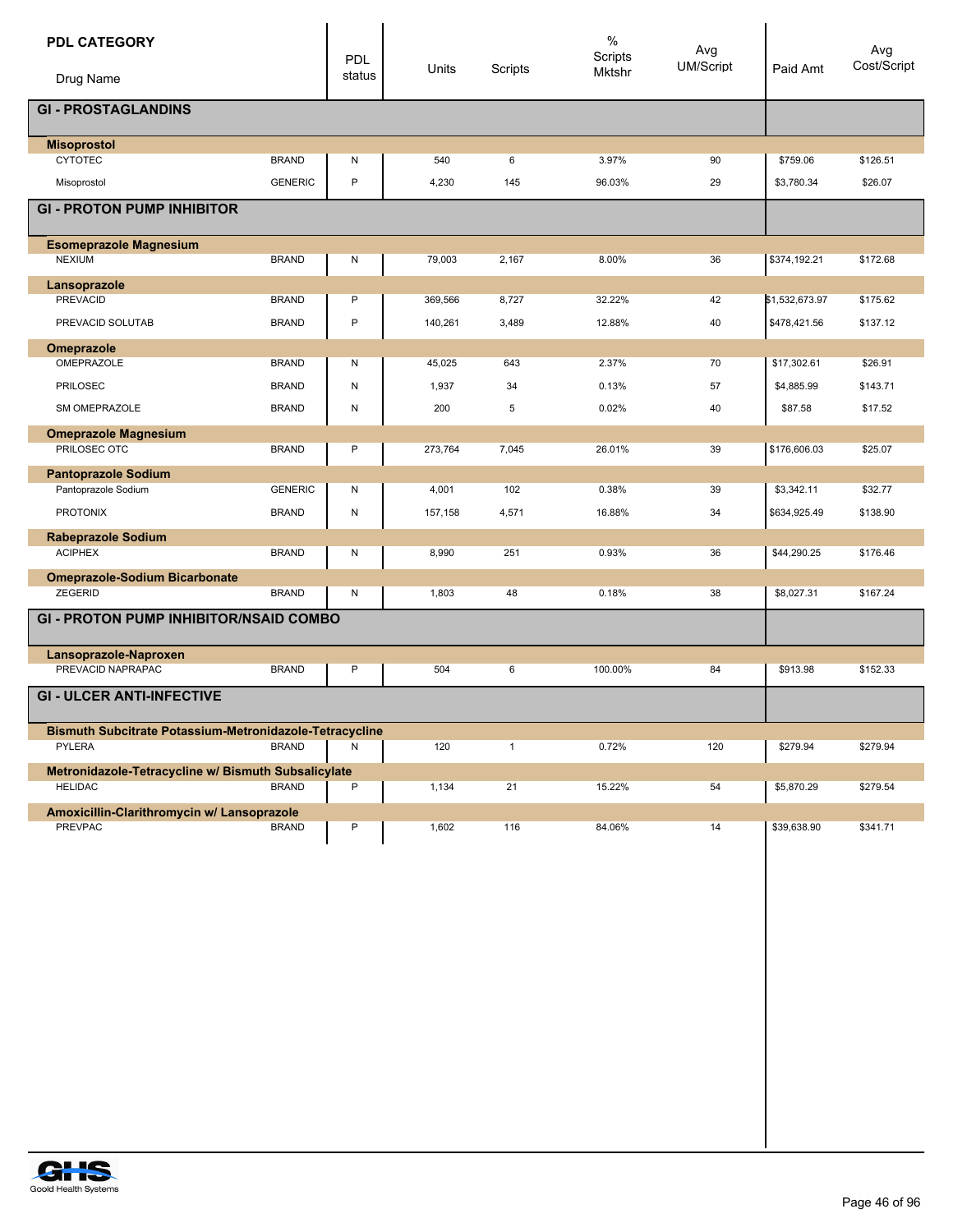|                                                                        | PDL<br>status | Units   | Scripts      | $\%$<br>Scripts<br>Mktshr | Avg<br><b>UM/Script</b> | Paid Amt       | Avg<br>Cost/Script |
|------------------------------------------------------------------------|---------------|---------|--------------|---------------------------|-------------------------|----------------|--------------------|
| Drug Name                                                              |               |         |              |                           |                         |                |                    |
| <b>GI - PROSTAGLANDINS</b>                                             |               |         |              |                           |                         |                |                    |
| <b>Misoprostol</b>                                                     |               |         |              |                           |                         |                |                    |
| <b>CYTOTEC</b><br><b>BRAND</b>                                         | N             | 540     | 6            | 3.97%                     | 90                      | \$759.06       | \$126.51           |
| <b>GENERIC</b><br>Misoprostol                                          | $\mathsf{P}$  | 4,230   | 145          | 96.03%                    | 29                      | \$3,780.34     | \$26.07            |
| <b>GI - PROTON PUMP INHIBITOR</b>                                      |               |         |              |                           |                         |                |                    |
| <b>Esomeprazole Magnesium</b>                                          |               |         |              |                           |                         |                |                    |
| <b>NEXIUM</b><br><b>BRAND</b>                                          | N             | 79,003  | 2,167        | 8.00%                     | 36                      | \$374,192.21   | \$172.68           |
| Lansoprazole                                                           |               |         |              |                           |                         |                |                    |
| <b>PREVACID</b><br><b>BRAND</b>                                        | P             | 369,566 | 8,727        | 32.22%                    | 42                      | \$1,532,673.97 | \$175.62           |
| <b>BRAND</b><br>PREVACID SOLUTAB                                       | $\sf P$       | 140,261 | 3,489        | 12.88%                    | 40                      | \$478,421.56   | \$137.12           |
| Omeprazole<br>OMEPRAZOLE<br><b>BRAND</b>                               |               |         | 643          | 2.37%                     | 70                      | \$17,302.61    | \$26.91            |
|                                                                        | N             | 45,025  |              |                           |                         |                |                    |
| <b>PRILOSEC</b><br><b>BRAND</b>                                        | N             | 1,937   | 34           | 0.13%                     | 57                      | \$4,885.99     | \$143.71           |
| SM OMEPRAZOLE<br><b>BRAND</b>                                          | N             | 200     | 5            | 0.02%                     | 40                      | \$87.58        | \$17.52            |
| <b>Omeprazole Magnesium</b>                                            |               |         |              |                           |                         |                |                    |
| PRILOSEC OTC<br><b>BRAND</b>                                           | P             | 273,764 | 7,045        | 26.01%                    | 39                      | \$176,606.03   | \$25.07            |
| <b>Pantoprazole Sodium</b><br>Pantoprazole Sodium<br><b>GENERIC</b>    | N             | 4,001   | 102          | 0.38%                     | 39                      | \$3,342.11     | \$32.77            |
|                                                                        |               |         |              |                           | 34                      |                |                    |
| <b>PROTONIX</b><br><b>BRAND</b>                                        | N             | 157,158 | 4,571        | 16.88%                    |                         | \$634,925.49   | \$138.90           |
| <b>Rabeprazole Sodium</b><br><b>ACIPHEX</b><br><b>BRAND</b>            | N             | 8,990   | 251          | 0.93%                     | 36                      | \$44,290.25    | \$176.46           |
|                                                                        |               |         |              |                           |                         |                |                    |
| <b>Omeprazole-Sodium Bicarbonate</b><br><b>ZEGERID</b><br><b>BRAND</b> | N             | 1,803   | 48           | 0.18%                     | 38                      | \$8,027.31     | \$167.24           |
| <b>GI - PROTON PUMP INHIBITOR/NSAID COMBO</b>                          |               |         |              |                           |                         |                |                    |
|                                                                        |               |         |              |                           |                         |                |                    |
| Lansoprazole-Naproxen<br>PREVACID NAPRAPAC<br><b>BRAND</b>             |               |         |              |                           |                         |                |                    |
|                                                                        | P             | 504     | 6            | 100.00%                   | 84                      | \$913.98       | \$152.33           |
| <b>GI - ULCER ANTI-INFECTIVE</b>                                       |               |         |              |                           |                         |                |                    |
| Bismuth Subcitrate Potassium-Metronidazole-Tetracycline                |               |         |              |                           |                         |                |                    |
|                                                                        | Ν             | 120     | $\mathbf{1}$ | 0.72%                     | 120                     | \$279.94       | \$279.94           |
| <b>PYLERA</b><br><b>BRAND</b>                                          |               |         |              |                           |                         |                |                    |
| Metronidazole-Tetracycline w/ Bismuth Subsalicylate                    |               |         |              |                           |                         |                |                    |
| <b>BRAND</b><br><b>HELIDAC</b>                                         | P             | 1,134   | 21           | 15.22%                    | 54                      | \$5,870.29     | \$279.54           |
| Amoxicillin-Clarithromycin w/ Lansoprazole                             |               |         |              |                           |                         |                |                    |
| <b>PREVPAC</b><br><b>BRAND</b>                                         | P             | 1,602   | 116          | 84.06%                    | 14                      | \$39,638.90    | \$341.71           |
|                                                                        |               |         |              |                           |                         |                |                    |
|                                                                        |               |         |              |                           |                         |                |                    |
|                                                                        |               |         |              |                           |                         |                |                    |
|                                                                        |               |         |              |                           |                         |                |                    |
|                                                                        |               |         |              |                           |                         |                |                    |
|                                                                        |               |         |              |                           |                         |                |                    |
|                                                                        |               |         |              |                           |                         |                |                    |
|                                                                        |               |         |              |                           |                         |                |                    |
|                                                                        |               |         |              |                           |                         |                |                    |

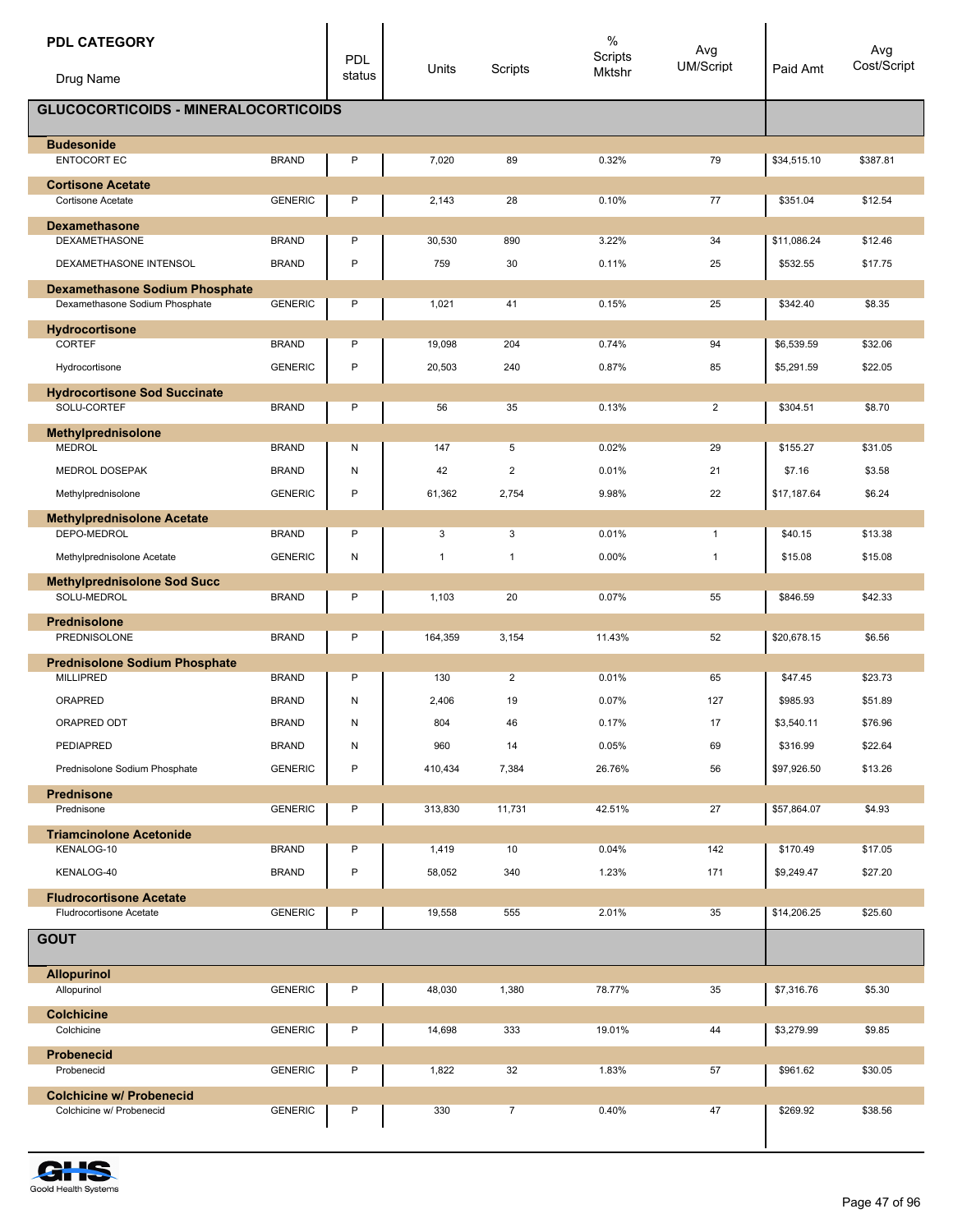| <b>PDL CATEGORY</b>                                                     |                | <b>PDL</b> |              |                | $\%$<br>Scripts | Avg              |             | Avg         |
|-------------------------------------------------------------------------|----------------|------------|--------------|----------------|-----------------|------------------|-------------|-------------|
| Drug Name                                                               |                | status     | Units        | Scripts        | Mktshr          | <b>UM/Script</b> | Paid Amt    | Cost/Script |
| <b>GLUCOCORTICOIDS - MINERALOCORTICOIDS</b>                             |                |            |              |                |                 |                  |             |             |
| <b>Budesonide</b>                                                       |                |            |              |                |                 |                  |             |             |
| ENTOCORT EC                                                             | <b>BRAND</b>   | P          | 7,020        | 89             | 0.32%           | 79               | \$34,515.10 | \$387.81    |
| <b>Cortisone Acetate</b><br><b>Cortisone Acetate</b>                    | <b>GENERIC</b> | P          | 2,143        | 28             | 0.10%           | 77               | \$351.04    | \$12.54     |
| <b>Dexamethasone</b>                                                    |                |            |              |                |                 |                  |             |             |
| <b>DEXAMETHASONE</b>                                                    | <b>BRAND</b>   | P          | 30,530       | 890            | 3.22%           | 34               | \$11,086.24 | \$12.46     |
| DEXAMETHASONE INTENSOL                                                  | <b>BRAND</b>   | P          | 759          | 30             | 0.11%           | 25               | \$532.55    | \$17.75     |
| <b>Dexamethasone Sodium Phosphate</b><br>Dexamethasone Sodium Phosphate | <b>GENERIC</b> | P          | 1,021        | 41             | 0.15%           | 25               | \$342.40    | \$8.35      |
| Hydrocortisone                                                          |                |            |              |                |                 |                  |             |             |
| <b>CORTEF</b>                                                           | <b>BRAND</b>   | P          | 19,098       | 204            | 0.74%           | 94               | \$6,539.59  | \$32.06     |
| Hydrocortisone                                                          | <b>GENERIC</b> | P          | 20,503       | 240            | 0.87%           | 85               | \$5,291.59  | \$22.05     |
| <b>Hydrocortisone Sod Succinate</b>                                     |                |            |              |                |                 |                  |             |             |
| SOLU-CORTEF                                                             | <b>BRAND</b>   | P          | 56           | 35             | 0.13%           | $\overline{2}$   | \$304.51    | \$8.70      |
| Methylprednisolone<br><b>MEDROL</b>                                     | <b>BRAND</b>   | Ν          | 147          | 5              | 0.02%           | 29               | \$155.27    | \$31.05     |
| MEDROL DOSEPAK                                                          | <b>BRAND</b>   | Ν          | 42           | $\overline{2}$ | 0.01%           | 21               | \$7.16      | \$3.58      |
| Methylprednisolone                                                      | <b>GENERIC</b> | P          | 61,362       | 2,754          | 9.98%           | 22               | \$17,187.64 | \$6.24      |
| <b>Methylprednisolone Acetate</b>                                       |                |            |              |                |                 |                  |             |             |
| DEPO-MEDROL                                                             | <b>BRAND</b>   | P          | 3            | 3              | 0.01%           | $\mathbf{1}$     | \$40.15     | \$13.38     |
| Methylprednisolone Acetate                                              | <b>GENERIC</b> | N          | $\mathbf{1}$ | $\overline{1}$ | 0.00%           | $\mathbf{1}$     | \$15.08     | \$15.08     |
| <b>Methylprednisolone Sod Succ</b><br>SOLU-MEDROL                       | <b>BRAND</b>   | P          | 1,103        | 20             | 0.07%           | 55               | \$846.59    | \$42.33     |
|                                                                         |                |            |              |                |                 |                  |             |             |
| <b>Prednisolone</b><br>PREDNISOLONE                                     | <b>BRAND</b>   | P          | 164,359      | 3,154          | 11.43%          | 52               | \$20,678.15 | \$6.56      |
| <b>Prednisolone Sodium Phosphate</b>                                    |                |            |              |                |                 |                  |             |             |
| <b>MILLIPRED</b>                                                        | <b>BRAND</b>   | P          | 130          | $\overline{2}$ | 0.01%           | 65               | \$47.45     | \$23.73     |
| ORAPRED                                                                 | <b>BRAND</b>   | Ν          | 2,406        | 19             | 0.07%           | 127              | \$985.93    | \$51.89     |
| ORAPRED ODT                                                             | <b>BRAND</b>   | N          | 804          | 46             | 0.17%           | $17\,$           | \$3,540.11  | \$76.96     |
| PEDIAPRED                                                               | <b>BRAND</b>   | N          | 960          | 14             | 0.05%           | 69               | \$316.99    | \$22.64     |
| Prednisolone Sodium Phosphate                                           | <b>GENERIC</b> | P          | 410,434      | 7,384          | 26.76%          | 56               | \$97,926.50 | \$13.26     |
| <b>Prednisone</b><br>Prednisone                                         | <b>GENERIC</b> | Ρ          | 313,830      | 11,731         | 42.51%          | 27               | \$57,864.07 | \$4.93      |
| <b>Triamcinolone Acetonide</b>                                          |                |            |              |                |                 |                  |             |             |
| KENALOG-10                                                              | <b>BRAND</b>   | P          | 1,419        | 10             | 0.04%           | 142              | \$170.49    | \$17.05     |
| KENALOG-40                                                              | <b>BRAND</b>   | P          | 58,052       | 340            | 1.23%           | 171              | \$9,249.47  | \$27.20     |
| <b>Fludrocortisone Acetate</b>                                          |                |            |              |                |                 |                  |             |             |
| <b>Fludrocortisone Acetate</b>                                          | <b>GENERIC</b> | P          | 19,558       | 555            | 2.01%           | 35               | \$14,206.25 | \$25.60     |
| <b>GOUT</b>                                                             |                |            |              |                |                 |                  |             |             |
| <b>Allopurinol</b>                                                      |                | P          |              |                |                 |                  |             |             |
| Allopurinol                                                             | <b>GENERIC</b> |            | 48,030       | 1,380          | 78.77%          | 35               | \$7,316.76  | \$5.30      |
| <b>Colchicine</b><br>Colchicine                                         | <b>GENERIC</b> | P          | 14,698       | 333            | 19.01%          | 44               | \$3,279.99  | \$9.85      |
| <b>Probenecid</b>                                                       |                |            |              |                |                 |                  |             |             |
| Probenecid                                                              | <b>GENERIC</b> | Ρ          | 1,822        | 32             | 1.83%           | 57               | \$961.62    | \$30.05     |
| <b>Colchicine w/ Probenecid</b><br>Colchicine w/ Probenecid             | <b>GENERIC</b> | P          | 330          | $\overline{7}$ | 0.40%           | 47               | \$269.92    | \$38.56     |
|                                                                         |                |            |              |                |                 |                  |             |             |

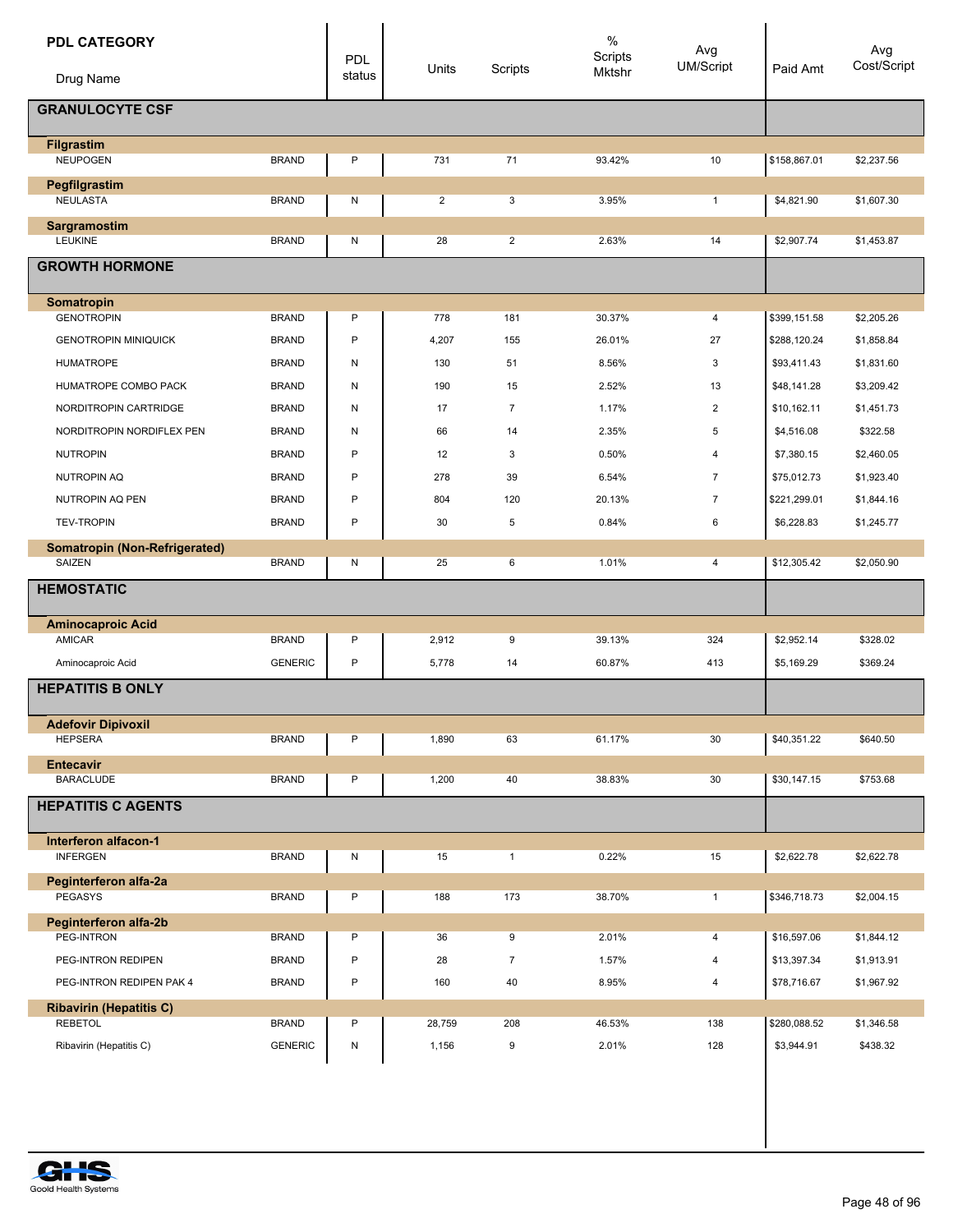| <b>PDL CATEGORY</b>                     |                | <b>PDL</b> | Units          | Scripts        | $\%$<br>Scripts | Avg<br><b>UM/Script</b> | Paid Amt     | Avg<br>Cost/Script |
|-----------------------------------------|----------------|------------|----------------|----------------|-----------------|-------------------------|--------------|--------------------|
| Drug Name                               |                | status     |                |                | Mktshr          |                         |              |                    |
| <b>GRANULOCYTE CSF</b>                  |                |            |                |                |                 |                         |              |                    |
| <b>Filgrastim</b>                       |                |            |                |                |                 |                         |              |                    |
| <b>NEUPOGEN</b>                         | <b>BRAND</b>   | P          | 731            | 71             | 93.42%          | 10                      | \$158,867.01 | \$2,237.56         |
| Pegfilgrastim<br><b>NEULASTA</b>        | <b>BRAND</b>   | N          | $\overline{2}$ | 3              | 3.95%           | $\mathbf{1}$            | \$4,821.90   | \$1,607.30         |
|                                         |                |            |                |                |                 |                         |              |                    |
| Sargramostim<br><b>LEUKINE</b>          | <b>BRAND</b>   | N          | 28             | $\overline{2}$ | 2.63%           | 14                      | \$2,907.74   | \$1,453.87         |
| <b>GROWTH HORMONE</b>                   |                |            |                |                |                 |                         |              |                    |
| Somatropin                              |                |            |                |                |                 |                         |              |                    |
| <b>GENOTROPIN</b>                       | <b>BRAND</b>   | P          | 778            | 181            | 30.37%          | 4                       | \$399,151.58 | \$2,205.26         |
| <b>GENOTROPIN MINIQUICK</b>             | <b>BRAND</b>   | P          | 4,207          | 155            | 26.01%          | 27                      | \$288,120.24 | \$1,858.84         |
| <b>HUMATROPE</b>                        | <b>BRAND</b>   | Ν          | 130            | 51             | 8.56%           | 3                       | \$93,411.43  | \$1,831.60         |
| HUMATROPE COMBO PACK                    | <b>BRAND</b>   | Ν          | 190            | 15             | 2.52%           | 13                      | \$48,141.28  | \$3,209.42         |
| NORDITROPIN CARTRIDGE                   | <b>BRAND</b>   | N          | 17             | $\overline{7}$ | 1.17%           | $\overline{2}$          | \$10,162.11  | \$1,451.73         |
| NORDITROPIN NORDIFLEX PEN               | <b>BRAND</b>   | N          | 66             | 14             | 2.35%           | 5                       | \$4,516.08   | \$322.58           |
| <b>NUTROPIN</b>                         | <b>BRAND</b>   | P          | 12             | 3              | 0.50%           | $\overline{4}$          | \$7,380.15   | \$2,460.05         |
| <b>NUTROPIN AQ</b>                      | <b>BRAND</b>   | P          | 278            | 39             | 6.54%           | $\overline{7}$          | \$75,012.73  | \$1,923.40         |
| NUTROPIN AQ PEN                         | <b>BRAND</b>   | P          | 804            | 120            | 20.13%          | $\overline{7}$          | \$221,299.01 | \$1,844.16         |
| <b>TEV-TROPIN</b>                       | <b>BRAND</b>   | P          | 30             | 5              | 0.84%           | 6                       | \$6,228.83   | \$1,245.77         |
| Somatropin (Non-Refrigerated)<br>SAIZEN | <b>BRAND</b>   | N          | 25             | 6              | 1.01%           | 4                       | \$12,305.42  | \$2,050.90         |
| <b>HEMOSTATIC</b>                       |                |            |                |                |                 |                         |              |                    |
| <b>Aminocaproic Acid</b>                |                |            |                |                |                 |                         |              |                    |
| <b>AMICAR</b>                           | <b>BRAND</b>   | P          | 2,912          | 9              | 39.13%          | 324                     | \$2,952.14   | \$328.02           |
| Aminocaproic Acid                       | <b>GENERIC</b> | P          | 5,778          | 14             | 60.87%          | 413                     | \$5,169.29   | \$369.24           |
| <b>HEPATITIS B ONLY</b>                 |                |            |                |                |                 |                         |              |                    |
| <b>Adefovir Dipivoxil</b>               |                |            |                |                |                 |                         |              |                    |
| <b>HEPSERA</b>                          | <b>BRAND</b>   | Ρ          | 1,890          | 63             | 61.17%          | 30                      | \$40,351.22  | \$640.50           |
| <b>Entecavir</b><br><b>BARACLUDE</b>    | <b>BRAND</b>   | Ρ          | 1,200          | 40             | 38.83%          | 30                      | \$30,147.15  | \$753.68           |
| <b>HEPATITIS C AGENTS</b>               |                |            |                |                |                 |                         |              |                    |
|                                         |                |            |                |                |                 |                         |              |                    |
| Interferon alfacon-1<br><b>INFERGEN</b> | <b>BRAND</b>   | N          | 15             | $\mathbf{1}$   | 0.22%           | 15                      | \$2,622.78   | \$2,622.78         |
|                                         |                |            |                |                |                 |                         |              |                    |
| Peginterferon alfa-2a<br>PEGASYS        | <b>BRAND</b>   | Ρ          | 188            | 173            | 38.70%          | $\mathbf{1}$            | \$346,718.73 | \$2,004.15         |
| Peginterferon alfa-2b                   |                |            |                |                |                 |                         |              |                    |
| PEG-INTRON                              | <b>BRAND</b>   | P          | 36             | 9              | 2.01%           | $\overline{4}$          | \$16,597.06  | \$1,844.12         |
| PEG-INTRON REDIPEN                      | <b>BRAND</b>   | P          | 28             | $\overline{7}$ | 1.57%           | $\overline{4}$          | \$13,397.34  | \$1,913.91         |
| PEG-INTRON REDIPEN PAK 4                | <b>BRAND</b>   | P          | 160            | 40             | 8.95%           | $\overline{4}$          | \$78,716.67  | \$1,967.92         |
| <b>Ribavirin (Hepatitis C)</b>          |                |            |                |                |                 |                         |              |                    |
| <b>REBETOL</b>                          | <b>BRAND</b>   | P          | 28,759         | 208            | 46.53%          | 138                     | \$280,088.52 | \$1,346.58         |
| Ribavirin (Hepatitis C)                 | <b>GENERIC</b> | N          | 1,156          | 9              | 2.01%           | 128                     | \$3,944.91   | \$438.32           |

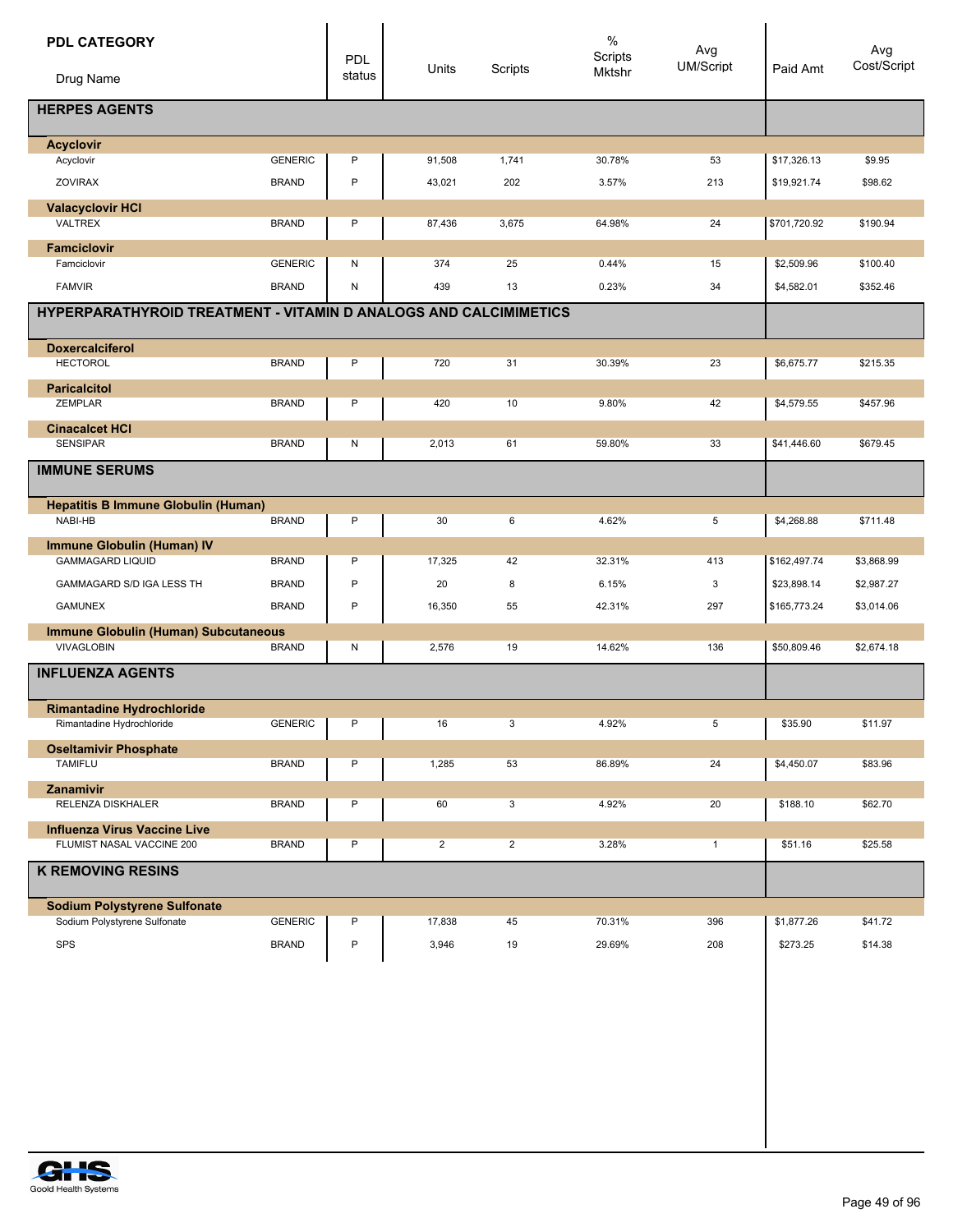| <b>PDL CATEGORY</b>                                              |                | <b>PDL</b> |                |                | $\%$<br>Scripts | Avg<br>UM/Script |              | Avg<br>Cost/Script |
|------------------------------------------------------------------|----------------|------------|----------------|----------------|-----------------|------------------|--------------|--------------------|
| Drug Name                                                        |                | status     | Units          | Scripts        | <b>Mktshr</b>   |                  | Paid Amt     |                    |
| <b>HERPES AGENTS</b>                                             |                |            |                |                |                 |                  |              |                    |
| <b>Acyclovir</b>                                                 |                |            |                |                |                 |                  |              |                    |
| Acyclovir                                                        | <b>GENERIC</b> | P          | 91,508         | 1,741          | 30.78%          | 53               | \$17,326.13  | \$9.95             |
| <b>ZOVIRAX</b>                                                   | <b>BRAND</b>   | $\sf P$    | 43,021         | 202            | 3.57%           | 213              | \$19,921.74  | \$98.62            |
| <b>Valacyclovir HCI</b>                                          |                |            |                |                |                 |                  |              |                    |
| <b>VALTREX</b>                                                   | <b>BRAND</b>   | P          | 87,436         | 3,675          | 64.98%          | 24               | \$701,720.92 | \$190.94           |
| <b>Famciclovir</b>                                               |                |            |                |                |                 |                  |              |                    |
| Famciclovir                                                      | <b>GENERIC</b> | N          | 374            | 25             | 0.44%           | 15               | \$2,509.96   | \$100.40           |
| <b>FAMVIR</b>                                                    | <b>BRAND</b>   | N          | 439            | 13             | 0.23%           | 34               | \$4,582.01   | \$352.46           |
| HYPERPARATHYROID TREATMENT - VITAMIN D ANALOGS AND CALCIMIMETICS |                |            |                |                |                 |                  |              |                    |
| <b>Doxercalciferol</b>                                           |                |            |                |                |                 |                  |              |                    |
| <b>HECTOROL</b>                                                  | <b>BRAND</b>   | P          | 720            | 31             | 30.39%          | 23               | \$6,675.77   | \$215.35           |
| <b>Paricalcitol</b>                                              |                |            |                |                |                 |                  |              |                    |
| ZEMPLAR                                                          | <b>BRAND</b>   | P          | 420            | 10             | 9.80%           | 42               | \$4,579.55   | \$457.96           |
| <b>Cinacalcet HCI</b><br><b>SENSIPAR</b>                         | <b>BRAND</b>   | N          | 2,013          | 61             | 59.80%          | 33               | \$41,446.60  | \$679.45           |
|                                                                  |                |            |                |                |                 |                  |              |                    |
| <b>IMMUNE SERUMS</b>                                             |                |            |                |                |                 |                  |              |                    |
| <b>Hepatitis B Immune Globulin (Human)</b>                       |                |            |                |                |                 |                  |              |                    |
| NABI-HB                                                          | <b>BRAND</b>   | P          | 30             | 6              | 4.62%           | 5                | \$4,268.88   | \$711.48           |
| <b>Immune Globulin (Human) IV</b><br><b>GAMMAGARD LIQUID</b>     | <b>BRAND</b>   | P          | 17,325         | 42             | 32.31%          | 413              | \$162,497.74 | \$3,868.99         |
| GAMMAGARD S/D IGA LESS TH                                        | <b>BRAND</b>   | P          | 20             | 8              | 6.15%           | 3                | \$23,898.14  | \$2,987.27         |
| <b>GAMUNEX</b>                                                   | <b>BRAND</b>   | P          | 16,350         | 55             | 42.31%          | 297              | \$165,773.24 | \$3,014.06         |
|                                                                  |                |            |                |                |                 |                  |              |                    |
| Immune Globulin (Human) Subcutaneous<br>VIVAGLOBIN               | <b>BRAND</b>   | N          | 2,576          | 19             | 14.62%          | 136              | \$50,809.46  | \$2,674.18         |
| <b>INFLUENZA AGENTS</b>                                          |                |            |                |                |                 |                  |              |                    |
|                                                                  |                |            |                |                |                 |                  |              |                    |
| <b>Rimantadine Hydrochloride</b>                                 |                |            |                |                |                 |                  |              |                    |
| Rimantadine Hydrochloride                                        | GENERIC        | P          | 16             | 3              | 4.92%           | 5                | \$35.90      | \$11.97            |
| <b>Oseltamivir Phosphate</b><br><b>TAMIFLU</b>                   | <b>BRAND</b>   |            |                |                | 86.89%          |                  |              |                    |
|                                                                  |                | P          | 1,285          | 53             |                 | 24               | \$4,450.07   | \$83.96            |
| Zanamivir                                                        |                |            |                |                |                 |                  |              |                    |
| RELENZA DISKHALER                                                | <b>BRAND</b>   | P          | 60             | 3              | 4.92%           | 20               | \$188.10     | \$62.70            |
| <b>Influenza Virus Vaccine Live</b>                              |                |            |                |                |                 |                  |              |                    |
| FLUMIST NASAL VACCINE 200                                        | <b>BRAND</b>   | P          | $\overline{2}$ | $\overline{2}$ | 3.28%           | $\mathbf{1}$     | \$51.16      | \$25.58            |
| <b>K REMOVING RESINS</b>                                         |                |            |                |                |                 |                  |              |                    |
| <b>Sodium Polystyrene Sulfonate</b>                              |                |            |                |                |                 |                  |              |                    |
| Sodium Polystyrene Sulfonate                                     | <b>GENERIC</b> | P          | 17,838         | 45             | 70.31%          | 396              | \$1,877.26   | \$41.72            |
| SPS                                                              | <b>BRAND</b>   | P          | 3,946          | 19             | 29.69%          | 208              | \$273.25     | \$14.38            |

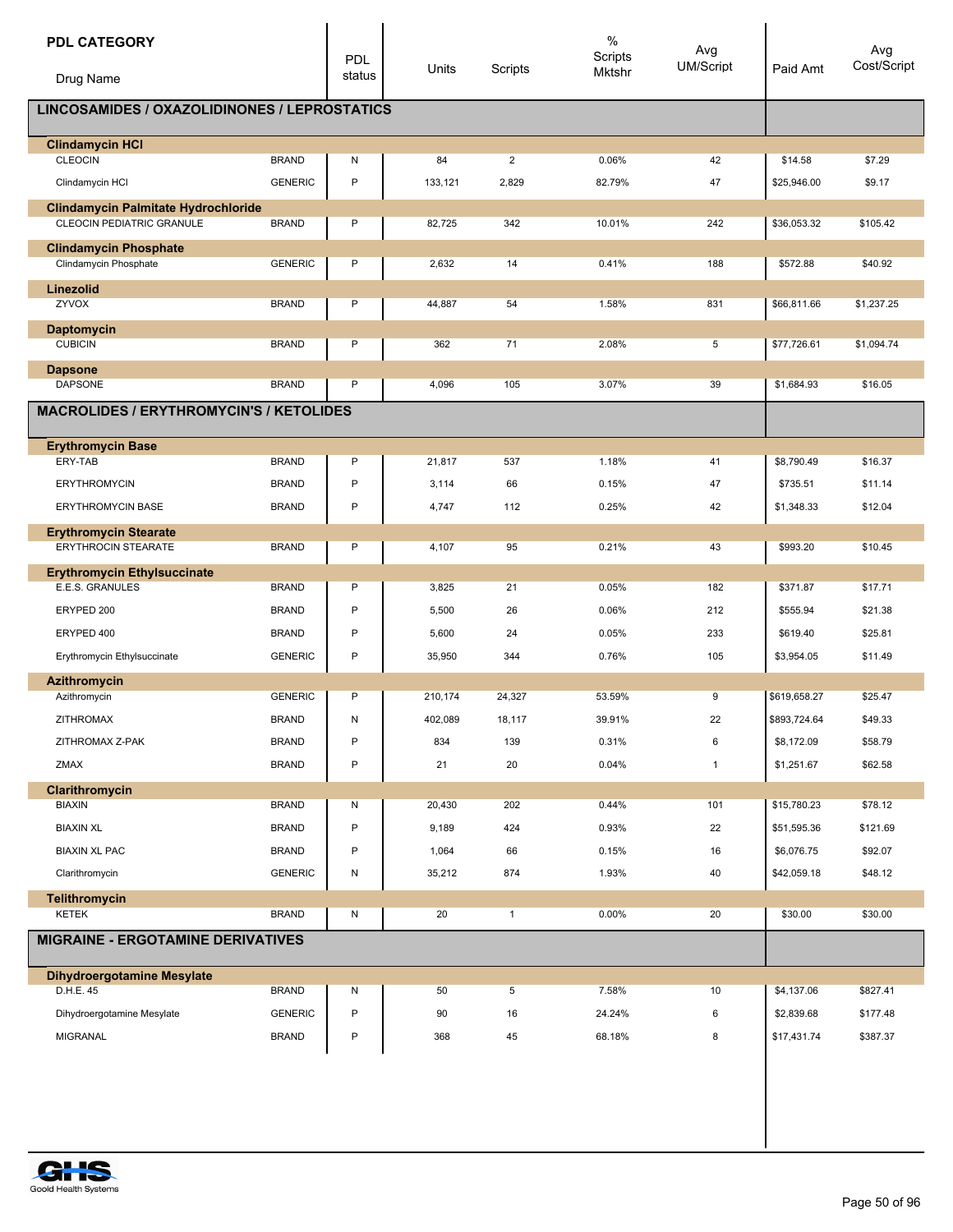| <b>PDL CATEGORY</b>                                                            |                | PDL    | Units   | Scripts        | $\%$<br>Scripts<br><b>Mktshr</b> | Avg<br><b>UM/Script</b> | Paid Amt     | Avg<br>Cost/Script |
|--------------------------------------------------------------------------------|----------------|--------|---------|----------------|----------------------------------|-------------------------|--------------|--------------------|
| Drug Name                                                                      |                | status |         |                |                                  |                         |              |                    |
| LINCOSAMIDES / OXAZOLIDINONES / LEPROSTATICS                                   |                |        |         |                |                                  |                         |              |                    |
| <b>Clindamycin HCI</b>                                                         |                |        |         |                |                                  |                         |              |                    |
| <b>CLEOCIN</b>                                                                 | <b>BRAND</b>   | N<br>P | 84      | $\overline{2}$ | 0.06%                            | 42                      | \$14.58      | \$7.29             |
| Clindamycin HCI                                                                | <b>GENERIC</b> |        | 133,121 | 2,829          | 82.79%                           | 47                      | \$25,946.00  | \$9.17             |
| <b>Clindamycin Palmitate Hydrochloride</b><br><b>CLEOCIN PEDIATRIC GRANULE</b> | <b>BRAND</b>   | Ρ      | 82,725  | 342            | 10.01%                           | 242                     | \$36,053.32  | \$105.42           |
| <b>Clindamycin Phosphate</b>                                                   |                |        |         |                |                                  |                         |              |                    |
| Clindamycin Phosphate                                                          | <b>GENERIC</b> | P      | 2,632   | 14             | 0.41%                            | 188                     | \$572.88     | \$40.92            |
| Linezolid                                                                      |                |        |         |                |                                  |                         |              |                    |
| ZYVOX                                                                          | <b>BRAND</b>   | P      | 44,887  | 54             | 1.58%                            | 831                     | \$66,811.66  | \$1,237.25         |
| <b>Daptomycin</b><br><b>CUBICIN</b>                                            | <b>BRAND</b>   | P      | 362     | 71             | 2.08%                            | 5                       | \$77,726.61  | \$1,094.74         |
|                                                                                |                |        |         |                |                                  |                         |              |                    |
| <b>Dapsone</b><br><b>DAPSONE</b>                                               | <b>BRAND</b>   | P      | 4,096   | 105            | 3.07%                            | 39                      | \$1,684.93   | \$16.05            |
| <b>MACROLIDES / ERYTHROMYCIN'S / KETOLIDES</b>                                 |                |        |         |                |                                  |                         |              |                    |
|                                                                                |                |        |         |                |                                  |                         |              |                    |
| <b>Erythromycin Base</b><br>ERY-TAB                                            | <b>BRAND</b>   | P      | 21,817  | 537            | 1.18%                            | 41                      | \$8,790.49   | \$16.37            |
| <b>ERYTHROMYCIN</b>                                                            | <b>BRAND</b>   | Ρ      | 3,114   | 66             | 0.15%                            | 47                      | \$735.51     | \$11.14            |
| <b>ERYTHROMYCIN BASE</b>                                                       | <b>BRAND</b>   | P      | 4,747   | 112            | 0.25%                            | 42                      | \$1,348.33   | \$12.04            |
|                                                                                |                |        |         |                |                                  |                         |              |                    |
| <b>Erythromycin Stearate</b><br>ERYTHROCIN STEARATE                            | <b>BRAND</b>   | P      | 4,107   | 95             | 0.21%                            | 43                      | \$993.20     | \$10.45            |
| <b>Erythromycin Ethylsuccinate</b>                                             |                |        |         |                |                                  |                         |              |                    |
| E.E.S. GRANULES                                                                | <b>BRAND</b>   | P      | 3,825   | 21             | 0.05%                            | 182                     | \$371.87     | \$17.71            |
| ERYPED 200                                                                     | <b>BRAND</b>   | P      | 5,500   | 26             | 0.06%                            | 212                     | \$555.94     | \$21.38            |
| ERYPED 400                                                                     | <b>BRAND</b>   | P      | 5,600   | 24             | 0.05%                            | 233                     | \$619.40     | \$25.81            |
| Erythromycin Ethylsuccinate                                                    | <b>GENERIC</b> | P      | 35,950  | 344            | 0.76%                            | 105                     | \$3,954.05   | \$11.49            |
| <b>Azithromycin</b>                                                            |                |        |         |                |                                  |                         |              |                    |
| Azithromycin                                                                   | <b>GENERIC</b> | Ρ      | 210,174 | 24,327         | 53.59%                           | 9                       | \$619,658.27 | \$25.47            |
| <b>ZITHROMAX</b>                                                               | <b>BRAND</b>   | Ν      | 402,089 | 18,117         | 39.91%                           | 22                      | \$893,724.64 | \$49.33            |
| ZITHROMAX Z-PAK                                                                | <b>BRAND</b>   | P      | 834     | 139            | 0.31%                            | 6                       | \$8,172.09   | \$58.79            |
| ZMAX                                                                           | <b>BRAND</b>   | P      | 21      | 20             | 0.04%                            | $\mathbf{1}$            | \$1,251.67   | \$62.58            |
| Clarithromycin<br><b>BIAXIN</b>                                                | <b>BRAND</b>   | Ν      | 20,430  | 202            | 0.44%                            | 101                     | \$15,780.23  | \$78.12            |
| <b>BIAXIN XL</b>                                                               | <b>BRAND</b>   | P      | 9,189   | 424            | 0.93%                            | 22                      | \$51,595.36  | \$121.69           |
| <b>BIAXIN XL PAC</b>                                                           | <b>BRAND</b>   | Ρ      | 1,064   | 66             | 0.15%                            | 16                      | \$6,076.75   | \$92.07            |
| Clarithromycin                                                                 | <b>GENERIC</b> | N      | 35,212  | 874            | 1.93%                            | 40                      | \$42,059.18  | \$48.12            |
| <b>Telithromycin</b>                                                           |                |        |         |                |                                  |                         |              |                    |
| <b>KETEK</b>                                                                   | <b>BRAND</b>   | N      | 20      | $\mathbf{1}$   | 0.00%                            | 20                      | \$30.00      | \$30.00            |
| <b>MIGRAINE - ERGOTAMINE DERIVATIVES</b>                                       |                |        |         |                |                                  |                         |              |                    |
| <b>Dihydroergotamine Mesylate</b>                                              |                |        |         |                |                                  |                         |              |                    |
| D.H.E. 45                                                                      | <b>BRAND</b>   | Ν      | 50      | 5              | 7.58%                            | 10                      | \$4,137.06   | \$827.41           |
| Dihydroergotamine Mesylate                                                     | <b>GENERIC</b> | Ρ      | 90      | 16             | 24.24%                           | 6                       | \$2,839.68   | \$177.48           |
| <b>MIGRANAL</b>                                                                | <b>BRAND</b>   | P      | 368     | 45             | 68.18%                           | 8                       | \$17,431.74  | \$387.37           |
|                                                                                |                |        |         |                |                                  |                         |              |                    |

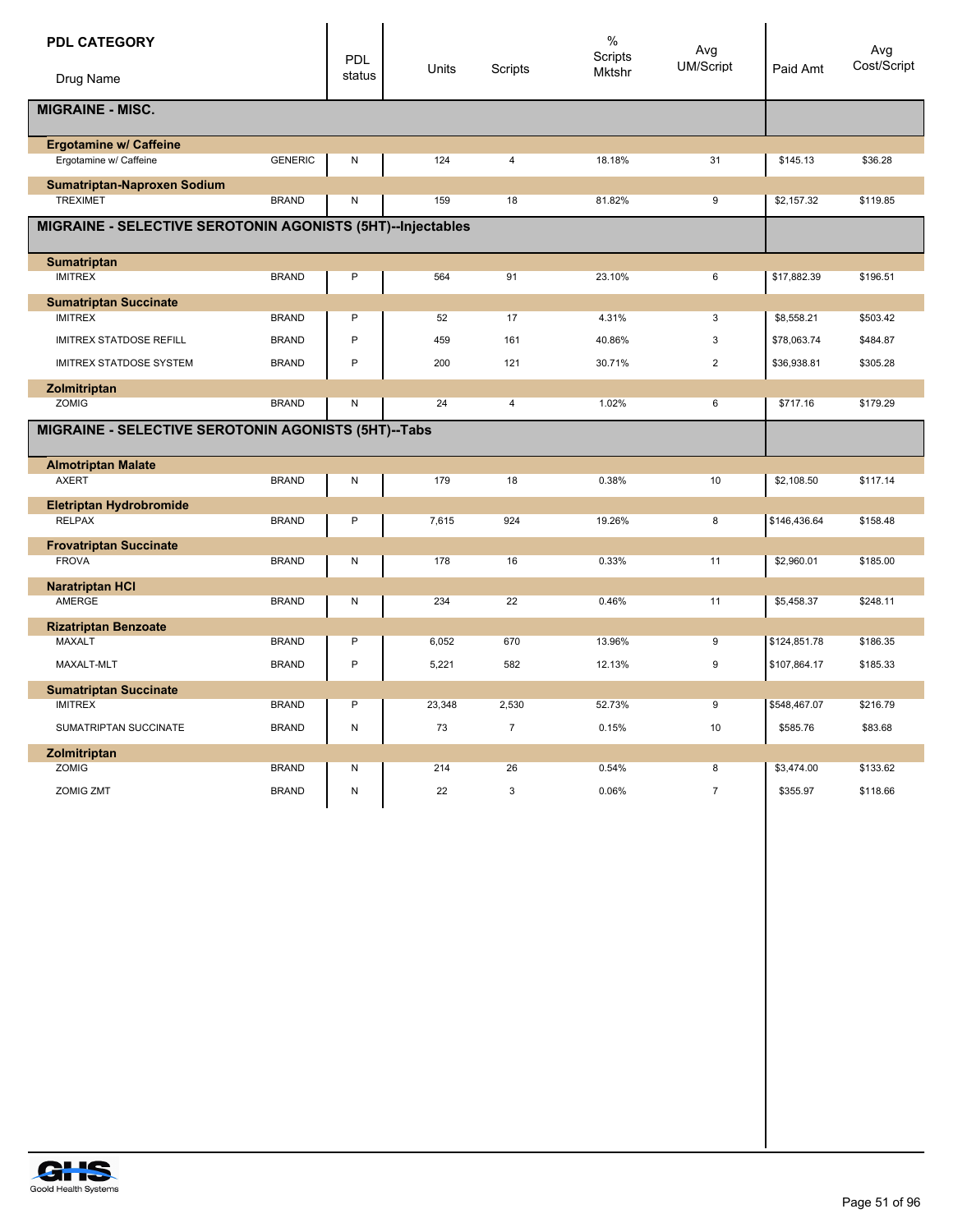| <b>PDL CATEGORY</b>                                        |                | PDL    | Units  | Scripts        | $\%$<br>Scripts | Avg<br>UM/Script | Paid Amt     | Avg<br>Cost/Script |
|------------------------------------------------------------|----------------|--------|--------|----------------|-----------------|------------------|--------------|--------------------|
| Drug Name                                                  |                | status |        |                | Mktshr          |                  |              |                    |
| <b>MIGRAINE - MISC.</b>                                    |                |        |        |                |                 |                  |              |                    |
| <b>Ergotamine w/ Caffeine</b>                              |                |        |        |                |                 |                  |              |                    |
| Ergotamine w/ Caffeine                                     | <b>GENERIC</b> | N      | 124    | $\overline{4}$ | 18.18%          | 31               | \$145.13     | \$36.28            |
| Sumatriptan-Naproxen Sodium                                |                |        |        |                |                 |                  |              |                    |
| <b>TREXIMET</b>                                            | <b>BRAND</b>   | N      | 159    | 18             | 81.82%          | 9                | \$2,157.32   | \$119.85           |
| MIGRAINE - SELECTIVE SEROTONIN AGONISTS (5HT)--Injectables |                |        |        |                |                 |                  |              |                    |
| <b>Sumatriptan</b>                                         |                |        |        |                |                 |                  |              |                    |
| <b>IMITREX</b>                                             | <b>BRAND</b>   | P      | 564    | 91             | 23.10%          | 6                | \$17,882.39  | \$196.51           |
| <b>Sumatriptan Succinate</b>                               |                |        |        |                |                 |                  |              |                    |
| <b>IMITREX</b>                                             | <b>BRAND</b>   | P      | 52     | 17             | 4.31%           | 3                | \$8,558.21   | \$503.42           |
| <b>IMITREX STATDOSE REFILL</b>                             | <b>BRAND</b>   | P      | 459    | 161            | 40.86%          | 3                | \$78,063.74  | \$484.87           |
| <b>IMITREX STATDOSE SYSTEM</b>                             | <b>BRAND</b>   | P      | 200    | 121            | 30.71%          | $\overline{2}$   | \$36,938.81  | \$305.28           |
| Zolmitriptan                                               |                |        |        |                |                 |                  |              |                    |
| <b>ZOMIG</b>                                               | <b>BRAND</b>   | N      | 24     | $\overline{4}$ | 1.02%           | 6                | \$717.16     | \$179.29           |
| MIGRAINE - SELECTIVE SEROTONIN AGONISTS (5HT)--Tabs        |                |        |        |                |                 |                  |              |                    |
| <b>Almotriptan Malate</b>                                  |                |        |        |                |                 |                  |              |                    |
| <b>AXERT</b>                                               | <b>BRAND</b>   | N      | 179    | 18             | 0.38%           | 10               | \$2,108.50   | \$117.14           |
| <b>Eletriptan Hydrobromide</b>                             |                |        |        |                |                 |                  |              |                    |
| <b>RELPAX</b>                                              | <b>BRAND</b>   | P      | 7,615  | 924            | 19.26%          | 8                | \$146,436.64 | \$158.48           |
| <b>Frovatriptan Succinate</b>                              |                |        |        |                |                 |                  |              |                    |
| <b>FROVA</b>                                               | <b>BRAND</b>   | Ν      | 178    | 16             | 0.33%           | 11               | \$2,960.01   | \$185.00           |
| <b>Naratriptan HCI</b>                                     |                |        |        |                |                 |                  |              |                    |
| AMERGE                                                     | <b>BRAND</b>   | N      | 234    | 22             | 0.46%           | 11               | \$5,458.37   | \$248.11           |
| <b>Rizatriptan Benzoate</b>                                |                |        |        |                |                 |                  |              |                    |
| <b>MAXALT</b>                                              | <b>BRAND</b>   | P      | 6,052  | 670            | 13.96%          | 9                | \$124,851.78 | \$186.35           |
| MAXALT-MLT                                                 | <b>BRAND</b>   | P      | 5,221  | 582            | 12.13%          | $\boldsymbol{9}$ | \$107,864.17 | \$185.33           |
| <b>Sumatriptan Succinate</b>                               |                |        |        |                |                 |                  |              |                    |
| <b>IMITREX</b>                                             | <b>BRAND</b>   | P      | 23,348 | 2,530          | 52.73%          | 9                | \$548,467.07 | \$216.79           |
| SUMATRIPTAN SUCCINATE                                      | <b>BRAND</b>   | N      | 73     | $\overline{7}$ | 0.15%           | 10               | \$585.76     | \$83.68            |
| Zolmitriptan                                               |                |        |        |                |                 |                  |              |                    |
| <b>ZOMIG</b>                                               | <b>BRAND</b>   | N      | 214    | 26             | 0.54%           | 8                | \$3,474.00   | \$133.62           |
| <b>ZOMIG ZMT</b>                                           | <b>BRAND</b>   | N      | 22     | 3              | 0.06%           | $\overline{7}$   | \$355.97     | \$118.66           |

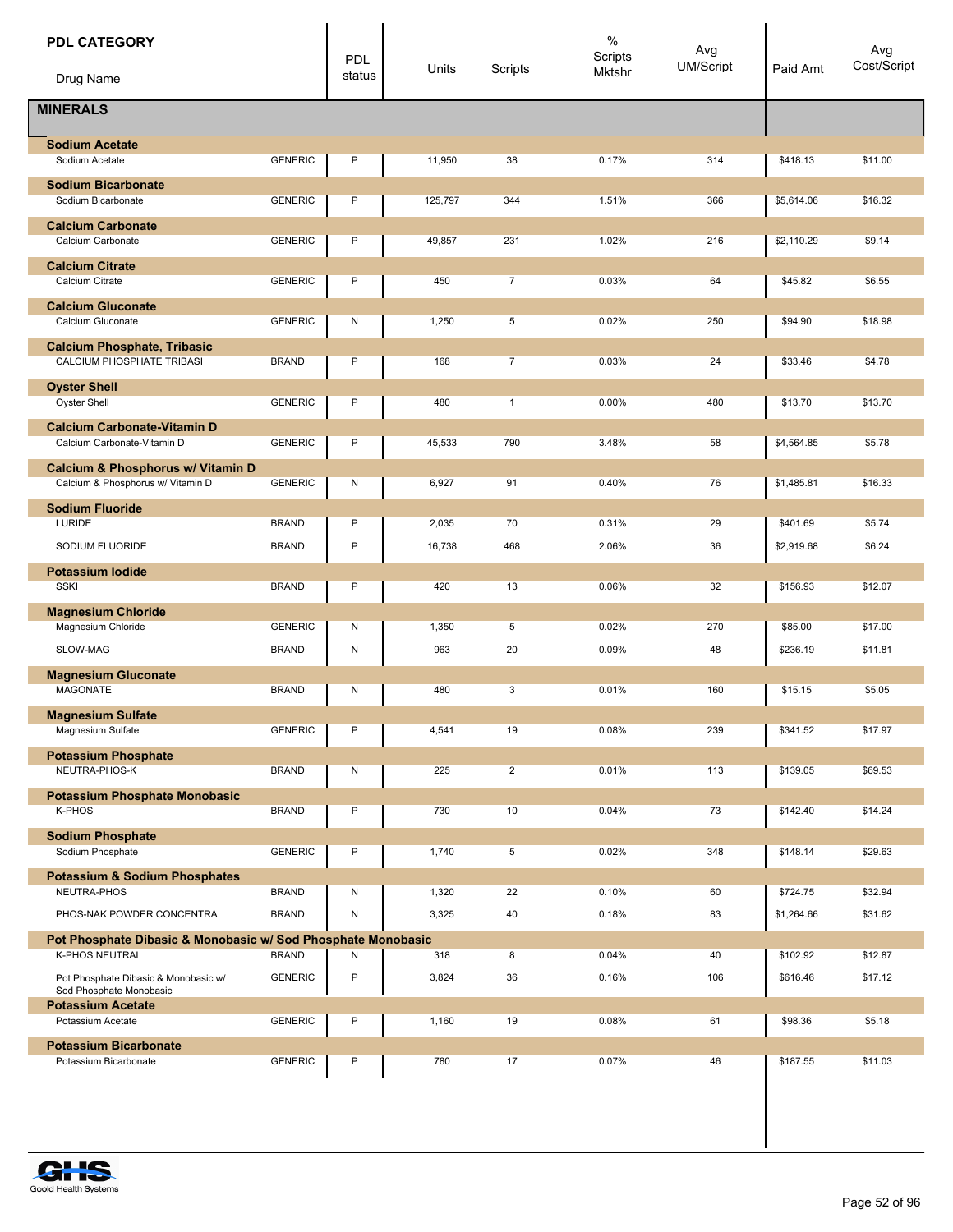| <b>PDL CATEGORY</b>                                               |                | <b>PDL</b><br>status | Units   | Scripts        | $\%$<br>Scripts<br>Mktshr | Avg<br><b>UM/Script</b> | Paid Amt   | Avg<br>Cost/Script |
|-------------------------------------------------------------------|----------------|----------------------|---------|----------------|---------------------------|-------------------------|------------|--------------------|
| Drug Name                                                         |                |                      |         |                |                           |                         |            |                    |
| <b>MINERALS</b>                                                   |                |                      |         |                |                           |                         |            |                    |
| <b>Sodium Acetate</b>                                             |                |                      |         |                |                           |                         |            |                    |
| Sodium Acetate                                                    | <b>GENERIC</b> | P                    | 11,950  | 38             | 0.17%                     | 314                     | \$418.13   | \$11.00            |
| <b>Sodium Bicarbonate</b>                                         |                |                      |         |                |                           |                         |            |                    |
| Sodium Bicarbonate                                                | <b>GENERIC</b> | P                    | 125,797 | 344            | 1.51%                     | 366                     | \$5,614.06 | \$16.32            |
| <b>Calcium Carbonate</b><br>Calcium Carbonate                     | <b>GENERIC</b> | P                    | 49,857  | 231            | 1.02%                     | 216                     | \$2,110.29 | \$9.14             |
| <b>Calcium Citrate</b><br>Calcium Citrate                         | <b>GENERIC</b> | P                    | 450     | $\overline{7}$ | 0.03%                     | 64                      | \$45.82    | \$6.55             |
|                                                                   |                |                      |         |                |                           |                         |            |                    |
| <b>Calcium Gluconate</b><br>Calcium Gluconate                     | <b>GENERIC</b> | Ν                    | 1,250   | 5              | 0.02%                     | 250                     | \$94.90    | \$18.98            |
| <b>Calcium Phosphate, Tribasic</b>                                |                |                      |         |                |                           |                         |            |                    |
| CALCIUM PHOSPHATE TRIBASI                                         | <b>BRAND</b>   | P                    | 168     | $\overline{7}$ | 0.03%                     | 24                      | \$33.46    | \$4.78             |
| <b>Oyster Shell</b>                                               |                |                      |         |                |                           |                         |            |                    |
| <b>Oyster Shell</b>                                               | <b>GENERIC</b> | P                    | 480     | $\mathbf{1}$   | 0.00%                     | 480                     | \$13.70    | \$13.70            |
| <b>Calcium Carbonate-Vitamin D</b><br>Calcium Carbonate-Vitamin D | <b>GENERIC</b> | P                    | 45,533  | 790            | 3.48%                     | 58                      | \$4,564.85 | \$5.78             |
| Calcium & Phosphorus w/ Vitamin D                                 |                |                      |         |                |                           |                         |            |                    |
| Calcium & Phosphorus w/ Vitamin D                                 | <b>GENERIC</b> | N                    | 6,927   | 91             | 0.40%                     | 76                      | \$1,485.81 | \$16.33            |
| <b>Sodium Fluoride</b>                                            |                |                      |         |                |                           |                         |            |                    |
| LURIDE                                                            | <b>BRAND</b>   | P                    | 2,035   | 70             | 0.31%                     | 29                      | \$401.69   | \$5.74             |
| SODIUM FLUORIDE                                                   | <b>BRAND</b>   | P                    | 16,738  | 468            | 2.06%                     | 36                      | \$2,919.68 | \$6.24             |
| <b>Potassium lodide</b>                                           |                |                      |         |                |                           |                         |            |                    |
| <b>SSKI</b>                                                       | <b>BRAND</b>   | P                    | 420     | 13             | 0.06%                     | 32                      | \$156.93   | \$12.07            |
| <b>Magnesium Chloride</b><br>Magnesium Chloride                   | <b>GENERIC</b> | N                    | 1,350   | 5              | 0.02%                     | 270                     | \$85.00    | \$17.00            |
|                                                                   |                |                      |         |                |                           |                         |            |                    |
| SLOW-MAG                                                          | <b>BRAND</b>   | N                    | 963     | 20             | 0.09%                     | 48                      | \$236.19   | \$11.81            |
| <b>Magnesium Gluconate</b><br><b>MAGONATE</b>                     | <b>BRAND</b>   | N                    | 480     | 3              | 0.01%                     | 160                     | \$15.15    | \$5.05             |
|                                                                   |                |                      |         |                |                           |                         |            |                    |
| <b>Magnesium Sulfate</b><br>Magnesium Sulfate                     | <b>GENERIC</b> | P                    | 4,541   | 19             | 0.08%                     | 239                     | \$341.52   | \$17.97            |
| <b>Potassium Phosphate</b>                                        |                |                      |         |                |                           |                         |            |                    |
| NEUTRA-PHOS-K                                                     | <b>BRAND</b>   | N                    | 225     | $\overline{2}$ | 0.01%                     | 113                     | \$139.05   | \$69.53            |
| <b>Potassium Phosphate Monobasic</b>                              |                |                      |         |                |                           |                         |            |                    |
| K-PHOS                                                            | <b>BRAND</b>   | P                    | 730     | 10             | 0.04%                     | 73                      | \$142.40   | \$14.24            |
| <b>Sodium Phosphate</b>                                           |                |                      |         |                |                           |                         |            |                    |
| Sodium Phosphate                                                  | <b>GENERIC</b> | P                    | 1,740   | 5              | 0.02%                     | 348                     | \$148.14   | \$29.63            |
| <b>Potassium &amp; Sodium Phosphates</b>                          |                |                      |         |                |                           |                         |            |                    |
| NEUTRA-PHOS                                                       | <b>BRAND</b>   | Ν                    | 1,320   | 22             | 0.10%                     | 60                      | \$724.75   | \$32.94            |
| PHOS-NAK POWDER CONCENTRA                                         | <b>BRAND</b>   | N                    | 3,325   | 40             | 0.18%                     | 83                      | \$1,264.66 | \$31.62            |
| Pot Phosphate Dibasic & Monobasic w/ Sod Phosphate Monobasic      |                |                      |         |                |                           |                         |            |                    |
| K-PHOS NEUTRAL                                                    | <b>BRAND</b>   | Ν                    | 318     | 8              | 0.04%                     | 40                      | \$102.92   | \$12.87            |
| Pot Phosphate Dibasic & Monobasic w/<br>Sod Phosphate Monobasic   | <b>GENERIC</b> | P                    | 3,824   | 36             | 0.16%                     | 106                     | \$616.46   | \$17.12            |
| <b>Potassium Acetate</b>                                          |                |                      |         |                |                           |                         |            |                    |
| Potassium Acetate                                                 | <b>GENERIC</b> | P                    | 1,160   | 19             | 0.08%                     | 61                      | \$98.36    | \$5.18             |
| <b>Potassium Bicarbonate</b>                                      |                |                      |         |                |                           |                         |            |                    |
| Potassium Bicarbonate                                             | <b>GENERIC</b> | Ρ                    | 780     | 17             | 0.07%                     | 46                      | \$187.55   | \$11.03            |

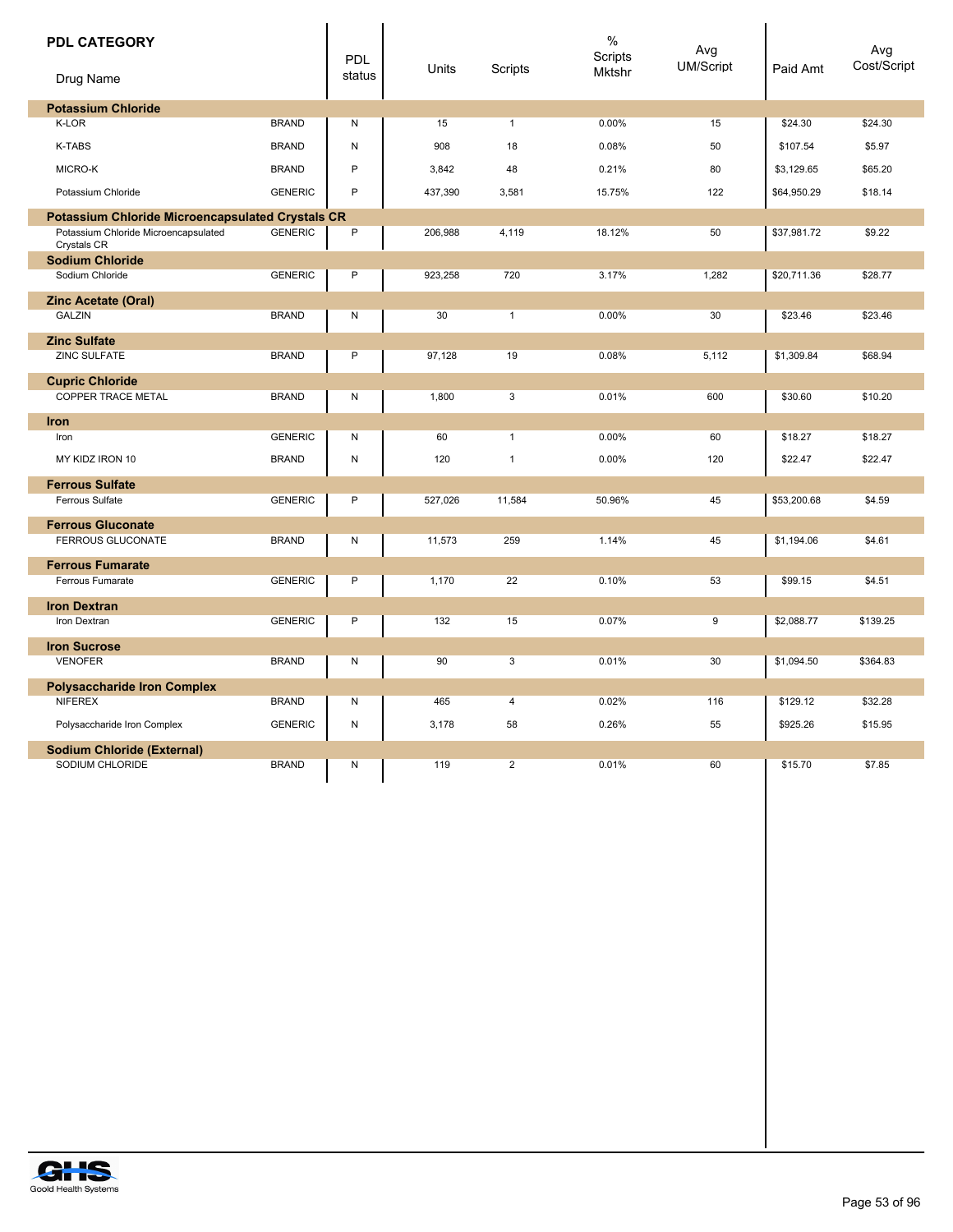| <b>PDL CATEGORY</b><br>Drug Name                        |                | <b>PDL</b><br>status | Units   | Scripts        | $\%$<br><b>Scripts</b><br><b>Mktshr</b> | Avg<br><b>UM/Script</b> | Paid Amt    | Avg<br>Cost/Script |
|---------------------------------------------------------|----------------|----------------------|---------|----------------|-----------------------------------------|-------------------------|-------------|--------------------|
| <b>Potassium Chloride</b>                               |                |                      |         |                |                                         |                         |             |                    |
| <b>K-LOR</b>                                            | <b>BRAND</b>   | N                    | 15      | $\mathbf{1}$   | 0.00%                                   | 15                      | \$24.30     | \$24.30            |
| <b>K-TABS</b>                                           | <b>BRAND</b>   | N                    | 908     | 18             | 0.08%                                   | 50                      | \$107.54    | \$5.97             |
| MICRO-K                                                 | <b>BRAND</b>   | P                    | 3,842   | 48             | 0.21%                                   | 80                      | \$3,129.65  | \$65.20            |
| Potassium Chloride                                      | <b>GENERIC</b> | P                    | 437,390 | 3,581          | 15.75%                                  | 122                     | \$64,950.29 | \$18.14            |
| <b>Potassium Chloride Microencapsulated Crystals CR</b> |                |                      |         |                |                                         |                         |             |                    |
| Potassium Chloride Microencapsulated<br>Crystals CR     | <b>GENERIC</b> | $\mathsf{P}$         | 206,988 | 4,119          | 18.12%                                  | 50                      | \$37,981.72 | \$9.22             |
| <b>Sodium Chloride</b>                                  |                |                      |         |                |                                         |                         |             |                    |
| Sodium Chloride                                         | <b>GENERIC</b> | $\mathsf{P}$         | 923,258 | 720            | 3.17%                                   | 1,282                   | \$20,711.36 | \$28.77            |
| <b>Zinc Acetate (Oral)</b>                              |                |                      |         |                |                                         |                         |             |                    |
| <b>GALZIN</b>                                           | <b>BRAND</b>   | Ν                    | 30      | $\mathbf{1}$   | 0.00%                                   | 30                      | \$23.46     | \$23.46            |
| <b>Zinc Sulfate</b>                                     |                |                      |         |                |                                         |                         |             |                    |
| <b>ZINC SULFATE</b>                                     | <b>BRAND</b>   | P                    | 97,128  | 19             | 0.08%                                   | 5,112                   | \$1,309.84  | \$68.94            |
| <b>Cupric Chloride</b>                                  |                |                      |         |                |                                         |                         |             |                    |
| <b>COPPER TRACE METAL</b>                               | <b>BRAND</b>   | Ν                    | 1,800   | 3              | 0.01%                                   | 600                     | \$30.60     | \$10.20            |
| <b>Iron</b>                                             |                |                      |         |                |                                         |                         |             |                    |
| Iron                                                    | <b>GENERIC</b> | Ν                    | 60      | $\mathbf{1}$   | 0.00%                                   | 60                      | \$18.27     | \$18.27            |
| MY KIDZ IRON 10                                         | <b>BRAND</b>   | N                    | 120     | $\mathbf{1}$   | 0.00%                                   | 120                     | \$22.47     | \$22.47            |
| <b>Ferrous Sulfate</b>                                  |                |                      |         |                |                                         |                         |             |                    |
| Ferrous Sulfate                                         | <b>GENERIC</b> | P                    | 527,026 | 11,584         | 50.96%                                  | 45                      | \$53,200.68 | \$4.59             |
| <b>Ferrous Gluconate</b>                                |                |                      |         |                |                                         |                         |             |                    |
| <b>FERROUS GLUCONATE</b>                                | <b>BRAND</b>   | Ν                    | 11,573  | 259            | 1.14%                                   | 45                      | \$1,194.06  | \$4.61             |
| <b>Ferrous Fumarate</b>                                 |                |                      |         |                |                                         |                         |             |                    |
| Ferrous Fumarate                                        | <b>GENERIC</b> | $\mathsf{P}$         | 1,170   | 22             | 0.10%                                   | 53                      | \$99.15     | \$4.51             |
| <b>Iron Dextran</b>                                     |                |                      |         |                |                                         |                         |             |                    |
| Iron Dextran                                            | <b>GENERIC</b> | P                    | 132     | 15             | 0.07%                                   | 9                       | \$2,088.77  | \$139.25           |
| <b>Iron Sucrose</b>                                     |                |                      |         |                |                                         |                         |             |                    |
| <b>VENOFER</b>                                          | <b>BRAND</b>   | N                    | 90      | 3              | 0.01%                                   | 30                      | \$1,094.50  | \$364.83           |
| <b>Polysaccharide Iron Complex</b>                      |                |                      |         |                |                                         |                         |             |                    |
| <b>NIFEREX</b>                                          | <b>BRAND</b>   | N                    | 465     | $\overline{4}$ | 0.02%                                   | 116                     | \$129.12    | \$32.28            |
| Polysaccharide Iron Complex                             | <b>GENERIC</b> | Ν                    | 3,178   | 58             | 0.26%                                   | 55                      | \$925.26    | \$15.95            |
| <b>Sodium Chloride (External)</b>                       |                |                      |         |                |                                         |                         |             |                    |
| SODIUM CHLORIDE                                         | <b>BRAND</b>   | Ν                    | 119     | $\overline{2}$ | 0.01%                                   | 60                      | \$15.70     | \$7.85             |
|                                                         |                |                      |         |                |                                         |                         |             |                    |

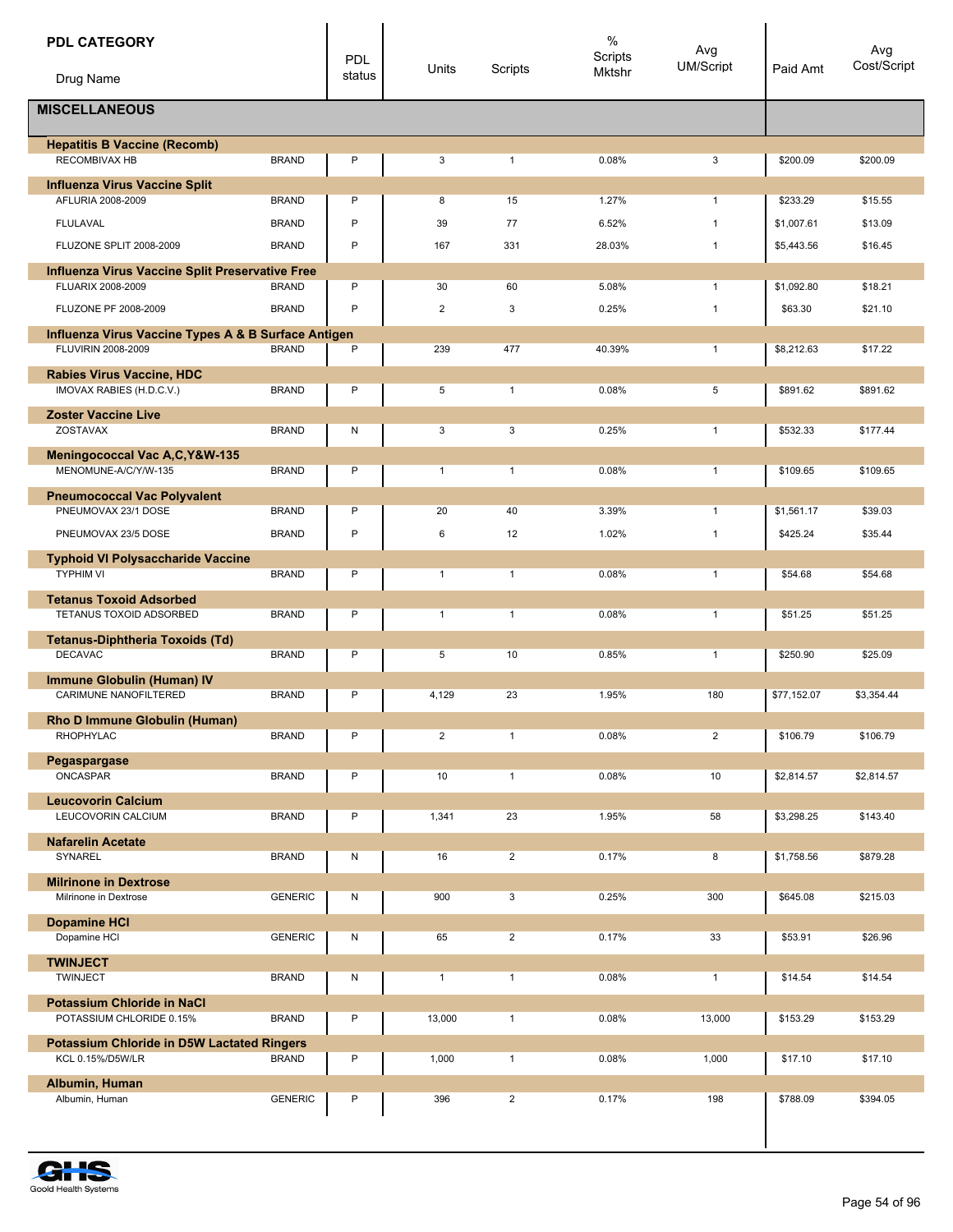| <b>PDL CATEGORY</b>                                                       |                | <b>PDL</b> | Units          | Scripts        | $\%$<br>Scripts<br>Mktshr | Avg<br><b>UM/Script</b> | Paid Amt    | Avg<br>Cost/Script |
|---------------------------------------------------------------------------|----------------|------------|----------------|----------------|---------------------------|-------------------------|-------------|--------------------|
| Drug Name                                                                 |                | status     |                |                |                           |                         |             |                    |
| <b>MISCELLANEOUS</b>                                                      |                |            |                |                |                           |                         |             |                    |
| <b>Hepatitis B Vaccine (Recomb)</b><br><b>RECOMBIVAX HB</b>               | <b>BRAND</b>   | P          | 3              | $\mathbf{1}$   | 0.08%                     | 3                       | \$200.09    | \$200.09           |
| <b>Influenza Virus Vaccine Split</b><br>AFLURIA 2008-2009                 | <b>BRAND</b>   | P          | 8              | 15             | 1.27%                     | $\mathbf{1}$            | \$233.29    | \$15.55            |
| <b>FLULAVAL</b>                                                           | <b>BRAND</b>   | P          | 39             | 77             | 6.52%                     | $\mathbf{1}$            | \$1,007.61  | \$13.09            |
| FLUZONE SPLIT 2008-2009                                                   | <b>BRAND</b>   | P          | 167            | 331            | 28.03%                    | $\mathbf{1}$            | \$5,443.56  | \$16.45            |
| Influenza Virus Vaccine Split Preservative Free                           |                |            |                |                |                           |                         |             |                    |
| FLUARIX 2008-2009                                                         | <b>BRAND</b>   | P          | 30             | 60             | 5.08%                     | $\mathbf{1}$            | \$1,092.80  | \$18.21            |
| FLUZONE PF 2008-2009                                                      | <b>BRAND</b>   | P          | $\overline{2}$ | 3              | 0.25%                     | $\mathbf{1}$            | \$63.30     | \$21.10            |
| Influenza Virus Vaccine Types A & B Surface Antigen<br>FLUVIRIN 2008-2009 | <b>BRAND</b>   | P          | 239            | 477            | 40.39%                    | $\mathbf{1}$            | \$8,212.63  | \$17.22            |
| <b>Rabies Virus Vaccine, HDC</b><br>IMOVAX RABIES (H.D.C.V.)              | <b>BRAND</b>   | P          | 5              | $\mathbf{1}$   | 0.08%                     | 5                       | \$891.62    | \$891.62           |
| <b>Zoster Vaccine Live</b>                                                |                |            |                |                |                           |                         |             |                    |
| ZOSTAVAX                                                                  | <b>BRAND</b>   | Ν          | 3              | 3              | 0.25%                     | $\mathbf{1}$            | \$532.33    | \$177.44           |
| Meningococcal Vac A,C, Y&W-135                                            |                |            |                |                |                           |                         |             |                    |
| MENOMUNE-A/C/Y/W-135                                                      | <b>BRAND</b>   | P          | $\mathbf{1}$   | $\mathbf{1}$   | 0.08%                     | $\mathbf{1}$            | \$109.65    | \$109.65           |
| <b>Pneumococcal Vac Polyvalent</b><br>PNEUMOVAX 23/1 DOSE                 | <b>BRAND</b>   | P          | 20             | 40             | 3.39%                     | $\mathbf{1}$            | \$1,561.17  | \$39.03            |
| PNEUMOVAX 23/5 DOSE                                                       | <b>BRAND</b>   | P          | 6              | 12             | 1.02%                     | $\mathbf{1}$            | \$425.24    | \$35.44            |
| <b>Typhoid VI Polysaccharide Vaccine</b>                                  |                |            |                |                |                           |                         |             |                    |
| <b>TYPHIM VI</b>                                                          | <b>BRAND</b>   | P          | $\mathbf{1}$   | $\mathbf{1}$   | 0.08%                     | $\mathbf{1}$            | \$54.68     | \$54.68            |
| <b>Tetanus Toxoid Adsorbed</b>                                            |                |            |                |                |                           |                         |             |                    |
| TETANUS TOXOID ADSORBED                                                   | <b>BRAND</b>   | P          | $\mathbf{1}$   | $\mathbf{1}$   | 0.08%                     | $\mathbf{1}$            | \$51.25     | \$51.25            |
| <b>Tetanus-Diphtheria Toxoids (Td)</b><br><b>DECAVAC</b>                  | <b>BRAND</b>   | P          | 5              | 10             | 0.85%                     | $\mathbf{1}$            | \$250.90    | \$25.09            |
| <b>Immune Globulin (Human) IV</b>                                         |                |            |                |                |                           |                         |             |                    |
| CARIMUNE NANOFILTERED                                                     | <b>BRAND</b>   | P          | 4,129          | 23             | 1.95%                     | 180                     | \$77,152.07 | \$3,354.44         |
| Rho D Immune Globulin (Human)                                             |                |            |                |                |                           |                         |             |                    |
| RHOPHYLAC                                                                 | <b>BRAND</b>   | P          | $\overline{2}$ | $\mathbf{1}$   | 0.08%                     | $\overline{a}$          | \$106.79    | \$106.79           |
| Pegaspargase<br>ONCASPAR                                                  | <b>BRAND</b>   | P          | 10             | $\mathbf{1}$   | 0.08%                     | 10                      | \$2,814.57  | \$2,814.57         |
|                                                                           |                |            |                |                |                           |                         |             |                    |
| <b>Leucovorin Calcium</b><br>LEUCOVORIN CALCIUM                           | <b>BRAND</b>   | P          | 1,341          | 23             | 1.95%                     | 58                      | \$3,298.25  | \$143.40           |
| <b>Nafarelin Acetate</b>                                                  |                |            |                |                |                           |                         |             |                    |
| SYNAREL                                                                   | <b>BRAND</b>   | Ν          | 16             | $\overline{2}$ | 0.17%                     | 8                       | \$1,758.56  | \$879.28           |
| <b>Milrinone in Dextrose</b><br>Milrinone in Dextrose                     | <b>GENERIC</b> | Ν          | 900            | 3              | 0.25%                     | 300                     | \$645.08    | \$215.03           |
|                                                                           |                |            |                |                |                           |                         |             |                    |
| <b>Dopamine HCI</b><br>Dopamine HCI                                       | <b>GENERIC</b> | Ν          | 65             | $\overline{2}$ | 0.17%                     | 33                      | \$53.91     | \$26.96            |
| <b>TWINJECT</b>                                                           |                |            |                |                |                           |                         |             |                    |
| <b>TWINJECT</b>                                                           | <b>BRAND</b>   | Ν          | $\mathbf{1}$   | $\mathbf{1}$   | 0.08%                     | $\mathbf{1}$            | \$14.54     | \$14.54            |
| <b>Potassium Chloride in NaCl</b>                                         |                |            |                |                |                           |                         |             |                    |
| POTASSIUM CHLORIDE 0.15%                                                  | <b>BRAND</b>   | P          | 13,000         | $\mathbf{1}$   | 0.08%                     | 13,000                  | \$153.29    | \$153.29           |
| <b>Potassium Chloride in D5W Lactated Ringers</b><br>KCL 0.15%/D5W/LR     | <b>BRAND</b>   | P          | 1,000          | $\mathbf{1}$   | 0.08%                     | 1,000                   | \$17.10     | \$17.10            |
| Albumin, Human                                                            |                |            |                |                |                           |                         |             |                    |
| Albumin, Human                                                            | <b>GENERIC</b> | P          | 396            | $\overline{2}$ | 0.17%                     | 198                     | \$788.09    | \$394.05           |
|                                                                           |                |            |                |                |                           |                         |             |                    |

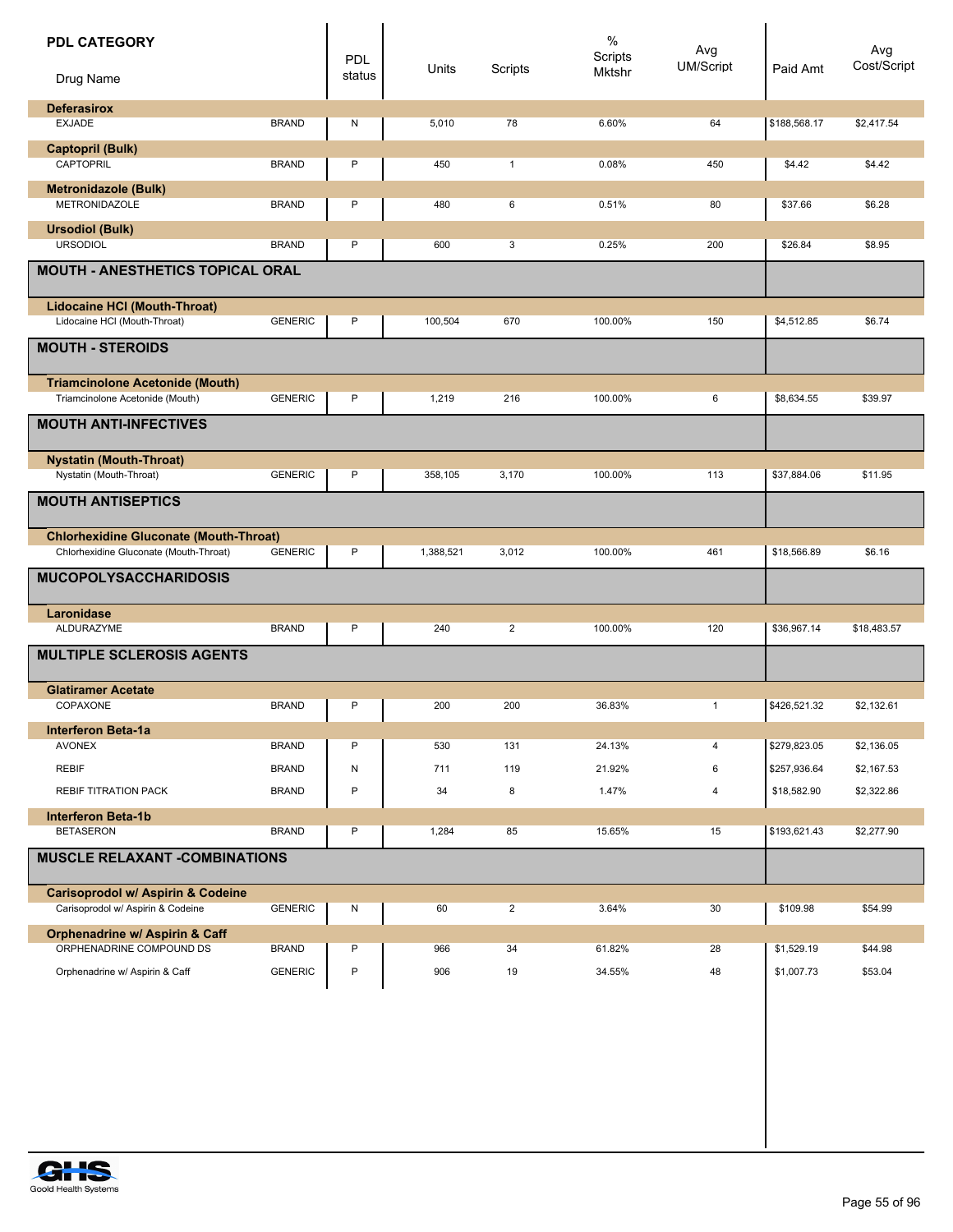| <b>PDL CATEGORY</b><br>Drug Name                                                  |                                | <b>PDL</b><br>status | Units      | Scripts        | $\%$<br>Scripts<br>Mktshr | Avg<br><b>UM/Script</b> | Paid Amt                     | Avg<br>Cost/Script       |
|-----------------------------------------------------------------------------------|--------------------------------|----------------------|------------|----------------|---------------------------|-------------------------|------------------------------|--------------------------|
| <b>Deferasirox</b><br><b>EXJADE</b>                                               | <b>BRAND</b>                   | N                    | 5,010      | 78             | 6.60%                     | 64                      | \$188,568.17                 | \$2,417.54               |
| Captopril (Bulk)<br>CAPTOPRIL                                                     | <b>BRAND</b>                   | Ρ                    | 450        | $\mathbf{1}$   | 0.08%                     | 450                     | \$4.42                       | \$4.42                   |
| <b>Metronidazole (Bulk)</b><br>METRONIDAZOLE                                      | <b>BRAND</b>                   | P                    | 480        | 6              | 0.51%                     | 80                      | \$37.66                      | \$6.28                   |
| <b>Ursodiol (Bulk)</b><br><b>URSODIOL</b>                                         | <b>BRAND</b>                   | P                    | 600        | 3              | 0.25%                     | 200                     | \$26.84                      | \$8.95                   |
| <b>MOUTH - ANESTHETICS TOPICAL ORAL</b>                                           |                                |                      |            |                |                           |                         |                              |                          |
| <b>Lidocaine HCI (Mouth-Throat)</b><br>Lidocaine HCI (Mouth-Throat)               | <b>GENERIC</b>                 | P                    | 100,504    | 670            | 100.00%                   | 150                     | \$4,512.85                   | \$6.74                   |
| <b>MOUTH - STEROIDS</b><br><b>Triamcinolone Acetonide (Mouth)</b>                 |                                |                      |            |                |                           |                         |                              |                          |
| Triamcinolone Acetonide (Mouth)                                                   | <b>GENERIC</b>                 | P                    | 1,219      | 216            | 100.00%                   | 6                       | \$8,634.55                   | \$39.97                  |
| <b>MOUTH ANTI-INFECTIVES</b>                                                      |                                |                      |            |                |                           |                         |                              |                          |
| <b>Nystatin (Mouth-Throat)</b><br>Nystatin (Mouth-Throat)                         | <b>GENERIC</b>                 | P                    | 358,105    | 3,170          | 100.00%                   | 113                     | \$37,884.06                  | \$11.95                  |
| <b>MOUTH ANTISEPTICS</b>                                                          |                                |                      |            |                |                           |                         |                              |                          |
| <b>Chlorhexidine Gluconate (Mouth-Throat)</b>                                     |                                |                      |            |                |                           |                         |                              |                          |
| Chlorhexidine Gluconate (Mouth-Throat)                                            | <b>GENERIC</b>                 | P                    | 1,388,521  | 3,012          | 100.00%                   | 461                     | \$18,566.89                  | \$6.16                   |
| <b>MUCOPOLYSACCHARIDOSIS</b>                                                      |                                |                      |            |                |                           |                         |                              |                          |
| Laronidase<br>ALDURAZYME                                                          | <b>BRAND</b>                   | P                    | 240        | $\overline{2}$ | 100.00%                   | 120                     | \$36,967.14                  | \$18,483.57              |
| <b>MULTIPLE SCLEROSIS AGENTS</b>                                                  |                                |                      |            |                |                           |                         |                              |                          |
| <b>Glatiramer Acetate</b><br>COPAXONE                                             | <b>BRAND</b>                   | Ρ                    | 200        | 200            | 36.83%                    | $\mathbf{1}$            | \$426,521.32                 | \$2,132.61               |
| <b>Interferon Beta-1a</b>                                                         |                                |                      |            |                |                           |                         |                              |                          |
| <b>AVONEX</b><br><b>REBIF</b>                                                     | <b>BRAND</b><br><b>BRAND</b>   | P<br>Ν               | 530<br>711 | 131<br>119     | 24.13%<br>21.92%          | 4<br>6                  | \$279,823.05<br>\$257,936.64 | \$2,136.05<br>\$2,167.53 |
| REBIF TITRATION PACK                                                              | <b>BRAND</b>                   | P                    | 34         | 8              | 1.47%                     | 4                       | \$18,582.90                  | \$2,322.86               |
| <b>Interferon Beta-1b</b><br><b>BETASERON</b>                                     | <b>BRAND</b>                   | P                    | 1,284      | 85             | 15.65%                    | 15                      | \$193,621.43                 | \$2,277.90               |
| <b>MUSCLE RELAXANT -COMBINATIONS</b>                                              |                                |                      |            |                |                           |                         |                              |                          |
| <b>Carisoprodol w/ Aspirin &amp; Codeine</b><br>Carisoprodol w/ Aspirin & Codeine | <b>GENERIC</b>                 | N                    | 60         | $\overline{2}$ | 3.64%                     | 30                      | \$109.98                     | \$54.99                  |
| <b>Orphenadrine w/ Aspirin &amp; Caff</b>                                         |                                |                      |            |                |                           |                         |                              |                          |
| ORPHENADRINE COMPOUND DS<br>Orphenadrine w/ Aspirin & Caff                        | <b>BRAND</b><br><b>GENERIC</b> | P<br>P               | 966<br>906 | 34<br>19       | 61.82%<br>34.55%          | 28<br>48                | \$1,529.19<br>\$1,007.73     | \$44.98<br>\$53.04       |

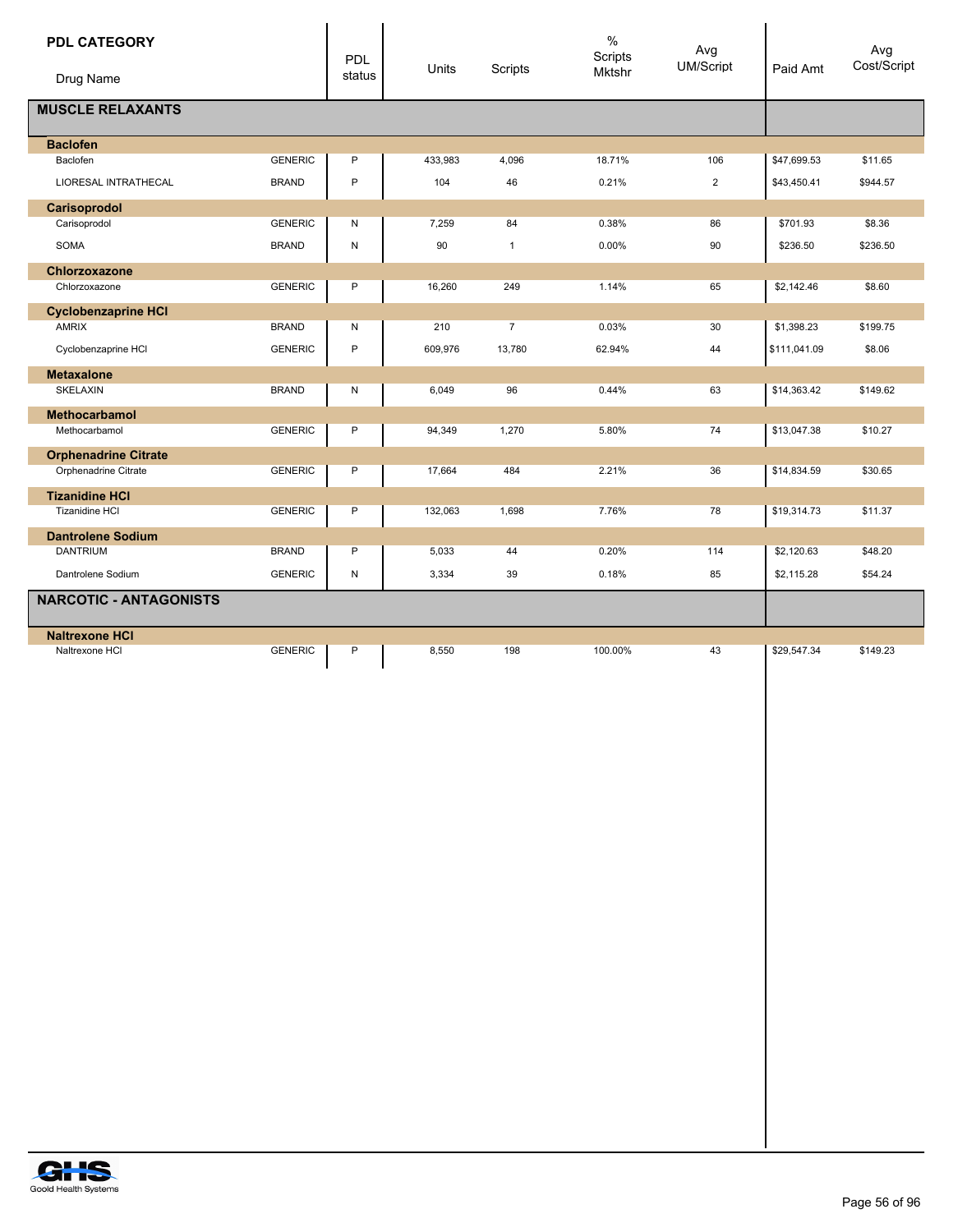| <b>PDL CATEGORY</b>           |                | PDL          | Units   | Scripts        | $\%$<br>Scripts<br>Mktshr | Avg<br>UM/Script | Paid Amt     | Avg<br>Cost/Script |
|-------------------------------|----------------|--------------|---------|----------------|---------------------------|------------------|--------------|--------------------|
| Drug Name                     |                | status       |         |                |                           |                  |              |                    |
| <b>MUSCLE RELAXANTS</b>       |                |              |         |                |                           |                  |              |                    |
| <b>Baclofen</b>               |                |              |         |                |                           |                  |              |                    |
| Baclofen                      | <b>GENERIC</b> | P            | 433,983 | 4,096          | 18.71%                    | 106              | \$47,699.53  | \$11.65            |
| LIORESAL INTRATHECAL          | <b>BRAND</b>   | $\mathsf{P}$ | 104     | 46             | 0.21%                     | $\overline{2}$   | \$43,450.41  | \$944.57           |
| Carisoprodol                  |                |              |         |                |                           |                  |              |                    |
| Carisoprodol                  | <b>GENERIC</b> | N            | 7,259   | 84             | 0.38%                     | 86               | \$701.93     | \$8.36             |
| SOMA                          | <b>BRAND</b>   | N            | 90      | $\mathbf{1}$   | 0.00%                     | 90               | \$236.50     | \$236.50           |
| Chlorzoxazone                 |                |              |         |                |                           |                  |              |                    |
| Chlorzoxazone                 | <b>GENERIC</b> | P            | 16,260  | 249            | 1.14%                     | 65               | \$2,142.46   | \$8.60             |
| <b>Cyclobenzaprine HCI</b>    |                |              |         |                |                           |                  |              |                    |
| <b>AMRIX</b>                  | <b>BRAND</b>   | N            | 210     | $\overline{7}$ | 0.03%                     | 30               | \$1,398.23   | \$199.75           |
| Cyclobenzaprine HCI           | <b>GENERIC</b> | P            | 609,976 | 13,780         | 62.94%                    | 44               | \$111,041.09 | \$8.06             |
| <b>Metaxalone</b>             |                |              |         |                |                           |                  |              |                    |
| SKELAXIN                      | <b>BRAND</b>   | N            | 6,049   | 96             | 0.44%                     | 63               | \$14,363.42  | \$149.62           |
| <b>Methocarbamol</b>          |                |              |         |                |                           |                  |              |                    |
| Methocarbamol                 | <b>GENERIC</b> | P            | 94,349  | 1,270          | 5.80%                     | 74               | \$13,047.38  | \$10.27            |
| <b>Orphenadrine Citrate</b>   |                |              |         |                |                           |                  |              |                    |
| Orphenadrine Citrate          | <b>GENERIC</b> | P            | 17,664  | 484            | 2.21%                     | 36               | \$14,834.59  | \$30.65            |
| <b>Tizanidine HCI</b>         |                |              |         |                |                           |                  |              |                    |
| <b>Tizanidine HCI</b>         | <b>GENERIC</b> | P            | 132,063 | 1,698          | 7.76%                     | 78               | \$19,314.73  | \$11.37            |
| <b>Dantrolene Sodium</b>      |                |              |         |                |                           |                  |              |                    |
| <b>DANTRIUM</b>               | <b>BRAND</b>   | P            | 5,033   | 44             | 0.20%                     | 114              | \$2,120.63   | \$48.20            |
| Dantrolene Sodium             | <b>GENERIC</b> | N            | 3,334   | 39             | 0.18%                     | 85               | \$2,115.28   | \$54.24            |
| <b>NARCOTIC - ANTAGONISTS</b> |                |              |         |                |                           |                  |              |                    |
| <b>Naltrexone HCI</b>         |                |              |         |                |                           |                  |              |                    |
| Naltrexone HCI                | <b>GENERIC</b> | P            | 8,550   | 198            | 100.00%                   | 43               | \$29,547.34  | \$149.23           |
|                               |                |              |         |                |                           |                  |              |                    |
|                               |                |              |         |                |                           |                  |              |                    |
|                               |                |              |         |                |                           |                  |              |                    |
|                               |                |              |         |                |                           |                  |              |                    |
|                               |                |              |         |                |                           |                  |              |                    |
|                               |                |              |         |                |                           |                  |              |                    |
|                               |                |              |         |                |                           |                  |              |                    |
|                               |                |              |         |                |                           |                  |              |                    |
|                               |                |              |         |                |                           |                  |              |                    |
|                               |                |              |         |                |                           |                  |              |                    |
|                               |                |              |         |                |                           |                  |              |                    |
|                               |                |              |         |                |                           |                  |              |                    |

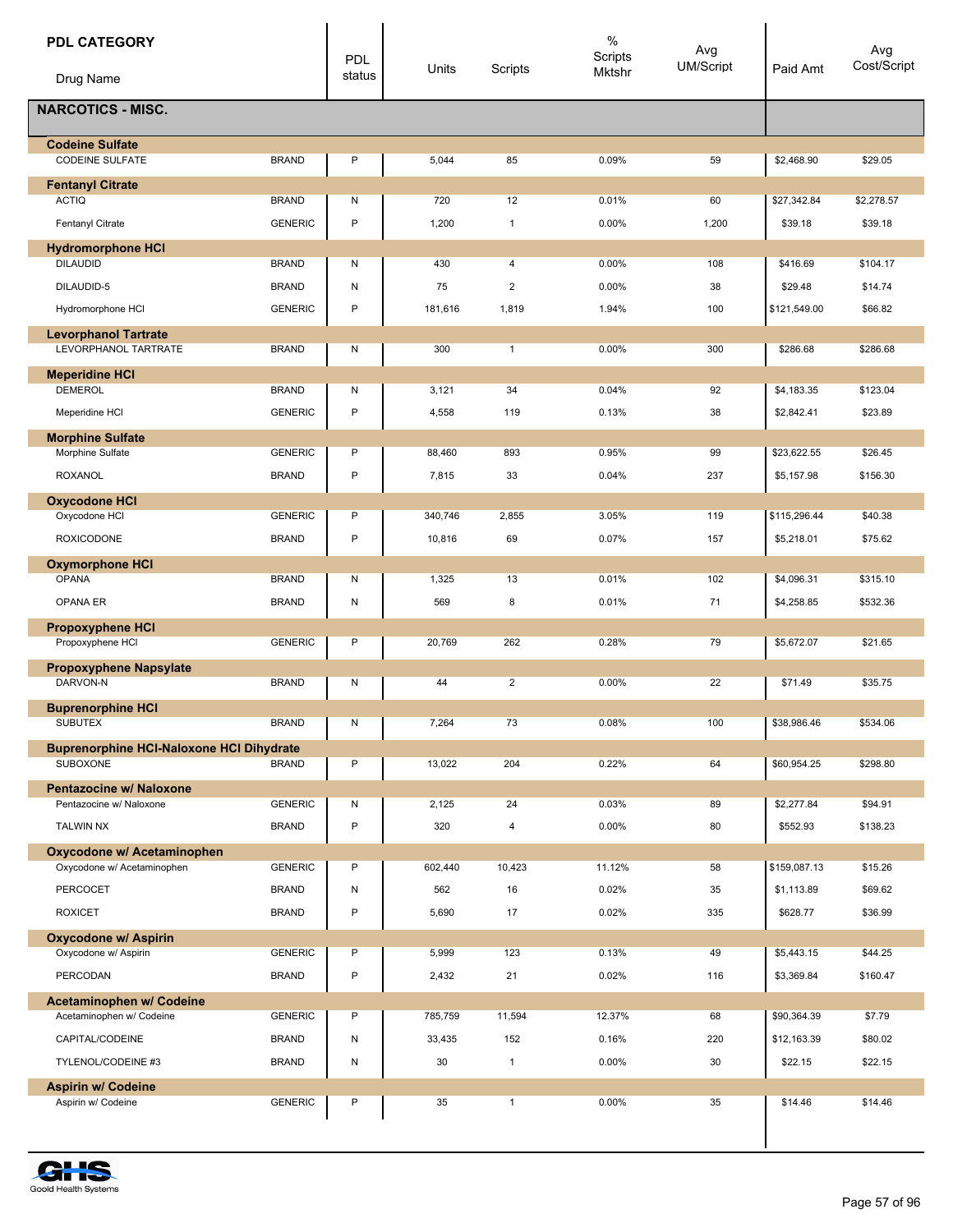| <b>PDL CATEGORY</b>                                  |                | <b>PDL</b> | Units          | Scripts                 | $\%$<br>Scripts<br>Mktshr | Avg<br><b>UM/Script</b> | Paid Amt                 | Avg<br>Cost/Script  |
|------------------------------------------------------|----------------|------------|----------------|-------------------------|---------------------------|-------------------------|--------------------------|---------------------|
| Drug Name                                            |                | status     |                |                         |                           |                         |                          |                     |
| <b>NARCOTICS - MISC.</b>                             |                |            |                |                         |                           |                         |                          |                     |
| <b>Codeine Sulfate</b><br><b>CODEINE SULFATE</b>     | <b>BRAND</b>   | P          | 5,044          | 85                      | 0.09%                     | 59                      | \$2,468.90               | \$29.05             |
| <b>Fentanyl Citrate</b>                              |                |            |                |                         |                           |                         |                          |                     |
| <b>ACTIQ</b>                                         | <b>BRAND</b>   | N          | 720            | 12                      | 0.01%                     | 60                      | \$27,342.84              | \$2,278.57          |
| Fentanyl Citrate                                     | <b>GENERIC</b> | P          | 1,200          | $\mathbf{1}$            | 0.00%                     | 1,200                   | \$39.18                  | \$39.18             |
| <b>Hydromorphone HCI</b>                             |                |            |                |                         |                           |                         |                          |                     |
| <b>DILAUDID</b>                                      | <b>BRAND</b>   | Ν          | 430            | 4                       | 0.00%                     | 108                     | \$416.69                 | \$104.17            |
| DILAUDID-5                                           | <b>BRAND</b>   | ${\sf N}$  | 75             | $\overline{\mathbf{c}}$ | 0.00%                     | 38                      | \$29.48                  | \$14.74             |
| Hydromorphone HCI                                    | <b>GENERIC</b> | P          | 181,616        | 1,819                   | 1.94%                     | 100                     | \$121,549.00             | \$66.82             |
| <b>Levorphanol Tartrate</b><br>LEVORPHANOL TARTRATE  | <b>BRAND</b>   | N          | 300            | $\mathbf{1}$            | 0.00%                     | 300                     | \$286.68                 | \$286.68            |
| <b>Meperidine HCI</b><br><b>DEMEROL</b>              | <b>BRAND</b>   | N          | 3,121          | 34                      | 0.04%                     | 92                      | \$4,183.35               | \$123.04            |
| Meperidine HCI                                       | <b>GENERIC</b> | P          | 4,558          | 119                     | 0.13%                     | 38                      | \$2,842.41               | \$23.89             |
| <b>Morphine Sulfate</b>                              |                |            |                |                         |                           |                         |                          |                     |
| Morphine Sulfate                                     | <b>GENERIC</b> | P          | 88,460         | 893                     | 0.95%                     | 99                      | \$23,622.55              | \$26.45             |
| ROXANOL                                              | <b>BRAND</b>   | P          | 7,815          | 33                      | 0.04%                     | 237                     | \$5,157.98               | \$156.30            |
| <b>Oxycodone HCI</b>                                 |                |            |                |                         |                           |                         |                          |                     |
| Oxycodone HCI                                        | <b>GENERIC</b> | P          | 340,746        | 2,855                   | 3.05%                     | 119                     | \$115,296.44             | \$40.38             |
| <b>ROXICODONE</b>                                    | <b>BRAND</b>   | P          | 10,816         | 69                      | 0.07%                     | 157                     | \$5,218.01               | \$75.62             |
| <b>Oxymorphone HCI</b><br><b>OPANA</b>               | <b>BRAND</b>   | N          | 1,325          | 13                      | 0.01%                     | 102                     | \$4,096.31               | \$315.10            |
| OPANA ER                                             | <b>BRAND</b>   | ${\sf N}$  | 569            | 8                       | 0.01%                     | 71                      | \$4,258.85               | \$532.36            |
| <b>Propoxyphene HCI</b>                              |                |            |                |                         |                           |                         |                          |                     |
| Propoxyphene HCI                                     | <b>GENERIC</b> | P          | 20,769         | 262                     | 0.28%                     | 79                      | \$5,672.07               | \$21.65             |
| <b>Propoxyphene Napsylate</b>                        |                |            |                |                         |                           |                         |                          |                     |
| DARVON-N                                             | <b>BRAND</b>   | Ν          | 44             | $\overline{2}$          | 0.00%                     | 22                      | \$71.49                  | \$35.75             |
| <b>Buprenorphine HCI</b><br>SUBUTEX                  | BRAND          | N          | 7,264          | 73                      | 0.08%                     | 100                     | \$38,986.46              | \$534.06            |
| <b>Buprenorphine HCI-Naloxone HCI Dihydrate</b>      |                |            |                |                         |                           |                         |                          |                     |
| <b>SUBOXONE</b>                                      | <b>BRAND</b>   | P          | 13,022         | 204                     | 0.22%                     | 64                      | \$60,954.25              | \$298.80            |
| Pentazocine w/ Naloxone<br>Pentazocine w/ Naloxone   | <b>GENERIC</b> | N          | 2,125          | 24                      | 0.03%                     | 89                      | \$2,277.84               | \$94.91             |
| <b>TALWIN NX</b>                                     | <b>BRAND</b>   | P          | 320            | $\overline{\mathbf{4}}$ | 0.00%                     | 80                      | \$552.93                 | \$138.23            |
| Oxycodone w/ Acetaminophen                           |                |            |                |                         |                           |                         |                          |                     |
| Oxycodone w/ Acetaminophen                           | <b>GENERIC</b> | P          | 602,440        | 10,423                  | 11.12%                    | 58                      | \$159,087.13             | \$15.26             |
| PERCOCET                                             | <b>BRAND</b>   | ${\sf N}$  | 562            | 16                      | 0.02%                     | 35                      | \$1,113.89               | \$69.62             |
| <b>ROXICET</b>                                       | <b>BRAND</b>   | P          | 5,690          | 17                      | 0.02%                     | 335                     | \$628.77                 | \$36.99             |
| <b>Oxycodone w/ Aspirin</b>                          | <b>GENERIC</b> | P          |                | 123                     |                           | 49                      |                          |                     |
| Oxycodone w/ Aspirin<br>PERCODAN                     | <b>BRAND</b>   | P          | 5,999<br>2,432 | 21                      | 0.13%<br>0.02%            | 116                     | \$5,443.15<br>\$3,369.84 | \$44.25<br>\$160.47 |
|                                                      |                |            |                |                         |                           |                         |                          |                     |
| Acetaminophen w/ Codeine<br>Acetaminophen w/ Codeine | <b>GENERIC</b> | P          | 785,759        | 11,594                  | 12.37%                    | 68                      | \$90,364.39              | \$7.79              |
| CAPITAL/CODEINE                                      | <b>BRAND</b>   | ${\sf N}$  | 33,435         | 152                     | 0.16%                     | 220                     | \$12,163.39              | \$80.02             |
| TYLENOL/CODEINE #3                                   | <b>BRAND</b>   | N          | 30             | $\mathbf{1}$            | 0.00%                     | 30                      | \$22.15                  | \$22.15             |
| <b>Aspirin w/ Codeine</b>                            |                |            |                |                         |                           |                         |                          |                     |
| Aspirin w/ Codeine                                   | <b>GENERIC</b> | P          | 35             | $\mathbf{1}$            | 0.00%                     | 35                      | \$14.46                  | \$14.46             |
|                                                      |                |            |                |                         |                           |                         |                          |                     |

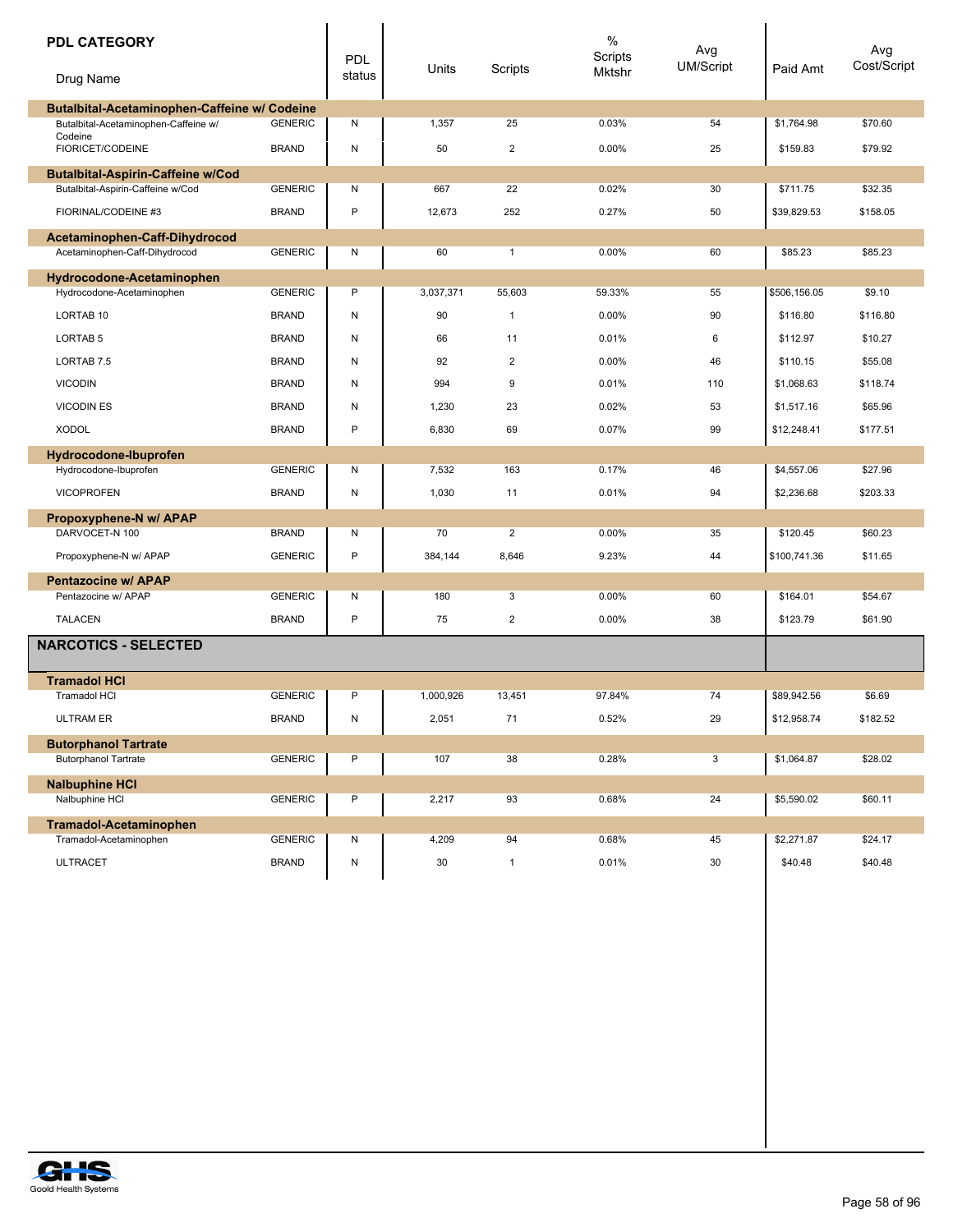| <b>PDL CATEGORY</b><br>Drug Name                                                     |                | <b>PDL</b><br>status | Units     | Scripts      | $\%$<br>Scripts<br>Mktshr | Avg<br><b>UM/Script</b> | Paid Amt     | Avg<br>Cost/Script |
|--------------------------------------------------------------------------------------|----------------|----------------------|-----------|--------------|---------------------------|-------------------------|--------------|--------------------|
| Butalbital-Acetaminophen-Caffeine w/ Codeine<br>Butalbital-Acetaminophen-Caffeine w/ | <b>GENERIC</b> | N                    | 1,357     | 25           | 0.03%                     | 54                      | \$1,764.98   | \$70.60            |
| Codeine                                                                              |                |                      |           |              |                           |                         |              |                    |
| FIORICET/CODEINE                                                                     | <b>BRAND</b>   | N                    | 50        | 2            | 0.00%                     | 25                      | \$159.83     | \$79.92            |
| <b>Butalbital-Aspirin-Caffeine w/Cod</b><br>Butalbital-Aspirin-Caffeine w/Cod        | <b>GENERIC</b> | N                    | 667       | 22           | 0.02%                     | 30                      | \$711.75     | \$32.35            |
| FIORINAL/CODEINE #3                                                                  | <b>BRAND</b>   | P                    |           |              |                           |                         |              |                    |
|                                                                                      |                |                      | 12,673    | 252          | 0.27%                     | 50                      | \$39,829.53  | \$158.05           |
| Acetaminophen-Caff-Dihydrocod<br>Acetaminophen-Caff-Dihydrocod                       | <b>GENERIC</b> | N                    | 60        | $\mathbf{1}$ | 0.00%                     | 60                      | \$85.23      | \$85.23            |
|                                                                                      |                |                      |           |              |                           |                         |              |                    |
| Hydrocodone-Acetaminophen<br>Hydrocodone-Acetaminophen                               | <b>GENERIC</b> | P                    | 3,037,371 | 55,603       | 59.33%                    | 55                      | \$506,156.05 | \$9.10             |
| LORTAB <sub>10</sub>                                                                 | <b>BRAND</b>   | N                    | 90        | $\mathbf{1}$ | 0.00%                     | 90                      | \$116.80     | \$116.80           |
| LORTAB <sub>5</sub>                                                                  | <b>BRAND</b>   | N                    | 66        | 11           | 0.01%                     | 6                       | \$112.97     | \$10.27            |
| LORTAB <sub>7.5</sub>                                                                | <b>BRAND</b>   | N                    | 92        | 2            | 0.00%                     | 46                      | \$110.15     | \$55.08            |
| <b>VICODIN</b>                                                                       | <b>BRAND</b>   | N                    | 994       | 9            | 0.01%                     | 110                     | \$1,068.63   | \$118.74           |
| <b>VICODIN ES</b>                                                                    | <b>BRAND</b>   | N                    | 1,230     | 23           | 0.02%                     | 53                      | \$1,517.16   | \$65.96            |
| <b>XODOL</b>                                                                         | <b>BRAND</b>   | P                    | 6,830     | 69           | 0.07%                     | 99                      | \$12,248.41  | \$177.51           |
|                                                                                      |                |                      |           |              |                           |                         |              |                    |
| Hydrocodone-Ibuprofen<br>Hydrocodone-Ibuprofen                                       | <b>GENERIC</b> | N                    | 7,532     | 163          | 0.17%                     | 46                      | \$4,557.06   | \$27.96            |
| <b>VICOPROFEN</b>                                                                    | <b>BRAND</b>   | N                    | 1,030     | 11           | 0.01%                     | 94                      | \$2,236.68   | \$203.33           |
|                                                                                      |                |                      |           |              |                           |                         |              |                    |
| Propoxyphene-N w/ APAP<br>DARVOCET-N 100                                             | <b>BRAND</b>   | N                    | 70        | 2            | 0.00%                     | 35                      | \$120.45     | \$60.23            |
| Propoxyphene-N w/ APAP                                                               | <b>GENERIC</b> | P                    | 384,144   | 8,646        | 9.23%                     | 44                      | \$100,741.36 | \$11.65            |
| Pentazocine w/ APAP                                                                  |                |                      |           |              |                           |                         |              |                    |
| Pentazocine w/ APAP                                                                  | <b>GENERIC</b> | N                    | 180       | 3            | 0.00%                     | 60                      | \$164.01     | \$54.67            |
| <b>TALACEN</b>                                                                       | <b>BRAND</b>   | P                    | 75        | 2            | 0.00%                     | 38                      | \$123.79     | \$61.90            |
| <b>NARCOTICS - SELECTED</b>                                                          |                |                      |           |              |                           |                         |              |                    |
| <b>Tramadol HCI</b>                                                                  |                |                      |           |              |                           |                         |              |                    |
| <b>Tramadol HCI</b>                                                                  | <b>GENERIC</b> | P                    | 1,000,926 | 13,451       | 97.84%                    | 74                      | \$89,942.56  | \$6.69             |
| <b>ULTRAM ER</b>                                                                     | <b>BRAND</b>   | N                    | 2,051     | 71           | 0.52%                     | 29                      | \$12,958.74  | \$182.52           |
| <b>Butorphanol Tartrate</b>                                                          |                |                      |           |              |                           |                         |              |                    |
| <b>Butorphanol Tartrate</b>                                                          | <b>GENERIC</b> | P                    | 107       | 38           | 0.28%                     | 3                       | \$1,064.87   | \$28.02            |
| <b>Nalbuphine HCI</b>                                                                |                |                      |           |              |                           |                         |              |                    |
| Nalbuphine HCI                                                                       | <b>GENERIC</b> | P                    | 2,217     | 93           | 0.68%                     | 24                      | \$5,590.02   | \$60.11            |
| <b>Tramadol-Acetaminophen</b>                                                        |                |                      |           |              |                           |                         |              |                    |
| Tramadol-Acetaminophen                                                               | <b>GENERIC</b> | Ν                    | 4,209     | 94           | 0.68%                     | 45                      | \$2,271.87   | \$24.17            |
| <b>ULTRACET</b>                                                                      | <b>BRAND</b>   | N                    | 30        | $\mathbf{1}$ | 0.01%                     | 30                      | \$40.48      | \$40.48            |



П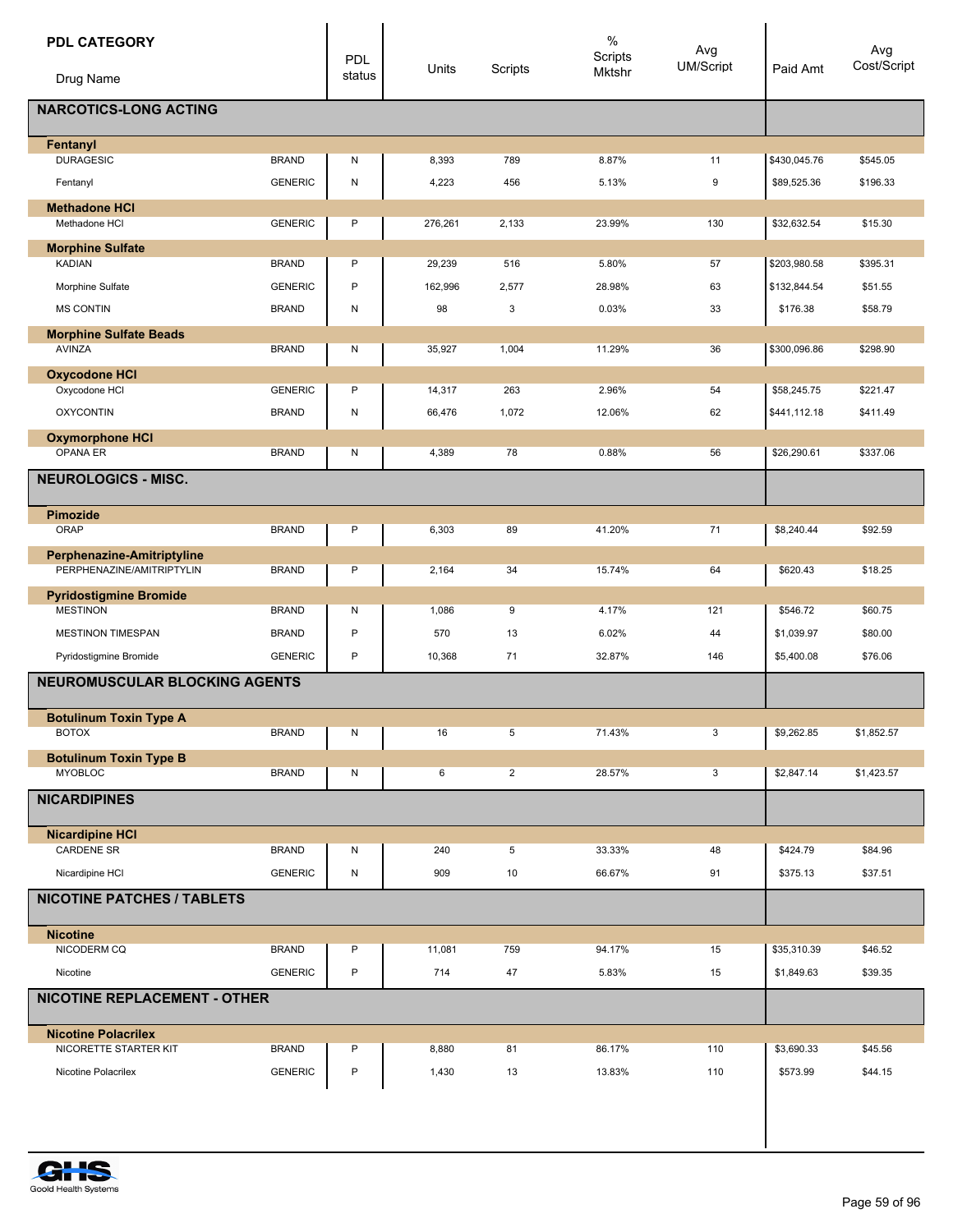| <b>PDL CATEGORY</b>                                 |                | <b>PDL</b> |         |                | $\%$<br>Scripts | Avg<br>UM/Script |              | Avg<br>Cost/Script |
|-----------------------------------------------------|----------------|------------|---------|----------------|-----------------|------------------|--------------|--------------------|
| Drug Name                                           |                | status     | Units   | Scripts        | Mktshr          |                  | Paid Amt     |                    |
| <b>NARCOTICS-LONG ACTING</b>                        |                |            |         |                |                 |                  |              |                    |
| Fentanyl                                            |                |            |         |                |                 |                  |              |                    |
| <b>DURAGESIC</b>                                    | <b>BRAND</b>   | Ν          | 8,393   | 789            | 8.87%           | 11               | \$430,045.76 | \$545.05           |
| Fentanyl                                            | <b>GENERIC</b> | N          | 4,223   | 456            | 5.13%           | 9                | \$89,525.36  | \$196.33           |
| <b>Methadone HCI</b><br>Methadone HCI               | <b>GENERIC</b> | P          | 276,261 | 2,133          | 23.99%          | 130              | \$32,632.54  | \$15.30            |
|                                                     |                |            |         |                |                 |                  |              |                    |
| <b>Morphine Sulfate</b><br><b>KADIAN</b>            | <b>BRAND</b>   | P          | 29,239  | 516            | 5.80%           | 57               | \$203,980.58 | \$395.31           |
| Morphine Sulfate                                    | <b>GENERIC</b> | P          | 162,996 | 2,577          | 28.98%          | 63               | \$132,844.54 | \$51.55            |
| <b>MS CONTIN</b>                                    | <b>BRAND</b>   | Ν          | 98      | 3              | 0.03%           | 33               | \$176.38     | \$58.79            |
| <b>Morphine Sulfate Beads</b>                       |                |            |         |                |                 |                  |              |                    |
| <b>AVINZA</b>                                       | <b>BRAND</b>   | Ν          | 35,927  | 1,004          | 11.29%          | 36               | \$300,096.86 | \$298.90           |
| <b>Oxycodone HCI</b>                                |                |            |         |                |                 |                  |              |                    |
| Oxycodone HCI                                       | <b>GENERIC</b> | P          | 14,317  | 263            | 2.96%           | 54               | \$58,245.75  | \$221.47           |
| <b>OXYCONTIN</b>                                    | <b>BRAND</b>   | Ν          | 66,476  | 1,072          | 12.06%          | 62               | \$441,112.18 | \$411.49           |
| <b>Oxymorphone HCI</b>                              |                |            |         |                |                 |                  |              |                    |
| OPANA ER                                            | <b>BRAND</b>   | N          | 4,389   | 78             | 0.88%           | 56               | \$26,290.61  | \$337.06           |
| <b>NEUROLOGICS - MISC.</b>                          |                |            |         |                |                 |                  |              |                    |
| <b>Pimozide</b>                                     |                |            |         |                |                 |                  |              |                    |
| ORAP                                                | <b>BRAND</b>   | P          | 6,303   | 89             | 41.20%          | 71               | \$8,240.44   | \$92.59            |
| Perphenazine-Amitriptyline                          |                |            |         |                |                 |                  |              |                    |
| PERPHENAZINE/AMITRIPTYLIN                           | <b>BRAND</b>   | P          | 2,164   | 34             | 15.74%          | 64               | \$620.43     | \$18.25            |
| <b>Pyridostigmine Bromide</b><br><b>MESTINON</b>    | <b>BRAND</b>   | Ν          | 1,086   | 9              | 4.17%           | 121              | \$546.72     | \$60.75            |
| <b>MESTINON TIMESPAN</b>                            | <b>BRAND</b>   | P          | 570     | 13             | 6.02%           | 44               | \$1,039.97   | \$80.00            |
| Pyridostigmine Bromide                              | <b>GENERIC</b> | P          | 10,368  | 71             | 32.87%          | 146              | \$5,400.08   | \$76.06            |
| <b>NEUROMUSCULAR BLOCKING AGENTS</b>                |                |            |         |                |                 |                  |              |                    |
|                                                     |                |            |         |                |                 |                  |              |                    |
| <b>Botulinum Toxin Type A</b><br><b>BOTOX</b>       | <b>BRAND</b>   | Ν          | 16      | 5              | 71.43%          | 3                | \$9,262.85   | \$1,852.57         |
| <b>Botulinum Toxin Type B</b>                       |                |            |         |                |                 |                  |              |                    |
| <b>MYOBLOC</b>                                      | <b>BRAND</b>   | Ν          | 6       | $\overline{2}$ | 28.57%          | 3                | \$2,847.14   | \$1,423.57         |
| <b>NICARDIPINES</b>                                 |                |            |         |                |                 |                  |              |                    |
| <b>Nicardipine HCI</b>                              |                |            |         |                |                 |                  |              |                    |
| <b>CARDENE SR</b>                                   | <b>BRAND</b>   | Ν          | 240     | 5              | 33.33%          | 48               | \$424.79     | \$84.96            |
| Nicardipine HCI                                     | <b>GENERIC</b> | N          | 909     | 10             | 66.67%          | 91               | \$375.13     | \$37.51            |
| <b>NICOTINE PATCHES / TABLETS</b>                   |                |            |         |                |                 |                  |              |                    |
| <b>Nicotine</b>                                     |                |            |         |                |                 |                  |              |                    |
| NICODERM CQ                                         | <b>BRAND</b>   | P          | 11,081  | 759            | 94.17%          | 15               | \$35,310.39  | \$46.52            |
| Nicotine                                            | <b>GENERIC</b> | P          | 714     | 47             | 5.83%           | 15               | \$1,849.63   | \$39.35            |
| <b>NICOTINE REPLACEMENT - OTHER</b>                 |                |            |         |                |                 |                  |              |                    |
|                                                     |                |            |         |                |                 |                  |              |                    |
| <b>Nicotine Polacrilex</b><br>NICORETTE STARTER KIT | <b>BRAND</b>   | P          | 8,880   | 81             | 86.17%          | 110              | \$3,690.33   | \$45.56            |
| Nicotine Polacrilex                                 | <b>GENERIC</b> | P          | 1,430   | 13             | 13.83%          | 110              | \$573.99     | \$44.15            |
|                                                     |                |            |         |                |                 |                  |              |                    |
|                                                     |                |            |         |                |                 |                  |              |                    |

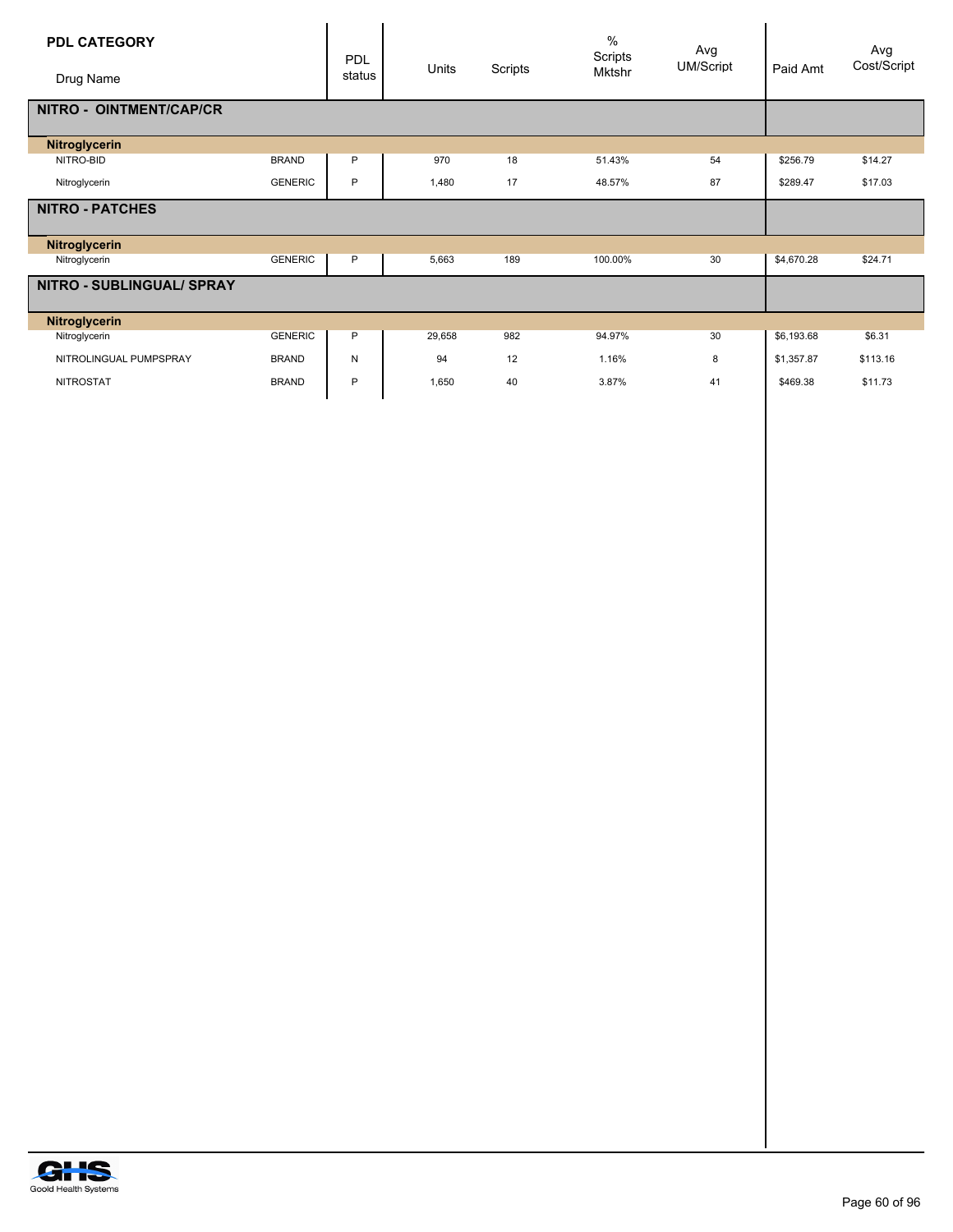| <b>PDL CATEGORY</b><br>Drug Name |                | PDL<br>status | Units  | Scripts | $\%$<br>Scripts<br>Mktshr | Avg<br><b>UM/Script</b> | Paid Amt   | Avg<br>Cost/Script |
|----------------------------------|----------------|---------------|--------|---------|---------------------------|-------------------------|------------|--------------------|
| NITRO - OINTMENT/CAP/CR          |                |               |        |         |                           |                         |            |                    |
| Nitroglycerin                    |                |               |        |         |                           |                         |            |                    |
| NITRO-BID                        | <b>BRAND</b>   | P             | 970    | 18      | 51.43%                    | 54                      | \$256.79   | \$14.27            |
| Nitroglycerin                    | <b>GENERIC</b> | P             | 1,480  | 17      | 48.57%                    | 87                      | \$289.47   | \$17.03            |
| <b>NITRO - PATCHES</b>           |                |               |        |         |                           |                         |            |                    |
| <b>Nitroglycerin</b>             |                |               |        |         |                           |                         |            |                    |
| Nitroglycerin                    | <b>GENERIC</b> | P             | 5,663  | 189     | 100.00%                   | 30                      | \$4,670.28 | \$24.71            |
| NITRO - SUBLINGUAL/ SPRAY        |                |               |        |         |                           |                         |            |                    |
| Nitroglycerin                    |                |               |        |         |                           |                         |            |                    |
| Nitroglycerin                    | <b>GENERIC</b> | P             | 29,658 | 982     | 94.97%                    | 30                      | \$6,193.68 | \$6.31             |
| NITROLINGUAL PUMPSPRAY           | <b>BRAND</b>   | N             | 94     | 12      | 1.16%                     | 8                       | \$1,357.87 | \$113.16           |
| <b>NITROSTAT</b>                 | <b>BRAND</b>   | P             | 1.650  | 40      | 3.87%                     | 41                      | \$469.38   | \$11.73            |

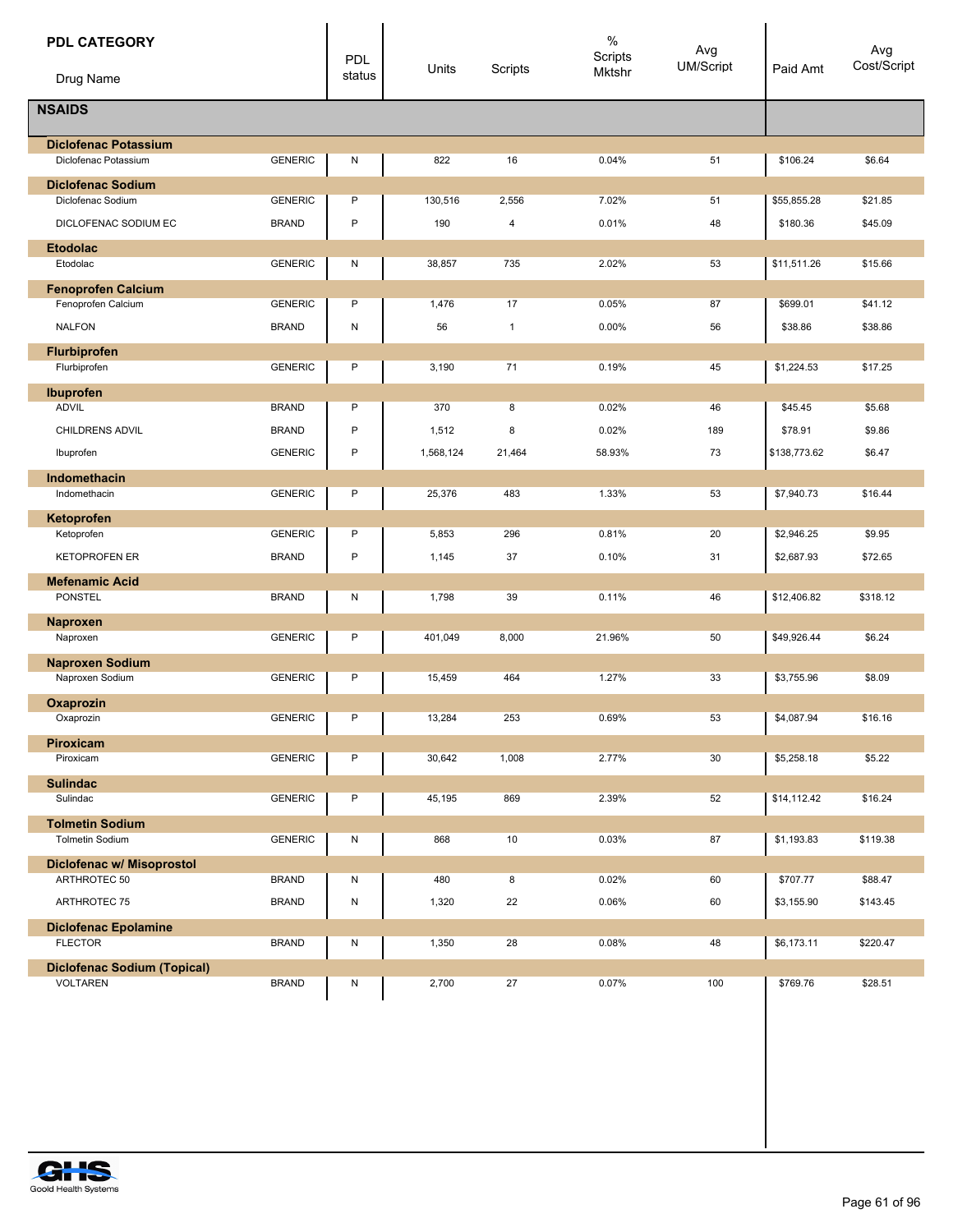| <b>PDL CATEGORY</b><br>Drug Name                    |                | <b>PDL</b><br>status | Units     | Scripts      | $\%$<br>Scripts<br>Mktshr | Avg<br>UM/Script | Paid Amt     | Avg<br>Cost/Script |
|-----------------------------------------------------|----------------|----------------------|-----------|--------------|---------------------------|------------------|--------------|--------------------|
| <b>NSAIDS</b>                                       |                |                      |           |              |                           |                  |              |                    |
|                                                     |                |                      |           |              |                           |                  |              |                    |
| <b>Diclofenac Potassium</b><br>Diclofenac Potassium | <b>GENERIC</b> | Ν                    | 822       | 16           | 0.04%                     | 51               | \$106.24     | \$6.64             |
| <b>Diclofenac Sodium</b>                            |                |                      |           |              |                           |                  |              |                    |
| Diclofenac Sodium                                   | <b>GENERIC</b> | P                    | 130,516   | 2,556        | 7.02%                     | 51               | \$55,855.28  | \$21.85            |
| DICLOFENAC SODIUM EC                                | <b>BRAND</b>   | P                    | 190       | 4            | 0.01%                     | 48               | \$180.36     | \$45.09            |
| <b>Etodolac</b>                                     |                |                      |           |              |                           |                  |              |                    |
| Etodolac                                            | <b>GENERIC</b> | N                    | 38,857    | 735          | 2.02%                     | 53               | \$11,511.26  | \$15.66            |
| <b>Fenoprofen Calcium</b><br>Fenoprofen Calcium     | <b>GENERIC</b> | P                    | 1,476     | 17           | 0.05%                     | 87               | \$699.01     | \$41.12            |
| <b>NALFON</b>                                       | <b>BRAND</b>   | Ν                    | 56        | $\mathbf{1}$ | 0.00%                     | 56               | \$38.86      | \$38.86            |
| Flurbiprofen                                        |                |                      |           |              |                           |                  |              |                    |
| Flurbiprofen                                        | <b>GENERIC</b> | P                    | 3,190     | 71           | 0.19%                     | 45               | \$1,224.53   | \$17.25            |
| Ibuprofen                                           |                |                      |           |              |                           |                  |              |                    |
| <b>ADVIL</b>                                        | <b>BRAND</b>   | P                    | 370       | 8            | 0.02%                     | 46               | \$45.45      | \$5.68             |
| <b>CHILDRENS ADVIL</b>                              | <b>BRAND</b>   | P                    | 1,512     | 8            | 0.02%                     | 189              | \$78.91      | \$9.86             |
| Ibuprofen                                           | <b>GENERIC</b> | P                    | 1,568,124 | 21,464       | 58.93%                    | 73               | \$138,773.62 | \$6.47             |
| <b>Indomethacin</b>                                 |                |                      |           |              |                           |                  |              |                    |
| Indomethacin                                        | <b>GENERIC</b> | P                    | 25,376    | 483          | 1.33%                     | 53               | \$7,940.73   | \$16.44            |
| Ketoprofen<br>Ketoprofen                            | <b>GENERIC</b> | P                    | 5,853     | 296          | 0.81%                     | 20               | \$2,946.25   | \$9.95             |
| <b>KETOPROFEN ER</b>                                | <b>BRAND</b>   | $\sf P$              | 1,145     | 37           | 0.10%                     | 31               | \$2,687.93   | \$72.65            |
| <b>Mefenamic Acid</b>                               |                |                      |           |              |                           |                  |              |                    |
| PONSTEL                                             | <b>BRAND</b>   | Ν                    | 1,798     | 39           | 0.11%                     | 46               | \$12,406.82  | \$318.12           |
| <b>Naproxen</b>                                     |                |                      |           |              |                           |                  |              |                    |
| Naproxen                                            | <b>GENERIC</b> | P                    | 401,049   | 8,000        | 21.96%                    | 50               | \$49,926.44  | \$6.24             |
| <b>Naproxen Sodium</b>                              |                |                      |           |              |                           |                  |              |                    |
| Naproxen Sodium                                     | <b>GENERIC</b> | P                    | 15,459    | 464          | 1.27%                     | 33               | \$3,755.96   | \$8.09             |
| Oxaprozin<br>Oxaprozin                              | <b>GENERIC</b> | P                    | 13,284    | 253          | 0.69%                     | 53               | \$4,087.94   | \$16.16            |
| Piroxicam                                           |                |                      |           |              |                           |                  |              |                    |
| Piroxicam                                           | <b>GENERIC</b> | Ρ                    | 30,642    | 1,008        | 2.77%                     | 30               | \$5,258.18   | \$5.22             |
| <b>Sulindac</b>                                     |                |                      |           |              |                           |                  |              |                    |
| Sulindac                                            | <b>GENERIC</b> | Ρ                    | 45,195    | 869          | 2.39%                     | 52               | \$14,112.42  | \$16.24            |
| <b>Tolmetin Sodium</b><br><b>Tolmetin Sodium</b>    | <b>GENERIC</b> | Ν                    | 868       | 10           | 0.03%                     | 87               | \$1,193.83   | \$119.38           |
|                                                     |                |                      |           |              |                           |                  |              |                    |
| Diclofenac w/ Misoprostol<br>ARTHROTEC 50           | <b>BRAND</b>   | N                    | 480       | 8            | 0.02%                     | 60               | \$707.77     | \$88.47            |
| ARTHROTEC 75                                        | <b>BRAND</b>   | N                    | 1,320     | 22           | 0.06%                     | 60               | \$3,155.90   | \$143.45           |
| <b>Diclofenac Epolamine</b>                         |                |                      |           |              |                           |                  |              |                    |
| <b>FLECTOR</b>                                      | <b>BRAND</b>   | Ν                    | 1,350     | 28           | 0.08%                     | 48               | \$6,173.11   | \$220.47           |
| <b>Diclofenac Sodium (Topical)</b>                  |                |                      |           |              |                           |                  |              |                    |
| <b>VOLTAREN</b>                                     | <b>BRAND</b>   | N                    | 2,700     | 27           | 0.07%                     | 100              | \$769.76     | \$28.51            |

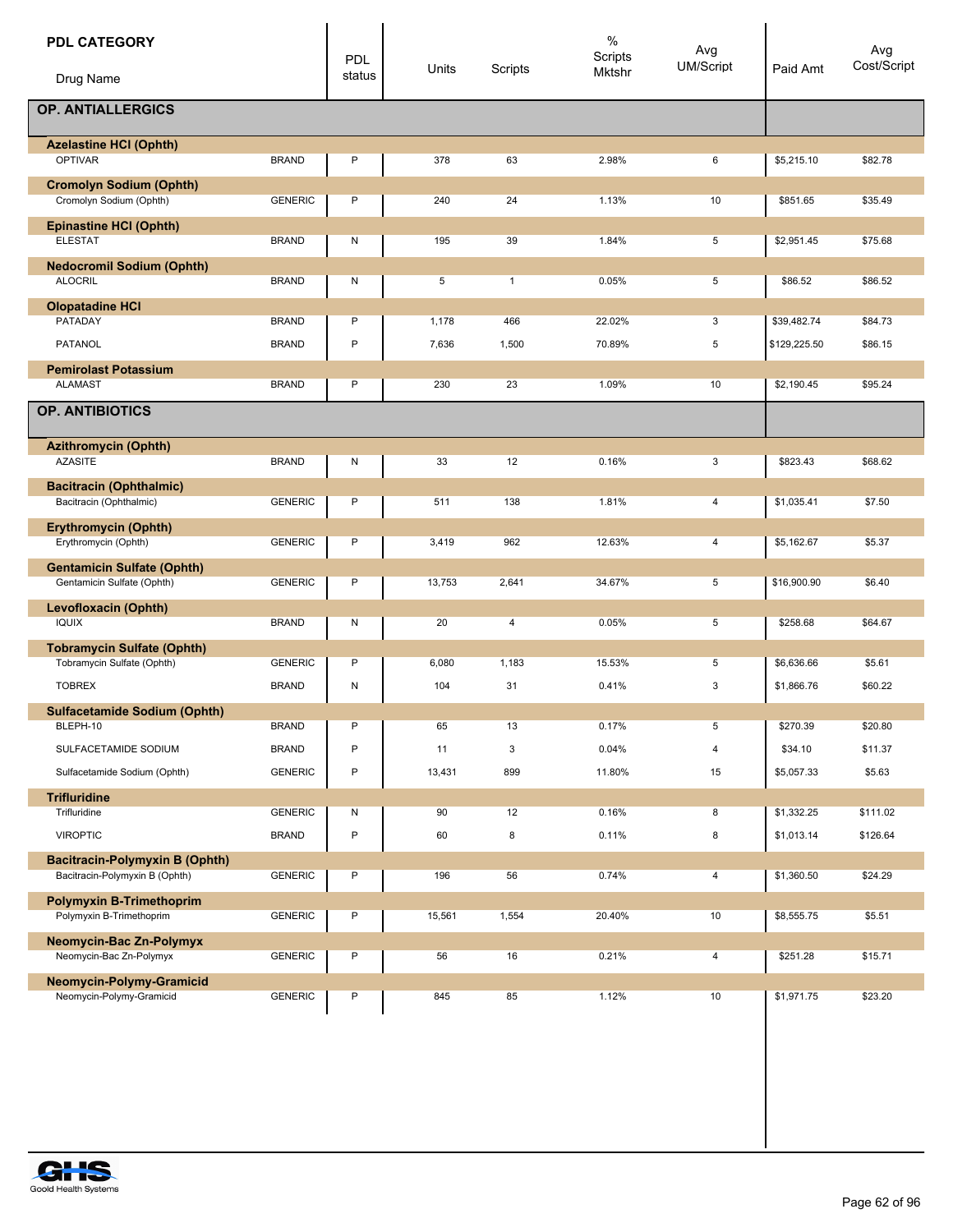| <b>PDL CATEGORY</b>                                             |                | PDL          | Units  | Scripts      | $\%$<br>Scripts | Avg<br><b>UM/Script</b> | Paid Amt     | Avg<br>Cost/Script |
|-----------------------------------------------------------------|----------------|--------------|--------|--------------|-----------------|-------------------------|--------------|--------------------|
| Drug Name                                                       |                | status       |        |              | Mktshr          |                         |              |                    |
| <b>OP. ANTIALLERGICS</b>                                        |                |              |        |              |                 |                         |              |                    |
| <b>Azelastine HCI (Ophth)</b><br><b>OPTIVAR</b>                 | <b>BRAND</b>   | P            | 378    | 63           | 2.98%           | 6                       | \$5,215.10   | \$82.78            |
| <b>Cromolyn Sodium (Ophth)</b>                                  |                |              |        |              |                 |                         |              |                    |
| Cromolyn Sodium (Ophth)                                         | <b>GENERIC</b> | P            | 240    | 24           | 1.13%           | 10                      | \$851.65     | \$35.49            |
| <b>Epinastine HCI (Ophth)</b><br><b>ELESTAT</b>                 | <b>BRAND</b>   | N            | 195    | 39           | 1.84%           | 5                       | \$2,951.45   | \$75.68            |
| <b>Nedocromil Sodium (Ophth)</b>                                |                |              |        |              |                 |                         |              |                    |
| <b>ALOCRIL</b>                                                  | <b>BRAND</b>   | N            | 5      | $\mathbf{1}$ | 0.05%           | 5                       | \$86.52      | \$86.52            |
| <b>Olopatadine HCI</b>                                          |                |              |        |              |                 |                         |              |                    |
| PATADAY                                                         | <b>BRAND</b>   | P            | 1,178  | 466          | 22.02%          | 3                       | \$39,482.74  | \$84.73            |
| <b>PATANOL</b>                                                  | <b>BRAND</b>   | P            | 7,636  | 1,500        | 70.89%          | 5                       | \$129,225.50 | \$86.15            |
| <b>Pemirolast Potassium</b><br><b>ALAMAST</b>                   | <b>BRAND</b>   | P            | 230    | 23           | 1.09%           | 10                      | \$2,190.45   | \$95.24            |
| <b>OP. ANTIBIOTICS</b>                                          |                |              |        |              |                 |                         |              |                    |
|                                                                 |                |              |        |              |                 |                         |              |                    |
| <b>Azithromycin (Ophth)</b>                                     |                |              |        |              |                 |                         |              |                    |
| <b>AZASITE</b>                                                  | <b>BRAND</b>   | N            | 33     | 12           | 0.16%           | 3                       | \$823.43     | \$68.62            |
| <b>Bacitracin (Ophthalmic)</b><br>Bacitracin (Ophthalmic)       | <b>GENERIC</b> | P            | 511    | 138          | 1.81%           | 4                       | \$1,035.41   | \$7.50             |
| <b>Erythromycin (Ophth)</b>                                     |                |              |        |              |                 |                         |              |                    |
| Erythromycin (Ophth)                                            | <b>GENERIC</b> | P            | 3,419  | 962          | 12.63%          | 4                       | \$5,162.67   | \$5.37             |
| <b>Gentamicin Sulfate (Ophth)</b><br>Gentamicin Sulfate (Ophth) | <b>GENERIC</b> | P            | 13,753 | 2,641        | 34.67%          | 5                       | \$16,900.90  | \$6.40             |
| <b>Levofloxacin (Ophth)</b>                                     |                |              |        |              |                 |                         |              |                    |
| <b>IQUIX</b>                                                    | <b>BRAND</b>   | N            | 20     | 4            | 0.05%           | 5                       | \$258.68     | \$64.67            |
| <b>Tobramycin Sulfate (Ophth)</b>                               |                |              |        |              |                 |                         |              |                    |
| Tobramycin Sulfate (Ophth)                                      | <b>GENERIC</b> | P            | 6,080  | 1,183        | 15.53%          | 5                       | \$6,636.66   | \$5.61             |
| <b>TOBREX</b>                                                   | <b>BRAND</b>   | N            | 104    | 31           | 0.41%           | 3                       | \$1,866.76   | \$60.22            |
| <b>Sulfacetamide Sodium (Ophth)</b>                             |                |              |        |              |                 |                         |              |                    |
| BLEPH-10                                                        | <b>BRAND</b>   | P            | 65     | 13           | 0.17%           | 5                       | \$270.39     | \$20.80            |
| SULFACETAMIDE SODIUM                                            | <b>BRAND</b>   | P            | 11     | 3            | 0.04%           | $\overline{4}$          | \$34.10      | \$11.37            |
| Sulfacetamide Sodium (Ophth)                                    | <b>GENERIC</b> | $\mathsf{P}$ | 13,431 | 899          | 11.80%          | 15                      | \$5,057.33   | \$5.63             |
| <b>Trifluridine</b>                                             |                |              |        |              |                 |                         |              |                    |
| Trifluridine                                                    | <b>GENERIC</b> | N            | 90     | 12           | 0.16%           | 8                       | \$1,332.25   | \$111.02           |
| <b>VIROPTIC</b>                                                 | <b>BRAND</b>   | $\mathsf{P}$ | 60     | 8            | 0.11%           | 8                       | \$1,013.14   | \$126.64           |
| <b>Bacitracin-Polymyxin B (Ophth)</b>                           |                |              |        |              |                 |                         |              |                    |
| Bacitracin-Polymyxin B (Ophth)                                  | <b>GENERIC</b> | P            | 196    | 56           | 0.74%           | 4                       | \$1,360.50   | \$24.29            |
| <b>Polymyxin B-Trimethoprim</b><br>Polymyxin B-Trimethoprim     | <b>GENERIC</b> | P            | 15,561 | 1,554        | 20.40%          | 10                      | \$8,555.75   | \$5.51             |
| Neomycin-Bac Zn-Polymyx                                         |                |              |        |              |                 |                         |              |                    |
| Neomycin-Bac Zn-Polymyx                                         | <b>GENERIC</b> | P            | 56     | 16           | 0.21%           | 4                       | \$251.28     | \$15.71            |
| Neomycin-Polymy-Gramicid                                        |                |              |        |              |                 |                         |              |                    |
| Neomycin-Polymy-Gramicid                                        | <b>GENERIC</b> | P            | 845    | 85           | 1.12%           | 10                      | \$1,971.75   | \$23.20            |
|                                                                 |                |              |        |              |                 |                         |              |                    |
|                                                                 |                |              |        |              |                 |                         |              |                    |
|                                                                 |                |              |        |              |                 |                         |              |                    |

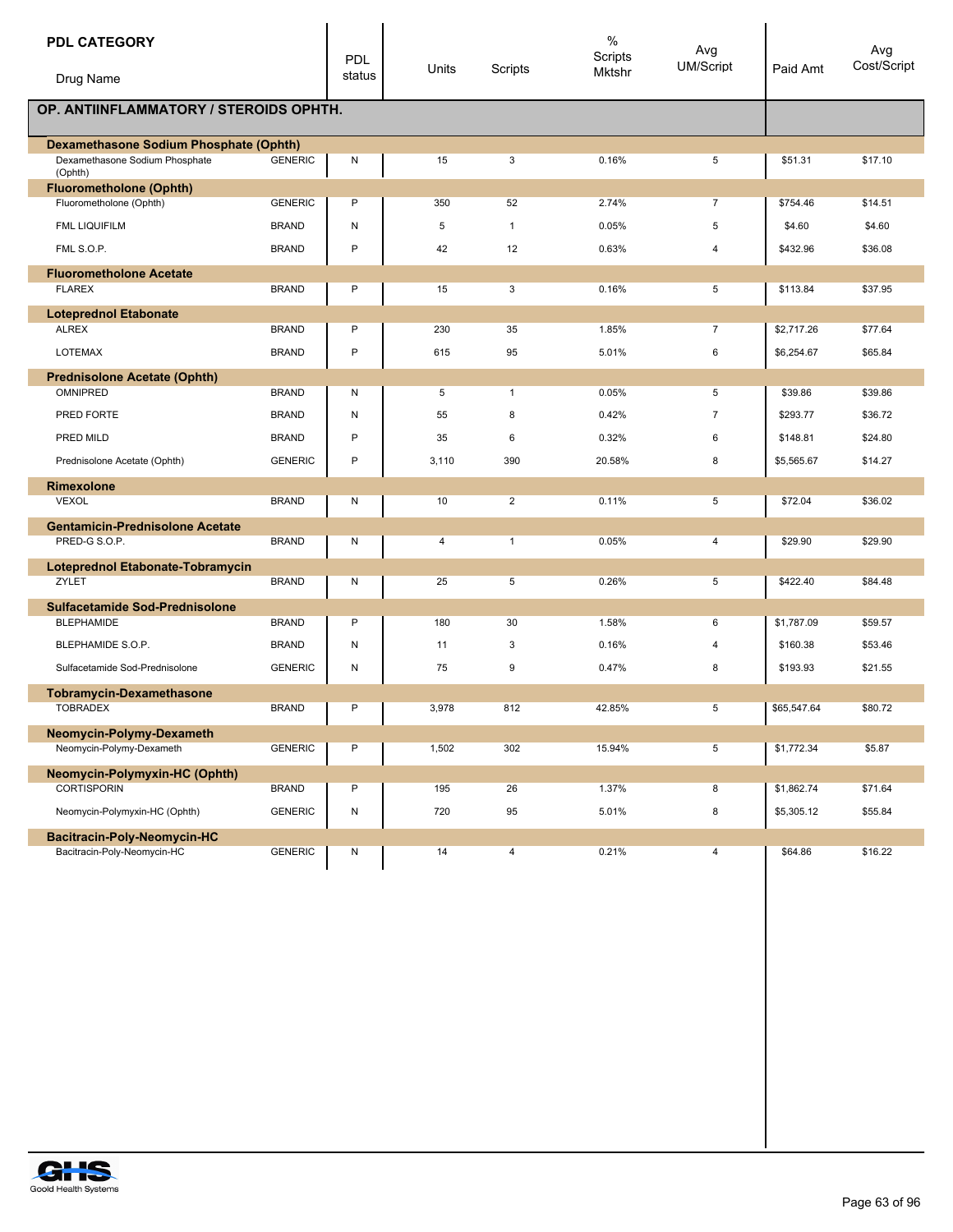| <b>PDL CATEGORY</b>                                       |                | PDL       | Units | Scripts                 | $\%$<br>Scripts | Avg<br>UM/Script | Paid Amt    | Avg<br>Cost/Script |
|-----------------------------------------------------------|----------------|-----------|-------|-------------------------|-----------------|------------------|-------------|--------------------|
| Drug Name                                                 |                | status    |       |                         | Mktshr          |                  |             |                    |
| OP. ANTIINFLAMMATORY / STEROIDS OPHTH.                    |                |           |       |                         |                 |                  |             |                    |
| <b>Dexamethasone Sodium Phosphate (Ophth)</b>             |                |           |       |                         |                 |                  |             |                    |
| Dexamethasone Sodium Phosphate<br>(Ophth)                 | <b>GENERIC</b> | ${\sf N}$ | 15    | 3                       | 0.16%           | 5                | \$51.31     | \$17.10            |
| <b>Fluorometholone (Ophth)</b><br>Fluorometholone (Ophth) | <b>GENERIC</b> | P         | 350   | 52                      | 2.74%           | $\overline{7}$   | \$754.46    | \$14.51            |
|                                                           |                |           |       |                         |                 |                  |             |                    |
| <b>FML LIQUIFILM</b>                                      | <b>BRAND</b>   | N         | 5     | $\mathbf{1}$            | 0.05%           | $\,$ 5           | \$4.60      | \$4.60             |
| FML S.O.P.                                                | <b>BRAND</b>   | P         | 42    | 12                      | 0.63%           | 4                | \$432.96    | \$36.08            |
| <b>Fluorometholone Acetate</b>                            |                |           |       |                         |                 |                  |             |                    |
| <b>FLAREX</b>                                             | <b>BRAND</b>   | Ρ         | 15    | 3                       | 0.16%           | 5                | \$113.84    | \$37.95            |
| <b>Loteprednol Etabonate</b>                              |                |           |       |                         |                 |                  |             |                    |
| <b>ALREX</b>                                              | <b>BRAND</b>   | P         | 230   | 35                      | 1.85%           | $\overline{7}$   | \$2,717.26  | \$77.64            |
| <b>LOTEMAX</b>                                            | <b>BRAND</b>   | P         | 615   | 95                      | 5.01%           | 6                | \$6,254.67  | \$65.84            |
| <b>Prednisolone Acetate (Ophth)</b>                       |                |           |       |                         |                 |                  |             |                    |
| <b>OMNIPRED</b>                                           | <b>BRAND</b>   | Ν         | 5     | $\mathbf{1}$            | 0.05%           | 5                | \$39.86     | \$39.86            |
| PRED FORTE                                                | <b>BRAND</b>   | ${\sf N}$ | 55    | 8                       | 0.42%           | $\overline{7}$   | \$293.77    | \$36.72            |
| PRED MILD                                                 | <b>BRAND</b>   | P         | 35    | 6                       | 0.32%           | 6                | \$148.81    | \$24.80            |
| Prednisolone Acetate (Ophth)                              | <b>GENERIC</b> | P         | 3,110 | 390                     | 20.58%          | 8                | \$5.565.67  | \$14.27            |
| <b>Rimexolone</b>                                         |                |           |       |                         |                 |                  |             |                    |
| <b>VEXOL</b>                                              | <b>BRAND</b>   | N         | 10    | $\overline{2}$          | 0.11%           | 5                | \$72.04     | \$36.02            |
| <b>Gentamicin-Prednisolone Acetate</b>                    |                |           |       |                         |                 |                  |             |                    |
| PRED-G S.O.P.                                             | <b>BRAND</b>   | N         | 4     | $\mathbf{1}$            | 0.05%           | 4                | \$29.90     | \$29.90            |
| Loteprednol Etabonate-Tobramycin                          |                |           |       |                         |                 |                  |             |                    |
| ZYLET                                                     | <b>BRAND</b>   | N         | 25    | 5                       | 0.26%           | 5                | \$422.40    | \$84.48            |
| <b>Sulfacetamide Sod-Prednisolone</b>                     |                |           |       |                         |                 |                  |             |                    |
| <b>BLEPHAMIDE</b>                                         | <b>BRAND</b>   | P         | 180   | 30                      | 1.58%           | 6                | \$1,787.09  | \$59.57            |
| BLEPHAMIDE S.O.P.                                         | <b>BRAND</b>   | N         | 11    | 3                       | 0.16%           | $\overline{4}$   | \$160.38    | \$53.46            |
| Sulfacetamide Sod-Prednisolone                            | <b>GENERIC</b> | N         | 75    | 9                       | 0.47%           | 8                | \$193.93    | \$21.55            |
| <b>Tobramycin-Dexamethasone</b>                           |                |           |       |                         |                 |                  |             |                    |
| <b>TOBRADEX</b>                                           | <b>BRAND</b>   | P         | 3,978 | 812                     | 42.85%          | 5                | \$65,547.64 | \$80.72            |
| Neomycin-Polymy-Dexameth                                  |                |           |       |                         |                 |                  |             |                    |
| Neomycin-Polymy-Dexameth                                  | <b>GENERIC</b> | P         | 1,502 | 302                     | 15.94%          | 5                | \$1,772.34  | \$5.87             |
| Neomycin-Polymyxin-HC (Ophth)                             |                |           |       |                         |                 |                  |             |                    |
| <b>CORTISPORIN</b>                                        | <b>BRAND</b>   | P         | 195   | 26                      | 1.37%           | 8                | \$1,862.74  | \$71.64            |
| Neomycin-Polymyxin-HC (Ophth)                             | <b>GENERIC</b> | N         | 720   | 95                      | 5.01%           | 8                | \$5,305.12  | \$55.84            |
| Bacitracin-Poly-Neomycin-HC                               |                |           |       |                         |                 |                  |             |                    |
| Bacitracin-Poly-Neomycin-HC                               | <b>GENERIC</b> | N         | 14    | $\overline{\mathbf{4}}$ | 0.21%           | $\overline{4}$   | \$64.86     | \$16.22            |

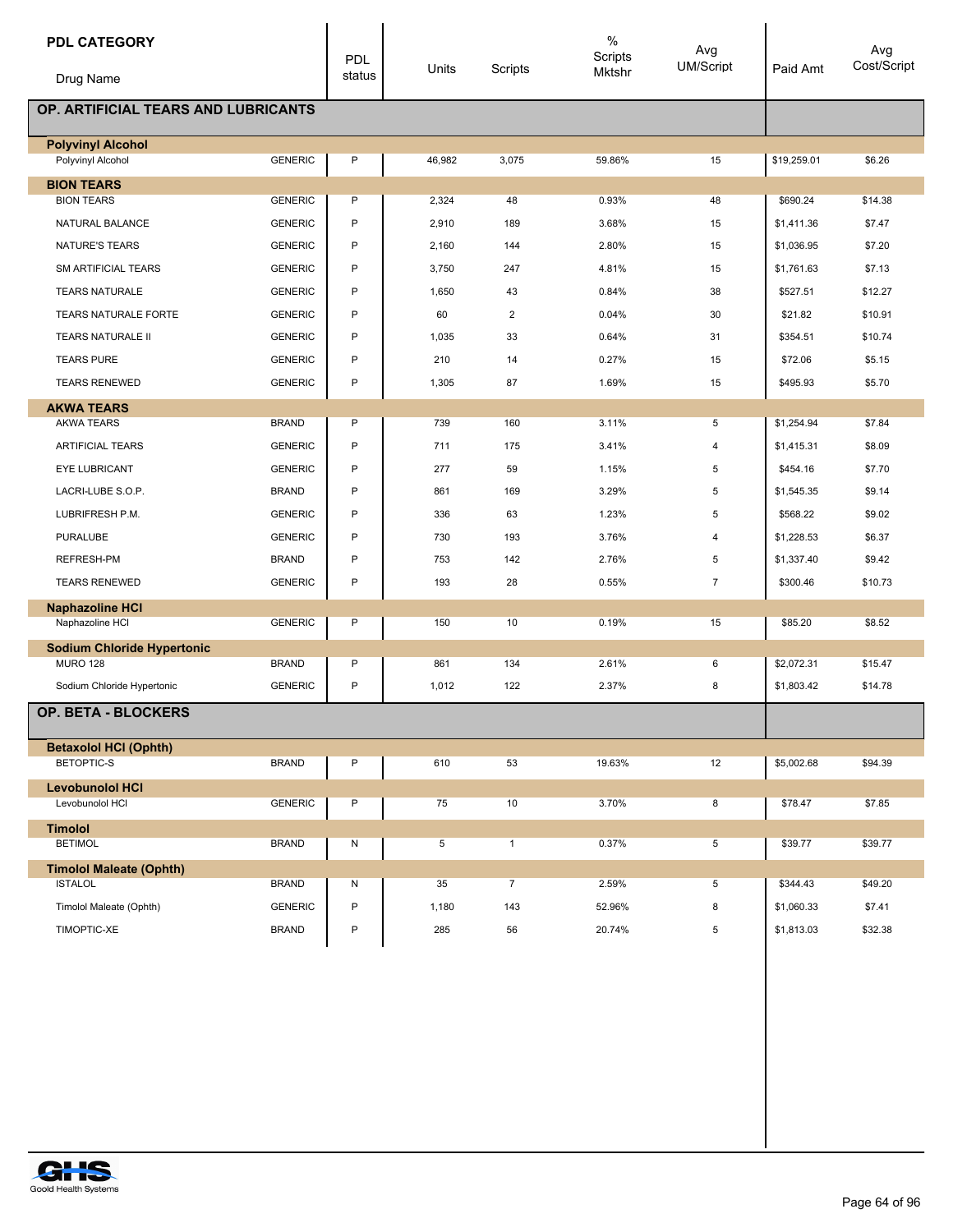| <b>PDL CATEGORY</b><br>Drug Name                 |                | <b>PDL</b><br>status | Units  | Scripts        | %<br>Scripts<br>Mktshr | Avg<br>UM/Script | Paid Amt    | Avg<br>Cost/Script |
|--------------------------------------------------|----------------|----------------------|--------|----------------|------------------------|------------------|-------------|--------------------|
| OP. ARTIFICIAL TEARS AND LUBRICANTS              |                |                      |        |                |                        |                  |             |                    |
| <b>Polyvinyl Alcohol</b><br>Polyvinyl Alcohol    | <b>GENERIC</b> | P                    | 46,982 | 3,075          | 59.86%                 | 15               | \$19,259.01 | \$6.26             |
| <b>BION TEARS</b>                                |                |                      |        |                |                        |                  |             |                    |
| <b>BION TEARS</b>                                | <b>GENERIC</b> | P                    | 2,324  | 48             | 0.93%                  | 48               | \$690.24    | \$14.38            |
| NATURAL BALANCE                                  | <b>GENERIC</b> | P                    | 2,910  | 189            | 3.68%                  | 15               | \$1,411.36  | \$7.47             |
| NATURE'S TEARS                                   | <b>GENERIC</b> | P                    | 2,160  | 144            | 2.80%                  | 15               | \$1,036.95  | \$7.20             |
| SM ARTIFICIAL TEARS                              | <b>GENERIC</b> | P                    | 3,750  | 247            | 4.81%                  | 15               | \$1,761.63  | \$7.13             |
| <b>TEARS NATURALE</b>                            | <b>GENERIC</b> | P                    | 1,650  | 43             | 0.84%                  | 38               | \$527.51    | \$12.27            |
| <b>TEARS NATURALE FORTE</b>                      | <b>GENERIC</b> | P                    | 60     | $\overline{2}$ | 0.04%                  | 30               | \$21.82     | \$10.91            |
| TEARS NATURALE II                                | <b>GENERIC</b> | P                    | 1,035  | 33             | 0.64%                  | 31               | \$354.51    | \$10.74            |
| <b>TEARS PURE</b>                                | <b>GENERIC</b> | P                    | 210    | 14             | 0.27%                  | 15               | \$72.06     | \$5.15             |
| <b>TEARS RENEWED</b>                             | <b>GENERIC</b> | P                    | 1,305  | 87             | 1.69%                  | 15               | \$495.93    | \$5.70             |
| <b>AKWA TEARS</b>                                |                |                      |        |                |                        |                  |             |                    |
| <b>AKWA TEARS</b>                                | <b>BRAND</b>   | Ρ                    | 739    | 160            | 3.11%                  | 5                | \$1,254.94  | \$7.84             |
| <b>ARTIFICIAL TEARS</b>                          | <b>GENERIC</b> | P                    | 711    | 175            | 3.41%                  | 4                | \$1,415.31  | \$8.09             |
| EYE LUBRICANT                                    | <b>GENERIC</b> | P                    | 277    | 59             | 1.15%                  | 5                | \$454.16    | \$7.70             |
| LACRI-LUBE S.O.P.                                | <b>BRAND</b>   | P                    | 861    | 169            | 3.29%                  | 5                | \$1,545.35  | \$9.14             |
| LUBRIFRESH P.M.                                  | <b>GENERIC</b> | P                    | 336    | 63             | 1.23%                  | 5                | \$568.22    | \$9.02             |
| <b>PURALUBE</b>                                  | <b>GENERIC</b> | P                    | 730    | 193            | 3.76%                  | 4                | \$1,228.53  | \$6.37             |
| <b>REFRESH-PM</b>                                | <b>BRAND</b>   | P                    | 753    | 142            | 2.76%                  | 5                | \$1,337.40  | \$9.42             |
| <b>TEARS RENEWED</b>                             | <b>GENERIC</b> | P                    | 193    | 28             | 0.55%                  | $\overline{7}$   | \$300.46    | \$10.73            |
| <b>Naphazoline HCI</b>                           |                |                      |        |                |                        |                  |             |                    |
| Naphazoline HCI                                  | <b>GENERIC</b> | P                    | 150    | 10             | 0.19%                  | 15               | \$85.20     | \$8.52             |
| <b>Sodium Chloride Hypertonic</b>                |                |                      |        |                |                        |                  |             |                    |
| <b>MURO 128</b>                                  | <b>BRAND</b>   | P                    | 861    | 134            | 2.61%                  | 6                | \$2,072.31  | \$15.47            |
| Sodium Chloride Hypertonic                       | <b>GENERIC</b> | P                    | 1,012  | 122            | 2.37%                  | 8                | \$1,803.42  | \$14.78            |
| OP. BETA - BLOCKERS                              |                |                      |        |                |                        |                  |             |                    |
| <b>Betaxolol HCI (Ophth)</b>                     |                |                      |        |                |                        |                  |             |                    |
| <b>BETOPTIC-S</b>                                | <b>BRAND</b>   | P                    | 610    | 53             | 19.63%                 | 12               | \$5,002.68  | \$94.39            |
| <b>Levobunolol HCI</b>                           |                |                      |        |                |                        |                  |             |                    |
| Levobunolol HCI                                  | <b>GENERIC</b> | Ρ                    | 75     | 10             | 3.70%                  | 8                | \$78.47     | \$7.85             |
| <b>Timolol</b><br><b>BETIMOL</b>                 | <b>BRAND</b>   | N                    | 5      | $\mathbf{1}$   | 0.37%                  | 5                | \$39.77     | \$39.77            |
|                                                  |                |                      |        |                |                        |                  |             |                    |
| <b>Timolol Maleate (Ophth)</b><br><b>ISTALOL</b> | <b>BRAND</b>   | N                    | 35     | $\overline{7}$ | 2.59%                  | 5                | \$344.43    | \$49.20            |
| Timolol Maleate (Ophth)                          | <b>GENERIC</b> | P                    | 1,180  | 143            | 52.96%                 | 8                | \$1,060.33  | \$7.41             |
| TIMOPTIC-XE                                      | <b>BRAND</b>   | P                    | 285    | 56             | 20.74%                 | 5                | \$1,813.03  | \$32.38            |
|                                                  |                |                      |        |                |                        |                  |             |                    |

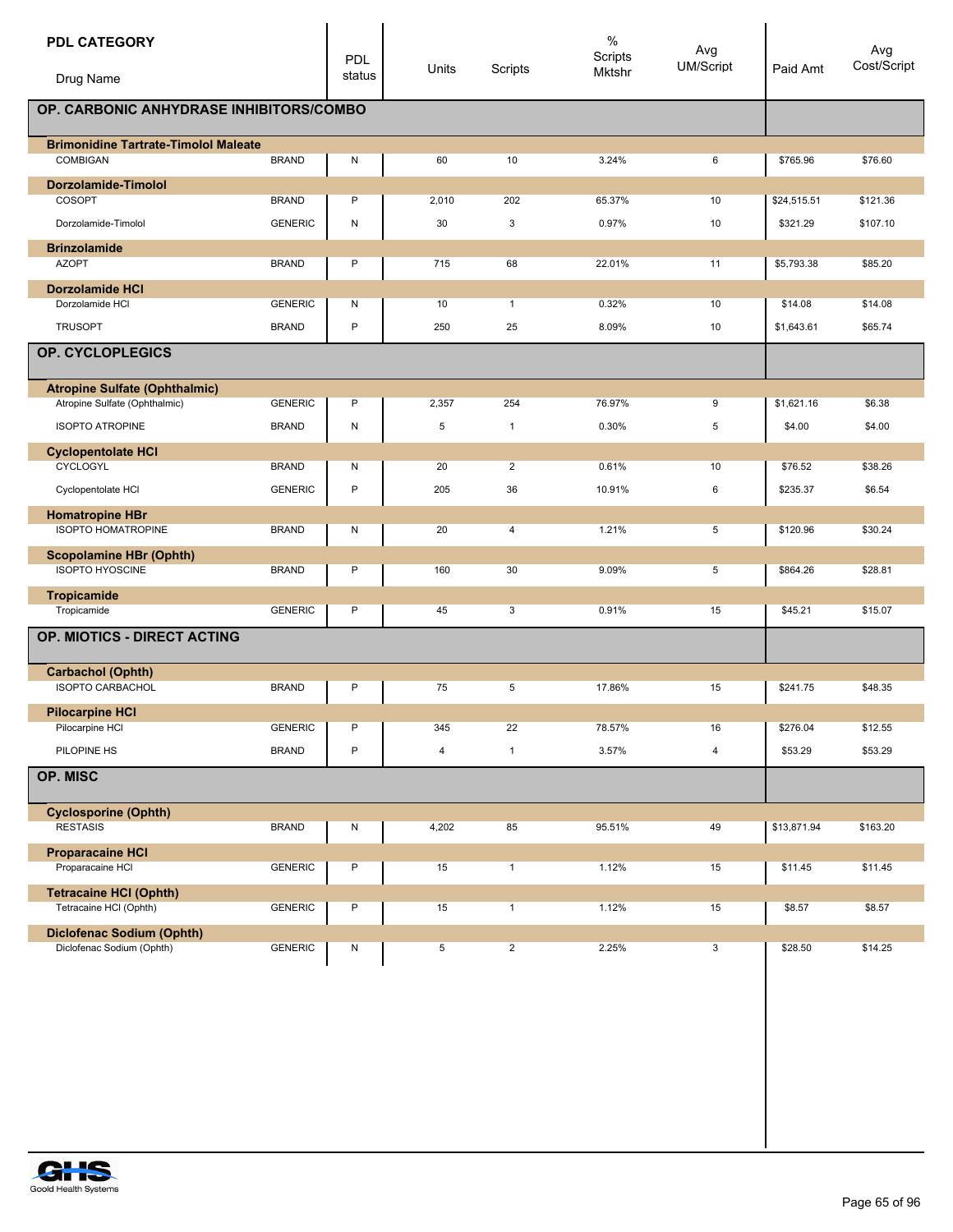| <b>PDL CATEGORY</b>                                      |                | <b>PDL</b> | Units | Scripts        | $\%$<br>Scripts | Avg<br>UM/Script | Paid Amt    | Avg<br>Cost/Script |
|----------------------------------------------------------|----------------|------------|-------|----------------|-----------------|------------------|-------------|--------------------|
| Drug Name                                                |                | status     |       |                | Mktshr          |                  |             |                    |
| OP. CARBONIC ANHYDRASE INHIBITORS/COMBO                  |                |            |       |                |                 |                  |             |                    |
| <b>Brimonidine Tartrate-Timolol Maleate</b>              |                |            |       |                |                 |                  |             |                    |
| COMBIGAN                                                 | <b>BRAND</b>   | Ν          | 60    | 10             | 3.24%           | 6                | \$765.96    | \$76.60            |
| Dorzolamide-Timolol                                      |                |            |       |                |                 |                  |             |                    |
| COSOPT                                                   | <b>BRAND</b>   | P          | 2,010 | 202            | 65.37%          | 10               | \$24,515.51 | \$121.36           |
| Dorzolamide-Timolol                                      | <b>GENERIC</b> | N          | 30    | 3              | 0.97%           | 10               | \$321.29    | \$107.10           |
| <b>Brinzolamide</b>                                      |                |            |       |                |                 |                  |             |                    |
| <b>AZOPT</b>                                             | <b>BRAND</b>   | P          | 715   | 68             | 22.01%          | 11               | \$5,793.38  | \$85.20            |
| <b>Dorzolamide HCI</b>                                   |                |            |       |                |                 |                  |             |                    |
| Dorzolamide HCI                                          | <b>GENERIC</b> | Ν          | 10    | $\mathbf{1}$   | 0.32%           | 10               | \$14.08     | \$14.08            |
| <b>TRUSOPT</b>                                           | <b>BRAND</b>   | P          | 250   | 25             | 8.09%           | 10               | \$1,643.61  | \$65.74            |
| OP. CYCLOPLEGICS                                         |                |            |       |                |                 |                  |             |                    |
| <b>Atropine Sulfate (Ophthalmic)</b>                     |                |            |       |                |                 |                  |             |                    |
| Atropine Sulfate (Ophthalmic)                            | <b>GENERIC</b> | P          | 2,357 | 254            | 76.97%          | 9                | \$1,621.16  | \$6.38             |
| <b>ISOPTO ATROPINE</b>                                   | <b>BRAND</b>   | Ν          | 5     | $\mathbf{1}$   | 0.30%           | 5                | \$4.00      | \$4.00             |
| <b>Cyclopentolate HCI</b>                                |                |            |       |                |                 |                  |             |                    |
| CYCLOGYL                                                 | <b>BRAND</b>   | Ν          | 20    | $\overline{2}$ | 0.61%           | 10               | \$76.52     | \$38.26            |
| Cyclopentolate HCI                                       | <b>GENERIC</b> | P          | 205   | 36             | 10.91%          | 6                | \$235.37    | \$6.54             |
| <b>Homatropine HBr</b><br><b>ISOPTO HOMATROPINE</b>      | <b>BRAND</b>   | N          | 20    | $\overline{4}$ | 1.21%           | 5                | \$120.96    | \$30.24            |
| <b>Scopolamine HBr (Ophth)</b><br><b>ISOPTO HYOSCINE</b> | <b>BRAND</b>   | P          | 160   | 30             | 9.09%           | 5                | \$864.26    | \$28.81            |
| Tropicamide                                              |                |            |       |                |                 |                  |             |                    |
| Tropicamide                                              | <b>GENERIC</b> | P          | 45    | 3              | 0.91%           | 15               | \$45.21     | \$15.07            |
| OP. MIOTICS - DIRECT ACTING                              |                |            |       |                |                 |                  |             |                    |
| <b>Carbachol (Ophth)</b>                                 |                |            |       |                |                 |                  |             |                    |
| <b>ISOPTO CARBACHOL</b>                                  | <b>BRAND</b>   | Ρ          | 75    | 5              | 17.86%          | 15               | \$241.75    | \$48.35            |
| <b>Pilocarpine HCI</b>                                   |                |            |       |                |                 |                  |             |                    |
| Pilocarpine HCI                                          | <b>GENERIC</b> | P          | 345   | 22             | 78.57%          | 16               | \$276.04    | \$12.55            |
| PILOPINE HS                                              | <b>BRAND</b>   | P          | 4     | $\mathbf{1}$   | 3.57%           | $\overline{4}$   | \$53.29     | \$53.29            |
| OP. MISC                                                 |                |            |       |                |                 |                  |             |                    |
| <b>Cyclosporine (Ophth)</b>                              |                |            |       |                |                 |                  |             |                    |
| <b>RESTASIS</b>                                          | <b>BRAND</b>   | Ν          | 4,202 | 85             | 95.51%          | 49               | \$13,871.94 | \$163.20           |
| <b>Proparacaine HCI</b>                                  |                |            |       |                |                 |                  |             |                    |
| Proparacaine HCI                                         | <b>GENERIC</b> | Ρ          | 15    | $\mathbf{1}$   | 1.12%           | 15               | \$11.45     | \$11.45            |
| <b>Tetracaine HCI (Ophth)</b>                            |                |            |       |                |                 |                  |             |                    |
| Tetracaine HCI (Ophth)                                   | <b>GENERIC</b> | P          | 15    | $\mathbf{1}$   | 1.12%           | 15               | \$8.57      | \$8.57             |
| <b>Diclofenac Sodium (Ophth)</b>                         |                |            |       |                |                 |                  |             |                    |
| Diclofenac Sodium (Ophth)                                | <b>GENERIC</b> | Ν          | 5     | $\overline{2}$ | 2.25%           | 3                | \$28.50     | \$14.25            |

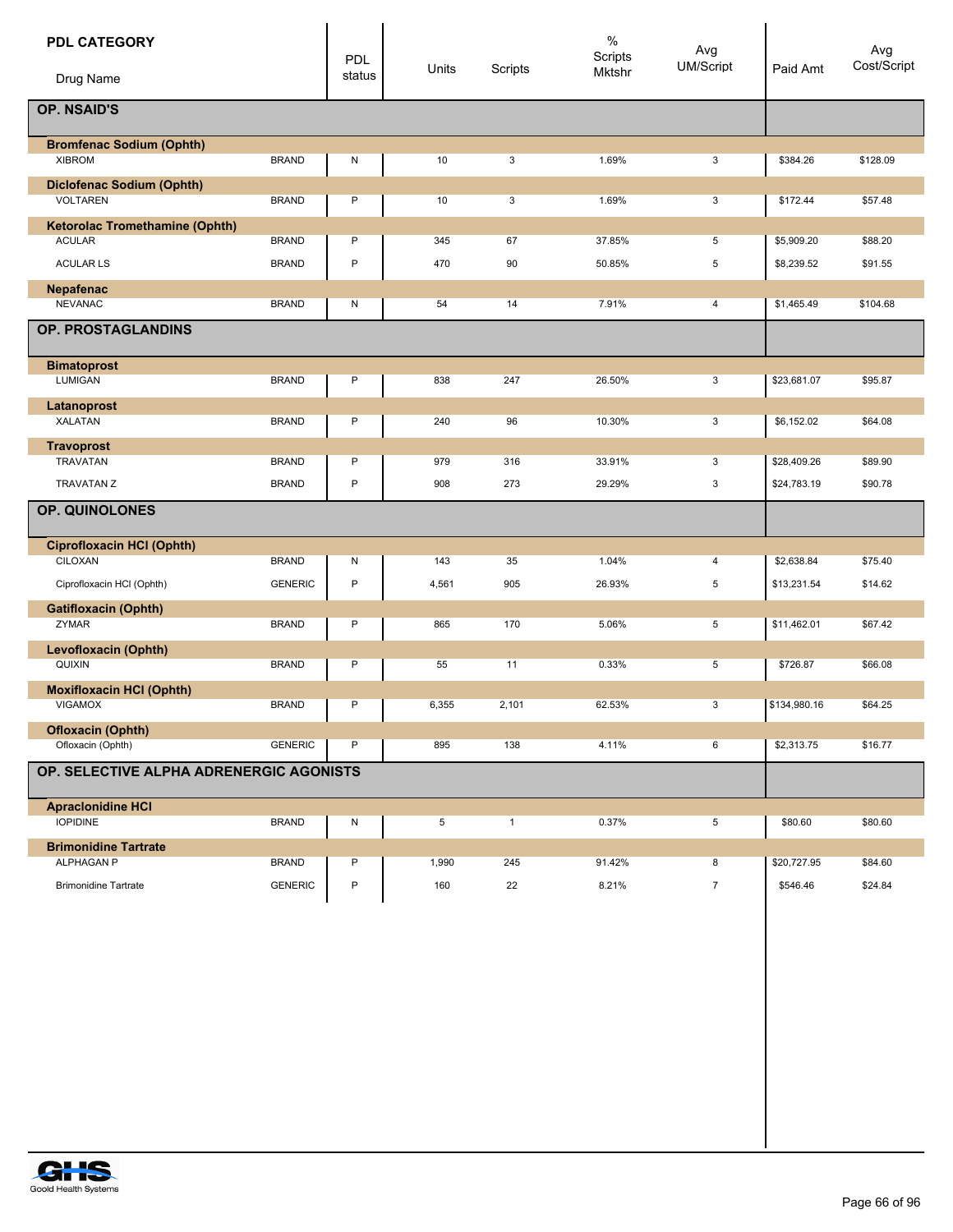| <b>PDL CATEGORY</b><br>Drug Name                    |                | PDL<br>status | Units | Scripts      | $\%$<br>Scripts<br>Mktshr | Avg<br>UM/Script | Paid Amt     | Avg<br>Cost/Script |
|-----------------------------------------------------|----------------|---------------|-------|--------------|---------------------------|------------------|--------------|--------------------|
| <b>OP. NSAID'S</b>                                  |                |               |       |              |                           |                  |              |                    |
| <b>Bromfenac Sodium (Ophth)</b>                     |                |               |       |              |                           |                  |              |                    |
| <b>XIBROM</b>                                       | <b>BRAND</b>   | N             | 10    | 3            | 1.69%                     | 3                | \$384.26     | \$128.09           |
| <b>Diclofenac Sodium (Ophth)</b><br><b>VOLTAREN</b> | <b>BRAND</b>   | P             | 10    | 3            | 1.69%                     | 3                | \$172.44     | \$57.48            |
| <b>Ketorolac Tromethamine (Ophth)</b>               |                |               |       |              |                           |                  |              |                    |
| <b>ACULAR</b>                                       | <b>BRAND</b>   | P             | 345   | 67           | 37.85%                    | 5                | \$5,909.20   | \$88.20            |
| <b>ACULAR LS</b>                                    | <b>BRAND</b>   | P             | 470   | 90           | 50.85%                    | 5                | \$8,239.52   | \$91.55            |
| Nepafenac<br><b>NEVANAC</b>                         | <b>BRAND</b>   | ${\sf N}$     | 54    | 14           | 7.91%                     | 4                | \$1,465.49   | \$104.68           |
| OP. PROSTAGLANDINS                                  |                |               |       |              |                           |                  |              |                    |
| <b>Bimatoprost</b>                                  |                |               |       |              |                           |                  |              |                    |
| LUMIGAN                                             | <b>BRAND</b>   | P             | 838   | 247          | 26.50%                    | 3                | \$23,681.07  | \$95.87            |
| Latanoprost<br><b>XALATAN</b>                       | <b>BRAND</b>   | P             | 240   | 96           | 10.30%                    | 3                | \$6,152.02   | \$64.08            |
| <b>Travoprost</b><br><b>TRAVATAN</b>                | <b>BRAND</b>   | P             | 979   | 316          | 33.91%                    | 3                | \$28,409.26  | \$89.90            |
| <b>TRAVATAN Z</b>                                   | <b>BRAND</b>   | $\mathsf{P}$  | 908   | 273          | 29.29%                    | 3                | \$24,783.19  | \$90.78            |
|                                                     |                |               |       |              |                           |                  |              |                    |
| OP. QUINOLONES                                      |                |               |       |              |                           |                  |              |                    |
| <b>Ciprofloxacin HCI (Ophth)</b>                    |                |               |       |              |                           |                  |              |                    |
| CILOXAN                                             | <b>BRAND</b>   | N             | 143   | 35           | 1.04%                     | 4                | \$2,638.84   | \$75.40            |
| Ciprofloxacin HCI (Ophth)                           | <b>GENERIC</b> | $\mathsf{P}$  | 4,561 | 905          | 26.93%                    | 5                | \$13,231.54  | \$14.62            |
| <b>Gatifloxacin (Ophth)</b><br>ZYMAR                | <b>BRAND</b>   | P             | 865   | 170          | 5.06%                     | 5                | \$11,462.01  | \$67.42            |
|                                                     |                |               |       |              |                           |                  |              |                    |
| Levofloxacin (Ophth)<br>QUIXIN                      | <b>BRAND</b>   | P             | 55    | 11           | 0.33%                     | 5                | \$726.87     | \$66.08            |
| <b>Moxifloxacin HCI (Ophth)</b>                     |                |               |       |              |                           |                  |              |                    |
| <b>VIGAMOX</b>                                      | <b>BRAND</b>   | P             | 6,355 | 2,101        | 62.53%                    | 3                | \$134,980.16 | \$64.25            |
| <b>Ofloxacin (Ophth)</b>                            |                |               |       |              |                           |                  |              |                    |
| Ofloxacin (Ophth)                                   | <b>GENERIC</b> | P             | 895   | 138          | 4.11%                     | 6                | \$2,313.75   | \$16.77            |
| OP. SELECTIVE ALPHA ADRENERGIC AGONISTS             |                |               |       |              |                           |                  |              |                    |
| <b>Apraclonidine HCI</b>                            |                |               |       |              |                           |                  |              |                    |
| <b>IOPIDINE</b>                                     | <b>BRAND</b>   | N             | 5     | $\mathbf{1}$ | 0.37%                     | 5                | \$80.60      | \$80.60            |
| <b>Brimonidine Tartrate</b><br>ALPHAGAN P           | <b>BRAND</b>   | P             | 1,990 | 245          | 91.42%                    | 8                | \$20,727.95  | \$84.60            |
| <b>Brimonidine Tartrate</b>                         | <b>GENERIC</b> | P             | 160   | 22           | 8.21%                     | $\overline{7}$   | \$546.46     | \$24.84            |
|                                                     |                |               |       |              |                           |                  |              |                    |
|                                                     |                |               |       |              |                           |                  |              |                    |
|                                                     |                |               |       |              |                           |                  |              |                    |
|                                                     |                |               |       |              |                           |                  |              |                    |
|                                                     |                |               |       |              |                           |                  |              |                    |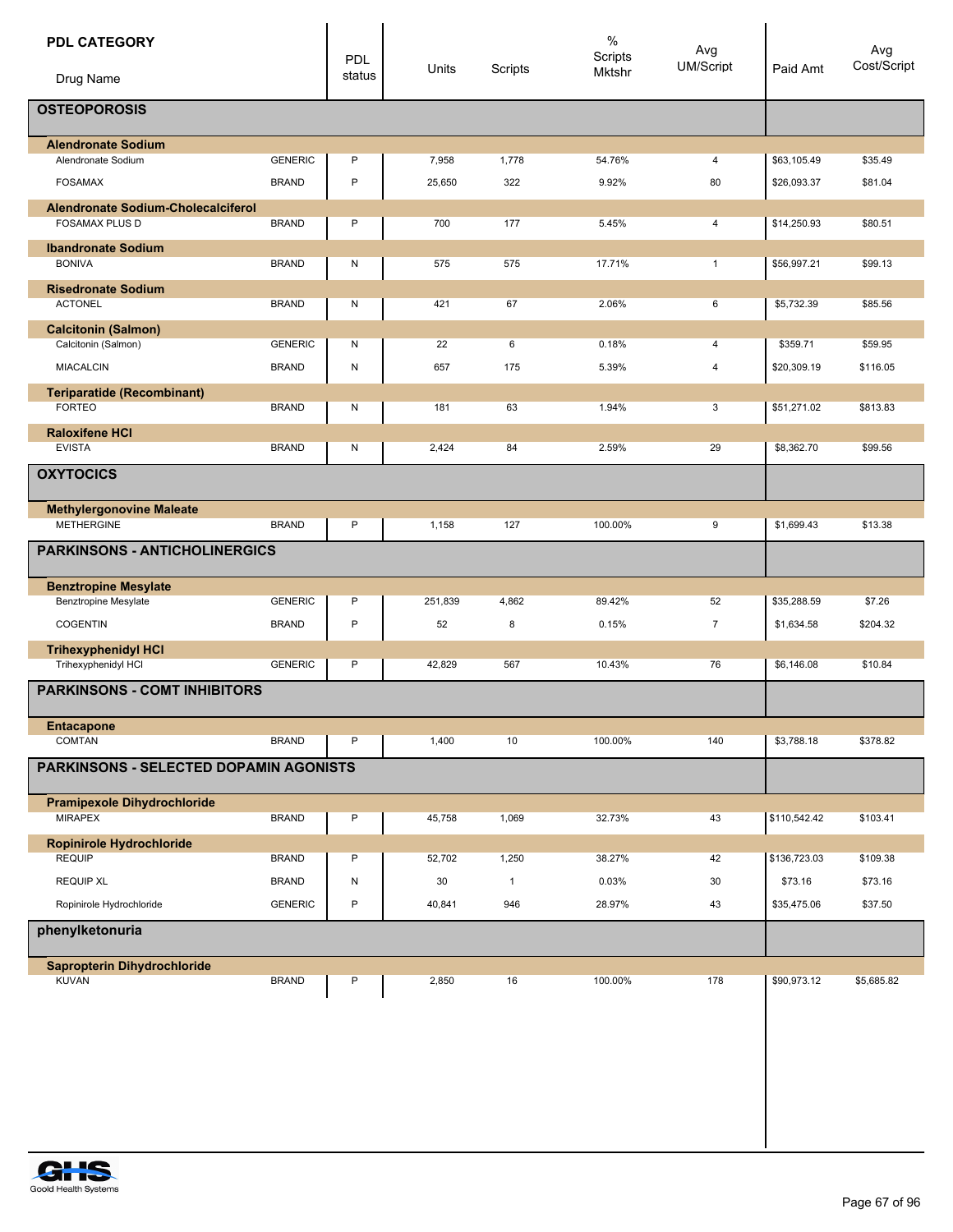| <b>PDL CATEGORY</b><br>Drug Name                                   |                | PDL<br>status | Units   | Scripts      | $\%$<br>Scripts<br>Mktshr | Avg<br><b>UM/Script</b> | Paid Amt     | Avg<br>Cost/Script |
|--------------------------------------------------------------------|----------------|---------------|---------|--------------|---------------------------|-------------------------|--------------|--------------------|
|                                                                    |                |               |         |              |                           |                         |              |                    |
| <b>OSTEOPOROSIS</b>                                                |                |               |         |              |                           |                         |              |                    |
| <b>Alendronate Sodium</b>                                          |                |               |         |              |                           |                         |              |                    |
| Alendronate Sodium                                                 | <b>GENERIC</b> | $\mathsf{P}$  | 7,958   | 1,778        | 54.76%                    | 4                       | \$63,105.49  | \$35.49            |
| <b>FOSAMAX</b>                                                     | <b>BRAND</b>   | $\mathsf{P}$  | 25,650  | 322          | 9.92%                     | 80                      | \$26,093.37  | \$81.04            |
| <b>Alendronate Sodium-Cholecalciferol</b><br><b>FOSAMAX PLUS D</b> | <b>BRAND</b>   | P             | 700     | 177          | 5.45%                     | 4                       | \$14,250.93  | \$80.51            |
| <b>Ibandronate Sodium</b>                                          |                |               |         |              |                           |                         |              |                    |
| <b>BONIVA</b>                                                      | <b>BRAND</b>   | N             | 575     | 575          | 17.71%                    | $\mathbf{1}$            | \$56,997.21  | \$99.13            |
| <b>Risedronate Sodium</b><br><b>ACTONEL</b>                        | <b>BRAND</b>   | N             | 421     | 67           | 2.06%                     | 6                       | \$5,732.39   | \$85.56            |
| <b>Calcitonin (Salmon)</b><br>Calcitonin (Salmon)                  | <b>GENERIC</b> | N             | 22      | 6            | 0.18%                     | 4                       | \$359.71     | \$59.95            |
|                                                                    |                |               |         |              |                           |                         |              |                    |
| <b>MIACALCIN</b>                                                   | <b>BRAND</b>   | ${\sf N}$     | 657     | 175          | 5.39%                     | 4                       | \$20,309.19  | \$116.05           |
| <b>Teriparatide (Recombinant)</b><br><b>FORTEO</b>                 | <b>BRAND</b>   | N             | 181     | 63           | 1.94%                     | 3                       | \$51,271.02  | \$813.83           |
|                                                                    |                |               |         |              |                           |                         |              |                    |
| <b>Raloxifene HCI</b><br><b>EVISTA</b>                             | <b>BRAND</b>   | N             | 2,424   | 84           | 2.59%                     | 29                      | \$8,362.70   | \$99.56            |
| <b>OXYTOCICS</b>                                                   |                |               |         |              |                           |                         |              |                    |
| <b>Methylergonovine Maleate</b>                                    |                |               |         |              |                           |                         |              |                    |
| <b>METHERGINE</b>                                                  | <b>BRAND</b>   | P             | 1,158   | 127          | 100.00%                   | 9                       | \$1,699.43   | \$13.38            |
| <b>PARKINSONS - ANTICHOLINERGICS</b>                               |                |               |         |              |                           |                         |              |                    |
| <b>Benztropine Mesylate</b>                                        |                |               |         |              |                           |                         |              |                    |
| <b>Benztropine Mesylate</b>                                        | <b>GENERIC</b> | P             | 251,839 | 4,862        | 89.42%                    | 52                      | \$35,288.59  | \$7.26             |
| <b>COGENTIN</b>                                                    | <b>BRAND</b>   | $\sf P$       | 52      | 8            | 0.15%                     | $\overline{7}$          | \$1,634.58   | \$204.32           |
| <b>Trihexyphenidyl HCI</b><br>Trihexyphenidyl HCI                  | <b>GENERIC</b> | P             | 42,829  | 567          | 10.43%                    | 76                      | \$6,146.08   | \$10.84            |
| <b>PARKINSONS - COMT INHIBITORS</b>                                |                |               |         |              |                           |                         |              |                    |
| <b>Entacapone</b><br>COMTAN                                        |                | P             |         |              |                           |                         | \$3,788.18   |                    |
|                                                                    | <b>BRAND</b>   |               | 1,400   | 10           | 100.00%                   | 140                     |              | \$378.82           |
| PARKINSONS - SELECTED DOPAMIN AGONISTS                             |                |               |         |              |                           |                         |              |                    |
| <b>Pramipexole Dihydrochloride</b><br><b>MIRAPEX</b>               | <b>BRAND</b>   | P             | 45,758  | 1,069        | 32.73%                    | 43                      | \$110,542.42 | \$103.41           |
| Ropinirole Hydrochloride                                           |                |               |         |              |                           |                         |              |                    |
| <b>REQUIP</b>                                                      | <b>BRAND</b>   | P             | 52,702  | 1,250        | 38.27%                    | 42                      | \$136,723.03 | \$109.38           |
| <b>REQUIP XL</b>                                                   | <b>BRAND</b>   | ${\sf N}$     | 30      | $\mathbf{1}$ | 0.03%                     | 30                      | \$73.16      | \$73.16            |
| Ropinirole Hydrochloride                                           | <b>GENERIC</b> | P             | 40,841  | 946          | 28.97%                    | 43                      | \$35,475.06  | \$37.50            |
| phenylketonuria                                                    |                |               |         |              |                           |                         |              |                    |
| <b>Sapropterin Dihydrochloride</b>                                 |                |               |         |              |                           |                         |              |                    |
| <b>KUVAN</b>                                                       | <b>BRAND</b>   | P             | 2,850   | 16           | 100.00%                   | 178                     | \$90,973.12  | \$5,685.82         |
|                                                                    |                |               |         |              |                           |                         |              |                    |

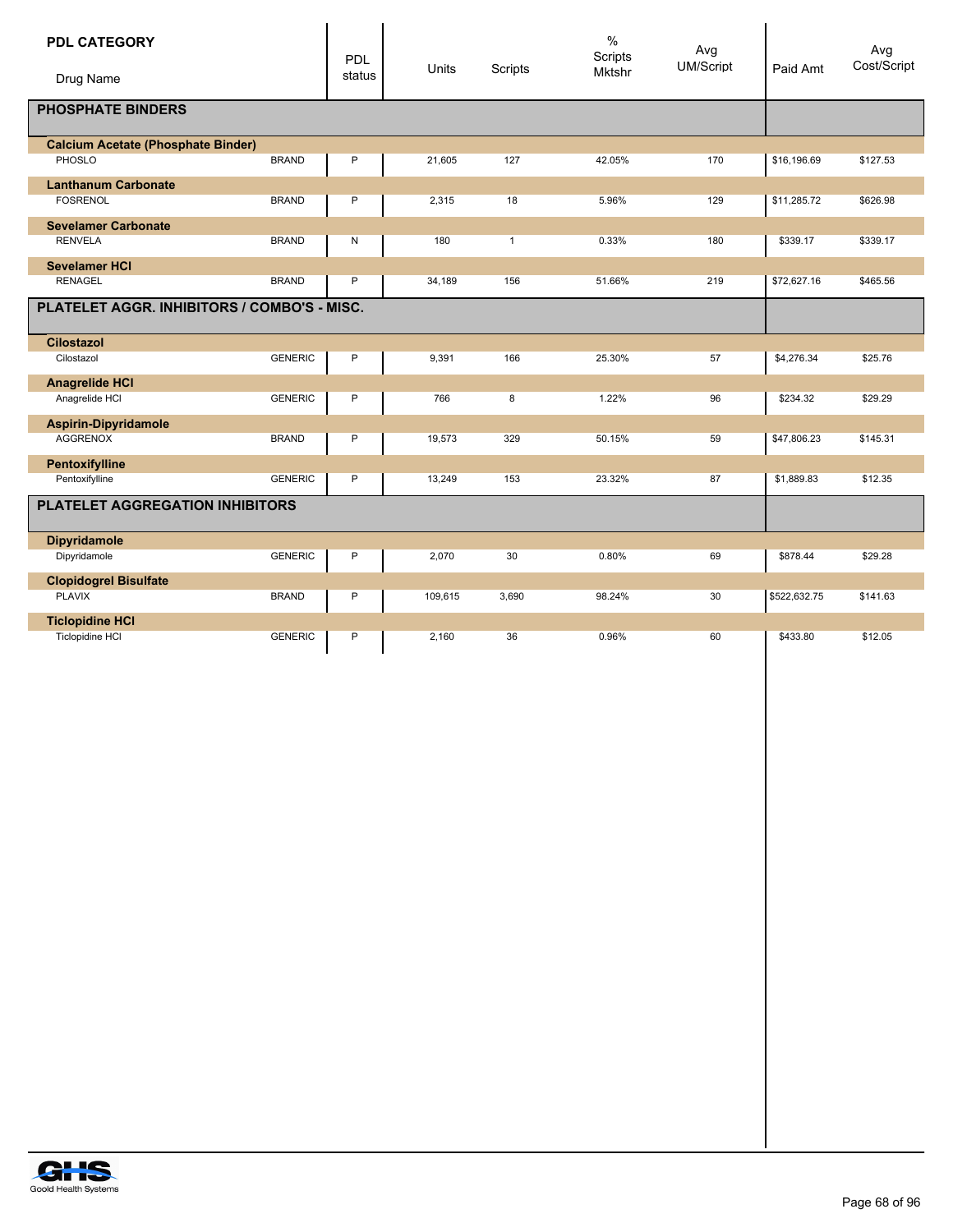| <b>PDL CATEGORY</b>                         |                | PDL    |         |              | $\%$<br>Scripts | Avg<br>UM/Script |              | Avg<br>Cost/Script |
|---------------------------------------------|----------------|--------|---------|--------------|-----------------|------------------|--------------|--------------------|
| Drug Name                                   |                | status | Units   | Scripts      | <b>Mktshr</b>   |                  | Paid Amt     |                    |
| <b>PHOSPHATE BINDERS</b>                    |                |        |         |              |                 |                  |              |                    |
| <b>Calcium Acetate (Phosphate Binder)</b>   |                |        |         |              |                 |                  |              |                    |
| PHOSLO                                      | <b>BRAND</b>   | P      | 21,605  | 127          | 42.05%          | 170              | \$16,196.69  | \$127.53           |
| <b>Lanthanum Carbonate</b>                  |                |        |         |              |                 |                  |              |                    |
| <b>FOSRENOL</b>                             | <b>BRAND</b>   | P      | 2,315   | 18           | 5.96%           | 129              | \$11,285.72  | \$626.98           |
| <b>Sevelamer Carbonate</b>                  |                |        |         |              |                 |                  |              |                    |
| <b>RENVELA</b>                              | <b>BRAND</b>   | N      | 180     | $\mathbf{1}$ | 0.33%           | 180              | \$339.17     | \$339.17           |
| <b>Sevelamer HCI</b>                        |                |        |         |              |                 |                  |              |                    |
| <b>RENAGEL</b>                              | <b>BRAND</b>   | P      | 34,189  | 156          | 51.66%          | 219              | \$72,627.16  | \$465.56           |
| PLATELET AGGR. INHIBITORS / COMBO'S - MISC. |                |        |         |              |                 |                  |              |                    |
| <b>Cilostazol</b>                           |                |        |         |              |                 |                  |              |                    |
| Cilostazol                                  | <b>GENERIC</b> | P      | 9,391   | 166          | 25.30%          | 57               | \$4,276.34   | \$25.76            |
| <b>Anagrelide HCI</b>                       |                |        |         |              |                 |                  |              |                    |
| Anagrelide HCI                              | <b>GENERIC</b> | P      | 766     | 8            | 1.22%           | 96               | \$234.32     | \$29.29            |
| <b>Aspirin-Dipyridamole</b>                 |                |        |         |              |                 |                  |              |                    |
| <b>AGGRENOX</b>                             | <b>BRAND</b>   | P      | 19,573  | 329          | 50.15%          | 59               | \$47,806.23  | \$145.31           |
| Pentoxifylline                              |                |        |         |              |                 |                  |              |                    |
| Pentoxifylline                              | <b>GENERIC</b> | P      | 13,249  | 153          | 23.32%          | 87               | \$1,889.83   | \$12.35            |
| PLATELET AGGREGATION INHIBITORS             |                |        |         |              |                 |                  |              |                    |
| <b>Dipyridamole</b>                         |                |        |         |              |                 |                  |              |                    |
| Dipyridamole                                | <b>GENERIC</b> | P      | 2,070   | 30           | 0.80%           | 69               | \$878.44     | \$29.28            |
| <b>Clopidogrel Bisulfate</b>                |                |        |         |              |                 |                  |              |                    |
| <b>PLAVIX</b>                               | <b>BRAND</b>   | P      | 109,615 | 3,690        | 98.24%          | 30               | \$522,632.75 | \$141.63           |
| <b>Ticlopidine HCI</b>                      |                |        |         |              |                 |                  |              |                    |
| Ticlopidine HCI                             | <b>GENERIC</b> | P      | 2,160   | 36           | 0.96%           | 60               | \$433.80     | \$12.05            |

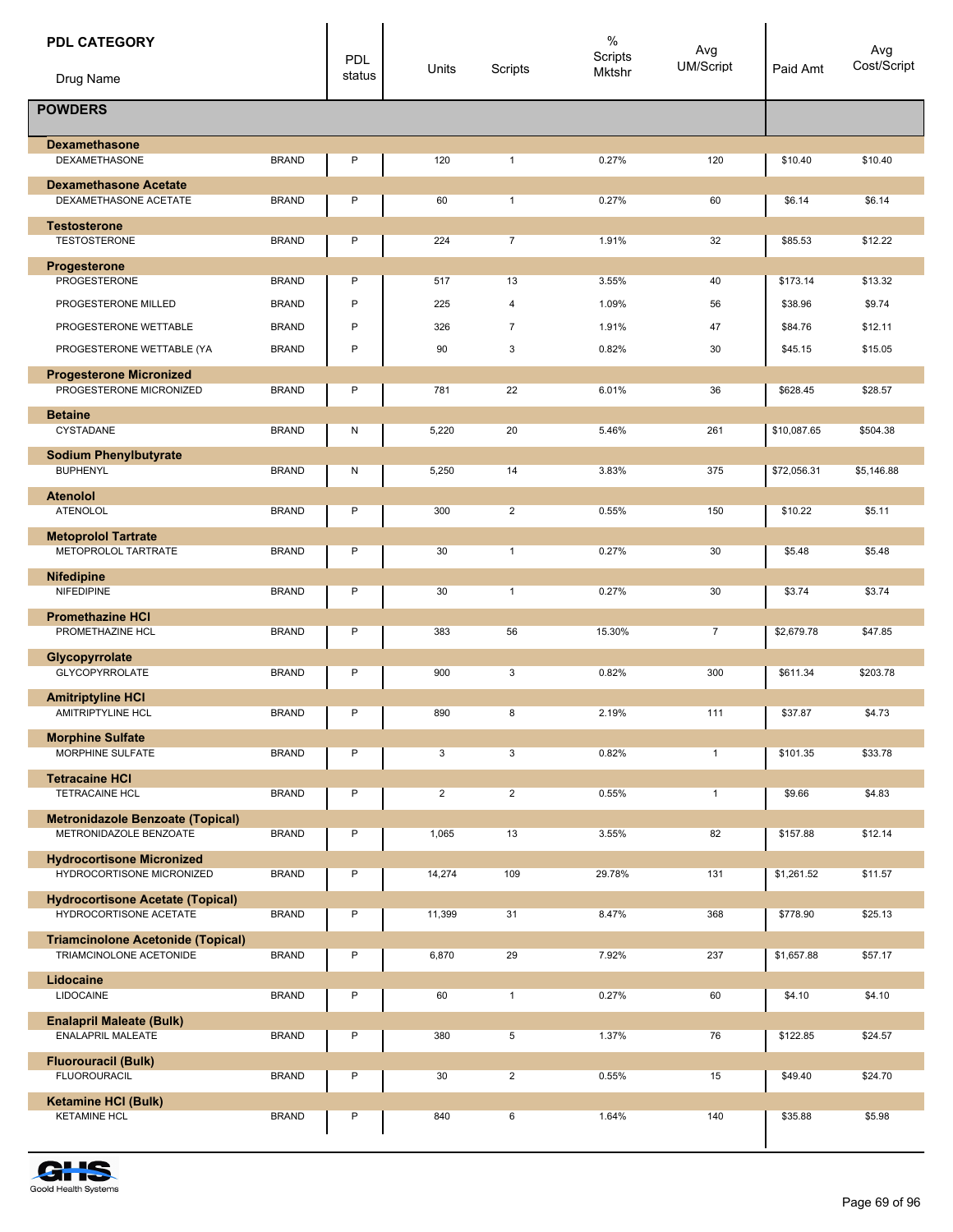| <b>PDL CATEGORY</b><br>Drug Name                                    |              | PDL<br>status | Units          | Scripts        | $\%$<br>Scripts<br>Mktshr | Avg<br><b>UM/Script</b> | Paid Amt    | Avg<br>Cost/Script |
|---------------------------------------------------------------------|--------------|---------------|----------------|----------------|---------------------------|-------------------------|-------------|--------------------|
| <b>POWDERS</b>                                                      |              |               |                |                |                           |                         |             |                    |
| <b>Dexamethasone</b><br><b>DEXAMETHASONE</b>                        | <b>BRAND</b> | P             | 120            | $\mathbf{1}$   | 0.27%                     | 120                     | \$10.40     | \$10.40            |
| <b>Dexamethasone Acetate</b>                                        |              |               |                |                |                           |                         |             |                    |
| DEXAMETHASONE ACETATE                                               | <b>BRAND</b> | P             | 60             | $\mathbf{1}$   | 0.27%                     | 60                      | \$6.14      | \$6.14             |
| <b>Testosterone</b>                                                 |              |               |                |                |                           |                         |             |                    |
| <b>TESTOSTERONE</b>                                                 | <b>BRAND</b> | P             | 224            | $\overline{7}$ | 1.91%                     | 32                      | \$85.53     | \$12.22            |
| Progesterone<br>PROGESTERONE                                        | <b>BRAND</b> | P             | 517            | 13             | 3.55%                     | 40                      | \$173.14    | \$13.32            |
| PROGESTERONE MILLED                                                 | <b>BRAND</b> | P             | 225            | 4              | 1.09%                     | 56                      | \$38.96     | \$9.74             |
| PROGESTERONE WETTABLE                                               | <b>BRAND</b> | P             | 326            | $\overline{7}$ | 1.91%                     | 47                      | \$84.76     | \$12.11            |
| PROGESTERONE WETTABLE (YA                                           | <b>BRAND</b> | P             | 90             | 3              | 0.82%                     | 30                      | \$45.15     | \$15.05            |
| <b>Progesterone Micronized</b>                                      |              |               |                |                |                           |                         |             |                    |
| PROGESTERONE MICRONIZED                                             | <b>BRAND</b> | P             | 781            | 22             | 6.01%                     | 36                      | \$628.45    | \$28.57            |
| <b>Betaine</b><br>CYSTADANE                                         | <b>BRAND</b> | ${\sf N}$     | 5,220          | 20             | 5.46%                     | 261                     | \$10,087.65 | \$504.38           |
|                                                                     |              |               |                |                |                           |                         |             |                    |
| <b>Sodium Phenylbutyrate</b><br><b>BUPHENYL</b>                     | <b>BRAND</b> | N             | 5,250          | 14             | 3.83%                     | 375                     | \$72,056.31 | \$5,146.88         |
| <b>Atenolol</b>                                                     |              |               |                |                |                           |                         |             |                    |
| ATENOLOL                                                            | <b>BRAND</b> | P             | 300            | $\overline{2}$ | 0.55%                     | 150                     | \$10.22     | \$5.11             |
| <b>Metoprolol Tartrate</b><br>METOPROLOL TARTRATE                   | <b>BRAND</b> | P             | 30             | $\mathbf{1}$   | 0.27%                     | 30                      | \$5.48      | \$5.48             |
| <b>Nifedipine</b>                                                   |              |               |                |                |                           |                         |             |                    |
| <b>NIFEDIPINE</b>                                                   | <b>BRAND</b> | P             | 30             | $\mathbf{1}$   | 0.27%                     | 30                      | \$3.74      | \$3.74             |
| <b>Promethazine HCI</b><br>PROMETHAZINE HCL                         | <b>BRAND</b> | P             | 383            | 56             | 15.30%                    | $\overline{7}$          | \$2,679.78  | \$47.85            |
| Glycopyrrolate<br><b>GLYCOPYRROLATE</b>                             | <b>BRAND</b> | P             | 900            | 3              | 0.82%                     | 300                     | \$611.34    | \$203.78           |
| <b>Amitriptyline HCI</b>                                            |              |               |                |                |                           |                         |             |                    |
| AMITRIPTYLINE HCL                                                   | <b>BRAND</b> | P             | 890            | 8              | 2.19%                     | 111                     | \$37.87     | \$4.73             |
| <b>Morphine Sulfate</b><br>MORPHINE SULFATE                         | <b>BRAND</b> | P             | 3              | 3              | 0.82%                     | $\mathbf{1}$            | \$101.35    | \$33.78            |
| <b>Tetracaine HCI</b>                                               |              |               |                |                |                           |                         |             |                    |
| <b>TETRACAINE HCL</b>                                               | <b>BRAND</b> | P             | $\overline{2}$ | $\overline{2}$ | 0.55%                     | $\mathbf{1}$            | \$9.66      | \$4.83             |
| <b>Metronidazole Benzoate (Topical)</b><br>METRONIDAZOLE BENZOATE   | <b>BRAND</b> | P             | 1,065          | 13             | 3.55%                     | 82                      | \$157.88    | \$12.14            |
| <b>Hydrocortisone Micronized</b>                                    |              |               |                |                |                           |                         |             |                    |
| HYDROCORTISONE MICRONIZED                                           | <b>BRAND</b> | P             | 14,274         | 109            | 29.78%                    | 131                     | \$1,261.52  | \$11.57            |
| <b>Hydrocortisone Acetate (Topical)</b>                             |              |               |                |                |                           |                         |             |                    |
| HYDROCORTISONE ACETATE                                              | <b>BRAND</b> | P             | 11,399         | 31             | 8.47%                     | 368                     | \$778.90    | \$25.13            |
| <b>Triamcinolone Acetonide (Topical)</b><br>TRIAMCINOLONE ACETONIDE | <b>BRAND</b> | P             | 6,870          | 29             | 7.92%                     | 237                     | \$1,657.88  | \$57.17            |
| Lidocaine<br><b>LIDOCAINE</b>                                       | <b>BRAND</b> | P             | 60             | $\mathbf{1}$   | 0.27%                     | 60                      | \$4.10      | \$4.10             |
| <b>Enalapril Maleate (Bulk)</b>                                     |              |               |                |                |                           |                         |             |                    |
| ENALAPRIL MALEATE                                                   | <b>BRAND</b> | P             | 380            | 5              | 1.37%                     | 76                      | \$122.85    | \$24.57            |
| <b>Fluorouracil (Bulk)</b>                                          |              |               |                |                |                           |                         |             |                    |
| <b>FLUOROURACIL</b>                                                 | <b>BRAND</b> | P             | 30             | $\overline{2}$ | 0.55%                     | 15                      | \$49.40     | \$24.70            |
| <b>Ketamine HCI (Bulk)</b>                                          |              |               |                |                |                           |                         |             |                    |
| <b>KETAMINE HCL</b>                                                 | <b>BRAND</b> | P             | 840            | 6              | 1.64%                     | 140                     | \$35.88     | \$5.98             |

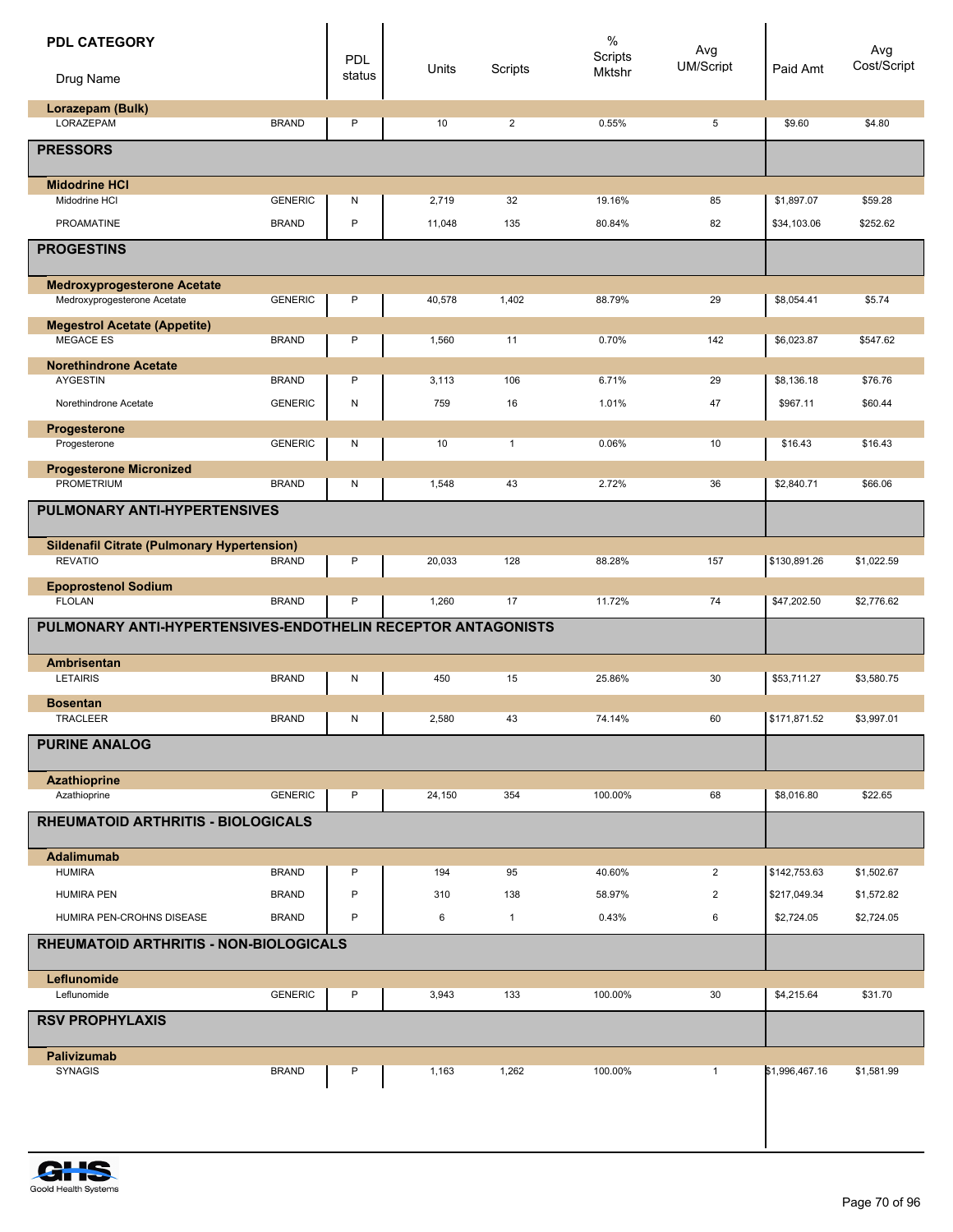| <b>PDL CATEGORY</b>                                                  |                | <b>PDL</b><br>status | Units  | Scripts        | $\%$<br><b>Scripts</b><br>Mktshr | Avg<br>UM/Script | Paid Amt       | Avg<br>Cost/Script |
|----------------------------------------------------------------------|----------------|----------------------|--------|----------------|----------------------------------|------------------|----------------|--------------------|
| Drug Name                                                            |                |                      |        |                |                                  |                  |                |                    |
| Lorazepam (Bulk)<br>LORAZEPAM                                        | <b>BRAND</b>   | $\mathsf{P}$         | 10     | $\overline{2}$ | 0.55%                            | 5                | \$9.60         | \$4.80             |
| <b>PRESSORS</b>                                                      |                |                      |        |                |                                  |                  |                |                    |
| <b>Midodrine HCI</b>                                                 |                |                      |        |                |                                  |                  |                |                    |
| Midodrine HCI                                                        | <b>GENERIC</b> | N                    | 2,719  | 32             | 19.16%                           | 85               | \$1,897.07     | \$59.28            |
| <b>PROAMATINE</b>                                                    | <b>BRAND</b>   | P                    | 11,048 | 135            | 80.84%                           | 82               | \$34,103.06    | \$252.62           |
| <b>PROGESTINS</b>                                                    |                |                      |        |                |                                  |                  |                |                    |
| <b>Medroxyprogesterone Acetate</b><br>Medroxyprogesterone Acetate    | <b>GENERIC</b> | P                    | 40,578 | 1,402          | 88.79%                           | 29               | \$8,054.41     | \$5.74             |
| <b>Megestrol Acetate (Appetite)</b><br><b>MEGACE ES</b>              | <b>BRAND</b>   | P                    | 1,560  | 11             | 0.70%                            | 142              | \$6,023.87     | \$547.62           |
| <b>Norethindrone Acetate</b>                                         |                |                      |        |                |                                  |                  |                |                    |
| <b>AYGESTIN</b>                                                      | <b>BRAND</b>   | P                    | 3,113  | 106            | 6.71%                            | 29               | \$8,136.18     | \$76.76            |
| Norethindrone Acetate                                                | <b>GENERIC</b> | N                    | 759    | 16             | 1.01%                            | 47               | \$967.11       | \$60.44            |
| Progesterone                                                         |                |                      |        |                |                                  |                  |                |                    |
| Progesterone                                                         | <b>GENERIC</b> | Ν                    | 10     | $\mathbf{1}$   | 0.06%                            | 10               | \$16.43        | \$16.43            |
| <b>Progesterone Micronized</b><br>PROMETRIUM                         | <b>BRAND</b>   | N                    | 1,548  | 43             | 2.72%                            | 36               | \$2,840.71     | \$66.06            |
| PULMONARY ANTI-HYPERTENSIVES                                         |                |                      |        |                |                                  |                  |                |                    |
| <b>Sildenafil Citrate (Pulmonary Hypertension)</b><br><b>REVATIO</b> | <b>BRAND</b>   | P                    | 20,033 | 128            | 88.28%                           | 157              | \$130,891.26   | \$1,022.59         |
| <b>Epoprostenol Sodium</b>                                           |                |                      |        |                |                                  |                  |                |                    |
| <b>FLOLAN</b>                                                        | <b>BRAND</b>   | P                    | 1,260  | 17             | 11.72%                           | 74               | \$47,202.50    | \$2,776.62         |
| PULMONARY ANTI-HYPERTENSIVES-ENDOTHELIN RECEPTOR ANTAGONISTS         |                |                      |        |                |                                  |                  |                |                    |
| Ambrisentan                                                          |                |                      |        |                |                                  |                  |                |                    |
| <b>LETAIRIS</b>                                                      | <b>BRAND</b>   | Ν                    | 450    | 15             | 25.86%                           | 30               | \$53,711.27    | \$3,580.75         |
| <b>Bosentan</b><br><b>TRACLEER</b>                                   | <b>BRAND</b>   | N                    | 2,580  | 43             | 74.14%                           | 60               | \$171,871.52   | \$3,997.01         |
| <b>PURINE ANALOG</b>                                                 |                |                      |        |                |                                  |                  |                |                    |
|                                                                      |                |                      |        |                |                                  |                  |                |                    |
| Azathioprine<br>Azathioprine                                         | <b>GENERIC</b> | P                    | 24,150 | 354            | 100.00%                          | 68               | \$8,016.80     | \$22.65            |
| <b>RHEUMATOID ARTHRITIS - BIOLOGICALS</b>                            |                |                      |        |                |                                  |                  |                |                    |
|                                                                      |                |                      |        |                |                                  |                  |                |                    |
| <b>Adalimumab</b><br><b>HUMIRA</b>                                   | <b>BRAND</b>   | P                    | 194    | 95             | 40.60%                           | $\overline{2}$   | \$142,753.63   | \$1,502.67         |
| <b>HUMIRA PEN</b>                                                    | <b>BRAND</b>   | P                    | 310    | 138            | 58.97%                           | $\overline{2}$   | \$217,049.34   | \$1,572.82         |
| HUMIRA PEN-CROHNS DISEASE                                            | <b>BRAND</b>   | P                    | 6      | $\mathbf{1}$   | 0.43%                            | 6                | \$2,724.05     | \$2,724.05         |
| RHEUMATOID ARTHRITIS - NON-BIOLOGICALS                               |                |                      |        |                |                                  |                  |                |                    |
|                                                                      |                |                      |        |                |                                  |                  |                |                    |
| Leflunomide<br>Leflunomide                                           | <b>GENERIC</b> | P                    | 3,943  | 133            | 100.00%                          | 30               | \$4,215.64     | \$31.70            |
| <b>RSV PROPHYLAXIS</b>                                               |                |                      |        |                |                                  |                  |                |                    |
|                                                                      |                |                      |        |                |                                  |                  |                |                    |
| Palivizumab<br><b>SYNAGIS</b>                                        | <b>BRAND</b>   | P                    | 1,163  | 1,262          | 100.00%                          | $\mathbf{1}$     | \$1,996,467.16 | \$1,581.99         |
|                                                                      |                |                      |        |                |                                  |                  |                |                    |
|                                                                      |                |                      |        |                |                                  |                  |                |                    |
|                                                                      |                |                      |        |                |                                  |                  |                |                    |

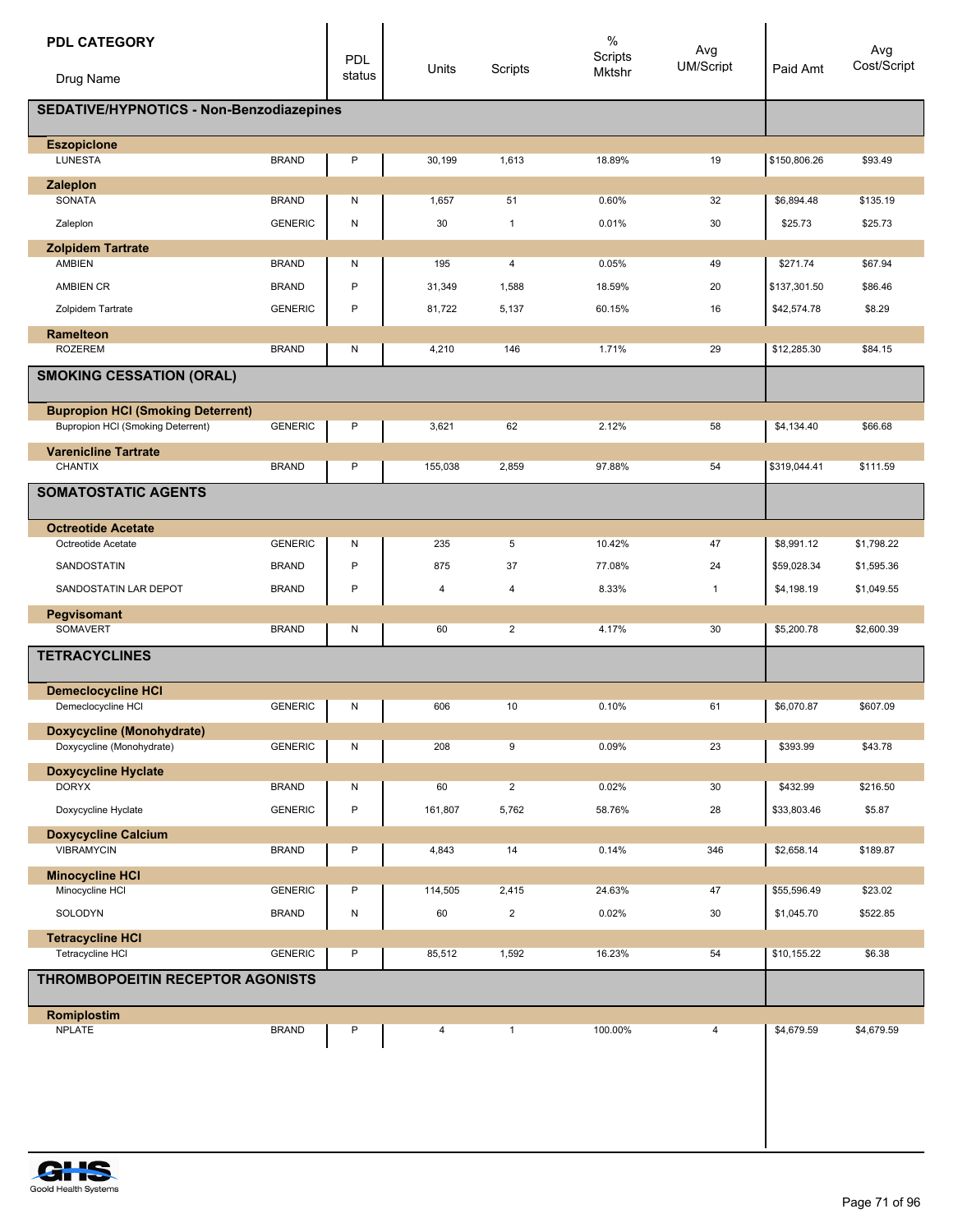| <b>PDL CATEGORY</b><br>Drug Name                              |                | PDL<br>status | Units   | Scripts        | $\%$<br>Scripts<br>Mktshr | Avg<br><b>UM/Script</b> | Paid Amt     | Avg<br>Cost/Script |
|---------------------------------------------------------------|----------------|---------------|---------|----------------|---------------------------|-------------------------|--------------|--------------------|
| SEDATIVE/HYPNOTICS - Non-Benzodiazepines                      |                |               |         |                |                           |                         |              |                    |
| <b>Eszopicione</b>                                            |                |               |         |                |                           |                         |              |                    |
| <b>LUNESTA</b>                                                | <b>BRAND</b>   | P             | 30,199  | 1,613          | 18.89%                    | 19                      | \$150,806.26 | \$93.49            |
| Zaleplon                                                      |                |               |         |                |                           |                         |              |                    |
| SONATA                                                        | <b>BRAND</b>   | N             | 1,657   | 51             | 0.60%                     | 32                      | \$6,894.48   | \$135.19           |
| Zaleplon                                                      | <b>GENERIC</b> | ${\sf N}$     | 30      | $\mathbf{1}$   | 0.01%                     | 30                      | \$25.73      | \$25.73            |
| <b>Zolpidem Tartrate</b>                                      |                |               |         |                |                           |                         |              |                    |
| <b>AMBIEN</b>                                                 | <b>BRAND</b>   | Ν             | 195     | 4              | 0.05%                     | 49                      | \$271.74     | \$67.94            |
| <b>AMBIEN CR</b>                                              | <b>BRAND</b>   | P             | 31,349  | 1,588          | 18.59%                    | 20                      | \$137,301.50 | \$86.46            |
| Zolpidem Tartrate                                             | <b>GENERIC</b> | P             | 81,722  | 5,137          | 60.15%                    | 16                      | \$42,574.78  | \$8.29             |
| <b>Ramelteon</b>                                              |                |               |         |                |                           |                         |              |                    |
| <b>ROZEREM</b>                                                | <b>BRAND</b>   | N             | 4,210   | 146            | 1.71%                     | 29                      | \$12,285.30  | \$84.15            |
| <b>SMOKING CESSATION (ORAL)</b>                               |                |               |         |                |                           |                         |              |                    |
| <b>Bupropion HCI (Smoking Deterrent)</b>                      |                |               |         |                |                           |                         |              |                    |
| <b>Bupropion HCI (Smoking Deterrent)</b>                      | <b>GENERIC</b> | P             | 3,621   | 62             | 2.12%                     | 58                      | \$4,134.40   | \$66.68            |
| <b>Varenicline Tartrate</b><br><b>CHANTIX</b>                 | <b>BRAND</b>   | P             | 155,038 | 2,859          | 97.88%                    | 54                      | \$319,044.41 | \$111.59           |
| <b>SOMATOSTATIC AGENTS</b>                                    |                |               |         |                |                           |                         |              |                    |
|                                                               |                |               |         |                |                           |                         |              |                    |
| <b>Octreotide Acetate</b><br>Octreotide Acetate               | <b>GENERIC</b> | Ν             | 235     | 5              | 10.42%                    | 47                      | \$8,991.12   | \$1,798.22         |
| SANDOSTATIN                                                   | <b>BRAND</b>   | P             | 875     | 37             | 77.08%                    | 24                      | \$59,028.34  | \$1,595.36         |
| SANDOSTATIN LAR DEPOT                                         | <b>BRAND</b>   | P             | 4       | 4              | 8.33%                     | $\mathbf{1}$            | \$4,198.19   | \$1,049.55         |
|                                                               |                |               |         |                |                           |                         |              |                    |
| Pegvisomant<br>SOMAVERT                                       | <b>BRAND</b>   | Ν             | 60      | $\overline{2}$ | 4.17%                     | 30                      | \$5,200.78   | \$2,600.39         |
| <b>TETRACYCLINES</b>                                          |                |               |         |                |                           |                         |              |                    |
|                                                               |                |               |         |                |                           |                         |              |                    |
| <b>Demeclocycline HCI</b><br>Demeclocycline HCI               | <b>GENERIC</b> | Ν             | 606     | 10             | 0.10%                     | 61                      | \$6,070.87   | \$607.09           |
|                                                               |                |               |         |                |                           |                         |              |                    |
| <b>Doxycycline (Monohydrate)</b><br>Doxycycline (Monohydrate) | <b>GENERIC</b> | Ν             | 208     | 9              | 0.09%                     | 23                      | \$393.99     | \$43.78            |
| <b>Doxycycline Hyclate</b>                                    |                |               |         |                |                           |                         |              |                    |
| <b>DORYX</b>                                                  | <b>BRAND</b>   | Ν             | 60      | $\overline{2}$ | 0.02%                     | 30                      | \$432.99     | \$216.50           |
| Doxycycline Hyclate                                           | <b>GENERIC</b> | P             | 161,807 | 5,762          | 58.76%                    | 28                      | \$33,803.46  | \$5.87             |
| <b>Doxycycline Calcium</b>                                    |                |               |         |                |                           |                         |              |                    |
| <b>VIBRAMYCIN</b>                                             | <b>BRAND</b>   | P             | 4,843   | 14             | 0.14%                     | 346                     | \$2,658.14   | \$189.87           |
| <b>Minocycline HCI</b>                                        |                |               |         |                |                           |                         |              |                    |
| Minocycline HCI                                               | <b>GENERIC</b> | P             | 114,505 | 2,415          | 24.63%                    | 47                      | \$55,596.49  | \$23.02            |
| SOLODYN                                                       | <b>BRAND</b>   | ${\sf N}$     | 60      | $\overline{2}$ | 0.02%                     | 30                      | \$1,045.70   | \$522.85           |
| <b>Tetracycline HCI</b>                                       |                |               |         |                |                           |                         |              |                    |
| Tetracycline HCI                                              | <b>GENERIC</b> | P             | 85,512  | 1,592          | 16.23%                    | 54                      | \$10,155.22  | \$6.38             |
| THROMBOPOEITIN RECEPTOR AGONISTS                              |                |               |         |                |                           |                         |              |                    |
| Romiplostim                                                   |                |               |         |                |                           |                         |              |                    |
| <b>NPLATE</b>                                                 | <b>BRAND</b>   | P             | 4       | $\mathbf{1}$   | 100.00%                   | 4                       | \$4,679.59   | \$4,679.59         |
|                                                               |                |               |         |                |                           |                         |              |                    |
|                                                               |                |               |         |                |                           |                         |              |                    |
|                                                               |                |               |         |                |                           |                         |              |                    |

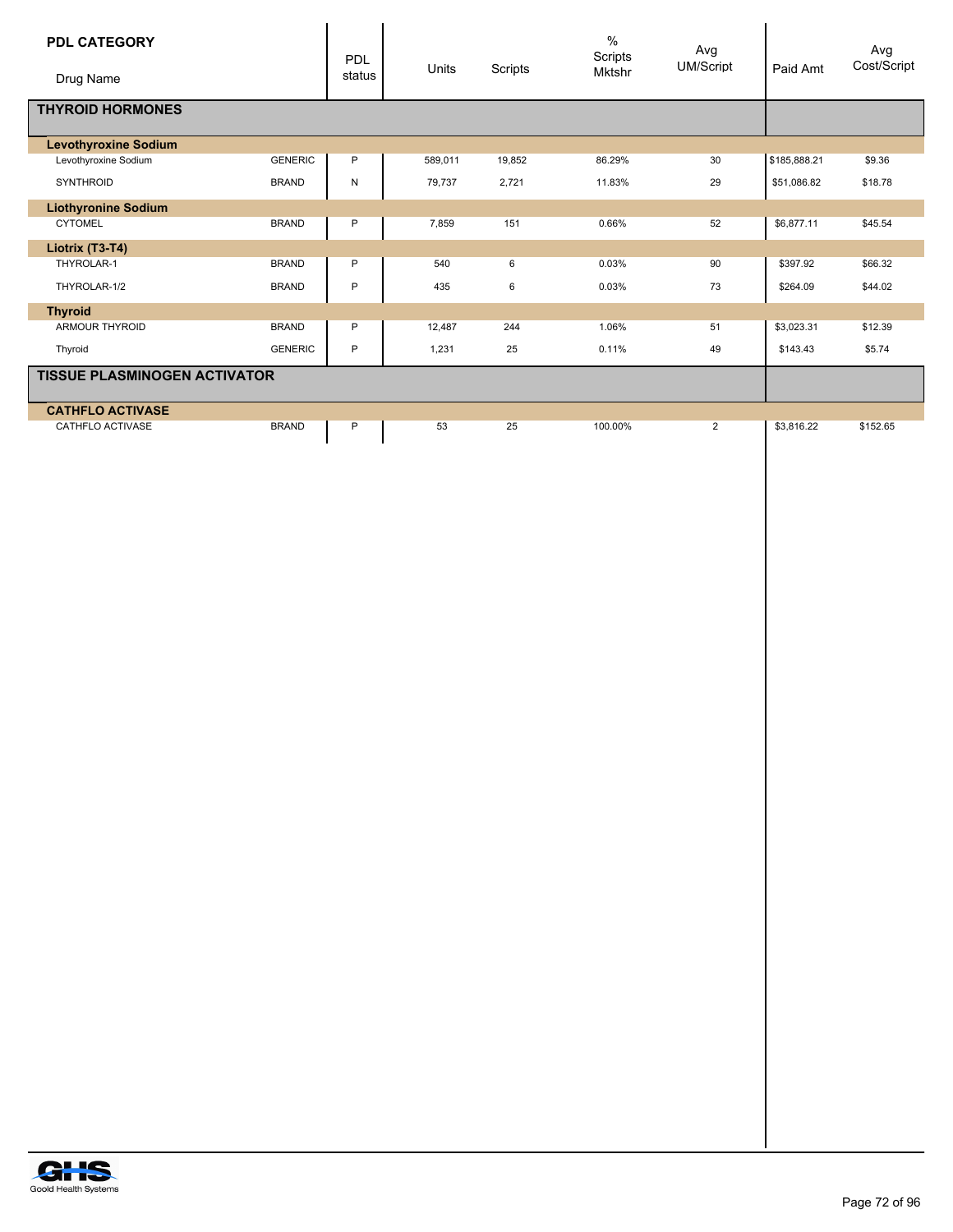| <b>PDL CATEGORY</b><br>Drug Name    |                | PDL<br>status | Units   | Scripts | $\frac{0}{0}$<br>Scripts<br><b>Mktshr</b> | Avg<br><b>UM/Script</b> | Paid Amt     | Avg<br>Cost/Script |
|-------------------------------------|----------------|---------------|---------|---------|-------------------------------------------|-------------------------|--------------|--------------------|
| <b>THYROID HORMONES</b>             |                |               |         |         |                                           |                         |              |                    |
| <b>Levothyroxine Sodium</b>         |                |               |         |         |                                           |                         |              |                    |
| Levothyroxine Sodium                | <b>GENERIC</b> | P             | 589,011 | 19,852  | 86.29%                                    | 30                      | \$185,888.21 | \$9.36             |
| <b>SYNTHROID</b>                    | <b>BRAND</b>   | N             | 79,737  | 2,721   | 11.83%                                    | 29                      | \$51,086.82  | \$18.78            |
| <b>Liothyronine Sodium</b>          |                |               |         |         |                                           |                         |              |                    |
| <b>CYTOMEL</b>                      | <b>BRAND</b>   | P             | 7,859   | 151     | 0.66%                                     | 52                      | \$6.877.11   | \$45.54            |
| Liotrix (T3-T4)                     |                |               |         |         |                                           |                         |              |                    |
| THYROLAR-1                          | <b>BRAND</b>   | P             | 540     | 6       | 0.03%                                     | 90                      | \$397.92     | \$66.32            |
| THYROLAR-1/2                        | <b>BRAND</b>   | P             | 435     | 6       | 0.03%                                     | 73                      | \$264.09     | \$44.02            |
| <b>Thyroid</b>                      |                |               |         |         |                                           |                         |              |                    |
| <b>ARMOUR THYROID</b>               | <b>BRAND</b>   | P             | 12,487  | 244     | 1.06%                                     | 51                      | \$3,023.31   | \$12.39            |
| Thyroid                             | <b>GENERIC</b> | P             | 1,231   | 25      | 0.11%                                     | 49                      | \$143.43     | \$5.74             |
| <b>TISSUE PLASMINOGEN ACTIVATOR</b> |                |               |         |         |                                           |                         |              |                    |
| <b>CATHFLO ACTIVASE</b>             |                |               |         |         |                                           |                         |              |                    |
| <b>CATHFLO ACTIVASE</b>             | <b>BRAND</b>   | P             | 53      | 25      | 100.00%                                   | $\overline{2}$          | \$3,816.22   | \$152.65           |

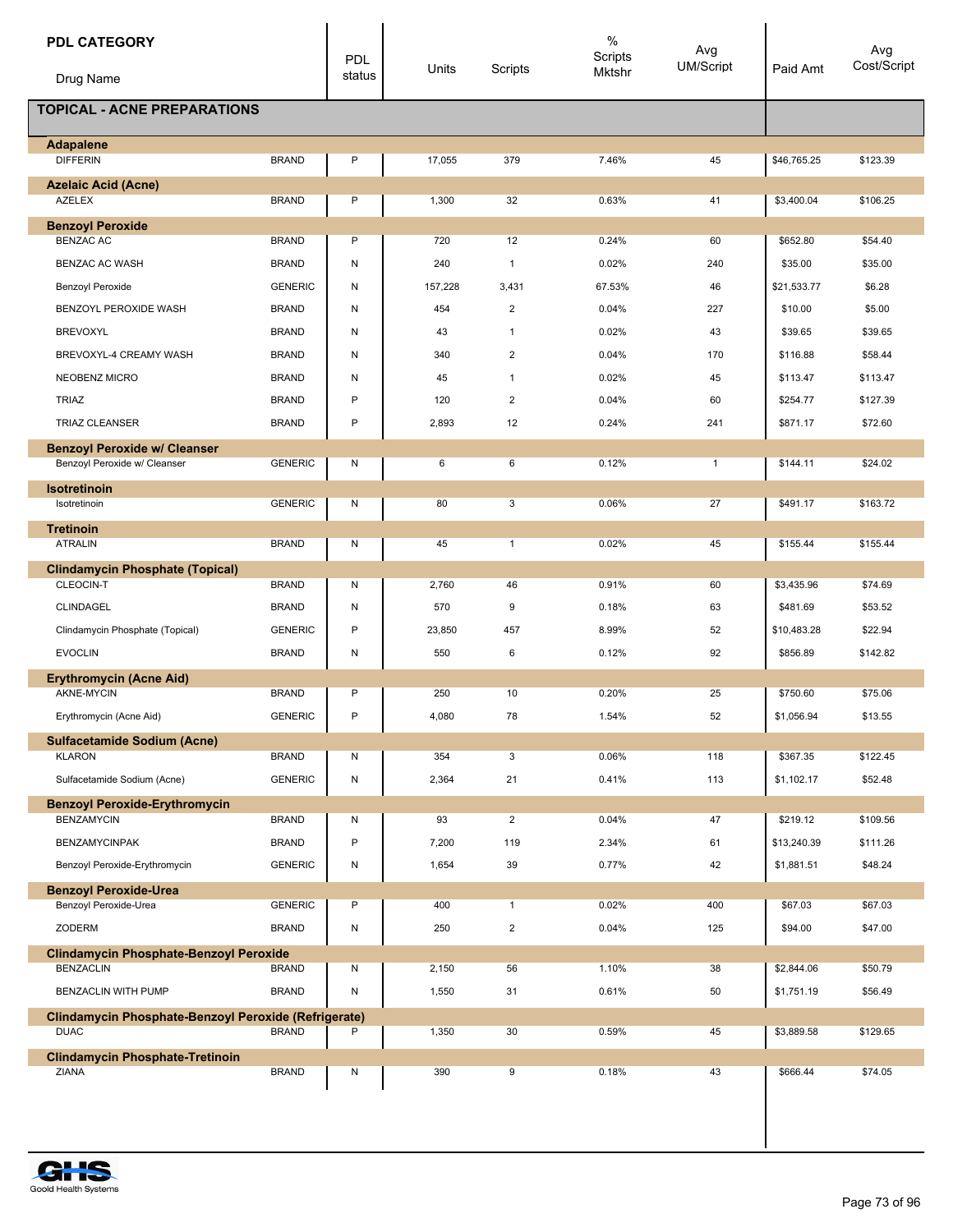| <b>PDL CATEGORY</b><br>Drug Name                     |                | <b>PDL</b><br>status | Units   | Scripts        | $\%$<br>Scripts<br>Mktshr | Avg<br>UM/Script | Paid Amt    | Avg<br>Cost/Script |
|------------------------------------------------------|----------------|----------------------|---------|----------------|---------------------------|------------------|-------------|--------------------|
| <b>TOPICAL - ACNE PREPARATIONS</b>                   |                |                      |         |                |                           |                  |             |                    |
|                                                      |                |                      |         |                |                           |                  |             |                    |
| <b>Adapalene</b><br><b>DIFFERIN</b>                  | <b>BRAND</b>   | P                    | 17,055  | 379            | 7.46%                     | 45               | \$46,765.25 | \$123.39           |
|                                                      |                |                      |         |                |                           |                  |             |                    |
| <b>Azelaic Acid (Acne)</b><br><b>AZELEX</b>          | <b>BRAND</b>   | P                    | 1,300   | 32             | 0.63%                     | 41               | \$3,400.04  | \$106.25           |
| <b>Benzoyl Peroxide</b>                              |                |                      |         |                |                           |                  |             |                    |
| <b>BENZAC AC</b>                                     | <b>BRAND</b>   | P                    | 720     | 12             | 0.24%                     | 60               | \$652.80    | \$54.40            |
| BENZAC AC WASH                                       | <b>BRAND</b>   | N                    | 240     | $\mathbf{1}$   | 0.02%                     | 240              | \$35.00     | \$35.00            |
| Benzoyl Peroxide                                     | <b>GENERIC</b> | Ν                    | 157,228 | 3,431          | 67.53%                    | 46               | \$21,533.77 | \$6.28             |
| BENZOYL PEROXIDE WASH                                | <b>BRAND</b>   | Ν                    | 454     | $\overline{2}$ | 0.04%                     | 227              | \$10.00     | \$5.00             |
| <b>BREVOXYL</b>                                      | <b>BRAND</b>   | Ν                    | 43      | $\mathbf{1}$   | 0.02%                     | 43               | \$39.65     | \$39.65            |
| BREVOXYL-4 CREAMY WASH                               | <b>BRAND</b>   | Ν                    | 340     | $\overline{2}$ | 0.04%                     | 170              | \$116.88    | \$58.44            |
| NEOBENZ MICRO                                        | <b>BRAND</b>   | Ν                    | 45      | $\mathbf{1}$   | 0.02%                     | 45               | \$113.47    | \$113.47           |
| <b>TRIAZ</b>                                         | <b>BRAND</b>   | P                    | 120     | 2              | 0.04%                     | 60               | \$254.77    | \$127.39           |
| <b>TRIAZ CLEANSER</b>                                | <b>BRAND</b>   | P                    | 2,893   | 12             | 0.24%                     | 241              | \$871.17    | \$72.60            |
| <b>Benzoyl Peroxide w/ Cleanser</b>                  |                |                      |         |                |                           |                  |             |                    |
| Benzoyl Peroxide w/ Cleanser                         | <b>GENERIC</b> | N                    | 6       | 6              | 0.12%                     | $\mathbf{1}$     | \$144.11    | \$24.02            |
| <b>Isotretinoin</b>                                  |                |                      |         |                |                           |                  |             |                    |
| Isotretinoin                                         | <b>GENERIC</b> | Ν                    | 80      | 3              | 0.06%                     | 27               | \$491.17    | \$163.72           |
| <b>Tretinoin</b>                                     |                |                      |         |                |                           |                  |             |                    |
| <b>ATRALIN</b>                                       | <b>BRAND</b>   | Ν                    | 45      | $\mathbf{1}$   | 0.02%                     | 45               | \$155.44    | \$155.44           |
| <b>Clindamycin Phosphate (Topical)</b><br>CLEOCIN-T  | <b>BRAND</b>   | Ν                    | 2,760   | 46             | 0.91%                     | 60               | \$3,435.96  | \$74.69            |
| CLINDAGEL                                            | <b>BRAND</b>   | Ν                    | 570     | 9              | 0.18%                     | 63               | \$481.69    | \$53.52            |
|                                                      |                | P                    |         | 457            |                           | 52               |             | \$22.94            |
| Clindamycin Phosphate (Topical)                      | <b>GENERIC</b> |                      | 23,850  |                | 8.99%                     |                  | \$10,483.28 |                    |
| <b>EVOCLIN</b>                                       | <b>BRAND</b>   | Ν                    | 550     | 6              | 0.12%                     | 92               | \$856.89    | \$142.82           |
| <b>Erythromycin (Acne Aid)</b><br>AKNE-MYCIN         | <b>BRAND</b>   | P                    | 250     | 10             | 0.20%                     | 25               | \$750.60    | \$75.06            |
| Erythromycin (Acne Aid)                              | <b>GENERIC</b> | P                    | 4,080   | 78             | 1.54%                     | 52               | \$1,056.94  | \$13.55            |
|                                                      |                |                      |         |                |                           |                  |             |                    |
| <b>Sulfacetamide Sodium (Acne)</b><br><b>KLARON</b>  | <b>BRAND</b>   | Ν                    | 354     | 3              | 0.06%                     | 118              | \$367.35    | \$122.45           |
| Sulfacetamide Sodium (Acne)                          | <b>GENERIC</b> | N                    | 2,364   | 21             | 0.41%                     | 113              | \$1,102.17  | \$52.48            |
| <b>Benzoyl Peroxide-Erythromycin</b>                 |                |                      |         |                |                           |                  |             |                    |
| <b>BENZAMYCIN</b>                                    | <b>BRAND</b>   | Ν                    | 93      | $\overline{2}$ | 0.04%                     | 47               | \$219.12    | \$109.56           |
| <b>BENZAMYCINPAK</b>                                 | <b>BRAND</b>   | P                    | 7,200   | 119            | 2.34%                     | 61               | \$13,240.39 | \$111.26           |
| Benzoyl Peroxide-Erythromycin                        | <b>GENERIC</b> | N                    | 1,654   | 39             | 0.77%                     | 42               | \$1,881.51  | \$48.24            |
| <b>Benzoyl Peroxide-Urea</b>                         |                |                      |         |                |                           |                  |             |                    |
| Benzoyl Peroxide-Urea                                | <b>GENERIC</b> | P                    | 400     | $\mathbf{1}$   | 0.02%                     | 400              | \$67.03     | \$67.03            |
| ZODERM                                               | <b>BRAND</b>   | N                    | 250     | $\overline{2}$ | 0.04%                     | 125              | \$94.00     | \$47.00            |
| <b>Clindamycin Phosphate-Benzoyl Peroxide</b>        |                |                      |         |                |                           |                  |             |                    |
| <b>BENZACLIN</b>                                     | <b>BRAND</b>   | Ν                    | 2,150   | 56             | 1.10%                     | 38               | \$2,844.06  | \$50.79            |
| BENZACLIN WITH PUMP                                  | <b>BRAND</b>   | N                    | 1,550   | 31             | 0.61%                     | 50               | \$1,751.19  | \$56.49            |
| Clindamycin Phosphate-Benzoyl Peroxide (Refrigerate) |                |                      |         |                |                           |                  |             |                    |
| <b>DUAC</b>                                          | <b>BRAND</b>   | Ρ                    | 1,350   | 30             | 0.59%                     | 45               | \$3,889.58  | \$129.65           |
| <b>Clindamycin Phosphate-Tretinoin</b><br>ZIANA      | <b>BRAND</b>   | Ν                    | 390     | 9              | 0.18%                     | 43               | \$666.44    | \$74.05            |
|                                                      |                |                      |         |                |                           |                  |             |                    |
|                                                      |                |                      |         |                |                           |                  |             |                    |

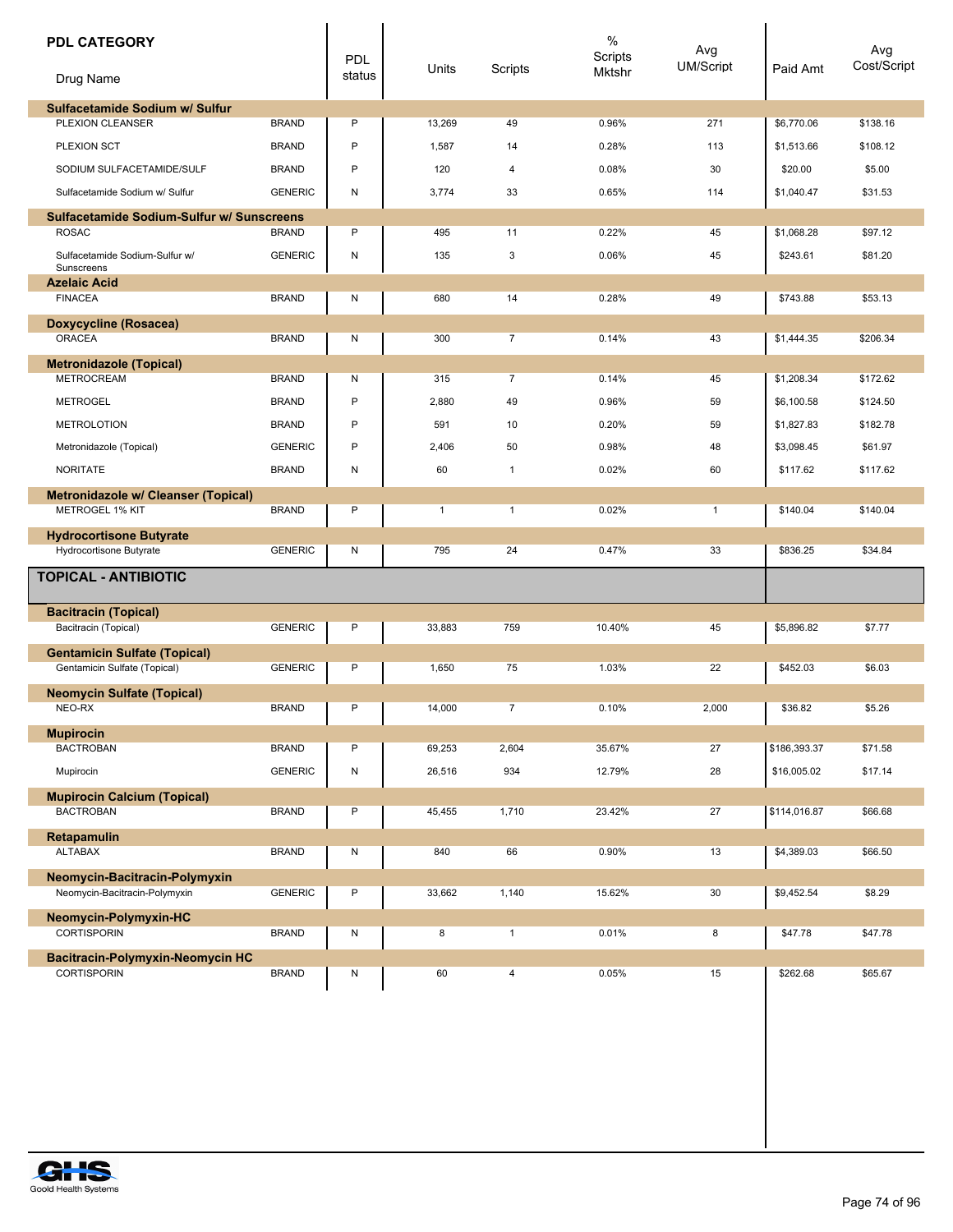| <b>PDL CATEGORY</b><br>Drug Name                                     |                | <b>PDL</b><br>status | Units        | Scripts        | $\%$<br>Scripts<br>Mktshr | Avg<br><b>UM/Script</b> | Paid Amt     | Avg<br>Cost/Script |
|----------------------------------------------------------------------|----------------|----------------------|--------------|----------------|---------------------------|-------------------------|--------------|--------------------|
| Sulfacetamide Sodium w/ Sulfur                                       |                |                      |              |                |                           |                         |              |                    |
| PLEXION CLEANSER                                                     | <b>BRAND</b>   | $\mathsf{P}$         | 13,269       | 49             | 0.96%                     | 271                     | \$6,770.06   | \$138.16           |
| PLEXION SCT                                                          | <b>BRAND</b>   | P                    | 1,587        | 14             | 0.28%                     | 113                     | \$1,513.66   | \$108.12           |
| SODIUM SULFACETAMIDE/SULF                                            | <b>BRAND</b>   | P                    | 120          | 4              | 0.08%                     | 30                      | \$20.00      | \$5.00             |
| Sulfacetamide Sodium w/ Sulfur                                       | <b>GENERIC</b> | N                    | 3,774        | 33             | 0.65%                     | 114                     | \$1,040.47   | \$31.53            |
| Sulfacetamide Sodium-Sulfur w/ Sunscreens                            |                |                      |              |                |                           |                         |              |                    |
| <b>ROSAC</b>                                                         | <b>BRAND</b>   | P                    | 495          | 11             | 0.22%                     | 45                      | \$1,068.28   | \$97.12            |
| Sulfacetamide Sodium-Sulfur w/<br>Sunscreens                         | <b>GENERIC</b> | N                    | 135          | 3              | 0.06%                     | 45                      | \$243.61     | \$81.20            |
| <b>Azelaic Acid</b><br><b>FINACEA</b>                                | <b>BRAND</b>   | N                    | 680          | 14             | 0.28%                     | 49                      | \$743.88     | \$53.13            |
| <b>Doxycycline (Rosacea)</b>                                         |                |                      |              |                |                           |                         |              |                    |
| <b>ORACEA</b>                                                        | <b>BRAND</b>   | N                    | 300          | $\overline{7}$ | 0.14%                     | 43                      | \$1,444.35   | \$206.34           |
| <b>Metronidazole (Topical)</b>                                       |                |                      |              |                |                           |                         |              |                    |
| <b>METROCREAM</b>                                                    | <b>BRAND</b>   | N                    | 315          | $\overline{7}$ | 0.14%                     | 45                      | \$1,208.34   | \$172.62           |
| <b>METROGEL</b>                                                      | <b>BRAND</b>   | P                    | 2,880        | 49             | 0.96%                     | 59                      | \$6,100.58   | \$124.50           |
| <b>METROLOTION</b>                                                   | <b>BRAND</b>   | P                    | 591          | 10             | 0.20%                     | 59                      | \$1,827.83   | \$182.78           |
| Metronidazole (Topical)                                              | <b>GENERIC</b> | P                    | 2,406        | 50             | 0.98%                     | 48                      | \$3,098.45   | \$61.97            |
| <b>NORITATE</b>                                                      | <b>BRAND</b>   | N                    | 60           | $\mathbf{1}$   | 0.02%                     | 60                      | \$117.62     | \$117.62           |
| <b>Metronidazole w/ Cleanser (Topical)</b><br><b>METROGEL 1% KIT</b> | <b>BRAND</b>   | P                    | $\mathbf{1}$ | $\mathbf{1}$   | 0.02%                     | $\overline{1}$          | \$140.04     | \$140.04           |
| <b>Hydrocortisone Butyrate</b>                                       |                |                      |              |                |                           |                         |              |                    |
| Hydrocortisone Butyrate                                              | <b>GENERIC</b> | ${\sf N}$            | 795          | 24             | 0.47%                     | 33                      | \$836.25     | \$34.84            |
| <b>TOPICAL - ANTIBIOTIC</b>                                          |                |                      |              |                |                           |                         |              |                    |
| <b>Bacitracin (Topical)</b><br>Bacitracin (Topical)                  | <b>GENERIC</b> | P                    | 33,883       | 759            | 10.40%                    | 45                      | \$5.896.82   | \$7.77             |
| <b>Gentamicin Sulfate (Topical)</b><br>Gentamicin Sulfate (Topical)  | <b>GENERIC</b> | P                    | 1,650        | 75             | 1.03%                     | 22                      | \$452.03     | \$6.03             |
| <b>Neomycin Sulfate (Topical)</b>                                    |                |                      |              |                |                           |                         |              |                    |
| NEO-RX                                                               | <b>BRAND</b>   | Ρ                    | 14,000       | $\overline{7}$ | 0.10%                     | 2,000                   | \$36.82      | \$5.26             |
| <b>Mupirocin</b><br><b>BACTROBAN</b>                                 | <b>BRAND</b>   | P                    | 69,253       | 2,604          | 35.67%                    | 27                      | \$186,393.37 | \$71.58            |
| Mupirocin                                                            | <b>GENERIC</b> | N                    | 26,516       | 934            | 12.79%                    | 28                      | \$16,005.02  | \$17.14            |
|                                                                      |                |                      |              |                |                           |                         |              |                    |
| <b>Mupirocin Calcium (Topical)</b><br><b>BACTROBAN</b>               | <b>BRAND</b>   | P                    | 45,455       | 1,710          | 23.42%                    | 27                      | \$114,016.87 | \$66.68            |
| Retapamulin<br><b>ALTABAX</b>                                        | <b>BRAND</b>   | N                    | 840          | 66             | 0.90%                     | 13                      | \$4,389.03   | \$66.50            |
|                                                                      |                |                      |              |                |                           |                         |              |                    |
| Neomycin-Bacitracin-Polymyxin<br>Neomycin-Bacitracin-Polymyxin       | <b>GENERIC</b> | Ρ                    | 33,662       | 1,140          | 15.62%                    | 30                      | \$9,452.54   | \$8.29             |
| Neomycin-Polymyxin-HC                                                |                |                      |              |                |                           |                         |              |                    |
| CORTISPORIN                                                          | <b>BRAND</b>   | N                    | 8            | $\mathbf{1}$   | 0.01%                     | 8                       | \$47.78      | \$47.78            |
| Bacitracin-Polymyxin-Neomycin HC<br><b>CORTISPORIN</b>               | <b>BRAND</b>   | N                    | 60           | 4              | 0.05%                     | 15                      | \$262.68     | \$65.67            |
|                                                                      |                |                      |              |                |                           |                         |              |                    |

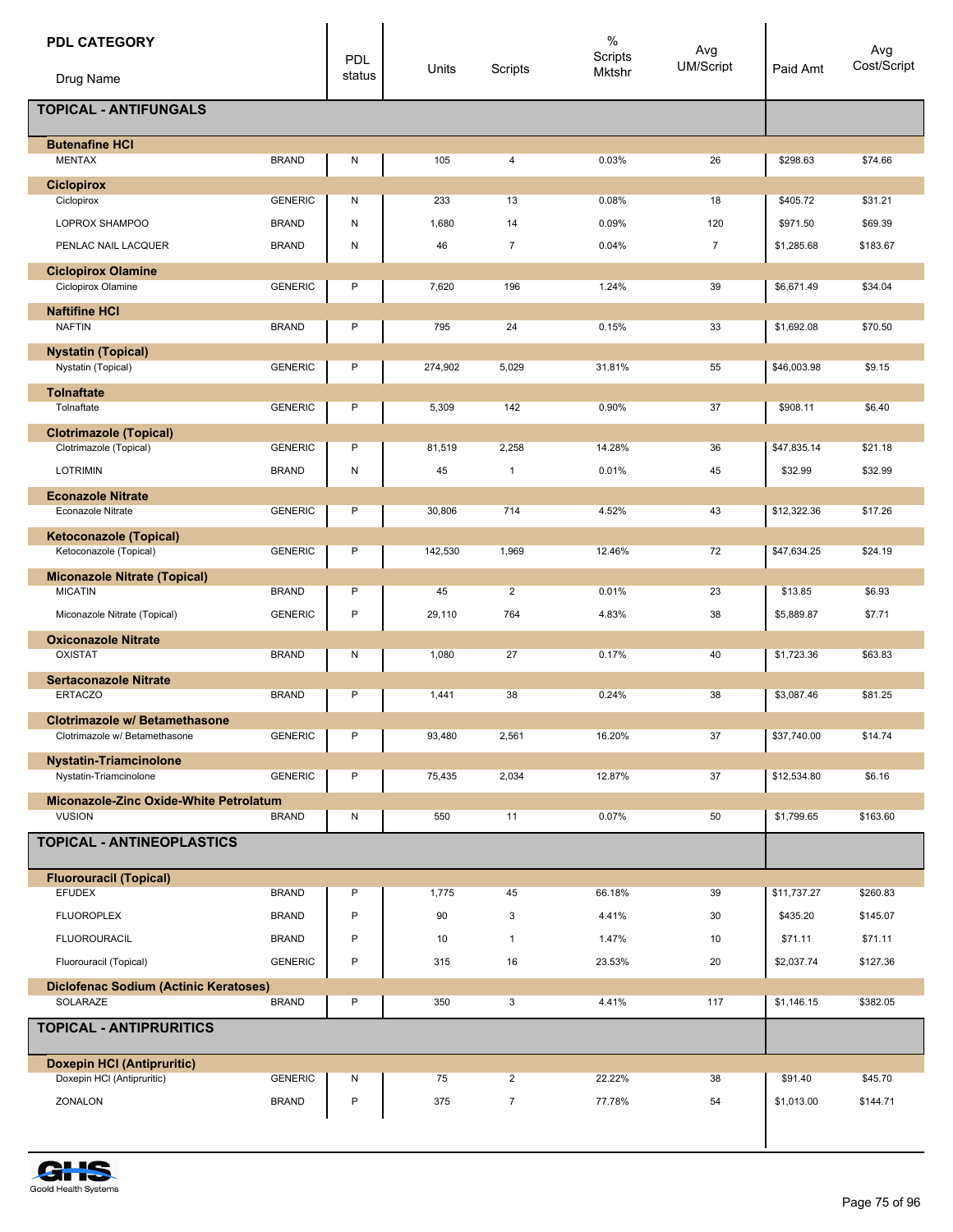| <b>PDL CATEGORY</b>                                                   |                | <b>PDL</b>   | Units   | Scripts        | $\%$<br>Scripts<br>Mktshr | Avg<br><b>UM/Script</b> | Paid Amt    | Avg<br>Cost/Script |
|-----------------------------------------------------------------------|----------------|--------------|---------|----------------|---------------------------|-------------------------|-------------|--------------------|
| Drug Name                                                             |                | status       |         |                |                           |                         |             |                    |
| <b>TOPICAL - ANTIFUNGALS</b>                                          |                |              |         |                |                           |                         |             |                    |
| <b>Butenafine HCI</b><br><b>MENTAX</b>                                | <b>BRAND</b>   | N            | 105     | 4              | 0.03%                     | 26                      | \$298.63    | \$74.66            |
| <b>Ciclopirox</b><br>Ciclopirox                                       | <b>GENERIC</b> | N            | 233     | 13             | 0.08%                     | 18                      | \$405.72    | \$31.21            |
| LOPROX SHAMPOO                                                        | <b>BRAND</b>   | ${\sf N}$    | 1,680   | 14             | 0.09%                     | 120                     | \$971.50    | \$69.39            |
| PENLAC NAIL LACQUER                                                   | <b>BRAND</b>   | N            | 46      | $\overline{7}$ | 0.04%                     | $\overline{7}$          | \$1,285.68  | \$183.67           |
| <b>Ciclopirox Olamine</b>                                             |                |              |         |                |                           |                         |             |                    |
| Ciclopirox Olamine                                                    | <b>GENERIC</b> | P            | 7,620   | 196            | 1.24%                     | 39                      | \$6,671.49  | \$34.04            |
| <b>Naftifine HCI</b><br><b>NAFTIN</b>                                 | <b>BRAND</b>   | P            | 795     | 24             | 0.15%                     | 33                      | \$1,692.08  | \$70.50            |
| <b>Nystatin (Topical)</b><br>Nystatin (Topical)                       | <b>GENERIC</b> | P            | 274,902 | 5,029          | 31.81%                    | 55                      | \$46,003.98 | \$9.15             |
| <b>Tolnaftate</b>                                                     |                |              |         |                |                           |                         |             |                    |
| Tolnaftate                                                            | <b>GENERIC</b> | P            | 5,309   | 142            | 0.90%                     | 37                      | \$908.11    | \$6.40             |
| <b>Clotrimazole (Topical)</b>                                         |                |              |         |                |                           |                         |             |                    |
| Clotrimazole (Topical)                                                | <b>GENERIC</b> | P            | 81,519  | 2,258          | 14.28%                    | 36                      | \$47,835.14 | \$21.18            |
| <b>LOTRIMIN</b>                                                       | <b>BRAND</b>   | ${\sf N}$    | 45      | $\mathbf{1}$   | 0.01%                     | 45                      | \$32.99     | \$32.99            |
| <b>Econazole Nitrate</b><br><b>Econazole Nitrate</b>                  | <b>GENERIC</b> | P            | 30,806  | 714            | 4.52%                     | 43                      | \$12,322.36 | \$17.26            |
| <b>Ketoconazole (Topical)</b>                                         |                |              |         |                |                           |                         |             |                    |
| Ketoconazole (Topical)                                                | <b>GENERIC</b> | P            | 142,530 | 1,969          | 12.46%                    | 72                      | \$47,634.25 | \$24.19            |
| <b>Miconazole Nitrate (Topical)</b><br><b>MICATIN</b>                 | <b>BRAND</b>   | P            | 45      | $\overline{2}$ | 0.01%                     | 23                      |             | \$6.93             |
|                                                                       |                | P            |         |                |                           |                         | \$13.85     |                    |
| Miconazole Nitrate (Topical)                                          | <b>GENERIC</b> |              | 29,110  | 764            | 4.83%                     | 38                      | \$5,889.87  | \$7.71             |
| <b>Oxiconazole Nitrate</b><br><b>OXISTAT</b>                          | <b>BRAND</b>   | N            | 1,080   | 27             | 0.17%                     | 40                      | \$1,723.36  | \$63.83            |
| <b>Sertaconazole Nitrate</b>                                          |                |              |         |                |                           |                         |             |                    |
| <b>ERTACZO</b>                                                        | <b>BRAND</b>   | P            | 1,441   | 38             | 0.24%                     | 38                      | \$3.087.46  | \$81.25            |
| <b>Clotrimazole w/ Betamethasone</b><br>Clotrimazole w/ Betamethasone | <b>GENERIC</b> | P            | 93,480  | 2,561          | 16.20%                    | 37                      | \$37,740.00 | \$14.74            |
|                                                                       |                |              |         |                |                           |                         |             |                    |
| <b>Nystatin-Triamcinolone</b><br>Nystatin-Triamcinolone               | <b>GENERIC</b> | P            | 75,435  | 2,034          | 12.87%                    | 37                      | \$12,534.80 | \$6.16             |
| Miconazole-Zinc Oxide-White Petrolatum                                |                |              |         |                |                           |                         |             |                    |
| <b>VUSION</b>                                                         | <b>BRAND</b>   | ${\sf N}$    | 550     | 11             | 0.07%                     | 50                      | \$1,799.65  | \$163.60           |
| TOPICAL - ANTINEOPLASTICS                                             |                |              |         |                |                           |                         |             |                    |
| <b>Fluorouracil (Topical)</b><br><b>EFUDEX</b>                        | <b>BRAND</b>   | P            | 1,775   | 45             | 66.18%                    | 39                      | \$11,737.27 | \$260.83           |
| <b>FLUOROPLEX</b>                                                     | <b>BRAND</b>   | P            | 90      | 3              | 4.41%                     | 30                      | \$435.20    | \$145.07           |
| <b>FLUOROURACIL</b>                                                   | <b>BRAND</b>   | P            | 10      | $\mathbf{1}$   | 1.47%                     | 10                      | \$71.11     | \$71.11            |
| Fluorouracil (Topical)                                                | <b>GENERIC</b> | $\mathsf{P}$ | 315     | 16             | 23.53%                    | 20                      | \$2,037.74  | \$127.36           |
|                                                                       |                |              |         |                |                           |                         |             |                    |
| Diclofenac Sodium (Actinic Keratoses)<br>SOLARAZE                     | <b>BRAND</b>   | P            | 350     | 3              | 4.41%                     | 117                     | \$1,146.15  | \$382.05           |
| <b>TOPICAL - ANTIPRURITICS</b>                                        |                |              |         |                |                           |                         |             |                    |
| <b>Doxepin HCI (Antipruritic)</b>                                     |                |              |         |                |                           |                         |             |                    |
| Doxepin HCI (Antipruritic)                                            | <b>GENERIC</b> | N            | 75      | 2              | 22.22%                    | 38                      | \$91.40     | \$45.70            |
| ZONALON                                                               | <b>BRAND</b>   | $\mathsf{P}$ | 375     | $\overline{7}$ | 77.78%                    | 54                      | \$1,013.00  | \$144.71           |
|                                                                       |                |              |         |                |                           |                         |             |                    |

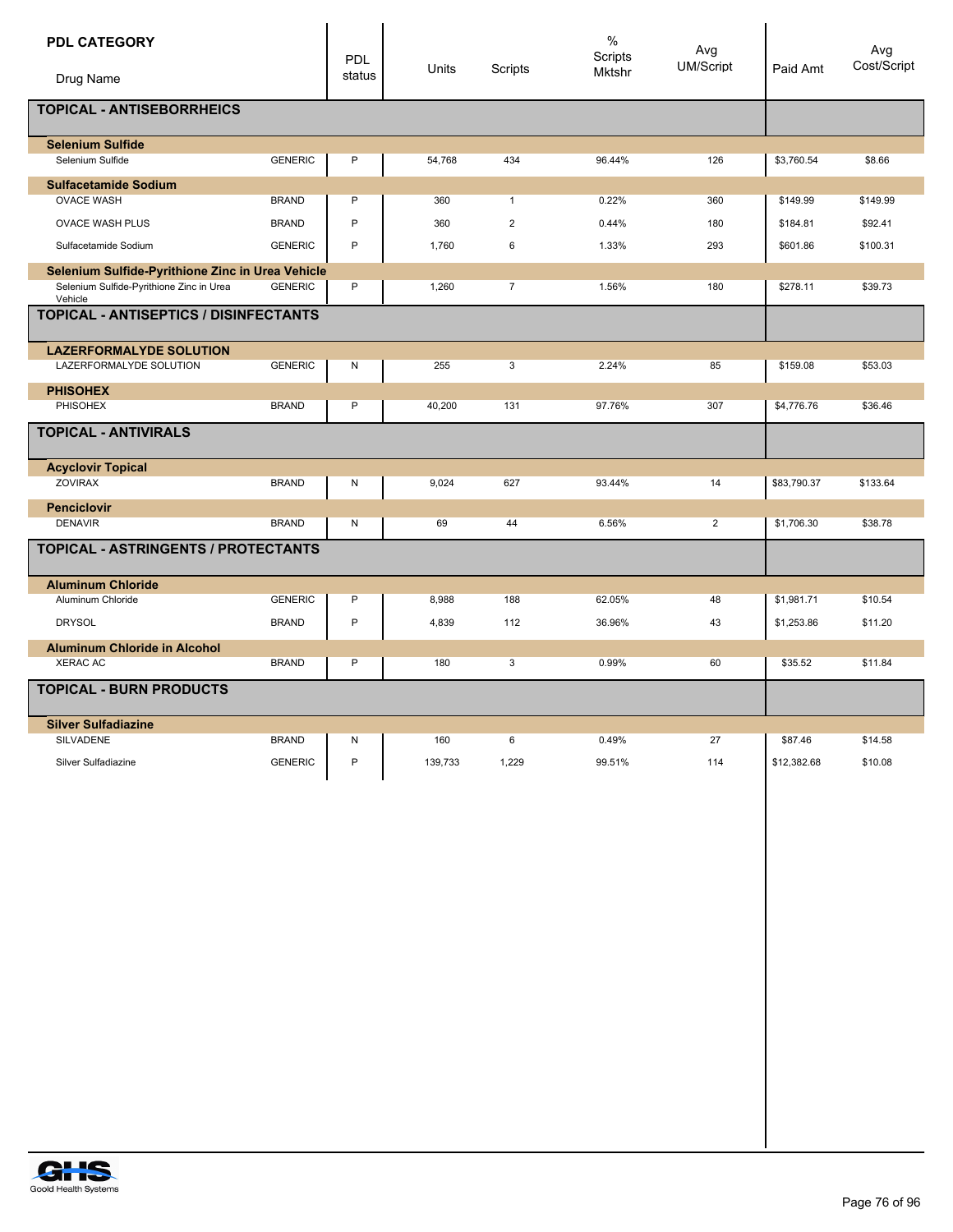| <b>PDL CATEGORY</b><br>Drug Name                                                                        |                              | PDL<br>status    | Units      | Scripts                                 | $\%$<br>Scripts<br>Mktshr | Avg<br><b>UM/Script</b> | Paid Amt             | Avg<br>Cost/Script  |
|---------------------------------------------------------------------------------------------------------|------------------------------|------------------|------------|-----------------------------------------|---------------------------|-------------------------|----------------------|---------------------|
| TOPICAL - ANTISEBORRHEICS                                                                               |                              |                  |            |                                         |                           |                         |                      |                     |
| <b>Selenium Sulfide</b><br>Selenium Sulfide                                                             | <b>GENERIC</b>               | P                | 54,768     | 434                                     | 96.44%                    | 126                     | \$3,760.54           | \$8.66              |
| <b>Sulfacetamide Sodium</b>                                                                             |                              |                  |            |                                         |                           |                         |                      |                     |
| <b>OVACE WASH</b><br><b>OVACE WASH PLUS</b>                                                             | <b>BRAND</b><br><b>BRAND</b> | P<br>P           | 360<br>360 | $\mathbf{1}$<br>$\overline{\mathbf{c}}$ | 0.22%<br>0.44%            | 360<br>180              | \$149.99             | \$149.99<br>\$92.41 |
| Sulfacetamide Sodium                                                                                    | <b>GENERIC</b>               | P                | 1,760      | 6                                       | 1.33%                     | 293                     | \$184.81<br>\$601.86 | \$100.31            |
|                                                                                                         |                              |                  |            |                                         |                           |                         |                      |                     |
| Selenium Sulfide-Pyrithione Zinc in Urea Vehicle<br>Selenium Sulfide-Pyrithione Zinc in Urea<br>Vehicle | <b>GENERIC</b>               | P                | 1,260      | $\overline{7}$                          | 1.56%                     | 180                     | \$278.11             | \$39.73             |
| TOPICAL - ANTISEPTICS / DISINFECTANTS                                                                   |                              |                  |            |                                         |                           |                         |                      |                     |
| <b>LAZERFORMALYDE SOLUTION</b><br>LAZERFORMALYDE SOLUTION                                               | <b>GENERIC</b>               | ${\sf N}$        | 255        | 3                                       | 2.24%                     | 85                      | \$159.08             | \$53.03             |
| <b>PHISOHEX</b><br><b>PHISOHEX</b>                                                                      | <b>BRAND</b>                 | P                | 40,200     | 131                                     | 97.76%                    | 307                     | \$4,776.76           | \$36.46             |
| <b>TOPICAL - ANTIVIRALS</b>                                                                             |                              |                  |            |                                         |                           |                         |                      |                     |
| <b>Acyclovir Topical</b>                                                                                |                              |                  |            |                                         |                           |                         |                      |                     |
| ZOVIRAX                                                                                                 | <b>BRAND</b>                 | N                | 9,024      | 627                                     | 93.44%                    | 14                      | \$83,790.37          | \$133.64            |
| <b>Penciclovir</b><br><b>DENAVIR</b>                                                                    | <b>BRAND</b>                 | N                | 69         | 44                                      | 6.56%                     | $\overline{2}$          | \$1,706.30           | \$38.78             |
| <b>TOPICAL - ASTRINGENTS / PROTECTANTS</b>                                                              |                              |                  |            |                                         |                           |                         |                      |                     |
|                                                                                                         |                              |                  |            |                                         |                           |                         |                      |                     |
| <b>Aluminum Chloride</b><br>Aluminum Chloride                                                           | <b>GENERIC</b>               | P                | 8,988      | 188                                     | 62.05%                    | 48                      | \$1,981.71           | \$10.54             |
| <b>DRYSOL</b>                                                                                           | <b>BRAND</b>                 | $\mathsf P$      | 4,839      | 112                                     | 36.96%                    | 43                      | \$1,253.86           | \$11.20             |
| <b>Aluminum Chloride in Alcohol</b>                                                                     |                              |                  |            |                                         |                           |                         |                      |                     |
| <b>XERAC AC</b>                                                                                         | <b>BRAND</b>                 | P                | 180        | 3                                       | 0.99%                     | 60                      | \$35.52              | \$11.84             |
| <b>TOPICAL - BURN PRODUCTS</b>                                                                          |                              |                  |            |                                         |                           |                         |                      |                     |
| <b>Silver Sulfadiazine</b>                                                                              |                              |                  |            |                                         |                           |                         |                      |                     |
| SILVADENE                                                                                               | <b>BRAND</b>                 | N<br>$\mathsf P$ | 160        | 6                                       | 0.49%                     | 27                      | \$87.46              | \$14.58             |
| Silver Sulfadiazine                                                                                     | GENERIC                      |                  | 139,733    | 1,229                                   | 99.51%                    | 114                     | \$12,382.68          | \$10.08             |
|                                                                                                         |                              |                  |            |                                         |                           |                         |                      |                     |
|                                                                                                         |                              |                  |            |                                         |                           |                         |                      |                     |
|                                                                                                         |                              |                  |            |                                         |                           |                         |                      |                     |
|                                                                                                         |                              |                  |            |                                         |                           |                         |                      |                     |
|                                                                                                         |                              |                  |            |                                         |                           |                         |                      |                     |
|                                                                                                         |                              |                  |            |                                         |                           |                         |                      |                     |
|                                                                                                         |                              |                  |            |                                         |                           |                         |                      |                     |
|                                                                                                         |                              |                  |            |                                         |                           |                         |                      |                     |
|                                                                                                         |                              |                  |            |                                         |                           |                         |                      |                     |
|                                                                                                         |                              |                  |            |                                         |                           |                         |                      |                     |
|                                                                                                         |                              |                  |            |                                         |                           |                         |                      |                     |
|                                                                                                         |                              |                  |            |                                         |                           |                         |                      |                     |
|                                                                                                         |                              |                  |            |                                         |                           |                         |                      |                     |

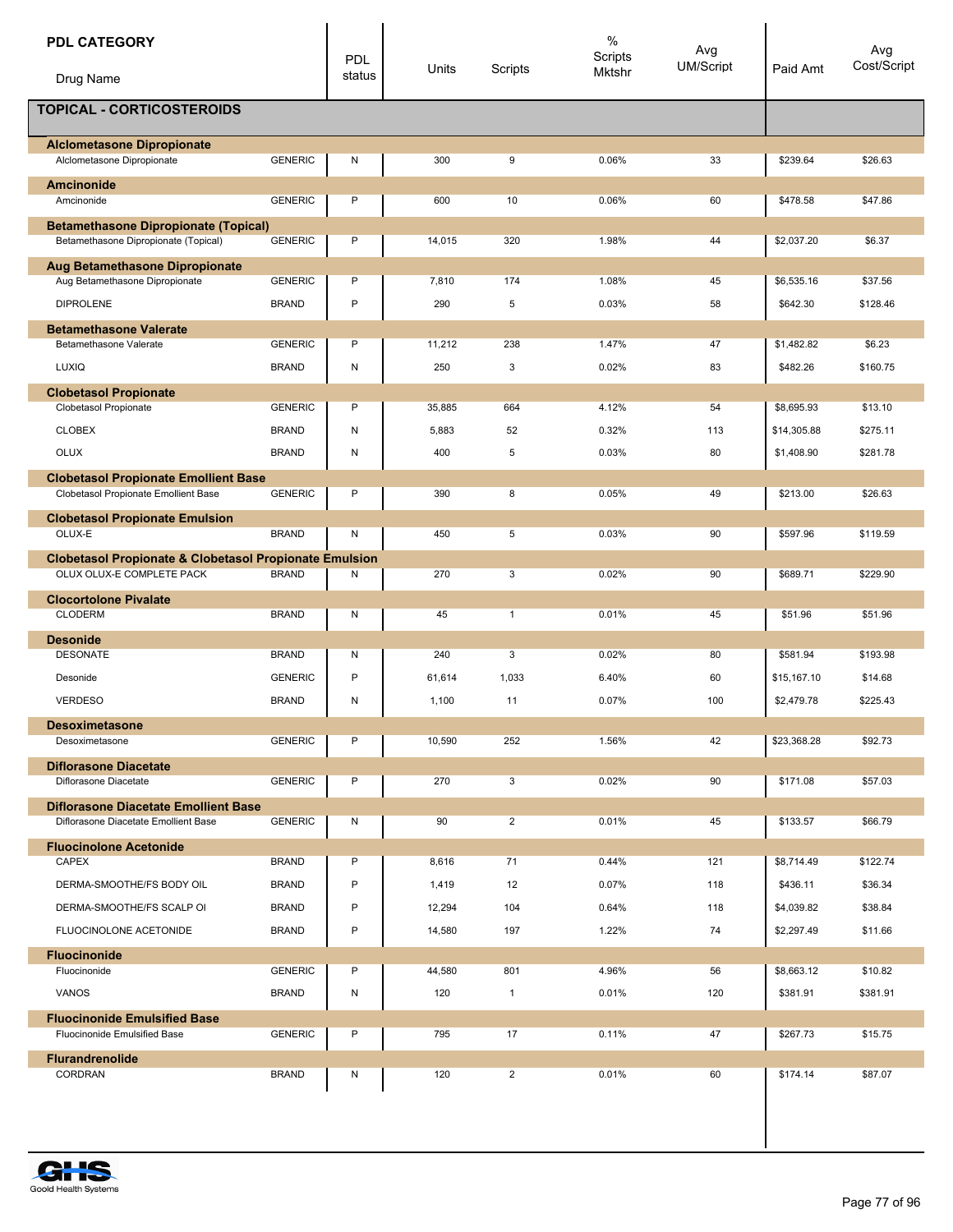| <b>PDL CATEGORY</b><br>Drug Name                                                    |                | PDL<br>status | Units  | Scripts        | $\%$<br>Scripts<br>Mktshr | Avg<br>UM/Script | Paid Amt    | Avg<br>Cost/Script |
|-------------------------------------------------------------------------------------|----------------|---------------|--------|----------------|---------------------------|------------------|-------------|--------------------|
| <b>TOPICAL - CORTICOSTEROIDS</b>                                                    |                |               |        |                |                           |                  |             |                    |
| <b>Alclometasone Dipropionate</b><br>Alclometasone Dipropionate                     | <b>GENERIC</b> | Ν             | 300    | 9              | 0.06%                     | 33               | \$239.64    | \$26.63            |
| <b>Amcinonide</b>                                                                   |                |               |        |                |                           |                  |             |                    |
| Amcinonide                                                                          | <b>GENERIC</b> | P             | 600    | 10             | 0.06%                     | 60               | \$478.58    | \$47.86            |
| <b>Betamethasone Dipropionate (Topical)</b><br>Betamethasone Dipropionate (Topical) | <b>GENERIC</b> | P             | 14,015 | 320            | 1.98%                     | 44               | \$2,037.20  | \$6.37             |
| Aug Betamethasone Dipropionate<br>Aug Betamethasone Dipropionate                    | <b>GENERIC</b> | P             | 7,810  | 174            | 1.08%                     | 45               | \$6,535.16  | \$37.56            |
| <b>DIPROLENE</b>                                                                    | <b>BRAND</b>   | P             | 290    | 5              | 0.03%                     | 58               | \$642.30    | \$128.46           |
| <b>Betamethasone Valerate</b>                                                       |                |               |        |                |                           |                  |             |                    |
| Betamethasone Valerate                                                              | <b>GENERIC</b> | P             | 11,212 | 238            | 1.47%                     | 47               | \$1,482.82  | \$6.23             |
| <b>LUXIQ</b>                                                                        | <b>BRAND</b>   | ${\sf N}$     | 250    | 3              | 0.02%                     | 83               | \$482.26    | \$160.75           |
| <b>Clobetasol Propionate</b><br>Clobetasol Propionate                               | <b>GENERIC</b> | P             | 35,885 | 664            | 4.12%                     | 54               | \$8,695.93  | \$13.10            |
| <b>CLOBEX</b>                                                                       | <b>BRAND</b>   | N             | 5,883  | 52             | 0.32%                     | 113              | \$14,305.88 | \$275.11           |
| <b>OLUX</b>                                                                         | <b>BRAND</b>   | N             | 400    | 5              | 0.03%                     | 80               | \$1,408.90  | \$281.78           |
| <b>Clobetasol Propionate Emollient Base</b>                                         |                |               |        |                |                           |                  |             |                    |
| Clobetasol Propionate Emollient Base                                                | <b>GENERIC</b> | P             | 390    | 8              | 0.05%                     | 49               | \$213.00    | \$26.63            |
| <b>Clobetasol Propionate Emulsion</b><br>OLUX-E                                     | <b>BRAND</b>   | Ν             | 450    | 5              | 0.03%                     | 90               | \$597.96    | \$119.59           |
| <b>Clobetasol Propionate &amp; Clobetasol Propionate Emulsion</b>                   |                |               |        |                |                           |                  |             |                    |
| OLUX OLUX-E COMPLETE PACK                                                           | <b>BRAND</b>   | Ν             | 270    | 3              | 0.02%                     | 90               | \$689.71    | \$229.90           |
| <b>Clocortolone Pivalate</b>                                                        |                |               |        |                |                           |                  |             |                    |
| <b>CLODERM</b>                                                                      | <b>BRAND</b>   | N             | 45     | $\mathbf{1}$   | 0.01%                     | 45               | \$51.96     | \$51.96            |
| <b>Desonide</b><br><b>DESONATE</b>                                                  | <b>BRAND</b>   | N             | 240    | 3              | 0.02%                     | 80               | \$581.94    | \$193.98           |
| Desonide                                                                            | <b>GENERIC</b> | P             | 61,614 | 1,033          | 6.40%                     | 60               | \$15,167.10 | \$14.68            |
| <b>VERDESO</b>                                                                      | <b>BRAND</b>   | Ν             | 1,100  | 11             | 0.07%                     | 100              | \$2,479.78  | \$225.43           |
| <b>Desoximetasone</b>                                                               |                |               |        |                |                           |                  |             |                    |
| Desoximetasone                                                                      | <b>GENERIC</b> | P             | 10,590 | 252            | 1.56%                     | 42               | \$23,368.28 | \$92.73            |
| <b>Diflorasone Diacetate</b><br>Diflorasone Diacetate                               | <b>GENERIC</b> | P             | 270    | 3              | 0.02%                     | 90               | \$171.08    | \$57.03            |
| <b>Diflorasone Diacetate Emollient Base</b>                                         |                |               |        |                |                           |                  |             |                    |
| Diflorasone Diacetate Emollient Base                                                | <b>GENERIC</b> | N             | 90     | $\overline{2}$ | 0.01%                     | 45               | \$133.57    | \$66.79            |
| <b>Fluocinolone Acetonide</b><br>CAPEX                                              | <b>BRAND</b>   | P             | 8,616  | 71             | 0.44%                     | 121              | \$8,714.49  | \$122.74           |
| DERMA-SMOOTHE/FS BODY OIL                                                           | <b>BRAND</b>   | P             | 1,419  | 12             | 0.07%                     | 118              | \$436.11    | \$36.34            |
| DERMA-SMOOTHE/FS SCALP OI                                                           | <b>BRAND</b>   | P             | 12,294 | 104            | 0.64%                     | 118              | \$4,039.82  | \$38.84            |
| FLUOCINOLONE ACETONIDE                                                              | <b>BRAND</b>   | P             | 14,580 | 197            | 1.22%                     | 74               | \$2,297.49  | \$11.66            |
| <b>Fluocinonide</b>                                                                 |                |               |        |                |                           |                  |             |                    |
| Fluocinonide                                                                        | <b>GENERIC</b> | P             | 44,580 | 801            | 4.96%                     | 56               | \$8,663.12  | \$10.82            |
| VANOS                                                                               | <b>BRAND</b>   | N             | 120    | $\mathbf{1}$   | 0.01%                     | 120              | \$381.91    | \$381.91           |
| <b>Fluocinonide Emulsified Base</b><br>Fluocinonide Emulsified Base                 | <b>GENERIC</b> | P             | 795    | 17             | 0.11%                     | 47               | \$267.73    | \$15.75            |
| <b>Flurandrenolide</b><br>CORDRAN                                                   | <b>BRAND</b>   | Ν             | 120    | $\overline{2}$ | 0.01%                     | 60               | \$174.14    | \$87.07            |
|                                                                                     |                |               |        |                |                           |                  |             |                    |

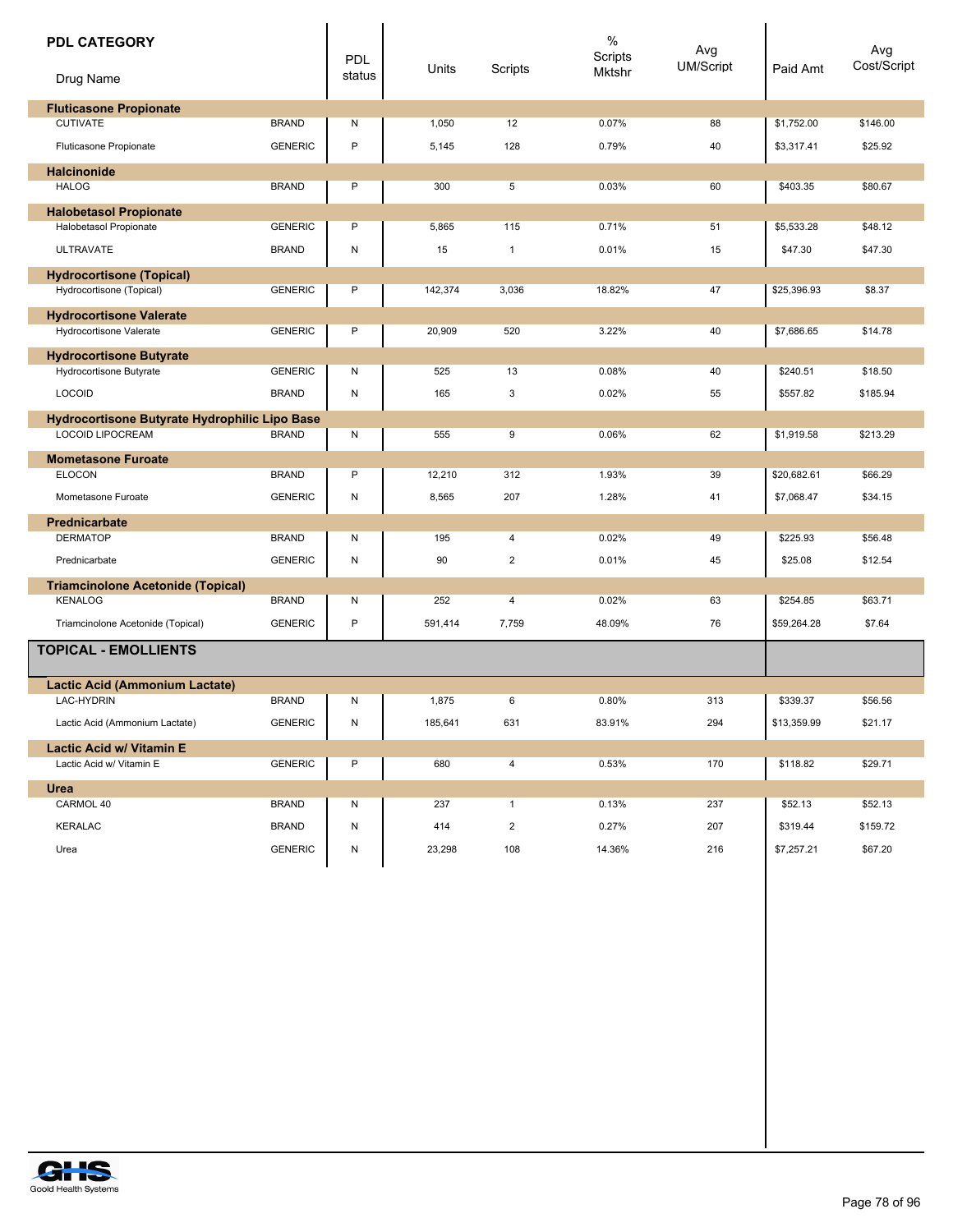| <b>PDL CATEGORY</b><br>Drug Name              |                | PDL<br>status | Units   | Scripts      | $\%$<br>Scripts<br>Mktshr | Avg<br><b>UM/Script</b> | Paid Amt    | Avg<br>Cost/Script |
|-----------------------------------------------|----------------|---------------|---------|--------------|---------------------------|-------------------------|-------------|--------------------|
| <b>Fluticasone Propionate</b>                 |                |               |         |              |                           |                         |             |                    |
| <b>CUTIVATE</b>                               | <b>BRAND</b>   | N             | 1,050   | 12           | 0.07%                     | 88                      | \$1,752.00  | \$146.00           |
| Fluticasone Propionate                        | <b>GENERIC</b> | P             | 5,145   | 128          | 0.79%                     | 40                      | \$3,317.41  | \$25.92            |
| <b>Halcinonide</b>                            |                |               |         |              |                           |                         |             |                    |
| <b>HALOG</b>                                  | <b>BRAND</b>   | $\mathsf{P}$  | 300     | 5            | 0.03%                     | 60                      | \$403.35    | \$80.67            |
| <b>Halobetasol Propionate</b>                 |                |               |         |              |                           |                         |             |                    |
| <b>Halobetasol Propionate</b>                 | <b>GENERIC</b> | P             | 5,865   | 115          | 0.71%                     | 51                      | \$5,533.28  | \$48.12            |
| <b>ULTRAVATE</b>                              | <b>BRAND</b>   | Ν             | 15      | $\mathbf{1}$ | 0.01%                     | 15                      | \$47.30     | \$47.30            |
| <b>Hydrocortisone (Topical)</b>               |                |               |         |              |                           |                         |             |                    |
| Hydrocortisone (Topical)                      | <b>GENERIC</b> | P             | 142,374 | 3,036        | 18.82%                    | 47                      | \$25,396.93 | \$8.37             |
| <b>Hydrocortisone Valerate</b>                |                |               |         |              |                           |                         |             |                    |
| Hydrocortisone Valerate                       | <b>GENERIC</b> | P             | 20,909  | 520          | 3.22%                     | 40                      | \$7,686.65  | \$14.78            |
| <b>Hydrocortisone Butyrate</b>                |                |               |         |              |                           |                         |             |                    |
| Hydrocortisone Butyrate                       | <b>GENERIC</b> | N             | 525     | 13           | 0.08%                     | 40                      | \$240.51    | \$18.50            |
| <b>LOCOID</b>                                 | <b>BRAND</b>   | Ν             | 165     | 3            | 0.02%                     | 55                      | \$557.82    | \$185.94           |
| Hydrocortisone Butyrate Hydrophilic Lipo Base |                |               |         |              |                           |                         |             |                    |
| <b>LOCOID LIPOCREAM</b>                       | <b>BRAND</b>   | Ν             | 555     | 9            | 0.06%                     | 62                      | \$1,919.58  | \$213.29           |
| <b>Mometasone Furoate</b>                     |                |               |         |              |                           |                         |             |                    |
| <b>ELOCON</b>                                 | <b>BRAND</b>   | P             | 12,210  | 312          | 1.93%                     | 39                      | \$20,682.61 | \$66.29            |
| Mometasone Furoate                            | <b>GENERIC</b> | Ν             | 8,565   | 207          | 1.28%                     | 41                      | \$7,068.47  | \$34.15            |
| <b>Prednicarbate</b>                          |                |               |         |              |                           |                         |             |                    |
| <b>DERMATOP</b>                               | <b>BRAND</b>   | N             | 195     | 4            | 0.02%                     | 49                      | \$225.93    | \$56.48            |
| Prednicarbate                                 | <b>GENERIC</b> | N             | 90      | 2            | 0.01%                     | 45                      | \$25.08     | \$12.54            |
| <b>Triamcinolone Acetonide (Topical)</b>      |                |               |         |              |                           |                         |             |                    |
| <b>KENALOG</b>                                | <b>BRAND</b>   | N             | 252     | 4            | 0.02%                     | 63                      | \$254.85    | \$63.71            |
| Triamcinolone Acetonide (Topical)             | <b>GENERIC</b> | P             | 591,414 | 7,759        | 48.09%                    | 76                      | \$59,264.28 | \$7.64             |
| <b>TOPICAL - EMOLLIENTS</b>                   |                |               |         |              |                           |                         |             |                    |
| <b>Lactic Acid (Ammonium Lactate)</b>         |                |               |         |              |                           |                         |             |                    |
| <b>LAC-HYDRIN</b>                             | <b>BRAND</b>   | N             | 1,875   | 6            | 0.80%                     | 313                     | \$339.37    | \$56.56            |
| Lactic Acid (Ammonium Lactate)                | <b>GENERIC</b> | N             | 185,641 | 631          | 83.91%                    | 294                     | \$13,359.99 | \$21.17            |
| Lactic Acid w/ Vitamin E                      |                |               |         |              |                           |                         |             |                    |
| Lactic Acid w/ Vitamin E                      | <b>GENERIC</b> | P             | 680     | 4            | 0.53%                     | 170                     | \$118.82    | \$29.71            |
| Urea                                          |                |               |         |              |                           |                         |             |                    |
| CARMOL 40                                     | <b>BRAND</b>   | Ν             | 237     | $\mathbf{1}$ | 0.13%                     | 237                     | \$52.13     | \$52.13            |
| <b>KERALAC</b>                                | <b>BRAND</b>   | Ν             | 414     | 2            | 0.27%                     | 207                     | \$319.44    | \$159.72           |
| Urea                                          | <b>GENERIC</b> | N             | 23,298  | 108          | 14.36%                    | 216                     | \$7,257.21  | \$67.20            |
|                                               |                |               |         |              |                           |                         |             |                    |

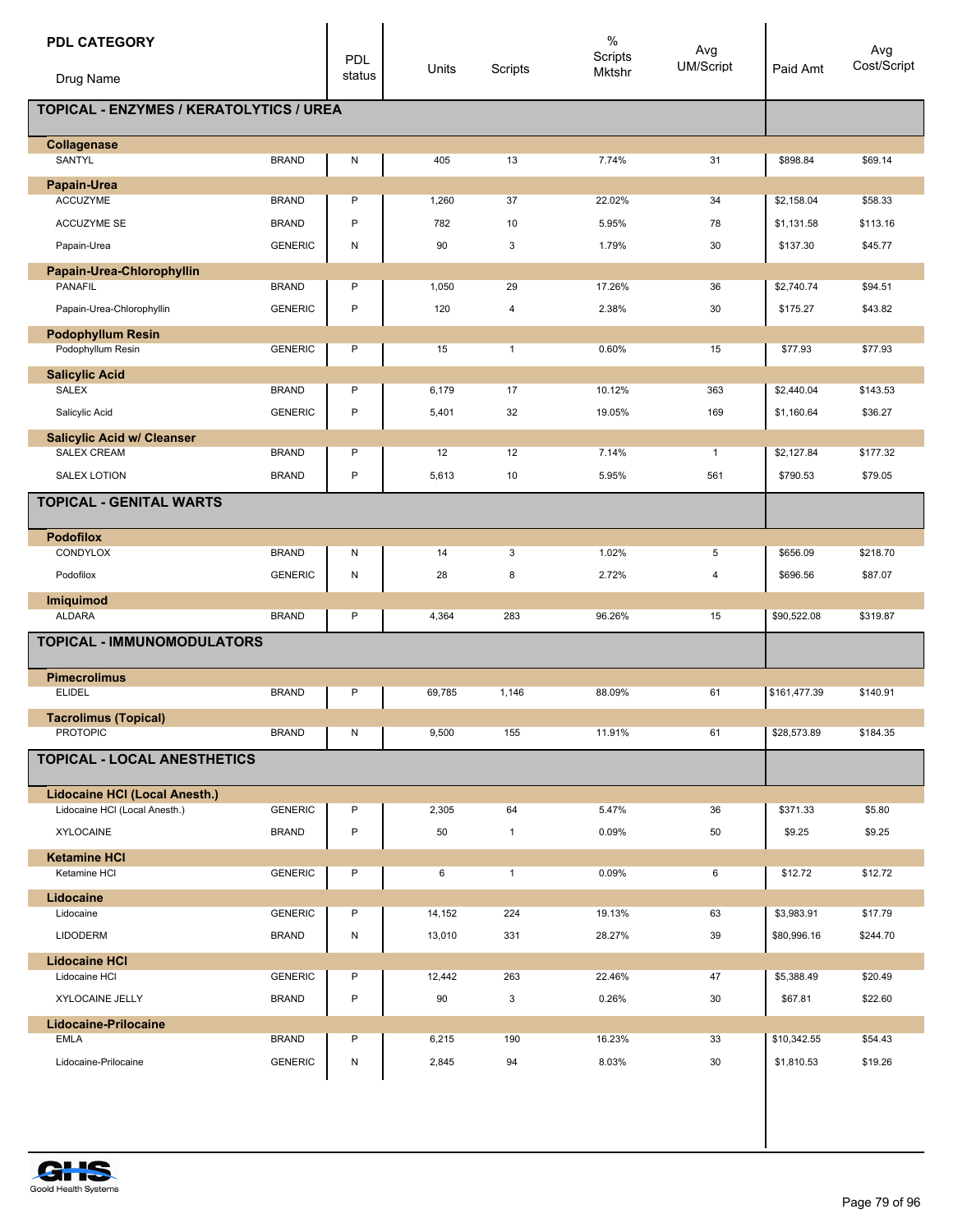| <b>PDL CATEGORY</b><br>Drug Name               |                | PDL<br>status | Units  | Scripts      | $\%$<br>Scripts<br>Mktshr | Avg<br>UM/Script        | Paid Amt     | Avg<br>Cost/Script |
|------------------------------------------------|----------------|---------------|--------|--------------|---------------------------|-------------------------|--------------|--------------------|
| <b>TOPICAL - ENZYMES / KERATOLYTICS / UREA</b> |                |               |        |              |                           |                         |              |                    |
| Collagenase<br>SANTYL                          | <b>BRAND</b>   | N             | 405    | 13           | 7.74%                     | 31                      | \$898.84     | \$69.14            |
| Papain-Urea                                    |                |               |        |              |                           |                         |              |                    |
| <b>ACCUZYME</b>                                | <b>BRAND</b>   | P             | 1,260  | 37           | 22.02%                    | 34                      | \$2,158.04   | \$58.33            |
| <b>ACCUZYME SE</b>                             | <b>BRAND</b>   | P             | 782    | 10           | 5.95%                     | 78                      | \$1,131.58   | \$113.16           |
| Papain-Urea                                    | <b>GENERIC</b> | N             | 90     | 3            | 1.79%                     | 30                      | \$137.30     | \$45.77            |
| Papain-Urea-Chlorophyllin                      |                |               |        |              |                           |                         |              |                    |
| <b>PANAFIL</b>                                 | <b>BRAND</b>   | P             | 1,050  | 29           | 17.26%                    | 36                      | \$2,740.74   | \$94.51            |
| Papain-Urea-Chlorophyllin                      | <b>GENERIC</b> | P             | 120    | 4            | 2.38%                     | 30                      | \$175.27     | \$43.82            |
| <b>Podophyllum Resin</b><br>Podophyllum Resin  | <b>GENERIC</b> | P             | 15     | $\mathbf{1}$ | 0.60%                     | 15                      | \$77.93      | \$77.93            |
|                                                |                |               |        |              |                           |                         |              |                    |
| <b>Salicylic Acid</b><br>SALEX                 | <b>BRAND</b>   | P             | 6,179  | 17           | 10.12%                    | 363                     | \$2,440.04   | \$143.53           |
| Salicylic Acid                                 | <b>GENERIC</b> | P             | 5,401  | 32           | 19.05%                    | 169                     | \$1,160.64   | \$36.27            |
| <b>Salicylic Acid w/ Cleanser</b>              |                |               |        |              |                           |                         |              |                    |
| <b>SALEX CREAM</b>                             | <b>BRAND</b>   | P             | 12     | 12           | 7.14%                     | $\mathbf{1}$            | \$2,127.84   | \$177.32           |
| <b>SALEX LOTION</b>                            | <b>BRAND</b>   | P             | 5,613  | 10           | 5.95%                     | 561                     | \$790.53     | \$79.05            |
| <b>TOPICAL - GENITAL WARTS</b>                 |                |               |        |              |                           |                         |              |                    |
| <b>Podofilox</b>                               |                |               |        |              |                           |                         |              |                    |
| CONDYLOX                                       | <b>BRAND</b>   | Ν             | 14     | 3            | 1.02%                     | 5                       | \$656.09     | \$218.70           |
| Podofilox                                      | <b>GENERIC</b> | N             | 28     | 8            | 2.72%                     | $\overline{\mathbf{4}}$ | \$696.56     | \$87.07            |
| <b>Imiquimod</b><br><b>ALDARA</b>              | <b>BRAND</b>   | P             | 4,364  | 283          | 96.26%                    | 15                      | \$90,522.08  | \$319.87           |
|                                                |                |               |        |              |                           |                         |              |                    |
| <b>TOPICAL - IMMUNOMODULATORS</b>              |                |               |        |              |                           |                         |              |                    |
| <b>Pimecrolimus</b><br><b>ELIDEL</b>           | <b>BRAND</b>   | P             | 69,785 | 1,146        | 88.09%                    | 61                      | \$161,477.39 | \$140.91           |
|                                                |                |               |        |              |                           |                         |              |                    |
| <b>Tacrolimus (Topical)</b><br><b>PROTOPIC</b> | <b>BRAND</b>   | N             | 9,500  | 155          | 11.91%                    | 61                      | \$28,573.89  | \$184.35           |
| <b>TOPICAL - LOCAL ANESTHETICS</b>             |                |               |        |              |                           |                         |              |                    |
| <b>Lidocaine HCI (Local Anesth.)</b>           |                |               |        |              |                           |                         |              |                    |
| Lidocaine HCI (Local Anesth.)                  | <b>GENERIC</b> | P             | 2,305  | 64           | 5.47%                     | 36                      | \$371.33     | \$5.80             |
| <b>XYLOCAINE</b>                               | <b>BRAND</b>   | P             | 50     | $\mathbf{1}$ | 0.09%                     | 50                      | \$9.25       | \$9.25             |
| <b>Ketamine HCI</b><br>Ketamine HCI            | <b>GENERIC</b> | P             | 6      | $\mathbf{1}$ | 0.09%                     | 6                       | \$12.72      | \$12.72            |
| Lidocaine                                      |                |               |        |              |                           |                         |              |                    |
| Lidocaine                                      | <b>GENERIC</b> | P             | 14,152 | 224          | 19.13%                    | 63                      | \$3,983.91   | \$17.79            |
| <b>LIDODERM</b>                                | <b>BRAND</b>   | N             | 13,010 | 331          | 28.27%                    | 39                      | \$80,996.16  | \$244.70           |
| <b>Lidocaine HCI</b>                           |                |               |        |              |                           |                         |              |                    |
| Lidocaine HCI                                  | <b>GENERIC</b> | P             | 12,442 | 263          | 22.46%                    | 47                      | \$5,388.49   | \$20.49            |
| XYLOCAINE JELLY                                | <b>BRAND</b>   | P             | 90     | 3            | 0.26%                     | 30                      | \$67.81      | \$22.60            |
| <b>Lidocaine-Prilocaine</b><br>EMLA            | <b>BRAND</b>   | P             | 6,215  | 190          | 16.23%                    | 33                      | \$10,342.55  | \$54.43            |
| Lidocaine-Prilocaine                           | <b>GENERIC</b> | N             | 2,845  | 94           | 8.03%                     | 30                      | \$1,810.53   | \$19.26            |

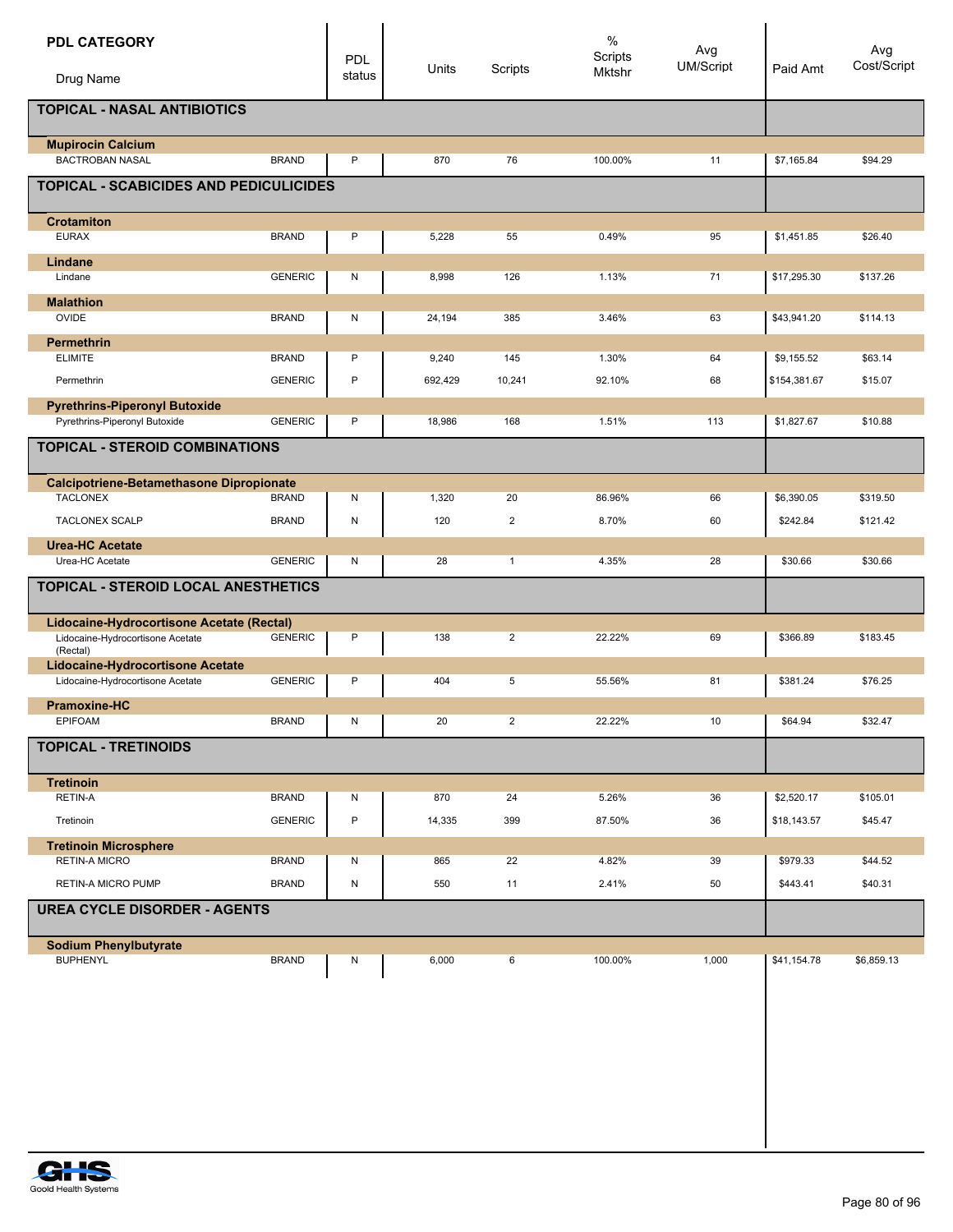| <b>PDL CATEGORY</b><br>Drug Name                                     |                | PDL<br>status | Units   | Scripts        | $\%$<br>Scripts<br>Mktshr | Avg<br><b>UM/Script</b> | Paid Amt     | Avg<br>Cost/Script |
|----------------------------------------------------------------------|----------------|---------------|---------|----------------|---------------------------|-------------------------|--------------|--------------------|
| <b>TOPICAL - NASAL ANTIBIOTICS</b>                                   |                |               |         |                |                           |                         |              |                    |
| <b>Mupirocin Calcium</b><br><b>BACTROBAN NASAL</b>                   | <b>BRAND</b>   | P             | 870     | 76             | 100.00%                   | 11                      | \$7,165.84   | \$94.29            |
| <b>TOPICAL - SCABICIDES AND PEDICULICIDES</b>                        |                |               |         |                |                           |                         |              |                    |
| <b>Crotamiton</b><br><b>EURAX</b>                                    | <b>BRAND</b>   | P             | 5,228   | 55             | 0.49%                     | 95                      | \$1,451.85   | \$26.40            |
|                                                                      |                |               |         |                |                           |                         |              |                    |
| Lindane<br>Lindane                                                   | <b>GENERIC</b> | N             | 8,998   | 126            | 1.13%                     | 71                      | \$17,295.30  | \$137.26           |
| <b>Malathion</b>                                                     |                |               |         |                |                           |                         |              |                    |
| OVIDE                                                                | <b>BRAND</b>   | N             | 24,194  | 385            | 3.46%                     | 63                      | \$43,941.20  | \$114.13           |
| <b>Permethrin</b>                                                    |                |               |         |                |                           |                         |              |                    |
| <b>ELIMITE</b>                                                       | <b>BRAND</b>   | P             | 9,240   | 145            | 1.30%                     | 64                      | \$9,155.52   | \$63.14            |
| Permethrin                                                           | <b>GENERIC</b> | $\mathsf{P}$  | 692,429 | 10,241         | 92.10%                    | 68                      | \$154,381.67 | \$15.07            |
| <b>Pyrethrins-Piperonyl Butoxide</b>                                 |                |               |         |                |                           |                         |              |                    |
| Pyrethrins-Piperonyl Butoxide                                        | <b>GENERIC</b> | P             | 18,986  | 168            | 1.51%                     | 113                     | \$1,827.67   | \$10.88            |
| <b>TOPICAL - STEROID COMBINATIONS</b>                                |                |               |         |                |                           |                         |              |                    |
| <b>Calcipotriene-Betamethasone Dipropionate</b>                      |                |               |         |                |                           |                         |              |                    |
| <b>TACLONEX</b>                                                      | <b>BRAND</b>   | N             | 1,320   | 20             | 86.96%                    | 66                      | \$6,390.05   | \$319.50           |
| <b>TACLONEX SCALP</b>                                                | <b>BRAND</b>   | ${\sf N}$     | 120     | $\overline{2}$ | 8.70%                     | 60                      | \$242.84     | \$121.42           |
| <b>Urea-HC Acetate</b><br>Urea-HC Acetate                            | <b>GENERIC</b> | N             | 28      | $\mathbf{1}$   | 4.35%                     | 28                      | \$30.66      | \$30.66            |
| <b>TOPICAL - STEROID LOCAL ANESTHETICS</b>                           |                |               |         |                |                           |                         |              |                    |
| Lidocaine-Hydrocortisone Acetate (Rectal)                            |                |               |         |                |                           |                         |              |                    |
| Lidocaine-Hydrocortisone Acetate<br>(Rectal)                         | <b>GENERIC</b> | P             | 138     | 2              | 22.22%                    | 69                      | \$366.89     | \$183.45           |
| Lidocaine-Hydrocortisone Acetate<br>Lidocaine-Hydrocortisone Acetate | <b>GENERIC</b> | P             | 404     | 5              | 55.56%                    | 81                      | \$381.24     | \$76.25            |
| <b>Pramoxine-HC</b>                                                  |                |               |         |                |                           |                         |              |                    |
| <b>EPIFOAM</b>                                                       | BRAND          | N             | 20      | 2              | 22.22%                    | 10                      | \$64.94      | \$32.47            |
| <b>TOPICAL - TRETINOIDS</b>                                          |                |               |         |                |                           |                         |              |                    |
| <b>Tretinoin</b>                                                     |                |               |         |                |                           |                         |              |                    |
| RETIN-A                                                              | <b>BRAND</b>   | N             | 870     | 24             | 5.26%                     | 36                      | \$2,520.17   | \$105.01           |
| Tretinoin                                                            | <b>GENERIC</b> | $\sf P$       | 14,335  | 399            | 87.50%                    | 36                      | \$18,143.57  | \$45.47            |
| <b>Tretinoin Microsphere</b>                                         |                |               |         |                |                           |                         |              |                    |
| RETIN-A MICRO                                                        | <b>BRAND</b>   | N             | 865     | 22             | 4.82%                     | 39                      | \$979.33     | \$44.52            |
| <b>RETIN-A MICRO PUMP</b><br><b>UREA CYCLE DISORDER - AGENTS</b>     | <b>BRAND</b>   | ${\sf N}$     | 550     | 11             | 2.41%                     | 50                      | \$443.41     | \$40.31            |
|                                                                      |                |               |         |                |                           |                         |              |                    |
| <b>Sodium Phenylbutyrate</b>                                         |                |               |         |                |                           |                         |              |                    |
| <b>BUPHENYL</b>                                                      | <b>BRAND</b>   | N             | 6,000   | 6              | 100.00%                   | 1,000                   | \$41,154.78  | \$6,859.13         |
|                                                                      |                |               |         |                |                           |                         |              |                    |
|                                                                      |                |               |         |                |                           |                         |              |                    |
|                                                                      |                |               |         |                |                           |                         |              |                    |
|                                                                      |                |               |         |                |                           |                         |              |                    |
|                                                                      |                |               |         |                |                           |                         |              |                    |

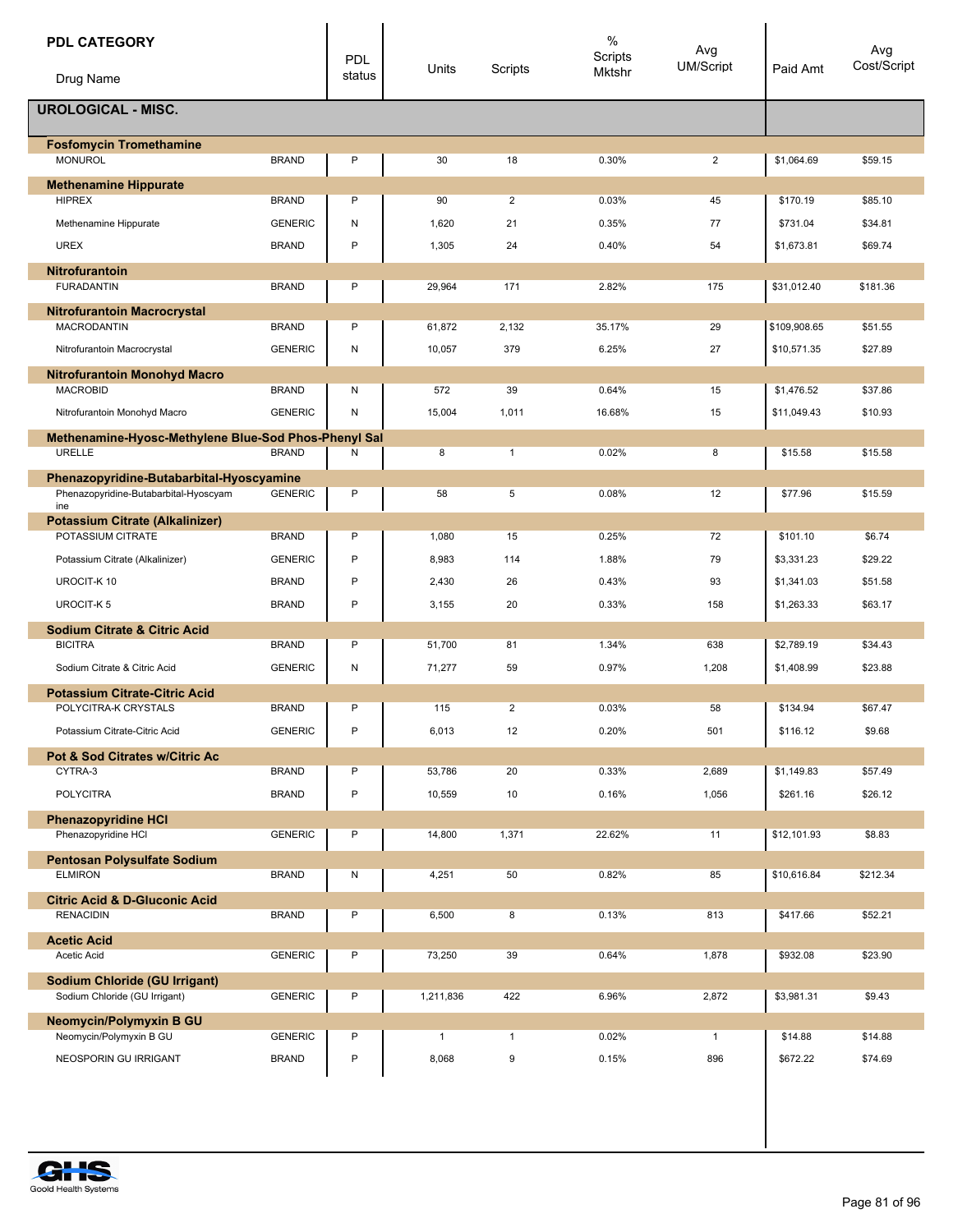| <b>PDL CATEGORY</b><br>Drug Name                                                         |                | PDL<br>status | Units        | Scripts        | $\%$<br>Scripts<br>Mktshr | Avg<br><b>UM/Script</b> | Paid Amt     | Avg<br>Cost/Script |
|------------------------------------------------------------------------------------------|----------------|---------------|--------------|----------------|---------------------------|-------------------------|--------------|--------------------|
| <b>UROLOGICAL - MISC.</b>                                                                |                |               |              |                |                           |                         |              |                    |
| <b>Fosfomycin Tromethamine</b>                                                           |                |               |              |                |                           |                         |              |                    |
| <b>MONUROL</b>                                                                           | <b>BRAND</b>   | P             | 30           | 18             | 0.30%                     | $\overline{2}$          | \$1,064.69   | \$59.15            |
| <b>Methenamine Hippurate</b>                                                             |                |               |              |                |                           |                         |              |                    |
| <b>HIPREX</b>                                                                            | <b>BRAND</b>   | P             | 90           | $\overline{2}$ | 0.03%                     | 45                      | \$170.19     | \$85.10            |
| Methenamine Hippurate                                                                    | <b>GENERIC</b> | N             | 1,620        | 21             | 0.35%                     | 77                      | \$731.04     | \$34.81            |
| <b>UREX</b>                                                                              | <b>BRAND</b>   | P             | 1,305        | 24             | 0.40%                     | 54                      | \$1,673.81   | \$69.74            |
| <b>Nitrofurantoin</b>                                                                    |                |               |              |                |                           |                         |              |                    |
| <b>FURADANTIN</b>                                                                        | <b>BRAND</b>   | P             | 29,964       | 171            | 2.82%                     | 175                     | \$31,012.40  | \$181.36           |
| <b>Nitrofurantoin Macrocrystal</b><br><b>MACRODANTIN</b>                                 | <b>BRAND</b>   | P             | 61,872       | 2,132          | 35.17%                    | 29                      | \$109,908.65 | \$51.55            |
|                                                                                          | <b>GENERIC</b> | Ν             | 10,057       | 379            | 6.25%                     | 27                      | \$10,571.35  | \$27.89            |
| Nitrofurantoin Macrocrystal                                                              |                |               |              |                |                           |                         |              |                    |
| Nitrofurantoin Monohyd Macro<br><b>MACROBID</b>                                          | <b>BRAND</b>   | N             | 572          | 39             | 0.64%                     | 15                      | \$1,476.52   | \$37.86            |
| Nitrofurantoin Monohyd Macro                                                             | <b>GENERIC</b> | N             | 15,004       | 1,011          | 16.68%                    | 15                      | \$11.049.43  | \$10.93            |
|                                                                                          |                |               |              |                |                           |                         |              |                    |
| Methenamine-Hyosc-Methylene Blue-Sod Phos-Phenyl Sal<br>URELLE                           | <b>BRAND</b>   | Ν             | 8            | $\mathbf{1}$   | 0.02%                     | 8                       | \$15.58      | \$15.58            |
|                                                                                          |                |               |              |                |                           |                         |              |                    |
| Phenazopyridine-Butabarbital-Hyoscyamine<br>Phenazopyridine-Butabarbital-Hyoscyam<br>ine | <b>GENERIC</b> | P             | 58           | 5              | 0.08%                     | 12                      | \$77.96      | \$15.59            |
| <b>Potassium Citrate (Alkalinizer)</b>                                                   |                |               |              |                |                           |                         |              |                    |
| POTASSIUM CITRATE                                                                        | <b>BRAND</b>   | P             | 1,080        | 15             | 0.25%                     | 72                      | \$101.10     | \$6.74             |
| Potassium Citrate (Alkalinizer)                                                          | <b>GENERIC</b> | P             | 8,983        | 114            | 1.88%                     | 79                      | \$3,331.23   | \$29.22            |
| UROCIT-K10                                                                               | <b>BRAND</b>   | P             | 2,430        | 26             | 0.43%                     | 93                      | \$1,341.03   | \$51.58            |
| <b>UROCIT-K5</b>                                                                         | <b>BRAND</b>   | P             | 3,155        | 20             | 0.33%                     | 158                     | \$1,263.33   | \$63.17            |
| <b>Sodium Citrate &amp; Citric Acid</b>                                                  |                |               |              |                |                           |                         |              |                    |
| <b>BICITRA</b>                                                                           | <b>BRAND</b>   | P             | 51,700       | 81             | 1.34%                     | 638                     | \$2,789.19   | \$34.43            |
| Sodium Citrate & Citric Acid                                                             | <b>GENERIC</b> | N             | 71,277       | 59             | 0.97%                     | 1,208                   | \$1,408.99   | \$23.88            |
| <b>Potassium Citrate-Citric Acid</b>                                                     |                |               |              |                |                           |                         |              |                    |
| POLYCITRA-K CRYSTALS                                                                     | <b>BRAND</b>   | P             | 115          | 2              | 0.03%                     | 58                      | \$134.94     | \$67.47            |
| Potassium Citrate-Citric Acid                                                            | <b>GENERIC</b> | P             | 6,013        | 12             | 0.20%                     | 501                     | \$116.12     | \$9.68             |
| <b>Pot &amp; Sod Citrates w/Citric Ac</b><br>CYTRA-3                                     | <b>BRAND</b>   | P             | 53,786       | 20             | 0.33%                     | 2,689                   | \$1,149.83   | \$57.49            |
| <b>POLYCITRA</b>                                                                         |                | P             |              |                |                           |                         |              |                    |
|                                                                                          | <b>BRAND</b>   |               | 10,559       | 10             | 0.16%                     | 1,056                   | \$261.16     | \$26.12            |
| <b>Phenazopyridine HCI</b><br>Phenazopyridine HCl                                        | <b>GENERIC</b> | P             | 14,800       | 1,371          | 22.62%                    | 11                      | \$12,101.93  | \$8.83             |
|                                                                                          |                |               |              |                |                           |                         |              |                    |
| <b>Pentosan Polysulfate Sodium</b><br><b>ELMIRON</b>                                     | <b>BRAND</b>   | N             | 4,251        | 50             | 0.82%                     | 85                      | \$10,616.84  | \$212.34           |
| <b>Citric Acid &amp; D-Gluconic Acid</b>                                                 |                |               |              |                |                           |                         |              |                    |
| <b>RENACIDIN</b>                                                                         | <b>BRAND</b>   | P             | 6,500        | 8              | 0.13%                     | 813                     | \$417.66     | \$52.21            |
| <b>Acetic Acid</b><br>Acetic Acid                                                        | <b>GENERIC</b> | P             | 73,250       | 39             | 0.64%                     | 1,878                   | \$932.08     | \$23.90            |
|                                                                                          |                |               |              |                |                           |                         |              |                    |
| <b>Sodium Chloride (GU Irrigant)</b><br>Sodium Chloride (GU Irrigant)                    | <b>GENERIC</b> | P             | 1,211,836    | 422            | 6.96%                     | 2,872                   | \$3,981.31   | \$9.43             |
|                                                                                          |                |               |              |                |                           |                         |              |                    |
| <b>Neomycin/Polymyxin B GU</b><br>Neomycin/Polymyxin B GU                                | <b>GENERIC</b> | P             | $\mathbf{1}$ | $\mathbf{1}$   | 0.02%                     | $\mathbf{1}$            | \$14.88      | \$14.88            |
| NEOSPORIN GU IRRIGANT                                                                    | <b>BRAND</b>   | P             | 8,068        | 9              | 0.15%                     | 896                     | \$672.22     | \$74.69            |
|                                                                                          |                |               |              |                |                           |                         |              |                    |

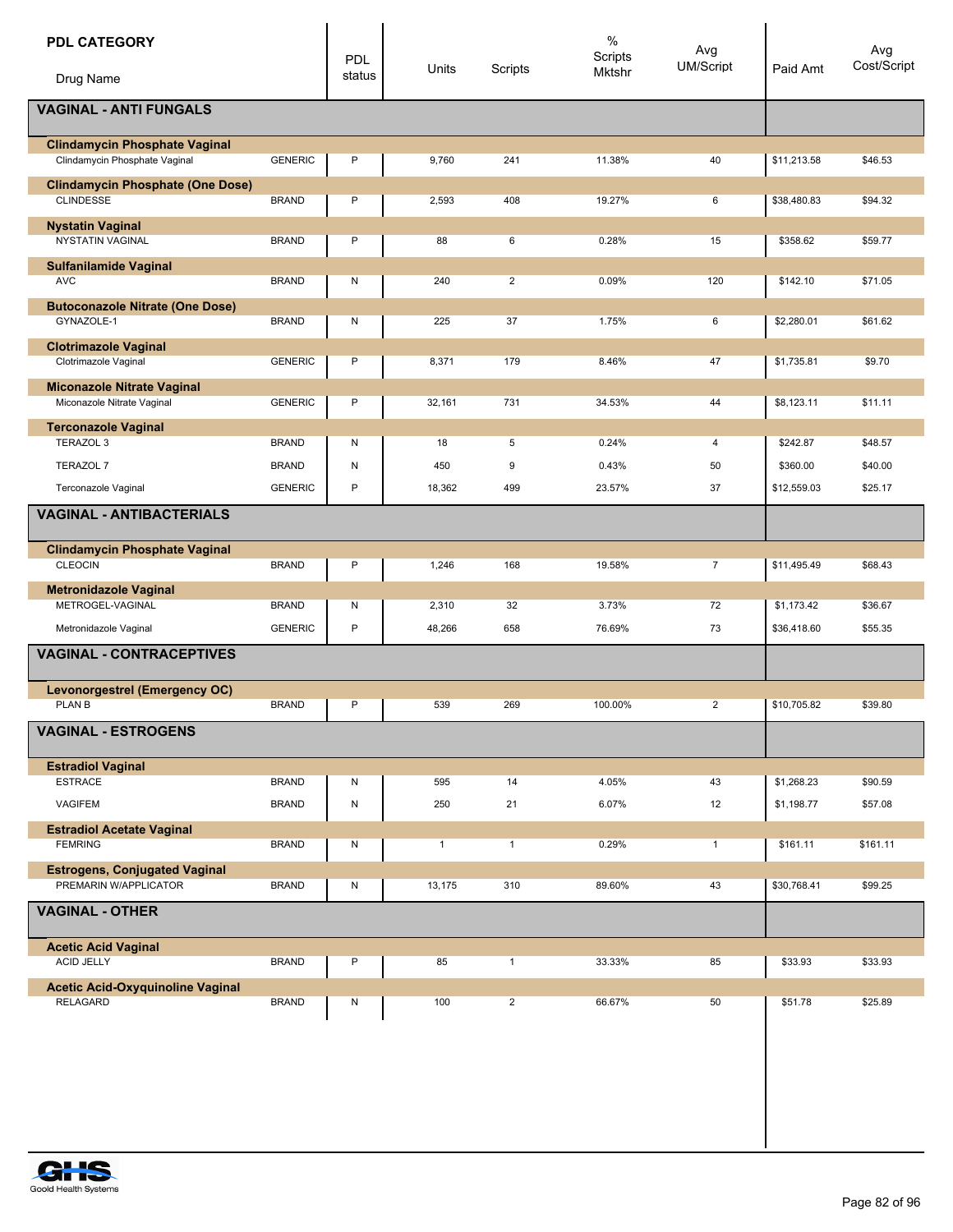| <b>PDL CATEGORY</b><br>Drug Name                                      |                | <b>PDL</b><br>status | Units        | Scripts        | $\%$<br>Scripts<br>Mktshr | Avg<br><b>UM/Script</b> | Paid Amt    | Avg<br>Cost/Script |
|-----------------------------------------------------------------------|----------------|----------------------|--------------|----------------|---------------------------|-------------------------|-------------|--------------------|
| <b>VAGINAL - ANTI FUNGALS</b>                                         |                |                      |              |                |                           |                         |             |                    |
| <b>Clindamycin Phosphate Vaginal</b><br>Clindamycin Phosphate Vaginal | <b>GENERIC</b> | P                    | 9,760        | 241            | 11.38%                    | 40                      | \$11,213.58 | \$46.53            |
| <b>Clindamycin Phosphate (One Dose)</b><br><b>CLINDESSE</b>           | <b>BRAND</b>   | P                    | 2,593        | 408            | 19.27%                    | 6                       | \$38,480.83 | \$94.32            |
| <b>Nystatin Vaginal</b>                                               |                |                      |              |                |                           |                         |             |                    |
| <b>NYSTATIN VAGINAL</b>                                               | <b>BRAND</b>   | P                    | 88           | 6              | 0.28%                     | 15                      | \$358.62    | \$59.77            |
| <b>Sulfanilamide Vaginal</b><br><b>AVC</b>                            | <b>BRAND</b>   | N                    | 240          | $\overline{2}$ | 0.09%                     | 120                     | \$142.10    | \$71.05            |
| <b>Butoconazole Nitrate (One Dose)</b><br>GYNAZOLE-1                  | <b>BRAND</b>   | N                    | 225          | 37             | 1.75%                     | 6                       | \$2,280.01  | \$61.62            |
| <b>Clotrimazole Vaginal</b><br>Clotrimazole Vaginal                   | <b>GENERIC</b> | P                    | 8,371        | 179            | 8.46%                     | 47                      | \$1,735.81  | \$9.70             |
| <b>Miconazole Nitrate Vaginal</b>                                     |                |                      |              |                |                           |                         |             |                    |
| Miconazole Nitrate Vaginal                                            | <b>GENERIC</b> | P                    | 32,161       | 731            | 34.53%                    | 44                      | \$8,123.11  | \$11.11            |
| <b>Terconazole Vaginal</b><br>TERAZOL 3                               | <b>BRAND</b>   | N                    | 18           | 5              | 0.24%                     | 4                       | \$242.87    | \$48.57            |
| <b>TERAZOL 7</b>                                                      | <b>BRAND</b>   | N                    | 450          | 9              | 0.43%                     | 50                      | \$360.00    | \$40.00            |
| Terconazole Vaginal                                                   | <b>GENERIC</b> | P                    | 18,362       | 499            | 23.57%                    | 37                      | \$12,559.03 | \$25.17            |
| <b>VAGINAL - ANTIBACTERIALS</b>                                       |                |                      |              |                |                           |                         |             |                    |
| <b>Clindamycin Phosphate Vaginal</b>                                  |                |                      |              |                |                           |                         |             |                    |
| <b>CLEOCIN</b>                                                        | <b>BRAND</b>   | P                    | 1,246        | 168            | 19.58%                    | $\overline{7}$          | \$11,495.49 | \$68.43            |
| <b>Metronidazole Vaginal</b><br>METROGEL-VAGINAL                      | <b>BRAND</b>   | N                    | 2,310        | 32             | 3.73%                     | 72                      | \$1,173.42  | \$36.67            |
| Metronidazole Vaginal                                                 | <b>GENERIC</b> | $\mathsf{P}$         | 48,266       | 658            | 76.69%                    | 73                      | \$36,418.60 | \$55.35            |
| <b>VAGINAL - CONTRACEPTIVES</b>                                       |                |                      |              |                |                           |                         |             |                    |
| <b>Levonorgestrel (Emergency OC)</b><br>PLAN B                        | <b>BRAND</b>   | P                    | 539          | 269            | 100.00%                   | $\overline{2}$          | \$10,705.82 | \$39.80            |
| <b>VAGINAL - ESTROGENS</b>                                            |                |                      |              |                |                           |                         |             |                    |
| <b>Estradiol Vaginal</b>                                              |                |                      |              |                |                           |                         |             |                    |
| <b>ESTRACE</b>                                                        | <b>BRAND</b>   | N                    | 595          | 14             | 4.05%                     | 43                      | \$1,268.23  | \$90.59            |
| VAGIFEM                                                               | <b>BRAND</b>   | ${\sf N}$            | 250          | 21             | 6.07%                     | 12                      | \$1,198.77  | \$57.08            |
| <b>Estradiol Acetate Vaginal</b><br><b>FEMRING</b>                    | <b>BRAND</b>   | N                    | $\mathbf{1}$ | $\mathbf{1}$   | 0.29%                     | $\mathbf{1}$            | \$161.11    | \$161.11           |
| <b>Estrogens, Conjugated Vaginal</b><br>PREMARIN W/APPLICATOR         | <b>BRAND</b>   | N                    | 13,175       | 310            | 89.60%                    | 43                      | \$30,768.41 | \$99.25            |
| <b>VAGINAL - OTHER</b>                                                |                |                      |              |                |                           |                         |             |                    |
| <b>Acetic Acid Vaginal</b>                                            |                |                      |              |                |                           |                         |             |                    |
| <b>ACID JELLY</b>                                                     | <b>BRAND</b>   | P                    | 85           | $\mathbf{1}$   | 33.33%                    | 85                      | \$33.93     | \$33.93            |
| <b>Acetic Acid-Oxyquinoline Vaginal</b><br><b>RELAGARD</b>            | <b>BRAND</b>   | N                    | 100          | $\overline{2}$ | 66.67%                    | 50                      | \$51.78     | \$25.89            |
|                                                                       |                |                      |              |                |                           |                         |             |                    |
|                                                                       |                |                      |              |                |                           |                         |             |                    |
|                                                                       |                |                      |              |                |                           |                         |             |                    |
|                                                                       |                |                      |              |                |                           |                         |             |                    |
|                                                                       |                |                      |              |                |                           |                         |             |                    |

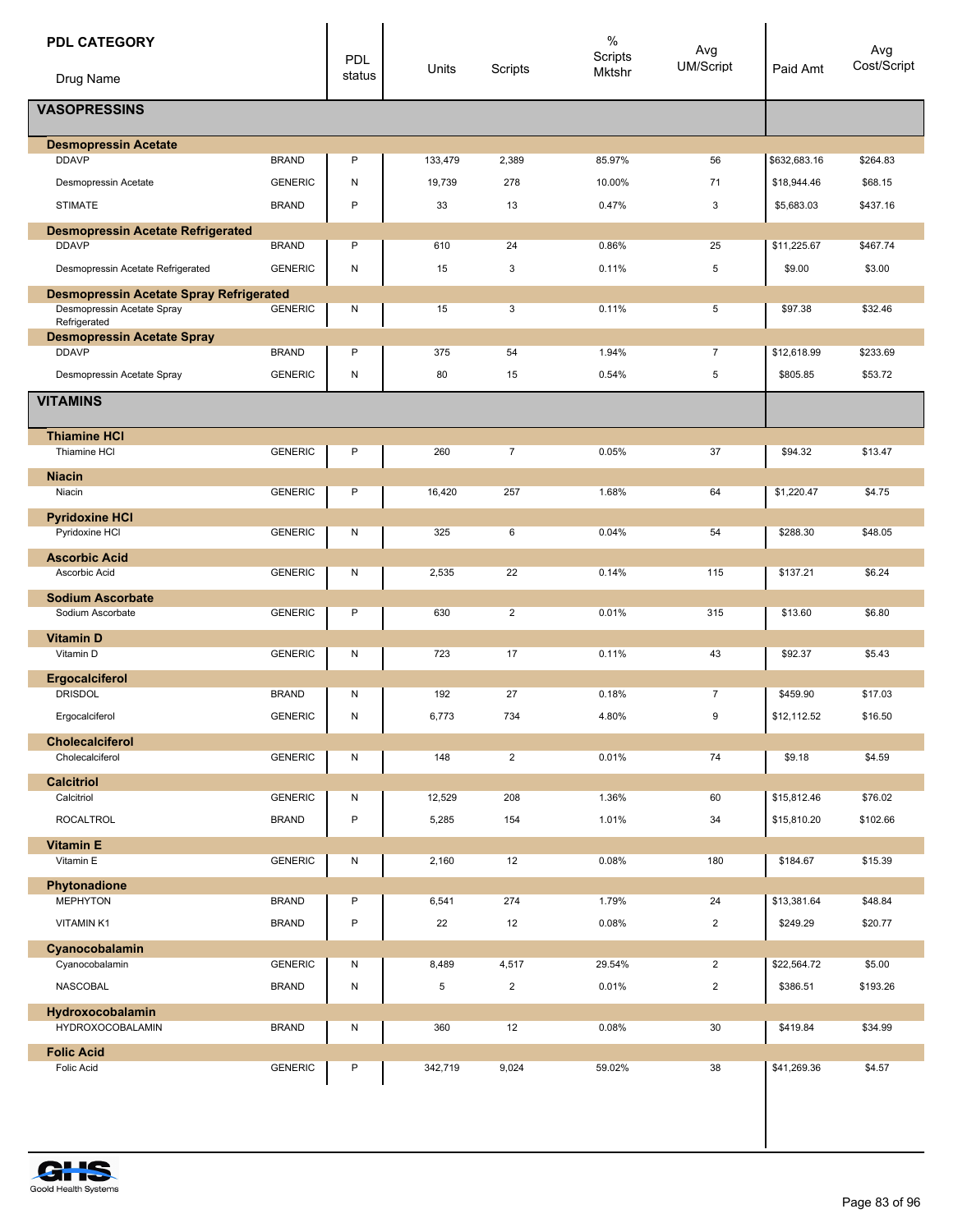| <b>PDL CATEGORY</b>                                      |                | <b>PDL</b><br>status | Units   | Scripts                 | $\%$<br>Scripts<br>Mktshr | Avg<br><b>UM/Script</b> | Paid Amt     | Avg<br>Cost/Script |
|----------------------------------------------------------|----------------|----------------------|---------|-------------------------|---------------------------|-------------------------|--------------|--------------------|
| Drug Name<br><b>VASOPRESSINS</b>                         |                |                      |         |                         |                           |                         |              |                    |
|                                                          |                |                      |         |                         |                           |                         |              |                    |
| <b>Desmopressin Acetate</b>                              |                |                      |         |                         |                           |                         |              |                    |
| <b>DDAVP</b>                                             | <b>BRAND</b>   | P                    | 133,479 | 2,389                   | 85.97%                    | 56                      | \$632,683.16 | \$264.83           |
| Desmopressin Acetate                                     | <b>GENERIC</b> | N                    | 19,739  | 278                     | 10.00%                    | 71                      | \$18,944.46  | \$68.15            |
| <b>STIMATE</b>                                           | <b>BRAND</b>   | $\mathsf{P}$         | 33      | 13                      | 0.47%                     | 3                       | \$5,683.03   | \$437.16           |
| <b>Desmopressin Acetate Refrigerated</b><br><b>DDAVP</b> | <b>BRAND</b>   | P                    | 610     | 24                      | 0.86%                     | 25                      | \$11,225.67  | \$467.74           |
| Desmopressin Acetate Refrigerated                        | <b>GENERIC</b> | ${\sf N}$            | 15      | 3                       | 0.11%                     | 5                       | \$9.00       | \$3.00             |
| <b>Desmopressin Acetate Spray Refrigerated</b>           |                |                      |         |                         |                           |                         |              |                    |
| Desmopressin Acetate Spray<br>Refrigerated               | <b>GENERIC</b> | N                    | 15      | 3                       | 0.11%                     | 5                       | \$97.38      | \$32.46            |
| <b>Desmopressin Acetate Spray</b><br><b>DDAVP</b>        | <b>BRAND</b>   | P                    | 375     | 54                      | 1.94%                     | $\overline{7}$          | \$12,618.99  | \$233.69           |
| Desmopressin Acetate Spray                               | <b>GENERIC</b> | N                    | 80      | 15                      | 0.54%                     | 5                       | \$805.85     | \$53.72            |
|                                                          |                |                      |         |                         |                           |                         |              |                    |
| <b>VITAMINS</b>                                          |                |                      |         |                         |                           |                         |              |                    |
| <b>Thiamine HCI</b><br>Thiamine HCI                      | <b>GENERIC</b> | P                    | 260     | $\overline{7}$          | 0.05%                     | 37                      | \$94.32      | \$13.47            |
|                                                          |                |                      |         |                         |                           |                         |              |                    |
| <b>Niacin</b><br>Niacin                                  | <b>GENERIC</b> | P                    | 16,420  | 257                     | 1.68%                     | 64                      | \$1,220.47   | \$4.75             |
|                                                          |                |                      |         |                         |                           |                         |              |                    |
| <b>Pyridoxine HCI</b><br>Pyridoxine HCI                  | <b>GENERIC</b> | N                    | 325     | 6                       | 0.04%                     | 54                      | \$288.30     | \$48.05            |
| <b>Ascorbic Acid</b>                                     |                |                      |         |                         |                           |                         |              |                    |
| Ascorbic Acid                                            | <b>GENERIC</b> | N                    | 2,535   | 22                      | 0.14%                     | 115                     | \$137.21     | \$6.24             |
| <b>Sodium Ascorbate</b><br>Sodium Ascorbate              | <b>GENERIC</b> | P                    | 630     | $\overline{2}$          | 0.01%                     | 315                     | \$13.60      | \$6.80             |
| <b>Vitamin D</b>                                         |                |                      |         |                         |                           |                         |              |                    |
| Vitamin D                                                | <b>GENERIC</b> | N                    | 723     | 17                      | 0.11%                     | 43                      | \$92.37      | \$5.43             |
| Ergocalciferol                                           |                |                      |         |                         |                           |                         |              |                    |
| <b>DRISDOL</b>                                           | <b>BRAND</b>   | N                    | 192     | 27                      | 0.18%                     | $\overline{7}$          | \$459.90     | \$17.03            |
| Ergocalciferol                                           | <b>GENERIC</b> | N                    | 6,773   | 734                     | 4.80%                     | 9                       | \$12,112.52  | \$16.50            |
| <b>Cholecalciferol</b><br>Cholecalciferol                | <b>GENERIC</b> | N                    | 148     | $\overline{2}$          | 0.01%                     | 74                      | \$9.18       | \$4.59             |
|                                                          |                |                      |         |                         |                           |                         |              |                    |
| <b>Calcitriol</b><br>Calcitriol                          | <b>GENERIC</b> | N                    | 12,529  | 208                     | 1.36%                     | 60                      | \$15,812.46  | \$76.02            |
| <b>ROCALTROL</b>                                         | <b>BRAND</b>   | $\mathsf{P}$         | 5,285   | 154                     | 1.01%                     | 34                      | \$15,810.20  | \$102.66           |
|                                                          |                |                      |         |                         |                           |                         |              |                    |
| <b>Vitamin E</b><br>Vitamin E                            | <b>GENERIC</b> | N                    | 2,160   | 12                      | 0.08%                     | 180                     | \$184.67     | \$15.39            |
| Phytonadione                                             |                |                      |         |                         |                           |                         |              |                    |
| <b>MEPHYTON</b>                                          | <b>BRAND</b>   | P                    | 6,541   | 274                     | 1.79%                     | 24                      | \$13,381.64  | \$48.84            |
| VITAMIN K1                                               | <b>BRAND</b>   | $\sf P$              | 22      | 12                      | 0.08%                     | $\overline{2}$          | \$249.29     | \$20.77            |
| Cyanocobalamin                                           |                |                      |         |                         |                           |                         |              |                    |
| Cyanocobalamin                                           | <b>GENERIC</b> | N                    | 8,489   | 4,517                   | 29.54%                    | $\overline{2}$          | \$22,564.72  | \$5.00             |
| <b>NASCOBAL</b>                                          | <b>BRAND</b>   | ${\sf N}$            | 5       | $\overline{\mathbf{c}}$ | 0.01%                     | $\overline{\mathbf{c}}$ | \$386.51     | \$193.26           |
| Hydroxocobalamin<br><b>HYDROXOCOBALAMIN</b>              | <b>BRAND</b>   | N                    | 360     | 12                      | 0.08%                     | 30                      | \$419.84     | \$34.99            |
| <b>Folic Acid</b>                                        |                |                      |         |                         |                           |                         |              |                    |
| Folic Acid                                               | <b>GENERIC</b> | P                    | 342,719 | 9,024                   | 59.02%                    | 38                      | \$41,269.36  | \$4.57             |
|                                                          |                |                      |         |                         |                           |                         |              |                    |

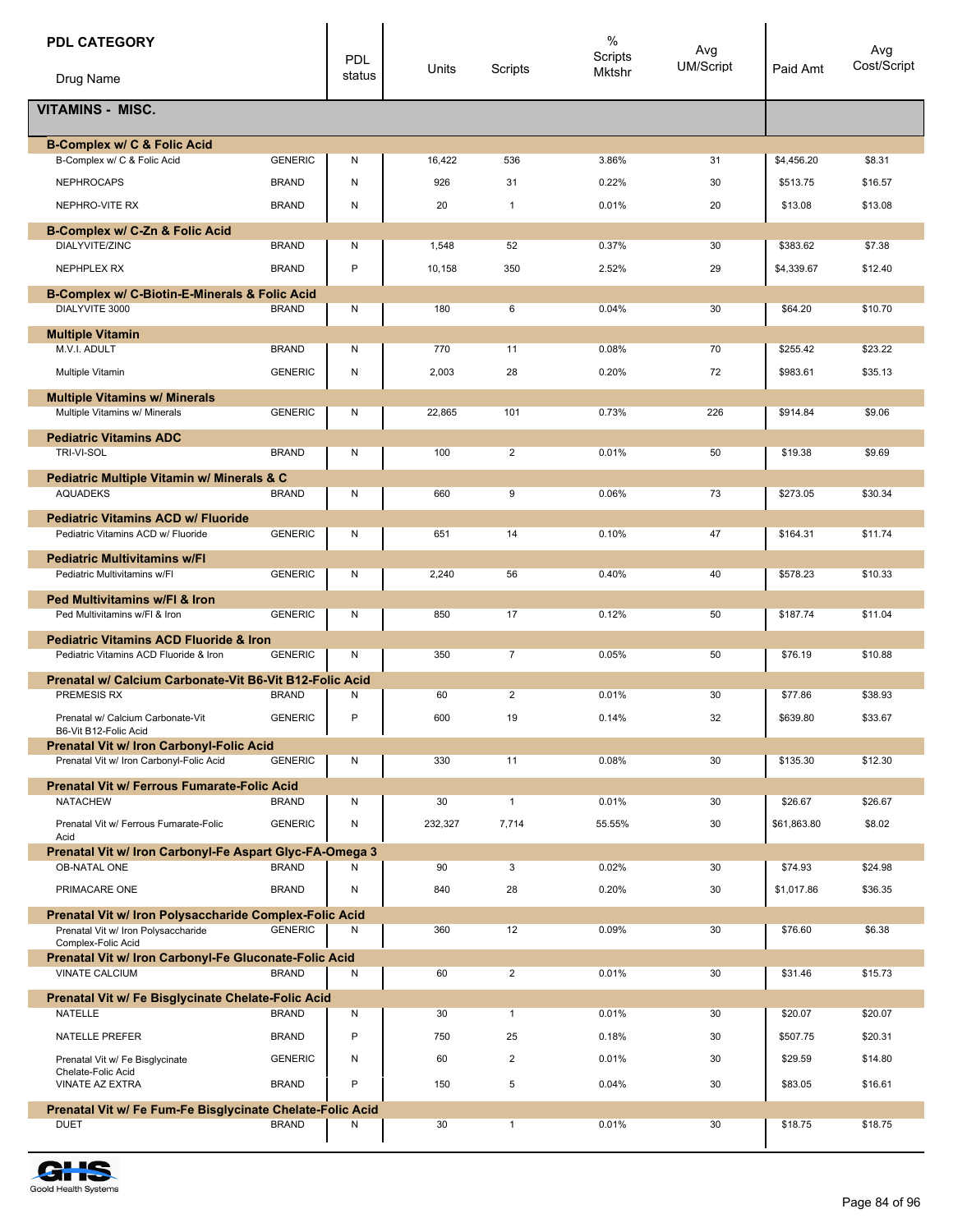| <b>PDL CATEGORY</b>                                                            |                | <b>PDL</b> |         |                | $\%$<br>Scripts | Avg       |             | Avg         |
|--------------------------------------------------------------------------------|----------------|------------|---------|----------------|-----------------|-----------|-------------|-------------|
| Drug Name                                                                      |                | status     | Units   | Scripts        | Mktshr          | UM/Script | Paid Amt    | Cost/Script |
| <b>VITAMINS - MISC.</b>                                                        |                |            |         |                |                 |           |             |             |
| B-Complex w/ C & Folic Acid                                                    |                |            |         |                |                 |           |             |             |
| B-Complex w/ C & Folic Acid                                                    | <b>GENERIC</b> | N          | 16,422  | 536            | 3.86%           | 31        | \$4,456.20  | \$8.31      |
| <b>NEPHROCAPS</b>                                                              | <b>BRAND</b>   | N          | 926     | 31             | 0.22%           | 30        | \$513.75    | \$16.57     |
| NEPHRO-VITE RX                                                                 | <b>BRAND</b>   | Ν          | 20      | $\mathbf{1}$   | 0.01%           | 20        | \$13.08     | \$13.08     |
| B-Complex w/ C-Zn & Folic Acid<br>DIALYVITE/ZINC                               | <b>BRAND</b>   | Ν          | 1,548   | 52             | 0.37%           | 30        | \$383.62    | \$7.38      |
| NEPHPLEX RX                                                                    | <b>BRAND</b>   | P          | 10,158  | 350            | 2.52%           | 29        | \$4,339.67  | \$12.40     |
| B-Complex w/ C-Biotin-E-Minerals & Folic Acid                                  |                |            |         |                |                 |           |             |             |
| DIALYVITE 3000                                                                 | <b>BRAND</b>   | N          | 180     | 6              | 0.04%           | 30        | \$64.20     | \$10.70     |
| <b>Multiple Vitamin</b>                                                        |                |            |         |                |                 |           |             |             |
| M.V.I. ADULT                                                                   | <b>BRAND</b>   | N          | 770     | 11             | 0.08%           | 70        | \$255.42    | \$23.22     |
| Multiple Vitamin                                                               | <b>GENERIC</b> | N          | 2,003   | 28             | 0.20%           | 72        | \$983.61    | \$35.13     |
| <b>Multiple Vitamins w/ Minerals</b><br>Multiple Vitamins w/ Minerals          | <b>GENERIC</b> | Ν          | 22,865  | 101            | 0.73%           | 226       | \$914.84    | \$9.06      |
| <b>Pediatric Vitamins ADC</b>                                                  |                |            |         |                |                 |           |             |             |
| TRI-VI-SOL                                                                     | <b>BRAND</b>   | Ν          | 100     | $\overline{2}$ | 0.01%           | 50        | \$19.38     | \$9.69      |
| Pediatric Multiple Vitamin w/ Minerals & C                                     |                |            |         |                |                 |           |             |             |
| <b>AQUADEKS</b>                                                                | <b>BRAND</b>   | Ν          | 660     | 9              | 0.06%           | 73        | \$273.05    | \$30.34     |
| <b>Pediatric Vitamins ACD w/ Fluoride</b>                                      |                |            |         |                |                 |           |             |             |
| Pediatric Vitamins ACD w/ Fluoride                                             | <b>GENERIC</b> | N          | 651     | 14             | 0.10%           | 47        | \$164.31    | \$11.74     |
| <b>Pediatric Multivitamins w/FI</b><br>Pediatric Multivitamins w/Fl            | <b>GENERIC</b> | Ν          | 2,240   | 56             | 0.40%           | 40        | \$578.23    | \$10.33     |
| Ped Multivitamins w/FI & Iron<br>Ped Multivitamins w/FI & Iron                 | <b>GENERIC</b> | Ν          | 850     | 17             | 0.12%           | 50        | \$187.74    | \$11.04     |
| <b>Pediatric Vitamins ACD Fluoride &amp; Iron</b>                              |                |            |         |                |                 |           |             |             |
| Pediatric Vitamins ACD Fluoride & Iron                                         | <b>GENERIC</b> | Ν          | 350     | $\overline{7}$ | 0.05%           | 50        | \$76.19     | \$10.88     |
| Prenatal w/ Calcium Carbonate-Vit B6-Vit B12-Folic Acid                        |                |            |         |                |                 |           |             |             |
| PREMESIS RX                                                                    | <b>BRAND</b>   | Ν          | 60      | $\overline{2}$ | 0.01%           | 30        | \$77.86     | \$38.93     |
| Prenatal w/ Calcium Carbonate-Vit<br>B6-Vit B12-Folic Acid                     | <b>GENERIC</b> | P          | 600     | 19             | 0.14%           | 32        | \$639.80    | \$33.67     |
| Prenatal Vit w/ Iron Carbonyl-Folic Acid                                       |                |            |         |                |                 |           |             |             |
| Prenatal Vit w/ Iron Carbonyl-Folic Acid                                       | <b>GENERIC</b> | Ν          | 330     | 11             | 0.08%           | 30        | \$135.30    | \$12.30     |
| Prenatal Vit w/ Ferrous Fumarate-Folic Acid<br><b>NATACHEW</b>                 | <b>BRAND</b>   | N          | 30      | $\mathbf{1}$   | 0.01%           | 30        | \$26.67     | \$26.67     |
| Prenatal Vit w/ Ferrous Fumarate-Folic                                         | <b>GENERIC</b> | Ν          | 232,327 | 7,714          | 55.55%          | 30        | \$61,863.80 | \$8.02      |
| Acid                                                                           |                |            |         |                |                 |           |             |             |
| Prenatal Vit w/ Iron Carbonyl-Fe Aspart Glyc-FA-Omega 3<br>OB-NATAL ONE        | <b>BRAND</b>   | Ν          | 90      | 3              | 0.02%           | 30        | \$74.93     | \$24.98     |
| PRIMACARE ONE                                                                  | <b>BRAND</b>   | Ν          | 840     | 28             | 0.20%           | 30        | \$1,017.86  | \$36.35     |
| Prenatal Vit w/ Iron Polysaccharide Complex-Folic Acid                         |                |            |         |                |                 |           |             |             |
| Prenatal Vit w/ Iron Polysaccharide<br>Complex-Folic Acid                      | <b>GENERIC</b> | Ν          | 360     | 12             | 0.09%           | 30        | \$76.60     | \$6.38      |
| Prenatal Vit w/ Iron Carbonyl-Fe Gluconate-Folic Acid<br><b>VINATE CALCIUM</b> | <b>BRAND</b>   | N          | 60      | $\overline{2}$ | 0.01%           | 30        | \$31.46     | \$15.73     |
| Prenatal Vit w/ Fe Bisglycinate Chelate-Folic Acid                             |                |            |         |                |                 |           |             |             |
| <b>NATELLE</b>                                                                 | <b>BRAND</b>   | N          | 30      | $\mathbf{1}$   | 0.01%           | 30        | \$20.07     | \$20.07     |
| NATELLE PREFER                                                                 | <b>BRAND</b>   | P          | 750     | 25             | 0.18%           | 30        | \$507.75    | \$20.31     |
| Prenatal Vit w/ Fe Bisglycinate                                                | <b>GENERIC</b> | Ν          | 60      | $\overline{2}$ | 0.01%           | 30        | \$29.59     | \$14.80     |
| Chelate-Folic Acid<br>VINATE AZ EXTRA                                          | <b>BRAND</b>   | P          | 150     | 5              | 0.04%           | 30        | \$83.05     | \$16.61     |
| Prenatal Vit w/ Fe Fum-Fe Bisglycinate Chelate-Folic Acid                      |                |            |         |                |                 |           |             |             |
| <b>DUET</b>                                                                    | <b>BRAND</b>   | Ν          | 30      | $\mathbf{1}$   | 0.01%           | 30        | \$18.75     | \$18.75     |

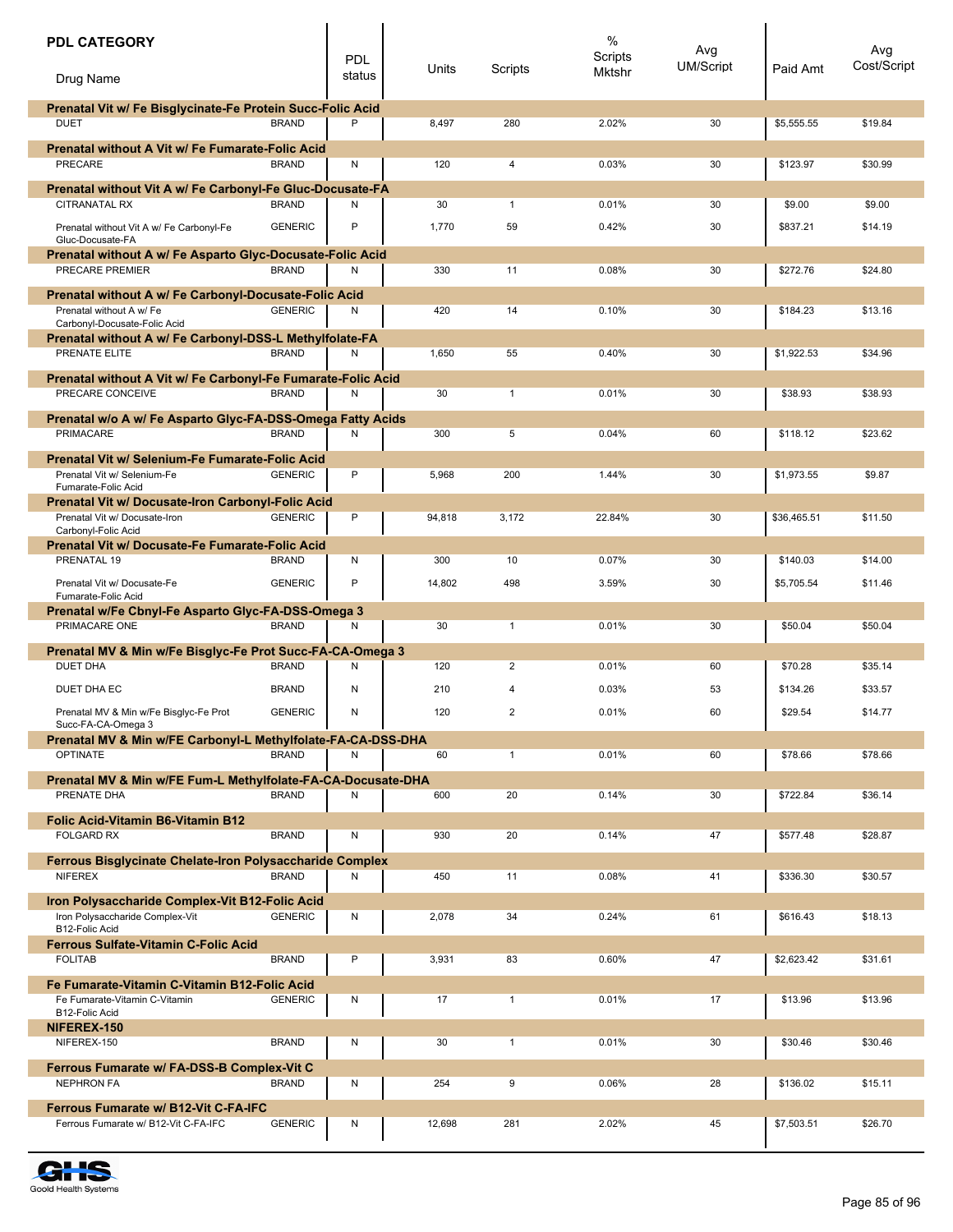| <b>PDL CATEGORY</b>                                                               |                | <b>PDL</b> | Units  | Scripts        | $\%$<br>Scripts | Avg<br><b>UM/Script</b> | Paid Amt    | Avg<br>Cost/Script |
|-----------------------------------------------------------------------------------|----------------|------------|--------|----------------|-----------------|-------------------------|-------------|--------------------|
| Drug Name                                                                         |                | status     |        |                | Mktshr          |                         |             |                    |
| Prenatal Vit w/ Fe Bisglycinate-Fe Protein Succ-Folic Acid                        |                |            |        |                |                 |                         |             |                    |
| <b>DUET</b>                                                                       | <b>BRAND</b>   | P          | 8,497  | 280            | 2.02%           | 30                      | \$5.555.55  | \$19.84            |
| <b>Prenatal without A Vit w/ Fe Fumarate-Folic Acid</b><br>PRECARE                | <b>BRAND</b>   | N          | 120    | 4              | 0.03%           | 30                      | \$123.97    | \$30.99            |
|                                                                                   |                |            |        |                |                 |                         |             |                    |
| Prenatal without Vit A w/ Fe Carbonyl-Fe Gluc-Docusate-FA<br><b>CITRANATAL RX</b> | <b>BRAND</b>   | Ν          | 30     | $\mathbf{1}$   | 0.01%           | 30                      | \$9.00      | \$9.00             |
| Prenatal without Vit A w/ Fe Carbonyl-Fe                                          | <b>GENERIC</b> | P          | 1,770  | 59             | 0.42%           | 30                      | \$837.21    | \$14.19            |
| Gluc-Docusate-FA<br>Prenatal without A w/ Fe Asparto Glyc-Docusate-Folic Acid     |                |            |        |                |                 |                         |             |                    |
| PRECARE PREMIER                                                                   | <b>BRAND</b>   | N          | 330    | 11             | 0.08%           | 30                      | \$272.76    | \$24.80            |
| Prenatal without A w/ Fe Carbonyl-Docusate-Folic Acid                             |                |            |        |                |                 |                         |             |                    |
| Prenatal without A w/ Fe                                                          | <b>GENERIC</b> | Ν          | 420    | 14             | 0.10%           | 30                      | \$184.23    | \$13.16            |
| Carbonyl-Docusate-Folic Acid                                                      |                |            |        |                |                 |                         |             |                    |
| Prenatal without A w/ Fe Carbonyl-DSS-L Methylfolate-FA<br>PRENATE ELITE          | <b>BRAND</b>   | N          | 1,650  | 55             | 0.40%           | 30                      | \$1.922.53  | \$34.96            |
|                                                                                   |                |            |        |                |                 |                         |             |                    |
| Prenatal without A Vit w/ Fe Carbonyl-Fe Fumarate-Folic Acid<br>PRECARE CONCEIVE  | <b>BRAND</b>   | N          | 30     | $\mathbf{1}$   | 0.01%           | 30                      | \$38.93     | \$38.93            |
|                                                                                   |                |            |        |                |                 |                         |             |                    |
| Prenatal w/o A w/ Fe Asparto Glyc-FA-DSS-Omega Fatty Acids<br><b>PRIMACARE</b>    | <b>BRAND</b>   | N          | 300    | 5              | 0.04%           | 60                      | \$118.12    | \$23.62            |
|                                                                                   |                |            |        |                |                 |                         |             |                    |
| Prenatal Vit w/ Selenium-Fe Fumarate-Folic Acid<br>Prenatal Vit w/ Selenium-Fe    | <b>GENERIC</b> | P          | 5,968  | 200            | 1.44%           | 30                      | \$1,973.55  | \$9.87             |
| Fumarate-Folic Acid                                                               |                |            |        |                |                 |                         |             |                    |
| <b>Prenatal Vit w/ Docusate-Iron Carbonyl-Folic Acid</b>                          |                |            |        |                |                 |                         |             |                    |
| Prenatal Vit w/ Docusate-Iron<br>Carbonyl-Folic Acid                              | <b>GENERIC</b> | P          | 94,818 | 3,172          | 22.84%          | 30                      | \$36,465.51 | \$11.50            |
| Prenatal Vit w/ Docusate-Fe Fumarate-Folic Acid                                   |                |            |        |                |                 |                         |             |                    |
| PRENATAL 19                                                                       | <b>BRAND</b>   | N          | 300    | 10             | 0.07%           | 30                      | \$140.03    | \$14.00            |
| Prenatal Vit w/ Docusate-Fe                                                       | <b>GENERIC</b> | P          | 14,802 | 498            | 3.59%           | 30                      | \$5,705.54  | \$11.46            |
| Fumarate-Folic Acid<br>Prenatal w/Fe Cbnyl-Fe Asparto Glyc-FA-DSS-Omega 3         |                |            |        |                |                 |                         |             |                    |
| PRIMACARE ONE                                                                     | <b>BRAND</b>   | Ν          | 30     | $\mathbf{1}$   | 0.01%           | 30                      | \$50.04     | \$50.04            |
| Prenatal MV & Min w/Fe Bisglyc-Fe Prot Succ-FA-CA-Omega 3                         |                |            |        |                |                 |                         |             |                    |
| <b>DUET DHA</b>                                                                   | <b>BRAND</b>   | N          | 120    | 2              | 0.01%           | 60                      | \$70.28     | \$35.14            |
| <b>DUET DHA EC</b>                                                                | <b>BRAND</b>   | N          | 210    | 4              | 0.03%           | 53                      | \$134.26    | \$33.57            |
| Prenatal MV & Min w/Fe Bisglyc-Fe Prot                                            | <b>GENERIC</b> | N          | 120    | $\overline{2}$ | 0.01%           | 60                      | \$29.54     | \$14.77            |
| Succ-FA-CA-Omega 3                                                                |                |            |        |                |                 |                         |             |                    |
| Prenatal MV & Min w/FE Carbonyl-L Methylfolate-FA-CA-DSS-DHA<br><b>OPTINATE</b>   | <b>BRAND</b>   | Ν          | 60     | $\mathbf{1}$   | 0.01%           | 60                      | \$78.66     | \$78.66            |
|                                                                                   |                |            |        |                |                 |                         |             |                    |
| Prenatal MV & Min w/FE Fum-L Methylfolate-FA-CA-Docusate-DHA<br>PRENATE DHA       | <b>BRAND</b>   |            |        |                |                 |                         |             |                    |
|                                                                                   |                | Ν          | 600    | 20             | 0.14%           | 30                      | \$722.84    | \$36.14            |
| <b>Folic Acid-Vitamin B6-Vitamin B12</b>                                          |                |            |        |                |                 |                         |             |                    |
| <b>FOLGARD RX</b>                                                                 | <b>BRAND</b>   | N          | 930    | 20             | 0.14%           | 47                      | \$577.48    | \$28.87            |
| <b>Ferrous Bisglycinate Chelate-Iron Polysaccharide Complex</b>                   |                |            |        |                |                 |                         |             |                    |
| <b>NIFEREX</b>                                                                    | <b>BRAND</b>   | Ν          | 450    | 11             | 0.08%           | 41                      | \$336.30    | \$30.57            |
| Iron Polysaccharide Complex-Vit B12-Folic Acid                                    |                |            |        |                |                 |                         |             |                    |
| Iron Polysaccharide Complex-Vit<br>B12-Folic Acid                                 | <b>GENERIC</b> | N          | 2,078  | 34             | 0.24%           | 61                      | \$616.43    | \$18.13            |
| <b>Ferrous Sulfate-Vitamin C-Folic Acid</b>                                       |                |            |        |                |                 |                         |             |                    |
| <b>FOLITAB</b>                                                                    | <b>BRAND</b>   | P          | 3,931  | 83             | 0.60%           | 47                      | \$2,623.42  | \$31.61            |
| Fe Fumarate-Vitamin C-Vitamin B12-Folic Acid                                      |                |            |        |                |                 |                         |             |                    |
| Fe Fumarate-Vitamin C-Vitamin<br>B12-Folic Acid                                   | <b>GENERIC</b> | N          | 17     | $\mathbf{1}$   | 0.01%           | 17                      | \$13.96     | \$13.96            |
| NIFEREX-150                                                                       |                |            |        |                |                 |                         |             |                    |
| NIFEREX-150                                                                       | <b>BRAND</b>   | N          | 30     | $\mathbf{1}$   | 0.01%           | 30                      | \$30.46     | \$30.46            |
| Ferrous Fumarate w/ FA-DSS-B Complex-Vit C                                        |                |            |        |                |                 |                         |             |                    |
| <b>NEPHRON FA</b>                                                                 | <b>BRAND</b>   | N          | 254    | 9              | 0.06%           | 28                      | \$136.02    | \$15.11            |
| <b>Ferrous Fumarate w/ B12-Vit C-FA-IFC</b>                                       |                |            |        |                |                 |                         |             |                    |
| Ferrous Fumarate w/ B12-Vit C-FA-IFC                                              | <b>GENERIC</b> | N          | 12,698 | 281            | 2.02%           | 45                      | \$7,503.51  | \$26.70            |
|                                                                                   |                |            |        |                |                 |                         |             |                    |

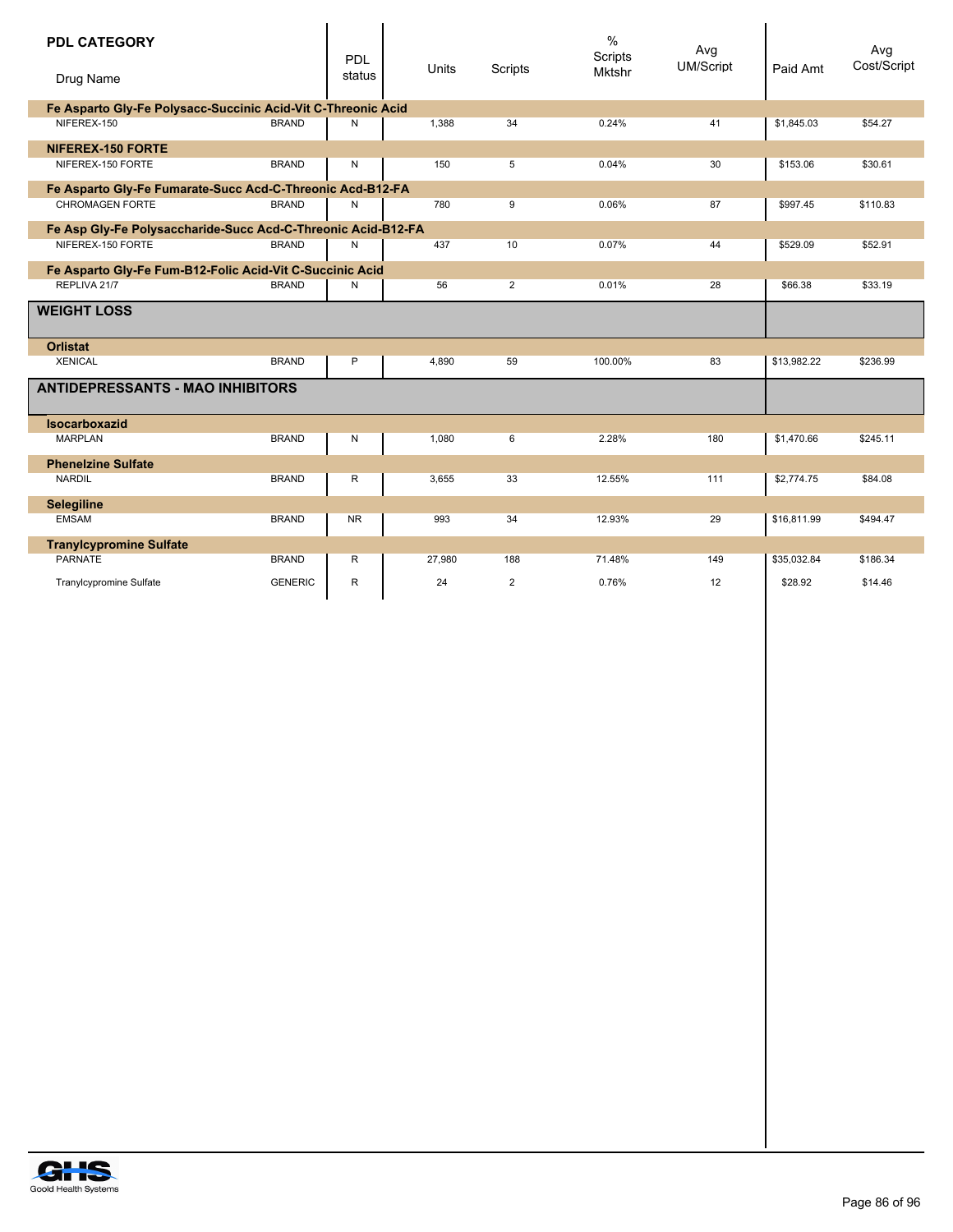| <b>PDL CATEGORY</b><br>Drug Name                             |                | PDL<br>status | Units  | Scripts        | $\%$<br>Scripts<br><b>Mktshr</b> | Avg<br>UM/Script | Paid Amt    | Avg<br>Cost/Script |
|--------------------------------------------------------------|----------------|---------------|--------|----------------|----------------------------------|------------------|-------------|--------------------|
| Fe Asparto Gly-Fe Polysacc-Succinic Acid-Vit C-Threonic Acid |                |               |        |                |                                  |                  |             |                    |
| NIFEREX-150                                                  | <b>BRAND</b>   | N             | 1,388  | 34             | 0.24%                            | 41               | \$1,845.03  | \$54.27            |
| <b>NIFEREX-150 FORTE</b>                                     |                |               |        |                |                                  |                  |             |                    |
| NIFEREX-150 FORTE                                            | <b>BRAND</b>   | N             | 150    | 5              | 0.04%                            | 30               | \$153.06    | \$30.61            |
| Fe Asparto Gly-Fe Fumarate-Succ Acd-C-Threonic Acd-B12-FA    |                |               |        |                |                                  |                  |             |                    |
| <b>CHROMAGEN FORTE</b>                                       | <b>BRAND</b>   | Ν             | 780    | 9              | 0.06%                            | 87               | \$997.45    | \$110.83           |
| Fe Asp Gly-Fe Polysaccharide-Succ Acd-C-Threonic Acid-B12-FA |                |               |        |                |                                  |                  |             |                    |
| NIFEREX-150 FORTE                                            | <b>BRAND</b>   | N             | 437    | 10             | 0.07%                            | 44               | \$529.09    | \$52.91            |
| Fe Asparto Gly-Fe Fum-B12-Folic Acid-Vit C-Succinic Acid     |                |               |        |                |                                  |                  |             |                    |
| REPLIVA 21/7                                                 | <b>BRAND</b>   | N             | 56     | $\overline{2}$ | 0.01%                            | 28               | \$66.38     | \$33.19            |
| <b>WEIGHT LOSS</b>                                           |                |               |        |                |                                  |                  |             |                    |
| <b>Orlistat</b>                                              |                |               |        |                |                                  |                  |             |                    |
| <b>XENICAL</b>                                               | <b>BRAND</b>   | P             | 4,890  | 59             | 100.00%                          | 83               | \$13,982.22 | \$236.99           |
| <b>ANTIDEPRESSANTS - MAO INHIBITORS</b>                      |                |               |        |                |                                  |                  |             |                    |
| <b>Isocarboxazid</b>                                         |                |               |        |                |                                  |                  |             |                    |
| <b>MARPLAN</b>                                               | <b>BRAND</b>   | N             | 1,080  | 6              | 2.28%                            | 180              | \$1,470.66  | \$245.11           |
| <b>Phenelzine Sulfate</b>                                    |                |               |        |                |                                  |                  |             |                    |
| <b>NARDIL</b>                                                | <b>BRAND</b>   | R             | 3,655  | 33             | 12.55%                           | 111              | \$2,774.75  | \$84.08            |
| <b>Selegiline</b>                                            |                |               |        |                |                                  |                  |             |                    |
| <b>EMSAM</b>                                                 | <b>BRAND</b>   | <b>NR</b>     | 993    | 34             | 12.93%                           | 29               | \$16.811.99 | \$494.47           |
| <b>Tranylcypromine Sulfate</b>                               |                |               |        |                |                                  |                  |             |                    |
| PARNATE                                                      | <b>BRAND</b>   | R             | 27,980 | 188            | 71.48%                           | 149              | \$35,032.84 | \$186.34           |
| Tranylcypromine Sulfate                                      | <b>GENERIC</b> | R             | 24     | $\overline{2}$ | 0.76%                            | 12               | \$28.92     | \$14.46            |

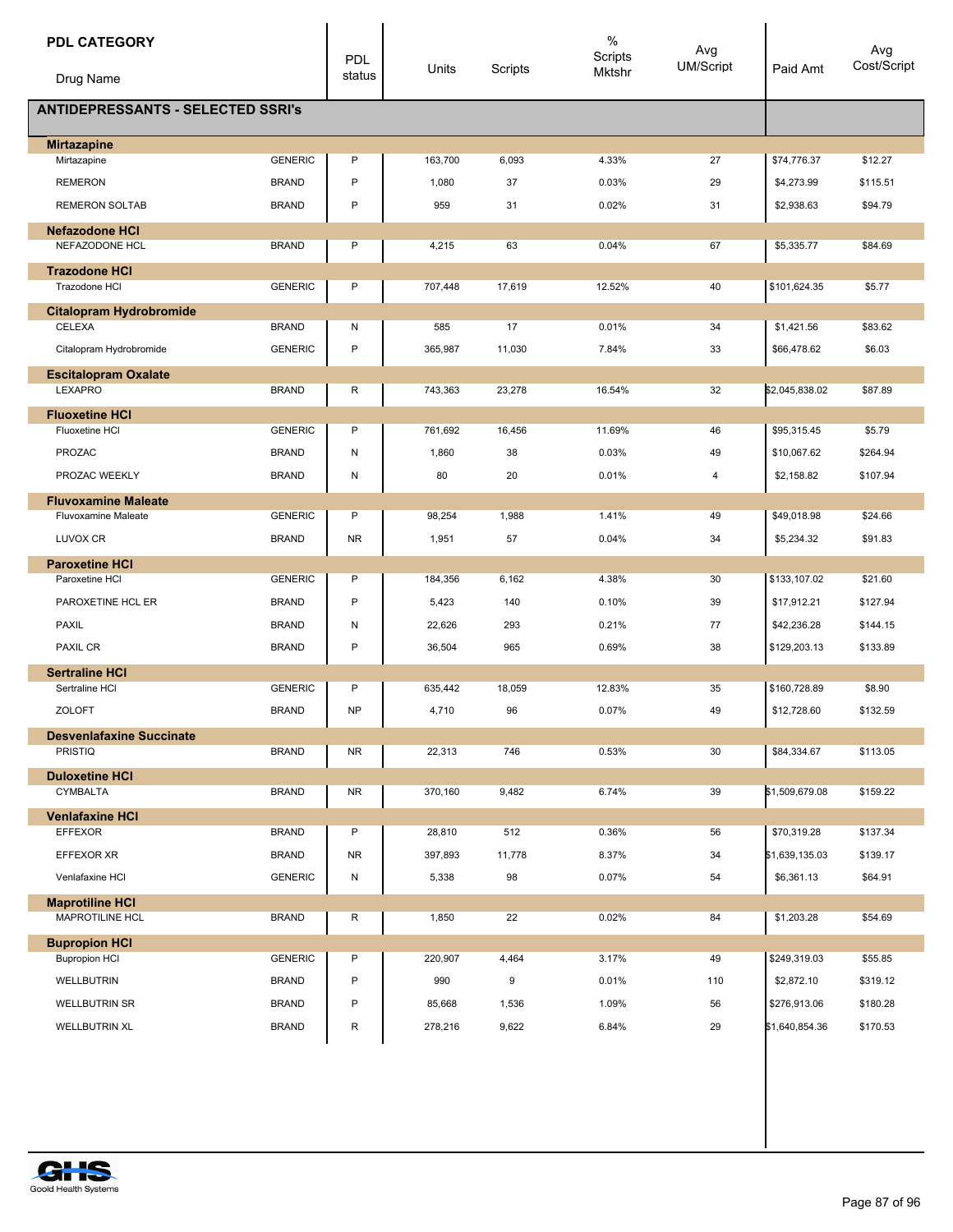| <b>PDL CATEGORY</b><br>Drug Name                  |                | <b>PDL</b><br>status | Units   | Scripts | $\%$<br>Scripts<br>Mktshr | Avg<br>UM/Script | Paid Amt       | Avg<br>Cost/Script |
|---------------------------------------------------|----------------|----------------------|---------|---------|---------------------------|------------------|----------------|--------------------|
| <b>ANTIDEPRESSANTS - SELECTED SSRI's</b>          |                |                      |         |         |                           |                  |                |                    |
| <b>Mirtazapine</b>                                |                |                      |         |         |                           |                  |                |                    |
| Mirtazapine                                       | <b>GENERIC</b> | P                    | 163,700 | 6,093   | 4.33%                     | 27               | \$74,776.37    | \$12.27            |
| <b>REMERON</b>                                    | <b>BRAND</b>   | P                    | 1,080   | 37      | 0.03%                     | 29               | \$4,273.99     | \$115.51           |
| <b>REMERON SOLTAB</b>                             | <b>BRAND</b>   | P                    | 959     | 31      | 0.02%                     | 31               | \$2,938.63     | \$94.79            |
| <b>Nefazodone HCI</b>                             |                |                      |         |         |                           |                  |                |                    |
| NEFAZODONE HCL                                    | <b>BRAND</b>   | Ρ                    | 4,215   | 63      | 0.04%                     | 67               | \$5,335.77     | \$84.69            |
| <b>Trazodone HCI</b><br>Trazodone HCI             | <b>GENERIC</b> | P                    | 707,448 | 17,619  | 12.52%                    | 40               | \$101,624.35   | \$5.77             |
| <b>Citalopram Hydrobromide</b>                    |                |                      |         |         |                           |                  |                |                    |
| CELEXA                                            | <b>BRAND</b>   | Ν                    | 585     | 17      | 0.01%                     | 34               | \$1,421.56     | \$83.62            |
| Citalopram Hydrobromide                           | <b>GENERIC</b> | P                    | 365,987 | 11,030  | 7.84%                     | 33               | \$66,478.62    | \$6.03             |
| <b>Escitalopram Oxalate</b>                       |                |                      |         |         |                           |                  |                |                    |
| LEXAPRO                                           | <b>BRAND</b>   | R                    | 743,363 | 23,278  | 16.54%                    | 32               | \$2,045,838.02 | \$87.89            |
| <b>Fluoxetine HCI</b><br>Fluoxetine HCI           | <b>GENERIC</b> | P                    | 761,692 | 16,456  | 11.69%                    | 46               | \$95,315.45    | \$5.79             |
|                                                   | <b>BRAND</b>   | Ν                    |         |         |                           | 49               |                |                    |
| PROZAC                                            |                |                      | 1,860   | 38      | 0.03%                     |                  | \$10,067.62    | \$264.94           |
| PROZAC WEEKLY                                     | <b>BRAND</b>   | Ν                    | 80      | 20      | 0.01%                     | 4                | \$2,158.82     | \$107.94           |
| <b>Fluvoxamine Maleate</b><br>Fluvoxamine Maleate | <b>GENERIC</b> | P                    | 98,254  | 1,988   | 1.41%                     | 49               | \$49,018.98    | \$24.66            |
| LUVOX CR                                          | <b>BRAND</b>   | <b>NR</b>            | 1,951   | 57      | 0.04%                     | 34               | \$5,234.32     | \$91.83            |
|                                                   |                |                      |         |         |                           |                  |                |                    |
| <b>Paroxetine HCI</b><br>Paroxetine HCI           | <b>GENERIC</b> | P                    | 184,356 | 6,162   | 4.38%                     | 30               | \$133,107.02   | \$21.60            |
| PAROXETINE HCL ER                                 | <b>BRAND</b>   | P                    | 5,423   | 140     | 0.10%                     | 39               | \$17,912.21    | \$127.94           |
| <b>PAXIL</b>                                      | <b>BRAND</b>   | Ν                    | 22,626  | 293     | 0.21%                     | 77               | \$42,236.28    | \$144.15           |
| <b>PAXIL CR</b>                                   | <b>BRAND</b>   | P                    | 36,504  | 965     | 0.69%                     | 38               | \$129,203.13   | \$133.89           |
|                                                   |                |                      |         |         |                           |                  |                |                    |
| <b>Sertraline HCI</b><br>Sertraline HCI           | <b>GENERIC</b> | P                    | 635,442 | 18,059  | 12.83%                    | 35               | \$160,728.89   | \$8.90             |
| <b>ZOLOFT</b>                                     | <b>BRAND</b>   | <b>NP</b>            | 4,710   | 96      | 0.07%                     | 49               | \$12,728.60    | \$132.59           |
| <b>Desvenlafaxine Succinate</b>                   |                |                      |         |         |                           |                  |                |                    |
| <b>PRISTIQ</b>                                    | <b>BRAND</b>   | <b>NR</b>            | 22,313  | 746     | 0.53%                     | 30               | \$84,334.67    | \$113.05           |
| <b>Duloxetine HCI</b>                             |                |                      |         |         |                           |                  |                |                    |
| CYMBALTA                                          | <b>BRAND</b>   | <b>NR</b>            | 370,160 | 9,482   | 6.74%                     | 39               | \$1,509,679.08 | \$159.22           |
| <b>Venlafaxine HCI</b>                            |                |                      |         |         |                           |                  |                |                    |
| <b>EFFEXOR</b>                                    | <b>BRAND</b>   | P                    | 28,810  | 512     | 0.36%                     | 56               | \$70,319.28    | \$137.34           |
| EFFEXOR XR                                        | <b>BRAND</b>   | <b>NR</b>            | 397,893 | 11,778  | 8.37%                     | 34               | \$1,639,135.03 | \$139.17           |
| Venlafaxine HCI                                   | <b>GENERIC</b> | N                    | 5,338   | 98      | 0.07%                     | 54               | \$6,361.13     | \$64.91            |
| <b>Maprotiline HCI</b><br>MAPROTILINE HCL         | <b>BRAND</b>   | R                    | 1,850   | 22      | 0.02%                     | 84               | \$1,203.28     | \$54.69            |
| <b>Bupropion HCI</b>                              |                |                      |         |         |                           |                  |                |                    |
| <b>Bupropion HCI</b>                              | <b>GENERIC</b> | P                    | 220,907 | 4,464   | 3.17%                     | 49               | \$249,319.03   | \$55.85            |
| <b>WELLBUTRIN</b>                                 | <b>BRAND</b>   | P                    | 990     | 9       | 0.01%                     | 110              | \$2,872.10     | \$319.12           |
| <b>WELLBUTRIN SR</b>                              | <b>BRAND</b>   | P                    | 85,668  | 1,536   | 1.09%                     | 56               | \$276,913.06   | \$180.28           |
| <b>WELLBUTRIN XL</b>                              | <b>BRAND</b>   | R                    | 278,216 | 9,622   | 6.84%                     | 29               | \$1,640,854.36 | \$170.53           |

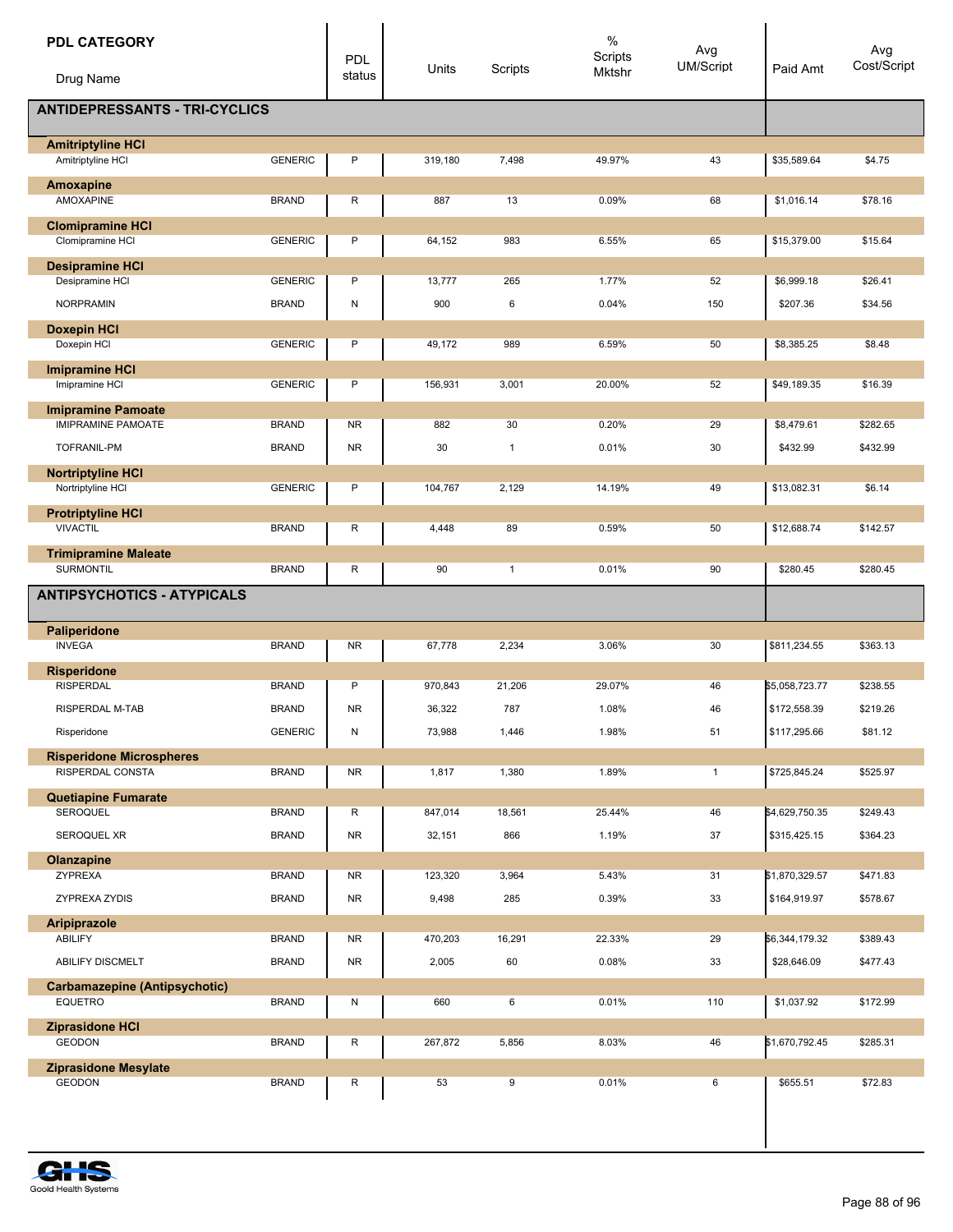| <b>PDL CATEGORY</b><br>Drug Name                       |                | PDL<br>status | Units   | Scripts      | %<br>Scripts<br>Mktshr | Avg<br><b>UM/Script</b> | Paid Amt       | Avg<br>Cost/Script |
|--------------------------------------------------------|----------------|---------------|---------|--------------|------------------------|-------------------------|----------------|--------------------|
| <b>ANTIDEPRESSANTS - TRI-CYCLICS</b>                   |                |               |         |              |                        |                         |                |                    |
|                                                        |                |               |         |              |                        |                         |                |                    |
| <b>Amitriptyline HCI</b><br>Amitriptyline HCI          | <b>GENERIC</b> | P             | 319,180 | 7,498        | 49.97%                 | 43                      | \$35,589.64    | \$4.75             |
| Amoxapine                                              |                |               |         |              |                        |                         |                |                    |
| <b>AMOXAPINE</b>                                       | <b>BRAND</b>   | R             | 887     | 13           | 0.09%                  | 68                      | \$1,016.14     | \$78.16            |
| <b>Clomipramine HCI</b><br>Clomipramine HCI            | <b>GENERIC</b> | P             | 64,152  | 983          | 6.55%                  | 65                      | \$15,379.00    | \$15.64            |
| <b>Desipramine HCI</b>                                 |                |               |         |              |                        |                         |                |                    |
| Desipramine HCI                                        | <b>GENERIC</b> | P             | 13,777  | 265          | 1.77%                  | 52                      | \$6,999.18     | \$26.41            |
| <b>NORPRAMIN</b>                                       | <b>BRAND</b>   | Ν             | 900     | 6            | 0.04%                  | 150                     | \$207.36       | \$34.56            |
| <b>Doxepin HCI</b>                                     |                |               |         |              |                        |                         |                |                    |
| Doxepin HCI                                            | <b>GENERIC</b> | P             | 49,172  | 989          | 6.59%                  | 50                      | \$8,385.25     | \$8.48             |
| <b>Imipramine HCI</b><br>Imipramine HCI                | <b>GENERIC</b> | P             |         |              |                        |                         | \$49,189.35    |                    |
|                                                        |                |               | 156,931 | 3,001        | 20.00%                 | 52                      |                | \$16.39            |
| <b>Imipramine Pamoate</b><br><b>IMIPRAMINE PAMOATE</b> | <b>BRAND</b>   | <b>NR</b>     | 882     | 30           | 0.20%                  | 29                      | \$8,479.61     | \$282.65           |
| TOFRANIL-PM                                            | <b>BRAND</b>   | <b>NR</b>     | 30      | $\mathbf{1}$ | 0.01%                  | 30                      | \$432.99       | \$432.99           |
| <b>Nortriptyline HCI</b>                               |                |               |         |              |                        |                         |                |                    |
| Nortriptyline HCI                                      | <b>GENERIC</b> | P             | 104,767 | 2,129        | 14.19%                 | 49                      | \$13,082.31    | \$6.14             |
| <b>Protriptyline HCI</b><br><b>VIVACTIL</b>            |                |               |         |              |                        |                         |                |                    |
|                                                        | <b>BRAND</b>   | R             | 4,448   | 89           | 0.59%                  | 50                      | \$12,688.74    | \$142.57           |
| <b>Trimipramine Maleate</b><br><b>SURMONTIL</b>        | <b>BRAND</b>   | R             | 90      | $\mathbf{1}$ | 0.01%                  | 90                      | \$280.45       | \$280.45           |
| <b>ANTIPSYCHOTICS - ATYPICALS</b>                      |                |               |         |              |                        |                         |                |                    |
|                                                        |                |               |         |              |                        |                         |                |                    |
| <b>Paliperidone</b>                                    |                |               |         |              |                        |                         |                |                    |
| <b>INVEGA</b>                                          | <b>BRAND</b>   | <b>NR</b>     | 67,778  | 2,234        | 3.06%                  | 30                      | \$811,234.55   | \$363.13           |
| <b>Risperidone</b><br><b>RISPERDAL</b>                 | <b>BRAND</b>   | P             | 970,843 | 21,206       | 29.07%                 | 46                      | \$5,058,723.77 | \$238.55           |
| RISPERDAL M-TAB                                        | <b>BRAND</b>   | <b>NR</b>     |         | 787          | 1.08%                  |                         |                | \$219.26           |
|                                                        |                |               | 36,322  |              |                        | 46                      | \$172,558.39   |                    |
| Risperidone                                            | <b>GENERIC</b> | Ν             | 73,988  | 1,446        | 1.98%                  | 51                      | \$117,295.66   | \$81.12            |
| <b>Risperidone Microspheres</b><br>RISPERDAL CONSTA    | <b>BRAND</b>   | <b>NR</b>     | 1,817   | 1,380        | 1.89%                  | $\mathbf{1}$            | \$725,845.24   | \$525.97           |
| <b>Quetiapine Fumarate</b>                             |                |               |         |              |                        |                         |                |                    |
| SEROQUEL                                               | <b>BRAND</b>   | R             | 847,014 | 18,561       | 25.44%                 | 46                      | \$4,629,750.35 | \$249.43           |
| SEROQUEL XR                                            | <b>BRAND</b>   | <b>NR</b>     | 32,151  | 866          | 1.19%                  | 37                      | \$315,425.15   | \$364.23           |
| Olanzapine                                             |                |               |         |              |                        |                         |                |                    |
| ZYPREXA                                                | <b>BRAND</b>   | <b>NR</b>     | 123,320 | 3,964        | 5.43%                  | 31                      | \$1,870,329.57 | \$471.83           |
| ZYPREXA ZYDIS                                          | <b>BRAND</b>   | <b>NR</b>     | 9,498   | 285          | 0.39%                  | 33                      | \$164,919.97   | \$578.67           |
| Aripiprazole                                           |                |               |         |              |                        |                         |                |                    |
| <b>ABILIFY</b>                                         | <b>BRAND</b>   | <b>NR</b>     | 470,203 | 16,291       | 22.33%                 | 29                      | \$6,344,179.32 | \$389.43           |
| ABILIFY DISCMELT                                       | <b>BRAND</b>   | NR.           | 2,005   | 60           | 0.08%                  | 33                      | \$28,646.09    | \$477.43           |
| <b>Carbamazepine (Antipsychotic)</b>                   |                |               |         |              |                        |                         |                |                    |
| <b>EQUETRO</b>                                         | <b>BRAND</b>   | N             | 660     | 6            | 0.01%                  | 110                     | \$1,037.92     | \$172.99           |
| <b>Ziprasidone HCI</b><br><b>GEODON</b>                | <b>BRAND</b>   | R             | 267,872 | 5,856        | 8.03%                  | 46                      | \$1,670,792.45 | \$285.31           |
| <b>Ziprasidone Mesylate</b>                            |                |               |         |              |                        |                         |                |                    |
| <b>GEODON</b>                                          | <b>BRAND</b>   | R             | 53      | 9            | 0.01%                  | 6                       | \$655.51       | \$72.83            |
|                                                        |                |               |         |              |                        |                         |                |                    |
|                                                        |                |               |         |              |                        |                         |                |                    |

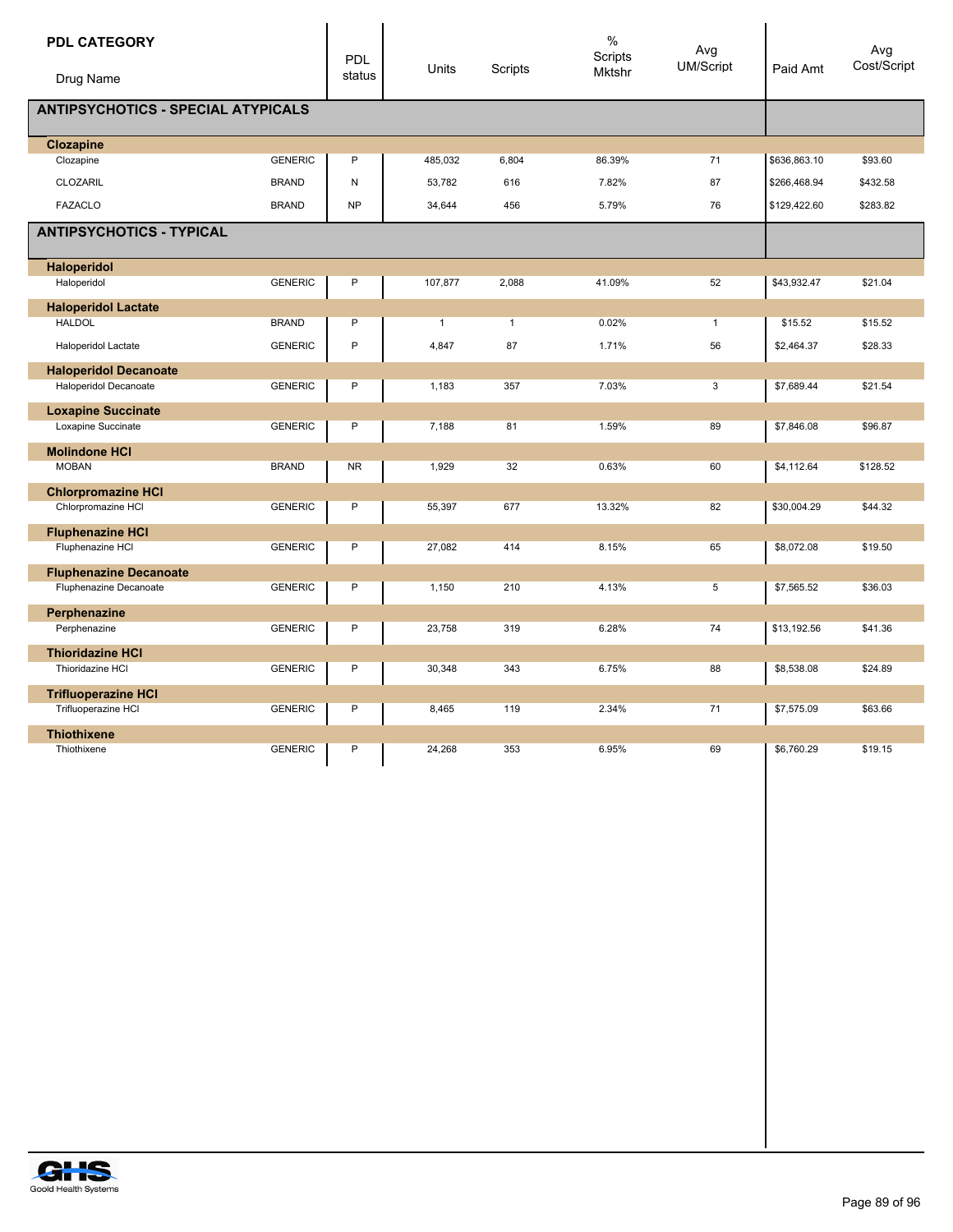| <b>PDL CATEGORY</b>                       |                | PDL       |              |              | $\%$<br>Scripts | Avg              |              | Avg         |
|-------------------------------------------|----------------|-----------|--------------|--------------|-----------------|------------------|--------------|-------------|
| Drug Name                                 |                | status    | Units        | Scripts      | Mktshr          | <b>UM/Script</b> | Paid Amt     | Cost/Script |
| <b>ANTIPSYCHOTICS - SPECIAL ATYPICALS</b> |                |           |              |              |                 |                  |              |             |
| <b>Clozapine</b>                          |                |           |              |              |                 |                  |              |             |
| Clozapine                                 | <b>GENERIC</b> | P         | 485,032      | 6,804        | 86.39%          | 71               | \$636,863.10 | \$93.60     |
| CLOZARIL                                  | <b>BRAND</b>   | N         | 53,782       | 616          | 7.82%           | 87               | \$266,468.94 | \$432.58    |
| <b>FAZACLO</b>                            | <b>BRAND</b>   | <b>NP</b> | 34,644       | 456          | 5.79%           | 76               | \$129,422.60 | \$283.82    |
| <b>ANTIPSYCHOTICS - TYPICAL</b>           |                |           |              |              |                 |                  |              |             |
| <b>Haloperidol</b>                        |                |           |              |              |                 |                  |              |             |
| Haloperidol                               | <b>GENERIC</b> | P         | 107,877      | 2,088        | 41.09%          | 52               | \$43,932.47  | \$21.04     |
| <b>Haloperidol Lactate</b>                |                |           |              |              |                 |                  |              |             |
| <b>HALDOL</b>                             | <b>BRAND</b>   | P         | $\mathbf{1}$ | $\mathbf{1}$ | 0.02%           | $\mathbf{1}$     | \$15.52      | \$15.52     |
| Haloperidol Lactate                       | <b>GENERIC</b> | P         | 4,847        | 87           | 1.71%           | 56               | \$2,464.37   | \$28.33     |
| <b>Haloperidol Decanoate</b>              |                |           |              |              |                 |                  |              |             |
| <b>Haloperidol Decanoate</b>              | <b>GENERIC</b> | P         | 1,183        | 357          | 7.03%           | $\overline{3}$   | \$7,689.44   | \$21.54     |
| <b>Loxapine Succinate</b>                 |                |           |              |              |                 |                  |              |             |
| Loxapine Succinate                        | <b>GENERIC</b> | P         | 7,188        | 81           | 1.59%           | 89               | \$7,846.08   | \$96.87     |
| <b>Molindone HCI</b>                      |                |           |              |              |                 |                  |              |             |
| <b>MOBAN</b>                              | <b>BRAND</b>   | <b>NR</b> | 1,929        | 32           | 0.63%           | 60               | \$4,112.64   | \$128.52    |
| <b>Chlorpromazine HCI</b>                 |                |           |              |              |                 |                  |              |             |
| Chlorpromazine HCI                        | <b>GENERIC</b> | P         | 55,397       | 677          | 13.32%          | 82               | \$30,004.29  | \$44.32     |
| <b>Fluphenazine HCI</b>                   |                |           |              |              |                 |                  |              |             |
| Fluphenazine HCI                          | <b>GENERIC</b> | P         | 27,082       | 414          | 8.15%           | 65               | \$8,072.08   | \$19.50     |
| <b>Fluphenazine Decanoate</b>             |                |           |              |              |                 |                  |              |             |
| Fluphenazine Decanoate                    | <b>GENERIC</b> | P         | 1,150        | 210          | 4.13%           | 5                | \$7,565.52   | \$36.03     |
| Perphenazine                              |                |           |              |              |                 |                  |              |             |
| Perphenazine                              | <b>GENERIC</b> | P         | 23,758       | 319          | 6.28%           | 74               | \$13,192.56  | \$41.36     |
| <b>Thioridazine HCI</b>                   |                |           |              |              |                 |                  |              |             |
| Thioridazine HCI                          | <b>GENERIC</b> | P         | 30,348       | 343          | 6.75%           | 88               | \$8,538.08   | \$24.89     |
| <b>Trifluoperazine HCI</b>                |                |           |              |              |                 |                  |              |             |
| Trifluoperazine HCI                       | <b>GENERIC</b> | P         | 8,465        | 119          | 2.34%           | 71               | \$7,575.09   | \$63.66     |
| <b>Thiothixene</b>                        |                |           |              |              |                 |                  |              |             |
| Thiothixene                               | <b>GENERIC</b> | P         | 24,268       | 353          | 6.95%           | 69               | \$6,760.29   | \$19.15     |
|                                           |                |           |              |              |                 |                  |              |             |

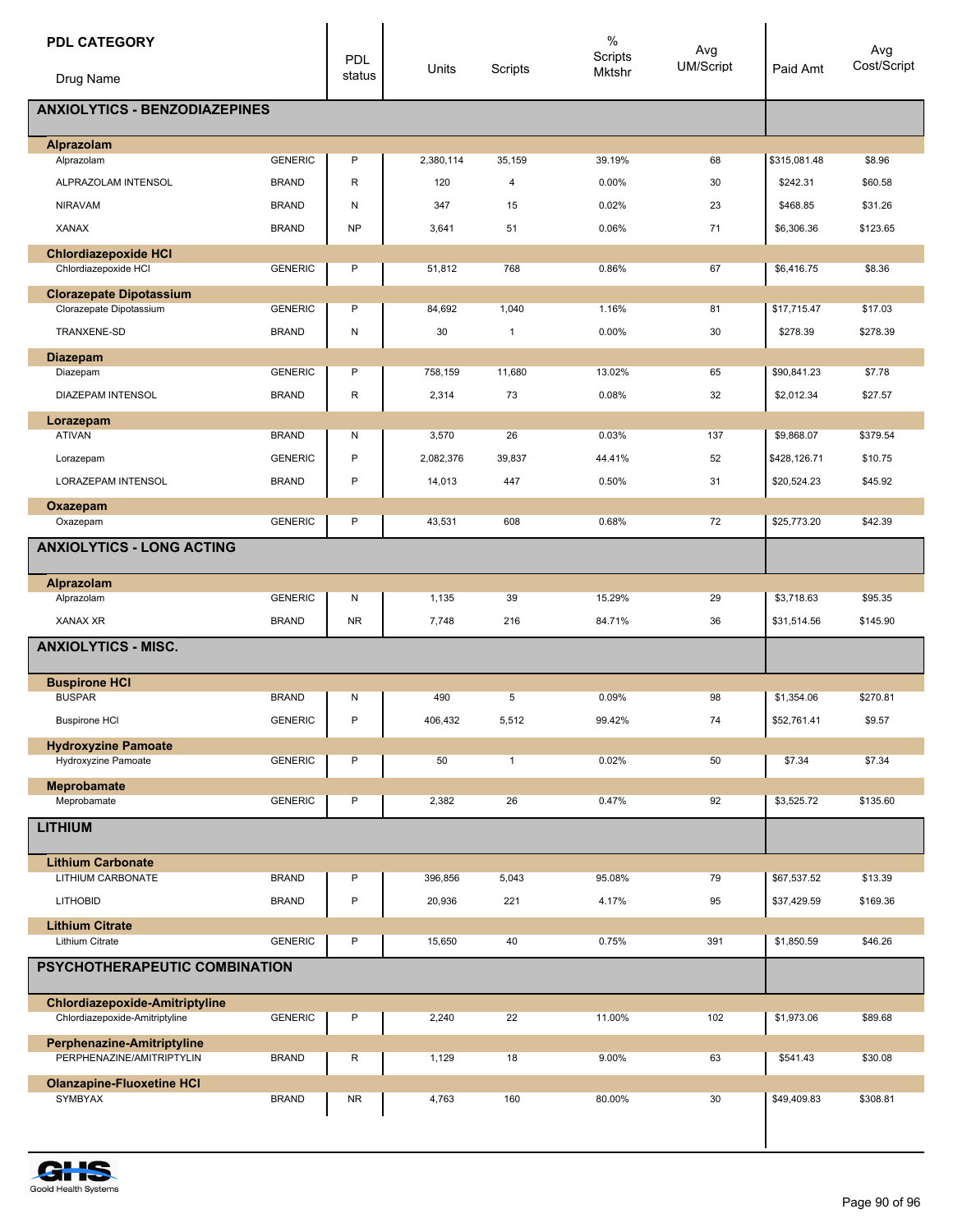| <b>PDL CATEGORY</b>                                       |                | <b>PDL</b>   |           |              | $\%$<br>Scripts | Avg<br><b>UM/Script</b> | Paid Amt     | Avg<br>Cost/Script |
|-----------------------------------------------------------|----------------|--------------|-----------|--------------|-----------------|-------------------------|--------------|--------------------|
| Drug Name                                                 |                | status       | Units     | Scripts      | Mktshr          |                         |              |                    |
| <b>ANXIOLYTICS - BENZODIAZEPINES</b>                      |                |              |           |              |                 |                         |              |                    |
| Alprazolam                                                |                |              |           |              |                 |                         |              |                    |
| Alprazolam                                                | <b>GENERIC</b> | P            | 2,380,114 | 35,159       | 39.19%          | 68                      | \$315,081.48 | \$8.96             |
| ALPRAZOLAM INTENSOL                                       | <b>BRAND</b>   | $\mathsf{R}$ | 120       | 4            | 0.00%           | 30                      | \$242.31     | \$60.58            |
| <b>NIRAVAM</b>                                            | <b>BRAND</b>   | ${\sf N}$    | 347       | 15           | 0.02%           | 23                      | \$468.85     | \$31.26            |
| <b>XANAX</b>                                              | <b>BRAND</b>   | <b>NP</b>    | 3,641     | 51           | 0.06%           | 71                      | \$6,306.36   | \$123.65           |
| <b>Chlordiazepoxide HCI</b><br>Chlordiazepoxide HCI       | <b>GENERIC</b> | P            | 51,812    | 768          | 0.86%           | 67                      | \$6,416.75   | \$8.36             |
|                                                           |                |              |           |              |                 |                         |              |                    |
| <b>Clorazepate Dipotassium</b><br>Clorazepate Dipotassium | <b>GENERIC</b> | P            | 84,692    | 1,040        | 1.16%           | 81                      | \$17,715.47  | \$17.03            |
| TRANXENE-SD                                               | <b>BRAND</b>   | ${\sf N}$    | 30        | 1            | 0.00%           | 30                      | \$278.39     | \$278.39           |
| <b>Diazepam</b>                                           |                |              |           |              |                 |                         |              |                    |
| Diazepam                                                  | <b>GENERIC</b> | P            | 758,159   | 11,680       | 13.02%          | 65                      | \$90,841.23  | \$7.78             |
| DIAZEPAM INTENSOL                                         | <b>BRAND</b>   | R            | 2,314     | 73           | 0.08%           | 32                      | \$2,012.34   | \$27.57            |
| Lorazepam                                                 |                |              |           |              |                 |                         |              |                    |
| <b>ATIVAN</b>                                             | <b>BRAND</b>   | N            | 3,570     | 26           | 0.03%           | 137                     | \$9,868.07   | \$379.54           |
| Lorazepam                                                 | <b>GENERIC</b> | P            | 2,082,376 | 39,837       | 44.41%          | 52                      | \$428,126.71 | \$10.75            |
| LORAZEPAM INTENSOL                                        | <b>BRAND</b>   | $\mathsf{P}$ | 14,013    | 447          | 0.50%           | 31                      | \$20,524.23  | \$45.92            |
| Oxazepam                                                  |                |              |           |              |                 |                         |              |                    |
| Oxazepam                                                  | <b>GENERIC</b> | P            | 43,531    | 608          | 0.68%           | 72                      | \$25,773.20  | \$42.39            |
| <b>ANXIOLYTICS - LONG ACTING</b>                          |                |              |           |              |                 |                         |              |                    |
| Alprazolam                                                |                |              |           |              |                 |                         |              |                    |
| Alprazolam                                                | <b>GENERIC</b> | N            | 1,135     | 39           | 15.29%          | 29                      | \$3,718.63   | \$95.35            |
| <b>XANAX XR</b>                                           | <b>BRAND</b>   | <b>NR</b>    | 7,748     | 216          | 84.71%          | 36                      | \$31,514.56  | \$145.90           |
| <b>ANXIOLYTICS - MISC.</b>                                |                |              |           |              |                 |                         |              |                    |
|                                                           |                |              |           |              |                 |                         |              |                    |
| <b>Buspirone HCI</b>                                      |                |              |           |              |                 |                         |              | \$270.81           |
| <b>BUSPAR</b>                                             | <b>BRAND</b>   | N            | 490       | 5            | 0.09%           | 98                      | \$1,354.06   |                    |
| <b>Buspirone HCI</b>                                      | <b>GENERIC</b> | $\mathsf{P}$ | 406,432   | 5,512        | 99.42%          | 74                      | \$52,761.41  | \$9.57             |
| <b>Hydroxyzine Pamoate</b><br>Hydroxyzine Pamoate         | <b>GENERIC</b> | P            | 50        | $\mathbf{1}$ | 0.02%           | 50                      | \$7.34       | \$7.34             |
|                                                           |                |              |           |              |                 |                         |              |                    |
| Meprobamate<br>Meprobamate                                | <b>GENERIC</b> | P            | 2,382     | 26           | 0.47%           | 92                      | \$3,525.72   | \$135.60           |
| <b>LITHIUM</b>                                            |                |              |           |              |                 |                         |              |                    |
|                                                           |                |              |           |              |                 |                         |              |                    |
| <b>Lithium Carbonate</b>                                  |                |              |           |              |                 |                         |              |                    |
| LITHIUM CARBONATE                                         | <b>BRAND</b>   | P            | 396,856   | 5,043        | 95.08%          | 79                      | \$67,537.52  | \$13.39            |
| <b>LITHOBID</b>                                           | <b>BRAND</b>   | $\mathsf{P}$ | 20,936    | 221          | 4.17%           | 95                      | \$37,429.59  | \$169.36           |
| <b>Lithium Citrate</b><br>Lithium Citrate                 | <b>GENERIC</b> | P            | 15,650    | 40           | 0.75%           | 391                     | \$1,850.59   | \$46.26            |
| PSYCHOTHERAPEUTIC COMBINATION                             |                |              |           |              |                 |                         |              |                    |
|                                                           |                |              |           |              |                 |                         |              |                    |
| <b>Chlordiazepoxide-Amitriptyline</b>                     |                |              |           |              |                 |                         |              |                    |
| Chlordiazepoxide-Amitriptyline                            | <b>GENERIC</b> | P            | 2,240     | 22           | 11.00%          | 102                     | \$1,973.06   | \$89.68            |
| Perphenazine-Amitriptyline<br>PERPHENAZINE/AMITRIPTYLIN   | <b>BRAND</b>   | R            | 1,129     | 18           | 9.00%           | 63                      | \$541.43     | \$30.08            |
|                                                           |                |              |           |              |                 |                         |              |                    |
| <b>Olanzapine-Fluoxetine HCI</b><br>SYMBYAX               | <b>BRAND</b>   | <b>NR</b>    | 4,763     | 160          | 80.00%          | 30                      | \$49,409.83  | \$308.81           |
|                                                           |                |              |           |              |                 |                         |              |                    |
|                                                           |                |              |           |              |                 |                         |              |                    |

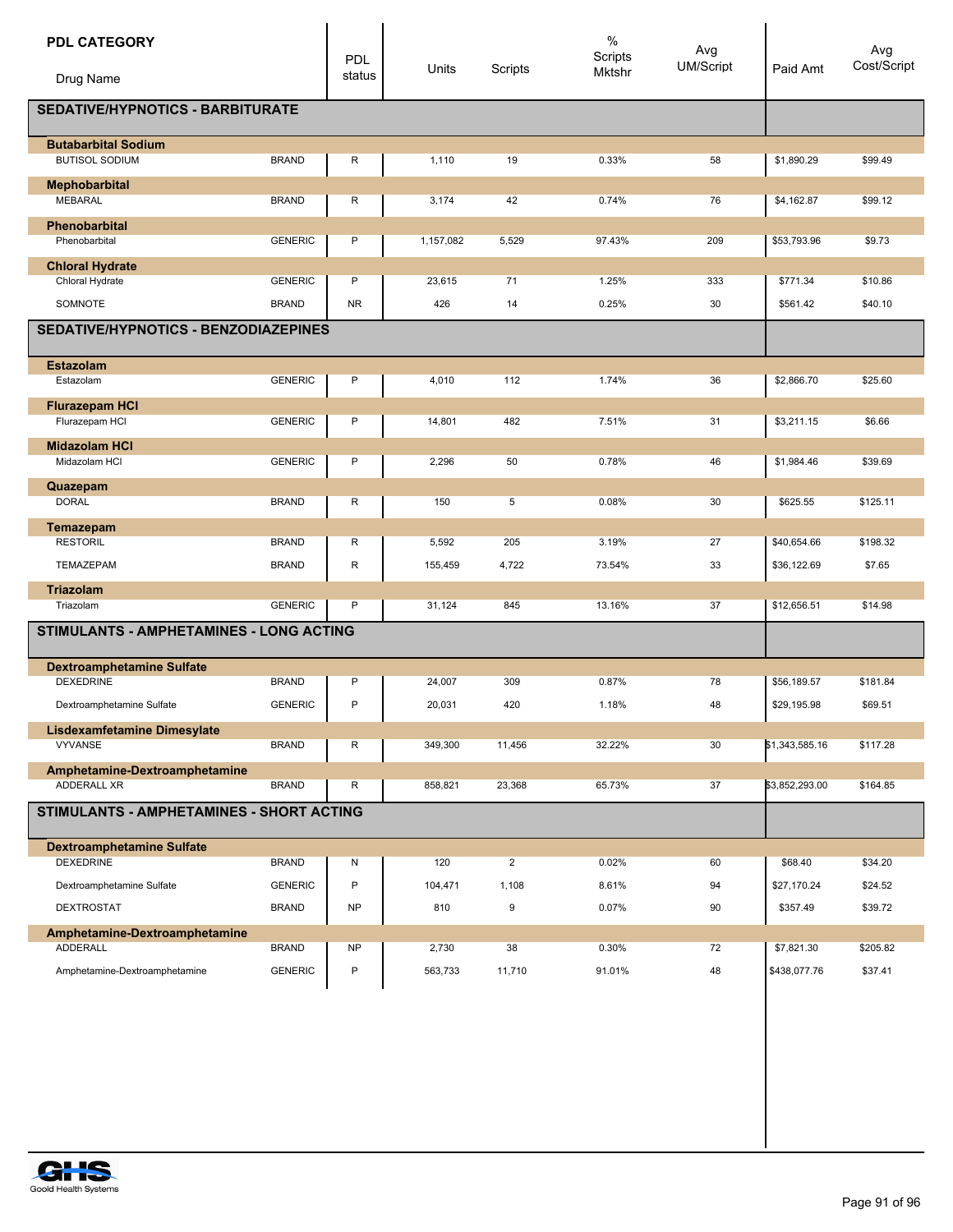| <b>PDL CATEGORY</b><br>Drug Name                     |                | PDL<br>status | Units     | Scripts        | $\%$<br>Scripts<br>Mktshr | Avg<br><b>UM/Script</b> | Paid Amt       | Avg<br>Cost/Script |
|------------------------------------------------------|----------------|---------------|-----------|----------------|---------------------------|-------------------------|----------------|--------------------|
| <b>SEDATIVE/HYPNOTICS - BARBITURATE</b>              |                |               |           |                |                           |                         |                |                    |
| <b>Butabarbital Sodium</b><br><b>BUTISOL SODIUM</b>  | <b>BRAND</b>   | R             | 1,110     | 19             | 0.33%                     | 58                      | \$1,890.29     | \$99.49            |
| Mephobarbital<br><b>MEBARAL</b>                      | <b>BRAND</b>   |               |           | 42             | 0.74%                     |                         | \$4,162.87     | \$99.12            |
| Phenobarbital                                        |                | R             | 3,174     |                |                           | 76                      |                |                    |
| Phenobarbital                                        | <b>GENERIC</b> | P             | 1,157,082 | 5,529          | 97.43%                    | 209                     | \$53,793.96    | \$9.73             |
| <b>Chloral Hydrate</b>                               |                |               |           |                |                           |                         |                |                    |
| Chloral Hydrate                                      | <b>GENERIC</b> | P             | 23,615    | 71             | 1.25%                     | 333                     | \$771.34       | \$10.86            |
| SOMNOTE                                              | <b>BRAND</b>   | <b>NR</b>     | 426       | 14             | 0.25%                     | 30                      | \$561.42       | \$40.10            |
| <b>SEDATIVE/HYPNOTICS - BENZODIAZEPINES</b>          |                |               |           |                |                           |                         |                |                    |
| <b>Estazolam</b>                                     |                |               |           |                |                           |                         |                |                    |
| Estazolam                                            | <b>GENERIC</b> | P             | 4,010     | 112            | 1.74%                     | 36                      | \$2,866.70     | \$25.60            |
| <b>Flurazepam HCI</b><br>Flurazepam HCI              | <b>GENERIC</b> | P             | 14,801    | 482            | 7.51%                     | 31                      | \$3,211.15     | \$6.66             |
| <b>Midazolam HCI</b>                                 |                |               |           |                |                           |                         |                |                    |
| Midazolam HCI                                        | <b>GENERIC</b> | P             | 2,296     | 50             | 0.78%                     | 46                      | \$1,984.46     | \$39.69            |
| Quazepam<br><b>DORAL</b>                             | <b>BRAND</b>   | R             | 150       | 5              | 0.08%                     | 30                      | \$625.55       | \$125.11           |
| Temazepam                                            |                |               |           |                |                           |                         |                |                    |
| <b>RESTORIL</b>                                      | <b>BRAND</b>   | R             | 5,592     | 205            | 3.19%                     | 27                      | \$40,654.66    | \$198.32           |
| TEMAZEPAM                                            | <b>BRAND</b>   | R             | 155,459   | 4,722          | 73.54%                    | 33                      | \$36,122.69    | \$7.65             |
| <b>Triazolam</b>                                     |                |               |           |                |                           |                         |                |                    |
| Triazolam                                            | <b>GENERIC</b> | P             | 31,124    | 845            | 13.16%                    | 37                      | \$12,656.51    | \$14.98            |
| STIMULANTS - AMPHETAMINES - LONG ACTING              |                |               |           |                |                           |                         |                |                    |
| <b>Dextroamphetamine Sulfate</b><br><b>DEXEDRINE</b> | <b>BRAND</b>   | P             |           | 309            | 0.87%                     | 78                      | \$56,189.57    | \$181.84           |
|                                                      |                |               | 24,007    |                |                           |                         |                |                    |
| Dextroamphetamine Sulfate                            | <b>GENERIC</b> | P             | 20,031    | 420            | 1.18%                     | 48                      | \$29,195.98    | \$69.51            |
| Lisdexamfetamine Dimesylate<br><b>VYVANSE</b>        | <b>BRAND</b>   | R             | 349,300   | 11,456         | 32.22%                    | 30                      | \$1,343,585.16 | \$117.28           |
| Amphetamine-Dextroamphetamine                        |                |               |           |                |                           |                         |                |                    |
| ADDERALL XR                                          | <b>BRAND</b>   | R             | 858,821   | 23,368         | 65.73%                    | 37                      | \$3,852,293.00 | \$164.85           |
| STIMULANTS - AMPHETAMINES - SHORT ACTING             |                |               |           |                |                           |                         |                |                    |
| <b>Dextroamphetamine Sulfate</b>                     |                |               |           |                |                           |                         |                |                    |
| <b>DEXEDRINE</b>                                     | <b>BRAND</b>   | Ν             | 120       | $\overline{2}$ | 0.02%                     | 60                      | \$68.40        | \$34.20            |
| Dextroamphetamine Sulfate                            | <b>GENERIC</b> | P             | 104,471   | 1,108          | 8.61%                     | 94                      | \$27,170.24    | \$24.52            |
| DEXTROSTAT                                           | <b>BRAND</b>   | <b>NP</b>     | 810       | 9              | 0.07%                     | 90                      | \$357.49       | \$39.72            |
| Amphetamine-Dextroamphetamine<br><b>ADDERALL</b>     | <b>BRAND</b>   | <b>NP</b>     |           | 38             | 0.30%                     | 72                      |                | \$205.82           |
|                                                      |                |               | 2,730     |                |                           |                         | \$7,821.30     |                    |
| Amphetamine-Dextroamphetamine                        | <b>GENERIC</b> | P             | 563,733   | 11,710         | 91.01%                    | 48                      | \$438,077.76   | \$37.41            |
|                                                      |                |               |           |                |                           |                         |                |                    |
|                                                      |                |               |           |                |                           |                         |                |                    |
|                                                      |                |               |           |                |                           |                         |                |                    |

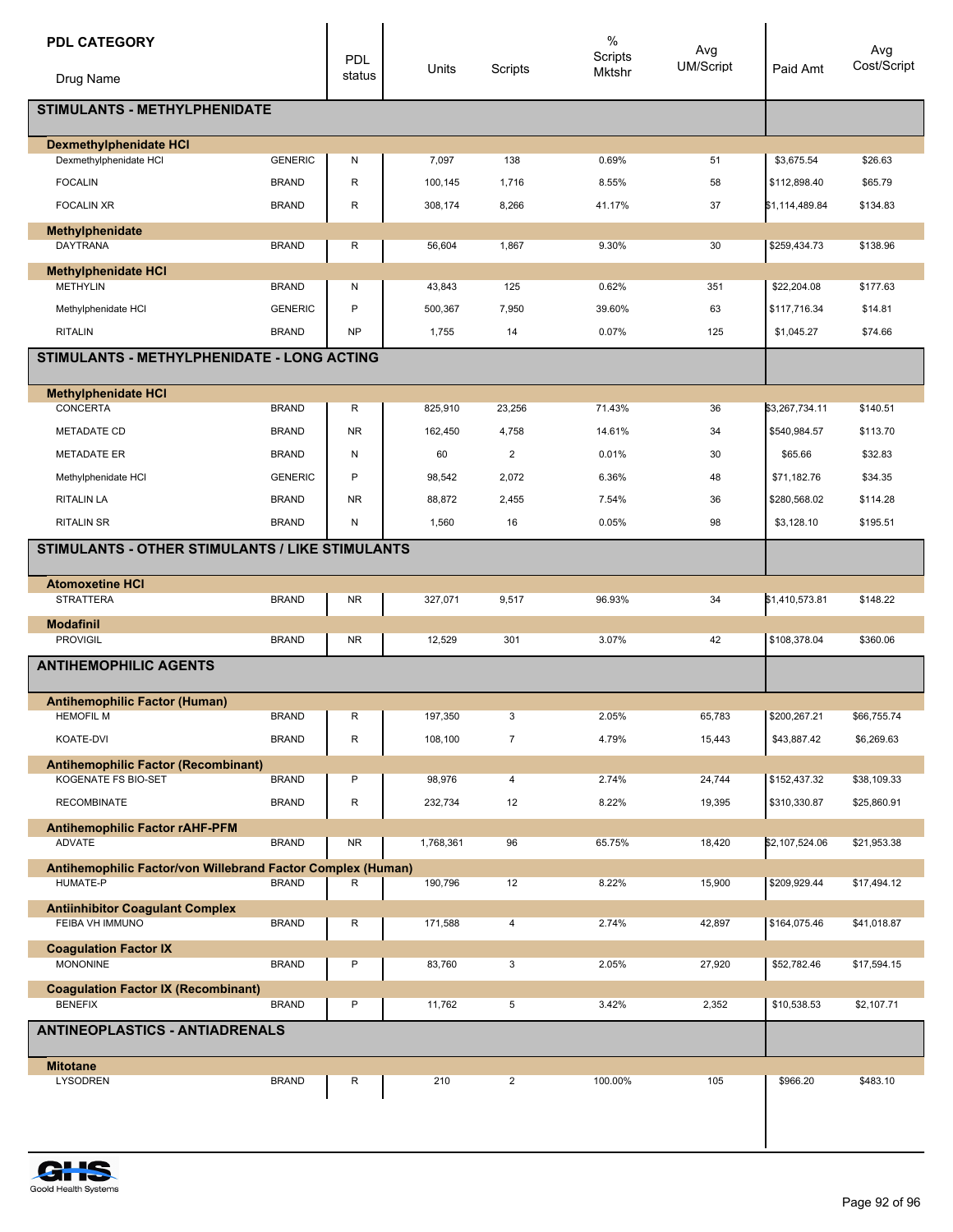| <b>PDL CATEGORY</b>                                                     |                | PDL       |           |                | $\%$<br>Scripts | Avg<br><b>UM/Script</b> |                | Avg<br>Cost/Script |
|-------------------------------------------------------------------------|----------------|-----------|-----------|----------------|-----------------|-------------------------|----------------|--------------------|
| Drug Name                                                               |                | status    | Units     | Scripts        | Mktshr          |                         | Paid Amt       |                    |
| <b>STIMULANTS - METHYLPHENIDATE</b>                                     |                |           |           |                |                 |                         |                |                    |
| <b>Dexmethylphenidate HCI</b>                                           |                |           |           |                |                 |                         |                |                    |
| Dexmethylphenidate HCI                                                  | <b>GENERIC</b> | Ν         | 7,097     | 138            | 0.69%           | 51                      | \$3,675.54     | \$26.63            |
| <b>FOCALIN</b>                                                          | <b>BRAND</b>   | R         | 100,145   | 1,716          | 8.55%           | 58                      | \$112,898.40   | \$65.79            |
| <b>FOCALIN XR</b>                                                       | <b>BRAND</b>   | R         | 308,174   | 8,266          | 41.17%          | 37                      | \$1,114,489.84 | \$134.83           |
| Methylphenidate<br><b>DAYTRANA</b>                                      | <b>BRAND</b>   | R         | 56,604    | 1,867          | 9.30%           | 30                      | \$259,434.73   | \$138.96           |
| <b>Methylphenidate HCI</b>                                              |                |           |           |                |                 |                         |                |                    |
| <b>METHYLIN</b>                                                         | <b>BRAND</b>   | Ν         | 43,843    | 125            | 0.62%           | 351                     | \$22,204.08    | \$177.63           |
| Methylphenidate HCI                                                     | <b>GENERIC</b> | P         | 500,367   | 7,950          | 39.60%          | 63                      | \$117,716.34   | \$14.81            |
| <b>RITALIN</b>                                                          | <b>BRAND</b>   | <b>NP</b> | 1,755     | 14             | 0.07%           | 125                     | \$1,045.27     | \$74.66            |
| STIMULANTS - METHYLPHENIDATE - LONG ACTING                              |                |           |           |                |                 |                         |                |                    |
| <b>Methylphenidate HCI</b>                                              |                |           |           |                |                 |                         |                |                    |
| <b>CONCERTA</b>                                                         | <b>BRAND</b>   | R         | 825,910   | 23,256         | 71.43%          | 36                      | \$3,267,734.11 | \$140.51           |
| <b>METADATE CD</b>                                                      | <b>BRAND</b>   | <b>NR</b> | 162,450   | 4,758          | 14.61%          | 34                      | \$540,984.57   | \$113.70           |
| <b>METADATE ER</b>                                                      | <b>BRAND</b>   | N         | 60        | $\overline{2}$ | 0.01%           | 30                      | \$65.66        | \$32.83            |
| Methylphenidate HCI                                                     | <b>GENERIC</b> | P         | 98,542    | 2,072          | 6.36%           | 48                      | \$71,182.76    | \$34.35            |
| <b>RITALIN LA</b>                                                       | <b>BRAND</b>   | <b>NR</b> | 88,872    | 2,455          | 7.54%           | 36                      | \$280,568.02   | \$114.28           |
| <b>RITALIN SR</b>                                                       | <b>BRAND</b>   | Ν         | 1,560     | 16             | 0.05%           | 98                      | \$3,128.10     | \$195.51           |
| <b>STIMULANTS - OTHER STIMULANTS / LIKE STIMULANTS</b>                  |                |           |           |                |                 |                         |                |                    |
| <b>Atomoxetine HCI</b><br><b>STRATTERA</b>                              | <b>BRAND</b>   | <b>NR</b> | 327,071   | 9,517          | 96.93%          | 34                      | \$1,410,573.81 | \$148.22           |
| <b>Modafinil</b>                                                        |                |           |           |                |                 |                         |                |                    |
| <b>PROVIGIL</b>                                                         | <b>BRAND</b>   | <b>NR</b> | 12,529    | 301            | 3.07%           | 42                      | \$108,378.04   | \$360.06           |
| <b>ANTIHEMOPHILIC AGENTS</b>                                            |                |           |           |                |                 |                         |                |                    |
|                                                                         |                |           |           |                |                 |                         |                |                    |
| Antihemophilic Factor (Human)<br><b>HEMOFIL M</b>                       | <b>BRAND</b>   | R         | 197,350   | 3              | 2.05%           | 65,783                  | \$200,267.21   | \$66,755.74        |
| KOATE-DVI                                                               | <b>BRAND</b>   | R         | 108,100   | 7              | 4.79%           | 15,443                  | \$43,887.42    | \$6,269.63         |
| <b>Antihemophilic Factor (Recombinant)</b>                              |                |           |           |                |                 |                         |                |                    |
| KOGENATE FS BIO-SET                                                     | <b>BRAND</b>   | P         | 98,976    | $\overline{4}$ | 2.74%           | 24,744                  | \$152,437.32   | \$38,109.33        |
| <b>RECOMBINATE</b>                                                      | <b>BRAND</b>   | R         | 232,734   | 12             | 8.22%           | 19,395                  | \$310,330.87   | \$25,860.91        |
| <b>Antihemophilic Factor rAHF-PFM</b>                                   |                |           |           |                |                 |                         |                |                    |
| ADVATE                                                                  | <b>BRAND</b>   | <b>NR</b> | 1,768,361 | 96             | 65.75%          | 18,420                  | \$2,107,524.06 | \$21,953.38        |
| Antihemophilic Factor/von Willebrand Factor Complex (Human)<br>HUMATE-P | <b>BRAND</b>   | R         | 190,796   | 12             | 8.22%           | 15,900                  | \$209,929.44   | \$17,494.12        |
|                                                                         |                |           |           |                |                 |                         |                |                    |
| <b>Antiinhibitor Coagulant Complex</b><br>FEIBA VH IMMUNO               | <b>BRAND</b>   | R         | 171,588   | 4              | 2.74%           | 42,897                  | \$164,075.46   | \$41,018.87        |
| <b>Coagulation Factor IX</b>                                            |                |           |           |                |                 |                         |                |                    |
| <b>MONONINE</b>                                                         | <b>BRAND</b>   | P         | 83,760    | 3              | 2.05%           | 27,920                  | \$52,782.46    | \$17,594.15        |
| <b>Coagulation Factor IX (Recombinant)</b>                              |                |           |           |                |                 |                         |                |                    |
| <b>BENEFIX</b>                                                          | <b>BRAND</b>   | P         | 11,762    | 5              | 3.42%           | 2,352                   | \$10,538.53    | \$2,107.71         |
| <b>ANTINEOPLASTICS - ANTIADRENALS</b>                                   |                |           |           |                |                 |                         |                |                    |
| <b>Mitotane</b><br><b>LYSODREN</b>                                      | <b>BRAND</b>   |           | 210       | $\overline{2}$ | 100.00%         | 105                     | \$966.20       | \$483.10           |
|                                                                         |                | R         |           |                |                 |                         |                |                    |
|                                                                         |                |           |           |                |                 |                         |                |                    |
|                                                                         |                |           |           |                |                 |                         |                |                    |

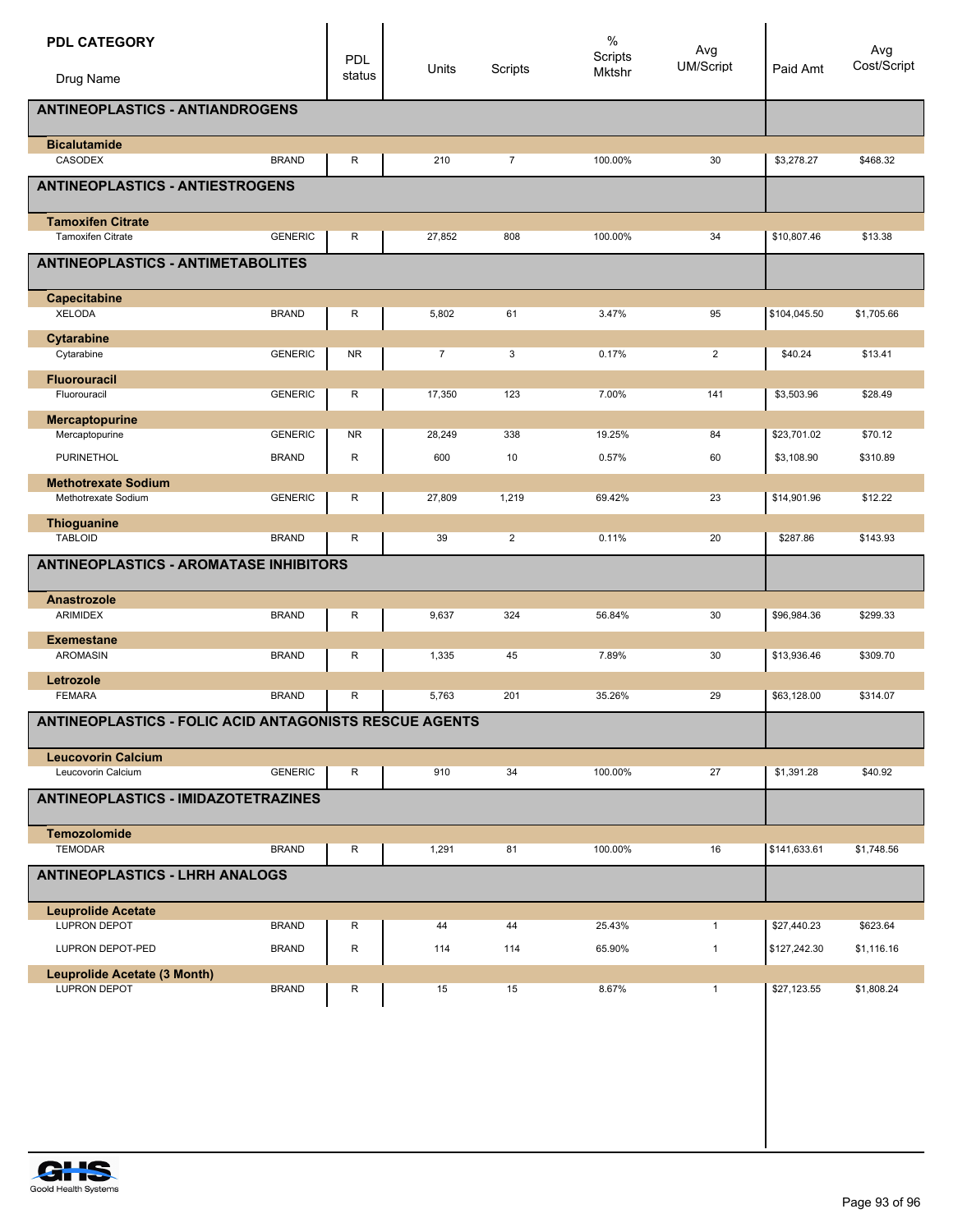| <b>PDL CATEGORY</b>                                    |                | PDL          | Units          | Scripts        | $\%$<br>Scripts<br>Mktshr | Avg<br>UM/Script | Paid Amt     | Avg<br>Cost/Script |
|--------------------------------------------------------|----------------|--------------|----------------|----------------|---------------------------|------------------|--------------|--------------------|
| Drug Name                                              |                | status       |                |                |                           |                  |              |                    |
| <b>ANTINEOPLASTICS - ANTIANDROGENS</b>                 |                |              |                |                |                           |                  |              |                    |
| <b>Bicalutamide</b><br>CASODEX                         | <b>BRAND</b>   | R            | 210            | $\overline{7}$ | 100.00%                   | 30               | \$3,278.27   | \$468.32           |
| <b>ANTINEOPLASTICS - ANTIESTROGENS</b>                 |                |              |                |                |                           |                  |              |                    |
|                                                        |                |              |                |                |                           |                  |              |                    |
| <b>Tamoxifen Citrate</b><br>Tamoxifen Citrate          | <b>GENERIC</b> | R            | 27,852         | 808            | 100.00%                   | 34               | \$10,807.46  | \$13.38            |
| <b>ANTINEOPLASTICS - ANTIMETABOLITES</b>               |                |              |                |                |                           |                  |              |                    |
| Capecitabine                                           |                |              |                |                |                           |                  |              |                    |
| <b>XELODA</b>                                          | <b>BRAND</b>   | R            | 5,802          | 61             | 3.47%                     | 95               | \$104,045.50 | \$1,705.66         |
| <b>Cytarabine</b><br>Cytarabine                        | <b>GENERIC</b> | <b>NR</b>    | $\overline{7}$ | 3              | 0.17%                     | $\overline{2}$   | \$40.24      | \$13.41            |
| <b>Fluorouracil</b>                                    |                |              |                |                |                           |                  |              |                    |
| Fluorouracil                                           | <b>GENERIC</b> | R            | 17,350         | 123            | 7.00%                     | 141              | \$3,503.96   | \$28.49            |
| Mercaptopurine<br>Mercaptopurine                       | <b>GENERIC</b> | NR.          | 28,249         | 338            | 19.25%                    | 84               | \$23,701.02  | \$70.12            |
| <b>PURINETHOL</b>                                      | <b>BRAND</b>   | R            | 600            | 10             | 0.57%                     | 60               | \$3,108.90   | \$310.89           |
| <b>Methotrexate Sodium</b>                             |                |              |                |                |                           |                  |              |                    |
| Methotrexate Sodium                                    | <b>GENERIC</b> | R            | 27,809         | 1,219          | 69.42%                    | 23               | \$14,901.96  | \$12.22            |
| Thioguanine<br><b>TABLOID</b>                          | <b>BRAND</b>   | R            | 39             | $\overline{2}$ | 0.11%                     | 20               | \$287.86     | \$143.93           |
| <b>ANTINEOPLASTICS - AROMATASE INHIBITORS</b>          |                |              |                |                |                           |                  |              |                    |
|                                                        |                |              |                |                |                           |                  |              |                    |
| Anastrozole<br>ARIMIDEX                                | <b>BRAND</b>   | R            | 9,637          | 324            | 56.84%                    | 30               | \$96,984.36  | \$299.33           |
| <b>Exemestane</b>                                      |                |              |                |                |                           |                  |              |                    |
| <b>AROMASIN</b>                                        | <b>BRAND</b>   | R            | 1,335          | 45             | 7.89%                     | 30               | \$13,936.46  | \$309.70           |
| Letrozole<br><b>FEMARA</b>                             | <b>BRAND</b>   | R            | 5,763          | 201            | 35.26%                    | 29               | \$63,128.00  | \$314.07           |
| ANTINEOPLASTICS - FOLIC ACID ANTAGONISTS RESCUE AGENTS |                |              |                |                |                           |                  |              |                    |
| <b>Leucovorin Calcium</b>                              |                |              |                |                |                           |                  |              |                    |
| Leucovorin Calcium                                     | <b>GENERIC</b> | R            | 910            | 34             | 100.00%                   | 27               | \$1,391.28   | \$40.92            |
| ANTINEOPLASTICS - IMIDAZOTETRAZINES                    |                |              |                |                |                           |                  |              |                    |
| <b>Temozolomide</b>                                    |                |              |                |                |                           |                  |              |                    |
| <b>TEMODAR</b>                                         | <b>BRAND</b>   | R            | 1,291          | 81             | 100.00%                   | 16               | \$141,633.61 | \$1,748.56         |
| <b>ANTINEOPLASTICS - LHRH ANALOGS</b>                  |                |              |                |                |                           |                  |              |                    |
| <b>Leuprolide Acetate</b>                              |                |              |                |                |                           |                  |              |                    |
| LUPRON DEPOT                                           | <b>BRAND</b>   | R            | 44             | 44             | 25.43%                    | $\mathbf{1}$     | \$27,440.23  | \$623.64           |
| LUPRON DEPOT-PED<br>Leuprolide Acetate (3 Month)       | <b>BRAND</b>   | $\mathsf{R}$ | 114            | 114            | 65.90%                    | $\mathbf{1}$     | \$127,242.30 | \$1,116.16         |
| LUPRON DEPOT                                           | <b>BRAND</b>   | R            | 15             | 15             | 8.67%                     | $\mathbf{1}$     | \$27,123.55  | \$1,808.24         |
|                                                        |                |              |                |                |                           |                  |              |                    |
|                                                        |                |              |                |                |                           |                  |              |                    |
|                                                        |                |              |                |                |                           |                  |              |                    |
|                                                        |                |              |                |                |                           |                  |              |                    |
|                                                        |                |              |                |                |                           |                  |              |                    |
|                                                        |                |              |                |                |                           |                  |              |                    |

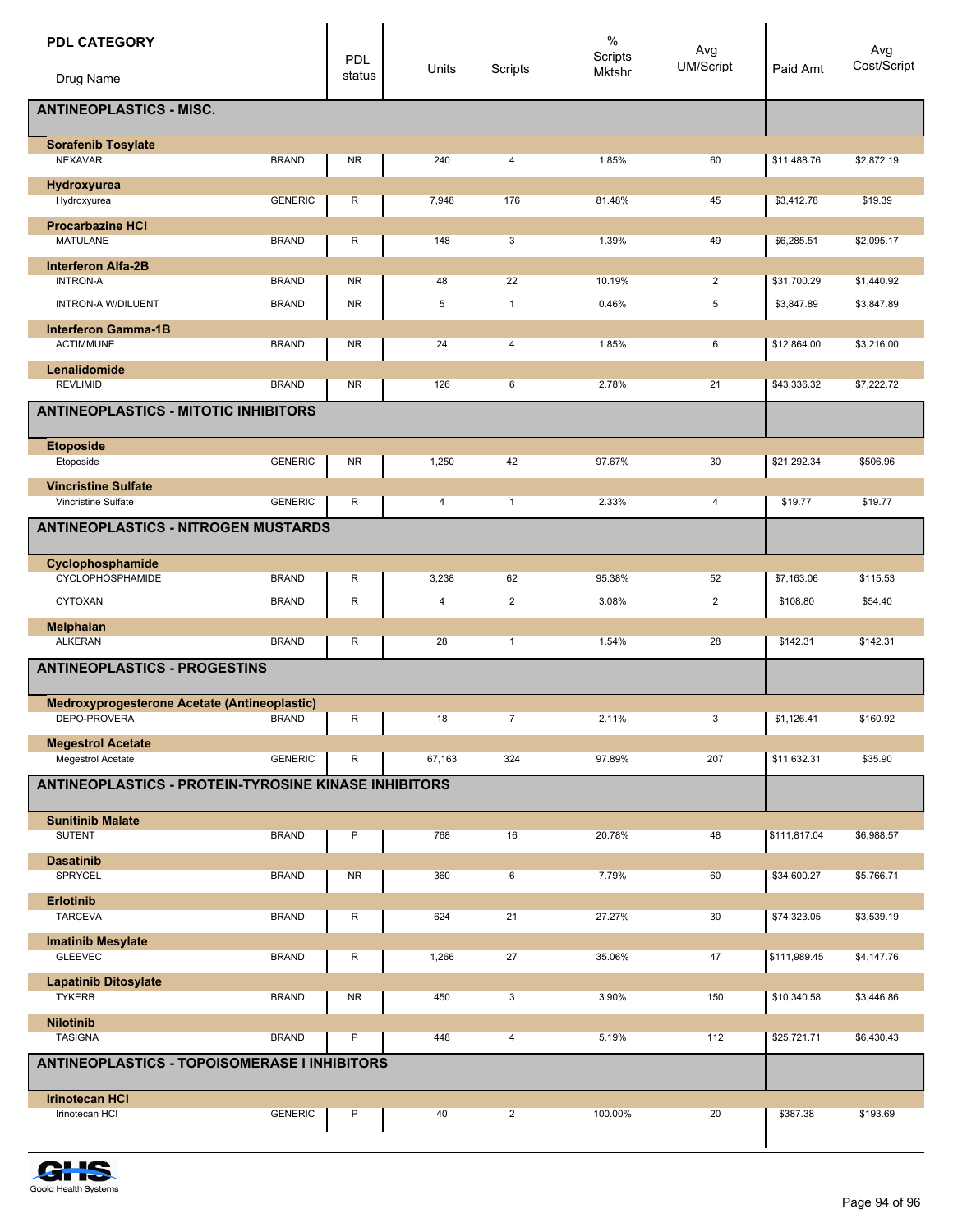| <b>PDL CATEGORY</b><br>Drug Name                            |                              | <b>PDL</b><br>status   | Units   | Scripts        | $\%$<br>Scripts<br>Mktshr | Avg<br><b>UM/Script</b> | Paid Amt     | Avg<br>Cost/Script |
|-------------------------------------------------------------|------------------------------|------------------------|---------|----------------|---------------------------|-------------------------|--------------|--------------------|
| <b>ANTINEOPLASTICS - MISC.</b>                              |                              |                        |         |                |                           |                         |              |                    |
| <b>Sorafenib Tosylate</b><br><b>NEXAVAR</b>                 | <b>BRAND</b>                 | <b>NR</b>              | 240     | 4              | 1.85%                     | 60                      | \$11,488.76  | \$2,872.19         |
| Hydroxyurea<br>Hydroxyurea                                  | <b>GENERIC</b>               | R                      | 7,948   | 176            | 81.48%                    | 45                      | \$3,412.78   | \$19.39            |
| <b>Procarbazine HCI</b><br><b>MATULANE</b>                  | <b>BRAND</b>                 | R                      | 148     | 3              | 1.39%                     | 49                      | \$6,285.51   | \$2,095.17         |
| <b>Interferon Alfa-2B</b>                                   |                              |                        |         |                |                           |                         |              |                    |
| <b>INTRON-A</b>                                             | <b>BRAND</b><br><b>BRAND</b> | <b>NR</b><br><b>NR</b> | 48<br>5 | 22             | 10.19%                    | $\overline{2}$<br>5     | \$31,700.29  | \$1,440.92         |
| <b>INTRON-A W/DILUENT</b><br><b>Interferon Gamma-1B</b>     |                              |                        |         | $\mathbf{1}$   | 0.46%                     |                         | \$3,847.89   | \$3,847.89         |
| <b>ACTIMMUNE</b>                                            | <b>BRAND</b>                 | <b>NR</b>              | 24      | $\overline{4}$ | 1.85%                     | 6                       | \$12,864.00  | \$3,216.00         |
| Lenalidomide<br><b>REVLIMID</b>                             | <b>BRAND</b>                 | <b>NR</b>              | 126     | 6              | 2.78%                     | 21                      | \$43,336.32  | \$7,222.72         |
| <b>ANTINEOPLASTICS - MITOTIC INHIBITORS</b>                 |                              |                        |         |                |                           |                         |              |                    |
|                                                             |                              |                        |         |                |                           |                         |              |                    |
| <b>Etoposide</b><br>Etoposide                               | <b>GENERIC</b>               | <b>NR</b>              | 1,250   | 42             | 97.67%                    | 30                      | \$21,292.34  | \$506.96           |
| <b>Vincristine Sulfate</b>                                  |                              |                        |         |                |                           |                         |              |                    |
| <b>Vincristine Sulfate</b>                                  | <b>GENERIC</b>               | R                      | 4       | $\mathbf{1}$   | 2.33%                     | 4                       | \$19.77      | \$19.77            |
| <b>ANTINEOPLASTICS - NITROGEN MUSTARDS</b>                  |                              |                        |         |                |                           |                         |              |                    |
| Cyclophosphamide<br>CYCLOPHOSPHAMIDE                        | <b>BRAND</b>                 | R                      | 3,238   | 62             | 95.38%                    | 52                      | \$7,163.06   | \$115.53           |
| <b>CYTOXAN</b>                                              | <b>BRAND</b>                 | $\mathsf R$            | 4       | $\overline{2}$ | 3.08%                     | $\overline{\mathbf{c}}$ | \$108.80     | \$54.40            |
| <b>Melphalan</b>                                            |                              |                        |         |                |                           |                         |              |                    |
| <b>ALKERAN</b>                                              | <b>BRAND</b>                 | R                      | 28      | $\mathbf{1}$   | 1.54%                     | 28                      | \$142.31     | \$142.31           |
| <b>ANTINEOPLASTICS - PROGESTINS</b>                         |                              |                        |         |                |                           |                         |              |                    |
| Medroxyprogesterone Acetate (Antineoplastic)                |                              |                        |         |                |                           |                         |              |                    |
| DEPO-PROVERA                                                | <b>BRAND</b>                 | R                      | 18      | $\overline{7}$ | 2.11%                     | 3                       | \$1,126.41   | \$160.92           |
| <b>Megestrol Acetate</b><br>Megestrol Acetate               | <b>GENERIC</b>               | R                      | 67,163  | 324            | 97.89%                    | 207                     | \$11,632.31  | \$35.90            |
| <b>ANTINEOPLASTICS - PROTEIN-TYROSINE KINASE INHIBITORS</b> |                              |                        |         |                |                           |                         |              |                    |
| <b>Sunitinib Malate</b>                                     |                              |                        |         |                |                           |                         |              |                    |
| <b>SUTENT</b>                                               | <b>BRAND</b>                 | P                      | 768     | 16             | 20.78%                    | 48                      | \$111,817.04 | \$6,988.57         |
| <b>Dasatinib</b><br>SPRYCEL                                 | <b>BRAND</b>                 | <b>NR</b>              | 360     | 6              | 7.79%                     | 60                      | \$34,600.27  | \$5,766.71         |
| <b>Erlotinib</b>                                            |                              |                        |         |                |                           |                         |              |                    |
| <b>TARCEVA</b>                                              | <b>BRAND</b>                 | R                      | 624     | 21             | 27.27%                    | 30                      | \$74,323.05  | \$3,539.19         |
| <b>Imatinib Mesylate</b><br><b>GLEEVEC</b>                  | <b>BRAND</b>                 | R                      | 1,266   | 27             | 35.06%                    | 47                      | \$111,989.45 | \$4,147.76         |
| <b>Lapatinib Ditosylate</b>                                 |                              |                        |         |                |                           |                         |              |                    |
| <b>TYKERB</b>                                               | <b>BRAND</b>                 | <b>NR</b>              | 450     | 3              | 3.90%                     | 150                     | \$10,340.58  | \$3,446.86         |
| <b>Nilotinib</b>                                            |                              |                        |         |                |                           |                         |              |                    |
| <b>TASIGNA</b>                                              | <b>BRAND</b>                 | P                      | 448     | $\overline{4}$ | 5.19%                     | 112                     | \$25,721.71  | \$6,430.43         |
| <b>ANTINEOPLASTICS - TOPOISOMERASE I INHIBITORS</b>         |                              |                        |         |                |                           |                         |              |                    |
| <b>Irinotecan HCI</b><br>Irinotecan HCI                     | <b>GENERIC</b>               | P                      | 40      | $\overline{2}$ | 100.00%                   | 20                      | \$387.38     | \$193.69           |
|                                                             |                              |                        |         |                |                           |                         |              |                    |

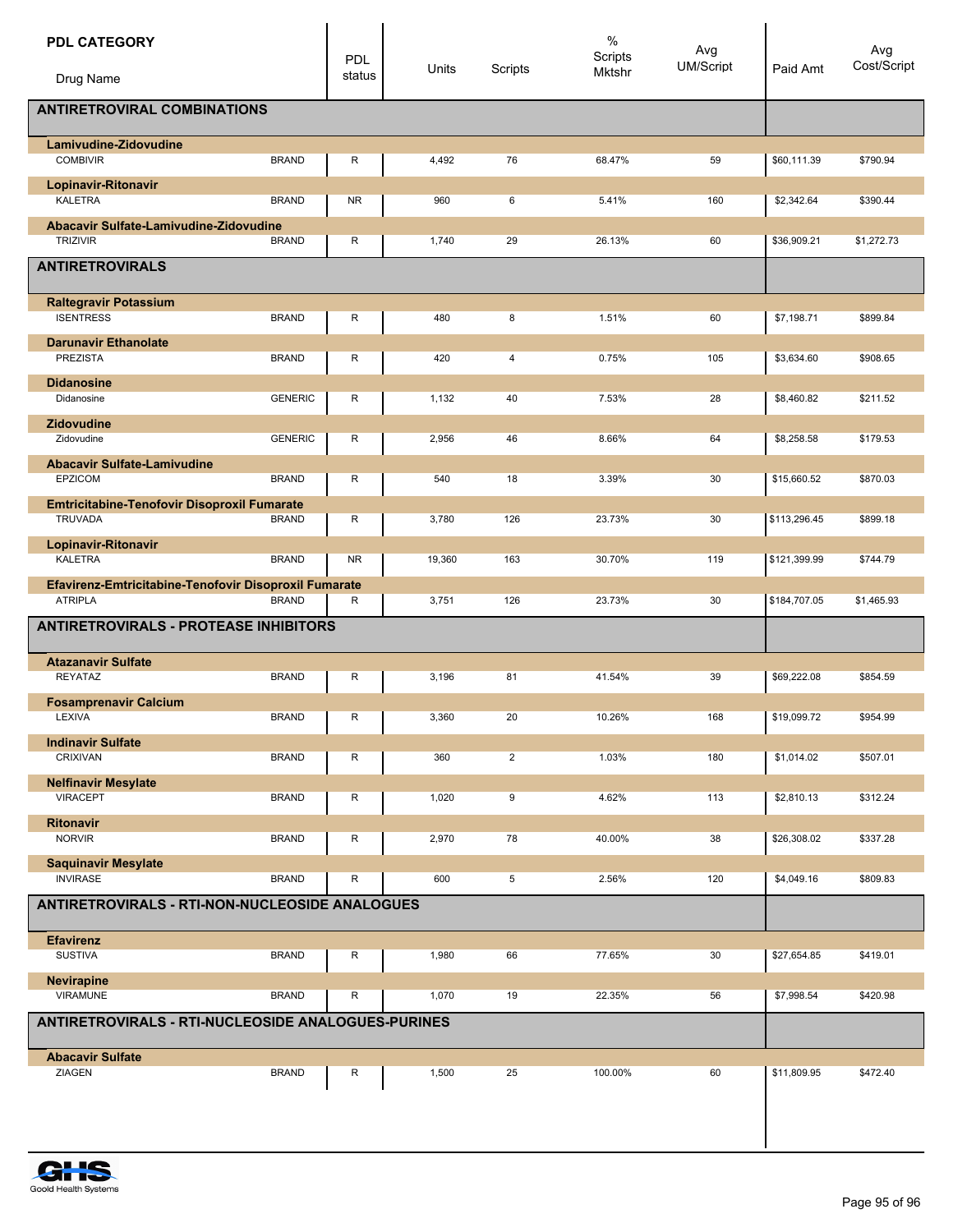| <b>PDL CATEGORY</b><br>Drug Name                                                 | <b>PDL</b><br>status | Units  | Scripts        | $\%$<br>Scripts<br>Mktshr | Avg<br>UM/Script | Paid Amt     | Avg<br>Cost/Script |
|----------------------------------------------------------------------------------|----------------------|--------|----------------|---------------------------|------------------|--------------|--------------------|
| <b>ANTIRETROVIRAL COMBINATIONS</b>                                               |                      |        |                |                           |                  |              |                    |
| Lamivudine-Zidovudine<br><b>COMBIVIR</b><br><b>BRAND</b>                         | R                    | 4,492  | 76             | 68.47%                    | 59               | \$60,111.39  | \$790.94           |
| Lopinavir-Ritonavir                                                              |                      |        |                |                           |                  |              |                    |
| <b>KALETRA</b><br><b>BRAND</b>                                                   | <b>NR</b>            | 960    | 6              | 5.41%                     | 160              | \$2,342.64   | \$390.44           |
| <b>Abacavir Sulfate-Lamivudine-Zidovudine</b><br><b>TRIZIVIR</b><br><b>BRAND</b> | R                    | 1,740  | 29             | 26.13%                    | 60               | \$36,909.21  | \$1,272.73         |
| <b>ANTIRETROVIRALS</b>                                                           |                      |        |                |                           |                  |              |                    |
| <b>Raltegravir Potassium</b>                                                     |                      |        |                |                           |                  |              |                    |
| <b>ISENTRESS</b><br><b>BRAND</b>                                                 | R                    | 480    | 8              | 1.51%                     | 60               | \$7,198.71   | \$899.84           |
| <b>Darunavir Ethanolate</b><br>PREZISTA<br><b>BRAND</b>                          | R                    | 420    | 4              | 0.75%                     | 105              | \$3,634.60   | \$908.65           |
| <b>Didanosine</b>                                                                |                      |        |                |                           |                  |              |                    |
| Didanosine<br><b>GENERIC</b>                                                     | R                    | 1,132  | 40             | 7.53%                     | 28               | \$8,460.82   | \$211.52           |
| <b>Zidovudine</b>                                                                |                      |        |                |                           |                  |              |                    |
| <b>GENERIC</b><br>Zidovudine                                                     | R                    | 2,956  | 46             | 8.66%                     | 64               | \$8,258.58   | \$179.53           |
| <b>Abacavir Sulfate-Lamivudine</b><br>EPZICOM<br><b>BRAND</b>                    | R                    | 540    | 18             | 3.39%                     | 30               | \$15,660.52  | \$870.03           |
| <b>Emtricitabine-Tenofovir Disoproxil Fumarate</b>                               |                      |        |                |                           |                  |              |                    |
| <b>TRUVADA</b><br><b>BRAND</b>                                                   | R                    | 3,780  | 126            | 23.73%                    | 30               | \$113,296.45 | \$899.18           |
| Lopinavir-Ritonavir<br><b>KALETRA</b><br><b>BRAND</b>                            | <b>NR</b>            | 19,360 | 163            | 30.70%                    | 119              | \$121,399.99 | \$744.79           |
| Efavirenz-Emtricitabine-Tenofovir Disoproxil Fumarate                            |                      |        |                |                           |                  |              |                    |
| <b>ATRIPLA</b><br><b>BRAND</b>                                                   | R                    | 3,751  | 126            | 23.73%                    | 30               | \$184,707.05 | \$1,465.93         |
| <b>ANTIRETROVIRALS - PROTEASE INHIBITORS</b>                                     |                      |        |                |                           |                  |              |                    |
| <b>Atazanavir Sulfate</b>                                                        |                      |        |                |                           |                  |              |                    |
| REYATAZ<br><b>BRAND</b>                                                          | R                    | 3,196  | 81             | 41.54%                    | 39               | \$69,222.08  | \$854.59           |
| <b>Fosamprenavir Calcium</b><br>LEXIVA<br><b>BRAND</b>                           |                      | 3,360  | 20             | 10.26%                    | 168              |              | \$954.99           |
|                                                                                  | R                    |        |                |                           |                  | \$19,099.72  |                    |
| <b>Indinavir Sulfate</b><br><b>CRIXIVAN</b><br><b>BRAND</b>                      | R                    | 360    | $\overline{2}$ | 1.03%                     | 180              | \$1,014.02   | \$507.01           |
| <b>Nelfinavir Mesylate</b>                                                       |                      |        |                |                           |                  |              |                    |
| <b>VIRACEPT</b><br><b>BRAND</b>                                                  | R                    | 1,020  | 9              | 4.62%                     | 113              | \$2,810.13   | \$312.24           |
| <b>Ritonavir</b>                                                                 |                      |        |                |                           |                  |              |                    |
| <b>NORVIR</b><br><b>BRAND</b>                                                    | R                    | 2,970  | 78             | 40.00%                    | 38               | \$26,308.02  | \$337.28           |
| <b>Saquinavir Mesylate</b><br><b>INVIRASE</b><br><b>BRAND</b>                    | R                    | 600    | 5              | 2.56%                     | 120              | \$4,049.16   | \$809.83           |
| <b>ANTIRETROVIRALS - RTI-NON-NUCLEOSIDE ANALOGUES</b>                            |                      |        |                |                           |                  |              |                    |
| <b>Efavirenz</b>                                                                 |                      |        |                |                           |                  |              |                    |
| <b>SUSTIVA</b><br><b>BRAND</b>                                                   | R                    | 1,980  | 66             | 77.65%                    | 30               | \$27,654.85  | \$419.01           |
| <b>Nevirapine</b>                                                                |                      |        |                |                           |                  |              |                    |
| <b>VIRAMUNE</b><br><b>BRAND</b>                                                  | R                    | 1,070  | 19             | 22.35%                    | 56               | \$7,998.54   | \$420.98           |
| ANTIRETROVIRALS - RTI-NUCLEOSIDE ANALOGUES-PURINES                               |                      |        |                |                           |                  |              |                    |
| <b>Abacavir Sulfate</b>                                                          |                      |        |                |                           |                  |              |                    |
| ZIAGEN<br><b>BRAND</b>                                                           | R                    | 1,500  | 25             | 100.00%                   | 60               | \$11,809.95  | \$472.40           |
|                                                                                  |                      |        |                |                           |                  |              |                    |
|                                                                                  |                      |        |                |                           |                  |              |                    |